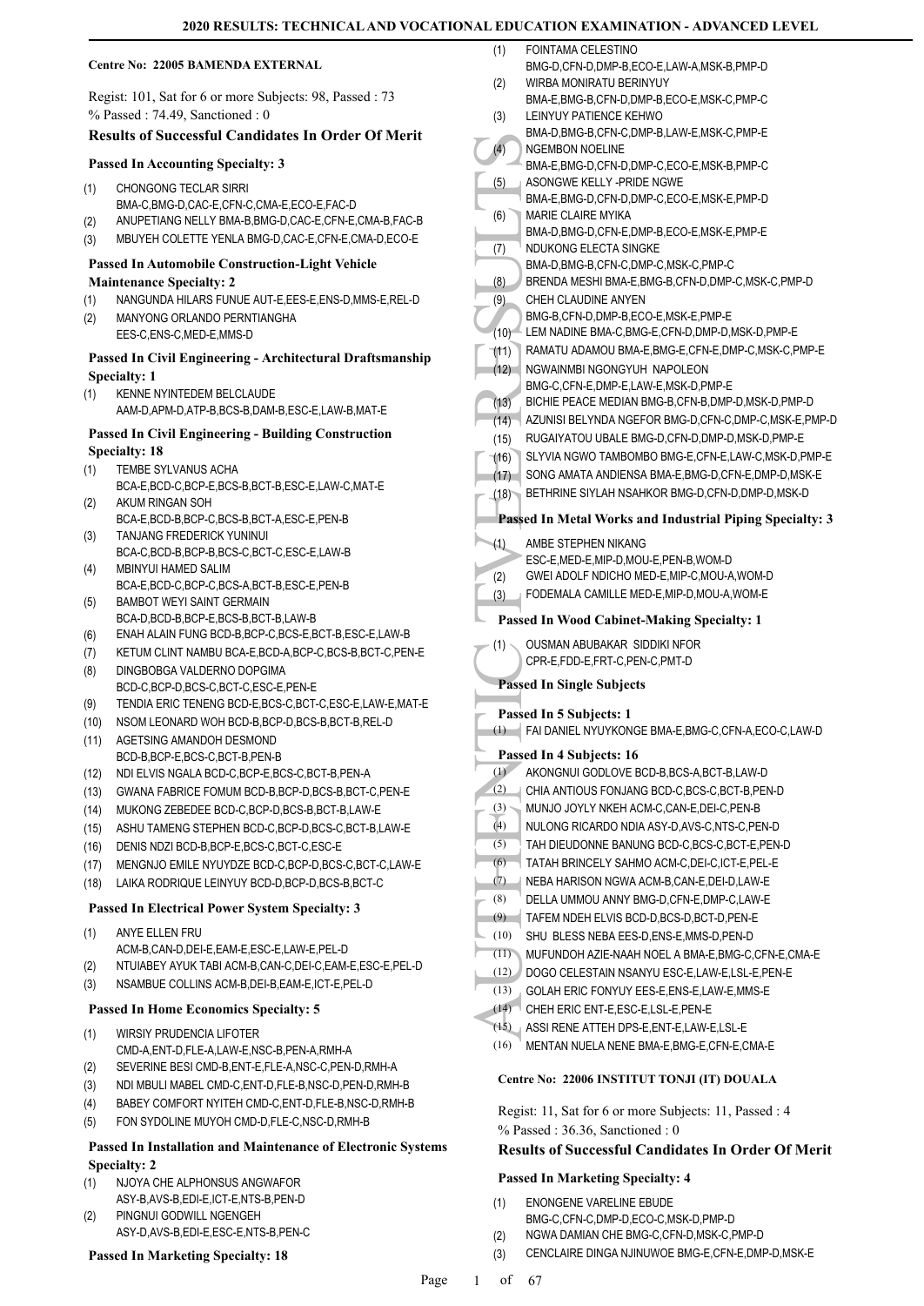#### **Centre No: 22005 BAMENDA EXTERNAL**

Regist: 101, Sat for 6 or more Subjects: 98, Passed : 73 % Passed : 74.49, Sanctioned : 0

### **Results of Successful Candidates In Order Of Merit**

#### **Passed In Accounting Specialty: 3**

- CHONGONG TECLAR SIRRI (1)
- BMA-C,BMG-D,CAC-E,CFN-C,CMA-E,ECO-E,FAC-D
- (2) ANUPETIANG NELLY BMA-B,BMG-D,CAC-E,CFN-E,CMA-B,FAC-B
- (3) MBUYEH COLETTE YENLA BMG-D,CAC-E,CFN-E,CMA-D,ECO-E

# **Passed In Automobile Construction-Light Vehicle**

- **Maintenance Specialty: 2** (1) NANGUNDA HILARS FUNUE AUT-E,EES-E,ENS-D,MMS-E,REL-D
- MANYONG ORLANDO PERNTIANGHA (2)
- EES-C,ENS-C,MED-E,MMS-D

#### **Passed In Civil Engineering - Architectural Draftsmanship Specialty: 1**

KENNE NYINTEDEM BELCLAUDE AAM-D,APM-D,ATP-B,BCS-B,DAM-B,ESC-E,LAW-B,MAT-E (1)

#### **Passed In Civil Engineering - Building Construction Specialty: 18**

- TEMBE SYLVANUS ACHA (1)
- BCA-E,BCD-C,BCP-E,BCS-B,BCT-B,ESC-E,LAW-C,MAT-E AKUM RINGAN SOH (2)
- BCA-E,BCD-B,BCP-C,BCS-B,BCT-A,ESC-E,PEN-B TANJANG FREDERICK YUNINUI (3)
- BCA-C,BCD-B,BCP-B,BCS-C,BCT-C,ESC-E,LAW-B MBINYUI HAMED SALIM (4)
- BCA-E,BCD-C,BCP-C,BCS-A,BCT-B,ESC-E,PEN-B BAMBOT WEYI SAINT GERMAIN (5)
- BCA-D,BCD-B,BCP-E,BCS-B,BCT-B,LAW-B
- (6) ENAH ALAIN FUNG BCD-B,BCP-C,BCS-E,BCT-B,ESC-E,LAW-B
- (7) KETUM CLINT NAMBU BCA-E,BCD-A,BCP-C,BCS-B,BCT-C,PEN-E
- DINGBOBGA VALDERNO DOPGIMA BCD-C,BCP-D,BCS-C,BCT-C,ESC-E,PEN-E (8)
- (9) TENDIA ERIC TENENG BCD-E,BCS-C,BCT-C,ESC-E,LAW-E,MAT-E
- (10) NSOM LEONARD WOH BCD-B,BCP-D,BCS-B,BCT-B,REL-D
- AGETSING AMANDOH DESMOND BCD-B,BCP-E,BCS-C,BCT-B,PEN-B (11)
- (12) NDI ELVIS NGALA BCD-C,BCP-E,BCS-C,BCT-B,PEN-A
- (13) GWANA FABRICE FOMUM BCD-B,BCP-D,BCS-B,BCT-C,PEN-E
- (14) MUKONG ZEBEDEE BCD-C,BCP-D,BCS-B,BCT-B,LAW-E
- (15) ASHU TAMENG STEPHEN BCD-C,BCP-D,BCS-C,BCT-B,LAW-E
- (16) DENIS NDZI BCD-B,BCP-E,BCS-C,BCT-C,ESC-E
- (17) MENGNJO EMILE NYUYDZE BCD-C,BCP-D,BCS-C,BCT-C,LAW-E
- (18) LAIKA RODRIQUE LEINYUY BCD-D,BCP-D,BCS-B,BCT-C

#### **Passed In Electrical Power System Specialty: 3**

- ANYE ELLEN FRU (1)
- ACM-B,CAN-D,DEI-E,EAM-E,ESC-E,LAW-E,PEL-D
- (2) NTUIABEY AYUK TABI ACM-B,CAN-C,DEI-C,EAM-E,ESC-E,PEL-D
- (3) NSAMBUE COLLINS ACM-B,DEI-B,EAM-E,ICT-E,PEL-D

#### **Passed In Home Economics Specialty: 5**

- WIRSIY PRUDENCIA LIFOTER CMD-A,ENT-D,FLE-A,LAW-E,NSC-B,PEN-A,RMH-A (1)
- (2) SEVERINE BESI CMD-B,ENT-E,FLE-A,NSC-C,PEN-D,RMH-A
- (3) NDI MBULI MABEL CMD-C,ENT-D,FLE-B,NSC-D,PEN-D,RMH-B
- (4) BABEY COMFORT NYITEH CMD-C,ENT-D,FLE-B,NSC-D,RMH-B
- (5) FON SYDOLINE MUYOH CMD-D,FLE-C,NSC-D,RMH-B

#### **Passed In Installation and Maintenance of Electronic Systems Specialty: 2**

- NJOYA CHE ALPHONSUS ANGWAFOR ASY-B,AVS-B,EDI-E,ICT-E,NTS-B,PEN-D (1)
- PINGNUI GODWILL NGENGEH ASY-D,AVS-B,EDI-E,ESC-E,NTS-B,PEN-C (2)

#### **Passed In Marketing Specialty: 18**

- (4) MGEME<br>
BMA-E,<br>
BMA-E,<br>
BMA-E,<br>
BMA-E,<br>
BMA-E,<br>
BMA-E,<br>
BMA-E,<br>
BMA-E,<br>
BMA-E,<br>
BMA-E,<br>
BMA-E,<br>
BMA-E,<br>
BMA-E,<br>
BMA-E,<br>
BMA-E,<br>
BMA-D,<br>
DMA-D,<br>
DMA-D,<br>
DEMA-D,<br>
DEMA-D,<br>
DEMA-D,<br>
DEMA-D,<br>
DEMA-D,<br>
DEMA-D,<br>
DEMA-D,<br>
DEMA FOINTAMA CELESTINO BMG-D,CFN-D,DMP-B,ECO-E,LAW-A,MSK-B,PMP-D (1) WIRBA MONIRATU BERINYUY BMA-E,BMG-B,CFN-D,DMP-B,ECO-E,MSK-C,PMP-C (2) LEINYUY PATIENCE KEHWO BMA-D,BMG-B,CFN-C,DMP-B,LAW-E,MSK-C,PMP-E (3) NGEMBON NOELINE BMA-E,BMG-D,CFN-D,DMP-C,ECO-E,MSK-B,PMP-C (4) ASONGWE KELLY -PRIDE NGWE BMA-E,BMG-D,CFN-D,DMP-C,ECO-E,MSK-E,PMP-D (5) MARIE CLAIRE MYIKA BMA-D,BMG-D,CFN-E,DMP-B,ECO-E,MSK-E,PMP-E (6) NDUKONG ELECTA SINGKE BMA-D,BMG-B,CFN-C,DMP-C,MSK-C,PMP-C (7) (8) BRENDA MESHI BMA-E,BMG-B,CFN-D,DMP-C,MSK-C,PMP-D CHEH CLAUDINE ANYEN BMG-B,CFN-D,DMP-B,ECO-E,MSK-E,PMP-E (9) (10) LEM NADINE BMA-C,BMG-E,CFN-D,DMP-D,MSK-D,PMP-E (11) RAMATU ADAMOU BMA-E,BMG-E,CFN-E,DMP-C,MSK-C,PMP-E NGWAINMBI NGONGYUH NAPOLEON BMG-C,CFN-E,DMP-E,LAW-E,MSK-D,PMP-E  $(12)$ (13) BICHIE PEACE MEDIAN BMG-B,CFN-B,DMP-D,MSK-D,PMP-D (14) AZUNISI BELYNDA NGEFOR BMG-D,CFN-C,DMP-C,MSK-E,PMP-D (15) RUGAIYATOU UBALE BMG-D,CFN-D,DMP-D,MSK-D,PMP-E (16) SLYVIA NGWO TAMBOMBO BMG-E,CFN-E,LAW-C,MSK-D,PMP-E (17) SONG AMATA ANDIENSA BMA-E,BMG-D,CFN-E,DMP-D,MSK-E (18) BETHRINE SIYLAH NSAHKOR BMG-D,CFN-D,DMP-D,MSK-D **Passed In Metal Works and Industrial Piping Specialty: 3** AMBE STEPHEN NIKANG ESC-E,MED-E,MIP-D,MOU-E,PEN-B,WOM-D (1) (2) GWEI ADOLF NDICHO MED-E,MIP-C,MOU-A,WOM-D (3) FODEMALA CAMILLE MED-E,MIP-D,MOU-A,WOM-E **Passed In Wood Cabinet-Making Specialty: 1** OUSMAN ABUBAKAR SIDDIKI NFOR CPR-E,FDD-E,FRT-C,PEN-C,PMT-D (1) **Passed In Single Subjects Passed In 5 Subjects: 1** (1) FAI DANIEL NYUYKONGE BMA-E,BMG-C,CFN-A,ECO-C,LAW-D **Passed In 4 Subjects: 16** (1) AKONGNUI GODLOVE BCD-B,BCS-A,BCT-B,LAW-D (2) CHIA ANTIOUS FONJANG BCD-C,BCS-C,BCT-B,PEN-D (3) MUNJO JOYLY NKEH ACM-C,CAN-E,DEI-C,PEN-B (4) NULONG RICARDO NDIA ASY-D,AVS-C,NTS-C,PEN-D (5) TAH DIEUDONNE BANUNG BCD-C,BCS-C,BCT-E,PEN-D (6) TATAH BRINCELY SAHMO ACM-C,DEI-C,ICT-E,PEL-E (7) NEBA HARISON NGWA ACM-B,CAN-E,DEI-D,LAW-E (8) DELLA UMMOU ANNY BMG-D,CFN-E,DMP-C,LAW-E (9) TAFEM NDEH ELVIS BCD-D,BCS-D,BCT-D,PEN-E (10) SHU BLESS NEBA EES-D,ENS-E,MMS-D,PEN-D (11) MUFUNDOH AZIE-NAAH NOEL A BMA-E,BMG-C,CFN-E,CMA-E (12) DOGO CELESTAIN NSANYU ESC-E,LAW-E,LSL-E,PEN-E (13) GOLAH ERIC FONYUY EES-E,ENS-E,LAW-E,MMS-E (14) CHEH ERIC ENT-E,ESC-E,LSL-E,PEN-E
	- (15) ASSI RENE ATTEH DPS-E,ENT-E,LAW-E,LSL-E
	- (16) MENTAN NUELA NENE BMA-E,BMG-E,CFN-E,CMA-E

#### **Centre No: 22006 INSTITUT TONJI (IT) DOUALA**

Regist: 11, Sat for 6 or more Subjects: 11, Passed : 4 % Passed : 36.36, Sanctioned : 0

# **Results of Successful Candidates In Order Of Merit**

#### **Passed In Marketing Specialty: 4**

- ENONGENE VARELINE EBUDE BMG-C,CFN-C,DMP-D,ECO-C,MSK-D,PMP-D (1)
- (2) NGWA DAMIAN CHE BMG-C,CFN-D,MSK-C,PMP-D
- (3) CENCLAIRE DINGA NJINUWOE BMG-E,CFN-E,DMP-D,MSK-E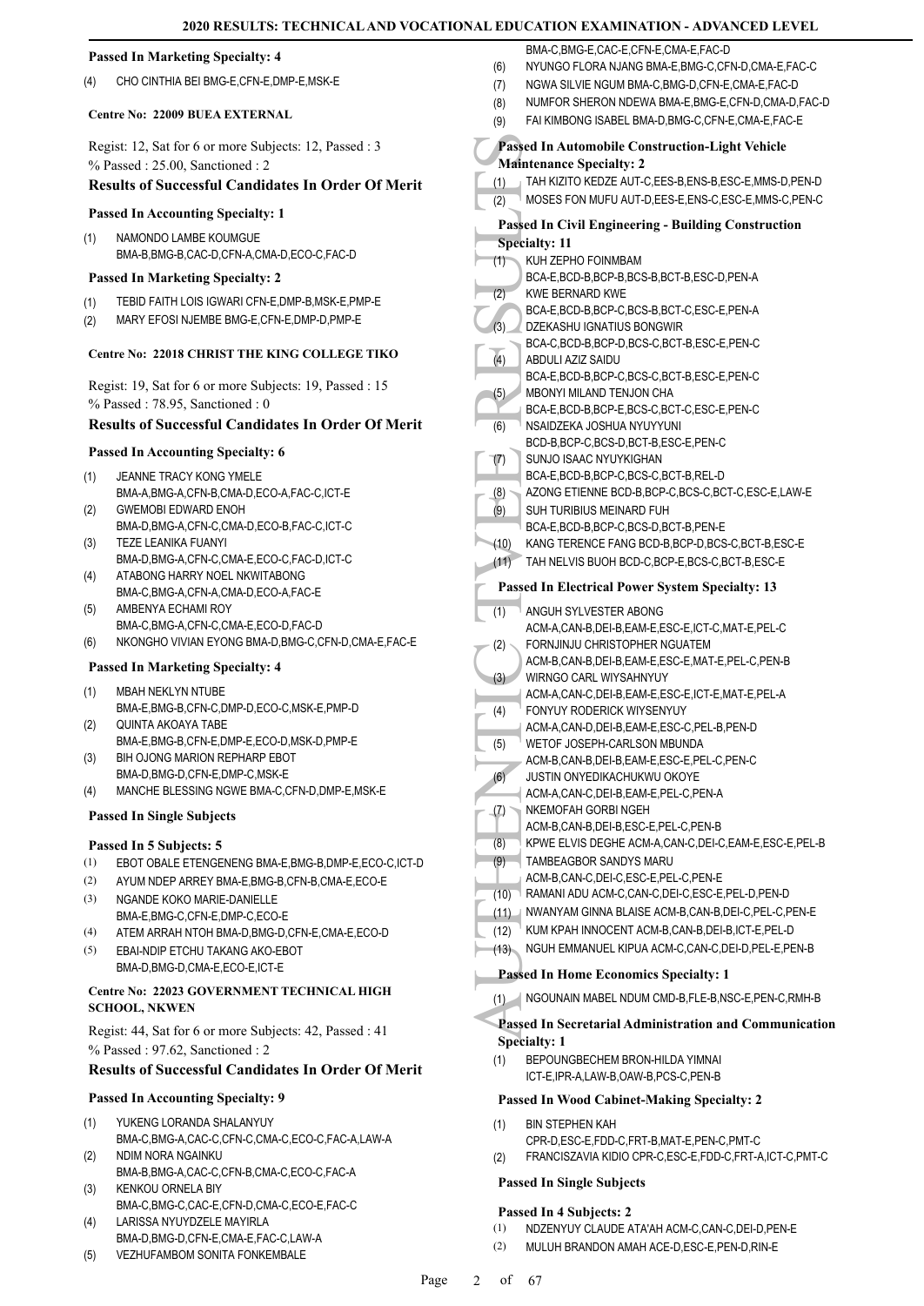#### Passed In 1<br>
(1) TAH KII<br>
(2) MOSES<br>
Passed In (8) MOSES<br>
Passed In (8) MOSES<br>
Passed In 1<br>
Specialty:<br>
(1) KUH ZE BOA-E, WECA-E, WECA-E, WECA-E, MBON<br>
BCA-E, MBON<br>
BCA-E, MBON<br>
BCA-E, MBON<br>
BCA-E, MBON<br>
BCA-E, MBON<br>
BCA-E **Passed In Marketing Specialty: 4** (4) CHO CINTHIA BEI BMG-F CEN-F DMP-F MSK-F **Centre No: 22009 BUEA EXTERNAL**  Regist: 12, Sat for 6 or more Subjects: 12, Passed : 3 % Passed : 25.00, Sanctioned : 2 **Results of Successful Candidates In Order Of Merit Passed In Accounting Specialty: 1** NAMONDO LAMBE KOUMGUE BMA-B,BMG-B,CAC-D,CFN-A,CMA-D,ECO-C,FAC-D (1) **Passed In Marketing Specialty: 2** (1) TEBID FAITH LOIS IGWARI CFN-E,DMP-B,MSK-E,PMP-E (2) MARY EFOSI NJEMBE BMG-E,CFN-E,DMP-D,PMP-E **Centre No: 22018 CHRIST THE KING COLLEGE TIKO**  Regist: 19, Sat for 6 or more Subjects: 19, Passed : 15 % Passed : 78.95, Sanctioned : 0 **Results of Successful Candidates In Order Of Merit Passed In Accounting Specialty: 6** JEANNE TRACY KONG YMELE BMA-A,BMG-A,CFN-B,CMA-D,ECO-A,FAC-C,ICT-E (1) GWEMOBI EDWARD ENOH BMA-D,BMG-A,CFN-C,CMA-D,ECO-B,FAC-C,ICT-C (2) TEZE LEANIKA FUANYI BMA-D,BMG-A,CFN-C,CMA-E,ECO-C,FAC-D,ICT-C (3) ATABONG HARRY NOEL NKWITABONG BMA-C,BMG-A,CFN-A,CMA-D,ECO-A,FAC-E (4) AMBENYA ECHAMI ROY BMA-C,BMG-A,CFN-C,CMA-E,ECO-D,FAC-D (5) (6) NKONGHO VIVIAN EYONG BMA-D,BMG-C,CFN-D,CMA-E,FAC-E **Passed In Marketing Specialty: 4** MBAH NEKLYN NTUBE BMA-E,BMG-B,CFN-C,DMP-D,ECO-C,MSK-E,PMP-D (1) QUINTA AKOAYA TABE BMA-E,BMG-B,CFN-E,DMP-E,ECO-D,MSK-D,PMP-E (2) BIH OJONG MARION REPHARP EBOT BMA-D,BMG-D,CFN-E,DMP-C,MSK-E (3) (4) MANCHE BLESSING NGWE BMA-C,CFN-D,DMP-E,MSK-E **Passed In Single Subjects Passed In 5 Subjects: 5** (1) EBOT OBALE ETENGENENG BMA-E,BMG-B,DMP-E,ECO-C,ICT-D (2) AYUM NDEP ARREY BMA-E,BMG-B,CFN-B,CMA-E,ECO-E NGANDE KOKO MARIE-DANIELLE BMA-E,BMG-C,CFN-E,DMP-C,ECO-E (3) (4) ATEM ARRAH NTOH BMA-D,BMG-D,CFN-E,CMA-E,ECO-D EBAI-NDIP ETCHU TAKANG AKO-EBOT BMA-D,BMG-D,CMA-E,ECO-E,ICT-E (5) **Centre No: 22023 GOVERNMENT TECHNICAL HIGH SCHOOL, NKWEN**  Regist: 44, Sat for 6 or more Subjects: 42, Passed : 41 % Passed : 97.62, Sanctioned : 2 **Results of Successful Candidates In Order Of Merit Passed In Accounting Specialty: 9** YUKENG LORANDA SHALANYUY BMA-C,BMG-A,CAC-C,CFN-C,CMA-C,ECO-C,FAC-A,LAW-A (1) NDIM NORA NGAINKU BMA-B,BMG-A,CAC-C,CFN-B,CMA-C,ECO-C,FAC-A (2) KENKOU ORNELA BIY BMA-C,BMG-C,CAC-E,CFN-D,CMA-C,ECO-E,FAC-C (3) BMA-C, BMG-E, CAC-E, CEN-E, CMA-E, FAC-D (6) NYUNGO FLORA NJANG BMA-E,BMG-C,CFN-D,CMA-E,FAC-C (7) NGWA SILVIE NGUM BMA-C,BMG-D,CFN-E,CMA-E,FAC-D (8) NUMFOR SHERON NDEWA BMA-E,BMG-E,CFN-D,CMA-D,FAC-D (9) FAI KIMBONG ISABEL BMA-D,BMG-C,CFN-E,CMA-E,FAC-E **Passed In Automobile Construction-Light Vehicle Maintenance Specialty: 2** (1) TAH KIZITO KEDZE AUT-C,EES-B,ENS-B,ESC-E,MMS-D,PEN-D (2) MOSES FON MUFU AUT-D,EES-E,ENS-C,ESC-E,MMS-C,PEN-C **Passed In Civil Engineering - Building Construction Specialty: 11** KUH ZEPHO FOINMBAM BCA-E,BCD-B,BCP-B,BCS-B,BCT-B,ESC-D,PEN-A (1) KWE BERNARD KWE BCA-E,BCD-B,BCP-C,BCS-B,BCT-C,ESC-E,PEN-A (2) DZEKASHU IGNATIUS BONGWIR BCA-C,BCD-B,BCP-D,BCS-C,BCT-B,ESC-E,PEN-C (3) ABDULI AZIZ SAIDU BCA-E,BCD-B,BCP-C,BCS-C,BCT-B,ESC-E,PEN-C (4) MBONYI MILAND TENJON CHA BCA-E,BCD-B,BCP-E,BCS-C,BCT-C,ESC-E,PEN-C (5) NSAIDZEKA JOSHUA NYUYYUNI BCD-B,BCP-C,BCS-D,BCT-B,ESC-E,PEN-C (6) SUNJO ISAAC NYUYKIGHAN BCA-E,BCD-B,BCP-C,BCS-C,BCT-B,REL-D (7) (8) AZONG ETIENNE BCD-B,BCP-C,BCS-C,BCT-C,ESC-E,LAW-E SUH TURIBIUS MEINARD FUH BCA-E,BCD-B,BCP-C,BCS-D,BCT-B,PEN-E (9) (10) KANG TERENCE FANG BCD-B,BCP-D,BCS-C,BCT-B,ESC-E (11) TAH NELVIS BUOH BCD-C,BCP-E,BCS-C,BCT-B,ESC-E **Passed In Electrical Power System Specialty: 13** ANGUH SYLVESTER ABONG ACM-A,CAN-B,DEI-B,EAM-E,ESC-E,ICT-C,MAT-E,PEL-C  $(1)$ FORNJINJU CHRISTOPHER NGUATEM ACM-B,CAN-B,DEI-B,EAM-E,ESC-E,MAT-E,PEL-C,PEN-B (2) WIRNGO CARL WIYSAHNYUY ACM-A,CAN-C,DEI-B,EAM-E,ESC-E,ICT-E,MAT-E,PEL-A (3) FONYUY RODERICK WIYSENYUY ACM-A,CAN-D,DEI-B,EAM-E,ESC-C,PEL-B,PEN-D (4) WETOF JOSEPH-CARLSON MBUNDA ACM-B,CAN-B,DEI-B,EAM-E,ESC-E,PEL-C,PEN-C (5) JUSTIN ONYEDIKACHUKWU OKOYE ACM-A,CAN-C,DEI-B,EAM-E,PEL-C,PEN-A (6) NKEMOFAH GORBI NGEH ACM-B,CAN-B,DEI-B,ESC-E,PEL-C,PEN-B (7) (8) KPWE ELVIS DEGHE ACM-A,CAN-C,DEI-C,EAM-E,ESC-E,PEL-B TAMBEAGBOR SANDYS MARU ACM-B,CAN-C,DEI-C,ESC-E,PEL-C,PEN-E (9) (10) RAMANI ADU ACM-C,CAN-C,DEI-C,ESC-E,PEL-D,PEN-D (11) NWANYAM GINNA BLAISE ACM-B,CAN-B,DEI-C,PEL-C,PEN-E (12) KUM KPAH INNOCENT ACM-B,CAN-B,DEI-B,ICT-E,PEL-D (13) NGUH EMMANUEL KIPUA ACM-C,CAN-C,DEI-D,PEL-E,PEN-B **Passed In Home Economics Specialty: 1** (1) NGOUNAIN MABEL NDUM CMD-B,FLE-B,NSC-E,PEN-C,RMH-B **Passed In Secretarial Administration and Communication Specialty: 1** BEPOUNGBECHEM BRON-HILDA YIMNAI ICT-E,IPR-A,LAW-B,OAW-B,PCS-C,PEN-B (1) **Passed In Wood Cabinet-Making Specialty: 2** BIN STEPHEN KAH CPR-D,ESC-E,FDD-C,FRT-B,MAT-E,PEN-C,PMT-C (1) (2) FRANCISZAVIA KIDIO CPR-C,ESC-E,FDD-C,FRT-A,ICT-C,PMT-C **Passed In Single Subjects Passed In 4 Subjects: 2**

**2020 RESULTS: TECHNICAL AND VOCATIONAL EDUCATION EXAMINATION - ADVANCED LEVEL**

- LARISSA NYUYDZELE MAYIRLA BMA-D,BMG-D,CFN-E,CMA-E,FAC-C,LAW-A (4)
- (5) VEZHUFAMBOM SONITA FONKEMBALE

(1) NDZENYUY CLAUDE ATA'AH ACM-C,CAN-C,DEI-D,PEN-E (2) MULUH BRANDON AMAH ACE-D,ESC-E,PEN-D,RIN-E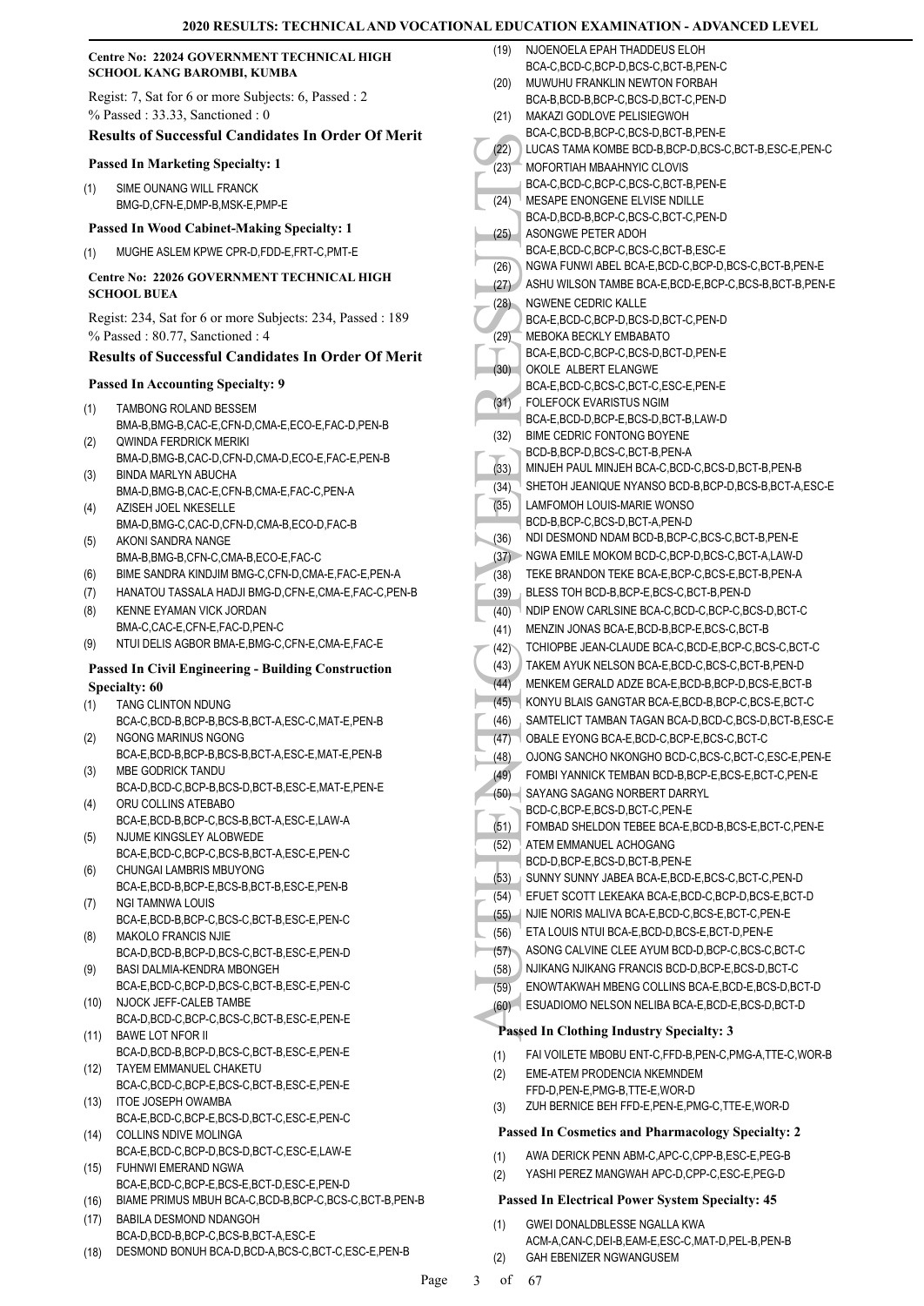#### **Centre No: 22024 GOVERNMENT TECHNICAL HIGH SCHOOL KANG BAROMBI, KUMBA**

Regist: 7, Sat for 6 or more Subjects: 6, Passed : 2 % Passed : 33.33, Sanctioned : 0

# **Results of Successful Candidates In Order Of Merit**

#### **Passed In Marketing Specialty: 1**

SIME OUNANG WILL FRANCK BMG-D,CFN-E,DMP-B,MSK-E,PMP-E (1)

#### **Passed In Wood Cabinet-Making Specialty: 1**

(1) MUGHE ASLEM KPWE CPR-D,FDD-E,FRT-C,PMT-E

#### **Centre No: 22026 GOVERNMENT TECHNICAL HIGH SCHOOL BUEA**

Regist: 234, Sat for 6 or more Subjects: 234, Passed : 189 % Passed : 80.77, Sanctioned : 4

#### **Results of Successful Candidates In Order Of Merit**

#### **Passed In Accounting Specialty: 9**

- TAMBONG ROLAND BESSEM BMA-B,BMG-B,CAC-E,CFN-D,CMA-E,ECO-E,FAC-D,PEN-B (1)
- QWINDA FERDRICK MERIKI BMA-D,BMG-B,CAC-D,CFN-D,CMA-D,ECO-E,FAC-E,PEN-B (2) BINDA MARLYN ABUCHA (3)
- BMA-D,BMG-B,CAC-E,CFN-B,CMA-E,FAC-C,PEN-A AZISEH JOEL NKESELLE (4)
- BMA-D,BMG-C,CAC-D,CFN-D,CMA-B,ECO-D,FAC-B AKONI SANDRA NANGE (5)
- BMA-B,BMG-B,CFN-C,CMA-B,ECO-E,FAC-C
- (6) BIME SANDRA KINDJIM BMG-C,CFN-D,CMA-E,FAC-E,PEN-A
- (7) HANATOU TASSALA HADJI BMG-D,CFN-E,CMA-E,FAC-C,PEN-B
- KENNE EYAMAN VICK JORDAN BMA-C,CAC-E,CFN-E,FAC-D,PEN-C (8)
- (9) NTUI DELIS AGBOR BMA-E,BMG-C,CFN-E,CMA-E,FAC-E

### **Passed In Civil Engineering - Building Construction Specialty: 60**

- TANG CLINTON NDUNG (1)
- BCA-C,BCD-B,BCP-B,BCS-B,BCT-A,ESC-C,MAT-E,PEN-B NGONG MARINUS NGONG (2)
- BCA-E,BCD-B,BCP-B,BCS-B,BCT-A,ESC-E,MAT-E,PEN-B MBE GODRICK TANDU (3)
- BCA-D,BCD-C,BCP-B,BCS-D,BCT-B,ESC-E,MAT-E,PEN-E ORU COLLINS ATEBABO (4)
- BCA-E,BCD-B,BCP-C,BCS-B,BCT-A,ESC-E,LAW-A NJUME KINGSLEY ALOBWEDE (5)
- BCA-E,BCD-C,BCP-C,BCS-B,BCT-A,ESC-E,PEN-C CHUNGAI LAMBRIS MBUYONG (6)
- BCA-E,BCD-B,BCP-E,BCS-B,BCT-B,ESC-E,PEN-B NGI TAMNWA LOUIS (7)
- BCA-E,BCD-B,BCP-C,BCS-C,BCT-B,ESC-E,PEN-C MAKOLO FRANCIS NJIE (8)
- BCA-D,BCD-B,BCP-D,BCS-C,BCT-B,ESC-E,PEN-D BASI DALMIA-KENDRA MBONGEH (9)
- BCA-E,BCD-C,BCP-D,BCS-C,BCT-B,ESC-E,PEN-C (10) NJOCK JEFF-CALEB TAMBE
- BCA-D,BCD-C,BCP-C,BCS-C,BCT-B,ESC-E,PEN-E (11) BAWE LOT NFOR II
- BCA-D,BCD-B,BCP-D,BCS-C,BCT-B,ESC-E,PEN-E
- TAYEM EMMANUEL CHAKETU (12) BCA-C,BCD-C,BCP-E,BCS-C,BCT-B,ESC-E,PEN-E
- (13) ITOE JOSEPH OWAMBA BCA-E,BCD-C,BCP-E,BCS-D,BCT-C,ESC-E,PEN-C (14) COLLINS NDIVE MOLINGA
- BCA-E,BCD-C,BCP-D,BCS-D,BCT-C,ESC-E,LAW-E FUHNWI EMERAND NGWA (15)
- BCA-E,BCD-C,BCP-E,BCS-E,BCT-D,ESC-E,PEN-D
- (16) BIAME PRIMUS MBUH BCA-C,BCD-B,BCP-C,BCS-C,BCT-B,PEN-B BABILA DESMOND NDANGOH (17)
- BCA-D,BCD-B,BCP-C,BCS-B,BCT-A,ESC-E
- (18) DESMOND BONUH BCA-D,BCD-A,BCS-C,BCT-C,ESC-E,PEN-B

| (19)         | NJOENOELA EPAH THADDEUS ELOH                                                               |
|--------------|--------------------------------------------------------------------------------------------|
|              | BCA-C,BCD-C,BCP-D,BCS-C,BCT-B,PEN-C                                                        |
| (20)         | MUWUHU FRANKLIN NEWTON FORBAH<br>BCA-B,BCD-B,BCP-C,BCS-D,BCT-C,PEN-D                       |
| (21)         | MAKAZI GODLOVE PELISIEGWOH                                                                 |
|              | BCA-C,BCD-B,BCP-C,BCS-D,BCT-B,PEN-E                                                        |
| (22)         | LUCAS TAMA KOMBE BCD-B, BCP-D, BCS-C, BCT-B, ESC-E, PEN-C                                  |
| (23)         | <b>MOFORTIAH MBAAHNYIC CLOVIS</b>                                                          |
|              | BCA-C.BCD-C.BCP-C.BCS-C.BCT-B.PEN-E                                                        |
| (24)         | MESAPE ENONGENE ELVISE NDILLE                                                              |
|              | BCA-D,BCD-B,BCP-C,BCS-C,BCT-C,PEN-D                                                        |
| (25)         | ASONGWE PETER ADOH                                                                         |
|              | BCA-E,BCD-C,BCP-C,BCS-C,BCT-B,ESC-E<br>NGWA FUNWI ABEL BCA-E,BCD-C,BCP-D,BCS-C,BCT-B,PEN-E |
| (26)<br>(27) | ASHU WILSON TAMBE BCA-E, BCD-E, BCP-C, BCS-B, BCT-B, PEN-E                                 |
| (28)         | NGWENE CEDRIC KALLE                                                                        |
|              | BCA-E,BCD-C,BCP-D,BCS-D,BCT-C,PEN-D                                                        |
| (29)         | MEBOKA BECKLY EMBABATO                                                                     |
|              | BCA-E,BCD-C,BCP-C,BCS-D,BCT-D,PEN-E                                                        |
| (30)         | OKOLE ALBERT ELANGWE                                                                       |
|              | BCA-E,BCD-C,BCS-C,BCT-C,ESC-E,PEN-E                                                        |
| (31)         | <b>FOLEFOCK EVARISTUS NGIM</b>                                                             |
|              | BCA-E,BCD-D,BCP-E,BCS-D,BCT-B,LAW-D                                                        |
| (32)         | BIME CEDRIC FONTONG BOYENE                                                                 |
| (33)         | BCD-B,BCP-D,BCS-C,BCT-B,PEN-A<br>MINJEH PAUL MINJEH BCA-C, BCD-C, BCS-D, BCT-B, PEN-B      |
| (34)         | SHETOH JEANIQUE NYANSO BCD-B, BCP-D, BCS-B, BCT-A, ESC-E                                   |
| (35)         | LAMFOMOH LOUIS-MARIE WONSO                                                                 |
|              | BCD-B,BCP-C,BCS-D,BCT-A,PEN-D                                                              |
| (36)         | NDI DESMOND NDAM BCD-B,BCP-C,BCS-C,BCT-B,PEN-E                                             |
| (37)         | NGWA EMILE MOKOM BCD-C, BCP-D, BCS-C, BCT-A, LAW-D                                         |
| (38)         | TEKE BRANDON TEKE BCA-E, BCP-C, BCS-E, BCT-B, PEN-A                                        |
| (39)         | BLESS TOH BCD-B,BCP-E,BCS-C,BCT-B,PEN-D                                                    |
| (40)         | NDIP ENOW CARLSINE BCA-C, BCD-C, BCP-C, BCS-D, BCT-C                                       |
| (41)         | MENZIN JONAS BCA-E, BCD-B, BCP-E, BCS-C, BCT-B                                             |
| (42)         | TCHIOPBE JEAN-CLAUDE BCA-C, BCD-E, BCP-C, BCS-C, BCT-C                                     |
| (43)         | TAKEM AYUK NELSON BCA-E, BCD-C, BCS-C, BCT-B, PEN-D                                        |
| (44)         | MENKEM GERALD ADZE BCA-E, BCD-B, BCP-D, BCS-E, BCT-B                                       |
| (45)         | KONYU BLAIS GANGTAR BCA-E,BCD-B,BCP-C,BCS-E,BCT-C                                          |
| (46)         | SAMTELICT TAMBAN TAGAN BCA-D.BCD-C.BCS-D.BCT-B.ESC-E                                       |
| (47)         | OBALE EYONG BCA-E,BCD-C,BCP-E,BCS-C,BCT-C                                                  |
| (48)         | OJONG SANCHO NKONGHO BCD-C,BCS-C,BCT-C,ESC-E,PEN-E                                         |
| (49)         | FOMBI YANNICK TEMBAN BCD-B, BCP-E, BCS-E, BCT-C, PEN-E                                     |
| (50)         | SAYANG SAGANG NORBERT DARRYL                                                               |
|              | BCD-C,BCP-E,BCS-D,BCT-C,PEN-E<br>FOMBAD SHELDON TEBEE BCA-E,BCD-B,BCS-E,BCT-C,PEN-E        |
| (51)<br>(52) | ATEM EMMANUEL ACHOGANG                                                                     |
|              | BCD-D,BCP-E,BCS-D,BCT-B,PEN-E                                                              |
| (53)         | SUNNY SUNNY JABEA BCA-E, BCD-E, BCS-C, BCT-C, PEN-D                                        |
| (54)         | EFUET SCOTT LEKEAKA BCA-E, BCD-C, BCP-D, BCS-E, BCT-D                                      |
| (55)         | NJIE NORIS MALIVA BCA-E, BCD-C, BCS-E, BCT-C, PEN-E                                        |
| (56)         | ETA LOUIS NTUI BCA-E, BCD-D, BCS-E, BCT-D, PEN-E                                           |
| (57)         | ASONG CALVINE CLEE AYUM BCD-D, BCP-C, BCS-C, BCT-C                                         |
| (58)         | NJIKANG NJIKANG FRANCIS BCD-D, BCP-E, BCS-D, BCT-C                                         |
| (59)         | ENOWTAKWAH MBENG COLLINS BCA-E, BCD-E, BCS-D, BCT-D                                        |
| (60)         | ESUADIOMO NELSON NELIBA BCA-E, BCD-E, BCS-D, BCT-D                                         |
|              | Passed In Clothing Industry Specialty: 3                                                   |
|              |                                                                                            |
| (1)          | FAI VOILETE MBOBU ENT-C, FFD-B, PEN-C, PMG-A, TTE-C, WOR-B                                 |
| (2)          | EME-ATEM PRODENCIA NKEMNDEM<br>FFD-D, PEN-E, PMG-B, TTE-E, WOR-D                           |
| (3)          | ZUH BERNICE BEH FFD-E, PEN-E, PMG-C, TTE-E, WOR-D                                          |
|              |                                                                                            |
|              | <b>Passed In Cosmetics and Pharmacology Specialty: 2</b>                                   |
| (1)          | AWA DERICK PENN ABM-C, APC-C, CPP-B, ESC-E, PEG-B                                          |
| (2)          | YASHI PEREZ MANGWAH APC-D,CPP-C,ESC-E,PEG-D                                                |

#### **Passed In Electrical Power System Specialty: 45**

GWEI DONALDBLESSE NGALLA KWA ACM-A,CAN-C,DEI-B,EAM-E,ESC-C,MAT-D,PEL-B,PEN-B (1) (2) GAH EBENIZER NGWANGUSEM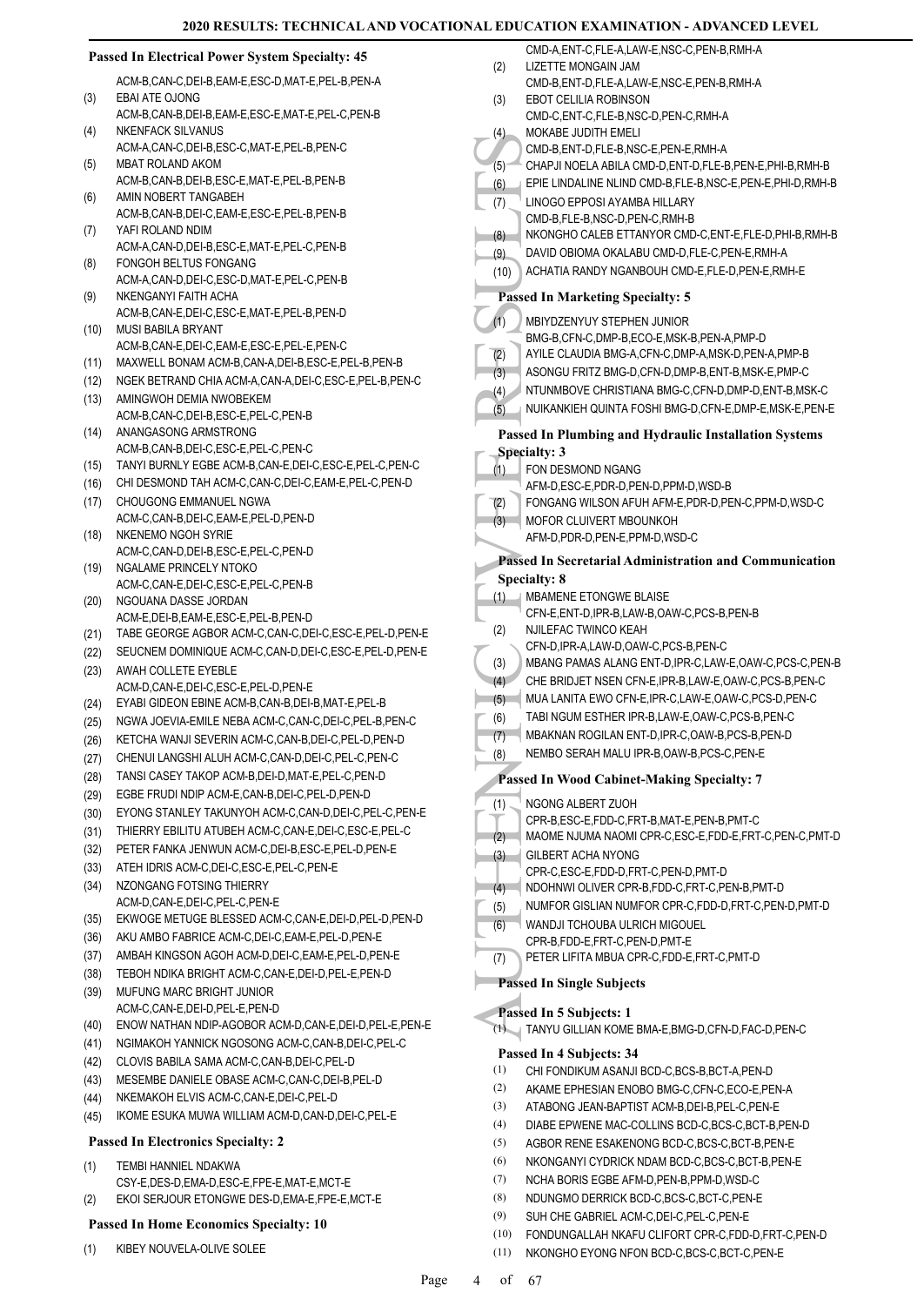| <b>Passed In Electrical Power System Specialty: 45</b> |                                                                                                    | (2)        | CMD-A, ENT-C, FLE-A, LAW-E, NSC-C, PEN-B, RMH-A<br>LIZETTE MONGAIN JAM |
|--------------------------------------------------------|----------------------------------------------------------------------------------------------------|------------|------------------------------------------------------------------------|
|                                                        | ACM-B,CAN-C,DEI-B,EAM-E,ESC-D,MAT-E,PEL-B,PEN-A                                                    |            | CMD-B,ENT-D,FLE-A,LAW-E,NSC-E,PEN-B,RMH-A                              |
| (3)                                                    | EBAI ATE OJONG                                                                                     | (3)        | EBOT CELILIA ROBINSON                                                  |
|                                                        | ACM-B,CAN-B,DEI-B,EAM-E,ESC-E,MAT-E,PEL-C,PEN-B                                                    |            | CMD-C, ENT-C, FLE-B, NSC-D, PEN-C, RMH-A                               |
| (4)                                                    | <b>NKENFACK SILVANUS</b>                                                                           | (4)        | MOKABE JUDITH EMELI                                                    |
|                                                        | ACM-A,CAN-C,DEI-B,ESC-C,MAT-E,PEL-B,PEN-C                                                          |            | CMD-B, ENT-D, FLE-B, NSC-E, PEN-E, RMH-A                               |
| (5)                                                    | MBAT ROLAND AKOM                                                                                   | $(5)^{-}$  | CHAPJI NOELA ABILA CMD-D, ENT-D, FLE-B, PEN-E, PHI-B, RMH-B            |
| (6)                                                    | ACM-B,CAN-B,DEI-B,ESC-E,MAT-E,PEL-B,PEN-B<br>AMIN NOBERT TANGABEH                                  | (6)        | EPIE LINDALINE NLIND CMD-B, FLE-B, NSC-E, PEN-E, PHI-D, RMH-B          |
|                                                        | ACM-B,CAN-B,DEI-C,EAM-E,ESC-E,PEL-B,PEN-B                                                          | (7)        | LINOGO EPPOSI AYAMBA HILLARY                                           |
| (7)                                                    | YAFI ROLAND NDIM                                                                                   |            | CMD-B,FLE-B,NSC-D,PEN-C,RMH-B                                          |
|                                                        | ACM-A,CAN-D,DEI-B,ESC-E,MAT-E,PEL-C,PEN-B                                                          | (8)        | NKONGHO CALEB ETTANYOR CMD-C, ENT-E, FLE-D, PHI-B, RMH-B               |
| (8)                                                    | FONGOH BELTUS FONGANG                                                                              | (9)        | DAVID OBIOMA OKALABU CMD-D, FLE-C, PEN-E, RMH-A                        |
|                                                        | ACM-A,CAN-D,DEI-C,ESC-D,MAT-E,PEL-C,PEN-B                                                          | (10)       | ACHATIA RANDY NGANBOUH CMD-E, FLE-D, PEN-E, RMH-E                      |
| (9)                                                    | NKENGANYI FAITH ACHA                                                                               |            | <b>Passed In Marketing Specialty: 5</b>                                |
|                                                        | ACM-B,CAN-E,DEI-C,ESC-E,MAT-E,PEL-B,PEN-D                                                          | (1)        | MBIYDZENYUY STEPHEN JUNIOR                                             |
| (10)                                                   | <b>MUSI BABILA BRYANT</b>                                                                          |            | BMG-B,CFN-C,DMP-B,ECO-E,MSK-B,PEN-A,PMP-D                              |
|                                                        | ACM-B,CAN-E,DEI-C,EAM-E,ESC-E,PEL-E,PEN-C                                                          | (2)        | AYILE CLAUDIA BMG-A,CFN-C,DMP-A,MSK-D,PEN-A,PMP-B                      |
| (11)                                                   | MAXWELL BONAM ACM-B,CAN-A,DEI-B,ESC-E,PEL-B,PEN-B                                                  | (3)        | ASONGU FRITZ BMG-D, CFN-D, DMP-B, ENT-B, MSK-E, PMP-C                  |
| (12)                                                   | NGEK BETRAND CHIA ACM-A, CAN-A, DEI-C, ESC-E, PEL-B, PEN-C                                         | (4)        | NTUNMBOVE CHRISTIANA BMG-C, CFN-D, DMP-D, ENT-B, MSK-C                 |
| (13)                                                   | AMINGWOH DEMIA NWOBEKEM<br>ACM-B,CAN-C,DEI-B,ESC-E,PEL-C,PEN-B                                     | (5)        | NUIKANKIEH QUINTA FOSHI BMG-D, CFN-E, DMP-E, MSK-E, PEN-E              |
| (14)                                                   | ANANGASONG ARMSTRONG                                                                               |            |                                                                        |
|                                                        | ACM-B,CAN-B,DEI-C,ESC-E,PEL-C,PEN-C                                                                |            | Passed In Plumbing and Hydraulic Installation Systems                  |
| (15)                                                   | TANYI BURNLY EGBE ACM-B,CAN-E,DEI-C,ESC-E,PEL-C,PEN-C                                              |            | <b>Specialty: 3</b>                                                    |
| (16)                                                   | CHI DESMOND TAH ACM-C,CAN-C,DEI-C,EAM-E,PEL-C,PEN-D                                                | (1)        | FON DESMOND NGANG<br>AFM-D,ESC-E,PDR-D,PEN-D,PPM-D,WSD-B               |
| (17)                                                   | CHOUGONG EMMANUEL NGWA                                                                             | (2)        | FONGANG WILSON AFUH AFM-E, PDR-D, PEN-C, PPM-D, WSD-C                  |
|                                                        | ACM-C,CAN-B,DEI-C,EAM-E,PEL-D,PEN-D                                                                | (3)        | MOFOR CLUIVERT MBOUNKOH                                                |
| (18)                                                   | NKENEMO NGOH SYRIE                                                                                 |            | AFM-D,PDR-D,PEN-E,PPM-D,WSD-C                                          |
|                                                        | ACM-C,CAN-D,DEI-B,ESC-E,PEL-C,PEN-D                                                                |            |                                                                        |
| (19)                                                   | NGALAME PRINCELY NTOKO                                                                             |            | Passed In Secretarial Administration and Communication                 |
|                                                        | ACM-C,CAN-E,DEI-C,ESC-E,PEL-C,PEN-B                                                                |            | <b>Specialty: 8</b>                                                    |
| (20)                                                   | NGOUANA DASSE JORDAN                                                                               | (1)        | MBAMENE ETONGWE BLAISE                                                 |
|                                                        | ACM-E, DEI-B, EAM-E, ESC-E, PEL-B, PEN-D                                                           |            | CFN-E,ENT-D,IPR-B,LAW-B,OAW-C,PCS-B,PEN-B                              |
| (21)                                                   | TABE GEORGE AGBOR ACM-C,CAN-C,DEI-C,ESC-E,PEL-D,PEN-E                                              | (2)        | NJILEFAC TWINCO KEAH<br>CFN-D, IPR-A, LAW-D, OAW-C, PCS-B, PEN-C       |
| (22)                                                   | SEUCNEM DOMINIQUE ACM-C,CAN-D,DEI-C,ESC-E,PEL-D,PEN-E                                              | (3)        | MBANG PAMAS ALANG ENT-D, IPR-C, LAW-E, OAW-C, PCS-C, PEN-B             |
| (23)                                                   | AWAH COLLETE EYEBLE                                                                                | (4)        | CHE BRIDJET NSEN CFN-E, IPR-B, LAW-E, OAW-C, PCS-B, PEN-C              |
|                                                        | ACM-D,CAN-E,DEI-C,ESC-E,PEL-D,PEN-E                                                                | (5)        | MUA LANITA EWO CFN-E, IPR-C, LAW-E, OAW-C, PCS-D, PEN-C                |
| (24)                                                   | EYABI GIDEON EBINE ACM-B,CAN-B,DEI-B,MAT-E,PEL-B                                                   | (6)        | TABI NGUM ESTHER IPR-B,LAW-E,OAW-C,PCS-B,PEN-C                         |
| (25)                                                   | NGWA JOEVIA-EMILE NEBA ACM-C,CAN-C,DEI-C,PEL-B,PEN-C                                               |            | MBAKNAN ROGILAN ENT-D, IPR-C, OAW-B, PCS-B, PEN-D                      |
| (26)                                                   | KETCHA WANJI SEVERIN ACM-C,CAN-B,DEI-C,PEL-D,PEN-D                                                 | (7)<br>(8) | NEMBO SERAH MALU IPR-B, OAW-B, PCS-C, PEN-E                            |
| (27)                                                   | CHENUI LANGSHI ALUH ACM-C,CAN-D,DEI-C,PEL-C,PEN-C                                                  |            |                                                                        |
| (28)                                                   | TANSI CASEY TAKOP ACM-B, DEI-D, MAT-E, PEL-C, PEN-D                                                |            | <b>Passed In Wood Cabinet-Making Specialty: 7</b>                      |
| (29)                                                   | EGBE FRUDI NDIP ACM-E,CAN-B,DEI-C,PEL-D,PEN-D                                                      | (1)        | NGONG ALBERT ZUOH                                                      |
| (30)                                                   | EYONG STANLEY TAKUNYOH ACM-C,CAN-D,DEI-C,PEL-C,PEN-E                                               | v          | CPR-B,ESC-E,FDD-C,FRT-B,MAT-E,PEN-B,PMT-C                              |
| (31)                                                   | THIERRY EBILITU ATUBEH ACM-C,CAN-E,DEI-C,ESC-E,PEL-C                                               | (2)        | MAOME NJUMA NAOMI CPR-C, ESC-E, FDD-E, FRT-C, PEN-C, PMT-D             |
| (32)                                                   | PETER FANKA JENWUN ACM-C, DEI-B, ESC-E, PEL-D, PEN-E                                               | (3)        | <b>GILBERT ACHA NYONG</b>                                              |
| (33)                                                   | ATEH IDRIS ACM-C, DEI-C, ESC-E, PEL-C, PEN-E                                                       |            | CPR-C,ESC-E,FDD-D,FRT-C,PEN-D,PMT-D                                    |
| (34)                                                   | NZONGANG FOTSING THIERRY                                                                           | (4)        | NDOHNWI OLIVER CPR-B,FDD-C,FRT-C,PEN-B,PMT-D                           |
|                                                        | ACM-D,CAN-E,DEI-C,PEL-C,PEN-E                                                                      | (5)        | NUMFOR GISLIAN NUMFOR CPR-C, FDD-D, FRT-C, PEN-D, PMT-D                |
| (35)                                                   | EKWOGE METUGE BLESSED ACM-C,CAN-E,DEI-D,PEL-D,PEN-D                                                | (6)        | WANDJI TCHOUBA ULRICH MIGOUEL                                          |
| (36)                                                   | AKU AMBO FABRICE ACM-C, DEI-C, EAM-E, PEL-D, PEN-E                                                 |            | CPR-B,FDD-E,FRT-C,PEN-D,PMT-E                                          |
| (37)                                                   | AMBAH KINGSON AGOH ACM-D, DEI-C, EAM-E, PEL-D, PEN-E                                               | (7)        | PETER LIFITA MBUA CPR-C,FDD-E,FRT-C,PMT-D                              |
| (38)                                                   | TEBOH NDIKA BRIGHT ACM-C,CAN-E,DEI-D,PEL-E,PEN-D                                                   |            | <b>Passed In Single Subjects</b>                                       |
| (39)                                                   | MUFUNG MARC BRIGHT JUNIOR                                                                          |            |                                                                        |
|                                                        | ACM-C,CAN-E,DEI-D,PEL-E,PEN-D                                                                      |            | Passed In 5 Subjects: 1                                                |
| (40)                                                   | ENOW NATHAN NDIP-AGOBOR ACM-D,CAN-E,DEI-D,PEL-E,PEN-E                                              |            | (1) TANYU GILLIAN KOME BMA-E, BMG-D, CFN-D, FAC-D, PEN-C               |
| (41)                                                   | NGIMAKOH YANNICK NGOSONG ACM-C,CAN-B,DEI-C,PEL-C                                                   |            | Passed In 4 Subjects: 34                                               |
| (42)                                                   | CLOVIS BABILA SAMA ACM-C, CAN-B, DEI-C, PEL-D                                                      | (1)        | CHI FONDIKUM ASANJI BCD-C, BCS-B, BCT-A, PEN-D                         |
| (43)                                                   | MESEMBE DANIELE OBASE ACM-C, CAN-C, DEI-B, PEL-D                                                   | (2)        | AKAME EPHESIAN ENOBO BMG-C, CFN-C, ECO-E, PEN-A                        |
| (44)                                                   | NKEMAKOH ELVIS ACM-C,CAN-E,DEI-C,PEL-D                                                             | (3)        | ATABONG JEAN-BAPTIST ACM-B, DEI-B, PEL-C, PEN-E                        |
| (45)                                                   | IKOME ESUKA MUWA WILLIAM ACM-D,CAN-D,DEI-C,PEL-E                                                   | (4)        | DIABE EPWENE MAC-COLLINS BCD-C,BCS-C,BCT-B,PEN-D                       |
|                                                        | <b>Passed In Electronics Specialty: 2</b>                                                          | (5)        | AGBOR RENE ESAKENONG BCD-C, BCS-C, BCT-B, PEN-E                        |
|                                                        |                                                                                                    | (6)        | NKONGANYI CYDRICK NDAM BCD-C,BCS-C,BCT-B,PEN-E                         |
| (1)                                                    | TEMBI HANNIEL NDAKWA                                                                               | (7)        | NCHA BORIS EGBE AFM-D, PEN-B, PPM-D, WSD-C                             |
|                                                        | CSY-E, DES-D, EMA-D, ESC-E, FPE-E, MAT-E, MCT-E<br>EKOI SERJOUR ETONGWE DES-D, EMA-E, FPE-E, MCT-E | (8)        | NDUNGMO DERRICK BCD-C,BCS-C,BCT-C,PEN-E                                |
| (2)                                                    |                                                                                                    | (9)        | SUH CHE GABRIEL ACM-C, DEI-C, PEL-C, PEN-E                             |
|                                                        | <b>Passed In Home Economics Specialty: 10</b>                                                      | (10)       | FONDUNGALLAH NKAFU CLIFORT CPR-C,FDD-D,FRT-C,PEN-D                     |
| (1)                                                    | KIBEY NOUVELA-OLIVE SOLEE                                                                          | (11)       | NKONGHO EYONG NFON BCD-C, BCS-C, BCT-C, PEN-E                          |
|                                                        |                                                                                                    |            |                                                                        |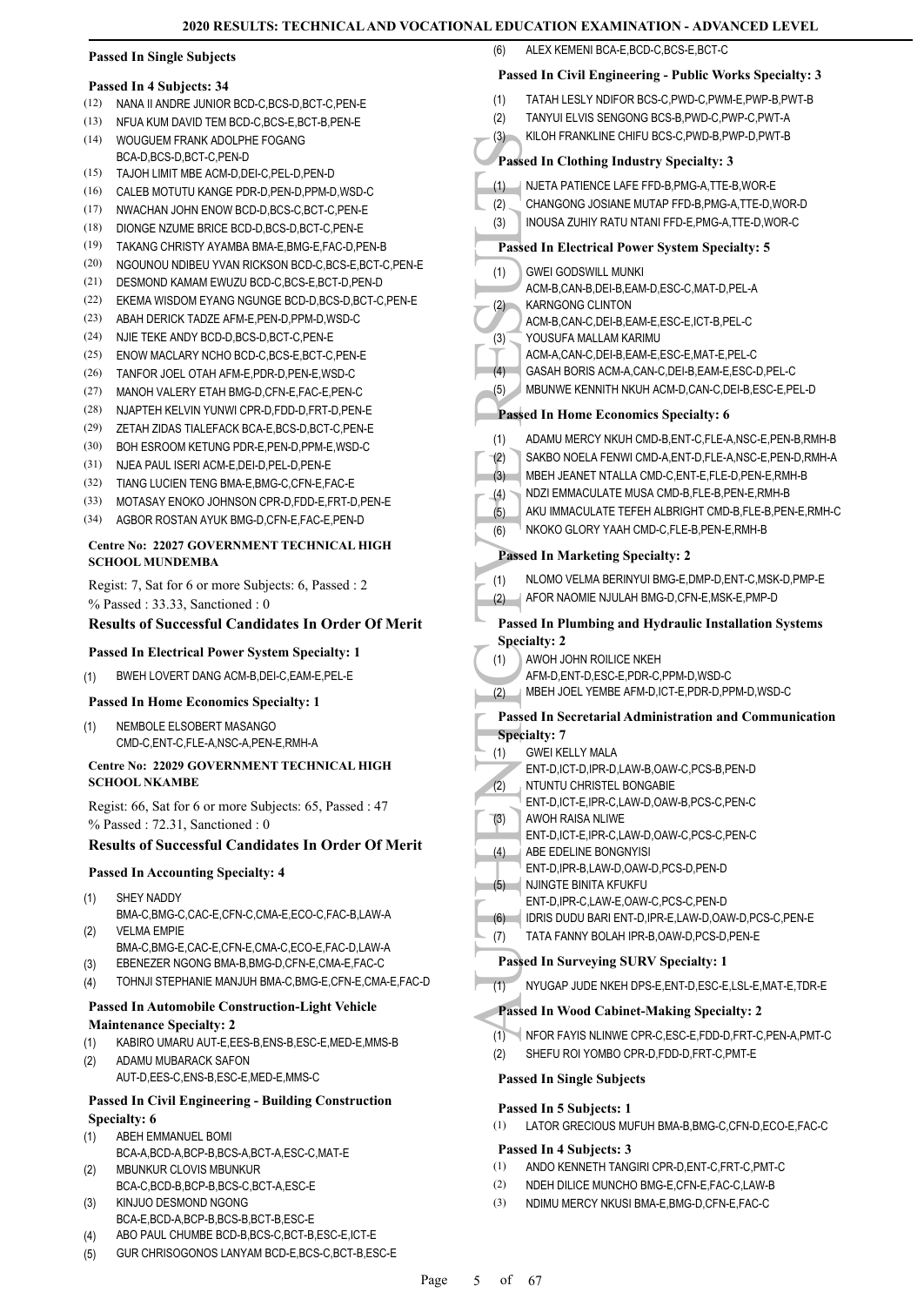#### **Passed In Single Subjects**

#### **Passed In 4 Subjects: 34**

- (12) NANA II ANDRE JUNIOR BCD-C,BCS-D,BCT-C,PEN-E
- (13) NFUA KUM DAVID TEM BCD-C,BCS-E,BCT-B,PEN-E
- WOUGUEM FRANK ADOLPHE FOGANG BCA-D,BCS-D,BCT-C,PEN-D  $(14)$
- (15) TAJOH LIMIT MBE ACM-D,DEI-C,PEL-D,PEN-D
- (16) CALEB MOTUTU KANGE PDR-D,PEN-D,PPM-D,WSD-C
- (17) NWACHAN JOHN ENOW BCD-D,BCS-C,BCT-C,PEN-E
- (18) DIONGE NZUME BRICE BCD-D,BCS-D,BCT-C,PEN-E
- (19) TAKANG CHRISTY AYAMBA BMA-E,BMG-E,FAC-D,PEN-B
- (20) NGOUNOU NDIBEU YVAN RICKSON BCD-C,BCS-E,BCT-C,PEN-E
- (21) DESMOND KAMAM EWUZU BCD-C,BCS-E,BCT-D,PEN-D
- (22) EKEMA WISDOM EYANG NGUNGE BCD-D,BCS-D,BCT-C,PEN-E
- (23) ABAH DERICK TADZE AFM-E PEN-D PPM-D WSD-C
- (24) NJIE TEKE ANDY BCD-D,BCS-D,BCT-C,PEN-E
- (25) ENOW MACLARY NCHO BCD-C,BCS-E,BCT-C,PEN-E
- (26) TANFOR JOEL OTAH AFM-E,PDR-D,PEN-E,WSD-C
- (27) MANOH VALERY ETAH BMG-D,CFN-E,FAC-E,PEN-C
- (28) NJAPTEH KELVIN YUNWI CPR-D,FDD-D,FRT-D,PEN-E
- (29) ZETAH ZIDAS TIALEFACK BCA-E,BCS-D,BCT-C,PEN-E
- (30) BOH ESROOM KETUNG PDR-E,PEN-D,PPM-E,WSD-C
- (31) NJEA PAUL ISERI ACM-E,DEI-D,PEL-D,PEN-E
- (32) TIANG LUCIEN TENG BMA-E,BMG-C,CFN-E,FAC-E
- (33) MOTASAY ENOKO JOHNSON CPR-D,FDD-E,FRT-D,PEN-E
- (34) AGBOR ROSTAN AYUK BMG-D,CFN-E,FAC-E,PEN-D

#### **Centre No: 22027 GOVERNMENT TECHNICAL HIGH SCHOOL MUNDEMBA**

Regist: 7, Sat for 6 or more Subjects: 6, Passed : 2 % Passed : 33.33, Sanctioned : 0

#### **Results of Successful Candidates In Order Of Merit**

#### **Passed In Electrical Power System Specialty: 1**

- (1) BWEH LOVERT DANG ACM-B,DEI-C,EAM-E,PEL-E
- **Passed In Home Economics Specialty: 1**
- NEMBOLE ELSOBERT MASANGO CMD-C,ENT-C,FLE-A,NSC-A,PEN-E,RMH-A (1)

#### **Centre No: 22029 GOVERNMENT TECHNICAL HIGH SCHOOL NKAMBE**

Regist: 66, Sat for 6 or more Subjects: 65, Passed : 47 % Passed : 72.31, Sanctioned : 0

### **Results of Successful Candidates In Order Of Merit**

#### **Passed In Accounting Specialty: 4**

- SHEY NADDY (1)
- BMA-C,BMG-C,CAC-E,CFN-C,CMA-E,ECO-C,FAC-B,LAW-A VELMA EMPIE BMA-C,BMG-E,CAC-E,CFN-E,CMA-C,ECO-E,FAC-D,LAW-A (2)
- (3) EBENEZER NGONG BMA-B,BMG-D,CFN-E,CMA-E,FAC-C
- (4) TOHNJI STEPHANIE MANJUH BMA-C,BMG-E,CFN-E,CMA-E,FAC-D

# **Passed In Automobile Construction-Light Vehicle**

- **Maintenance Specialty: 2**
- (1) KABIRO UMARU AUT-E,EES-B,ENS-B,ESC-E,MED-E,MMS-B
- ADAMU MUBARACK SAFON AUT-D,EES-C,ENS-B,ESC-E,MED-E,MMS-C (2)

#### **Passed In Civil Engineering - Building Construction Specialty: 6**

- ABEH EMMANUEL BOMI (1)
- BCA-A,BCD-A,BCP-B,BCS-A,BCT-A,ESC-C,MAT-E MBUNKUR CLOVIS MBUNKUR (2)
- BCA-C,BCD-B,BCP-B,BCS-C,BCT-A,ESC-E KINJUO DESMOND NGONG
- BCA-E,BCD-A,BCP-B,BCS-B,BCT-B,ESC-E (3)
- (4) ABO PAUL CHUMBE BCD-B,BCS-C,BCT-B,ESC-E,ICT-E
- (5) GUR CHRISOGONOS LANYAM BCD-E,BCS-C,BCT-B,ESC-E

# (6) ALEX KEMENI BCA-E,BCD-C,BCS-E,BCT-C **Passed In Civil Engineering - Public Works Specialty: 3** (1) TATAH LESLY NDIFOR BCS-C,PWD-C,PWM-E,PWP-B,PWT-B (2) TANYUI ELVIS SENGONG BCS-B,PWD-C,PWP-C,PWT-A

(3) KILOH FRANKLINE CHIFU BCS-C,PWD-B,PWP-D,PWT-B

# **Passed In Clothing Industry Specialty: 3**

- (1) NJETA PATIENCE LAFE FFD-B,PMG-A,TTE-B,WOR-E (2) CHANGONG JOSIANE MUTAP FFD-B,PMG-A,TTE-D,WOR-D
- (3) INOUSA ZUHIY RATU NTANI FFD-E,PMG-A,TTE-D,WOR-C

# **Passed In Electrical Power System Specialty: 5**

- GWEI GODSWILL MUNKI ACM-B,CAN-B,DEI-B,EAM-D,ESC-C,MAT-D,PEL-A (1)
- KARNGONG CLINTON (2)
- ACM-B,CAN-C,DEI-B,EAM-E,ESC-E,ICT-B,PEL-C
- YOUSUFA MALLAM KARIMU (3)
- ACM-A,CAN-C,DEI-B,EAM-E,ESC-E,MAT-E,PEL-C (4) GASAH BORIS ACM-A,CAN-C,DEI-B,EAM-E,ESC-D,PEL-C
- (5) MBUNWE KENNITH NKUH ACM-D,CAN-C,DEI-B,ESC-E,PEL-D

# **Passed In Home Economics Specialty: 6**

- (1) ADAMU MERCY NKUH CMD-B,ENT-C,FLE-A,NSC-E,PEN-B,RMH-B
- (2) SAKBO NOELA FENWI CMD-A,ENT-D,FLE-A,NSC-E,PEN-D,RMH-A
- (3) MBEH JEANET NTALLA CMD-C,ENT-E,FLE-D,PEN-E,RMH-B
- (4) NDZI EMMACULATE MUSA CMD-B,FLE-B,PEN-E,RMH-B
- (5) AKU IMMACULATE TEFEH ALBRIGHT CMD-B,FLE-B,PEN-E,RMH-C
- (6) NKOKO GLORY YAAH CMD-C,FLE-B,PEN-E,RMH-B

# **Passed In Marketing Specialty: 2**

- (1) NLOMO VELMA BERINYUI BMG-E,DMP-D,ENT-C,MSK-D,PMP-E (2) AFOR NAOMIE NJULAH BMG-D,CFN-E,MSK-E,PMP-D
- (3) NILOH<br>
Passed In (1) NJETA<br>
(2) NILOH<br>
(3) Passed In 1<br>
(3) CWEI (6) ACM-B, KARNG<br>
ACM-B, KARNG<br>
ACM-B, KARNG<br>
ACM-B, YOUSU ACM-B, YOUSU ACM-B, YOUSU ACM-B, YOUSU ACM-B, YOUSU ACM-A, GASAH<br>
(4) SAKBO MBEH, (1) ADAMU SA **Passed In Plumbing and Hydraulic Installation Systems Specialty: 2**
	- AWOH JOHN ROILICE NKEH (1)
		- AFM-D,ENT-D,ESC-E,PDR-C,PPM-D,WSD-C
	- (2) MBEH JOEL YEMBE AFM-D,ICT-E,PDR-D,PPM-D,WSD-C

# **Passed In Secretarial Administration and Communication**

- **Specialty: 7**
- GWEI KELLY MALA (1)
	- ENT-D,ICT-D,IPR-D,LAW-B,OAW-C,PCS-B,PEN-D
- NTUNTU CHRISTEL BONGABIE (2)
- ENT-D,ICT-E,IPR-C,LAW-D,OAW-B,PCS-C,PEN-C
- AWOH RAISA NLIWE ENT-D,ICT-E,IPR-C,LAW-D,OAW-C,PCS-C,PEN-C (3)
- ABE EDELINE BONGNYISI (4)
- ENT-D,IPR-B,LAW-D,OAW-D,PCS-D,PEN-D
- NJINGTE BINITA KELIKELI (5)
- ENT-D,IPR-C,LAW-E,OAW-C,PCS-C,PEN-D
- (6) IDRIS DUDU BARI ENT-D,IPR-E,LAW-D,OAW-D,PCS-C,PEN-E
- (7) TATA FANNY BOLAH IPR-B,OAW-D,PCS-D,PEN-E

#### **Passed In Surveying SURV Specialty: 1**

(1) NYUGAP JUDE NKEH DPS-E,ENT-D,ESC-E,LSL-E,MAT-E,TDR-E

#### **Passed In Wood Cabinet-Making Specialty: 2**

- (1) NFOR FAYIS NLINWE CPR-C,ESC-E,FDD-D,FRT-C,PEN-A,PMT-C
- (2) SHEFU ROI YOMBO CPR-D,FDD-D,FRT-C,PMT-E

#### **Passed In Single Subjects**

#### **Passed In 5 Subjects: 1**

(1) LATOR GRECIOUS MUFUH BMA-B,BMG-C,CFN-D,ECO-E,FAC-C

#### **Passed In 4 Subjects: 3**

Page 5 of 67

(1) ANDO KENNETH TANGIRI CPR-D,ENT-C,FRT-C,PMT-C (2) NDEH DILICE MUNCHO BMG-E,CFN-E,FAC-C,LAW-B

(3) NDIMU MERCY NKUSI BMA-E,BMG-D,CFN-E,FAC-C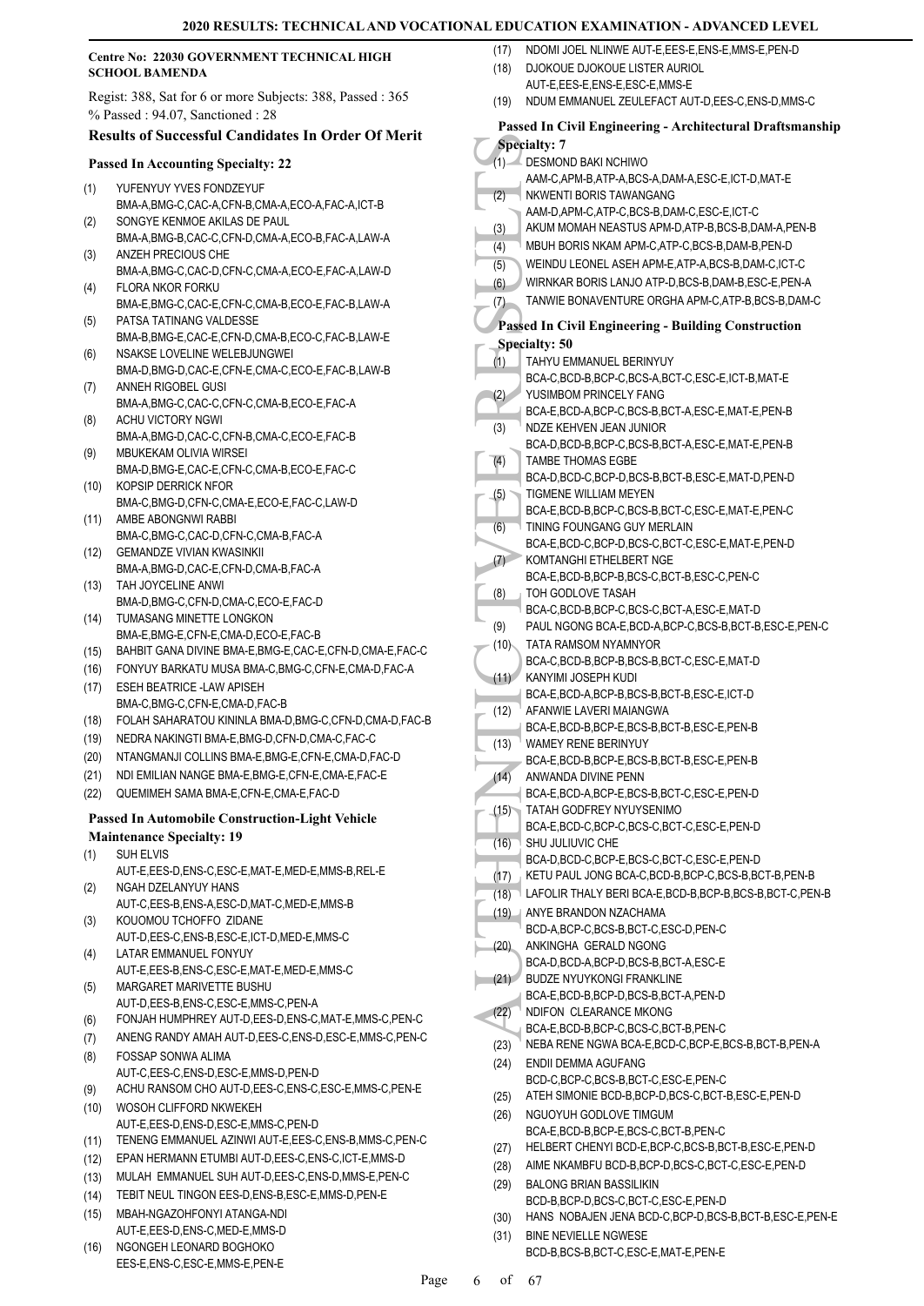#### **Centre No: 22030 GOVERNMENT TECHNICAL HIGH SCHOOL BAMENDA**

Regist: 388, Sat for 6 or more Subjects: 388, Passed : 365 % Passed : 94.07, Sanctioned : 28

# **Results of Successful Candidates In Order Of Merit**

#### **Passed In Accounting Specialty: 22**

- YUFENYUY YVES FONDZEYUF BMA-A,BMG-C,CAC-A,CFN-B,CMA-A,ECO-A,FAC-A,ICT-B (1) SONGYE KENMOE AKILAS DE PAUL
- BMA-A,BMG-B,CAC-C,CFN-D,CMA-A,ECO-B,FAC-A,LAW-A (2) ANZEH PRECIOUS CHE (3)
- BMA-A,BMG-C,CAC-D,CFN-C,CMA-A,ECO-E,FAC-A,LAW-D FLORA NKOR FORKU (4)
- BMA-E,BMG-C,CAC-E,CFN-C,CMA-B,ECO-E,FAC-B,LAW-A PATSA TATINANG VALDESSE (5)
- BMA-B,BMG-E,CAC-E,CFN-D,CMA-B,ECO-C,FAC-B,LAW-E NSAKSE LOVELINE WELEBJUNGWEI (6)
- BMA-D,BMG-D,CAC-E,CFN-E,CMA-C,ECO-E,FAC-B,LAW-B ANNEH RIGOBEL GUSI (7)
- BMA-A,BMG-C,CAC-C,CFN-C,CMA-B,ECO-E,FAC-A ACHU VICTORY NGWI (8)
- BMA-A,BMG-D,CAC-C,CFN-B,CMA-C,ECO-E,FAC-B MBUKEKAM OLIVIA WIRSEI (9)
- BMA-D,BMG-E,CAC-E,CFN-C,CMA-B,ECO-E,FAC-C KOPSIP DERRICK NFOR (10)
- BMA-C,BMG-D,CFN-C,CMA-E,ECO-E,FAC-C,LAW-D (11) AMBE ABONGNWI RABBI
- BMA-C,BMG-C,CAC-D,CFN-C,CMA-B,FAC-A GEMANDZE VIVIAN KWASINKII  $(12)$
- BMA-A,BMG-D,CAC-E,CFN-D,CMA-B,FAC-A TAH JOYCELINE ANWI (13)
- BMA-D, BMG-C, CEN-D, CMA-C, ECO-E, EAC-D TUMASANG MINETTE LONGKON (14)
- BMA-E,BMG-E,CFN-E,CMA-D,ECO-E,FAC-B
- (15) BAHBIT GANA DIVINE BMA-E,BMG-E,CAC-E,CFN-D,CMA-E,FAC-C (16) FONYUY BARKATU MUSA BMA-C,BMG-C,CFN-E,CMA-D,FAC-A
- ESEH BEATRICE -LAW APISEH BMA-C,BMG-C,CFN-E,CMA-D,FAC-B (17)
- (18) FOLAH SAHARATOU KININLA BMA-D,BMG-C,CFN-D,CMA-D,FAC-B
- (19) NEDRA NAKINGTI BMA-E,BMG-D,CFN-D,CMA-C,FAC-C
- (20) NTANGMANJI COLLINS BMA-E,BMG-E,CFN-E,CMA-D,FAC-D
- (21) NDI EMILIAN NANGE BMA-E,BMG-E,CFN-E,CMA-E,FAC-E
- (22) QUEMIMEH SAMA BMA-E,CFN-E,CMA-E,FAC-D

#### **Passed In Automobile Construction-Light Vehicle Maintenance Specialty: 19**

- SUH ELVIS AUT-E,EES-D,ENS-C,ESC-E,MAT-E,MED-E,MMS-B,REL-E (1) NGAH DZELANYUY HANS (2)
- AUT-C,EES-B,ENS-A,ESC-D,MAT-C,MED-E,MMS-B KOUOMOU TCHOFFO ZIDANE (3)
- AUT-D,EES-C,ENS-B,ESC-E,ICT-D,MED-E,MMS-C LATAR EMMANUEL FONYUY (4)
- AUT-E,EES-B,ENS-C,ESC-E,MAT-E,MED-E,MMS-C MARGARET MARIVETTE BUSHU
- AUT-D,EES-B,ENS-C,ESC-E,MMS-C,PEN-A (5)
- (6) FONJAH HUMPHREY AUT-D,EES-D,ENS-C,MAT-E,MMS-C,PEN-C
- (7) ANENG RANDY AMAH AUT-D,EES-C,ENS-D,ESC-E,MMS-C,PEN-C FOSSAP SONWA ALIMA AUT-C,EES-C,ENS-D,ESC-E,MMS-D,PEN-D (8)
- (9) ACHU RANSOM CHO AUT-D,EES-C,ENS-C,ESC-E,MMS-C,PEN-E WOSOH CLIFFORD NKWEKEH (10)
- AUT-E,EES-D,ENS-D,ESC-E,MMS-C,PEN-D (11) TENENG EMMANUEL AZINWI AUT-E,EES-C,ENS-B,MMS-C,PEN-C
- (12) EPAN HERMANN ETUMBI AUT-D,EES-C,ENS-C,ICT-E,MMS-D
- (13) MULAH EMMANUEL SUH AUT-D,EES-C,ENS-D,MMS-E,PEN-C
- (14) TEBIT NEUL TINGON EES-D,ENS-B,ESC-E,MMS-D,PEN-E
- MBAH-NGAZOHFONYI ATANGA-NDI (15) AUT-E,EES-D,ENS-C,MED-E,MMS-D
- NGONGEH LEONARD BOGHOKO EES-E,ENS-C,ESC-E,MMS-E,PEN-E (16)
- (17) NDOMI JOEL NLINWE AUT-E,EES-E,ENS-E,MMS-E,PEN-D
- DJOKOUE DJOKOUE LISTER AURIOL AUT-E,EES-E,ENS-E,ESC-E,MMS-E (18)
- (19) NDUM EMMANUEL ZEULEFACT AUT-D,EES-C,ENS-D,MMS-C

# **Passed In Civil Engineering - Architectural Draftsmanship**

|      | wu mguwu mg<br><i>i</i> n cancellar ar Dre                                                |
|------|-------------------------------------------------------------------------------------------|
|      | <b>Specialty: 7</b>                                                                       |
| (1)  | L DESMOND BAKI NCHIWO                                                                     |
|      | AAM-C,APM-B,ATP-A,BCS-A,DAM-A,ESC-E,ICT-D,MAT-E                                           |
| (2)  | NKWENTI BORIS TAWANGANG<br>AAM-D, APM-C, ATP-C, BCS-B, DAM-C, ESC-E, ICT-C                |
| (3)  | AKUM MOMAH NEASTUS APM-D, ATP-B, BCS-B, DAM-A, PEN-B                                      |
|      | MBUH BORIS NKAM APM-C, ATP-C, BCS-B, DAM-B, PEN-D                                         |
| (4)  |                                                                                           |
| (5)  | WEINDU LEONEL ASEH APM-E, ATP-A, BCS-B, DAM-C, ICT-C                                      |
| (6)  | WIRNKAR BORIS LANJO ATP-D, BCS-B, DAM-B, ESC-E, PEN-A                                     |
| (7)  | TANWIE BONAVENTURE ORGHA APM-C, ATP-B, BCS-B, DAM-C                                       |
|      | <b>Passed In Civil Engineering - Building Construction</b>                                |
|      | <b>Specialty: 50</b>                                                                      |
| (1)  | TAHYU EMMANUEL BERINYUY                                                                   |
|      | BCA-C,BCD-B,BCP-C,BCS-A,BCT-C,ESC-E,ICT-B,MAT-E                                           |
| (2)  | YUSIMBOM PRINCELY FANG                                                                    |
|      | BCA-E,BCD-A,BCP-C,BCS-B,BCT-A,ESC-E,MAT-E,PEN-B                                           |
| (3)  | NDZE KEHVEN JEAN JUNIOR                                                                   |
|      | BCA-D,BCD-B,BCP-C,BCS-B,BCT-A,ESC-E,MAT-E,PEN-B                                           |
| (4)  | <b>TAMBE THOMAS EGBE</b>                                                                  |
|      | BCA-D,BCD-C,BCP-D,BCS-B,BCT-B,ESC-E,MAT-D,PEN-D                                           |
| (5)  | TIGMENE WILLIAM MEYEN                                                                     |
|      | BCA-E,BCD-B,BCP-C,BCS-B,BCT-C,ESC-E,MAT-E,PEN-C                                           |
| (6)  | TINING FOUNGANG GUY MERLAIN                                                               |
|      | BCA-E,BCD-C,BCP-D,BCS-C,BCT-C,ESC-E,MAT-E,PEN-D                                           |
| (7)  | KOMTANGHI ETHELBERT NGE                                                                   |
|      | BCA-E,BCD-B,BCP-B,BCS-C,BCT-B,ESC-C,PEN-C                                                 |
| (8)  | TOH GODLOVE TASAH                                                                         |
|      | BCA-C,BCD-B,BCP-C,BCS-C,BCT-A,ESC-E,MAT-D                                                 |
| (9)  | PAUL NGONG BCA-E,BCD-A,BCP-C,BCS-B,BCT-B,ESC-E,PEN-C                                      |
| (10) | TATA RAMSOM NYAMNYOR                                                                      |
|      | BCA-C,BCD-B,BCP-B,BCS-B,BCT-C,ESC-E,MAT-D<br>KANYIMI JOSEPH KUDI                          |
| (11) | BCA-E,BCD-A,BCP-B,BCS-B,BCT-B,ESC-E,ICT-D                                                 |
| (12) | AFANWIE LAVERI MAIANGWA                                                                   |
|      | BCA-E,BCD-B,BCP-E,BCS-B,BCT-B,ESC-E,PEN-B                                                 |
| (13) | WAMEY RENE BERINYUY                                                                       |
|      | BCA-E,BCD-B,BCP-E,BCS-B,BCT-B,ESC-E,PEN-B                                                 |
| (14) | ANWANDA DIVINE PENN                                                                       |
|      | BCA-E,BCD-A,BCP-E,BCS-B,BCT-C,ESC-E,PEN-D                                                 |
| (15) | TATAH GODFREY NYUYSENIMO                                                                  |
|      | BCA-E,BCD-C,BCP-C,BCS-C,BCT-C,ESC-E,PEN-D                                                 |
| (16) | SHU JULIUVIC CHE                                                                          |
|      | BCA-D,BCD-C,BCP-E,BCS-C,BCT-C,ESC-E,PEN-D                                                 |
| (17) | KETU PAUL JONG BCA-C, BCD-B, BCP-C, BCS-B, BCT-B, PEN-B                                   |
| (18) | LAFOLIR THALY BERI BCA-E, BCD-B, BCP-B, BCS-B, BCT-C, PEN-B                               |
| (19) | ANYE BRANDON NZACHAMA                                                                     |
|      | BCD-A,BCP-C,BCS-B,BCT-C,ESC-D,PEN-C                                                       |
| (20) | ANKINGHA GERALD NGONG                                                                     |
|      | BCA-D,BCD-A,BCP-D,BCS-B,BCT-A,ESC-E                                                       |
| (21) | <b>BUDZE NYUYKONGI FRANKLINE</b>                                                          |
|      | BCA-E,BCD-B,BCP-D,BCS-B,BCT-A,PEN-D                                                       |
| (22) | NDIFON CLEARANCE MKONG                                                                    |
| (23) | BCA-E,BCD-B,BCP-C,BCS-C,BCT-B,PEN-C<br>NEBA RENE NGWA BCA-E,BCD-C,BCP-E,BCS-B,BCT-B,PEN-A |
|      |                                                                                           |
| (24) | ENDII DEMMA AGUFANG                                                                       |
| (25) | BCD-C,BCP-C,BCS-B,BCT-C,ESC-E,PEN-C<br>ATEH SIMONIE BCD-B,BCP-D,BCS-C,BCT-B,ESC-E,PEN-D   |
|      |                                                                                           |
| (26) | NGUOYUH GODLOVE TIMGUM<br>BCA-E,BCD-B,BCP-E,BCS-C,BCT-B,PEN-C                             |
| (27) | HELBERT CHENYI BCD-E,BCP-C,BCS-B,BCT-B,ESC-E,PEN-D                                        |
| (28) | AIME NKAMBFU BCD-B,BCP-D,BCS-C,BCT-C,ESC-E,PEN-D                                          |
| (29) | <b>BALONG BRIAN BASSILIKIN</b>                                                            |
|      | BCD-B,BCP-D,BCS-C,BCT-C,ESC-E,PEN-D                                                       |
| (30) | HANS NOBAJEN JENA BCD-C, BCP-D, BCS-B, BCT-B, ESC-E, PEN-E                                |
| (31) | <b>BINE NEVIELLE NGWESE</b>                                                               |
|      | BCD-B.BCS-B.BCT-C.ESC-E.MAT-E.PEN-E                                                       |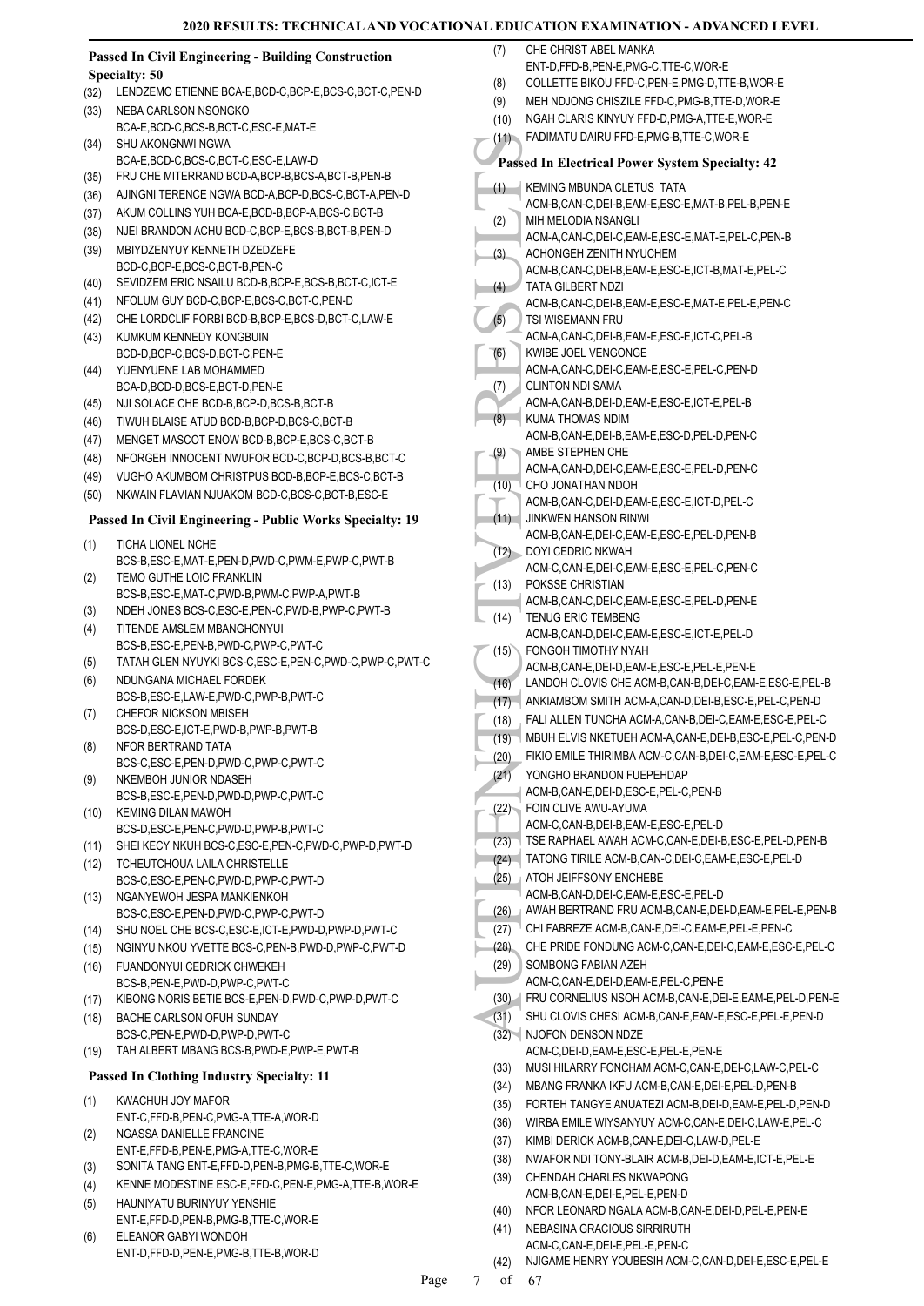#### **Passed In Civil Engineering - Building Construction Specialty: 50**

- (32) LENDZEMO ETIENNE BCA-E,BCD-C,BCP-E,BCS-C,BCT-C,PEN-D
- NEBA CARLSON NSONGKO BCA-E,BCD-C,BCS-B,BCT-C,ESC-E,MAT-E (33)
- SHU AKONGNWI NGWA BCA-E,BCD-C,BCS-C,BCT-C,ESC-E,LAW-D (34)
- (35) FRU CHE MITERRAND BCD-A,BCP-B,BCS-A,BCT-B,PEN-B
- (36) AJINGNI TERENCE NGWA BCD-A,BCP-D,BCS-C,BCT-A,PEN-D
- (37) AKUM COLLINS YUH BCA-E,BCD-B,BCP-A,BCS-C,BCT-B
- (38) NJEI BRANDON ACHU BCD-C,BCP-E,BCS-B,BCT-B,PEN-D
- MBIYDZENYUY KENNETH DZEDZEFE BCD-C,BCP-E,BCS-C,BCT-B,PEN-C (39)
- (40) SEVIDZEM ERIC NSAILU BCD-B,BCP-E,BCS-B,BCT-C,ICT-E
- (41) NFOLUM GUY BCD-C,BCP-E,BCS-C,BCT-C,PEN-D
- (42) CHE LORDCLIF FORBI BCD-B,BCP-E,BCS-D,BCT-C,LAW-E KUMKUM KENNEDY KONGBUIN (43)
- BCD-D,BCP-C,BCS-D,BCT-C,PEN-E YUENYUENE LAB MOHAMMED (44)
- BCA-D,BCD-D,BCS-E,BCT-D,PEN-E (45) NJI SOLACE CHE BCD-B,BCP-D,BCS-B,BCT-B
- (46) TIWUH BLAISE ATUD BCD-B,BCP-D,BCS-C,BCT-B
- (47) MENGET MASCOT ENOW BCD-B,BCP-E,BCS-C,BCT-B
- (48) NFORGEH INNOCENT NWUFOR BCD-C,BCP-D,BCS-B,BCT-C
- (49) VUGHO AKUMBOM CHRISTPUS BCD-B,BCP-E,BCS-C,BCT-B
- (50) NKWAIN FLAVIAN NJUAKOM BCD-C,BCS-C,BCT-B,ESC-E

# **Passed In Civil Engineering - Public Works Specialty: 19**

- TICHA LIONEL NCHE BCS-B,ESC-E,MAT-E,PEN-D,PWD-C,PWM-E,PWP-C,PWT-B (1) TEMO GUTHE LOIC FRANKLIN (2)
- BCS-B,ESC-E,MAT-C,PWD-B,PWM-C,PWP-A,PWT-B
- (3) NDEH JONES BCS-C,ESC-E,PEN-C,PWD-B,PWP-C,PWT-B
- TITENDE AMSLEM MBANGHONYUI BCS-B, ESC-E, PEN-B, PWD-C, PWP-C, PWT-C (4)
- (5) TATAH GLEN NYUYKI BCS-C,ESC-E,PEN-C,PWD-C,PWP-C,PWT-C
- NDUNGANA MICHAEL FORDEK BCS-B,ESC-E,LAW-E,PWD-C,PWP-B,PWT-C (6)
- CHEFOR NICKSON MBISEH BCS-D,ESC-E,ICT-E,PWD-B,PWP-B,PWT-B (7)
- NFOR BERTRAND TATA BCS-C,ESC-E,PEN-D,PWD-C,PWP-C,PWT-C (8)
- NKEMBOH JUNIOR NDASEH BCS-B,ESC-E,PEN-D,PWD-D,PWP-C,PWT-C (9)
- KEMING DILAN MAWOH BCS-D,ESC-E,PEN-C,PWD-D,PWP-B,PWT-C (10)
- (11) SHEI KECY NKUH BCS-C,ESC-E,PEN-C,PWD-C,PWP-D,PWT-D
- TCHEUTCHOUA LAILA CHRISTELLE BCS-C,ESC-E,PEN-C,PWD-D,PWP-C,PWT-D (12)
- NGANYEWOH JESPA MANKIENKOH BCS-C,ESC-E,PEN-D,PWD-C,PWP-C,PWT-D (13)
- (14) SHU NOEL CHE BCS-C,ESC-E,ICT-E,PWD-D,PWP-D,PWT-C (15) NGINYU NKOU YVETTE BCS-C,PEN-B,PWD-D,PWP-C,PWT-D
- FUANDONYUI CEDRICK CHWEKEH BCS-B,PEN-E,PWD-D,PWP-C,PWT-C (16)
- (17) KIBONG NORIS BETIE BCS-E,PEN-D,PWD-C,PWP-D,PWT-C
- BACHE CARLSON OFUH SUNDAY (18)
- BCS-C,PEN-E,PWD-D,PWP-D,PWT-C
- (19) TAH ALBERT MBANG BCS-B,PWD-E,PWP-E,PWT-B

# **Passed In Clothing Industry Specialty: 11**

- KWACHUH JOY MAFOR ENT-C,FFD-B,PEN-C,PMG-A,TTE-A,WOR-D (1) NGASSA DANIELLE FRANCINE
- ENT-E,FFD-B,PEN-E,PMG-A,TTE-C,WOR-E (2)
- (3) SONITA TANG ENT-E,FFD-D,PEN-B,PMG-B,TTE-C,WOR-E
- (4) KENNE MODESTINE ESC-E,FFD-C,PEN-E,PMG-A,TTE-B,WOR-E
- HAUNIYATU BURINYUY YENSHIE ENT-E,FFD-D,PEN-B,PMG-B,TTE-C,WOR-E (5)
- ELEANOR GABYI WONDOH ENT-D,FFD-D,PEN-E,PMG-B,TTE-B,WOR-D (6)
- CHE CHRIST ABEL MANKA ENT-D,FFD-B,PEN-E,PMG-C,TTE-C,WOR-E (7)
- (8) COLLETTE BIKOU FFD-C,PEN-E,PMG-D,TTE-B,WOR-E
- (9) MEH NDJONG CHISZILE FFD-C,PMG-B,TTE-D,WOR-E
- (10) NGAH CLARIS KINYUY FFD-D,PMG-A,TTE-E,WOR-E
- (11) FADIMATU DAIRU FFD-E,PMG-B,TTE-C,WOR-E
- **Passed In Electrical Power System Specialty: 42**
- (11) FADIMA<br>
Passed In 1<br>
(1) KEMIN (2) ACM-B,<br>
(2) KEMIN (ACM-B,<br>
(2) NIH ME ACM-A,<br>
(4) TATA (CM-B, TATA (CM-B, TATA (CM-B, TATA (CM-B, TATA (CM-B, TSI WIS (CM-A, CM-B, TSI WIS (CM-A, CLINTC ACM-A, CLINTC ACM-A, CLINTC A **KEMING MBUNDA CLETUS TATA** ACM-B,CAN-C,DEI-B,EAM-E,ESC-E,MAT-B,PEL-B,PEN-E (1) MIH MELODIA NSANGLI ACM-A,CAN-C,DEI-C,EAM-E,ESC-E,MAT-E,PEL-C,PEN-B (2) ACHONGEH ZENITH NYUCHEM ACM-B,CAN-C,DEI-B,EAM-E,ESC-E,ICT-B,MAT-E,PEL-C (3) TATA GILBERT NDZI ACM-B,CAN-C,DEI-B,EAM-E,ESC-E,MAT-E,PEL-E,PEN-C (4) TSI WISEMANN FRU (5)
	- ACM-A,CAN-C,DEI-B,EAM-E,ESC-E,ICT-C,PEL-B KWIBE JOEL VENGONGE (6)
- ACM-A,CAN-C,DEI-C,EAM-E,ESC-E,PEL-C,PEN-D CLINTON NDI SAMA (7)
- ACM-A,CAN-B,DEI-D,EAM-E,ESC-E,ICT-E,PEL-B KUMA THOMAS NDIM (8)
- ACM-B,CAN-E,DEI-B,EAM-E,ESC-D,PEL-D,PEN-C AMBE STEPHEN CHE ACM-A,CAN-D,DEI-C,EAM-E,ESC-E,PEL-D,PEN-C (9)
- CHO JONATHAN NDOH ACM-B,CAN-C,DEI-D,EAM-E,ESC-E,ICT-D,PEL-C  $(10)$
- JINKWEN HANSON RINWI ACM-B,CAN-E,DEI-C,EAM-E,ESC-E,PEL-D,PEN-B  $(11)$
- DOYI CEDRIC NKWAH  $(12)$
- ACM-C,CAN-E,DEI-C,EAM-E,ESC-E,PEL-C,PEN-C POKSSE CHRISTIAN (13)
- ACM-B,CAN-C,DEI-C,EAM-E,ESC-E,PEL-D,PEN-E TENUG ERIC TEMBENG  $(14)$
- ACM-B,CAN-D,DEI-C,EAM-E,ESC-E,ICT-E,PEL-D FONGOH TIMOTHY NYAH ACM-B,CAN-E,DEI-D,EAM-E,ESC-E,PEL-E,PEN-E (15)
- (16) LANDOH CLOVIS CHE ACM-B,CAN-B,DEI-C,EAM-E,ESC-E,PEL-B
- (17) ANKIAMBOM SMITH ACM-A,CAN-D,DEI-B,ESC-E,PEL-C,PEN-D
- (18) FALI ALLEN TUNCHA ACM-A,CAN-B,DEI-C,EAM-E,ESC-E,PEL-C
- (19) MBUH ELVIS NKETUEH ACM-A,CAN-E,DEI-B,ESC-E,PEL-C,PEN-D
- (20) FIKIO EMILE THIRIMBA ACM-C,CAN-B,DEI-C,EAM-E,ESC-E,PEL-C
- YONGHO BRANDON FUEPEHDAP (21)
- ACM-B,CAN-E,DEI-D,ESC-E,PEL-C,PEN-B FOIN CLIVE AWU-AYUMA (22)
- ACM-C,CAN-B,DEI-B,EAM-E,ESC-E,PEL-D
- (23) TSE RAPHAEL AWAH ACM-C,CAN-E,DEI-B,ESC-E,PEL-D,PEN-B
- (24) TATONG TIRILE ACM-B,CAN-C,DEI-C,EAM-E,ESC-E,PEL-D
- ATOH JEIFFSONY ENCHEBE (25)
- ACM-B,CAN-D,DEI-C,EAM-E,ESC-E,PEL-D (26) AWAH BERTRAND FRU ACM-B,CAN-E,DEI-D,EAM-E,PEL-E,PEN-B
- (27) CHI FABREZE ACM-B,CAN-E,DEI-C,EAM-E,PEL-E,PEN-C
- (28) CHE PRIDE FONDUNG ACM-C,CAN-E,DEI-C,EAM-E,ESC-E,PEL-C
- SOMBONG FABIAN AZEH (29)
- ACM-C,CAN-E,DEI-D,EAM-E,PEL-C,PEN-E
- (30) FRU CORNELIUS NSOH ACM-B,CAN-E,DEI-E,EAM-E,PEL-D,PEN-E
- (31) SHU CLOVIS CHESI ACM-B,CAN-E,EAM-E,ESC-E,PEL-E,PEN-D
	- (32) NJOFON DENSON NDZE ACM-C, DEI-D, EAM-E, ESC-E, PEL-E, PEN-E
	- (33) MUSI HILARRY FONCHAM ACM-C,CAN-E,DEI-C,LAW-C,PEL-C
	- (34) MBANG FRANKA IKFU ACM-B,CAN-E,DEI-E,PEL-D,PEN-B
	- (35) FORTEH TANGYE ANUATEZI ACM-B,DEI-D,EAM-E,PEL-D,PEN-D
	- (36) WIRBA EMILE WIYSANYUY ACM-C,CAN-E,DEI-C,LAW-E,PEL-C
	- (37) KIMBI DERICK ACM-B,CAN-E,DEI-C,LAW-D,PEL-E
	- (38) NWAFOR NDI TONY-BLAIR ACM-B,DEI-D,EAM-E,ICT-E,PEL-E
	- CHENDAH CHARLES NKWAPONG (39)
	- ACM-B,CAN-E,DEI-E,PEL-E,PEN-D (40) NFOR LEONARD NGALA ACM-B,CAN-E,DEI-D,PEL-E,PEN-E
	-
	- NEBASINA GRACIOUS SIRRIRUTH ACM-C,CAN-E,DEI-E,PEL-E,PEN-C (41)
	- (42) NJIGAME HENRY YOUBESIH ACM-C,CAN-D,DEI-E,ESC-E,PEL-E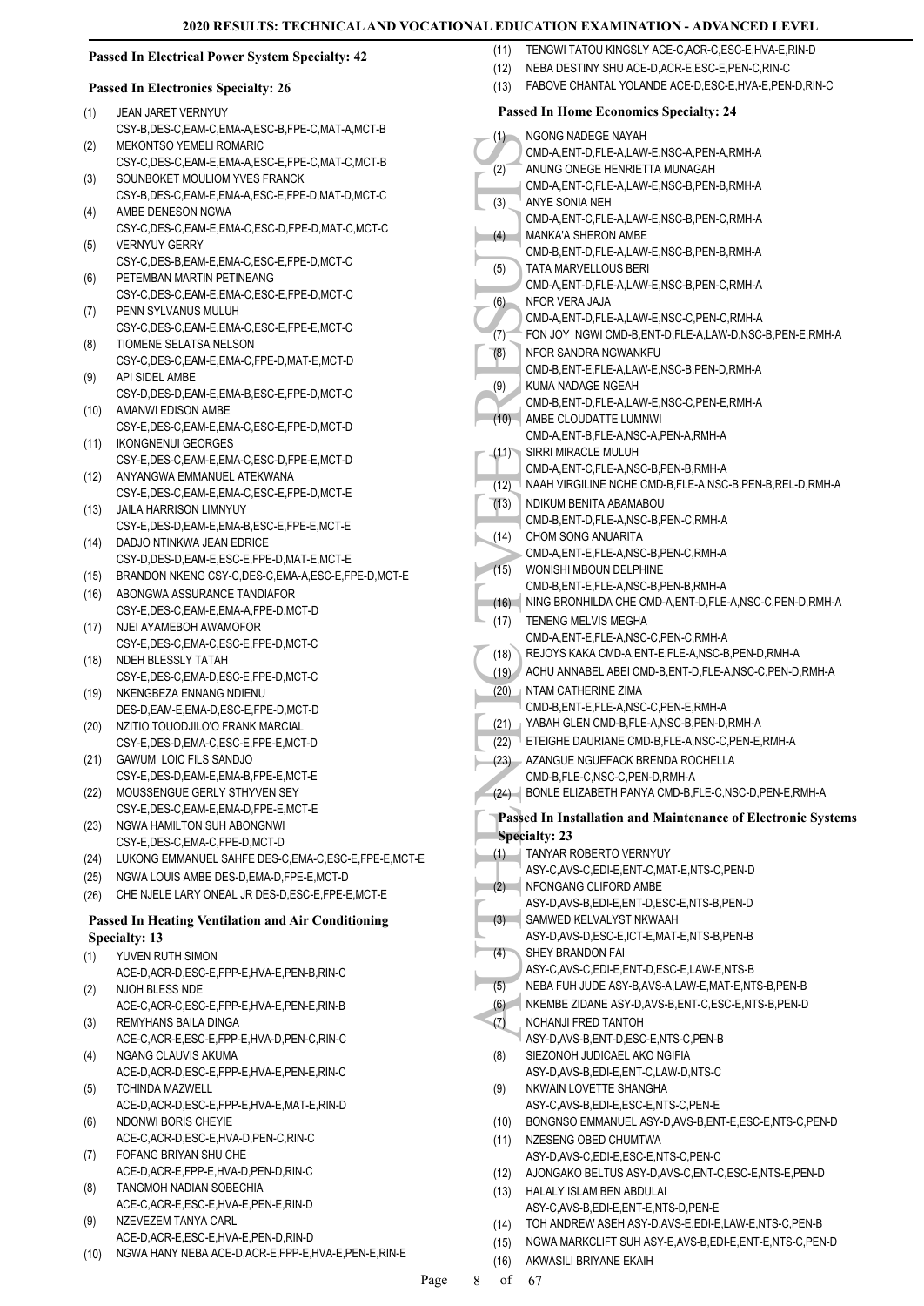#### **Passed In Electrical Power System Specialty: 42**

#### **Passed In Electronics Specialty: 26**

- JEAN JARET VERNYUY CSY-B,DES-C,EAM-C,EMA-A,ESC-B,FPE-C,MAT-A,MCT-B (1) MEKONTSO YEMELI ROMARIC (2)
- CSY-C, DES-C, EAM-E, EMA-A, ESC-E, EPE-C, MAT-C, MCT-B SOUNBOKET MOULIOM YVES FRANCK (3)
- CSY-B,DES-C,EAM-E,EMA-A,ESC-E,FPE-D,MAT-D,MCT-C AMBE DENESON NGWA (4)
- CSY-C,DES-C,EAM-E,EMA-C,ESC-D,FPE-D,MAT-C,MCT-C VERNYUY GERRY (5)
- CSY-C,DES-B,EAM-E,EMA-C,ESC-E,FPE-D,MCT-C PETEMBAN MARTIN PETINEANG (6)
- CSY-C,DES-C,EAM-E,EMA-C,ESC-E,FPE-D,MCT-C PENN SYLVANUS MULUH (7)
- CSY-C,DES-C,EAM-E,EMA-C,ESC-E,FPE-E,MCT-C TIOMENE SELATSA NELSON (8)
- CSY-C,DES-C,EAM-E,EMA-C,FPE-D,MAT-E,MCT-D API SIDEL AMBE (9)
- CSY-D,DES-D,EAM-E,EMA-B,ESC-E,FPE-D,MCT-C (10) AMANWI EDISON AMBE
- CSY-E,DES-C,EAM-E,EMA-C,ESC-E,FPE-D,MCT-D
- IKONGNENUI GEORGES CSY-E,DES-C,EAM-E,EMA-C,ESC-D,FPE-E,MCT-D (11)
- ANYANGWA EMMANUEL ATEKWANA CSY-E,DES-C,EAM-E,EMA-C,ESC-E,FPE-D,MCT-E  $(12)$ JAILA HARRISON LIMNYUY (13)
- CSY-E,DES-D,EAM-E,EMA-B,ESC-E,FPE-E,MCT-E DADJO NTINKWA JEAN EDRICE (14)
- CSY-D,DES-D,EAM-E,ESC-E,FPE-D,MAT-E,MCT-E
- (15) BRANDON NKENG CSY-C,DES-C,EMA-A,ESC-E,FPE-D,MCT-E
- ABONGWA ASSURANCE TANDIAFOR CSY-E,DES-C,EAM-E,EMA-A,FPE-D,MCT-D (16)
- NJEI AYAMEBOH AWAMOFOR CSY-E,DES-C,EMA-C,ESC-E,FPE-D,MCT-C (17)
- NDEH BLESSLY TATAH CSY-E,DES-C,EMA-D,ESC-E,FPE-D,MCT-C (18)
- NKENGBEZA ENNANG NDIENU DES-D,EAM-E,EMA-D,ESC-E,FPE-D,MCT-D (19)
- NZITIO TOUODJILO'O FRANK MARCIAL CSY-E,DES-D,EMA-C,ESC-E,FPE-E,MCT-D (20)
- GAWUM LOIC FILS SANDJO (21) CSY-E,DES-D,EAM-E,EMA-B,FPE-E,MCT-E
- MOUSSENGUE GERLY STHYVEN SEY CSY-E,DES-C,EAM-E,EMA-D,FPE-E,MCT-E (22)
- NGWA HAMILTON SUH ABONGNWI CSY-E,DES-C,EMA-C,FPE-D,MCT-D (23)
- (24) LUKONG EMMANUEL SAHFE DES-C,EMA-C,ESC-E,FPE-E,MCT-E
- (25) NGWA LOUIS AMBE DES-D,EMA-D,FPE-E,MCT-D
- (26) CHE NJELE LARY ONEAL JR DES-D,ESC-E,FPE-E,MCT-E

# **Passed In Heating Ventilation and Air Conditioning**

- **Specialty: 13**
- YUVEN RUTH SIMON (1)
- ACE-D,ACR-D,ESC-E,FPP-E,HVA-E,PEN-B,RIN-C NJOH BLESS NDE (2)
- ACE-C,ACR-C,ESC-E,FPP-E,HVA-E,PEN-E,RIN-B REMYHANS BAILA DINGA (3)
- ACE-C,ACR-E,ESC-E,FPP-E,HVA-D,PEN-C,RIN-C NGANG CLAUVIS AKUMA (4)
- ACE-D,ACR-D,ESC-E,FPP-E,HVA-E,PEN-E,RIN-C TCHINDA MAZWELL (5)
- ACE-D,ACR-D,ESC-E,FPP-E,HVA-E,MAT-E,RIN-D NDONWI BORIS CHEYIE (6)
- ACE-C,ACR-D,ESC-E,HVA-D,PEN-C,RIN-C
- FOFANG BRIYAN SHU CHE ACE-D,ACR-E,FPP-E,HVA-D,PEN-D,RIN-C (7)
- TANGMOH NADIAN SOBECHIA ACE-C,ACR-E,ESC-E,HVA-E,PEN-E,RIN-D (8)
- NZEVEZEM TANYA CARL ACE-D,ACR-E,ESC-E,HVA-E,PEN-D,RIN-D (9)
- (10) NGWA HANY NEBA ACE-D,ACR-E,FPP-E,HVA-E,PEN-E,RIN-E
- (11) TENGWI TATOU KINGSI Y ACE-C ACR-C ESC-E HVA-E RIN-D
- (12) NEBA DESTINY SHU ACE-D,ACR-E,ESC-E,PEN-C,RIN-C
- (13) FABOVE CHANTAL YOLANDE ACE-D,ESC-E,HVA-E,PEN-D,RIN-C

#### (1)<br>
MUCHAR (2)<br>
CMD-A ANUNC CMD-A ANUNC CMD-A ANUNC CMD-A ANUNC<br>
CMD-A ANUNC CMD-A ANUNC CMD-B TATA M CMD-B TATA M CMD-B TATA M CMD-B TATA M CMD-B TATA M CMD-B TATA M CMD-B TATA M CMD-B KUMA P CMD-B KUMA P CMD-B ANURC CMD **Passed In Home Economics Specialty: 24** NGONG NADEGE NAYAH CMD-A,ENT-D,FLE-A,LAW-E,NSC-A,PEN-A,RMH-A (1) ANUNG ONEGE HENRIETTA MUNAGAH CMD-A,ENT-C,FLE-A,LAW-E,NSC-B,PEN-B,RMH-A (2) ANYE SONIA NEH CMD-A,ENT-C,FLE-A,LAW-E,NSC-B,PEN-C,RMH-A (3) MANKA'A SHERON AMBE CMD-B,ENT-D,FLE-A,LAW-E,NSC-B,PEN-B,RMH-A (4) TATA MARVELLOUS BERI CMD-A,ENT-D,FLE-A,LAW-E,NSC-B,PEN-C,RMH-A (5) NFOR VERA JAJA CMD-A,ENT-D,FLE-A,LAW-E,NSC-C,PEN-C,RMH-A (6) (7) FON JOY NGWI CMD-B,ENT-D,FLE-A,LAW-D,NSC-B,PEN-E,RMH-A NFOR SANDRA NGWANKFU CMD-B,ENT-E,FLE-A,LAW-E,NSC-B,PEN-D,RMH-A (8) KUMA NADAGE NGEAH CMD-B,ENT-D,FLE-A,LAW-E,NSC-C,PEN-E,RMH-A (9) AMBE CLOUDATTE LUMNWI CMD-A,ENT-B,FLE-A,NSC-A,PEN-A,RMH-A  $(10)$ SIRRI MIRACLE MULUH CMD-A,ENT-C,FLE-A,NSC-B,PEN-B,RMH-A  $(11)$ (12) NAAH VIRGILINE NCHE CMD-B,FLE-A,NSC-B,PEN-B,REL-D,RMH-A NDIKUM BENITA ABAMABOU CMD-B,ENT-D,FLE-A,NSC-B,PEN-C,RMH-A (13) CHOM SONG ANUARITA CMD-A,ENT-E,FLE-A,NSC-B,PEN-C,RMH-A (14) WONISHI MBOUN DELPHINE CMD-B,ENT-E,FLE-A,NSC-B,PEN-B,RMH-A (15) (16) NING BRONHILDA CHE CMD-A,ENT-D,FLE-A,NSC-C,PEN-D,RMH-A TENENG MELVIS MEGHA CMD-A,ENT-E,FLE-A,NSC-C,PEN-C,RMH-A (17) (18) REJOYS KAKA CMD-A,ENT-E,FLE-A,NSC-B,PEN-D,RMH-A (19) ACHU ANNABEL ABEI CMD-B,ENT-D,FLE-A,NSC-C,PEN-D,RMH-A **NTAM CATHERINE ZIMA** CMD-B,ENT-E,FLE-A,NSC-C,PEN-E,RMH-A (20) (21) YABAH GLEN CMD-B,FLE-A,NSC-B,PEN-D,RMH-A (22) ETEIGHE DAURIANE CMD-B,FLE-A,NSC-C,PEN-E,RMH-A AZANGUE NGUEFACK BRENDA ROCHELLA CMD-B,FLE-C,NSC-C,PEN-D,RMH-A (23) (24) BONLE ELIZABETH PANYA CMD-B,FLE-C,NSC-D,PEN-E,RMH-A **Passed In Installation and Maintenance of Electronic Systems Specialty: 23** TANYAR ROBERTO VERNYUY ASY-C,AVS-C,EDI-E,ENT-C,MAT-E,NTS-C,PEN-D (1) NFONGANG CLIFORD AMBE ASY-D,AVS-B,EDI-E,ENT-D,ESC-E,NTS-B,PEN-D (2) SAMWED KELVALYST NKWAAH ASY-D,AVS-D,ESC-E,ICT-E,MAT-E,NTS-B,PEN-B (3) SHEY BRANDON FAI ASY-C,AVS-C,EDI-E,ENT-D,ESC-E,LAW-E,NTS-B (4) (5) NEBA FUH JUDE ASY-B,AVS-A,LAW-E,MAT-E,NTS-B,PEN-B (6) NKEMBE ZIDANE ASY-D,AVS-B,ENT-C,ESC-E,NTS-B,PEN-D NCHANJI FRED TANTOH ASY-D,AVS-B,ENT-D,ESC-E,NTS-C,PEN-B (7) SIEZONOH JUDICAEL AKO NGIFIA ASY-D AVS-B EDI-E ENT-C LAW-D NTS-C (8) NKWAIN LOVETTE SHANGHA ASY-C,AVS-B,EDI-E,ESC-E,NTS-C,PEN-E (9) (10) BONGNSO EMMANUEL ASY-D,AVS-B,ENT-E,ESC-E,NTS-C,PEN-D NZESENG OBED CHUMTWA ASY-D,AVS-C,EDI-E,ESC-E,NTS-C,PEN-C (11) (12) AJONGAKO BELTUS ASY-D,AVS-C,ENT-C,ESC-E,NTS-E,PEN-D HALALY ISLAM BEN ABDULAI ASY-C,AVS-B,EDI-E,ENT-E,NTS-D,PEN-E (13) (14) TOH ANDREW ASEH ASY-D,AVS-E,EDI-E,LAW-E,NTS-C,PEN-B (15) NGWA MARKCLIFT SUH ASY-E,AVS-B,EDI-E,ENT-E,NTS-C,PEN-D (16) AKWASILI BRIYANE EKAIH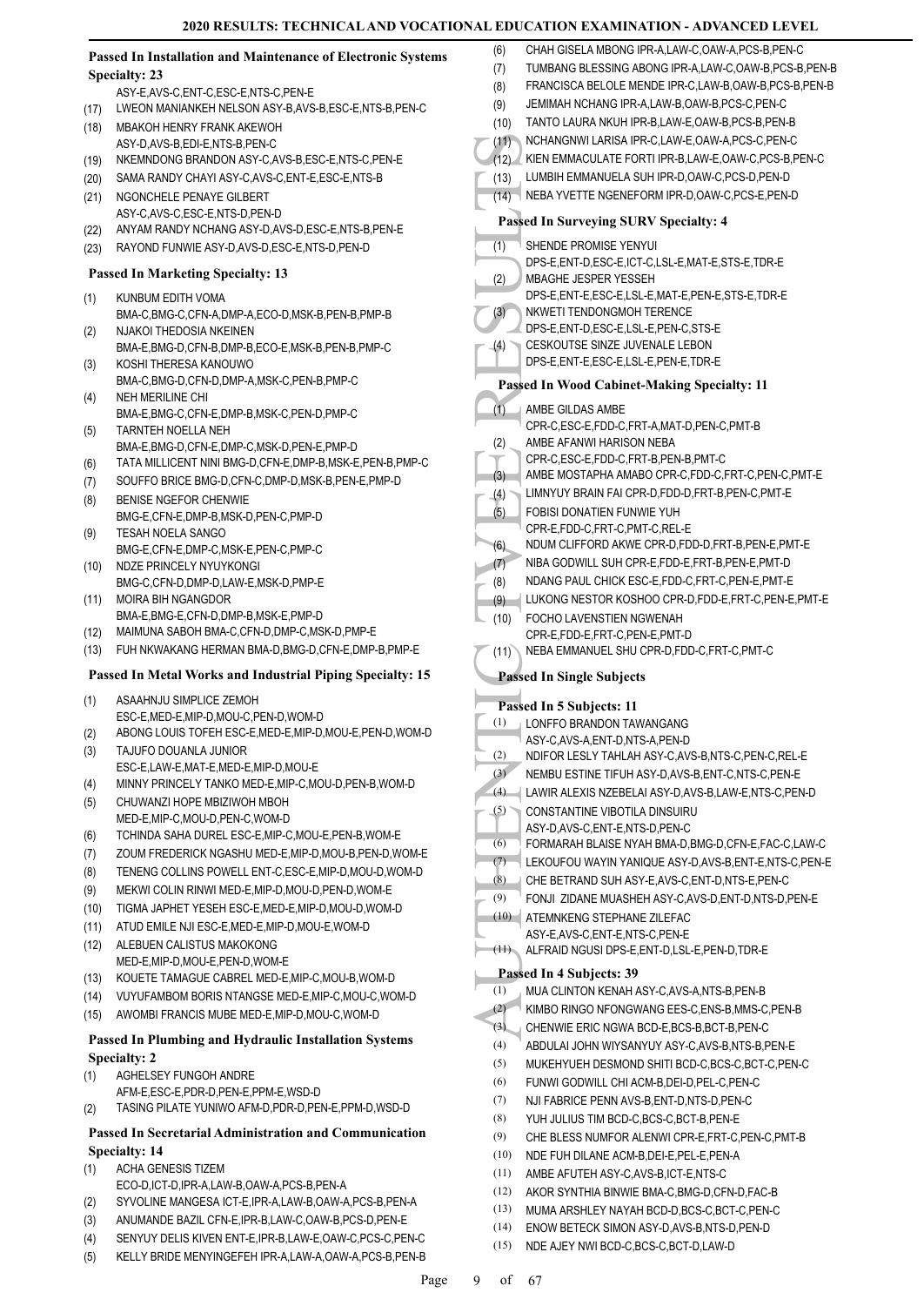|               | Passed In Installation and Maintenance of Electronic Systems                 | CHAH GISELA MBONG IPR-A,LAW-C,OAW-A,PCS-B,PEN-C<br>(6)                                                        |
|---------------|------------------------------------------------------------------------------|---------------------------------------------------------------------------------------------------------------|
| Specialty: 23 |                                                                              | TUMBANG BLESSING ABONG IPR-A,LAW-C,OAW-B,PCS-B,PEN-B<br>(7)                                                   |
|               | ASY-E,AVS-C,ENT-C,ESC-E,NTS-C,PEN-E                                          | FRANCISCA BELOLE MENDE IPR-C,LAW-B,OAW-B,PCS-B,PEN-B<br>(8)                                                   |
| (17)          | LWEON MANIANKEH NELSON ASY-B,AVS-B,ESC-E,NTS-B,PEN-C                         | JEMIMAH NCHANG IPR-A,LAW-B,OAW-B,PCS-C,PEN-C<br>(9)                                                           |
| (18)          | MBAKOH HENRY FRANK AKEWOH                                                    | TANTO LAURA NKUH IPR-B,LAW-E,OAW-B,PCS-B,PEN-B<br>(10)                                                        |
|               | ASY-D.AVS-B.EDI-E.NTS-B.PEN-C                                                | (11)<br>NCHANGNWI LARISA IPR-C,LAW-E,OAW-A,PCS-C,PEN-C                                                        |
| (19)          | NKEMNDONG BRANDON ASY-C, AVS-B, ESC-E, NTS-C, PEN-E                          | (12) KIEN EMMACULATE FORTI IPR-B,LAW-E,OAW-C,PCS-B,PEN-C                                                      |
| (20)          | SAMA RANDY CHAYI ASY-C, AVS-C, ENT-E, ESC-E, NTS-B                           | LUMBIH EMMANUELA SUH IPR-D, OAW-C, PCS-D, PEN-D<br>(13)                                                       |
| (21)          | NGONCHELE PENAYE GILBERT                                                     | NEBA YVETTE NGENEFORM IPR-D,OAW-C,PCS-E,PEN-D<br>(14)                                                         |
|               | ASY-C,AVS-C,ESC-E,NTS-D,PEN-D                                                |                                                                                                               |
| (22)          | ANYAM RANDY NCHANG ASY-D, AVS-D, ESC-E, NTS-B, PEN-E                         | <b>Passed In Surveying SURV Specialty: 4</b>                                                                  |
| (23)          | RAYOND FUNWIE ASY-D, AVS-D, ESC-E, NTS-D, PEN-D                              | (1)<br>SHENDE PROMISE YENYUI                                                                                  |
|               | <b>Passed In Marketing Specialty: 13</b>                                     | DPS-E,ENT-D,ESC-E,ICT-C,LSL-E,MAT-E,STS-E,TDR-E                                                               |
|               |                                                                              | MBAGHE JESPER YESSEH<br>(2)                                                                                   |
| (1)           | KUNBUM EDITH VOMA                                                            | DPS-E,ENT-E,ESC-E,LSL-E,MAT-E,PEN-E,STS-E,TDR-E<br>(3)<br>NKWETI TENDONGMOH TERENCE                           |
|               | BMA-C,BMG-C,CFN-A,DMP-A,ECO-D,MSK-B,PEN-B,PMP-B<br>NJAKOI THEDOSIA NKEINEN   | DPS-E,ENT-D,ESC-E,LSL-E,PEN-C,STS-E                                                                           |
| (2)           | BMA-E,BMG-D,CFN-B,DMP-B,ECO-E,MSK-B,PEN-B,PMP-C                              | CESKOUTSE SINZE JUVENALE LEBON<br>(4)                                                                         |
| (3)           | KOSHI THERESA KANOUWO                                                        | DPS-E,ENT-E,ESC-E,LSL-E,PEN-E,TDR-E                                                                           |
|               | BMA-C,BMG-D,CFN-D,DMP-A,MSK-C,PEN-B,PMP-C                                    | Passed In Wood Cabinet-Making Specialty: 11                                                                   |
| (4)           | <b>NEH MERILINE CHI</b>                                                      |                                                                                                               |
|               | BMA-E, BMG-C, CFN-E, DMP-B, MSK-C, PEN-D, PMP-C                              | (1)<br>AMBE GILDAS AMBE                                                                                       |
| (5)           | TARNTEH NOELLA NEH                                                           | CPR-C,ESC-E,FDD-C,FRT-A,MAT-D,PEN-C,PMT-B                                                                     |
|               | BMA-E, BMG-D, CFN-E, DMP-C, MSK-D, PEN-E, PMP-D                              | AMBE AFANWI HARISON NEBA<br>(2)                                                                               |
| (6)           | TATA MILLICENT NINI BMG-D, CFN-E, DMP-B, MSK-E, PEN-B, PMP-C                 | CPR-C,ESC-E,FDD-C,FRT-B,PEN-B,PMT-C<br>AMBE MOSTAPHA AMABO CPR-C,FDD-C,FRT-C,PEN-C,PMT-E                      |
| (7)           | SOUFFO BRICE BMG-D, CFN-C, DMP-D, MSK-B, PEN-E, PMP-D                        | (3)<br>LIMNYUY BRAIN FAI CPR-D, FDD-D, FRT-B, PEN-C, PMT-E                                                    |
| (8)           | BENISE NGEFOR CHENWIE                                                        | (4)<br>FOBISI DONATIEN FUNWIE YUH                                                                             |
|               | BMG-E,CFN-E,DMP-B,MSK-D,PEN-C,PMP-D                                          | (5)<br>CPR-E,FDD-C,FRT-C,PMT-C,REL-E                                                                          |
| (9)           | TESAH NOELA SANGO                                                            | NDUM CLIFFORD AKWE CPR-D, FDD-D, FRT-B, PEN-E, PMT-E<br>(6)                                                   |
| (10)          | BMG-E,CFN-E,DMP-C,MSK-E,PEN-C,PMP-C<br>NDZE PRINCELY NYUYKONGI               | NIBA GODWILL SUH CPR-E,FDD-E,FRT-B,PEN-E,PMT-D<br>(7)                                                         |
|               | BMG-C,CFN-D,DMP-D,LAW-E,MSK-D,PMP-E                                          | NDANG PAUL CHICK ESC-E, FDD-C, FRT-C, PEN-E, PMT-E<br>(8)                                                     |
| (11)          | <b>MOIRA BIH NGANGDOR</b>                                                    | LUKONG NESTOR KOSHOO CPR-D, FDD-E, FRT-C, PEN-E, PMT-E<br>(9)                                                 |
|               | BMA-E, BMG-E, CFN-D, DMP-B, MSK-E, PMP-D                                     | (10)<br>FOCHO LAVENSTIEN NGWENAH                                                                              |
| (12)          | MAIMUNA SABOH BMA-C, CFN-D, DMP-C, MSK-D, PMP-E                              | CPR-E,FDD-E,FRT-C,PEN-E,PMT-D                                                                                 |
|               |                                                                              |                                                                                                               |
| (13)          | FUH NKWAKANG HERMAN BMA-D, BMG-D, CFN-E, DMP-B, PMP-E                        | NEBA EMMANUEL SHU CPR-D, FDD-C, FRT-C, PMT-C<br>(11)                                                          |
|               |                                                                              |                                                                                                               |
|               | Passed In Metal Works and Industrial Piping Specialty: 15                    | <b>Passed In Single Subjects</b>                                                                              |
| (1)           | ASAAHNJU SIMPLICE ZEMOH                                                      | Passed In 5 Subjects: 11                                                                                      |
|               | ESC-E, MED-E, MIP-D, MOU-C, PEN-D, WOM-D                                     | (1)<br>LONFFO BRANDON TAWANGANG                                                                               |
| (2)           | ABONG LOUIS TOFEH ESC-E.MED-E.MIP-D.MOU-E.PEN-D.WOM-D                        | ASY-C,AVS-A,ENT-D,NTS-A,PEN-D                                                                                 |
| (3)           | TAJUFO DOUANLA JUNIOR                                                        | NDIFOR LESLY TAHLAH ASY-C.AVS-B.NTS-C.PEN-C.REL-E<br>(2)                                                      |
|               | ESC-E,LAW-E,MAT-E,MED-E,MIP-D,MOU-E                                          | (3)<br>NEMBU ESTINE TIFUH ASY-D, AVS-B, ENT-C, NTS-C, PEN-E                                                   |
| (4)           | MINNY PRINCELY TANKO MED-E, MIP-C, MOU-D, PEN-B, WOM-D                       | (4)<br>LAWIR ALEXIS NZEBELAI ASY-D, AVS-B, LAW-E, NTS-C, PEN-D                                                |
| (5)           | CHUWANZI HOPE MBIZIWOH MBOH<br>MED-E, MIP-C, MOU-D, PEN-C, WOM-D             | (5)<br>CONSTANTINE VIBOTILA DINSUIRU                                                                          |
| (6)           | TCHINDA SAHA DUREL ESC-E, MIP-C, MOU-E, PEN-B, WOM-E                         | ASY-D.AVS-C.ENT-E.NTS-D.PEN-C                                                                                 |
|               | ZOUM FREDERICK NGASHU MED-E, MIP-D, MOU-B, PEN-D, WOM-E                      | (6)<br>FORMARAH BLAISE NYAH BMA-D, BMG-D, CFN-E, FAC-C, LAW-C                                                 |
| (7)<br>(8)    | TENENG COLLINS POWELL ENT-C, ESC-E, MIP-D, MOU-D, WOM-D                      | (7)<br>LEKOUFOU WAYIN YANIQUE ASY-D, AVS-B, ENT-E, NTS-C, PEN-E                                               |
| (9)           | MEKWI COLIN RINWI MED-E, MIP-D, MOU-D, PEN-D, WOM-E                          | (8)<br>CHE BETRAND SUH ASY-E, AVS-C, ENT-D, NTS-E, PEN-C                                                      |
| (10)          | TIGMA JAPHET YESEH ESC-E, MED-E, MIP-D, MOU-D, WOM-D                         | (9)<br>FONJI ZIDANE MUASHEH ASY-C, AVS-D, ENT-D, NTS-D, PEN-E                                                 |
| (11)          | ATUD EMILE NJI ESC-E, MED-E, MIP-D, MOU-E, WOM-D                             | (10)<br>ATEMNKENG STEPHANE ZILEFAC                                                                            |
| (12)          | ALEBUEN CALISTUS MAKOKONG                                                    | ASY-E, AVS-C, ENT-E, NTS-C, PEN-E                                                                             |
|               | MED-E, MIP-D, MOU-E, PEN-D, WOM-E                                            | (11) ALFRAID NGUSI DPS-E, ENT-D, LSL-E, PEN-D, TDR-E                                                          |
| (13)          | KOUETE TAMAGUE CABREL MED-E, MIP-C, MOU-B, WOM-D                             | Passed In 4 Subjects: 39                                                                                      |
| (14)          | VUYUFAMBOM BORIS NTANGSE MED-E, MIP-C, MOU-C, WOM-D                          | (1)<br>MUA CLINTON KENAH ASY-C, AVS-A, NTS-B, PEN-B                                                           |
| (15)          | AWOMBI FRANCIS MUBE MED-E, MIP-D, MOU-C, WOM-D                               | (2)<br>KIMBO RINGO NFONGWANG EES-C, ENS-B, MMS-C, PEN-B                                                       |
|               |                                                                              | (3)<br>CHENWIE ERIC NGWA BCD-E, BCS-B, BCT-B, PEN-C                                                           |
|               | Passed In Plumbing and Hydraulic Installation Systems                        | (4)<br>ABDULAI JOHN WIYSANYUY ASY-C, AVS-B, NTS-B, PEN-E                                                      |
| (1)           | <b>Specialty: 2</b><br>AGHELSEY FUNGOH ANDRE                                 | (5)<br>MUKEHYUEH DESMOND SHITI BCD-C,BCS-C,BCT-C,PEN-C                                                        |
|               | AFM-E,ESC-E,PDR-D,PEN-E,PPM-E,WSD-D                                          | (6)<br>FUNWI GODWILL CHI ACM-B, DEI-D, PEL-C, PEN-C                                                           |
| (2)           | TASING PILATE YUNIWO AFM-D, PDR-D, PEN-E, PPM-D, WSD-D                       | (7)<br>NJI FABRICE PENN AVS-B, ENT-D, NTS-D, PEN-C                                                            |
|               |                                                                              | (8)<br>YUH JULIUS TIM BCD-C, BCS-C, BCT-B, PEN-E                                                              |
|               | Passed In Secretarial Administration and Communication                       | (9)<br>CHE BLESS NUMFOR ALENWI CPR-E, FRT-C, PEN-C, PMT-B                                                     |
|               | <b>Specialty: 14</b>                                                         | (10)<br>NDE FUH DILANE ACM-B, DEI-E, PEL-E, PEN-A                                                             |
| (1)           | <b>ACHA GENESIS TIZEM</b><br>ECO-D, ICT-D, IPR-A, LAW-B, OAW-A, PCS-B, PEN-A | (11)<br>AMBE AFUTEH ASY-C, AVS-B, ICT-E, NTS-C                                                                |
| (2)           | SYVOLINE MANGESA ICT-E, IPR-A, LAW-B, OAW-A, PCS-B, PEN-A                    | (12)<br>AKOR SYNTHIA BINWIE BMA-C, BMG-D, CFN-D, FAC-B                                                        |
| (3)           | ANUMANDE BAZIL CFN-E, IPR-B, LAW-C, OAW-B, PCS-D, PEN-E                      | (13)<br>MUMA ARSHLEY NAYAH BCD-D, BCS-C, BCT-C, PEN-C<br>(14)<br>ENOW BETECK SIMON ASY-D, AVS-B, NTS-D, PEN-D |

(15) NDE AJEY NWI BCD-C,BCS-C,BCT-D,LAW-D

(5) KELLY BRIDE MENYINGEFEH IPR-A,LAW-A,OAW-A,PCS-B,PEN-B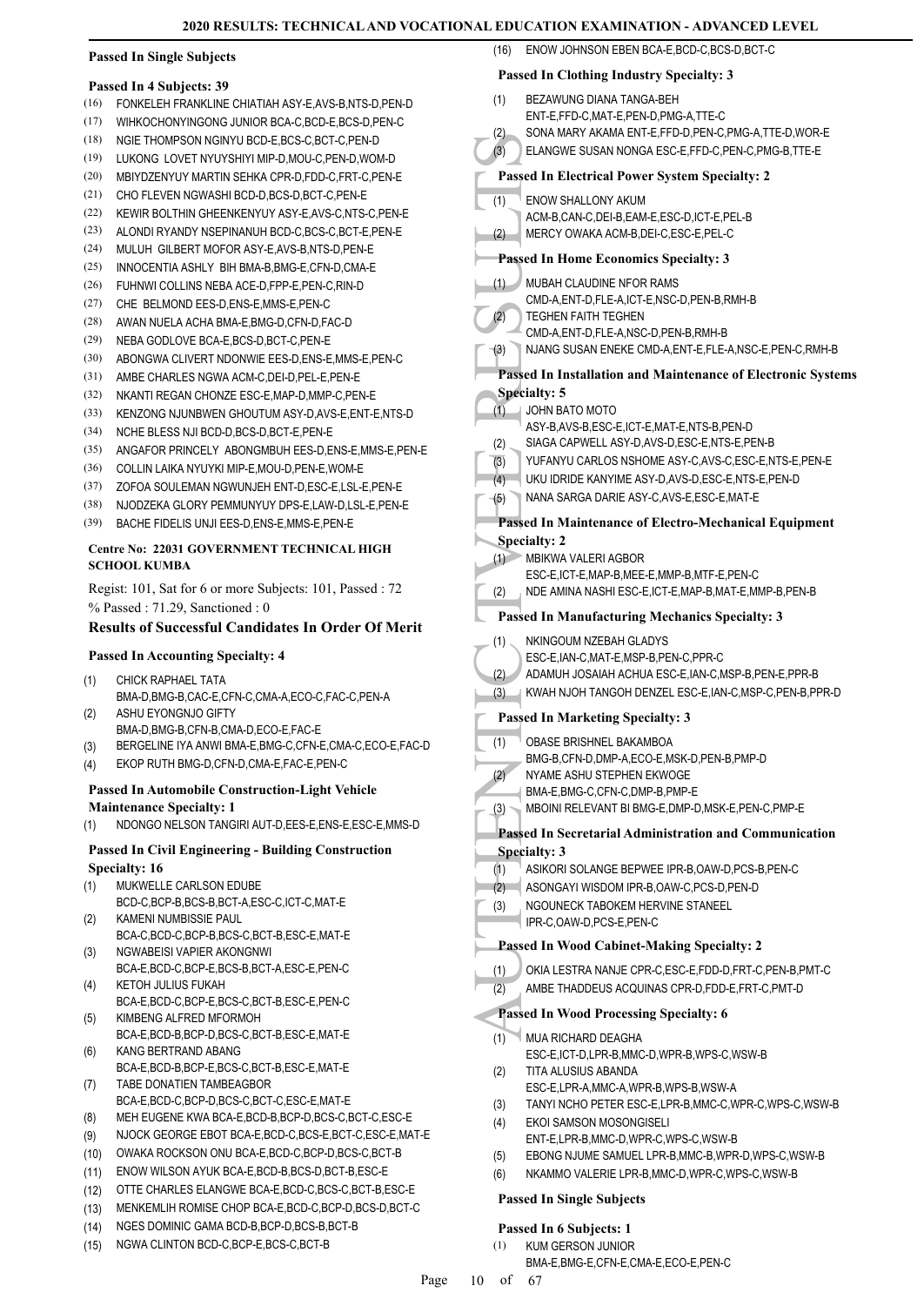#### **Passed In Single Subjects**

#### **Passed In 4 Subjects: 39**

- (16) FONKELEH FRANKLINE CHIATIAH ASY-E,AVS-B,NTS-D,PEN-D
- (17) WIHKOCHONYINGONG JUNIOR BCA-C,BCD-E,BCS-D,PEN-C
- (18) NGIE THOMPSON NGINYU BCD-E,BCS-C,BCT-C,PEN-D
- (19) LUKONG LOVET NYUYSHIYI MIP-D,MOU-C,PEN-D,WOM-D
- (20) MBIYDZENYUY MARTIN SEHKA CPR-D,FDD-C,FRT-C,PEN-E
- (21) CHO FLEVEN NGWASHI BCD-D,BCS-D,BCT-C,PEN-E
- (22) KEWIR BOLTHIN GHEENKENYUY ASY-E,AVS-C,NTS-C,PEN-E
- (23) ALONDI RYANDY NSEPINANUH BCD-C,BCS-C,BCT-E,PEN-E
- (24) MULUH GILBERT MOFOR ASY-F AVS-B NTS-D PEN-F
- (25) INNOCENTIA ASHLY BIH BMA-B,BMG-E,CFN-D,CMA-E
- (26) FUHNWI COLLINS NEBA ACE-D,FPP-E,PEN-C,RIN-D
- (27) CHE BELMOND EES-D,ENS-E,MMS-E,PEN-C
- (28) AWAN NUELA ACHA BMA-E,BMG-D,CFN-D,FAC-D
- (29) NEBA GODLOVE BCA-E,BCS-D,BCT-C,PEN-E
- (30) ABONGWA CLIVERT NDONWIE EES-D,ENS-E,MMS-E,PEN-C
- (31) AMBE CHARLES NGWA ACM-C,DEI-D,PEL-E,PEN-E
- (32) NKANTI REGAN CHONZE ESC-E,MAP-D,MMP-C,PEN-E
- (33) KENZONG NJUNBWEN GHOUTUM ASY-D,AVS-E,ENT-E,NTS-D
- (34) NCHE BLESS NJI BCD-D,BCS-D,BCT-E,PEN-E
- (35) ANGAFOR PRINCELY ABONGMBUH EES-D,ENS-E,MMS-E,PEN-E
- (36) COLLIN LAIKA NYUYKI MIP-E,MOU-D,PEN-E,WOM-E
- (37) ZOFOA SOULEMAN NGWUNJEH ENT-D,ESC-E,LSL-E,PEN-E
- (38) NJODZEKA GLORY PEMMUNYUY DPS-E,LAW-D,LSL-E,PEN-E
- (39) BACHE FIDELIS UNJI EES-D,ENS-E,MMS-E,PEN-E

#### **Centre No: 22031 GOVERNMENT TECHNICAL HIGH SCHOOL KUMBA**

Regist: 101, Sat for 6 or more Subjects: 101, Passed : 72 % Passed : 71.29, Sanctioned : 0

# **Results of Successful Candidates In Order Of Merit**

# **Passed In Accounting Specialty: 4**

- CHICK RAPHAEL TATA BMA-D,BMG-B,CAC-E,CFN-C,CMA-A,ECO-C,FAC-C,PEN-A (1)
- ASHU EYONGNJO GIFTY BMA-D,BMG-B,CFN-B,CMA-D,ECO-E,FAC-E (2)
- (3) BERGELINE IYA ANWI BMA-E,BMG-C,CFN-E,CMA-C,ECO-E,FAC-D
- (4) EKOP RUTH BMG-D,CFN-D,CMA-E,FAC-E,PEN-C

#### **Passed In Automobile Construction-Light Vehicle Maintenance Specialty: 1**

(1) NDONGO NELSON TANGIRI AUT-D,EES-E,ENS-E,ESC-E,MMS-D

#### **Passed In Civil Engineering - Building Construction Specialty: 16**

- MUKWELLE CARLSON EDUBE (1)
- BCD-C,BCP-B,BCS-B,BCT-A,ESC-C,ICT-C,MAT-E KAMENI NUMBISSIE PAUL (2)
- BCA-C,BCD-C,BCP-B,BCS-C,BCT-B,ESC-E,MAT-E NGWABEISI VAPIER AKONGNWI (3)
- BCA-E,BCD-C,BCP-E,BCS-B,BCT-A,ESC-E,PEN-C KETOH JULIUS FUKAH (4)
- BCA-E,BCD-C,BCP-E,BCS-C,BCT-B,ESC-E,PEN-C KIMBENG ALFRED MFORMOH (5)
- BCA-E,BCD-B,BCP-D,BCS-C,BCT-B,ESC-E,MAT-E
- KANG BERTRAND ABANG BCA-E,BCD-B,BCP-E,BCS-C,BCT-B,ESC-E,MAT-E (6) TABE DONATIEN TAMBEAGBOR
- BCA-E,BCD-C,BCP-D,BCS-C,BCT-C,ESC-E,MAT-E (7)
- (8) MEH EUGENE KWA BCA-E,BCD-B,BCP-D,BCS-C,BCT-C,ESC-E
- (9) NJOCK GEORGE EBOT BCA-E,BCD-C,BCS-E,BCT-C,ESC-E,MAT-E
- (10) OWAKA ROCKSON ONU BCA-E,BCD-C,BCP-D,BCS-C,BCT-B
- (11) ENOW WILSON AYUK BCA-E,BCD-B,BCS-D,BCT-B,ESC-E
- (12) OTTE CHARLES ELANGWE BCA-E,BCD-C,BCS-C,BCT-B,ESC-E
- (13) MENKEMLIH ROMISE CHOP BCA-E,BCD-C,BCP-D,BCS-D,BCT-C
- (14) NGES DOMINIC GAMA BCD-B,BCP-D,BCS-B,BCT-B
- (15) NGWA CLINTON BCD-C,BCP-E,BCS-C,BCT-B

# **Passed In Clothing Industry Specialty: 3**

(16) ENOW JOHNSON EBEN BCA-E,BCD-C,BCS-D,BCT-C

| (1)              | BEZAWUNG DIANA TANGA-BEH                                                                                          |
|------------------|-------------------------------------------------------------------------------------------------------------------|
|                  | ENT-E,FFD-C,MAT-E,PEN-D,PMG-A,TTE-C                                                                               |
| (2)<br>(3)       | SONA MARY AKAMA ENT-E, FFD-D, PEN-C, PMG-A, TTE-D, WOR-E<br>ELANGWE SUSAN NONGA ESC-E, FFD-C, PEN-C, PMG-B, TTE-E |
|                  |                                                                                                                   |
|                  | <b>Passed In Electrical Power System Specialty: 2</b>                                                             |
| (1)              | <b>ENOW SHALLONY AKUM</b>                                                                                         |
| (2)              | ACM-B,CAN-C,DEI-B,EAM-E,ESC-D,ICT-E,PEL-B<br>MERCY OWAKA ACM-B, DEI-C, ESC-E, PEL-C                               |
|                  |                                                                                                                   |
|                  | Passed In Home Economics Specialty: 3                                                                             |
| (1)              | MUBAH CLAUDINE NFOR RAMS                                                                                          |
| (2)              | CMD-A, ENT-D, FLE-A, ICT-E, NSC-D, PEN-B, RMH-B<br><b>TEGHEN FAITH TEGHEN</b>                                     |
|                  | CMD-A, ENT-D, FLE-A, NSC-D, PEN-B, RMH-B                                                                          |
| (3)              | NJANG SUSAN ENEKE CMD-A, ENT-E, FLE-A, NSC-E, PEN-C, RMH-B                                                        |
|                  | Passed In Installation and Maintenance of Electronic Systems                                                      |
|                  | <b>Specialty: 5</b>                                                                                               |
| (1)              | JOHN BATO MOTO                                                                                                    |
| (2)              | ASY-B, AVS-B, ESC-E, ICT-E, MAT-E, NTS-B, PEN-D<br>SIAGA CAPWELL ASY-D, AVS-D, ESC-E, NTS-E, PEN-B                |
| $\overline{(3)}$ | YUFANYU CARLOS NSHOME ASY-C, AVS-C, ESC-E, NTS-E, PEN-E                                                           |
| (4)              | UKU IDRIDE KANYIME ASY-D, AVS-D, ESC-E, NTS-E, PEN-D                                                              |
| (5)              | NANA SARGA DARIE ASY-C, AVS-E, ESC-E, MAT-E                                                                       |
|                  | Passed In Maintenance of Electro-Mechanical Equipment                                                             |
|                  | <b>Specialty: 2</b>                                                                                               |
| (1)              | <b>MBIKWA VALERI AGBOR</b>                                                                                        |
|                  | ESC-E,ICT-E,MAP-B,MEE-E,MMP-B,MTF-E,PEN-C<br>NDE AMINA NASHI ESC-E,ICT-E,MAP-B,MAT-E,MMP-B,PEN-B                  |
| (2)              |                                                                                                                   |
|                  | <b>Passed In Manufacturing Mechanics Specialty: 3</b>                                                             |
| (1)              | NKINGOUM NZEBAH GLADYS                                                                                            |
| (2)              | ESC-E, IAN-C, MAT-E, MSP-B, PEN-C, PPR-C<br>ADAMUH JOSAIAH ACHUA ESC-E, IAN-C, MSP-B, PEN-E, PPR-B                |
| (3)              | KWAH NJOH TANGOH DENZEL ESC-E, IAN-C, MSP-C, PEN-B, PPR-D                                                         |
|                  | <b>Passed In Marketing Specialty: 3</b>                                                                           |
|                  |                                                                                                                   |
| (1)              | OBASE BRISHNEL BAKAMBOA<br>BMG-B,CFN-D,DMP-A,ECO-E,MSK-D,PEN-B,PMP-D                                              |
| (2)              | NYAME ASHU STEPHEN EKWOGE                                                                                         |
|                  | BMA-E,BMG-C,CFN-C,DMP-B,PMP-E                                                                                     |
| (3)              | MBOINI RELEVANT BI BMG-E, DMP-D, MSK-E, PEN-C, PMP-E                                                              |
|                  | <b>Passed In Secretarial Administration and Communication</b>                                                     |
|                  | <b>Specialty: 3</b>                                                                                               |
| (1)<br>(2)       | ASIKORI SOLANGE BEPWEE IPR-B, OAW-D, PCS-B, PEN-C<br>ASONGAYI WISDOM IPR-B.OAW-C.PCS-D.PEN-D                      |
| (3)              | NGOUNECK TABOKEM HERVINE STANEEL                                                                                  |
|                  | IPR-C,OAW-D,PCS-E,PEN-C                                                                                           |
|                  | <b>Passed In Wood Cabinet-Making Specialty: 2</b>                                                                 |
| (1)              | OKIA LESTRA NANJE CPR-C, ESC-E, FDD-D, FRT-C, PEN-B, PMT-C                                                        |
| (2)              | AMBE THADDEUS ACQUINAS CPR-D, FDD-E, FRT-C, PMT-D                                                                 |
|                  | <b>Passed In Wood Processing Specialty: 6</b>                                                                     |
| (1)              | MUA RICHARD DEAGHA                                                                                                |
|                  | ESC-E,ICT-D,LPR-B,MMC-D,WPR-B,WPS-C,WSW-B                                                                         |
| (2)              | TITA ALUSIUS ABANDA                                                                                               |
|                  | ESC-E,LPR-A,MMC-A,WPR-B,WPS-B,WSW-A                                                                               |
| (3)              | TANYI NCHO PETER ESC-E, LPR-B, MMC-C, WPR-C, WPS-C, WSW-B                                                         |
| (4)              | <b>EKOI SAMSON MOSONGISELI</b><br>ENT-E,LPR-B,MMC-D,WPR-C,WPS-C,WSW-B                                             |
| (5)              | EBONG NJUME SAMUEL LPR-B, MMC-B, WPR-D, WPS-C, WSW-B                                                              |
| (6)              | NKAMMO VALERIE LPR-B, MMC-D, WPR-C, WPS-C, WSW-B                                                                  |
|                  | <b>Passed In Single Subjects</b>                                                                                  |
|                  |                                                                                                                   |

#### **Passed In 6 Subjects: 1**

- KUM GERSON JUNIOR (1)
	- BMA-E,BMG-E,CFN-E,CMA-E,ECO-E,PEN-C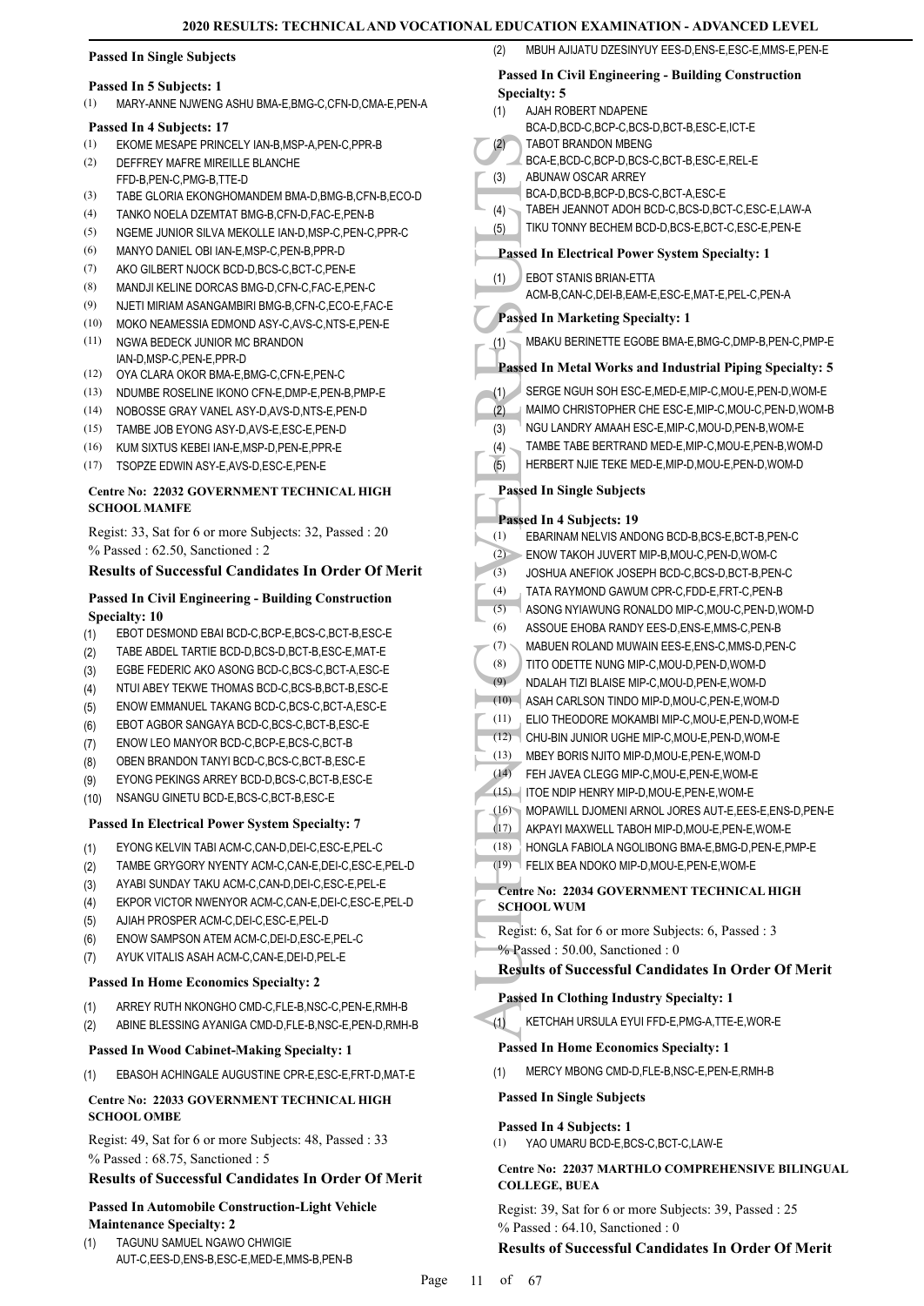### **Passed In Single Subjects**

#### **Passed In 5 Subjects: 1**

(1) MARY-ANNE NJWENG ASHU BMA-E,BMG-C,CFN-D,CMA-E,PEN-A

#### **Passed In 4 Subjects: 17**

- (1) EKOME MESAPE PRINCELY IAN-B,MSP-A,PEN-C,PPR-B
- DEFFREY MAFRE MIREILLE BLANCHE FFD-B PFN-C PMG-B TTF-D (2)
- (3) TABE GLORIA EKONGHOMANDEM BMA-D,BMG-B,CFN-B,ECO-D
- (4) TANKO NOELA DZEMTAT BMG-B,CFN-D,FAC-E,PEN-B
- (5) NGEME JUNIOR SILVA MEKOLLE IAN-D,MSP-C,PEN-C,PPR-C
- (6) MANYO DANIEL OBI IAN-E,MSP-C,PEN-B,PPR-D
- (7) AKO GILBERT NJOCK BCD-D,BCS-C,BCT-C,PEN-E
- (8) MANDJI KELINE DORCAS BMG-D,CFN-C,FAC-E,PEN-C
- (9) NJETI MIRIAM ASANGAMBIRI BMG-B,CFN-C,ECO-E,FAC-E
- (10) MOKO NEAMESSIA EDMOND ASY-C,AVS-C,NTS-E,PEN-E NGWA BEDECK JUNIOR MC BRANDON (11)
- IAN-D,MSP-C,PEN-E,PPR-D
- (12) OYA CLARA OKOR BMA-E,BMG-C,CFN-E,PEN-C
- (13) NDUMBE ROSELINE IKONO CFN-E,DMP-E,PEN-B,PMP-E
- (14) NOBOSSE GRAY VANEL ASY-D,AVS-D,NTS-E,PEN-D
- (15) TAMBE JOB EYONG ASY-D,AVS-E,ESC-E,PEN-D
- (16) KUM SIXTUS KEBEI IAN-E,MSP-D,PEN-E,PPR-E
- (17) TSOPZE EDWIN ASY-E,AVS-D,ESC-E,PEN-E

#### **Centre No: 22032 GOVERNMENT TECHNICAL HIGH SCHOOL MAMFE**

Regist: 33, Sat for 6 or more Subjects: 32, Passed : 20 % Passed : 62.50, Sanctioned : 2

#### **Results of Successful Candidates In Order Of Merit**

#### **Passed In Civil Engineering - Building Construction Specialty: 10**

- (1) EBOT DESMOND EBAI BCD-C,BCP-E,BCS-C,BCT-B,ESC-E
- (2) TABE ABDEL TARTIE BCD-D,BCS-D,BCT-B,ESC-E,MAT-E
- (3) EGBE FEDERIC AKO ASONG BCD-C,BCS-C,BCT-A,ESC-E
- (4) NTUI ABEY TEKWE THOMAS BCD-C,BCS-B,BCT-B,ESC-E
- (5) ENOW EMMANUEL TAKANG BCD-C,BCS-C,BCT-A,ESC-E
- (6) EBOT AGBOR SANGAYA BCD-C,BCS-C,BCT-B,ESC-E
- (7) ENOW LEO MANYOR BCD-C,BCP-E,BCS-C,BCT-B
- (8) OBEN BRANDON TANYI BCD-C,BCS-C,BCT-B,ESC-E
- (9) EYONG PEKINGS ARREY BCD-D,BCS-C,BCT-B,ESC-E
- (10) NSANGU GINETU BCD-E,BCS-C,BCT-B,ESC-E

#### **Passed In Electrical Power System Specialty: 7**

- (1) EYONG KELVIN TABI ACM-C,CAN-D,DEI-C,ESC-E,PEL-C
- (2) TAMBE GRYGORY NYENTY ACM-C,CAN-E,DEI-C,ESC-E,PEL-D
- (3) AYABI SUNDAY TAKU ACM-C,CAN-D,DEI-C,ESC-E,PEL-E
- (4) EKPOR VICTOR NWENYOR ACM-C,CAN-E,DEI-C,ESC-E,PEL-D
- (5) AJIAH PROSPER ACM-C,DEI-C,ESC-E,PEL-D
- (6) ENOW SAMPSON ATEM ACM-C,DEI-D,ESC-E,PEL-C
- (7) AYUK VITALIS ASAH ACM-C,CAN-E,DEI-D,PEL-E

#### **Passed In Home Economics Specialty: 2**

- (1) ARREY RUTH NKONGHO CMD-C,FLE-B,NSC-C,PEN-E,RMH-B
- (2) ABINE BLESSING AYANIGA CMD-D,FLE-B,NSC-E,PEN-D,RMH-B

#### **Passed In Wood Cabinet-Making Specialty: 1**

(1) EBASOH ACHINGALE AUGUSTINE CPR-E,ESC-E,FRT-D,MAT-E

#### **Centre No: 22033 GOVERNMENT TECHNICAL HIGH SCHOOL OMBE**

Regist: 49, Sat for 6 or more Subjects: 48, Passed : 33 % Passed : 68.75, Sanctioned : 5

#### **Results of Successful Candidates In Order Of Merit**

#### **Passed In Automobile Construction-Light Vehicle Maintenance Specialty: 2**

TAGUNU SAMUEL NGAWO CHWIGIE AUT-C,EES-D,ENS-B,ESC-E,MED-E,MMS-B,PEN-B (1)

# **Passed In Civil Engineering - Building Construction**

MBUH AJIJATU DZESINYUY EES-D, ENS-E, ESC-E, MMS-E, PEN-E

(2) TABOT<br>
BCA-E, ABUNA<br>
BCA-D, ABUNA<br>
BCA-D, TABEH<br>
TIKU T(<br>
1) EBOT S<br>
TIKU T(<br> **Passed In** 1)<br>
EBOT S<br>
ACM-B, **Passed In** 1<br>
SERGE MAIMO NGU L/<br>
TAMBE<br>
TABAKU<br>
Passed In 1<br>
SERGE MAIMO NGU L/<br>
TAMBE HERBE<br>
Passed In 1<br> **Specialty: 5** AJAH ROBERT NDAPENE BCA-D,BCD-C,BCP-C,BCS-D,BCT-B,ESC-E,ICT-E (1) TABOT BRANDON MBENG BCA-E,BCD-C,BCP-D,BCS-C,BCT-B,ESC-E,REL-E (2) ABUNAW OSCAR ARREY BCA-D,BCD-B,BCP-D,BCS-C,BCT-A,ESC-E (3) (4) TABEH JEANNOT ADOH BCD-C,BCS-D,BCT-C,ESC-E,LAW-A (5) TIKU TONNY BECHEM BCD-D,BCS-E,BCT-C,ESC-E,PEN-E **Passed In Electrical Power System Specialty: 1** EBOT STANIS BRIAN-ETTA ACM-B,CAN-C,DEI-B,EAM-E,ESC-E,MAT-E,PEL-C,PEN-A (1) **Passed In Marketing Specialty: 1** (1) MBAKU BERINETTE EGOBE BMA-E,BMG-C,DMP-B,PEN-C,PMP-E **Passed In Metal Works and Industrial Piping Specialty: 5** (1) SERGE NGUH SOH ESC-E,MED-E,MIP-C,MOU-E,PEN-D,WOM-E (2) MAIMO CHRISTOPHER CHE ESC-E,MIP-C,MOU-C,PEN-D,WOM-B (3) NGU LANDRY AMAAH ESC-E,MIP-C,MOU-D,PEN-B,WOM-E (4) TAMBE TABE BERTRAND MED-E,MIP-C,MOU-E,PEN-B,WOM-D (5) HERBERT NJIE TEKE MED-E,MIP-D,MOU-E,PEN-D,WOM-D **Passed In Single Subjects Passed In 4 Subjects: 19** (1) EBARINAM NELVIS ANDONG BCD-B,BCS-E,BCT-B,PEN-C (2) ENOW TAKOH JUVERT MIP-B,MOU-C,PEN-D,WOM-C (3) JOSHUA ANEFIOK JOSEPH BCD-C,BCS-D,BCT-B,PEN-C (4) TATA RAYMOND GAWUM CPR-C,FDD-E,FRT-C,PEN-B (5) ASONG NYIAWUNG RONALDO MIP-C,MOU-C,PEN-D,WOM-D (6) ASSOUE EHOBA RANDY EES-D,ENS-E,MMS-C,PEN-B (7) MABUEN ROLAND MUWAIN EES-E,ENS-C,MMS-D,PEN-C (8) TITO ODETTE NUNG MIP-C,MOU-D,PEN-D,WOM-D (9) NDALAH TIZI BLAISE MIP-C,MOU-D,PEN-E,WOM-D (10) ASAH CARLSON TINDO MIP-D,MOU-C,PEN-E,WOM-D (11) ELIO THEODORE MOKAMBI MIP-C,MOU-E,PEN-D,WOM-E (12) CHU-BIN JUNIOR UGHE MIP-C,MOU-E,PEN-D,WOM-E (13) MBEY BORIS NJITO MIP-D,MOU-E,PEN-E,WOM-D (14) FEH JAVEA CLEGG MIP-C,MOU-E,PEN-E,WOM-E (15) ITOE NDIP HENRY MIP-D,MOU-E,PEN-E,WOM-E (16) MOPAWILL DJOMENI ARNOL JORES AUT-E,EES-E,ENS-D,PEN-E (17) AKPAYI MAXWELL TABOH MIP-D,MOU-E,PEN-E,WOM-E (18) HONGLA FABIOLA NGOLIBONG BMA-E,BMG-D,PEN-E,PMP-E (19) FELIX BEA NDOKO MIP-D,MOU-E,PEN-E,WOM-E **Centre No: 22034 GOVERNMENT TECHNICAL HIGH SCHOOL WUM**  Regist: 6, Sat for 6 or more Subjects: 6, Passed : 3 % Passed : 50.00, Sanctioned : 0 **Results of Successful Candidates In Order Of Merit Passed In Clothing Industry Specialty: 1** (1) KETCHAH URSULA EYUI FFD-E,PMG-A,TTE-E,WOR-E **Passed In Home Economics Specialty: 1** (1) MERCY MBONG CMD-D,FLE-B,NSC-E,PEN-E,RMH-B **Passed In Single Subjects Passed In 4 Subjects: 1** (1) YAO UMARU BCD-E,BCS-C,BCT-C,LAW-E

#### **Centre No: 22037 MARTHLO COMPREHENSIVE BILINGUAL COLLEGE, BUEA**

Regist: 39, Sat for 6 or more Subjects: 39, Passed : 25 % Passed : 64.10, Sanctioned : 0

#### **Results of Successful Candidates In Order Of Merit**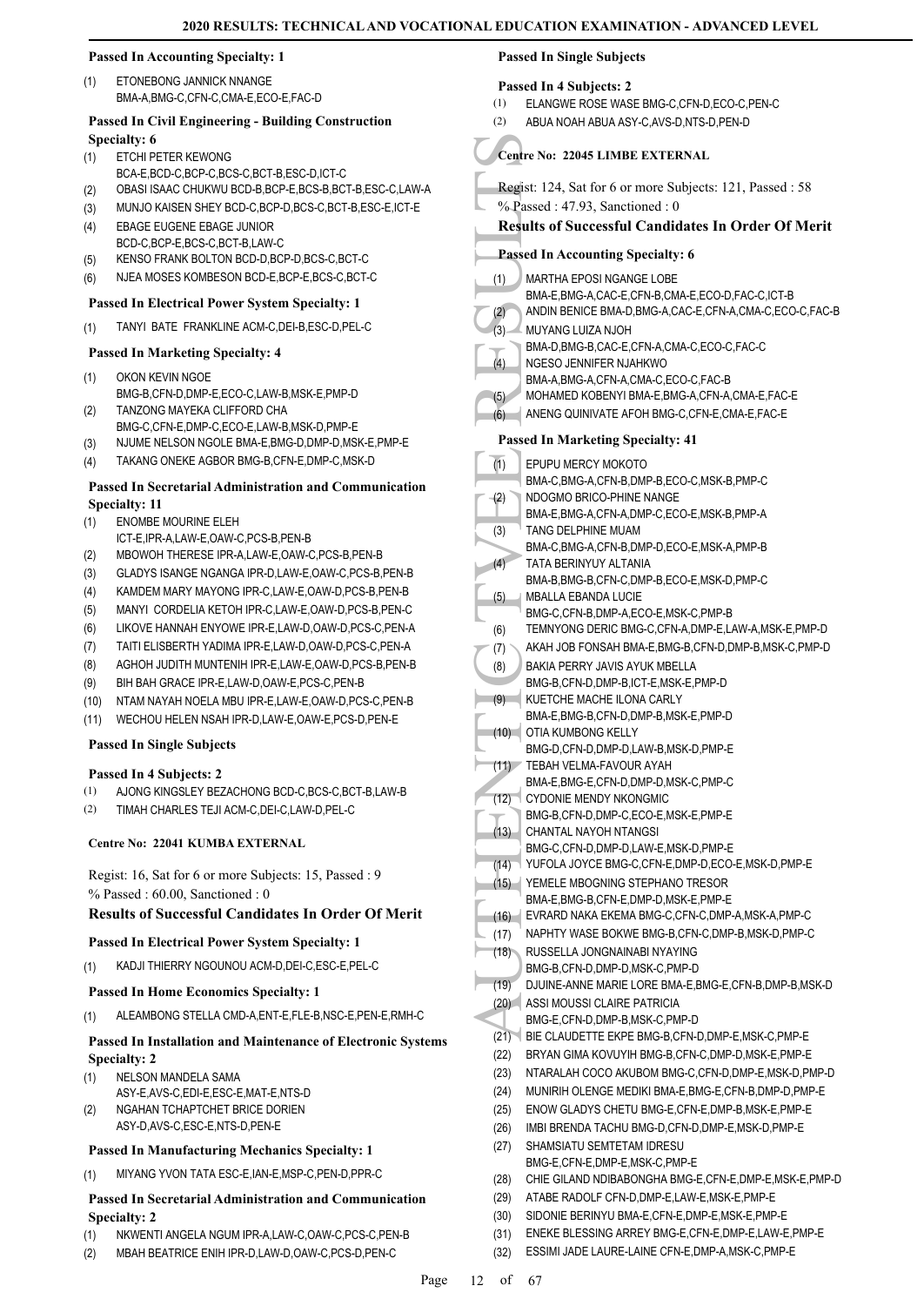#### **Passed In Accounting Specialty: 1**

ETONEBONG JANNICK NNANGE BMA-A,BMG-C,CFN-C,CMA-E,ECO-E,FAC-D (1)

#### **Passed In Civil Engineering - Building Construction Specialty: 6**

- ETCHI PETER KEWONG (1)
- BCA-E,BCD-C,BCP-C,BCS-C,BCT-B,ESC-D,ICT-C
- (2) OBASI ISAAC CHUKWU BCD-B,BCP-E,BCS-B,BCT-B,ESC-C,LAW-A
- (3) MUNJO KAISEN SHEY BCD-C,BCP-D,BCS-C,BCT-B,ESC-E,ICT-E EBAGE EUGENE EBAGE JUNIOR (4)
- BCD-C,BCP-E,BCS-C,BCT-B,LAW-C
- (5) KENSO FRANK BOLTON BCD-D,BCP-D,BCS-C,BCT-C (6) NJEA MOSES KOMBESON BCD-E,BCP-E,BCS-C,BCT-C
- **Passed In Electrical Power System Specialty: 1**
- (1) TANYI BATE FRANKLINE ACM-C,DEI-B,ESC-D,PEL-C

#### **Passed In Marketing Specialty: 4**

- OKON KEVIN NGOE BMG-B,CFN-D,DMP-E,ECO-C,LAW-B,MSK-E,PMP-D (1) TANZONG MAYEKA CLIFFORD CHA (2)
- BMG-C,CFN-E,DMP-C,ECO-E,LAW-B,MSK-D,PMP-E
- (3) NJUME NELSON NGOLE BMA-E,BMG-D,DMP-D,MSK-E,PMP-E
- (4) TAKANG ONEKE AGBOR BMG-B,CFN-E,DMP-C,MSK-D

#### **Passed In Secretarial Administration and Communication Specialty: 11**

- ENOMBE MOURINE ELEH (1)
- ICT-E,IPR-A,LAW-E,OAW-C,PCS-B,PEN-B
- (2) MBOWOH THERESE IPR-A,LAW-E,OAW-C,PCS-B,PEN-B
- (3) GLADYS ISANGE NGANGA IPR-D,LAW-E,OAW-C,PCS-B,PEN-B
- (4) KAMDEM MARY MAYONG IPR-C,LAW-E,OAW-D,PCS-B,PEN-B
- (5) MANYI CORDELIA KETOH IPR-C,LAW-E,OAW-D,PCS-B,PEN-C
- (6) LIKOVE HANNAH ENYOWE IPR-E,LAW-D,OAW-D,PCS-C,PEN-A
- (7) TAITI ELISBERTH YADIMA IPR-E,LAW-D,OAW-D,PCS-C,PEN-A
- (8) AGHOH JUDITH MUNTENIH IPR-E,LAW-E,OAW-D,PCS-B,PEN-B
- (9) BIH BAH GRACE IPR-E,LAW-D,OAW-E,PCS-C,PEN-B
- (10) NTAM NAYAH NOELA MBU IPR-E,LAW-E,OAW-D,PCS-C,PEN-B
- (11) WECHOU HELEN NSAH IPR-D,LAW-E,OAW-E,PCS-D,PEN-E

#### **Passed In Single Subjects**

#### **Passed In 4 Subjects: 2**

- (1) AJONG KINGSLEY BEZACHONG BCD-C,BCS-C,BCT-B,LAW-B
- (2) TIMAH CHARLES TEJI ACM-C,DEI-C,LAW-D,PEL-C

#### **Centre No: 22041 KUMBA EXTERNAL**

Regist: 16, Sat for 6 or more Subjects: 15, Passed : 9 % Passed : 60.00, Sanctioned : 0

# **Results of Successful Candidates In Order Of Merit**

#### **Passed In Electrical Power System Specialty: 1**

(1) KADJI THIERRY NGOUNOU ACM-D,DEI-C,ESC-E,PEL-C

#### **Passed In Home Economics Specialty: 1**

(1) ALEAMBONG STELLA CMD-A,ENT-E,FLE-B,NSC-E,PEN-E,RMH-C

#### **Passed In Installation and Maintenance of Electronic Systems Specialty: 2**

- NELSON MANDELA SAMA (1)
- ASY-E,AVS-C,EDI-E,ESC-E,MAT-E,NTS-D
- NGAHAN TCHAPTCHET BRICE DORIEN ASY-D,AVS-C,ESC-E,NTS-D,PEN-E (2)

#### **Passed In Manufacturing Mechanics Specialty: 1**

(1) MIYANG YVON TATA ESC-E,IAN-E,MSP-C,PEN-D,PPR-C

#### **Passed In Secretarial Administration and Communication Specialty: 2**

- (1) NKWENTI ANGELA NGUM IPR-A,LAW-C,OAW-C,PCS-C,PEN-B
- (2) MBAH BEATRICE ENIH IPR-D,LAW-D,OAW-C,PCS-D,PEN-C

# **Passed In Single Subjects**

#### **Passed In 4 Subjects: 2**

- (1) ELANGWE ROSE WASE BMG-C,CFN-D,ECO-C,PEN-C
- (2) ABUA NOAH ABUA ASY-C,AVS-D,NTS-D,PEN-D

# **Centre No: 22045 LIMBE EXTERNAL**

- Regist: 124, Sat for 6 or more Subjects: 121, Passed : 58
- % Passed : 47.93, Sanctioned : 0

#### **Results of Successful Candidates In Order Of Merit**

- **Passed In Accounting Specialty: 6**
- MARTHA EPOSI NGANGE LOBE (1)
- BMA-E,BMG-A,CAC-E,CFN-B,CMA-E,ECO-D,FAC-C,ICT-B
- (2) ANDIN BENICE BMA-D,BMG-A,CAC-E,CFN-A,CMA-C,ECO-C,FAC-B
- MUYANG LUIZA NJOH BMA-D,BMG-B,CAC-E,CFN-A,CMA-C,ECO-C,FAC-C (3)
- NGESO JENNIFER NJAHKWO (4)
- BMA-A,BMG-A,CFN-A,CMA-C,ECO-C,FAC-B
- (5) MOHAMED KOBENYI BMA-E,BMG-A,CFN-A,CMA-E,FAC-E
- (6) ANENG QUINIVATE AFOH BMG-C,CFN-E,CMA-E,FAC-E

#### **Passed In Marketing Specialty: 41**

For Passed In 1<br>
WARTHENTIC (1)<br>
WARTHENTIC (1)<br>
Tesuits of<br>
Passed In MARTHENTIC (1)<br>
(4)<br>
(4)<br>
(5)<br>
(6)<br>
Passed In 1<br>
EPUPU BMA-A,<br>
MOHAN, ANENG BMA-A,<br>
MOHAN, ANENG BMA-A,<br>
MOHAN, ANENG BMA-E,<br>
(5)<br>
TANG I BMA-E,<br>
(7)<br> EPUPU MERCY MOKOTO BMA-C,BMG-A,CFN-B,DMP-B,ECO-C,MSK-B,PMP-C (1) NDOGMO BRICO-PHINE NANGE BMA-E,BMG-A,CFN-A,DMP-C,ECO-E,MSK-B,PMP-A (2) TANG DELPHINE MUAM BMA-C,BMG-A,CFN-B,DMP-D,ECO-E,MSK-A,PMP-B (3) TATA BERINYUY ALTANIA BMA-B,BMG-B,CFN-C,DMP-B,ECO-E,MSK-D,PMP-C (4) MBALLA EBANDA LUCIE BMG-C,CFN-B,DMP-A,ECO-E,MSK-C,PMP-B (5) (6) TEMNYONG DERIC BMG-C,CFN-A,DMP-E,LAW-A,MSK-E,PMP-D (7) AKAH JOB FONSAH BMA-E,BMG-B,CFN-D,DMP-B,MSK-C,PMP-D BAKIA PERRY JAVIS AYUK MBELLA BMG-B,CFN-D,DMP-B,ICT-E,MSK-E,PMP-D (8) KUETCHE MACHE ILONA CARLY BMA-E,BMG-B,CFN-D,DMP-B,MSK-E,PMP-D  $(9)$ OTIA KUMBONG KELLY BMG-D,CFN-D,DMP-D,LAW-B,MSK-D,PMP-E  $(10)$ TEBAH VELMA-FAVOUR AYAH (11) BMA-E,BMG-E,CFN-D,DMP-D,MSK-C,PMP-C CYDONIE MENDY NKONGMIC BMG-B,CFN-D,DMP-C,ECO-E,MSK-E,PMP-E (12) CHANTAL NAYOH NTANGSI BMG-C,CFN-D,DMP-D,LAW-E,MSK-D,PMP-E (13) (14) YUFOLA JOYCE BMG-C,CFN-E,DMP-D,ECO-E,MSK-D,PMP-E YEMELE MBOGNING STEPHANO TRESOR (15) BMA-E,BMG-B,CFN-E,DMP-D,MSK-E,PMP-E (16) EVRARD NAKA EKEMA BMG-C,CFN-C,DMP-A,MSK-A,PMP-C (17) NAPHTY WASE BOKWE BMG-B,CFN-C,DMP-B,MSK-D,PMP-C RUSSELLA JONGNAINABI NYAYING BMG-B,CFN-D,DMP-D,MSK-C,PMP-D (18) (19) DJUINE-ANNE MARIE LORE BMA-E,BMG-E,CFN-B,DMP-B,MSK-D ASSI MOUSSI CLAIRE PATRICIA (20) BMG-E,CFN-D,DMP-B,MSK-C,PMP-D (21) BIE CLAUDETTE EKPE BMG-B,CFN-D,DMP-E,MSK-C,PMP-E (22) BRYAN GIMA KOVUYIH BMG-B,CFN-C,DMP-D,MSK-E,PMP-E (23) NTARALAH COCO AKUBOM BMG-C,CFN-D,DMP-E,MSK-D,PMP-D (24) MUNIRIH OLENGE MEDIKI BMA-E,BMG-E,CFN-B,DMP-D,PMP-E (25) ENOW GLADYS CHETU BMG-E,CFN-E,DMP-B,MSK-E,PMP-E (26) IMBI BRENDA TACHU BMG-D,CFN-D,DMP-E,MSK-D,PMP-E SHAMSIATU SEMTETAM IDRESU BMG-E,CFN-E,DMP-E,MSK-C,PMP-E (27) (28) CHIE GILAND NDIBABONGHA BMG-E,CFN-E,DMP-E,MSK-E,PMP-D (29) ATABE RADOLF CFN-D,DMP-E,LAW-E,MSK-E,PMP-E (30) SIDONIE BERINYU BMA-E,CFN-E,DMP-E,MSK-E,PMP-E (31) ENEKE BLESSING ARREY BMG-E,CFN-E,DMP-E,LAW-E,PMP-E (32) ESSIMI JADE LAURE-LAINE CFN-E,DMP-A,MSK-C,PMP-E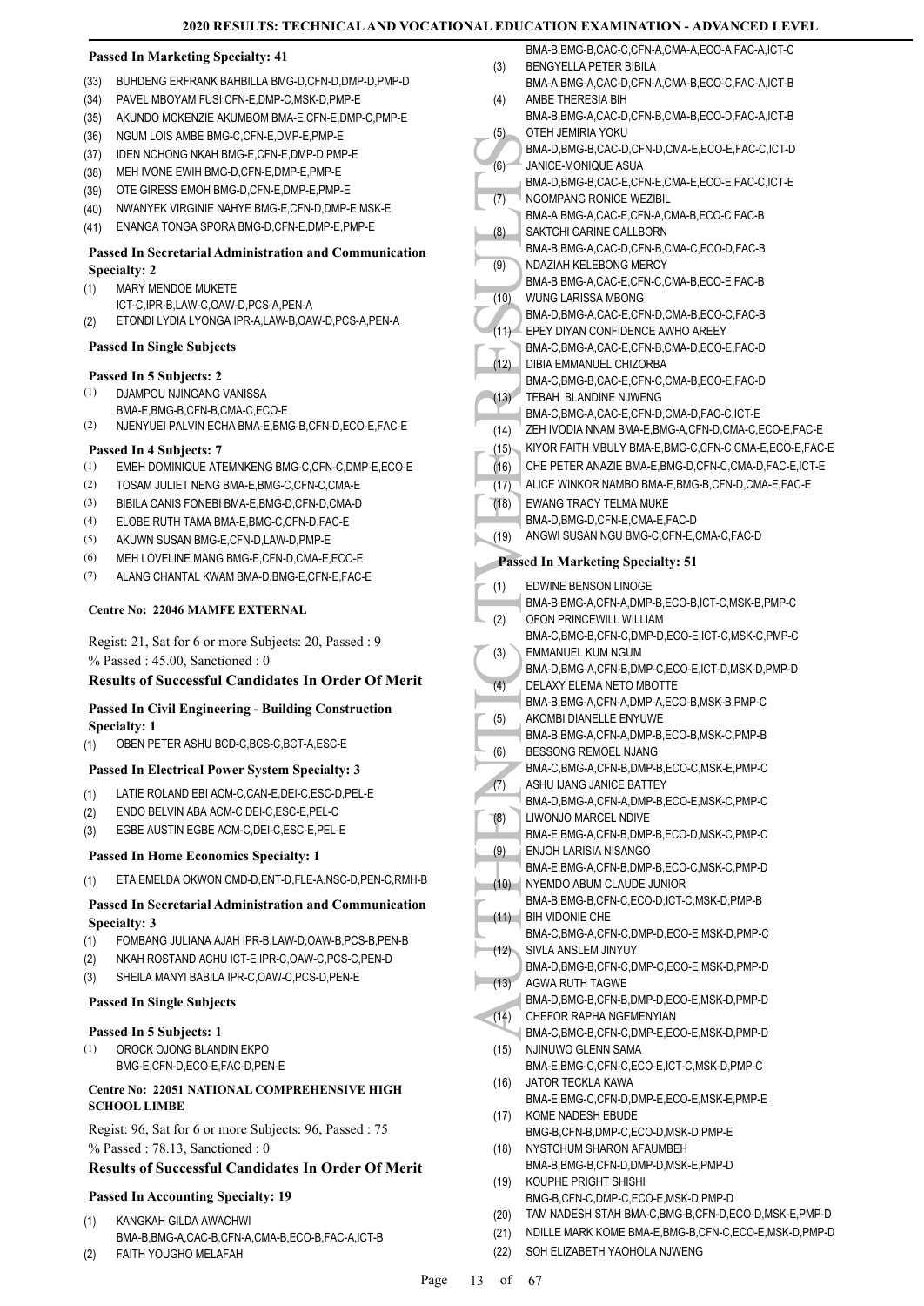#### **Passed In Marketing Specialty: 41**

- (33) BUHDENG ERFRANK BAHBILLA BMG-D,CFN-D,DMP-D,PMP-D
- (34) PAVEL MBOYAM FUSI CFN-E,DMP-C,MSK-D,PMP-E
- (35) AKUNDO MCKENZIE AKUMBOM BMA-E,CFN-E,DMP-C,PMP-E
- (36) NGUM LOIS AMBE BMG-C,CFN-E,DMP-E,PMP-E
- (37) IDEN NCHONG NKAH BMG-E,CFN-E,DMP-D,PMP-E
- (38) MEH IVONE EWIH BMG-D,CFN-E,DMP-E,PMP-E
- (39) OTE GIRESS EMOH BMG-D,CFN-E,DMP-E,PMP-E
- (40) NWANYEK VIRGINIE NAHYE BMG-E,CFN-D,DMP-E,MSK-E
- (41) ENANGA TONGA SPORA BMG-D,CFN-E,DMP-E,PMP-E

#### **Passed In Secretarial Administration and Communication Specialty: 2**

- MARY MENDOE MUKETE (1)
- ICT-C,IPR-B,LAW-C,OAW-D,PCS-A,PEN-A (2) ETONDI LYDIA LYONGA IPR-A,LAW-B,OAW-D,PCS-A,PEN-A

#### **Passed In Single Subjects**

#### **Passed In 5 Subjects: 2**

- DJAMPOU NJINGANG VANISSA (1)
- BMA-E,BMG-B,CFN-B,CMA-C,ECO-E (2) NJENYUEI PALVIN ECHA BMA-E,BMG-B,CFN-D,ECO-E,FAC-E

#### **Passed In 4 Subjects: 7**

- (1) EMEH DOMINIQUE ATEMNKENG BMG-C,CFN-C,DMP-E,ECO-E
- (2) TOSAM JULIET NENG BMA-E,BMG-C,CFN-C,CMA-E
- (3) BIBILA CANIS FONEBI BMA-E,BMG-D,CFN-D,CMA-D
- (4) ELOBE RUTH TAMA BMA-E,BMG-C,CFN-D,FAC-E
- (5) AKUWN SUSAN BMG-E,CFN-D,LAW-D,PMP-E
- (6) MEH LOVELINE MANG BMG-E,CFN-D,CMA-E,ECO-E
- (7) ALANG CHANTAL KWAM BMA-D,BMG-E,CFN-E,FAC-E

#### **Centre No: 22046 MAMFE EXTERNAL**

Regist: 21, Sat for 6 or more Subjects: 20, Passed : 9 % Passed : 45.00, Sanctioned : 0

#### **Results of Successful Candidates In Order Of Merit**

#### **Passed In Civil Engineering - Building Construction Specialty: 1**

(1) OBEN PETER ASHU BCD-C,BCS-C,BCT-A,ESC-E

#### **Passed In Electrical Power System Specialty: 3**

- (1) LATIE ROLAND EBI ACM-C,CAN-E,DEI-C,ESC-D,PEL-E
- (2) ENDO BELVIN ABA ACM-C,DEI-C,ESC-E,PEL-C
- (3) EGBE AUSTIN EGBE ACM-C,DEI-C,ESC-E,PEL-E

#### **Passed In Home Economics Specialty: 1**

(1) ETA EMELDA OKWON CMD-D,ENT-D,FLE-A,NSC-D,PEN-C,RMH-B

#### **Passed In Secretarial Administration and Communication Specialty: 3**

- (1) FOMBANG JULIANA AJAH IPR-B,LAW-D,OAW-B,PCS-B,PEN-B
- (2) NKAH ROSTAND ACHU ICT-E,IPR-C,OAW-C,PCS-C,PEN-D
- (3) SHEILA MANYI BABILA IPR-C,OAW-C,PCS-D,PEN-E

#### **Passed In Single Subjects**

#### **Passed In 5 Subjects: 1**

OROCK OJONG BLANDIN EKPO BMG-E,CFN-D,ECO-E,FAC-D,PEN-E (1)

#### **Centre No: 22051 NATIONAL COMPREHENSIVE HIGH SCHOOL LIMBE**

Regist: 96, Sat for 6 or more Subjects: 96, Passed : 75 % Passed : 78.13, Sanctioned : 0

#### **Results of Successful Candidates In Order Of Merit**

#### **Passed In Accounting Specialty: 19**

- KANGKAH GILDA AWACHWI BMA-B,BMG-A,CAC-B,CFN-A,CMA-B,ECO-B,FAC-A,ICT-B (1)
- (2) FAITH YOUGHO MELAFAH

|      | BMA-B, BMG-B, CAC-C, CFN-A, CMA-A, ECO-A, FAC-A, ICT-C                    |
|------|---------------------------------------------------------------------------|
| (3)  | <b>BENGYELLA PETER BIBILA</b>                                             |
|      | BMA-A,BMG-A,CAC-D,CFN-A,CMA-B,ECO-C,FAC-A,ICT-B                           |
| (4)  | AMBE THERESIA BIH                                                         |
|      | BMA-B, BMG-A, CAC-D, CFN-B, CMA-B, ECO-D, FAC-A, ICT-B                    |
| (5)  | OTEH JEMIRIA YOKU                                                         |
| (6)  | BMA-D,BMG-B,CAC-D,CFN-D,CMA-E,ECO-E,FAC-C,ICT-D<br>JANICE-MONIQUE ASUA    |
|      | BMA-D,BMG-B,CAC-E,CFN-E,CMA-E,ECO-E,FAC-C,ICT-E                           |
| (7)  | NGOMPANG RONICE WEZIBIL                                                   |
|      | BMA-A, BMG-A, CAC-E, CFN-A, CMA-B, ECO-C, FAC-B                           |
| (8)  | SAKTCHI CARINE CALLBORN                                                   |
|      | BMA-B, BMG-A, CAC-D, CFN-B, CMA-C, ECO-D, FAC-B                           |
| (9)  | NDAZIAH KELEBONG MERCY                                                    |
|      | BMA-B, BMG-A, CAC-E, CFN-C, CMA-B, ECO-E, FAC-B                           |
| (10) | WUNG LARISSA MBONG                                                        |
|      | BMA-D, BMG-A, CAC-E, CFN-D, CMA-B, ECO-C, FAC-B                           |
| (11) | EPEY DIYAN CONFIDENCE AWHO AREEY                                          |
|      | BMA-C,BMG-A,CAC-E,CFN-B,CMA-D,ECO-E,FAC-D                                 |
| (12) | DIBIA EMMANUEL CHIZORBA                                                   |
|      | BMA-C,BMG-B,CAC-E,CFN-C,CMA-B,ECO-E,FAC-D                                 |
| (13) | TEBAH BLANDINE NJWENG                                                     |
|      | BMA-C, BMG-A, CAC-E, CFN-D, CMA-D, FAC-C, ICT-E                           |
| (14) | ZEH IVODIA NNAM BMA-E,BMG-A,CFN-D,CMA-C,ECO-E,FAC-E                       |
| (15) | KIYOR FAITH MBULY BMA-E, BMG-C, CFN-C, CMA-E, ECO-E, FAC-E                |
| (16) | CHE PETER ANAZIE BMA-E, BMG-D, CFN-C, CMA-D, FAC-E, ICT-E                 |
| (17) | ALICE WINKOR NAMBO BMA-E, BMG-B, CFN-D, CMA-E, FAC-E                      |
| (18) | <b>EWANG TRACY TELMA MUKE</b>                                             |
|      | BMA-D, BMG-D, CFN-E, CMA-E, FAC-D                                         |
| (19) | ANGWI SUSAN NGU BMG-C, CFN-E, CMA-C, FAC-D                                |
|      | <b>Passed In Marketing Specialty: 51</b>                                  |
| (1)  | EDWINE BENSON LINOGE                                                      |
|      | BMA-B,BMG-A,CFN-A,DMP-B,ECO-B,ICT-C,MSK-B,PMP-C                           |
| (2)  | OFON PRINCEWILL WILLIAM                                                   |
|      | BMA-C,BMG-B,CFN-C,DMP-D,ECO-E,ICT-C,MSK-C,PMP-C                           |
| (3)  | EMMANUEL KUM NGUM                                                         |
|      | BMA-D, BMG-A, CFN-B, DMP-C, ECO-E, ICT-D, MSK-D, PMP-D                    |
| (4)  | DELAXY ELEMA NETO MBOTTE                                                  |
|      | BMA-B,BMG-A,CFN-A,DMP-A,ECO-B,MSK-B,PMP-C                                 |
| (5)  | AKOMBI DIANELLE ENYUWE<br>BMA-B, BMG-A, CFN-A, DMP-B, ECO-B, MSK-C, PMP-B |
| (6)  | BESSONG REMOEL NJANG                                                      |
|      | BMA-C, BMG-A, CFN-B, DMP-B, ECO-C, MSK-E, PMP-C                           |
| (7)  | ASHU IJANG JANICE BATTEY                                                  |
|      | BMA-D, BMG-A, CFN-A, DMP-B, ECO-E, MSK-C, PMP-C                           |
| (8)  | LIWONJO MARCEL NDIVE                                                      |
|      | BMA-E,BMG-A,CFN-B,DMP-B,ECO-D,MSK-C,PMP-C                                 |
| (9)  | ENJOH LARISIA NISANGO                                                     |
|      | BMA-E,BMG-A,CFN-B,DMP-B,ECO-C,MSK-C,PMP-D                                 |
| (10) | NYEMDO ABUM CLAUDE JUNIOR                                                 |
|      | BMA-B, BMG-B, CFN-C, ECO-D, ICT-C, MSK-D, PMP-B                           |
| (11) | <b>BIH VIDONIE CHE</b>                                                    |
|      | BMA-C,BMG-A,CFN-C,DMP-D,ECO-E,MSK-D,PMP-C                                 |
| (12) | SIVLA ANSLEM JINYUY<br>BMA-D,BMG-B,CFN-C,DMP-C,ECO-E,MSK-D,PMP-D          |
| (13) | AGWA RUTH TAGWE                                                           |
|      | BMA-D,BMG-B,CFN-B,DMP-D,ECO-E,MSK-D,PMP-D                                 |
| (14) | CHEFOR RAPHA NGEMENYIAN                                                   |
|      | BMA-C,BMG-B,CFN-C,DMP-E,ECO-E,MSK-D,PMP-D                                 |
| (15) | NJINUWO GLENN SAMA                                                        |
|      | BMA-E,BMG-C,CFN-C,ECO-E,ICT-C,MSK-D,PMP-C                                 |
|      | <b>JATOR TECKLA KAWA</b>                                                  |
| (16) |                                                                           |
|      | BMA-E,BMG-C,CFN-D,DMP-E,ECO-E,MSK-E,PMP-E                                 |
| (17) | KOME NADESH EBUDE                                                         |
| (18) | BMG-B,CFN-B,DMP-C,ECO-D,MSK-D,PMP-E<br>NYSTCHUM SHARON AFAUMBEH           |

- BMA-B,BMG-B,CFN-D,DMP-D,MSK-E,PMP-D KOUPHE PRIGHT SHISHI (19)
- BMG-B,CFN-C,DMP-C,ECO-E,MSK-D,PMP-D
- (20) TAM NADESH STAH BMA-C,BMG-B,CFN-D,ECO-D,MSK-E,PMP-D
- (21) NDILLE MARK KOME BMA-E,BMG-B,CFN-C,ECO-E,MSK-D,PMP-D
- (22) SOH ELIZABETH YAOHOLA NJWENG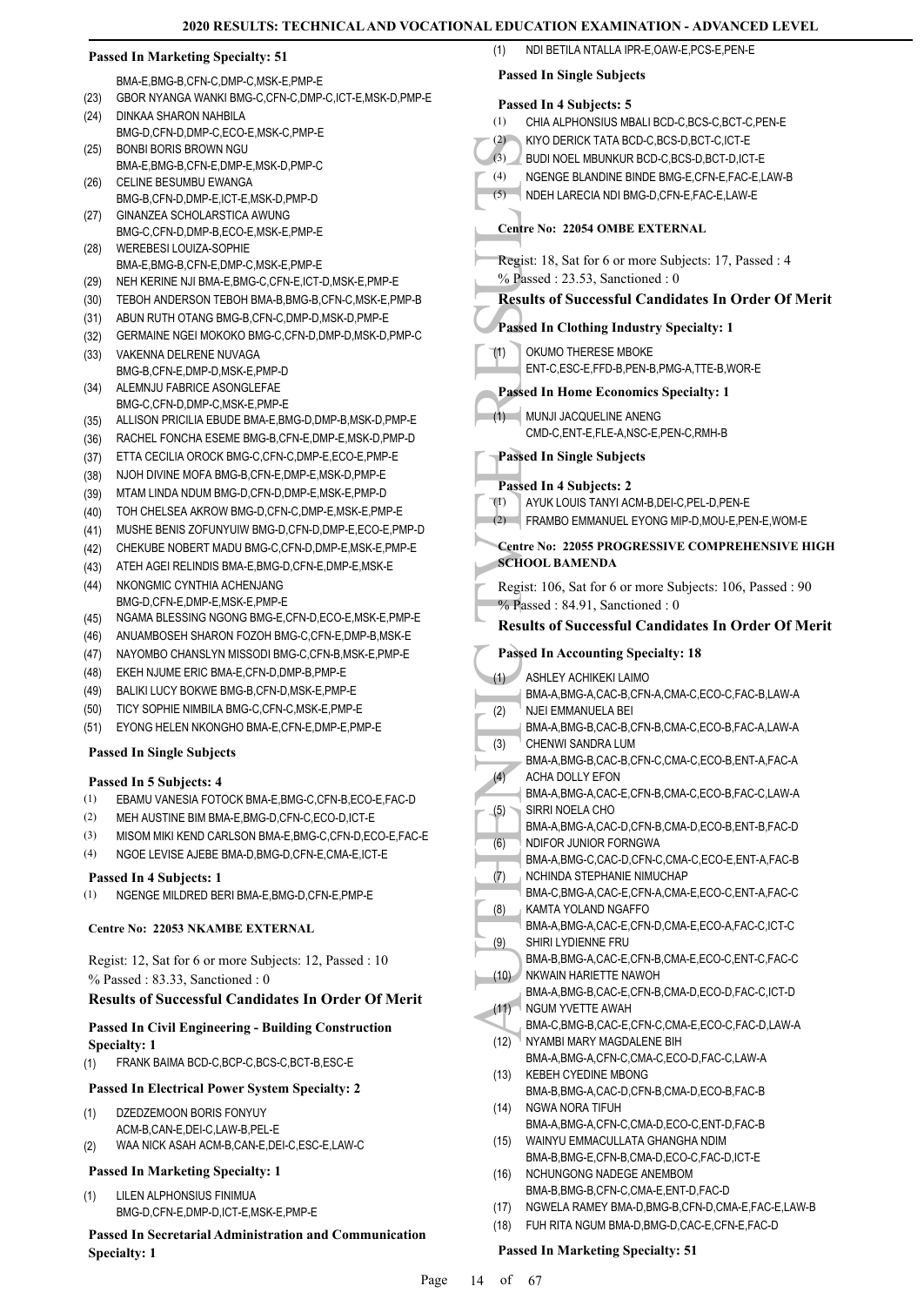| <b>Passed In Marketing Specialty: 51</b> |                                                                                               | NDI BETILA NTALLA IPR-E, OAW-E, PCS-E, PEN-E<br>(1)                                        |  |
|------------------------------------------|-----------------------------------------------------------------------------------------------|--------------------------------------------------------------------------------------------|--|
|                                          | BMA-E, BMG-B, CFN-C, DMP-C, MSK-E, PMP-E                                                      | <b>Passed In Single Subjects</b>                                                           |  |
| (23)                                     | GBOR NYANGA WANKI BMG-C, CFN-C, DMP-C, ICT-E, MSK-D, PMP-E                                    |                                                                                            |  |
| (24)                                     | DINKAA SHARON NAHBILA                                                                         | Passed In 4 Subjects: 5<br>CHIA ALPHONSIUS MBALI BCD-C,BCS-C,BCT-C,PEN-E<br>(1)            |  |
|                                          | BMG-D,CFN-D,DMP-C,ECO-E,MSK-C,PMP-E                                                           | KIYO DERICK TATA BCD-C, BCS-D, BCT-C, ICT-E<br>(2)                                         |  |
| (25)                                     | BONBI BORIS BROWN NGU                                                                         | (3)<br>BUDI NOEL MBUNKUR BCD-C, BCS-D, BCT-D, ICT-E                                        |  |
| (26)                                     | BMA-E,BMG-B,CFN-E,DMP-E,MSK-D,PMP-C<br>CELINE BESUMBU EWANGA                                  | NGENGE BLANDINE BINDE BMG-E,CFN-E,FAC-E,LAW-B<br>(4)                                       |  |
|                                          | BMG-B,CFN-D,DMP-E,ICT-E,MSK-D,PMP-D                                                           | (5)<br>NDEH LARECIA NDI BMG-D,CFN-E,FAC-E,LAW-E                                            |  |
| (27)                                     | GINANZEA SCHOLARSTICA AWUNG                                                                   |                                                                                            |  |
|                                          | BMG-C,CFN-D,DMP-B,ECO-E,MSK-E,PMP-E                                                           | <b>Centre No: 22054 OMBE EXTERNAL</b>                                                      |  |
| (28)                                     | WEREBESI LOUIZA-SOPHIE<br>BMA-E, BMG-B, CFN-E, DMP-C, MSK-E, PMP-E                            | Regist: 18, Sat for 6 or more Subjects: 17, Passed : 4                                     |  |
| (29)                                     | NEH KERINE NJI BMA-E, BMG-C, CFN-E, ICT-D, MSK-E, PMP-E                                       | % Passed: 23.53, Sanctioned: 0                                                             |  |
| (30)                                     | TEBOH ANDERSON TEBOH BMA-B, BMG-B, CFN-C, MSK-E, PMP-B                                        | <b>Results of Successful Candidates In Order Of Merit</b>                                  |  |
| (31)                                     | ABUN RUTH OTANG BMG-B,CFN-C,DMP-D,MSK-D,PMP-E                                                 |                                                                                            |  |
| (32)                                     | GERMAINE NGEI MOKOKO BMG-C, CFN-D, DMP-D, MSK-D, PMP-C                                        | <b>Passed In Clothing Industry Specialty: 1</b>                                            |  |
| (33)                                     | VAKENNA DELRENE NUVAGA                                                                        | OKUMO THERESE MBOKE<br>(1)                                                                 |  |
|                                          | BMG-B,CFN-E,DMP-D,MSK-E,PMP-D                                                                 | ENT-C,ESC-E,FFD-B,PEN-B,PMG-A,TTE-B,WOR-E                                                  |  |
| (34)                                     | ALEMNJU FABRICE ASONGLEFAE<br>BMG-C,CFN-D,DMP-C,MSK-E,PMP-E                                   | <b>Passed In Home Economics Specialty: 1</b>                                               |  |
| (35)                                     | ALLISON PRICILIA EBUDE BMA-E, BMG-D, DMP-B, MSK-D, PMP-E                                      | (1) MUNJI JACQUELINE ANENG                                                                 |  |
| (36)                                     | RACHEL FONCHA ESEME BMG-B, CFN-E, DMP-E, MSK-D, PMP-D                                         | CMD-C, ENT-E, FLE-A, NSC-E, PEN-C, RMH-B                                                   |  |
| (37)                                     | ETTA CECILIA OROCK BMG-C, CFN-C, DMP-E, ECO-E, PMP-E                                          | <b>Passed In Single Subjects</b>                                                           |  |
| (38)                                     | NJOH DIVINE MOFA BMG-B,CFN-E,DMP-E,MSK-D,PMP-E                                                | Passed In 4 Subjects: 2                                                                    |  |
| (39)                                     | MTAM LINDA NDUM BMG-D,CFN-D,DMP-E,MSK-E,PMP-D                                                 | (1)<br>AYUK LOUIS TANYI ACM-B, DEI-C, PEL-D, PEN-E                                         |  |
| (40)                                     | TOH CHELSEA AKROW BMG-D, CFN-C, DMP-E, MSK-E, PMP-E                                           | (2)<br>FRAMBO EMMANUEL EYONG MIP-D, MOU-E, PEN-E, WOM-E                                    |  |
| (41)                                     | MUSHE BENIS ZOFUNYUIW BMG-D, CFN-D, DMP-E, ECO-E, PMP-D                                       |                                                                                            |  |
| (42)                                     | CHEKUBE NOBERT MADU BMG-C,CFN-D,DMP-E,MSK-E,PMP-E                                             | <b>Centre No: 22055 PROGRESSIVE COMPREHENSIVE HIGH</b><br><b>SCHOOL BAMENDA</b>            |  |
| (43)<br>(44)                             | ATEH AGEI RELINDIS BMA-E, BMG-D, CFN-E, DMP-E, MSK-E<br>NKONGMIC CYNTHIA ACHENJANG            |                                                                                            |  |
|                                          | BMG-D,CFN-E,DMP-E,MSK-E,PMP-E                                                                 | Regist: 106, Sat for 6 or more Subjects: 106, Passed: 90<br>% Passed: 84.91, Sanctioned: 0 |  |
| (45)                                     | NGAMA BLESSING NGONG BMG-E,CFN-D,ECO-E,MSK-E,PMP-E                                            | <b>Results of Successful Candidates In Order Of Merit</b>                                  |  |
| (46)                                     | ANUAMBOSEH SHARON FOZOH BMG-C, CFN-E, DMP-B, MSK-E                                            |                                                                                            |  |
| (47)                                     | NAYOMBO CHANSLYN MISSODI BMG-C, CFN-B, MSK-E, PMP-E                                           | <b>Passed In Accounting Specialty: 18</b>                                                  |  |
| (48)                                     | EKEH NJUME ERIC BMA-E,CFN-D,DMP-B,PMP-E                                                       | ASHLEY ACHIKEKI LAIMO<br>(1)                                                               |  |
| (49)                                     | BALIKI LUCY BOKWE BMG-B,CFN-D,MSK-E,PMP-E                                                     | BMA-A,BMG-A,CAC-B,CFN-A,CMA-C,ECO-C,FAC-B,LAW-A                                            |  |
| (50)                                     | TICY SOPHIE NIMBILA BMG-C, CFN-C, MSK-E, PMP-E<br>EYONG HELEN NKONGHO BMA-E,CFN-E,DMP-E,PMP-E | (2)<br>NJEI EMMANUELA BEI                                                                  |  |
| (51)                                     |                                                                                               | BMA-A,BMG-B,CAC-B,CFN-B,CMA-C,ECO-B,FAC-A,LAW-A<br>CHENWI SANDRA LUM<br>(3)                |  |
|                                          | <b>Passed In Single Subjects</b>                                                              | BMA-A,BMG-B,CAC-B,CFN-C,CMA-C,ECO-B,ENT-A,FAC-A                                            |  |
|                                          | Passed In 5 Subjects: 4                                                                       | (4)<br>ACHA DOLLY EFON                                                                     |  |
| (1)                                      | EBAMU VANESIA FOTOCK BMA-E, BMG-C, CFN-B, ECO-E, FAC-D                                        | BMA-A, BMG-A, CAC-E, CFN-B, CMA-C, ECO-B, FAC-C, LAW-A<br>SIRRI NOELA CHO                  |  |
| (2)                                      | MEH AUSTINE BIM BMA-E, BMG-D, CFN-C, ECO-D, ICT-E                                             | (5)<br>BMA-A, BMG-A, CAC-D, CFN-B, CMA-D, ECO-B, ENT-B, FAC-D                              |  |
| (3)                                      | MISOM MIKI KEND CARLSON BMA-E, BMG-C, CFN-D, ECO-E, FAC-E                                     | (6)<br>NDIFOR JUNIOR FORNGWA                                                               |  |
| (4)                                      | NGOE LEVISE AJEBE BMA-D, BMG-D, CFN-E, CMA-E, ICT-E                                           | BMA-A, BMG-C, CAC-D, CFN-C, CMA-C, ECO-E, ENT-A, FAC-B                                     |  |
|                                          | Passed In 4 Subjects: 1                                                                       | (7)<br>NCHINDA STEPHANIE NIMUCHAP                                                          |  |
| (1)                                      | NGENGE MILDRED BERI BMA-E, BMG-D, CFN-E, PMP-E                                                | BMA-C,BMG-A,CAC-E,CFN-A,CMA-E,ECO-C,ENT-A,FAC-C<br>KAMTA YOLAND NGAFFO<br>(8)              |  |
|                                          | Centre No: 22053 NKAMBE EXTERNAL                                                              | BMA-A,BMG-A,CAC-E,CFN-D,CMA-E,ECO-A,FAC-C,ICT-C                                            |  |
|                                          |                                                                                               | SHIRI LYDIENNE FRU<br>(9)                                                                  |  |
|                                          | Regist: 12, Sat for 6 or more Subjects: 12, Passed : 10                                       | BMA-B,BMG-A,CAC-E,CFN-B,CMA-E,ECO-C,ENT-C,FAC-C                                            |  |
|                                          | $%$ Passed: 83.33, Sanctioned: 0                                                              | NKWAIN HARIETTE NAWOH<br>(10)<br>BMA-A,BMG-B,CAC-E,CFN-B,CMA-D,ECO-D,FAC-C,ICT-D           |  |
|                                          | <b>Results of Successful Candidates In Order Of Merit</b>                                     | (11)<br>NGUM YVETTE AWAH                                                                   |  |
|                                          | <b>Passed In Civil Engineering - Building Construction</b>                                    | BMA-C,BMG-B,CAC-E,CFN-C,CMA-E,ECO-C,FAC-D,LAW-A                                            |  |
|                                          | <b>Specialty: 1</b>                                                                           | NYAMBI MARY MAGDALENE BIH<br>(12)                                                          |  |
| (1)                                      | FRANK BAIMA BCD-C, BCP-C, BCS-C, BCT-B, ESC-E                                                 | BMA-A,BMG-A,CFN-C,CMA-C,ECO-D,FAC-C,LAW-A<br><b>KEBEH CYEDINE MBONG</b><br>(13)            |  |
|                                          | <b>Passed In Electrical Power System Specialty: 2</b>                                         | BMA-B, BMG-A, CAC-D, CFN-B, CMA-D, ECO-B, FAC-B                                            |  |
| (1)                                      | DZEDZEMOON BORIS FONYUY                                                                       | NGWA NORA TIFUH<br>(14)                                                                    |  |
|                                          | ACM-B,CAN-E,DEI-C,LAW-B,PEL-E                                                                 | BMA-A, BMG-A, CFN-C, CMA-D, ECO-C, ENT-D, FAC-B                                            |  |
| (2)                                      | WAA NICK ASAH ACM-B,CAN-E,DEI-C,ESC-E,LAW-C                                                   | (15)<br>WAINYU EMMACULLATA GHANGHA NDIM                                                    |  |
|                                          | <b>Passed In Marketing Specialty: 1</b>                                                       | BMA-B, BMG-E, CFN-B, CMA-D, ECO-C, FAC-D, ICT-E<br>(16)<br>NCHUNGONG NADEGE ANEMBOM        |  |
| (1)                                      | LILEN ALPHONSIUS FINIMUA                                                                      | BMA-B, BMG-B, CFN-C, CMA-E, ENT-D, FAC-D                                                   |  |
|                                          | BMG-D,CFN-E,DMP-D,ICT-E,MSK-E,PMP-E                                                           | NGWELA RAMEY BMA-D, BMG-B, CFN-D, CMA-E, FAC-E, LAW-B<br>(17)                              |  |
|                                          | <b>Passed In Secretarial Administration and Communication</b>                                 | FUH RITA NGUM BMA-D, BMG-D, CAC-E, CFN-E, FAC-D<br>(18)                                    |  |
|                                          | <b>Specialty: 1</b>                                                                           | <b>Passed In Marketing Specialty: 51</b>                                                   |  |
|                                          | $D_{0}$                                                                                       | $\alpha f = 67$<br>1 <sub>A</sub>                                                          |  |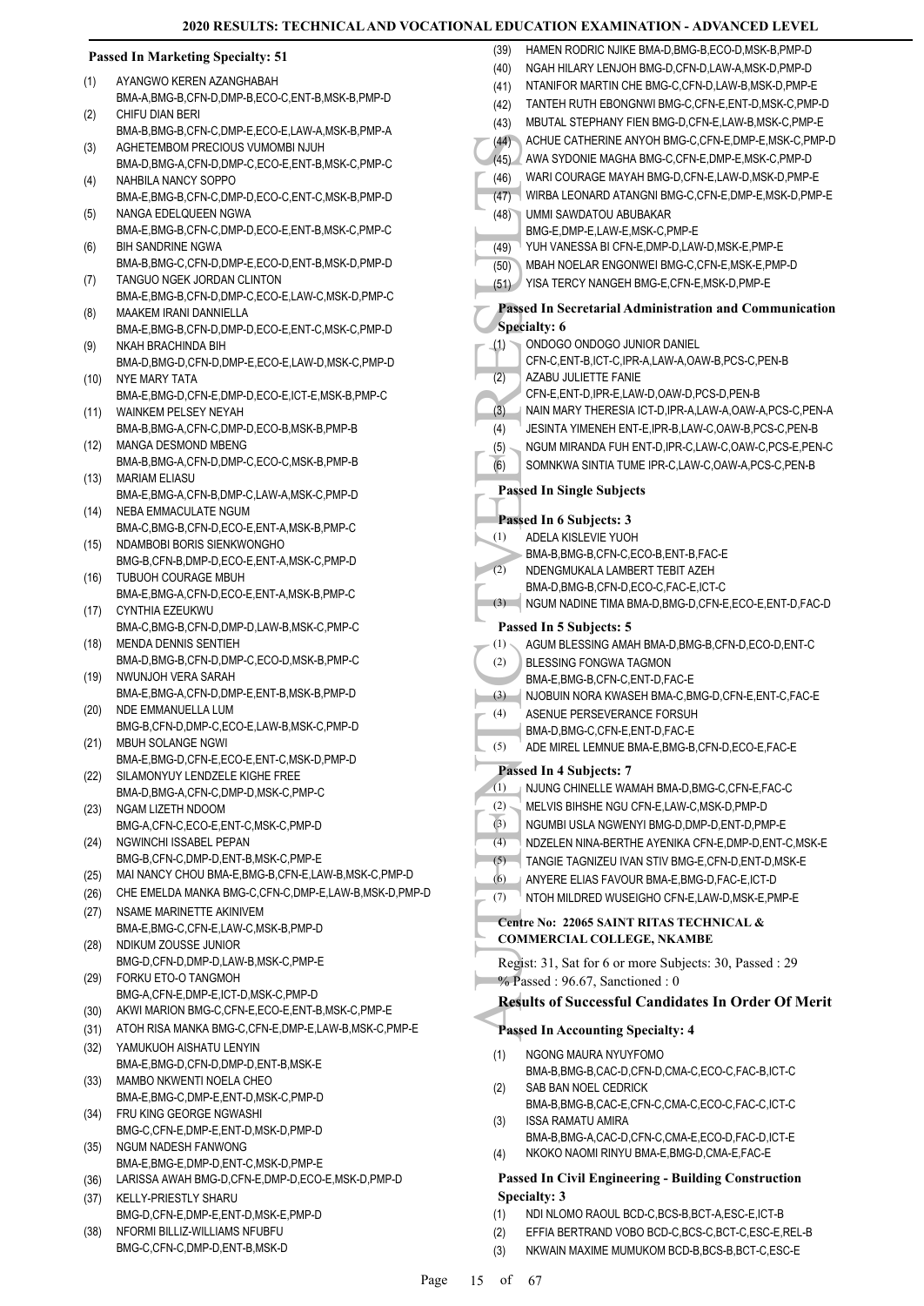#### **Passed In Marketing Specialty: 51**

- AYANGWO KEREN AZANGHABAH BMA-A,BMG-B,CFN-D,DMP-B,ECO-C,ENT-B,MSK-B,PMP-D (1)
- CHIFU DIAN BERI BMA-B,BMG-B,CFN-C,DMP-E,ECO-E,LAW-A,MSK-B,PMP-A (2)
- AGHETEMBOM PRECIOUS VUMOMBI NJUH BMA-D,BMG-A,CFN-D,DMP-C,ECO-E,ENT-B,MSK-C,PMP-C (3)
- NAHBILA NANCY SOPPO (4)
- BMA-E,BMG-B,CFN-C,DMP-D,ECO-C,ENT-C,MSK-B,PMP-D NANGA EDELQUEEN NGWA (5)
- BMA-E,BMG-B,CFN-C,DMP-D,ECO-E,ENT-B,MSK-C,PMP-C BIH SANDRINE NGWA (6)
- BMA-B,BMG-C,CFN-D,DMP-E,ECO-D,ENT-B,MSK-D,PMP-D TANGUO NGEK JORDAN CLINTON (7)
- BMA-E,BMG-B,CFN-D,DMP-C,ECO-E,LAW-C,MSK-D,PMP-C MAAKEM IRANI DANNIELLA (8)
- BMA-E,BMG-B,CFN-D,DMP-D,ECO-E,ENT-C,MSK-C,PMP-D NKAH BRACHINDA BIH (9)
- BMA-D,BMG-D,CFN-D,DMP-E,ECO-E,LAW-D,MSK-C,PMP-D NYE MARY TATA (10)
- BMA-E,BMG-D,CFN-E,DMP-D,ECO-E,ICT-E,MSK-B,PMP-C WAINKEM PELSEY NEYAH (11)
- BMA-B,BMG-A,CFN-C,DMP-D,ECO-B,MSK-B,PMP-B MANGA DESMOND MBENG  $(12)$
- BMA-B,BMG-A,CFN-D,DMP-C,ECO-C,MSK-B,PMP-B MARIAM ELIASU (13)
- BMA-E,BMG-A,CFN-B,DMP-C,LAW-A,MSK-C,PMP-D NEBA EMMACULATE NGUM (14)
- BMA-C,BMG-B,CFN-D,ECO-E,ENT-A,MSK-B,PMP-C NDAMBOBI BORIS SIENKWONGHO (15)
- BMG-B,CFN-B,DMP-D,ECO-E,ENT-A,MSK-C,PMP-D TUBUOH COURAGE MBUH (16)
- BMA-E,BMG-A,CFN-D,ECO-E,ENT-A,MSK-B,PMP-C CYNTHIA EZEUKWU
- BMA-C,BMG-B,CFN-D,DMP-D,LAW-B,MSK-C,PMP-C (17) MENDA DENNIS SENTIEH
- BMA-D,BMG-B,CFN-D,DMP-C,ECO-D,MSK-B,PMP-C (18) NWUNJOH VERA SARAH (19)
- BMA-E,BMG-A,CFN-D,DMP-E,ENT-B,MSK-B,PMP-D NDE EMMANUELLA LUM (20)
- BMG-B,CFN-D,DMP-C,ECO-E,LAW-B,MSK-C,PMP-D MBUH SOLANGE NGWI (21)
- BMA-E,BMG-D,CFN-E,ECO-E,ENT-C,MSK-D,PMP-D SILAMONYUY LENDZELE KIGHE FREE (22)
- BMA-D,BMG-A,CFN-C,DMP-D,MSK-C,PMP-C
- NGAM LIZETH NDOOM BMG-A,CFN-C,ECO-E,ENT-C,MSK-C,PMP-D (23)
- NGWINCHI ISSABEL PEPAN BMG-B,CFN-C,DMP-D,ENT-B,MSK-C,PMP-E (24)
- (25) MAI NANCY CHOU BMA-E,BMG-B,CFN-E,LAW-B,MSK-C,PMP-D
- (26) CHE EMELDA MANKA BMG-C,CFN-C,DMP-E,LAW-B,MSK-D,PMP-D
- NSAME MARINETTE AKINIVEM BMA-E,BMG-C,CFN-E,LAW-C,MSK-B,PMP-D (27) NDIKUM ZOUSSE JUNIOR (28)
- BMG-D,CFN-D,DMP-D,LAW-B,MSK-C,PMP-E FORKU ETO-O TANGMOH (29)
- BMG-A,CFN-E,DMP-E,ICT-D,MSK-C,PMP-D
- (30) AKWI MARION BMG-C,CFN-E,ECO-E,ENT-B,MSK-C,PMP-E
- (31) ATOH RISA MANKA BMG-C,CFN-E,DMP-E,LAW-B,MSK-C,PMP-E YAMUKUOH AISHATU LENYIN (32)
- BMA-E,BMG-D,CFN-D,DMP-D,ENT-B,MSK-E MAMBO NKWENTI NOELA CHEO (33)
- BMA-E,BMG-C,DMP-E,ENT-D,MSK-C,PMP-D FRU KING GEORGE NGWASHI (34)
- BMG-C,CFN-E,DMP-E,ENT-D,MSK-D,PMP-D NGUM NADESH FANWONG
- BMA-E,BMG-E,DMP-D,ENT-C,MSK-D,PMP-E (35)
- (36) LARISSA AWAH BMG-D,CFN-E,DMP-D,ECO-E,MSK-D,PMP-D
- KELLY-PRIESTLY SHARU BMG-D,CFN-E,DMP-E,ENT-D,MSK-E,PMP-D (37)
- NFORMI BILLIZ-WILLIAMS NFUBFU BMG-C,CFN-C,DMP-D,ENT-B,MSK-D (38)
- (44) ACHUE<br>
(45) AWA S'<br>
(46) WARIC<br>
(47) WIRBA<br>
(47) WIRBA<br>
(47) WIRBA<br>
(47) WIRBA<br>
BMG-E,<br>
(49) VUH V/<br>
MBAH I<br>
YISA TI<br>
Passed In Specialty:<br>
(1) ONDOC<br>
CFN-C,<br>
(2) AZABU<br>
CFN-C,<br>
(2) AZABU<br>
CFN-C,<br>
(3) NGUM JESINT<br>
NGU (39) HAMEN RODRIC NJIKE BMA-D, BMG-B, ECO-D, MSK-B, PMP-D (40) NGAH HILARY LENJOH BMG-D,CFN-D,LAW-A,MSK-D,PMP-D (41) NTANIFOR MARTIN CHE BMG-C,CFN-D,LAW-B,MSK-D,PMP-E (42) TANTEH RUTH EBONGNWI BMG-C,CFN-E,ENT-D,MSK-C,PMP-D (43) MBUTAL STEPHANY FIEN BMG-D,CFN-E,LAW-B,MSK-C,PMP-E (44) ACHUE CATHERINE ANYOH BMG-C,CFN-E,DMP-E,MSK-C,PMP-D (45) AWA SYDONIE MAGHA BMG-C,CFN-E,DMP-E,MSK-C,PMP-D (46) WARI COURAGE MAYAH BMG-D,CFN-E,LAW-D,MSK-D,PMP-E (47) WIRBA LEONARD ATANGNI BMG-C,CFN-E,DMP-E,MSK-D,PMP-E UMMI SAWDATOU ABUBAKAR BMG-E,DMP-E,LAW-E,MSK-C,PMP-E  $(48)$ (49) YUH VANESSA BI CFN-E,DMP-D,LAW-D,MSK-E,PMP-E (50) MBAH NOELAR ENGONWEI BMG-C,CFN-E,MSK-E,PMP-D (51) YISA TERCY NANGEH BMG-E,CFN-E,MSK-D,PMP-E **Passed In Secretarial Administration and Communication Specialty: 6** ONDOGO ONDOGO JUNIOR DANIEL CFN-C,ENT-B,ICT-C,IPR-A,LAW-A,OAW-B,PCS-C,PEN-B (1) AZABU JULIETTE FANIE CFN-E,ENT-D,IPR-E,LAW-D,OAW-D,PCS-D,PEN-B (2) (3) NAIN MARY THERESIA ICT-D,IPR-A,LAW-A,OAW-A,PCS-C,PEN-A (4) JESINTA YIMENEH ENT-E,IPR-B,LAW-C,OAW-B,PCS-C,PEN-B (5) NGUM MIRANDA FUH ENT-D,IPR-C,LAW-C,OAW-C,PCS-E,PEN-C (6) SOMNKWA SINTIA TUME IPR-C,LAW-C,OAW-A,PCS-C,PEN-B **Passed In Single Subjects Passed In 6 Subjects: 3** ADELA KISLEVIE YUOH BMA-B,BMG-B,CFN-C,ECO-B,ENT-B,FAC-E (1) NDENGMUKALA LAMBERT TEBIT AZEH BMA-D,BMG-B,CFN-D,ECO-C,FAC-E,ICT-C  $(2)$ (3) NGUM NADINE TIMA BMA-D,BMG-D,CFN-E,ECO-E,ENT-D,FAC-D **Passed In 5 Subjects: 5** (1) AGUM BLESSING AMAH BMA-D,BMG-B,CFN-D,ECO-D,ENT-C BLESSING FONGWA TAGMON BMA-E,BMG-B,CFN-C,ENT-D,FAC-E (2) (3) NJOBUIN NORA KWASEH BMA-C,BMG-D,CFN-E,ENT-C,FAC-E ASENUE PERSEVERANCE FORSUH BMA-D,BMG-C,CFN-E,ENT-D,FAC-E (4) (5) ADE MIREL LEMNUE BMA-E,BMG-B,CFN-D,ECO-E,FAC-E **Passed In 4 Subjects: 7** (1) NJUNG CHINELLE WAMAH BMA-D,BMG-C,CFN-E,FAC-C (2) MELVIS BIHSHE NGU CFN-E,LAW-C,MSK-D,PMP-D (3) NGUMBI USLA NGWENYI BMG-D,DMP-D,ENT-D,PMP-E (4) NDZELEN NINA-BERTHE AYENIKA CFN-E,DMP-D,ENT-C,MSK-E (5) TANGIE TAGNIZEU IVAN STIV BMG-E,CFN-D,ENT-D,MSK-E (6) ANYERE ELIAS FAVOUR BMA-E,BMG-D,FAC-E,ICT-D (7) NTOH MILDRED WUSEIGHO CFN-E,LAW-D,MSK-E,PMP-E **Centre No: 22065 SAINT RITAS TECHNICAL & COMMERCIAL COLLEGE, NKAMBE**  Regist: 31, Sat for 6 or more Subjects: 30, Passed : 29 % Passed : 96.67, Sanctioned : 0 **Results of Successful Candidates In Order Of Merit Passed In Accounting Specialty: 4** NGONG MAURA NYUYFOMO BMA-B,BMG-B,CAC-D,CFN-D,CMA-C,ECO-C,FAC-B,ICT-C (1) SAB BAN NOEL CEDRICK BMA-B,BMG-B,CAC-E,CFN-C,CMA-C,ECO-C,FAC-C,ICT-C (2) ISSA RAMATU AMIRA BMA-B,BMG-A,CAC-D,CFN-C,CMA-E,ECO-D,FAC-D,ICT-E (3) (4) NKOKO NAOMI RINYU BMA-E,BMG-D,CMA-E,FAC-E **Passed In Civil Engineering - Building Construction Specialty: 3**
- (1) NDI NLOMO RAOUL BCD-C,BCS-B,BCT-A,ESC-E,ICT-B (2) EFFIA BERTRAND VOBO BCD-C,BCS-C,BCT-C,ESC-E,REL-B
	- (3) NKWAIN MAXIME MUMUKOM BCD-B,BCS-B,BCT-C,ESC-E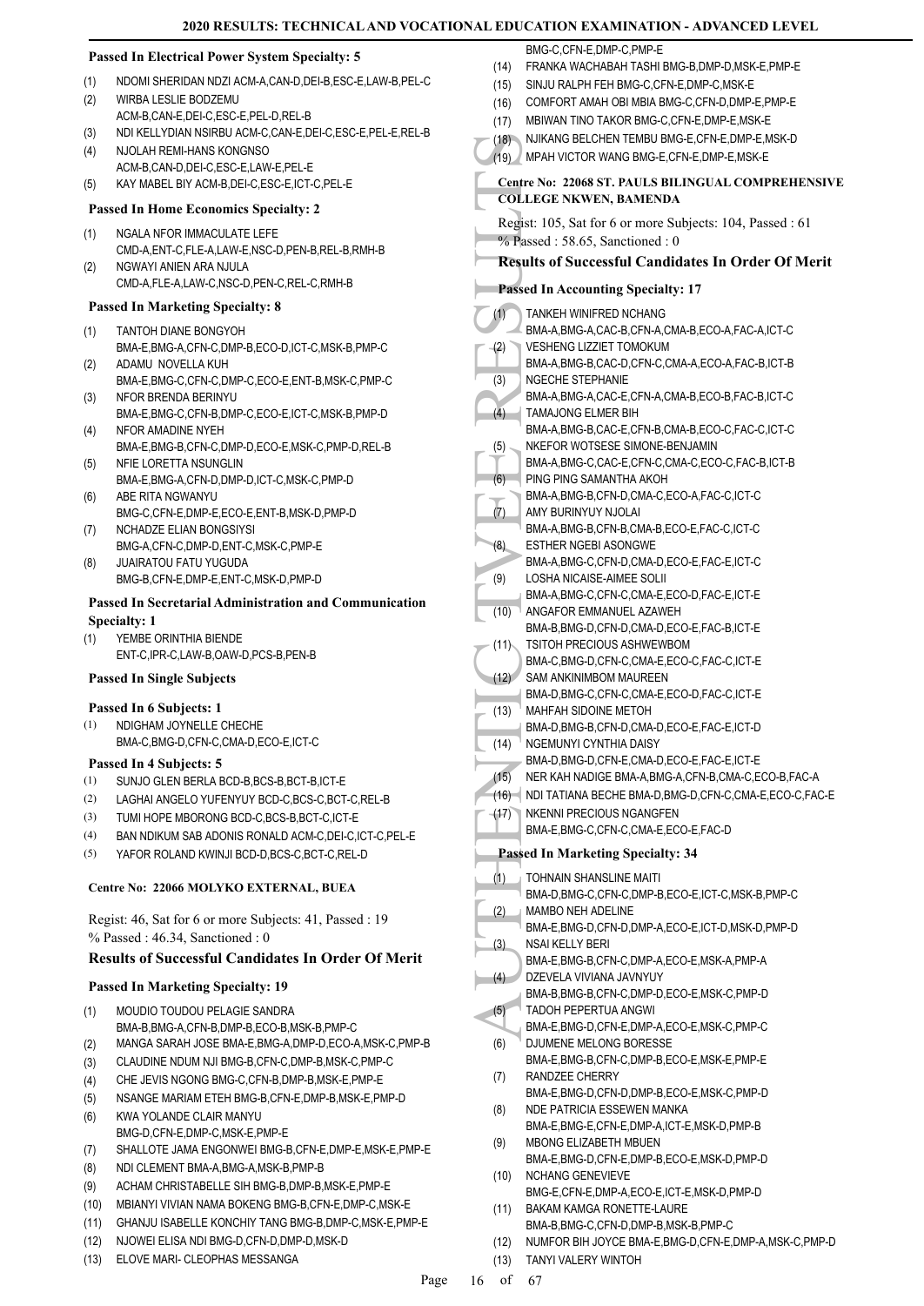$(1)$ 

#### **Passed In Electrical Power System Specialty: 5**

- (1) NDOMI SHERIDAN NDZI ACM-A,CAN-D,DEI-B,ESC-E,LAW-B,PEL-C
- WIRBA LESLIE BODZEMU ACM-B,CAN-E,DEI-C,ESC-E,PEL-D,REL-B (2)
- (3) NDI KELLYDIAN NSIRBU ACM-C,CAN-E,DEI-C,ESC-E,PEL-E,REL-B
- NJOLAH REMI-HANS KONGNSO (4)
- ACM-B,CAN-D,DEI-C,ESC-E,LAW-E,PEL-E (5) KAY MABEL BIY ACM-B,DEI-C,ESC-E,ICT-C,PEL-E

#### **Passed In Home Economics Specialty: 2**

- NGALA NFOR IMMACULATE LEFE CMD-A,ENT-C,FLE-A,LAW-E,NSC-D,PEN-B,REL-B,RMH-B (1)
- NGWAYI ANIFN ARA NJULA CMD-A,FLE-A,LAW-C,NSC-D,PEN-C,REL-C,RMH-B (2)

#### **Passed In Marketing Specialty: 8**

- TANTOH DIANE BONGYOH BMA-E,BMG-A,CFN-C,DMP-B,ECO-D,ICT-C,MSK-B,PMP-C (1)
- ADAMU NOVELLA KUH BMA-E,BMG-C,CFN-C,DMP-C,ECO-E,ENT-B,MSK-C,PMP-C (2)
- NFOR BRENDA BERINYU BMA-E,BMG-C,CFN-B,DMP-C,ECO-E,ICT-C,MSK-B,PMP-D (3)
- NFOR AMADINE NYEH BMA-E,BMG-B,CFN-C,DMP-D,ECO-E,MSK-C,PMP-D,REL-B (4)
- NFIE LORETTA NSUNGLIN BMA-E,BMG-A,CFN-D,DMP-D,ICT-C,MSK-C,PMP-D (5)
- ABE RITA NGWANYU BMG-C,CFN-E,DMP-E,ECO-E,ENT-B,MSK-D,PMP-D (6)
- NCHADZE ELIAN BONGSIYSI BMG-A,CFN-C,DMP-D,ENT-C,MSK-C,PMP-E (7)
- JUAIRATOU FATU YUGUDA BMG-B,CFN-E,DMP-E,ENT-C,MSK-D,PMP-D (8)

#### **Passed In Secretarial Administration and Communication Specialty: 1**

YEMBE ORINTHIA BIENDE ENT-C,IPR-C,LAW-B,OAW-D,PCS-B,PEN-B (1)

#### **Passed In Single Subjects**

#### **Passed In 6 Subjects: 1**

NDIGHAM JOYNELLE CHECHE BMA-C,BMG-D,CFN-C,CMA-D,ECO-E,ICT-C (1)

#### **Passed In 4 Subjects: 5**

- (1) SUNJO GLEN BERLA BCD-B,BCS-B,BCT-B,ICT-E
- (2) LAGHAI ANGELO YUFENYUY BCD-C,BCS-C,BCT-C,REL-B
- (3) TUMI HOPE MBORONG BCD-C,BCS-B,BCT-C,ICT-E
- (4) BAN NDIKUM SAB ADONIS RONALD ACM-C,DEI-C,ICT-C,PEL-E
- (5) YAFOR ROLAND KWINJI BCD-D,BCS-C,BCT-C,REL-D

#### **Centre No: 22066 MOLYKO EXTERNAL, BUEA**

Regist: 46, Sat for 6 or more Subjects: 41, Passed : 19 % Passed : 46.34, Sanctioned : 0

# **Results of Successful Candidates In Order Of Merit**

#### **Passed In Marketing Specialty: 19**

- MOUDIO TOUDOU PELAGIE SANDRA BMA-B,BMG-A,CFN-B,DMP-B,ECO-B,MSK-B,PMP-C (1)
- (2) MANGA SARAH JOSE BMA-E,BMG-A,DMP-D,ECO-A,MSK-C,PMP-B
- (3) CLAUDINE NDUM NJI BMG-B,CFN-C,DMP-B,MSK-C,PMP-C
- (4) CHE JEVIS NGONG BMG-C,CFN-B,DMP-B,MSK-E,PMP-E
- (5) NSANGE MARIAM ETEH BMG-B,CFN-E,DMP-B,MSK-E,PMP-D
- KWA YOLANDE CLAIR MANYU BMG-D,CFN-E,DMP-C,MSK-E,PMP-E (6)
- (7) SHALLOTE JAMA ENGONWEI BMG-B,CFN-E,DMP-E,MSK-E,PMP-E
- (8) NDI CLEMENT BMA-A,BMG-A,MSK-B,PMP-B
- (9) ACHAM CHRISTABELLE SIH BMG-B,DMP-B,MSK-E,PMP-E
- (10) MBIANYI VIVIAN NAMA BOKENG BMG-B,CFN-E,DMP-C,MSK-E
- (11) GHANJU ISABELLE KONCHIY TANG BMG-B,DMP-C,MSK-E,PMP-E
- (12) NJOWEI ELISA NDI BMG-D,CFN-D,DMP-D,MSK-D
- (13) ELOVE MARI- CLEOPHAS MESSANGA

|      | BMG-C,CFN-E,DMP-C,PMP-E                                   |
|------|-----------------------------------------------------------|
| (14) | FRANKA WACHABAH TASHI BMG-B,DMP-D,MSK-E,PMP-E             |
| (15) | SINJU RALPH FEH BMG-C, CFN-E, DMP-C, MSK-E                |
| (16) | COMFORT AMAH OBI MBIA BMG-C, CFN-D, DMP-E, PMP-E          |
| (17) | MBIWAN TINO TAKOR BMG-C.CFN-E.DMP-E.MSK-E                 |
| (18) | NJIKANG BELCHEN TEMBU BMG-E,CFN-E,DMP-E,MSK-D             |
| (19) | MPAH VICTOR WANG BMG-E,CFN-E,DMP-E,MSK-E                  |
|      | Centre No: 22068 ST. PAULS BILINGUAL COMPREHENSIVE        |
|      | <b>COLLEGE NKWEN, BAMENDA</b>                             |
|      | Regist: 105, Sat for 6 or more Subjects: 104, Passed : 61 |
|      | $%$ Passed : 58.65, Sanctioned : 0                        |
|      |                                                           |
|      | <b>Results of Successful Candidates In Order Of Merit</b> |
|      | <b>Passed In Accounting Specialty: 17</b>                 |
|      |                                                           |

TANKEH WINIFRED NCHANG

(18) NJIKAN<br>
Centre No:<br>
COLLEGE<br>
Regist: 105<br>
% Passed :<br>
Results of<br>
Passed In /<br>
TANKE<br>
BMA-A,<br>
WESHE<br>
BMA-A,<br>
NGEC-<br>
BMA-A,<br>
NGEC-<br>
BMA-A,<br>
NGEC-<br>
BMA-A,<br>
NGEC-<br>
BMA-A,<br>
NGEC-<br>
BMA-A,<br>
NGEC-<br>
BMA-A,<br>
NGEC-<br>
BMA-A,<br>
NGE VESHENG LIZZIET TOMOKUM BMA-A,BMG-B,CAC-D,CFN-C,CMA-A,ECO-A,FAC-B,ICT-B (2) NGECHE STEPHANIE BMA-A,BMG-A,CAC-E,CFN-A,CMA-B,ECO-B,FAC-B,ICT-C (3) TAMAJONG ELMER BIH BMA-A,BMG-B,CAC-E,CFN-B,CMA-B,ECO-C,FAC-C,ICT-C  $(4)$ NKEFOR WOTSESE SIMONE-BENJAMIN BMA-A,BMG-C,CAC-E,CFN-C,CMA-C,ECO-C,FAC-B,ICT-B (5) PING PING SAMANTHA AKOH BMA-A,BMG-B,CFN-D,CMA-C,ECO-A,FAC-C,ICT-C (6) AMY BURINYUY NJOLAI BMA-A,BMG-B,CFN-B,CMA-B,ECO-E,FAC-C,ICT-C (7) ESTHER NGEBI ASONGWE BMA-A,BMG-C,CFN-D,CMA-D,ECO-E,FAC-E,ICT-C (8) LOSHA NICAISE-AIMEE SOLII BMA-A,BMG-C,CFN-C,CMA-E,ECO-D,FAC-E,ICT-E (9) ANGAFOR EMMANUEL AZAWEH BMA-B,BMG-D,CFN-D,CMA-D,ECO-E,FAC-B,ICT-E (10) TSITOH PRECIOUS ASHWEWBOM (11)

BMA-A,BMG-A,CAC-B,CFN-A,CMA-B,ECO-A,FAC-A,ICT-C

- BMA-C,BMG-D,CFN-C,CMA-E,ECO-C,FAC-C,ICT-E SAM ANKINIMBOM MAUREEN  $(12)$
- BMA-D,BMG-C,CFN-C,CMA-E,ECO-D,FAC-C,ICT-E MAHFAH SIDOINE METOH (13)
- BMA-D,BMG-B,CFN-D,CMA-D,ECO-E,FAC-E,ICT-D NGEMUNYI CYNTHIA DAISY (14)
- BMA-D,BMG-D,CFN-E,CMA-D,ECO-E,FAC-E,ICT-E
	- (15) NER KAH NADIGE BMA-A,BMG-A,CFN-B,CMA-C,ECO-B,FAC-A
- (16) NDI TATIANA BECHE BMA-D,BMG-D,CFN-C,CMA-E,ECO-C,FAC-E
- NKENNI PRECIOUS NGANGFEN  $(17)$ 
	- BMA-E,BMG-C,CFN-C,CMA-E,ECO-E,FAC-D

**Passed In Marketing Specialty: 34**

- TOHNAIN SHANSLINE MAITI BMA-D,BMG-C,CFN-C,DMP-B,ECO-E,ICT-C,MSK-B,PMP-C (1) MAMBO NEH ADELINE BMA-E,BMG-D,CFN-D,DMP-A,ECO-E,ICT-D,MSK-D,PMP-D (2)
- NSAI KELLY BERI BMA-E,BMG-B,CFN-C,DMP-A,ECO-E,MSK-A,PMP-A (3)
- DZEVELA VIVIANA JAVNYUY  $(4)$
- BMA-B,BMG-B,CFN-C,DMP-D,ECO-E,MSK-C,PMP-D TADOH PEPERTUA ANGWI (5)
- BMA-E,BMG-D,CFN-E,DMP-A,ECO-E,MSK-C,PMP-C
- DJUMENE MELONG BORESSE BMA-E,BMG-B,CFN-C,DMP-B,ECO-E,MSK-E,PMP-E (6)
- RANDZEE CHERRY (7)
- BMA-E,BMG-D,CFN-D,DMP-B,ECO-E,MSK-C,PMP-D NDE PATRICIA ESSEWEN MANKA (8)
- BMA-E,BMG-E,CFN-E,DMP-A,ICT-E,MSK-D,PMP-B MBONG ELIZABETH MBUEN (9)
- BMA-E,BMG-D,CFN-E,DMP-B,ECO-E,MSK-D,PMP-D NCHANG GENEVIEVE (10)
- BMG-E,CFN-E,DMP-A,ECO-E,ICT-E,MSK-D,PMP-D
- BAKAM KAMGA RONETTE-LAURE BMA-B,BMG-C,CFN-D,DMP-B,MSK-B,PMP-C (11)
- (12) NUMFOR BIH JOYCE BMA-E,BMG-D,CFN-E,DMP-A,MSK-C,PMP-D
- (13) TANYI VALERY WINTOH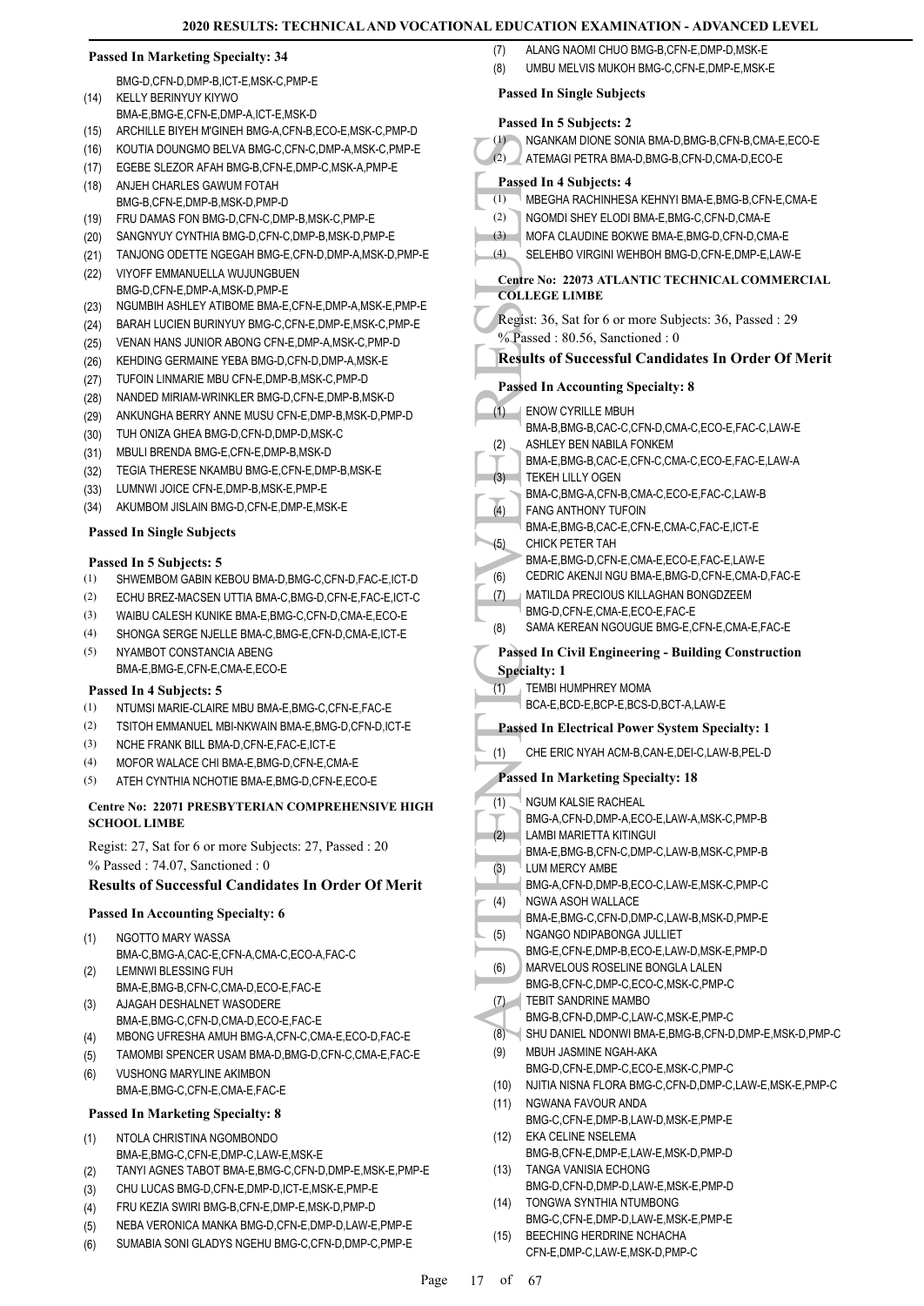#### **Passed In Marketing Specialty: 34**

- BMG-D,CFN-D,DMP-B,ICT-E,MSK-C,PMP-E KELLY BERINYUY KIYWO (14)
- BMA-E,BMG-E,CFN-E,DMP-A,ICT-E,MSK-D
- (15) ARCHILLE BIYEH M'GINEH BMG-A,CFN-B,ECO-E,MSK-C,PMP-D
- (16) KOUTIA DOUNGMO BELVA BMG-C,CFN-C,DMP-A,MSK-C,PMP-E (17) EGEBE SLEZOR AFAH BMG-B,CFN-E,DMP-C,MSK-A,PMP-E
- ANJEH CHARLES GAWUM FOTAH BMG-B,CFN-E,DMP-B,MSK-D,PMP-D (18)
- (19) FRU DAMAS FON BMG-D,CFN-C,DMP-B,MSK-C,PMP-E
- (20) SANGNYUY CYNTHIA BMG-D,CFN-C,DMP-B,MSK-D,PMP-E
- (21) TANJONG ODETTE NGEGAH BMG-E,CFN-D,DMP-A,MSK-D,PMP-E
- VIYOFF EMMANUELLA WUJUNGBUEN BMG-D,CFN-E,DMP-A,MSK-D,PMP-E (22)
- (23) NGUMBIH ASHLEY ATIBOME BMA-E,CFN-E,DMP-A,MSK-E,PMP-E
- (24) BARAH LUCIEN BURINYUY BMG-C,CFN-E,DMP-E,MSK-C,PMP-E
- (25) VENAN HANS JUNIOR ABONG CFN-E,DMP-A,MSK-C,PMP-D
- (26) KEHDING GERMAINE YEBA BMG-D,CFN-D,DMP-A,MSK-E
- (27) TUFOIN LINMARIE MBU CFN-E,DMP-B,MSK-C,PMP-D
- (28) NANDED MIRIAM-WRINKLER BMG-D,CFN-E,DMP-B,MSK-D
- (29) ANKUNGHA BERRY ANNE MUSU CFN-E,DMP-B,MSK-D,PMP-D
- (30) TUH ONIZA GHEA BMG-D,CFN-D,DMP-D,MSK-C
- (31) MBULI BRENDA BMG-E,CFN-E,DMP-B,MSK-D
- (32) TEGIA THERESE NKAMBU BMG-E,CFN-E,DMP-B,MSK-E
- (33) LUMNWI JOICE CFN-E,DMP-B,MSK-E,PMP-E
- (34) AKUMBOM JISLAIN BMG-D,CFN-E,DMP-E,MSK-E

#### **Passed In Single Subjects**

### **Passed In 5 Subjects: 5**

- (1) SHWEMBOM GABIN KEBOU BMA-D,BMG-C,CFN-D,FAC-E,ICT-D
- (2) ECHU BREZ-MACSEN UTTIA BMA-C,BMG-D,CFN-E,FAC-E,ICT-C
- (3) WAIBU CALESH KUNIKE BMA-E BMG-C, CEN-D, CMA-E, ECO-E
- (4) SHONGA SERGE NJELLE BMA-C,BMG-E,CFN-D,CMA-E,ICT-E
- NYAMBOT CONSTANCIA ABENG BMA-E,BMG-E,CFN-E,CMA-E,ECO-E (5)

#### **Passed In 4 Subjects: 5**

- (1) NTUMSI MARIE-CLAIRE MBU BMA-E,BMG-C,CFN-E,FAC-E
- (2) TSITOH EMMANUEL MBI-NKWAIN BMA-E,BMG-D,CFN-D,ICT-E
- (3) NCHE FRANK BILL BMA-D,CFN-E,FAC-E,ICT-E
- (4) MOFOR WALACE CHI BMA-E,BMG-D,CFN-E,CMA-E
- (5) ATEH CYNTHIA NCHOTIE BMA-E,BMG-D,CFN-E,ECO-E

#### **Centre No: 22071 PRESBYTERIAN COMPREHENSIVE HIGH SCHOOL LIMBE**

Regist: 27, Sat for 6 or more Subjects: 27, Passed : 20 % Passed : 74.07, Sanctioned : 0

#### **Results of Successful Candidates In Order Of Merit**

#### **Passed In Accounting Specialty: 6**

- NGOTTO MARY WASSA (1)
- BMA-C,BMG-A,CAC-E,CFN-A,CMA-C,ECO-A,FAC-C LEMNWI BLESSING FUH (2)
- BMA-E,BMG-B,CFN-C,CMA-D,ECO-E,FAC-E AJAGAH DESHALNET WASODERE (3)
- BMA-E,BMG-C,CFN-D,CMA-D,ECO-E,FAC-E
- (4) MBONG UFRESHA AMUH BMG-A,CFN-C,CMA-E,ECO-D,FAC-E
- (5) TAMOMBI SPENCER USAM BMA-D,BMG-D,CFN-C,CMA-E,FAC-E
- VUSHONG MARYLINE AKIMBON BMA-E,BMG-C,CFN-E,CMA-E,FAC-E (6)

#### **Passed In Marketing Specialty: 8**

- NTOLA CHRISTINA NGOMBONDO BMA-E, BMG-C, CFN-E, DMP-C, LAW-E, MSK-E (1)
- (2) TANYI AGNES TABOT BMA-E,BMG-C,CFN-D,DMP-E,MSK-E,PMP-E
- (3) CHU LUCAS BMG-D,CFN-E,DMP-D,ICT-E,MSK-E,PMP-E
- (4) FRU KEZIA SWIRI BMG-B,CFN-E,DMP-E,MSK-D,PMP-D
- (5) NEBA VERONICA MANKA BMG-D,CFN-E,DMP-D,LAW-E,PMP-E
- (6) SUMABIA SONI GLADYS NGEHU BMG-C,CFN-D,DMP-C,PMP-E
- (7) ALANG NAOMI CHUO BMG-B,CFN-E,DMP-D,MSK-E
- (8) UMBU MELVIS MUKOH BMG-C,CFN-E,DMP-E,MSK-E

#### **Passed In Single Subjects**

- (1)<br>
(2) NGANK<br>
(2) ATEMA<br>
(1) MBEGH<br>
(2) NGOMI<br>
(3) MOFA (SELEH<br>
Centre No:<br>
COLLEGE<br>
Regist: 36,<br>
<sup>9</sup>/<sub>0</sub> Passed :<br>
Results of<br>
Passed In (1)<br>
(1) BMA-B,<br>
(3) ASHLE<br>
(3) ASHLE<br>
(3) ASHLE<br>
(5) CEDRI(<br>
(7) MATILC BMA-E,<br>
C **Passed In 5 Subjects: 2** (1) NGANKAM DIONE SONIA BMA-D,BMG-B,CFN-B,CMA-E,ECO-E (2) ATEMAGI PETRA BMA-D,BMG-B,CFN-D,CMA-D,ECO-E **Passed In 4 Subjects: 4** (1) MBEGHA RACHINHESA KEHNYI BMA-E,BMG-B,CFN-E,CMA-E (2) NGOMDI SHEY ELODI BMA-E,BMG-C,CFN-D,CMA-E (3) MOFA CLAUDINE BOKWE BMA-E,BMG-D,CFN-D,CMA-E (4) SELEHBO VIRGINI WEHBOH BMG-D,CFN-E,DMP-E,LAW-E **Centre No: 22073 ATLANTIC TECHNICAL COMMERCIAL COLLEGE LIMBE**  Regist: 36, Sat for 6 or more Subjects: 36, Passed : 29 % Passed: 80.56, Sanctioned: 0 **Results of Successful Candidates In Order Of Merit Passed In Accounting Specialty: 8** ENOW CYRILLE MBUH BMA-B,BMG-B,CAC-C,CFN-D,CMA-C,ECO-E,FAC-C,LAW-E  $(1)$ ASHLEY BEN NABILA FONKEM BMA-E,BMG-B,CAC-E,CFN-C,CMA-C,ECO-E,FAC-E,LAW-A (2) TEKEH LILLY OGEN BMA-C,BMG-A,CFN-B,CMA-C,ECO-E,FAC-C,LAW-B (3) FANG ANTHONY TUFOIN BMA-E,BMG-B,CAC-E,CFN-E,CMA-C,FAC-E,ICT-E  $(4)$ CHICK PETER TAH BMA-E,BMG-D,CFN-E,CMA-E,ECO-E,FAC-E,LAW-E (5) (6) CEDRIC AKENJI NGU BMA-E,BMG-D,CFN-E,CMA-D,FAC-E MATILDA PRECIOUS KILLAGHAN BONGDZEEM BMG-D,CFN-E,CMA-E,ECO-E,FAC-E (7) (8) SAMA KEREAN NGOUGUE BMG-E,CFN-E,CMA-E,FAC-E **Passed In Civil Engineering - Building Construction Specialty: 1** TEMBI HUMPHREY MOMA BCA-E,BCD-E,BCP-E,BCS-D,BCT-A,LAW-E  $(1)$ **Passed In Electrical Power System Specialty: 1** (1) CHE ERIC NYAH ACM-B,CAN-E,DEI-C,LAW-B,PEL-D **Passed In Marketing Specialty: 18** NGUM KALSIE RACHEAL BMG-A,CFN-D,DMP-A,ECO-E,LAW-A,MSK-C,PMP-B (1) LAMBI MARIETTA KITINGUI BMA-E,BMG-B,CFN-C,DMP-C,LAW-B,MSK-C,PMP-B (2) LUM MERCY AMBE BMG-A,CFN-D,DMP-B,ECO-C,LAW-E,MSK-C,PMP-C (3) NGWA ASOH WALLACE BMA-E,BMG-C,CFN-D,DMP-C,LAW-B,MSK-D,PMP-E (4) NGANGO NDIPABONGA JULLIET BMG-E,CFN-E,DMP-B,ECO-E,LAW-D,MSK-E,PMP-D (5) MARVELOUS ROSELINE BONGLA LALEN BMG-B,CFN-C,DMP-C,ECO-C,MSK-C,PMP-C (6) TEBIT SANDRINE MAMBO BMG-B,CFN-D,DMP-C,LAW-C,MSK-E,PMP-C  $(7)$ (8) SHU DANIEL NDONWI BMA-E,BMG-B,CFN-D,DMP-E,MSK-D,PMP-C MBUH JASMINE NGAH-AKA BMG-D,CFN-E,DMP-C,ECO-E,MSK-C,PMP-C (9) (10) NJITIA NISNA FLORA BMG-C,CFN-D,DMP-C,LAW-E,MSK-E,PMP-C NGWANA FAVOUR ANDA BMG-C,CFN-E,DMP-B,LAW-D,MSK-E,PMP-E (11) EKA CELINE NSELEMA BMG-B,CFN-E,DMP-E,LAW-E,MSK-D,PMP-D (12) TANGA VANISIA ECHONG BMG-D,CFN-D,DMP-D,LAW-E,MSK-E,PMP-D (13) TONGWA SYNTHIA NTUMBONG BMG-C,CFN-E,DMP-D,LAW-E,MSK-E,PMP-E (14) BEECHING HERDRINE NCHACHA (15)
	- CFN-E,DMP-C,LAW-E,MSK-D,PMP-C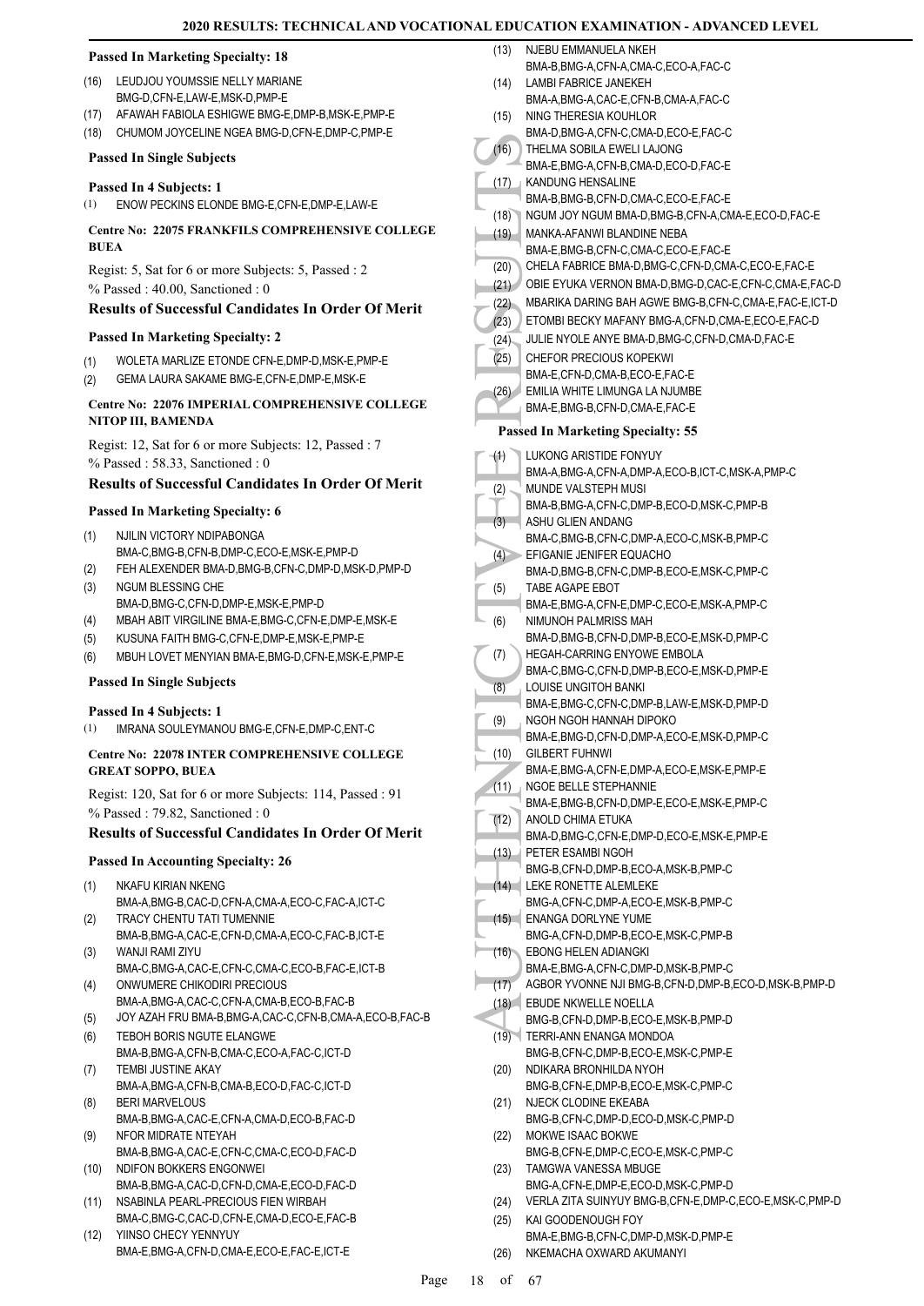|             |                                                                                             | (13)   | NJEBU EMMANUELA NKEH                                                 |
|-------------|---------------------------------------------------------------------------------------------|--------|----------------------------------------------------------------------|
|             | <b>Passed In Marketing Specialty: 18</b>                                                    |        | BMA-B, BMG-A, CFN-A, CMA-C, ECO-A, FAC-C                             |
| (16)        | LEUDJOU YOUMSSIE NELLY MARIANE                                                              | (14)   | LAMBI FABRICE JANEKEH                                                |
|             | BMG-D,CFN-E,LAW-E,MSK-D,PMP-E                                                               |        | BMA-A,BMG-A,CAC-E,CFN-B,CMA-A,FAC-C                                  |
| (17)        | AFAWAH FABIOLA ESHIGWE BMG-E, DMP-B, MSK-E, PMP-E                                           | (15)   | NING THERESIA KOUHLOR                                                |
| (18)        | CHUMOM JOYCELINE NGEA BMG-D, CFN-E, DMP-C, PMP-E                                            |        | BMA-D, BMG-A, CFN-C, CMA-D, ECO-E, FAC-C                             |
|             | <b>Passed In Single Subjects</b>                                                            | (16)   | THELMA SOBILA EWELI LAJONG                                           |
|             |                                                                                             |        | BMA-E,BMG-A,CFN-B,CMA-D,ECO-D,FAC-E                                  |
|             | Passed In 4 Subjects: 1                                                                     | (17)   | KANDUNG HENSALINE                                                    |
| (1)         | ENOW PECKINS ELONDE BMG-E,CFN-E,DMP-E,LAW-E                                                 |        | BMA-B,BMG-B,CFN-D,CMA-C,ECO-E,FAC-E                                  |
|             | Centre No: 22075 FRANKFILS COMPREHENSIVE COLLEGE                                            | (18)   | NGUM JOY NGUM BMA-D, BMG-B, CFN-A, CMA-E, ECO-D, FAC-E               |
| <b>BUEA</b> |                                                                                             | (19) - | MANKA-AFANWI BLANDINE NEBA<br>BMA-E,BMG-B,CFN-C,CMA-C,ECO-E,FAC-E    |
|             |                                                                                             | (20)   | CHELA FABRICE BMA-D, BMG-C, CFN-D, CMA-C, ECO-E, FAC-E               |
|             | Regist: 5, Sat for 6 or more Subjects: 5, Passed: 2                                         | (21)   | OBIE EYUKA VERNON BMA-D, BMG-D, CAC-E, CFN-C, CMA-E, FAC-D           |
|             | $%$ Passed: 40.00, Sanctioned: 0                                                            | (22)   | MBARIKA DARING BAH AGWE BMG-B, CFN-C, CMA-E, FAC-E, ICT-D            |
|             | <b>Results of Successful Candidates In Order Of Merit</b>                                   | (23)   | ETOMBI BECKY MAFANY BMG-A,CFN-D,CMA-E,ECO-E,FAC-D                    |
|             | <b>Passed In Marketing Specialty: 2</b>                                                     | (24)   | JULIE NYOLE ANYE BMA-D, BMG-C, CFN-D, CMA-D, FAC-E                   |
|             |                                                                                             | (25)   | <b>CHEFOR PRECIOUS KOPEKWI</b>                                       |
| (1)         | WOLETA MARLIZE ETONDE CFN-E, DMP-D, MSK-E, PMP-E                                            |        | BMA-E,CFN-D,CMA-B,ECO-E,FAC-E                                        |
| (2)         | GEMA LAURA SAKAME BMG-E, CFN-E, DMP-E, MSK-E                                                |        | (26) EMILIA WHITE LIMUNGA LA NJUMBE                                  |
|             | Centre No: 22076 IMPERIAL COMPREHENSIVE COLLEGE                                             |        | BMA-E, BMG-B, CFN-D, CMA-E, FAC-E                                    |
|             | NITOP III, BAMENDA                                                                          |        | <b>Passed In Marketing Specialty: 55</b>                             |
|             | Regist: 12, Sat for 6 or more Subjects: 12, Passed: 7                                       |        |                                                                      |
|             | $%$ Passed: 58.33, Sanctioned: 0                                                            | (1)    | LUKONG ARISTIDE FONYUY                                               |
|             | <b>Results of Successful Candidates In Order Of Merit</b>                                   |        | BMA-A,BMG-A,CFN-A,DMP-A,ECO-B,ICT-C,MSK-A,PMP-C                      |
|             |                                                                                             | (2)    | MUNDE VALSTEPH MUSI                                                  |
|             | <b>Passed In Marketing Specialty: 6</b>                                                     |        | BMA-B, BMG-A, CFN-C, DMP-B, ECO-D, MSK-C, PMP-B                      |
| (1)         | NJILIN VICTORY NDIPABONGA                                                                   | (3)    | ASHU GLIEN ANDANG<br>BMA-C,BMG-B,CFN-C,DMP-A,ECO-C,MSK-B,PMP-C       |
|             | BMA-C,BMG-B,CFN-B,DMP-C,ECO-E,MSK-E,PMP-D                                                   |        | $(4)$ EFIGANIE JENIFER EQUACHO                                       |
| (2)         | FEH ALEXENDER BMA-D, BMG-B, CFN-C, DMP-D, MSK-D, PMP-D                                      |        | BMA-D,BMG-B,CFN-C,DMP-B,ECO-E,MSK-C,PMP-C                            |
| (3)         | NGUM BLESSING CHE                                                                           | (5)    | TABE AGAPE EBOT                                                      |
|             | BMA-D, BMG-C, CFN-D, DMP-E, MSK-E, PMP-D                                                    |        | BMA-E,BMG-A,CFN-E,DMP-C,ECO-E,MSK-A,PMP-C                            |
| (4)         | MBAH ABIT VIRGILINE BMA-E, BMG-C, CFN-E, DMP-E, MSK-E                                       | (6)    | NIMUNOH PALMRISS MAH                                                 |
| (5)         | KUSUNA FAITH BMG-C, CFN-E, DMP-E, MSK-E, PMP-E                                              |        | BMA-D, BMG-B, CFN-D, DMP-B, ECO-E, MSK-D, PMP-C                      |
| (6)         | MBUH LOVET MENYIAN BMA-E, BMG-D, CFN-E, MSK-E, PMP-E                                        | (7)    | HEGAH-CARRING ENYOWE EMBOLA                                          |
|             | <b>Passed In Single Subjects</b>                                                            |        | BMA-C,BMG-C,CFN-D,DMP-B,ECO-E,MSK-D,PMP-E                            |
|             |                                                                                             | (8)    | LOUISE UNGITOH BANKI                                                 |
|             | Passed In 4 Subjects: 1                                                                     |        | BMA-E,BMG-C,CFN-C,DMP-B,LAW-E,MSK-D,PMP-D<br>NGOH NGOH HANNAH DIPOKO |
| (1)         | IMRANA SOULEYMANOU BMG-E, CFN-E, DMP-C, ENT-C                                               | (9)    | BMA-E,BMG-D,CFN-D,DMP-A,ECO-E,MSK-D,PMP-C                            |
|             | Centre No: 22078 INTER COMPREHENSIVE COLLEGE                                                | (10)   | <b>GILBERT FUHNWI</b>                                                |
|             | <b>GREAT SOPPO, BUEA</b>                                                                    |        | BMA-E,BMG-A,CFN-E,DMP-A,ECO-E,MSK-E,PMP-E                            |
|             |                                                                                             | (11)   | NGOE BELLE STEPHANNIE                                                |
|             | Regist: 120, Sat for 6 or more Subjects: 114, Passed : 91<br>% Passed: 79.82, Sanctioned: 0 |        | BMA-E,BMG-B,CFN-D,DMP-E,ECO-E,MSK-E,PMP-C                            |
|             |                                                                                             | (12)   | ANOLD CHIMA ETUKA                                                    |
|             | <b>Results of Successful Candidates In Order Of Merit</b>                                   |        | BMA-D,BMG-C,CFN-E,DMP-D,ECO-E,MSK-E,PMP-E                            |
|             | <b>Passed In Accounting Specialty: 26</b>                                                   | (13)   | PETER ESAMBI NGOH                                                    |
|             |                                                                                             |        | BMG-B,CFN-D,DMP-B,ECO-A,MSK-B,PMP-C<br>LEKE RONETTE ALEMLEKE         |
| (1)         | NKAFU KIRIAN NKENG<br>BMA-A, BMG-B, CAC-D, CFN-A, CMA-A, ECO-C, FAC-A, ICT-C                | (14)   | BMG-A,CFN-C,DMP-A,ECO-E,MSK-B,PMP-C                                  |
| (2)         | TRACY CHENTU TATI TUMENNIE                                                                  | (15)   | <b>ENANGA DORLYNE YUME</b>                                           |
|             | BMA-B, BMG-A, CAC-E, CFN-D, CMA-A, ECO-C, FAC-B, ICT-E                                      |        | BMG-A,CFN-D,DMP-B,ECO-E,MSK-C,PMP-B                                  |
| (3)         | WANJI RAMI ZIYU                                                                             | (16)   | EBONG HELEN ADIANGKI                                                 |
|             | BMA-C,BMG-A,CAC-E,CFN-C,CMA-C,ECO-B,FAC-E,ICT-B                                             |        | BMA-E,BMG-A,CFN-C,DMP-D,MSK-B,PMP-C                                  |
| (4)         | ONWUMERE CHIKODIRI PRECIOUS                                                                 | (17)   | AGBOR YVONNE NJI BMG-B,CFN-D,DMP-B,ECO-D,MSK-B,PMP-D                 |
|             | BMA-A,BMG-A,CAC-C,CFN-A,CMA-B,ECO-B,FAC-B                                                   |        | (18) EBUDE NKWELLE NOELLA                                            |
| (5)         | JOY AZAH FRU BMA-B, BMG-A, CAC-C, CFN-B, CMA-A, ECO-B, FAC-B                                |        | BMG-B,CFN-D,DMP-B,ECO-E,MSK-B,PMP-D                                  |
| (6)         | TEBOH BORIS NGUTE ELANGWE                                                                   |        | (19) TERRI-ANN ENANGA MONDOA                                         |
|             | BMA-B, BMG-A, CFN-B, CMA-C, ECO-A, FAC-C, ICT-D                                             |        | BMG-B,CFN-C,DMP-B,ECO-E,MSK-C,PMP-E                                  |
| (7)         | TEMBI JUSTINE AKAY                                                                          | (20)   | NDIKARA BRONHILDA NYOH<br>BMG-B,CFN-E,DMP-B,ECO-E,MSK-C,PMP-C        |
| (8)         | BMA-A,BMG-A,CFN-B,CMA-B,ECO-D,FAC-C,ICT-D<br><b>BERI MARVELOUS</b>                          | (21)   | NJECK CLODINE EKEABA                                                 |
|             | BMA-B, BMG-A, CAC-E, CFN-A, CMA-D, ECO-B, FAC-D                                             |        | BMG-B,CFN-C,DMP-D,ECO-D,MSK-C,PMP-D                                  |
| (9)         | NFOR MIDRATE NTEYAH                                                                         | (22)   | MOKWE ISAAC BOKWE                                                    |
|             | BMA-B, BMG-A, CAC-E, CFN-C, CMA-C, ECO-D, FAC-D                                             |        | BMG-B,CFN-E,DMP-C,ECO-E,MSK-C,PMP-C                                  |
| (10)        | NDIFON BOKKERS ENGONWEI                                                                     | (23)   | TAMGWA VANESSA MBUGE                                                 |
|             | BMA-B,BMG-A,CAC-D,CFN-D,CMA-E,ECO-D,FAC-D                                                   |        | BMG-A,CFN-E,DMP-E,ECO-D,MSK-C,PMP-D                                  |
| (11)        | NSABINLA PEARL-PRECIOUS FIEN WIRBAH                                                         | (24)   | VERLA ZITA SUINYUY BMG-B, CFN-E, DMP-C, ECO-E, MSK-C, PMP-D          |
|             | BMA-C,BMG-C,CAC-D,CFN-E,CMA-D,ECO-E,FAC-B                                                   | (25)   | KAI GOODENOUGH FOY                                                   |
| (12)        | YIINSO CHECY YENNYUY                                                                        |        | BMA-E.BMG-B.CFN-C.DMP-D.MSK-D.PMP-E                                  |

(26) NKEMACHA OXWARD AKUMANYI

BMA-E,BMG-A,CFN-D,CMA-E,ECO-E,FAC-E,ICT-E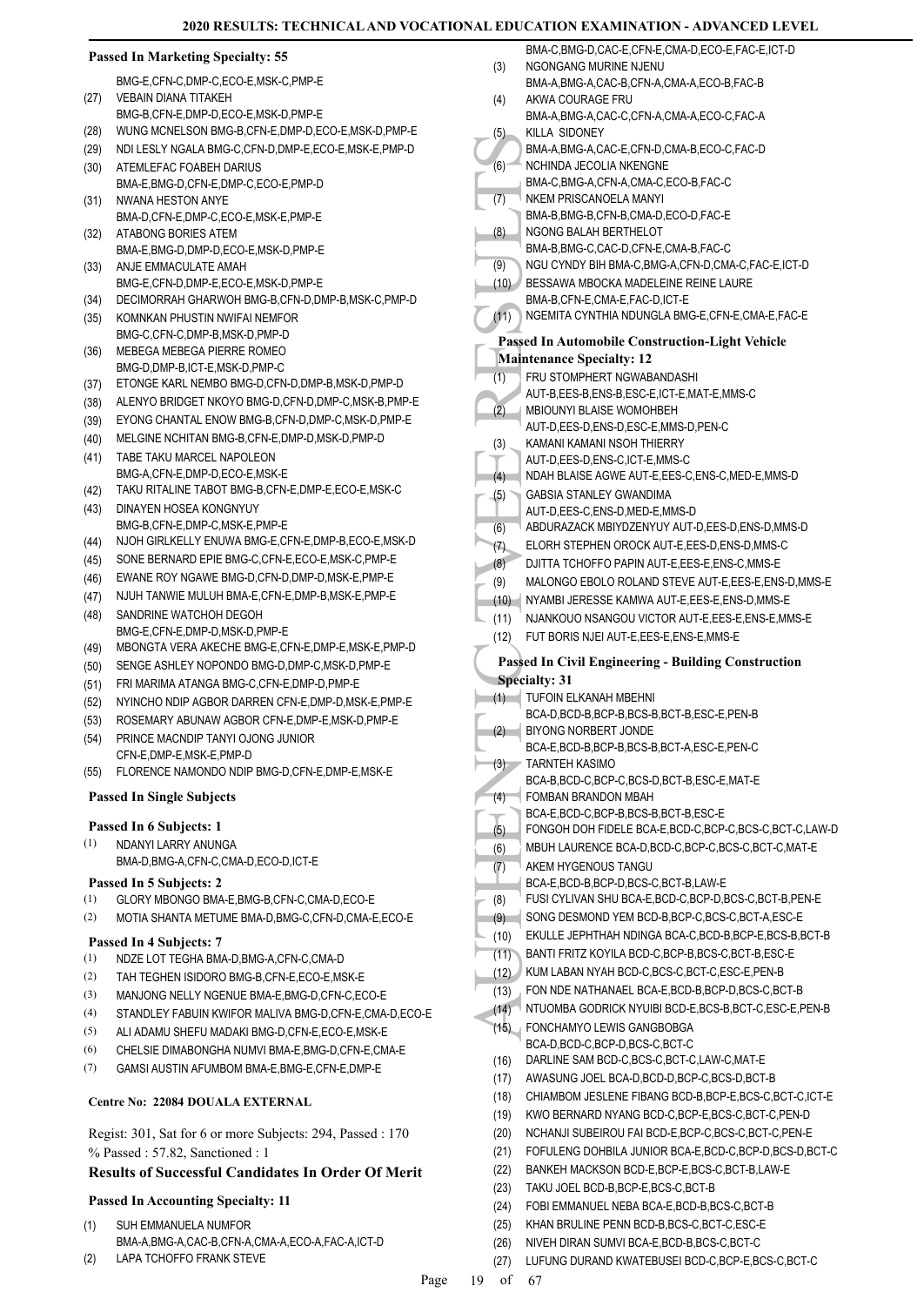### **Passed In Marketing Specialty: 55**

|      | BMG-E.CFN-C.DMP-C.ECO-E.MSK-C.PMP-E |
|------|-------------------------------------|
| (27) | <b>VEBAIN DIANA TITAKEH</b>         |

- BMG-B,CFN-E,DMP-D,ECO-E,MSK-D,PMP-E
- (28) WUNG MCNELSON BMG-B,CFN-E,DMP-D,ECO-E,MSK-D,PMP-E
- (29) NDI LESLY NGALA BMG-C,CFN-D,DMP-E,ECO-E,MSK-E,PMP-D ATEMLEFAC FOABEH DARIUS (30)
- BMA-E,BMG-D,CFN-E,DMP-C,ECO-E,PMP-D NWANA HESTON ANYE (31)
- BMA-D,CFN-E,DMP-C,ECO-E,MSK-E,PMP-E ATABONG BORIES ATEM (32)
- BMA-E,BMG-D,DMP-D,ECO-E,MSK-D,PMP-E ANJE EMMACULATE AMAH (33)
- BMG-E,CFN-D,DMP-E,ECO-E,MSK-D,PMP-E (34) DECIMORRAH GHARWOH BMG-B,CFN-D,DMP-B,MSK-C,PMP-D
- KOMNKAN PHUSTIN NWIFAI NEMFOR BMG-C,CFN-C,DMP-B,MSK-D,PMP-D (35)
- MEBEGA MEBEGA PIERRE ROMEO BMG-D, DMP-B, ICT-F, MSK-D, PMP-C (36)
- (37) ETONGE KARL NEMBO BMG-D,CFN-D,DMP-B,MSK-D,PMP-D
- (38) ALENYO BRIDGET NKOYO BMG-D,CFN-D,DMP-C,MSK-B,PMP-E
- (39) EYONG CHANTAL ENOW BMG-B,CFN-D,DMP-C,MSK-D,PMP-E
- (40) MELGINE NCHITAN BMG-B,CFN-E,DMP-D,MSK-D,PMP-D
- TABE TAKU MARCEL NAPOLEON (41)
- BMG-A,CFN-E,DMP-D,ECO-E,MSK-E (42) TAKU RITALINE TABOT BMG-B,CFN-E,DMP-E,ECO-E,MSK-C
- DINAYEN HOSEA KONGNYUY BMG-B,CFN-E,DMP-C,MSK-E,PMP-E (43)
- (44) NJOH GIRLKELLY ENUWA BMG-E,CFN-E,DMP-B,ECO-E,MSK-D
- (45) SONE BERNARD EPIE BMG-C,CFN-E,ECO-E,MSK-C,PMP-E
- (46) EWANE ROY NGAWE BMG-D,CFN-D,DMP-D,MSK-E,PMP-E
- (47) NJUH TANWIE MULUH BMA-E,CFN-E,DMP-B,MSK-E,PMP-E
- SANDRINE WATCHOH DEGOH (48)
- 
- BMG-E,CFN-E,DMP-D,MSK-D,PMP-E
- (49) MBONGTA VERA AKECHE BMG-E,CFN-E,DMP-E,MSK-E,PMP-D
- (50) SENGE ASHLEY NOPONDO BMG-D,DMP-C,MSK-D,PMP-E
- (51) FRI MARIMA ATANGA BMG-C,CFN-E,DMP-D,PMP-E
- (52) NYINCHO NDIP AGBOR DARREN CFN-E,DMP-D,MSK-E,PMP-E
- (53) ROSEMARY ABUNAW AGBOR CFN-E,DMP-E,MSK-D,PMP-E
- PRINCE MACNDIP TANYI OJONG JUNIOR CFN-E,DMP-E,MSK-E,PMP-D (54)
- (55) FLORENCE NAMONDO NDIP BMG-D,CFN-E,DMP-E,MSK-E

#### **Passed In Single Subjects**

#### **Passed In 6 Subjects: 1**

NDANYI LARRY ANUNGA BMA-D,BMG-A,CFN-C,CMA-D,ECO-D,ICT-E (1)

#### **Passed In 5 Subjects: 2**

- (1) GLORY MBONGO BMA-E,BMG-B,CFN-C,CMA-D,ECO-E
- (2) MOTIA SHANTA METUME BMA-D,BMG-C,CFN-D,CMA-E,ECO-E

#### **Passed In 4 Subjects: 7**

- (1) NDZE LOT TEGHA BMA-D,BMG-A,CFN-C,CMA-D
- (2) TAH TEGHEN ISIDORO BMG-B,CFN-E,ECO-E,MSK-E
- (3) MANJONG NELLY NGENUE BMA-E,BMG-D,CFN-C,ECO-E
- (4) STANDLEY FABUIN KWIFOR MALIVA BMG-D,CFN-E,CMA-D,ECO-E
- (5) ALI ADAMU SHEFU MADAKI BMG-D,CFN-E,ECO-E,MSK-E
- (6) CHELSIE DIMABONGHA NUMVI BMA-E,BMG-D,CFN-E,CMA-E
- (7) GAMSI AUSTIN AFUMBOM BMA-E,BMG-E,CFN-E,DMP-E

#### **Centre No: 22084 DOUALA EXTERNAL**

Regist: 301, Sat for 6 or more Subjects: 294, Passed : 170 % Passed : 57.82, Sanctioned : 1

# **Results of Successful Candidates In Order Of Merit**

# **Passed In Accounting Specialty: 11**

- SUH EMMANUELA NUMFOR BMA-A,BMG-A,CAC-B,CFN-A,CMA-A,ECO-A,FAC-A,ICT-D (1)
- (2) LAPA TCHOFFO FRANK STEVE
- (6) MACHINIC (6) MACHINIC (6) MACHINIC (6) MACHINIC (7) BAMA-B, NGONC BMA-B, NGONC BMA-B, NGONC BMA-B, NGONC BMA-B, NGU C (7) BESSA BMA-B, NGU C (1) FRU ST AUT-B, MBIOUR (1) FRU ST AUT-D, MADH F GABSIL (1) C (3) AUT-D, MAD BMA-C,BMG-D,CAC-E,CFN-E,CMA-D,ECO-E,FAC-E,ICT-D NGONGANG MURINE NJENU BMA-A,BMG-A,CAC-B,CFN-A,CMA-A,ECO-B,FAC-B (3) AKWA COURAGE FRU BMA-A,BMG-A,CAC-C,CFN-A,CMA-A,ECO-C,FAC-A (4) KILLA SIDONEY BMA-A,BMG-A,CAC-E,CFN-D,CMA-B,ECO-C,FAC-D (5) NCHINDA JECOLIA NKENGNE BMA-C,BMG-A,CFN-A,CMA-C,ECO-B,FAC-C (6) NKEM PRISCANOELA MANYI BMA-B,BMG-B,CFN-B,CMA-D,ECO-D,FAC-E (7) NGONG BALAH BERTHELOT BMA-B,BMG-C,CAC-D,CFN-E,CMA-B,FAC-C (8) (9) NGU CYNDY BIH BMA-C,BMG-A,CFN-D,CMA-C,FAC-E,ICT-D BESSAWA MBOCKA MADELEINE REINE LAURE BMA-B,CFN-E,CMA-E,FAC-D,ICT-E (10) (11) NGEMITA CYNTHIA NDUNGLA BMG-E,CFN-E,CMA-E,FAC-E **Passed In Automobile Construction-Light Vehicle Maintenance Specialty: 12** FRU STOMPHERT NGWABANDASHI AUT-B,EES-B,ENS-B,ESC-E,ICT-E,MAT-E,MMS-C (1) MBIOUNYI BLAISE WOMOHBEH AUT-D,EES-D,ENS-D,ESC-E,MMS-D,PEN-C (2) KAMANI KAMANI NSOH THIERRY AUT-D,EES-D,ENS-C,ICT-E,MMS-C (3) (4) NDAH BLAISE AGWE AUT-E,EES-C,ENS-C,MED-E,MMS-D GABSIA STANLEY GWANDIMA AUT-D,EES-C,ENS-D,MED-E,MMS-D (5) (6) ABDURAZACK MBIYDZENYUY AUT-D,EES-D,ENS-D,MMS-D (7) ELORH STEPHEN OROCK AUT-E,EES-D,ENS-D,MMS-C (8) DJITTA TCHOFFO PAPIN AUT-E,EES-E,ENS-C,MMS-E (9) MALONGO EBOLO ROLAND STEVE AUT-E,EES-E,ENS-D,MMS-E (10) NYAMBI JERESSE KAMWA AUT-E,EES-E,ENS-D,MMS-E (11) NJANKOUO NSANGOU VICTOR AUT-E,EES-E,ENS-E,MMS-E (12) FUT BORIS NJEI AUT-E,EES-E,ENS-E,MMS-E **Passed In Civil Engineering - Building Construction Specialty: 31** TUFOIN ELKANAH MBEHNI BCA-D,BCD-B,BCP-B,BCS-B,BCT-B,ESC-E,PEN-B  $(1)$ BIYONG NORBERT JONDE BCA-E,BCD-B,BCP-B,BCS-B,BCT-A,ESC-E,PEN-C (2) TARNTEH KASIMO BCA-B,BCD-C,BCP-C,BCS-D,BCT-B,ESC-E,MAT-E (3) FOMBAN BRANDON MBAH BCA-E,BCD-C,BCP-B,BCS-B,BCT-B,ESC-E (4) (5) FONGOH DOH FIDELE BCA-E,BCD-C,BCP-C,BCS-C,BCT-C,LAW-D (6) MBUH LAURENCE BCA-D,BCD-C,BCP-C,BCS-C,BCT-C,MAT-E AKEM HYGENOUS TANGU BCA-E,BCD-B,BCP-D,BCS-C,BCT-B,LAW-E (7) (8) FUSI CYLIVAN SHU BCA-E,BCD-C,BCP-D,BCS-C,BCT-B,PEN-E (9) SONG DESMOND YEM BCD-B,BCP-C,BCS-C,BCT-A,ESC-E (10) EKULLE JEPHTHAH NDINGA BCA-C,BCD-B,BCP-E,BCS-B,BCT-B (11) BANTI FRITZ KOYILA BCD-C,BCP-B,BCS-C,BCT-B,ESC-E (12) KUM LABAN NYAH BCD-C,BCS-C,BCT-C,ESC-E,PEN-B (13) FON NDE NATHANAEL BCA-E,BCD-B,BCP-D,BCS-C,BCT-B (14) NTUOMBA GODRICK NYUIBI BCD-E,BCS-B,BCT-C,ESC-E,PEN-B
- FONCHAMYO LEWIS GANGBOBGA BCA-D,BCD-C,BCP-D,BCS-C,BCT-C (15) (16) DARLINE SAM BCD-C,BCS-C,BCT-C,LAW-C,MAT-E (17) AWASUNG JOEL BCA-D,BCD-D,BCP-C,BCS-D,BCT-B
	- (18) CHIAMBOM JESLENE FIBANG BCD-B,BCP-E,BCS-C,BCT-C,ICT-E
- (19) KWO BERNARD NYANG BCD-C,BCP-E,BCS-C,BCT-C,PEN-D
- (20) NCHANJI SUBEIROU FAI BCD-E,BCP-C,BCS-C,BCT-C,PEN-E
- (21) FOFULENG DOHBILA JUNIOR BCA-E,BCD-C,BCP-D,BCS-D,BCT-C
- (22) BANKEH MACKSON BCD-E,BCP-E,BCS-C,BCT-B,LAW-E
- (23) TAKU JOEL BCD-B,BCP-E,BCS-C,BCT-B
- (24) FOBI EMMANUEL NEBA BCA-E,BCD-B,BCS-C,BCT-B
- (25) KHAN BRULINE PENN BCD-B,BCS-C,BCT-C,ESC-E
- (26) NIVEH DIRAN SUMVI BCA-E,BCD-B,BCS-C,BCT-C
- (27) LUFUNG DURAND KWATEBUSEI BCD-C,BCP-E,BCS-C,BCT-C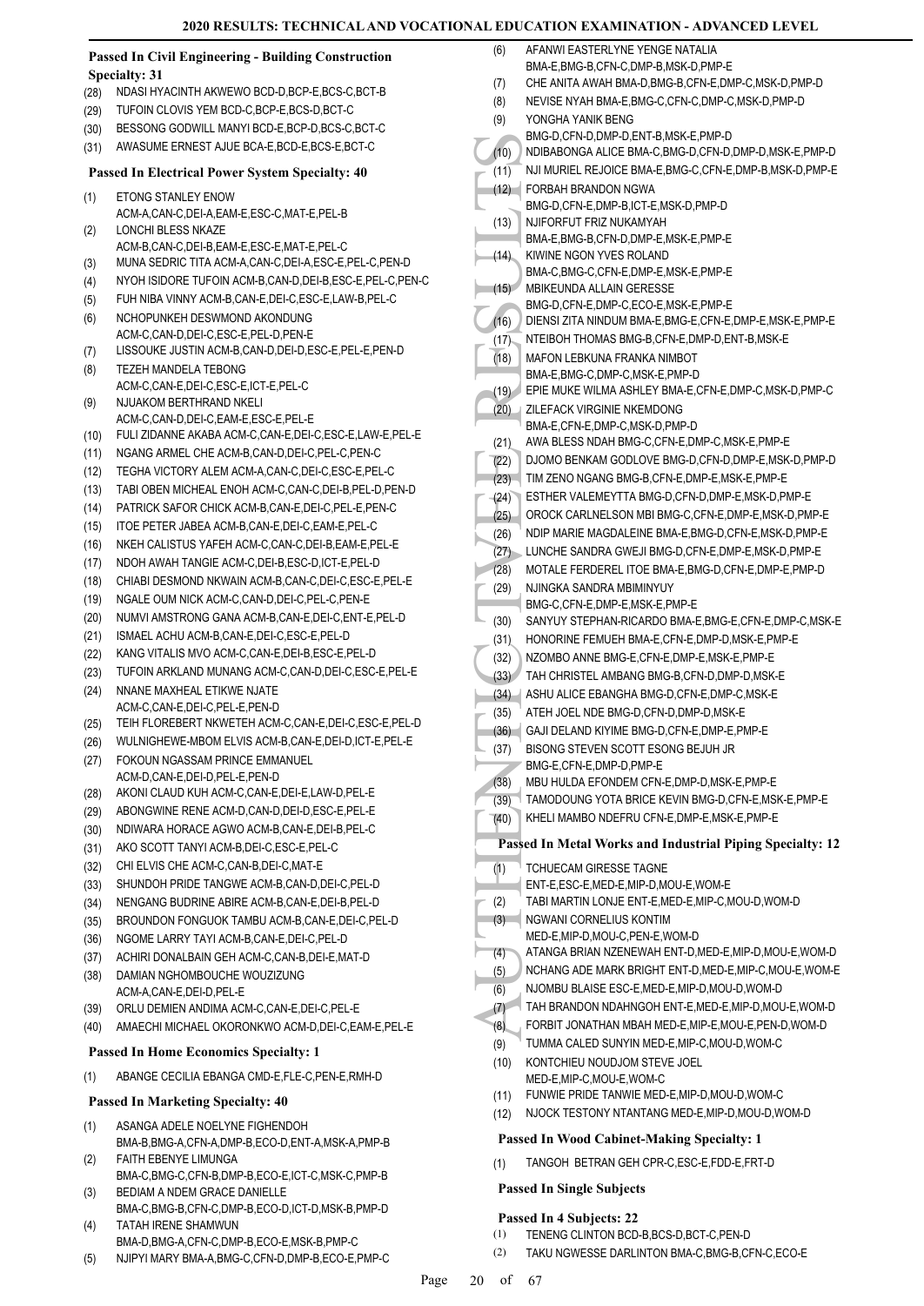#### **Passed In Civil Engineering - Building Construction Specialty: 31**

- (28) NDASI HYACINTH AKWEWO BCD-D,BCP-E,BCS-C,BCT-B
- (29) TUFOIN CLOVIS YEM BCD-C,BCP-E,BCS-D,BCT-C
- (30) BESSONG GODWILL MANYI BCD-E,BCP-D,BCS-C,BCT-C
- (31) AWASUME ERNEST AJUE BCA-E,BCD-E,BCS-E,BCT-C

#### **Passed In Electrical Power System Specialty: 40**

- ETONG STANLEY ENOW ACM-A,CAN-C,DEI-A,EAM-E,ESC-C,MAT-E,PEL-B (1) LONCHI BLESS NKAZE (2)
- ACM-B,CAN-C,DEI-B,EAM-E,ESC-E,MAT-E,PEL-C
- (3) MUNA SEDRIC TITA ACM-A,CAN-C,DEI-A,ESC-E,PEL-C,PEN-D
- (4) NYOH ISIDORE TUFOIN ACM-B,CAN-D,DEI-B,ESC-E,PEL-C,PEN-C
- (5) FUH NIBA VINNY ACM-B,CAN-E,DEI-C,ESC-E,LAW-B,PEL-C
- NCHOPUNKEH DESWMOND AKONDUNG ACM-C,CAN-D,DEI-C,ESC-E,PEL-D,PEN-E (6)
- (7) LISSOUKE JUSTIN ACM-B,CAN-D,DEI-D,ESC-E,PEL-E,PEN-D
- TEZEH MANDELA TEBONG ACM-C,CAN-E,DEI-C,ESC-E,ICT-E,PEL-C (8) NJUAKOM BERTHRAND NKELI (9)
- ACM-C, CAN-D, DEL-C, EAM-E, ESC-E, PEL-E (10) FULI ZIDANNE AKABA ACM-C,CAN-E,DEI-C,ESC-E,LAW-E,PEL-E
- (11) NGANG ARMEL CHE ACM-B,CAN-D,DEI-C,PEL-C,PEN-C
- 
- (12) TEGHA VICTORY ALEM ACM-A,CAN-C,DEI-C,ESC-E,PEL-C
- (13) TABI OBEN MICHEAL ENOH ACM-C,CAN-C,DEI-B,PEL-D,PEN-D
- (14) PATRICK SAFOR CHICK ACM-B,CAN-E,DEI-C,PEL-E,PEN-C (15) ITOE PETER JABEA ACM-B,CAN-E,DEI-C,EAM-E,PEL-C
- (16) NKEH CALISTUS YAFEH ACM-C,CAN-C,DEI-B,EAM-E,PEL-E
- (17) NDOH AWAH TANGIE ACM-C,DEI-B,ESC-D,ICT-E,PEL-D
- (18) CHIABI DESMOND NKWAIN ACM-B,CAN-C,DEI-C,ESC-E,PEL-E
- (19) NGALE OUM NICK ACM-C,CAN-D,DEI-C,PEL-C,PEN-E
- (20) NUMVI AMSTRONG GANA ACM-B,CAN-E,DEI-C,ENT-E,PEL-D
- (21) ISMAEL ACHU ACM-B,CAN-E,DEI-C,ESC-E,PEL-D
- (22) KANG VITALIS MVO ACM-C,CAN-E,DEI-B,ESC-E,PEL-D
- (23) TUFOIN ARKLAND MUNANG ACM-C,CAN-D,DEI-C,ESC-E,PEL-E
- NNANE MAXHEAL ETIKWE NJATE ACM-C,CAN-E,DEI-C,PEL-E,PEN-D (24)
- (25) TEIH FLOREBERT NKWETEH ACM-C,CAN-E,DEI-C,ESC-E,PEL-D
- (26) WULNIGHEWE-MBOM ELVIS ACM-B,CAN-E,DEI-D,ICT-E,PEL-E
- FOKOUN NGASSAM PRINCE EMMANUEL ACM-D,CAN-E,DEI-D,PEL-E,PEN-D (27)
- (28) AKONI CLAUD KUH ACM-C,CAN-E,DEI-E,LAW-D,PEL-E
- (29) ABONGWINE RENE ACM-D,CAN-D,DEI-D,ESC-E,PEL-E
- (30) NDIWARA HORACE AGWO ACM-B,CAN-E,DEI-B,PEL-C
- (31) AKO SCOTT TANYI ACM-B,DEI-C,ESC-E,PEL-C
- (32) CHI ELVIS CHE ACM-C,CAN-B,DEI-C,MAT-E
- (33) SHUNDOH PRIDE TANGWE ACM-B,CAN-D,DEI-C,PEL-D
- (34) NENGANG BUDRINE ABIRE ACM-B,CAN-E,DEI-B,PEL-D
- (35) BROUNDON FONGUOK TAMBU ACM-B,CAN-E,DEI-C,PEL-D
- (36) NGOME LARRY TAYI ACM-B,CAN-E,DEI-C,PEL-D
- (37) ACHIRI DONALBAIN GEH ACM-C,CAN-B,DEI-E,MAT-D
- DAMIAN NGHOMBOUCHE WOUZIZUNG ACM-A,CAN-E,DEI-D,PEL-E (38)
- (39) ORLU DEMIEN ANDIMA ACM-C,CAN-E,DEI-C,PEL-E
- (40) AMAECHI MICHAEL OKORONKWO ACM-D,DEI-C,EAM-E,PEL-E

#### **Passed In Home Economics Specialty: 1**

(1) ABANGE CECILIA EBANGA CMD-E,FLE-C,PEN-E,RMH-D

#### **Passed In Marketing Specialty: 40**

- ASANGA ADELE NOELYNE FIGHENDOH BMA-B,BMG-A,CFN-A,DMP-B,ECO-D,ENT-A,MSK-A,PMP-B (1) FAITH EBENYE LIMUNGA (2)
- BMA-C,BMG-C,CFN-B,DMP-B,ECO-E,ICT-C,MSK-C,PMP-B BEDIAM A NDEM GRACE DANIELLE (3)
- BMA-C,BMG-B,CFN-C,DMP-B,ECO-D,ICT-D,MSK-B,PMP-D TATAH IRENE SHAMWUN (4)
- BMA-D,BMG-A,CFN-C,DMP-B,ECO-E,MSK-B,PMP-C
- (5) NJIPYI MARY BMA-A,BMG-C,CFN-D,DMP-B,ECO-E,PMP-C
- MOTER (10)<br>
(11) NDIBAE<br>
(11) NUM FORBA<br>
(11) FORBA<br>
EMG-D<br>
NUM FORBA<br>
EMG-D<br>
NUM FORBA<br>
EMG-D<br>
NUM FORBA<br>
EMG-C<br>
(13) NUM BIMA-E,<br>
BMG-D<br>
DIENSI<br>
MAFON BMA-E,<br>
BMA-E,<br>
BMA-E,<br>
BMA-E,<br>
EMG-D<br>
DIENSI<br>
MAFON BMA-E,<br>
EMG-D<br>
D AFANWI FASTERI YNE YENGE NATALIA BMA-E,BMG-B,CFN-C,DMP-B,MSK-D,PMP-E (6) (7) CHE ANITA AWAH BMA-D,BMG-B,CFN-E,DMP-C,MSK-D,PMP-D (8) NEVISE NYAH BMA-E,BMG-C,CFN-C,DMP-C,MSK-D,PMP-D YONGHA YANIK BENG BMG-D,CFN-D,DMP-D,ENT-B,MSK-E,PMP-D (9) (10) NDIBABONGA ALICE BMA-C,BMG-D,CFN-D,DMP-D,MSK-E,PMP-D (11) NJI MURIEL REJOICE BMA-E,BMG-C,CFN-E,DMP-B,MSK-D,PMP-E FORBAH BRANDON NGWA BMG-D,CFN-E,DMP-B,ICT-E,MSK-D,PMP-D  $(12)$ NJIFORFUT FRIZ NUKAMYAH BMA-E,BMG-B,CFN-D,DMP-E,MSK-E,PMP-E (13) KIWINE NGON YVES ROLAND BMA-C,BMG-C,CFN-E,DMP-E,MSK-E,PMP-E (14) MBIKEUNDA ALLAIN GERESSE BMG-D,CFN-E,DMP-C,ECO-E,MSK-E,PMP-E  $(15)$ (16) DIENSI ZITA NINDUM BMA-E,BMG-E,CFN-E,DMP-E,MSK-E,PMP-E (17) NTEIBOH THOMAS BMG-B,CFN-E,DMP-D,ENT-B,MSK-E MAFON LEBKUNA FRANKA NIMBOT BMA-E,BMG-C,DMP-C,MSK-E,PMP-D (18) (19) EPIE MUKE WILMA ASHLEY BMA-E,CFN-E,DMP-C,MSK-D,PMP-C ZILEFACK VIRGINIE NKEMDONG BMA-E,CFN-E,DMP-C,MSK-D,PMP-D (20) (21) AWA BLESS NDAH BMG-C,CFN-E,DMP-C,MSK-E,PMP-E (22) DJOMO BENKAM GODLOVE BMG-D,CFN-D,DMP-E,MSK-D,PMP-D (23) TIM ZENO NGANG BMG-B,CFN-E,DMP-E,MSK-E,PMP-E (24) ESTHER VALEMEYTTA BMG-D,CFN-D,DMP-E,MSK-D,PMP-E (25) OROCK CARLNELSON MBI BMG-C,CFN-E,DMP-E,MSK-D,PMP-E (26) NDIP MARIE MAGDALEINE BMA-E, BMG-D, CFN-E, MSK-D, PMP-E (27) LUNCHE SANDRA GWEJI BMG-D,CFN-E,DMP-E,MSK-D,PMP-E (28) MOTALE FERDEREL ITOE BMA-E,BMG-D,CFN-E,DMP-E,PMP-D NJINGKA SANDRA MBIMINYUY BMG-C,CFN-E,DMP-E,MSK-E,PMP-E (29) (30) SANYUY STEPHAN-RICARDO BMA-E,BMG-E,CFN-E,DMP-C,MSK-E (31) HONORINE FEMUEH BMA-E,CFN-E,DMP-D,MSK-E,PMP-E (32) NZOMBO ANNE BMG-E,CFN-E,DMP-E,MSK-E,PMP-E (33) TAH CHRISTEL AMBANG BMG-B,CFN-D,DMP-D,MSK-E (34) ASHU ALICE EBANGHA BMG-D,CFN-E,DMP-C,MSK-E (35) ATEH JOEL NDE BMG-D,CFN-D,DMP-D,MSK-E (36) GAJI DELAND KIYIME BMG-D,CFN-E,DMP-E,PMP-E BISONG STEVEN SCOTT ESONG BEJUH JR BMG-E,CFN-E,DMP-D,PMP-E (37) (38) MBU HULDA EFONDEM CFN-E,DMP-D,MSK-E,PMP-E (39) TAMODOUNG YOTA BRICE KEVIN BMG-D,CFN-E,MSK-E,PMP-E (40) KHELI MAMBO NDEFRU CFN-E,DMP-E,MSK-E,PMP-E **Passed In Metal Works and Industrial Piping Specialty: 12** TCHUECAM GIRESSE TAGNE ENT-E,ESC-E,MED-E,MIP-D,MOU-E,WOM-E (1) (2) TABI MARTIN LONJE ENT-E,MED-E,MIP-C,MOU-D,WOM-D NGWANI CORNELIUS KONTIM MED-E,MIP-D,MOU-C,PEN-E,WOM-D (3) (4) ATANGA BRIAN NZENEWAH ENT-D,MED-E,MIP-D,MOU-E,WOM-D (5) NCHANG ADE MARK BRIGHT ENT-D,MED-E,MIP-C,MOU-E,WOM-E (6) NJOMBU BLAISE ESC-E,MED-E,MIP-D,MOU-D,WOM-D (7) TAH BRANDON NDAHNGOH ENT-E,MED-E,MIP-D,MOU-E,WOM-D (8) FORBIT JONATHAN MBAH MED-E,MIP-E,MOU-E,PEN-D,WOM-D (9) TUMMA CALED SUNYIN MED-E,MIP-C,MOU-D,WOM-C KONTCHIEU NOUDJOM STEVE JOEL MED-E,MIP-C,MOU-E,WOM-C (10) (11) FUNWIE PRIDE TANWIE MED-E,MIP-D,MOU-D,WOM-C (12) NJOCK TESTONY NTANTANG MED-E,MIP-D,MOU-D,WOM-D **Passed In Wood Cabinet-Making Specialty: 1**
	- (1) TANGOH BETRAN GEH CPR-C,ESC-E,FDD-E,FRT-D

# **Passed In Single Subjects**

#### **Passed In 4 Subjects: 22**

- (1) TENENG CLINTON BCD-B,BCS-D,BCT-C,PEN-D
- (2) TAKU NGWESSE DARLINTON BMA-C,BMG-B,CFN-C,ECO-E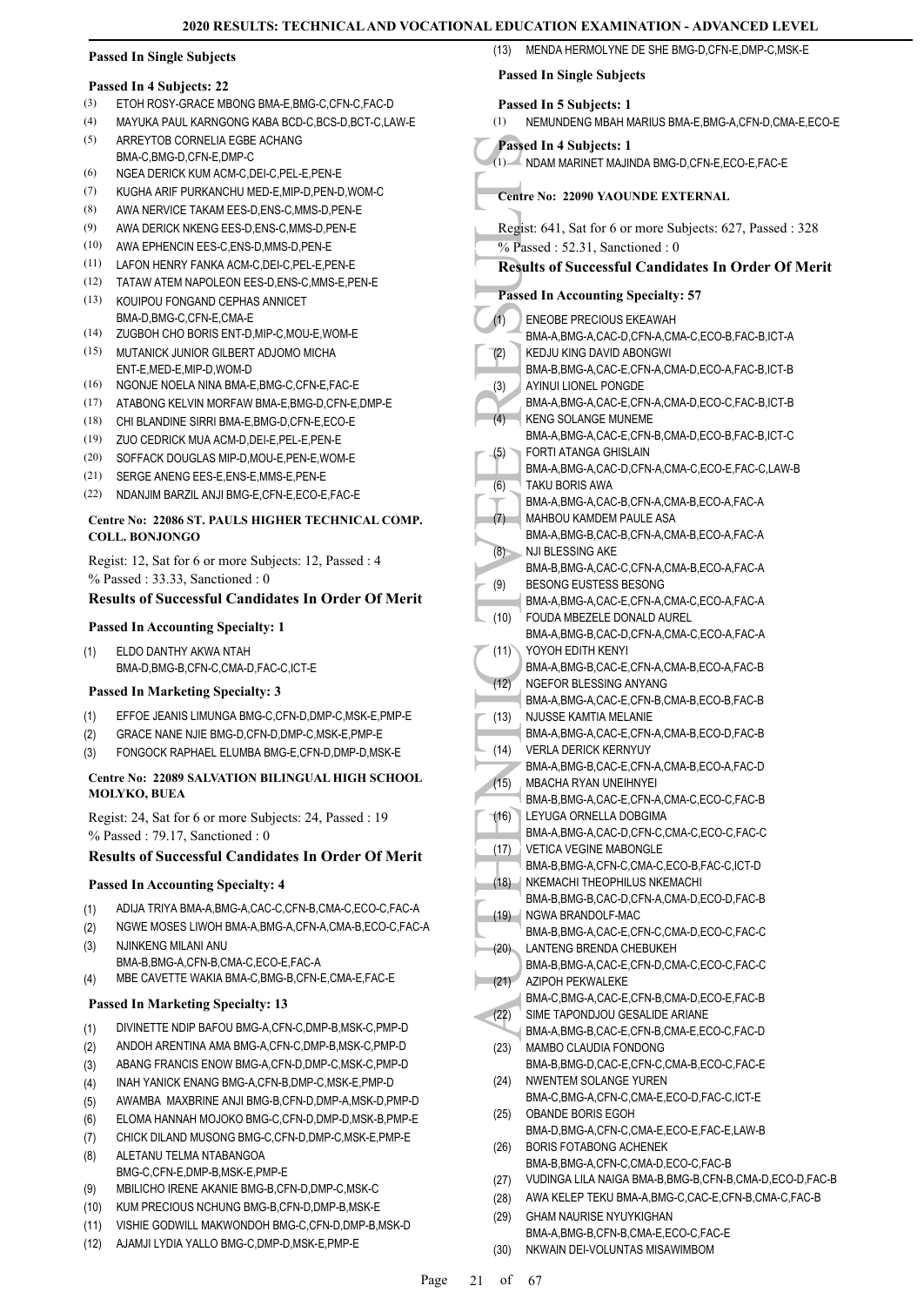# **Passed In Single Subjects**

#### **Passed In 4 Subjects: 22**

- (3) ETOH ROSY-GRACE MBONG BMA-E,BMG-C,CFN-C,FAC-D
- (4) MAYUKA PAUL KARNGONG KABA BCD-C,BCS-D,BCT-C,LAW-E ARREYTOB CORNELIA EGBE ACHANG (5)
- BMA-C,BMG-D,CFN-E,DMP-C
- (6) NGEA DERICK KUM ACM-C,DEI-C,PEL-E,PEN-E
- (7) KUGHA ARIF PURKANCHU MED-E,MIP-D,PEN-D,WOM-C
- (8) AWA NERVICE TAKAM EES-D,ENS-C,MMS-D,PEN-E
- (9) AWA DERICK NKENG EES-D,ENS-C,MMS-D,PEN-E
- (10) AWA EPHENCIN EES-C,ENS-D,MMS-D,PEN-E
- (11) LAFON HENRY FANKA ACM-C,DEI-C,PEL-E,PEN-E
- (12) TATAW ATEM NAPOLEON EES-D,ENS-C,MMS-E,PEN-E
- (13) KOUIPOU FONGAND CEPHAS ANNICET BMA-D,BMG-C,CFN-E,CMA-E
- (14) ZUGBOH CHO BORIS ENT-D,MIP-C,MOU-E,WOM-E
- MUTANICK JUNIOR GILBERT ADJOMO MICHA (15) ENT-E,MED-E,MIP-D,WOM-D
- (16) NGONJE NOELA NINA BMA-E,BMG-C,CFN-E,FAC-E
- (17) ATABONG KELVIN MORFAW BMA-E,BMG-D,CFN-E,DMP-E
- (18) CHI BLANDINE SIRRI BMA-E,BMG-D,CFN-E,ECO-E
- (19) ZUO CEDRICK MUA ACM-D,DEI-E,PEL-E,PEN-E
- (20) SOFFACK DOUGLAS MIP-D,MOU-E,PEN-E,WOM-E
- (21) SERGE ANENG EES-E,ENS-E,MMS-E,PEN-E
- (22) NDANJIM BARZIL ANJI BMG-E,CFN-E,ECO-E,FAC-E

#### **Centre No: 22086 ST. PAULS HIGHER TECHNICAL COMP. COLL. BONJONGO**

Regist: 12, Sat for 6 or more Subjects: 12, Passed : 4 % Passed : 33.33, Sanctioned : 0

# **Results of Successful Candidates In Order Of Merit**

#### **Passed In Accounting Specialty: 1**

ELDO DANTHY AKWA NTAH BMA-D,BMG-B,CFN-C,CMA-D,FAC-C,ICT-E (1)

#### **Passed In Marketing Specialty: 3**

- (1) EFFOE JEANIS LIMUNGA BMG-C,CFN-D,DMP-C,MSK-E,PMP-E
- (2) GRACE NANE NJIE BMG-D,CFN-D,DMP-C,MSK-E,PMP-E
- (3) FONGOCK RAPHAEL ELUMBA BMG-E,CFN-D,DMP-D,MSK-E

#### **Centre No: 22089 SALVATION BILINGUAL HIGH SCHOOL MOLYKO, BUEA**

Regist: 24, Sat for 6 or more Subjects: 24, Passed : 19 % Passed : 79.17, Sanctioned : 0

# **Results of Successful Candidates In Order Of Merit**

#### **Passed In Accounting Specialty: 4**

- (1) ADIJA TRIYA BMA-A,BMG-A,CAC-C,CFN-B,CMA-C,ECO-C,FAC-A
- (2) NGWE MOSES LIWOH BMA-A,BMG-A,CFN-A,CMA-B,ECO-C,FAC-A
- NJINKENG MILANI ANU (3)
- BMA-B,BMG-A,CFN-B,CMA-C,ECO-E,FAC-A (4) MBE CAVETTE WAKIA BMA-C,BMG-B,CFN-E,CMA-E,FAC-E

# **Passed In Marketing Specialty: 13**

- (1) DIVINETTE NDIP BAFOU BMG-A,CFN-C,DMP-B,MSK-C,PMP-D
- (2) ANDOH ARENTINA AMA BMG-A,CFN-C,DMP-B,MSK-C,PMP-D
- (3) ABANG FRANCIS ENOW BMG-A,CFN-D,DMP-C,MSK-C,PMP-D
- (4) INAH YANICK ENANG BMG-A,CFN-B,DMP-C,MSK-E,PMP-D
- (5) AWAMBA MAXBRINE ANJI BMG-B,CFN-D,DMP-A,MSK-D,PMP-D
- (6) ELOMA HANNAH MOJOKO BMG-C,CFN-D,DMP-D,MSK-B,PMP-E
- 
- (7) CHICK DILAND MUSONG BMG-C,CFN-D,DMP-C,MSK-E,PMP-E
- ALETANU TELMA NTABANGOA BMG-C, CFN-F, DMP-B, MSK-F, PMP-F (8)
- (9) MBILICHO IRENE AKANIE BMG-B,CFN-D,DMP-C,MSK-C
- (10) KUM PRECIOUS NCHUNG BMG-B,CFN-D,DMP-B,MSK-E
- (11) VISHIE GODWILL MAKWONDOH BMG-C,CFN-D,DMP-B,MSK-D
- (12) AJAMJI LYDIA YALLO BMG-C,DMP-D,MSK-E,PMP-E

|      | <b>Passed In Single Subjects</b>                                                              |
|------|-----------------------------------------------------------------------------------------------|
| (1)  | Passed In 5 Subjects: 1<br>NEMUNDENG MBAH MARIUS BMA-E, BMG-A, CFN-D, CMA-E, ECO-E            |
|      | Passed In 4 Subjects: 1                                                                       |
|      | (1) NDAM MARINET MAJINDA BMG-D,CFN-E,ECO-E,FAC-E                                              |
|      | Centre No: 22090 YAOUNDE EXTERNAL                                                             |
|      | Regist: 641, Sat for 6 or more Subjects: 627, Passed: 328<br>$%$ Passed: 52.31, Sanctioned: 0 |
|      | <b>Results of Successful Candidates In Order Of Merit</b>                                     |
|      | <b>Passed In Accounting Specialty: 57</b>                                                     |
| (1)  | ENEOBE PRECIOUS EKEAWAH                                                                       |
|      | BMA-A,BMG-A,CAC-D,CFN-A,CMA-C,ECO-B,FAC-B,ICT-A                                               |
| (2)  | KEDJU KING DAVID ABONGWI                                                                      |
|      | BMA-B, BMG-A, CAC-E, CFN-A, CMA-D, ECO-A, FAC-B, ICT-B                                        |
| (3)  | AYINUI LIONEL PONGDE                                                                          |
| (4)  | BMA-A,BMG-A,CAC-E,CFN-A,CMA-D,ECO-C,FAC-B,ICT-B<br><b>KENG SOLANGE MUNEME</b>                 |
|      | BMA-A,BMG-A,CAC-E,CFN-B,CMA-D,ECO-B,FAC-B,ICT-C                                               |
| (5)  | FORTI ATANGA GHISLAIN                                                                         |
|      | BMA-A,BMG-A,CAC-D,CFN-A,CMA-C,ECO-E,FAC-C,LAW-B                                               |
| (6)  | TAKU BORIS AWA                                                                                |
|      | BMA-A, BMG-A, CAC-B, CFN-A, CMA-B, ECO-A, FAC-A                                               |
| (7)  | MAHBOU KAMDEM PAULE ASA<br>BMA-A, BMG-B, CAC-B, CFN-A, CMA-B, ECO-A, FAC-A                    |
| (8)  | NJI BLESSING AKE                                                                              |
|      | BMA-B, BMG-A, CAC-C, CFN-A, CMA-B, ECO-A, FAC-A                                               |
| (9)  | BESONG EUSTESS BESONG                                                                         |
|      | BMA-A, BMG-A, CAC-E, CFN-A, CMA-C, ECO-A, FAC-A                                               |
| (10) | FOUDA MBEZELE DONALD AUREL                                                                    |
| (11) | BMA-A,BMG-B,CAC-D,CFN-A,CMA-C,ECO-A,FAC-A<br>YOYOH EDITH KENYI                                |
|      | BMA-A,BMG-B,CAC-E,CFN-A,CMA-B,ECO-A,FAC-B                                                     |
| (12) | NGEFOR BLESSING ANYANG                                                                        |
|      | BMA-A, BMG-A, CAC-E, CFN-B, CMA-B, ECO-B, FAC-B                                               |
| (13) | <b>NJUSSE KAMTIA MELANIE</b>                                                                  |
|      | BMA-A, BMG-A, CAC-E, CFN-A, CMA-B, ECO-D, FAC-B                                               |
| (14) | <b>VERLA DERICK KERNYUY</b><br>BMA-A,BMG-B,CAC-E,CFN-A,CMA-B,ECO-A,FAC-D                      |
| (15) | MBACHA RYAN UNEIHNYEI                                                                         |
|      | BMA-B, BMG-A, CAC-E, CFN-A, CMA-C, ECO-C, FAC-B                                               |
| (16) | LEYUGA ORNELLA DOBGIMA                                                                        |
|      | BMA-A, BMG-A, CAC-D, CFN-C, CMA-C, ECO-C, FAC-C                                               |
| (17) | <b>VETICA VEGINE MABONGLE</b>                                                                 |
| (18) | BMA-B,BMG-A,CFN-C,CMA-C,ECO-B,FAC-C,ICT-D<br>NKEMACHI THEOPHILUS NKEMACHI                     |
|      | BMA-B,BMG-B,CAC-D,CFN-A,CMA-D,ECO-D,FAC-B                                                     |
| (19) | NGWA BRANDOLF-MAC                                                                             |
|      | BMA-B,BMG-A,CAC-E,CFN-C,CMA-D,ECO-C,FAC-C                                                     |
| (20) | LANTENG BRENDA CHEBUKEH                                                                       |
|      | BMA-B, BMG-A, CAC-E, CFN-D, CMA-C, ECO-C, FAC-C                                               |
| (21) | AZIPOH PEKWALEKE<br>BMA-C,BMG-A,CAC-E,CFN-B,CMA-D,ECO-E,FAC-B                                 |
| (22) | SIME TAPONDJOU GESALIDE ARIANE                                                                |
|      | BMA-A,BMG-B,CAC-E,CFN-B,CMA-E,ECO-C,FAC-D                                                     |
| (23) | MAMBO CLAUDIA FONDONG                                                                         |
|      | BMA-B, BMG-D, CAC-E, CFN-C, CMA-B, ECO-C, FAC-E                                               |
| (24) | NWENTEM SOLANGE YUREN                                                                         |
| (25) | BMA-C, BMG-A, CFN-C, CMA-E, ECO-D, FAC-C, ICT-E<br>OBANDE BORIS EGOH                          |
|      | BMA-D,BMG-A,CFN-C,CMA-E,ECO-E,FAC-E,LAW-B                                                     |
| (26) | <b>BORIS FOTABONG ACHENEK</b>                                                                 |
|      | BMA-B,BMG-A,CFN-C,CMA-D,ECO-C,FAC-B                                                           |
|      |                                                                                               |

(13) MENDA HERMOLYNE DE SHE BMG-D,CFN-E,DMP-C,MSK-E

- (27) VUDINGA LILA NAIGA BMA-B,BMG-B,CFN-B,CMA-D,ECO-D,FAC-B
- (28) AWA KELEP TEKU BMA-A,BMG-C,CAC-E,CFN-B,CMA-C,FAC-B GHAM NAURISE NYUYKIGHAN (29)
- BMA-A,BMG-B,CFN-B,CMA-E,ECO-C,FAC-E (30) NKWAIN DEI-VOLUNTAS MISAWIMBOM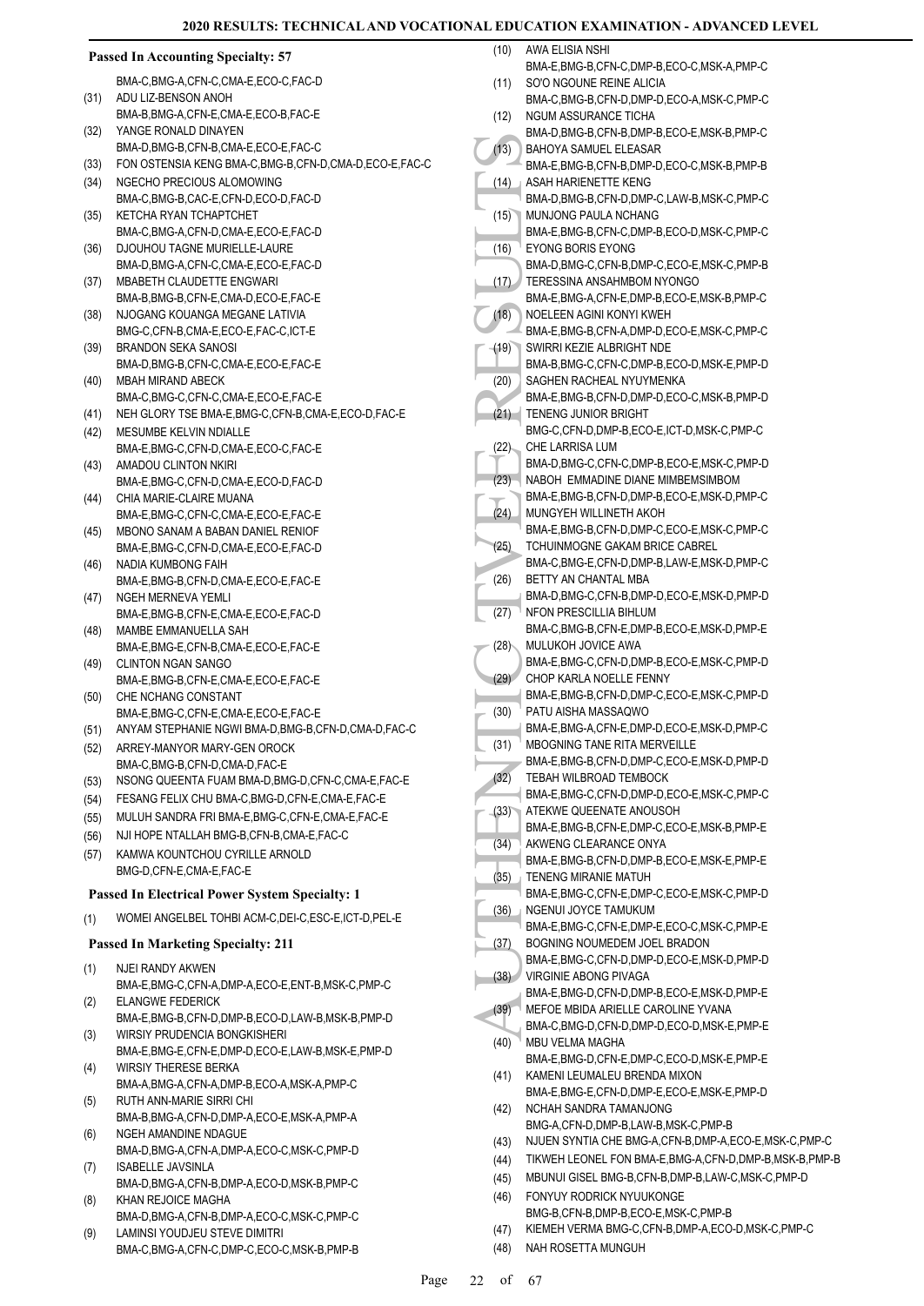|      | <b>Passed In Accounting Specialty: 57</b>                                                     |              | (10) AWA ELISIA NSHI                                                                                                    |
|------|-----------------------------------------------------------------------------------------------|--------------|-------------------------------------------------------------------------------------------------------------------------|
|      | BMA-C,BMG-A,CFN-C,CMA-E,ECO-C,FAC-D                                                           | (11)         | BMA-E,BMG-B,CFN-C,DMP-B,ECO-C,MSK-A,PMP-C<br>SO'O NGOUNE REINE ALICIA                                                   |
| (31) | ADU LIZ-BENSON ANOH                                                                           |              | BMA-C, BMG-B, CFN-D, DMP-D, ECO-A, MSK-C, PMP-C                                                                         |
|      | BMA-B, BMG-A, CFN-E, CMA-E, ECO-B, FAC-E                                                      | (12)         | NGUM ASSURANCE TICHA                                                                                                    |
| (32) | YANGE RONALD DINAYEN                                                                          |              | BMA-D,BMG-B,CFN-B,DMP-B,ECO-E,MSK-B,PMP-C                                                                               |
|      | BMA-D,BMG-B,CFN-B,CMA-E,ECO-E,FAC-C                                                           | (13)         | BAHOYA SAMUEL ELEASAR                                                                                                   |
| (33) | FON OSTENSIA KENG BMA-C, BMG-B, CFN-D, CMA-D, ECO-E, FAC-C                                    |              | BMA-E,BMG-B,CFN-B,DMP-D,ECO-C,MSK-B,PMP-B                                                                               |
| (34) | NGECHO PRECIOUS ALOMOWING                                                                     | (14)         | ASAH HARIENETTE KENG                                                                                                    |
|      | BMA-C, BMG-B, CAC-E, CFN-D, ECO-D, FAC-D<br>KETCHA RYAN TCHAPTCHET                            |              | BMA-D,BMG-B,CFN-D,DMP-C,LAW-B,MSK-C,PMP-C<br>MUNJONG PAULA NCHANG                                                       |
| (35) | BMA-C,BMG-A,CFN-D,CMA-E,ECO-E,FAC-D                                                           | (15)         | BMA-E,BMG-B,CFN-C,DMP-B,ECO-D,MSK-C,PMP-C                                                                               |
| (36) | DJOUHOU TAGNE MURIELLE-LAURE                                                                  | (16)         | EYONG BORIS EYONG                                                                                                       |
|      | BMA-D, BMG-A, CFN-C, CMA-E, ECO-E, FAC-D                                                      |              | BMA-D.BMG-C.CFN-B.DMP-C.ECO-E.MSK-C.PMP-B                                                                               |
| (37) | MBABETH CLAUDETTE ENGWARI                                                                     |              | (17) TERESSINA ANSAHMBOM NYONGO                                                                                         |
|      | BMA-B, BMG-B, CFN-E, CMA-D, ECO-E, FAC-E                                                      |              | BMA-E,BMG-A,CFN-E,DMP-B,ECO-E,MSK-B,PMP-C                                                                               |
| (38) | NJOGANG KOUANGA MEGANE LATIVIA                                                                | (18)         | NOELEEN AGINI KONYI KWEH                                                                                                |
|      | BMG-C,CFN-B,CMA-E,ECO-E,FAC-C,ICT-E<br><b>BRANDON SEKA SANOSI</b>                             | (19)         | BMA-E,BMG-B,CFN-A,DMP-D,ECO-E,MSK-C,PMP-C<br>SWIRRI KEZIE ALBRIGHT NDE                                                  |
| (39) | BMA-D,BMG-B,CFN-C,CMA-E,ECO-E,FAC-E                                                           |              | BMA-B,BMG-C,CFN-C,DMP-B,ECO-D,MSK-E,PMP-D                                                                               |
| (40) | MBAH MIRAND ABECK                                                                             | (20)         | SAGHEN RACHEAL NYUYMENKA                                                                                                |
|      | BMA-C.BMG-C.CFN-C.CMA-E.ECO-E.FAC-E                                                           |              | BMA-E,BMG-B,CFN-D,DMP-D,ECO-C,MSK-B,PMP-D                                                                               |
| (41) | NEH GLORY TSE BMA-E, BMG-C, CFN-B, CMA-E, ECO-D, FAC-E                                        |              | (21) TENENG JUNIOR BRIGHT                                                                                               |
| (42) | MESUMBE KELVIN NDIALLE                                                                        |              | BMG-C,CFN-D,DMP-B,ECO-E,ICT-D,MSK-C,PMP-C                                                                               |
|      | BMA-E,BMG-C,CFN-D,CMA-E,ECO-C,FAC-E                                                           | (22)         | CHE LARRISA LUM                                                                                                         |
| (43) | AMADOU CLINTON NKIRI                                                                          |              | BMA-D,BMG-C,CFN-C,DMP-B,ECO-E,MSK-C,PMP-D<br>(23) NABOH EMMADINE DIANE MIMBEMSIMBOM                                     |
|      | BMA-E,BMG-C,CFN-D,CMA-E,ECO-D,FAC-D<br>CHIA MARIE-CLAIRE MUANA                                |              | BMA-E,BMG-B,CFN-D,DMP-B,ECO-E,MSK-D,PMP-C                                                                               |
| (44) | BMA-E,BMG-C,CFN-C,CMA-E,ECO-E,FAC-E                                                           | (24)         | MUNGYEH WILLINETH AKOH                                                                                                  |
| (45) | MBONO SANAM A BABAN DANIEL RENIOF                                                             |              | BMA-E,BMG-B,CFN-D,DMP-C,ECO-E,MSK-C,PMP-C                                                                               |
|      | BMA-E,BMG-C,CFN-D,CMA-E,ECO-E,FAC-D                                                           | (25)         | TCHUINMOGNE GAKAM BRICE CABREL                                                                                          |
| (46) | NADIA KUMBONG FAIH                                                                            |              | BMA-C,BMG-E,CFN-D,DMP-B,LAW-E,MSK-D,PMP-C                                                                               |
|      | BMA-E,BMG-B,CFN-D,CMA-E,ECO-E,FAC-E                                                           | (26)         | BETTY AN CHANTAL MBA                                                                                                    |
| (47) | NGEH MERNEVA YEMLI                                                                            | (27)         | BMA-D,BMG-C,CFN-B,DMP-D,ECO-E,MSK-D,PMP-D<br>NFON PRESCILLIA BIHLUM                                                     |
| (48) | BMA-E,BMG-B,CFN-E,CMA-E,ECO-E,FAC-D<br>MAMBE EMMANUELLA SAH                                   |              | BMA-C,BMG-B,CFN-E,DMP-B,ECO-E,MSK-D,PMP-E                                                                               |
|      | BMA-E,BMG-E,CFN-B,CMA-E,ECO-E,FAC-E                                                           | (28)         | MULUKOH JOVICE AWA                                                                                                      |
| (49) | <b>CLINTON NGAN SANGO</b>                                                                     |              | BMA-E,BMG-C,CFN-D,DMP-B,ECO-E,MSK-C,PMP-D                                                                               |
|      | BMA-E.BMG-B.CFN-E.CMA-E.ECO-E.FAC-E                                                           | (29)         | CHOP KARLA NOELLE FENNY                                                                                                 |
| (50) | CHE NCHANG CONSTANT                                                                           |              | BMA-E,BMG-B,CFN-D,DMP-C,ECO-E,MSK-C,PMP-D<br>PATU AISHA MASSAQWO                                                        |
| (51) | BMA-E,BMG-C,CFN-E,CMA-E,ECO-E,FAC-E<br>ANYAM STEPHANIE NGWI BMA-D, BMG-B, CFN-D, CMA-D, FAC-C | (30)         | BMA-E,BMG-A,CFN-E,DMP-D,ECO-E,MSK-D,PMP-C                                                                               |
| (52) | ARREY-MANYOR MARY-GEN OROCK                                                                   | (31)         | MBOGNING TANE RITA MERVEILLE                                                                                            |
|      | BMA-C, BMG-B, CFN-D, CMA-D, FAC-E                                                             |              | BMA-E,BMG-B,CFN-D,DMP-C,ECO-E,MSK-D,PMP-D                                                                               |
| (53) | NSONG QUEENTA FUAM BMA-D, BMG-D, CFN-C, CMA-E, FAC-E                                          | (32)         | TEBAH WILBROAD TEMBOCK                                                                                                  |
| (54) | FESANG FELIX CHU BMA-C, BMG-D, CFN-E, CMA-E, FAC-E                                            |              | BMA-E,BMG-C,CFN-D,DMP-D,ECO-E,MSK-C,PMP-C                                                                               |
| (55) | MULUH SANDRA FRI BMA-E, BMG-C, CFN-E, CMA-E, FAC-E                                            |              | (33) ATEKWE QUEENATE ANOUSOH<br>BMA-E,BMG-B,CFN-E,DMP-C,ECO-E,MSK-B,PMP-E                                               |
| (56) | NJI HOPE NTALLAH BMG-B,CFN-B,CMA-E,FAC-C                                                      | (34)         | AKWENG CLEARANCE ONYA                                                                                                   |
| (57) | KAMWA KOUNTCHOU CYRILLE ARNOLD                                                                |              | BMA-E,BMG-B,CFN-D,DMP-B,ECO-E,MSK-E,PMP-E                                                                               |
|      | BMG-D,CFN-E,CMA-E,FAC-E                                                                       | (35)         | TENENG MIRANIE MATUH                                                                                                    |
|      | <b>Passed In Electrical Power System Specialty: 1</b>                                         |              | BMA-E,BMG-C,CFN-E,DMP-C,ECO-E,MSK-C,PMP-D                                                                               |
| (1)  | WOMEI ANGELBEL TOHBI ACM-C, DEI-C, ESC-E, ICT-D, PEL-E                                        | (36)         | NGENUI JOYCE TAMUKUM<br>BMA-E,BMG-C,CFN-E,DMP-E,ECO-C,MSK-C,PMP-E                                                       |
|      | <b>Passed In Marketing Specialty: 211</b>                                                     | (37)         | BOGNING NOUMEDEM JOEL BRADON                                                                                            |
|      |                                                                                               |              | BMA-E,BMG-C,CFN-D,DMP-D,ECO-E,MSK-D,PMP-D                                                                               |
| (1)  | NJEI RANDY AKWEN<br>BMA-E, BMG-C, CFN-A, DMP-A, ECO-E, ENT-B, MSK-C, PMP-C                    | (38)         | VIRGINIE ABONG PIVAGA                                                                                                   |
| (2)  | <b>ELANGWE FEDERICK</b>                                                                       |              | BMA-E,BMG-D,CFN-D,DMP-B,ECO-E,MSK-D,PMP-E                                                                               |
|      | BMA-E,BMG-B,CFN-D,DMP-B,ECO-D,LAW-B,MSK-B,PMP-D                                               | (39)         | MEFOE MBIDA ARIELLE CAROLINE YVANA                                                                                      |
| (3)  | WIRSIY PRUDENCIA BONGKISHERI                                                                  | (40)         | BMA-C,BMG-D,CFN-D,DMP-D,ECO-D,MSK-E,PMP-E<br>MBU VELMA MAGHA                                                            |
|      | BMA-E,BMG-E,CFN-E,DMP-D,ECO-E,LAW-B,MSK-E,PMP-D                                               |              | BMA-E,BMG-D,CFN-E,DMP-C,ECO-D,MSK-E,PMP-E                                                                               |
| (4)  | <b>WIRSIY THERESE BERKA</b>                                                                   | (41)         | KAMENI LEUMALEU BRENDA MIXON                                                                                            |
|      | BMA-A,BMG-A,CFN-A,DMP-B,ECO-A,MSK-A,PMP-C<br>RUTH ANN-MARIE SIRRI CHI                         |              | BMA-E,BMG-E,CFN-D,DMP-E,ECO-E,MSK-E,PMP-D                                                                               |
| (5)  | BMA-B, BMG-A, CFN-D, DMP-A, ECO-E, MSK-A, PMP-A                                               | (42)         | NCHAH SANDRA TAMANJONG                                                                                                  |
| (6)  | NGEH AMANDINE NDAGUE                                                                          |              | BMG-A,CFN-D,DMP-B,LAW-B,MSK-C,PMP-B                                                                                     |
|      | BMA-D, BMG-A, CFN-A, DMP-A, ECO-C, MSK-C, PMP-D                                               | (43)         | NJUEN SYNTIA CHE BMG-A, CFN-B, DMP-A, ECO-E, MSK-C, PMP-C<br>TIKWEH LEONEL FON BMA-E, BMG-A, CFN-D, DMP-B, MSK-B, PMP-B |
| (7)  | <b>ISABELLE JAVSINLA</b>                                                                      | (44)<br>(45) | MBUNUI GISEL BMG-B,CFN-B,DMP-B,LAW-C,MSK-C,PMP-D                                                                        |
|      | BMA-D, BMG-A, CFN-B, DMP-A, ECO-D, MSK-B, PMP-C                                               | (46)         | FONYUY RODRICK NYUUKONGE                                                                                                |
| (8)  | KHAN REJOICE MAGHA<br>BMA-D,BMG-A,CFN-B,DMP-A,ECO-C,MSK-C,PMP-C                               |              | BMG-B,CFN-B,DMP-B,ECO-E,MSK-C,PMP-B                                                                                     |
| (9)  | LAMINSI YOUDJEU STEVE DIMITRI                                                                 | (47)         | KIEMEH VERMA BMG-C, CFN-B, DMP-A, ECO-D, MSK-C, PMP-C                                                                   |
|      | BMA-C.BMG-A.CFN-C.DMP-C.ECO-C.MSK-B.PMP-B                                                     | (48)         | NAH ROSETTA MUNGUH                                                                                                      |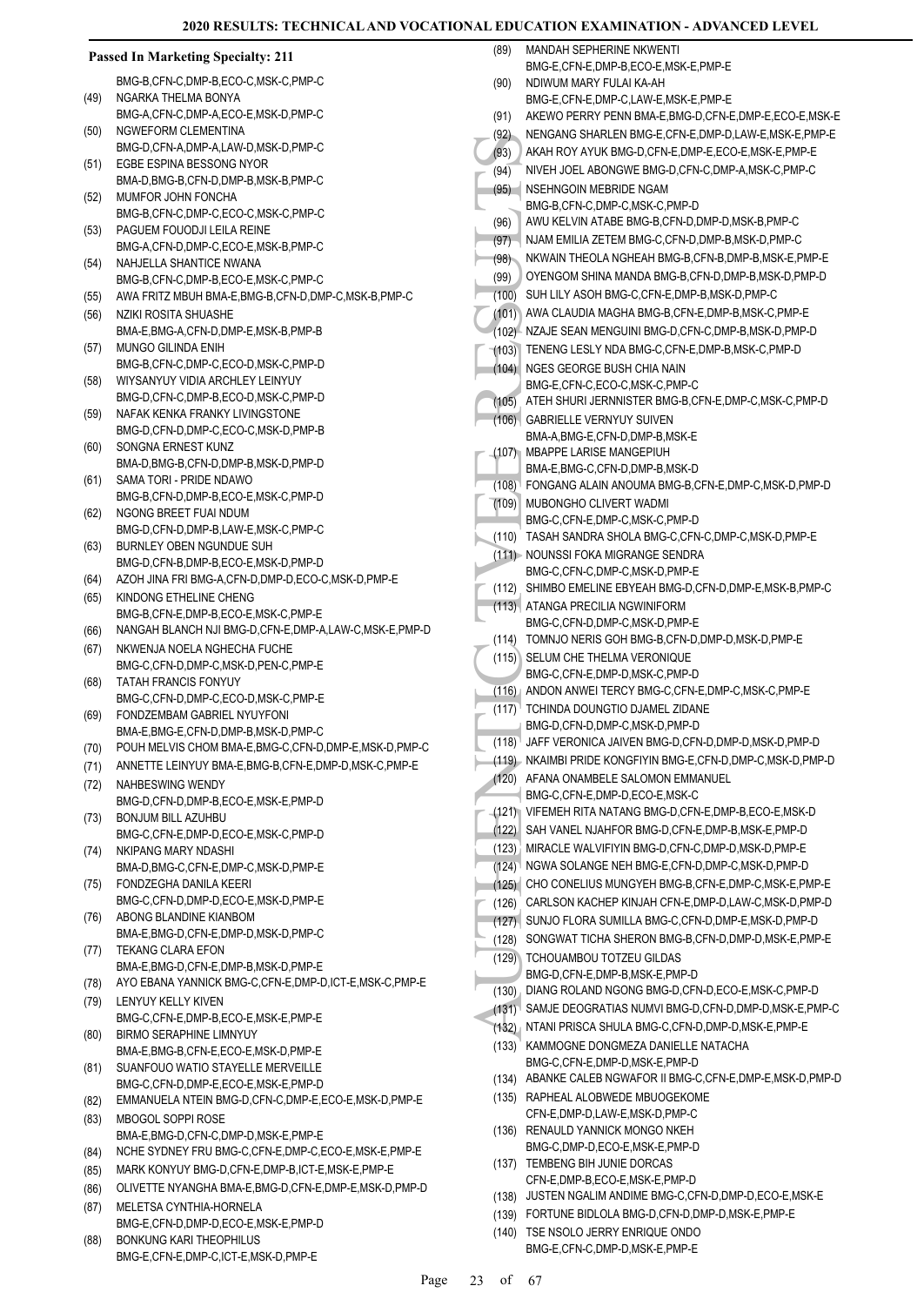|      | <b>Passed In Marketing Specialty: 211</b>                                | (89)  | MANDAH SEPHERINE NKWENTI<br>BMG-E,CFN-E,DMP-B,ECO-E,MSK-E,PMP-E                 |
|------|--------------------------------------------------------------------------|-------|---------------------------------------------------------------------------------|
|      | BMG-B,CFN-C,DMP-B,ECO-C,MSK-C,PMP-C                                      | (90)  | NDIWUM MARY FULAI KA-AH                                                         |
| (49) | NGARKA THELMA BONYA                                                      |       | BMG-E,CFN-E,DMP-C,LAW-E,MSK-E,PMP-E                                             |
|      | BMG-A,CFN-C,DMP-A,ECO-E,MSK-D,PMP-C                                      | (91)  | AKEWO PERRY PENN BMA-E, BMG-D, CFN-E, DMP-E, ECO-E, MSK-E                       |
| (50) | NGWEFORM CLEMENTINA                                                      | (92)  | NENGANG SHARLEN BMG-E, CFN-E, DMP-D, LAW-E, MSK-E, PMP-E                        |
|      | BMG-D,CFN-A,DMP-A,LAW-D,MSK-D,PMP-C                                      | (93)  | AKAH ROY AYUK BMG-D, CFN-E, DMP-E, ECO-E, MSK-E, PMP-E                          |
| (51) | EGBE ESPINA BESSONG NYOR                                                 |       | NIVEH JOEL ABONGWE BMG-D, CFN-C, DMP-A, MSK-C, PMP-C                            |
|      | BMA-D,BMG-B,CFN-D,DMP-B,MSK-B,PMP-C                                      | (94)  |                                                                                 |
| (52) | MUMFOR JOHN FONCHA                                                       | (95)  | NSEHNGOIN MEBRIDE NGAM                                                          |
|      | BMG-B,CFN-C,DMP-C,ECO-C,MSK-C,PMP-C                                      |       | BMG-B,CFN-C,DMP-C,MSK-C,PMP-D<br>AWU KELVIN ATABE BMG-B,CFN-D,DMP-D,MSK-B,PMP-C |
| (53) | PAGUEM FOUODJI LEILA REINE                                               | (96)  |                                                                                 |
|      | BMG-A,CFN-D,DMP-C,ECO-E,MSK-B,PMP-C                                      | (97)  | NJAM EMILIA ZETEM BMG-C, CFN-D, DMP-B, MSK-D, PMP-C                             |
| (54) | NAHJELLA SHANTICE NWANA                                                  | (98)  | NKWAIN THEOLA NGHEAH BMG-B,CFN-B,DMP-B,MSK-E,PMP-E                              |
|      | BMG-B,CFN-C,DMP-B,ECO-E,MSK-C,PMP-C                                      | (99)  | OYENGOM SHINA MANDA BMG-B, CFN-D, DMP-B, MSK-D, PMP-D                           |
| (55) | AWA FRITZ MBUH BMA-E, BMG-B, CFN-D, DMP-C, MSK-B, PMP-C                  |       | (100) SUH LILY ASOH BMG-C, CFN-E, DMP-B, MSK-D, PMP-C                           |
| (56) | NZIKI ROSITA SHUASHE                                                     |       | (101) AWA CLAUDIA MAGHA BMG-B,CFN-E,DMP-B,MSK-C,PMP-E                           |
|      | BMA-E, BMG-A, CFN-D, DMP-E, MSK-B, PMP-B                                 |       | (102) NZAJE SEAN MENGUINI BMG-D, CFN-C, DMP-B, MSK-D, PMP-D                     |
| (57) | MUNGO GILINDA ENIH                                                       |       | (103) TENENG LESLY NDA BMG-C, CFN-E, DMP-B, MSK-C, PMP-D                        |
|      | BMG-B,CFN-C,DMP-C,ECO-D,MSK-C,PMP-D                                      |       | (104) NGES GEORGE BUSH CHIA NAIN                                                |
| (58) | WIYSANYUY VIDIA ARCHLEY LEINYUY                                          |       | BMG-E,CFN-C,ECO-C,MSK-C,PMP-C                                                   |
|      | BMG-D,CFN-C,DMP-B,ECO-D,MSK-C,PMP-D                                      | (105) | ATEH SHURI JERNNISTER BMG-B, CFN-E, DMP-C, MSK-C, PMP-D                         |
| (59) | NAFAK KENKA FRANKY LIVINGSTONE                                           |       | (106) GABRIELLE VERNYUY SUIVEN                                                  |
|      | BMG-D,CFN-D,DMP-C,ECO-C,MSK-D,PMP-B                                      |       | BMA-A,BMG-E,CFN-D,DMP-B,MSK-E                                                   |
| (60) | SONGNA ERNEST KUNZ                                                       |       | (107) MBAPPE LARISE MANGEPIUH                                                   |
|      | BMA-D.BMG-B.CFN-D.DMP-B.MSK-D.PMP-D                                      |       | BMA-E,BMG-C,CFN-D,DMP-B,MSK-D                                                   |
| (61) | SAMA TORI - PRIDE NDAWO<br>BMG-B,CFN-D,DMP-B,ECO-E,MSK-C,PMP-D           |       | (108) FONGANG ALAIN ANOUMA BMG-B, CFN-E, DMP-C, MSK-D, PMP-D                    |
| (62) | NGONG BREET FUAI NDUM                                                    | (109) | MUBONGHO CLIVERT WADMI                                                          |
|      | BMG-D,CFN-D,DMP-B,LAW-E,MSK-C,PMP-C                                      |       | BMG-C,CFN-E,DMP-C,MSK-C,PMP-D                                                   |
| (63) | BURNLEY OBEN NGUNDUE SUH                                                 |       | (110) TASAH SANDRA SHOLA BMG-C, CFN-C, DMP-C, MSK-D, PMP-E                      |
|      | BMG-D, CFN-B, DMP-B, ECO-E, MSK-D, PMP-D                                 |       | (111) NOUNSSI FOKA MIGRANGE SENDRA                                              |
| (64) | AZOH JINA FRI BMG-A,CFN-D,DMP-D,ECO-C,MSK-D,PMP-E                        |       | BMG-C,CFN-C,DMP-C,MSK-D,PMP-E                                                   |
| (65) | KINDONG ETHELINE CHENG                                                   |       | (112) SHIMBO EMELINE EBYEAH BMG-D, CFN-D, DMP-E, MSK-B, PMP-C                   |
|      | BMG-B,CFN-E,DMP-B,ECO-E,MSK-C,PMP-E                                      |       | (113) ATANGA PRECILIA NGWINIFORM                                                |
| (66) | NANGAH BLANCH NJI BMG-D, CFN-E, DMP-A, LAW-C, MSK-E, PMP-D               |       | BMG-C,CFN-D,DMP-C,MSK-D,PMP-E                                                   |
| (67) | NKWENJA NOELA NGHECHA FUCHE                                              |       | (114) TOMNJO NERIS GOH BMG-B, CFN-D, DMP-D, MSK-D, PMP-E                        |
|      | BMG-C,CFN-D,DMP-C,MSK-D,PEN-C,PMP-E                                      |       | (115) SELUM CHE THELMA VERONIQUE                                                |
| (68) | <b>TATAH FRANCIS FONYUY</b>                                              |       | BMG-C,CFN-E,DMP-D,MSK-C,PMP-D                                                   |
|      | BMG-C,CFN-D,DMP-C,ECO-D,MSK-C,PMP-E                                      |       | (116) ANDON ANWEI TERCY BMG-C, CFN-E, DMP-C, MSK-C, PMP-E                       |
| (69) | FONDZEMBAM GABRIEL NYUYFONI                                              |       | (117) <sup>1</sup> TCHINDA DOUNGTIO DJAMEL ZIDANE                               |
|      | BMA-E, BMG-E, CFN-D, DMP-B, MSK-D, PMP-C                                 |       | BMG-D,CFN-D,DMP-C,MSK-D,PMP-D                                                   |
| (70) | POUH MELVIS CHOM BMA-E, BMG-C, CFN-D, DMP-E, MSK-D, PMP-C                |       | (118) JAFF VERONICA JAIVEN BMG-D, CFN-D, DMP-D, MSK-D, PMP-D                    |
| (71) | ANNETTE LEINYUY BMA-E, BMG-B, CFN-E, DMP-D, MSK-C, PMP-E                 |       | (119) NKAIMBI PRIDE KONGFIYIN BMG-E,CFN-D,DMP-C,MSK-D,PMP-D                     |
| (72) | NAHBESWING WENDY                                                         |       | (120) AFANA ONAMBELE SALOMON EMMANUEL                                           |
|      | BMG-D,CFN-D,DMP-B,ECO-E,MSK-E,PMP-D                                      |       | BMG-C,CFN-E,DMP-D,ECO-E,MSK-C                                                   |
| (73) | <b>BONJUM BILL AZUHBU</b>                                                |       | (121) VIFEMEH RITA NATANG BMG-D, CFN-E, DMP-B, ECO-E, MSK-D                     |
|      | BMG-C,CFN-E,DMP-D,ECO-E,MSK-C,PMP-D                                      |       | (122) SAH VANEL NJAHFOR BMG-D.CFN-E.DMP-B.MSK-E.PMP-D                           |
| (74) | NKIPANG MARY NDASHI                                                      |       | (123) MIRACLE WALVIFIYIN BMG-D,CFN-C,DMP-D,MSK-D,PMP-E                          |
|      | BMA-D, BMG-C, CFN-E, DMP-C, MSK-D, PMP-E                                 |       | (124) NGWA SOLANGE NEH BMG-E, CFN-D, DMP-C, MSK-D, PMP-D                        |
| (75) | FONDZEGHA DANILA KEERI                                                   |       | (125) CHO CONELIUS MUNGYEH BMG-B, CFN-E, DMP-C, MSK-E, PMP-E                    |
|      | BMG-C,CFN-D,DMP-D,ECO-E,MSK-D,PMP-E                                      | (126) | CARLSON KACHEP KINJAH CFN-E, DMP-D, LAW-C, MSK-D, PMP-D                         |
| (76) | ABONG BLANDINE KIANBOM                                                   |       | (127) SUNJO FLORA SUMILLA BMG-C, CFN-D, DMP-E, MSK-D, PMP-D                     |
|      | BMA-E,BMG-D,CFN-E,DMP-D,MSK-D,PMP-C                                      |       | (128) SONGWAT TICHA SHERON BMG-B, CFN-D, DMP-D, MSK-E, PMP-E                    |
| (77) | <b>TEKANG CLARA EFON</b>                                                 |       | (129) TCHOUAMBOU TOTZEU GILDAS                                                  |
|      | BMA-E,BMG-D,CFN-E,DMP-B,MSK-D,PMP-E                                      |       | BMG-D,CFN-E,DMP-B,MSK-E,PMP-D                                                   |
| (78) | AYO EBANA YANNICK BMG-C, CFN-E, DMP-D, ICT-E, MSK-C, PMP-E               |       | (130) DIANG ROLAND NGONG BMG-D, CFN-D, ECO-E, MSK-C, PMP-D                      |
| (79) | LENYUY KELLY KIVEN                                                       |       | (131) SAMJE DEOGRATIAS NUMVI BMG-D, CFN-D, DMP-D, MSK-E, PMP-C                  |
|      | BMG-C,CFN-E,DMP-B,ECO-E,MSK-E,PMP-E                                      |       | (132) NTANI PRISCA SHULA BMG-C, CFN-D, DMP-D, MSK-E, PMP-E                      |
| (80) | <b>BIRMO SERAPHINE LIMNYUY</b>                                           |       | (133) KAMMOGNE DONGMEZA DANIELLE NATACHA                                        |
|      | BMA-E,BMG-B,CFN-E,ECO-E,MSK-D,PMP-E<br>SUANFOUO WATIO STAYELLE MERVEILLE |       | BMG-C,CFN-E,DMP-D,MSK-E,PMP-D                                                   |
| (81) | BMG-C,CFN-D,DMP-E,ECO-E,MSK-E,PMP-D                                      |       | (134) ABANKE CALEB NGWAFOR II BMG-C, CFN-E, DMP-E, MSK-D, PMP-D                 |
|      | EMMANUELA NTEIN BMG-D,CFN-C,DMP-E,ECO-E,MSK-D,PMP-E                      |       | (135) RAPHEAL ALOBWEDE MBUOGEKOME                                               |
| (82) | MBOGOL SOPPI ROSE                                                        |       | CFN-E,DMP-D,LAW-E,MSK-D,PMP-C                                                   |
| (83) | BMA-E,BMG-D,CFN-C,DMP-D,MSK-E,PMP-E                                      |       | (136) RENAULD YANNICK MONGO NKEH                                                |
|      | NCHE SYDNEY FRU BMG-C, CFN-E, DMP-C, ECO-E, MSK-E, PMP-E                 |       | BMG-C,DMP-D,ECO-E,MSK-E,PMP-D                                                   |
| (84) |                                                                          |       | (137) TEMBENG BIH JUNIE DORCAS                                                  |
| (85) | MARK KONYUY BMG-D, CFN-E, DMP-B, ICT-E, MSK-E, PMP-E                     |       | CFN-E,DMP-B,ECO-E,MSK-E,PMP-D                                                   |
| (86) | OLIVETTE NYANGHA BMA-E, BMG-D, CFN-E, DMP-E, MSK-D, PMP-D                |       | (138) JUSTEN NGALIM ANDIME BMG-C, CFN-D, DMP-D, ECO-E, MSK-E                    |
| (87) | MELETSA CYNTHIA-HORNELA                                                  |       | (139) FORTUNE BIDLOLA BMG-D, CFN-D, DMP-D, MSK-E, PMP-E                         |
|      | BMG-E,CFN-D,DMP-D,ECO-E,MSK-E,PMP-D                                      |       | (140) TSE NSOLO JERRY ENRIQUE ONDO                                              |
| (88) | BONKUNG KARI THEOPHILUS                                                  |       | BMG-E,CFN-C,DMP-D,MSK-E,PMP-E                                                   |
|      | BMG-E,CFN-E,DMP-C,ICT-E,MSK-D,PMP-E                                      |       |                                                                                 |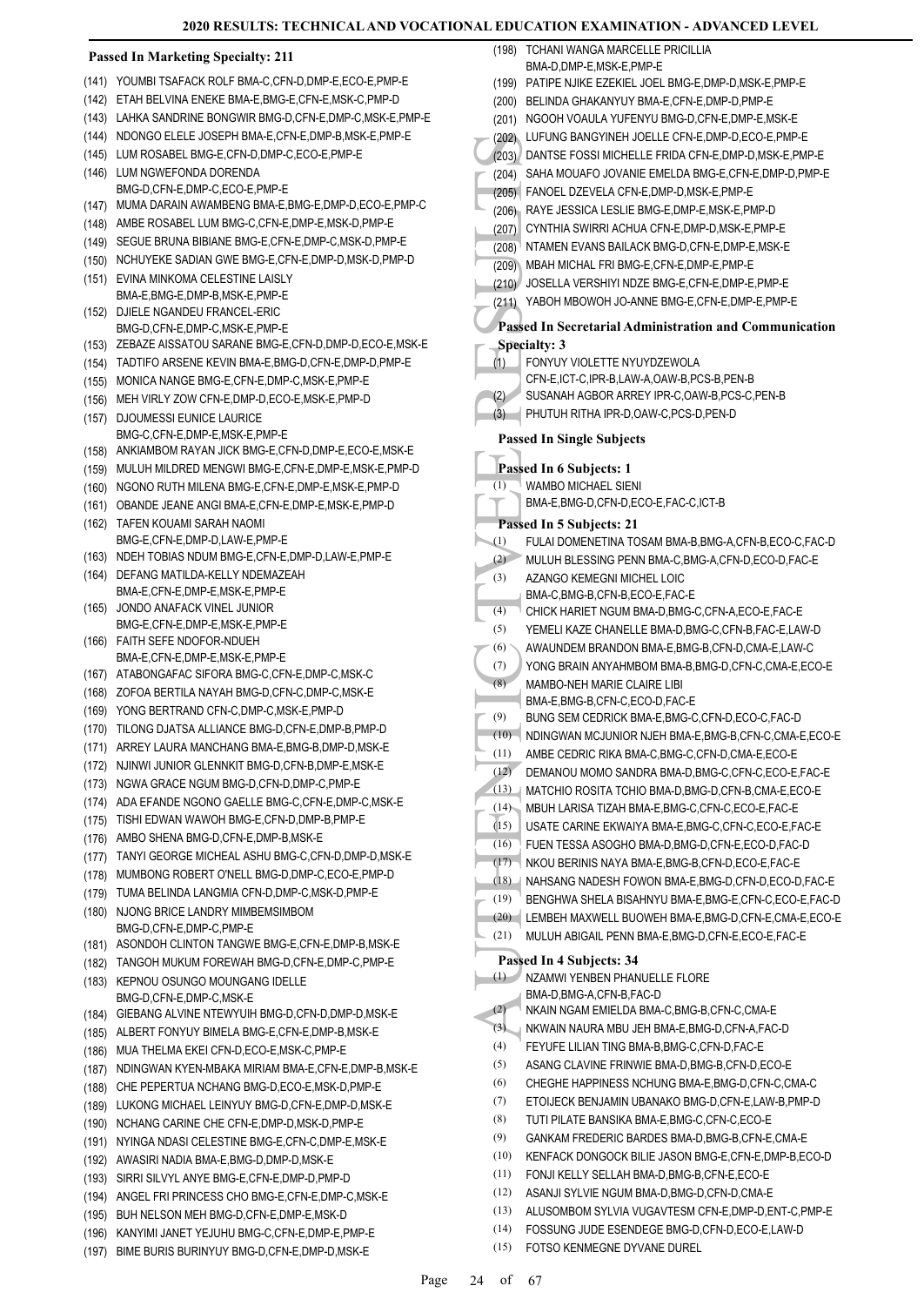#### **Passed In Marketing Specialty: 211**

|                | Passed in Marketing Specially: 211                                                                |
|----------------|---------------------------------------------------------------------------------------------------|
| (141)          | YOUMBI TSAFACK ROLF BMA-C,CFN-D,DMP-E,ECO-E,PMP-E                                                 |
|                | (142) ETAH BELVINA ENEKE BMA-E, BMG-E, CFN-E, MSK-C, PMP-D                                        |
|                | (143) LAHKA SANDRINE BONGWIR BMG-D, CFN-E, DMP-C, MSK-E, PMP-E                                    |
|                | (144) NDONGO ELELE JOSEPH BMA-E, CFN-E, DMP-B, MSK-E, PMP-E                                       |
| (145)          | LUM ROSABEL BMG-E,CFN-D,DMP-C,ECO-E,PMP-E                                                         |
| (146)          | LUM NGWEFONDA DORENDA                                                                             |
|                | BMG-D,CFN-E,DMP-C,ECO-E,PMP-E<br>MUMA DARAIN AWAMBENG BMA-E, BMG-E, DMP-D, ECO-E, PMP-C           |
| (147)<br>(148) | AMBE ROSABEL LUM BMG-C, CFN-E, DMP-E, MSK-D, PMP-E                                                |
| (149)          | SEGUE BRUNA BIBIANE BMG-E, CFN-E, DMP-C, MSK-D, PMP-E                                             |
|                | (150) NCHUYEKE SADIAN GWE BMG-E, CFN-E, DMP-D, MSK-D, PMP-D                                       |
| (151)          | EVINA MINKOMA CELESTINE LAISLY                                                                    |
|                | BMA-E,BMG-E,DMP-B,MSK-E,PMP-E                                                                     |
| (152)          | DJIELE NGANDEU FRANCEL-ERIC                                                                       |
|                | BMG-D,CFN-E,DMP-C,MSK-E,PMP-E                                                                     |
|                | (153) ZEBAZE AISSATOU SARANE BMG-E, CFN-D, DMP-D, ECO-E, MSK-E                                    |
|                | (154) TADTIFO ARSENE KEVIN BMA-E, BMG-D, CFN-E, DMP-D, PMP-E                                      |
| (155)          | MONICA NANGE BMG-E.CFN-E.DMP-C.MSK-E.PMP-E                                                        |
| (156)          | MEH VIRLY ZOW CFN-E, DMP-D, ECO-E, MSK-E, PMP-D                                                   |
| (157)          | <b>DJOUMESSI EUNICE LAURICE</b>                                                                   |
|                | BMG-C,CFN-E,DMP-E,MSK-E,PMP-E<br>(158) ANKIAMBOM RAYAN JICK BMG-E, CFN-D, DMP-E, ECO-E, MSK-E     |
| (159)          | MULUH MILDRED MENGWI BMG-E,CFN-E,DMP-E,MSK-E,PMP-D                                                |
| (160)          | NGONO RUTH MILENA BMG-E.CFN-E.DMP-E.MSK-E.PMP-D                                                   |
| (161)          | OBANDE JEANE ANGI BMA-E,CFN-E,DMP-E,MSK-E,PMP-D                                                   |
| (162)          | TAFEN KOUAMI SARAH NAOMI                                                                          |
|                | BMG-E,CFN-E,DMP-D,LAW-E,PMP-E                                                                     |
| (163)          | NDEH TOBIAS NDUM BMG-E, CFN-E, DMP-D, LAW-E, PMP-E                                                |
| (164)          | DEFANG MATILDA-KELLY NDEMAZEAH                                                                    |
|                | BMA-E,CFN-E,DMP-E,MSK-E,PMP-E                                                                     |
| (165)          | JONDO ANAFACK VINEL JUNIOR<br>BMG-E,CFN-E,DMP-E,MSK-E,PMP-E                                       |
|                | (166) FAITH SEFE NDOFOR-NDUEH                                                                     |
|                | BMA-E,CFN-E,DMP-E,MSK-E,PMP-E                                                                     |
|                | (167) ATABONGAFAC SIFORA BMG-C, CFN-E, DMP-C, MSK-C                                               |
|                | (168) ZOFOA BERTILA NAYAH BMG-D, CFN-C, DMP-C, MSK-E                                              |
| (169)          | YONG BERTRAND CFN-C, DMP-C, MSK-E, PMP-D                                                          |
| (170)          | TILONG DJATSA ALLIANCE BMG-D, CFN-E, DMP-B, PMP-D                                                 |
| (171)          | ARREY LAURA MANCHANG BMA-E, BMG-B, DMP-D, MSK-E                                                   |
| (172)          | NJINWI JUNIOR GLENNKIT BMG-D, CFN-B, DMP-E, MSK-E                                                 |
| (173)          | NGWA GRACE NGUM BMG-D,CFN-D,DMP-C,PMP-E                                                           |
|                | (174) ADA EFANDE NGONO GAELLE BMG-C, CFN-E, DMP-C, MSK-E                                          |
| (175)          | TISHI EDWAN WAWOH BMG-E,CFN-D,DMP-B,PMP-E                                                         |
| (176)          | AMBO SHENA BMG-D, CFN-E, DMP-B, MSK-E<br>TANYI GEORGE MICHEAL ASHU BMG-C, CFN-D, DMP-D, MSK-E     |
| (177)<br>(178) | MUMBONG ROBERT O'NELL BMG-D, DMP-C, ECO-E, PMP-D                                                  |
| (179)          | TUMA BELINDA LANGMIA CFN-D, DMP-C, MSK-D, PMP-E                                                   |
| (180)          | NJONG BRICE LANDRY MIMBEMSIMBOM                                                                   |
|                | BMG-D,CFN-E,DMP-C,PMP-E                                                                           |
|                | (181) ASONDOH CLINTON TANGWE BMG-E, CFN-E, DMP-B, MSK-E                                           |
| (182)          | TANGOH MUKUM FOREWAH BMG-D,CFN-E,DMP-C,PMP-E                                                      |
| (183)          | KEPNOU OSUNGO MOUNGANG IDELLE                                                                     |
|                | BMG-D,CFN-E,DMP-C,MSK-E                                                                           |
| (184)          | GIEBANG ALVINE NTEWYUIH BMG-D,CFN-D,DMP-D,MSK-E                                                   |
|                | (185) ALBERT FONYUY BIMELA BMG-E, CFN-E, DMP-B, MSK-E                                             |
| (186)          | MUA THELMA EKEI CFN-D,ECO-E,MSK-C,PMP-E                                                           |
| (187)          | NDINGWAN KYEN-MBAKA MIRIAM BMA-E,CFN-E,DMP-B,MSK-E                                                |
| (188)          | CHE PEPERTUA NCHANG BMG-D,ECO-E,MSK-D,PMP-E                                                       |
| (189)          | LUKONG MICHAEL LEINYUY BMG-D, CFN-E, DMP-D, MSK-E<br>NCHANG CARINE CHE CFN-E, DMP-D, MSK-D, PMP-E |
| (190)          | NYINGA NDASI CELESTINE BMG-E,CFN-C,DMP-E,MSK-E                                                    |
| (191)<br>(192) | AWASIRI NADIA BMA-E,BMG-D,DMP-D,MSK-E                                                             |
| (193)          | SIRRI SILVYL ANYE BMG-E,CFN-E,DMP-D,PMP-D                                                         |
|                | (194) ANGEL FRI PRINCESS CHO BMG-E, CFN-E, DMP-C, MSK-E                                           |
|                | (195) BUH NELSON MEH BMG-D, CFN-E, DMP-E, MSK-D                                                   |

(196) KANYIMI JANET YEJUHU BMG-C,CFN-E,DMP-E,PMP-E (197) BIME BURIS BURINYUY BMG-D,CFN-E,DMP-D,MSK-E

(202) LUFUN<br>
(203) DANTS<br>
(204) SAHA (205) FANOE<br>
(206) RAYEJ CYNTH<br>
(206) RAYEJ CYNTH<br>
(207) CYNTH (208) MBAH I<br>
(207) MBAH I<br>
(209) MBAH I<br>
(209) MBAH I<br>
(209) MBAH I<br>
(209) MBAH I<br>
(209) MBAH I<br>
(209) MBAH I<br>
(209) MBAH TCHANI WANGA MARCELLE PRICILLIA BMA-D,DMP-E,MSK-E,PMP-E (198) (199) PATIPE NJIKE EZEKIEL JOEL BMG-E,DMP-D,MSK-E,PMP-E (200) BELINDA GHAKANYUY BMA-F CFN-F DMP-D PMP-F (201) NGOOH VOAULA YUFENYU BMG-D,CFN-E,DMP-E,MSK-E (202) LUFUNG BANGYINEH JOELLE CFN-E,DMP-D,ECO-E,PMP-E (203) DANTSE FOSSI MICHELLE FRIDA CFN-E,DMP-D,MSK-E,PMP-E (204) SAHA MOUAFO JOVANIE EMELDA BMG-E,CFN-E,DMP-D,PMP-E (205) FANOEL DZEVELA CFN-E,DMP-D,MSK-E,PMP-E (206) RAYE JESSICA LESLIE BMG-E,DMP-E,MSK-E,PMP-D (207) CYNTHIA SWIRRI ACHUA CFN-E,DMP-D,MSK-E,PMP-E (208) NTAMEN EVANS BAILACK BMG-D,CFN-E,DMP-E,MSK-E (209) MBAH MICHAL FRI BMG-E,CFN-E,DMP-E,PMP-E (210) JOSELLA VERSHIYI NDZE BMG-E,CFN-E,DMP-E,PMP-E (211) YABOH MBOWOH JO-ANNE BMG-E,CFN-E,DMP-E,PMP-E **Passed In Secretarial Administration and Communication Specialty: 3** FONYUY VIOLETTE NYUYDZEWOLA CFN-E,ICT-C,IPR-B,LAW-A,OAW-B,PCS-B,PEN-B (1) (2) SUSANAH AGBOR ARREY IPR-C,OAW-B,PCS-C,PEN-B (3) PHUTUH RITHA IPR-D,OAW-C,PCS-D,PEN-D **Passed In Single Subjects Passed In 6 Subjects: 1** WAMBO MICHAEL SIENI BMA-E,BMG-D,CFN-D,ECO-E,FAC-C,ICT-B (1) **Passed In 5 Subjects: 21** (1) FULAI DOMENETINA TOSAM BMA-B,BMG-A,CFN-B,ECO-C,FAC-D (2) MULUH BLESSING PENN BMA-C,BMG-A,CFN-D,ECO-D,FAC-E AZANGO KEMEGNI MICHEL LOIC BMA-C,BMG-B,CFN-B,ECO-E,FAC-E (3) (4) CHICK HARIET NGUM BMA-D,BMG-C,CFN-A,ECO-E,FAC-E (5) YEMELI KAZE CHANELLE BMA-D,BMG-C,CFN-B,FAC-E,LAW-D (6) AWAUNDEM BRANDON BMA-E,BMG-B,CFN-D,CMA-E,LAW-C  $(7)$  YONG BRAIN ANYAHMBOM BMA-B, BMG-D, CEN-C, CMA-E, ECO-E MAMBO-NEH MARIE CLAIRE LIBI BMA-E,BMG-B,CFN-C,ECO-D,FAC-E (8) (9) BUNG SEM CEDRICK BMA-E,BMG-C,CFN-D,ECO-C,FAC-D (10) NDINGWAN MCJUNIOR NJEH BMA-E,BMG-B,CFN-C,CMA-E,ECO-E (11) AMBE CEDRIC RIKA BMA-C BMG-C CEN-D CMA-E ECO-E (12) DEMANOU MOMO SANDRA BMA-D,BMG-C,CFN-C,ECO-E,FAC-E (13) MATCHIO ROSITA TCHIO BMA-D,BMG-D,CFN-B,CMA-E,ECO-E (14) MBUH LARISA TIZAH BMA-E,BMG-C,CFN-C,ECO-E,FAC-E (15) USATE CARINE EKWAIYA BMA-E,BMG-C,CFN-C,ECO-E,FAC-E (16) FUEN TESSA ASOGHO BMA-D,BMG-D,CFN-E,ECO-D,FAC-D (17) NKOU BERINIS NAYA BMA-E,BMG-B,CFN-D,ECO-E,FAC-E (18) NAHSANG NADESH FOWON BMA-E,BMG-D,CFN-D,ECO-D,FAC-E (19) BENGHWA SHELA BISAHNYU BMA-E,BMG-E,CFN-C,ECO-E,FAC-D (20) LEMBEH MAXWELL BUOWEH BMA-E,BMG-D,CFN-E,CMA-E,ECO-E (21) MULUH ABIGAIL PENN BMA-E,BMG-D,CFN-E,ECO-E,FAC-E **Passed In 4 Subjects: 34** (1) NZAMWI YENBEN PHANUELLE FLORE BMA-D, BMG-A, CEN-B, FAC-D (2) NKAIN NGAM EMIELDA BMA-C,BMG-B,CFN-C,CMA-E (3) NKWAIN NAURA MBU JEH BMA-E,BMG-D,CFN-A,FAC-D (4) FEYUFE LILIAN TING BMA-B,BMG-C,CFN-D,FAC-E (5) ASANG CLAVINE FRINWIE BMA-D,BMG-B,CFN-D,ECO-E (6) CHEGHE HAPPINESS NCHUNG BMA-E,BMG-D,CFN-C,CMA-C (7) ETOIJECK BENJAMIN UBANAKO BMG-D,CFN-E,LAW-B,PMP-D (8) TUTI PILATE BANSIKA BMA-E BMG-C, CEN-C, ECO-E (9) GANKAM FREDERIC BARDES BMA-D, BMG-B, CEN-E, CMA-E (10) KENFACK DONGOCK BILIE JASON BMG-E,CFN-E,DMP-B,ECO-D (11) FONJI KELLY SELLAH BMA-D,BMG-B,CFN-E,ECO-E (12) ASANJI SYLVIE NGUM BMA-D,BMG-D,CFN-D,CMA-E (13) ALUSOMBOM SYLVIA VUGAVTESM CFN-E,DMP-D,ENT-C,PMP-E

(14) FOSSUNG JUDE ESENDEGE BMG-D,CFN-D,ECO-E,LAW-D

(15) FOTSO KENMEGNE DYVANE DUREL

Page 24 of 67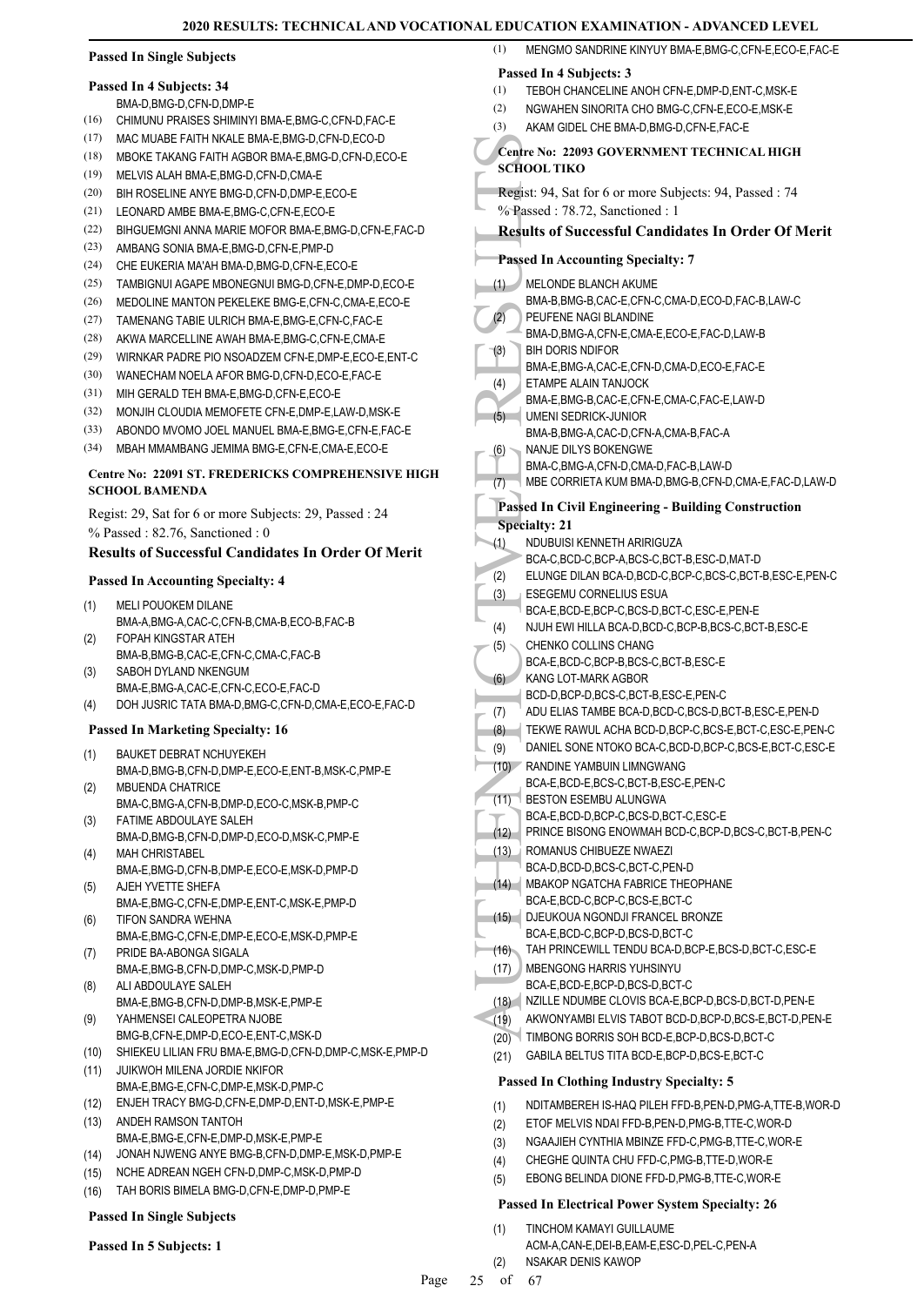# **Passed In Single Subjects**

#### **Passed In 4 Subjects: 34**

BMA-D,BMG-D,CFN-D,DMP-E

- (16) CHIMUNU PRAISES SHIMINYI BMA-E,BMG-C,CFN-D,FAC-E
- (17) MAC MUABE FAITH NKALE BMA-E,BMG-D,CFN-D,ECO-D
- (18) MBOKE TAKANG FAITH AGBOR BMA-E,BMG-D,CFN-D,ECO-E
- (19) MELVIS ALAH BMA-E,BMG-D,CFN-D,CMA-E
- (20) BIH ROSELINE ANYE BMG-D,CFN-D,DMP-E,ECO-E
- (21) LEONARD AMBE BMA-E,BMG-C,CFN-E,ECO-E
- (22) BIHGUEMGNI ANNA MARIE MOFOR BMA-E,BMG-D,CFN-E,FAC-D
- (23) AMBANG SONIA BMA-E,BMG-D,CFN-E,PMP-D
- (24) CHE EUKERIA MA'AH BMA-D,BMG-D,CFN-E,ECO-E
- (25) TAMBIGNUI AGAPE MBONEGNUI BMG-D, CEN-E, DMP-D, ECO-E
- (26) MEDOLINE MANTON PEKELEKE BMG-E,CFN-C,CMA-E,ECO-E
- (27) TAMENANG TABIE ULRICH BMA-E,BMG-E,CFN-C,FAC-E
- (28) AKWA MARCELLINE AWAH BMA-E,BMG-C,CFN-E,CMA-E
- (29) WIRNKAR PADRE PIO NSOADZEM CFN-E,DMP-E,ECO-E,ENT-C
- (30) WANECHAM NOELA AFOR BMG-D,CFN-D,ECO-E,FAC-E
- (31) MIH GERALD TEH BMA-E,BMG-D,CFN-E,ECO-E
- (32) MONJIH CLOUDIA MEMOFETE CFN-E,DMP-E,LAW-D,MSK-E
- (33) ABONDO MVOMO JOEL MANUEL BMA-E,BMG-E,CFN-E,FAC-E
- (34) MBAH MMAMBANG JEMIMA BMG-E,CFN-E,CMA-E,ECO-E

#### **Centre No: 22091 ST. FREDERICKS COMPREHENSIVE HIGH SCHOOL BAMENDA**

Regist: 29, Sat for 6 or more Subjects: 29, Passed : 24 % Passed : 82.76, Sanctioned : 0

#### **Results of Successful Candidates In Order Of Merit**

#### **Passed In Accounting Specialty: 4**

- MELI POUOKEM DILANE BMA-A,BMG-A,CAC-C,CFN-B,CMA-B,ECO-B,FAC-B (1)
- FOPAH KINGSTAR ATEH BMA-B,BMG-B,CAC-E,CFN-C,CMA-C,FAC-B (2)
- SABOH DYLAND NKENGUM BMA-E,BMG-A,CAC-E,CFN-C,ECO-E,FAC-D (3)
- (4) DOH JUSRIC TATA BMA-D,BMG-C,CFN-D,CMA-E,ECO-E,FAC-D

#### **Passed In Marketing Specialty: 16**

- BAUKET DEBRAT NCHUYEKEH BMA-D,BMG-B,CFN-D,DMP-E,ECO-E,ENT-B,MSK-C,PMP-E (1)
- MBUENDA CHATRICE BMA-C,BMG-A,CFN-B,DMP-D,ECO-C,MSK-B,PMP-C (2)
- FATIME ABDOULAYE SALEH BMA-D,BMG-B,CFN-D,DMP-D,ECO-D,MSK-C,PMP-E (3)
- MAH CHRISTABEL BMA-E,BMG-D,CFN-B,DMP-E,ECO-E,MSK-D,PMP-D (4) AJEH YVETTE SHEFA
- BMA-E,BMG-C,CFN-E,DMP-E,ENT-C,MSK-E,PMP-D (5) TIFON SANDRA WEHNA (6)
- BMA-E,BMG-C,CFN-E,DMP-E,ECO-E,MSK-D,PMP-E PRIDE BA-ABONGA SIGALA (7)
- BMA-E,BMG-B,CFN-D,DMP-C,MSK-D,PMP-D ALI ABDOULAYE SALEH
- BMA-E,BMG-B,CFN-D,DMP-B,MSK-E,PMP-E (8)
- YAHMENSEI CALEOPETRA NJOBE BMG-B,CFN-E,DMP-D,ECO-E,ENT-C,MSK-D (9)
- (10) SHIEKEU LILIAN FRU BMA-E,BMG-D,CFN-D,DMP-C,MSK-E,PMP-D
- JUIKWOH MILENA JORDIE NKIFOR BMA-E,BMG-E,CFN-C,DMP-E,MSK-D,PMP-C (11)
- (12) ENJEH TRACY BMG-D,CFN-E,DMP-D,ENT-D,MSK-E,PMP-E
- ANDEH RAMSON TANTOH BMA-E,BMG-E,CFN-E,DMP-D,MSK-E,PMP-E (13)
- (14) JONAH NJWENG ANYE BMG-B,CFN-D,DMP-E,MSK-D,PMP-E
- (15) NCHE ADREAN NGEH CFN-D,DMP-C,MSK-D,PMP-D
- (16) TAH BORIS BIMELA BMG-D,CFN-E,DMP-D,PMP-E

#### **Passed In Single Subjects**

#### **Passed In 5 Subjects: 1**

| (1)         | MENGMO SANDRINE KINYUY BMA-E, BMG-C, CFN-E, ECO-E, FAC-E                                                         |
|-------------|------------------------------------------------------------------------------------------------------------------|
|             | Passed In 4 Subjects: 3                                                                                          |
| (1)         | TEBOH CHANCELINE ANOH CFN-E, DMP-D, ENT-C, MSK-E                                                                 |
| (2)         | NGWAHEN SINORITA CHO BMG-C, CFN-E, ECO-E, MSK-E                                                                  |
| (3)         | AKAM GIDEL CHE BMA-D, BMG-D, CFN-E, FAC-E                                                                        |
|             | Centre No: 22093 GOVERNMENT TECHNICAL HIGH<br><b>SCHOOL TIKO</b>                                                 |
|             | Regist: 94, Sat for 6 or more Subjects: 94, Passed: 74                                                           |
|             | % Passed: 78.72, Sanctioned: 1<br><b>Results of Successful Candidates In Order Of Merit</b>                      |
|             | <b>Passed In Accounting Specialty: 7</b>                                                                         |
| (1)         | MELONDE BLANCH AKUME                                                                                             |
|             | BMA-B,BMG-B,CAC-E,CFN-C,CMA-D,ECO-D,FAC-B,LAW-C                                                                  |
| (2)         | PEUFENE NAGI BLANDINE                                                                                            |
|             | BMA-D, BMG-A, CFN-E, CMA-E, ECO-E, FAC-D, LAW-B<br><b>BIH DORIS NDIFOR</b>                                       |
| (3)         | BMA-E, BMG-A, CAC-E, CFN-D, CMA-D, ECO-E, FAC-E                                                                  |
| (4)         | ETAMPE ALAIN TANJOCK                                                                                             |
|             | BMA-E, BMG-B, CAC-E, CFN-E, CMA-C, FAC-E, LAW-D                                                                  |
| (5)         | UMENI SEDRICK-JUNIOR                                                                                             |
|             | BMA-B, BMG-A, CAC-D, CFN-A, CMA-B, FAC-A                                                                         |
| (6)         | NANJE DILYS BOKENGWE                                                                                             |
|             | BMA-C, BMG-A, CFN-D, CMA-D, FAC-B, LAW-D<br>MBE CORRIETA KUM BMA-D, BMG-B, CFN-D, CMA-E, FAC-D, LAW-D            |
| (7)         |                                                                                                                  |
|             | <b>Passed In Civil Engineering - Building Construction</b>                                                       |
|             | <b>Specialty: 21</b>                                                                                             |
| (1)         | NDUBUISI KENNETH ARIRIGUZA                                                                                       |
| (2)         | BCA-C,BCD-C,BCP-A,BCS-C,BCT-B,ESC-D,MAT-D<br>ELUNGE DILAN BCA-D, BCD-C, BCP-C, BCS-C, BCT-B, ESC-E, PEN-C        |
| (3)         | ESEGEMU CORNELIUS ESUA                                                                                           |
|             | BCA-E,BCD-E,BCP-C,BCS-D,BCT-C,ESC-E,PEN-E                                                                        |
| (4)         | NJUH EWI HILLA BCA-D, BCD-C, BCP-B, BCS-C, BCT-B, ESC-E                                                          |
| (5)         | CHENKO COLLINS CHANG                                                                                             |
|             | BCA-E,BCD-C,BCP-B,BCS-C,BCT-B,ESC-E                                                                              |
| (6)         | KANG LOT-MARK AGBOR                                                                                              |
|             | BCD-D,BCP-D,BCS-C,BCT-B,ESC-E,PEN-C                                                                              |
| (7)         | ADU ELIAS TAMBE BCA-D, BCD-C, BCS-D, BCT-B, ESC-E, PEN-D<br>TEKWE RAWUL ACHA BCD-D.BCP-C.BCS-E.BCT-C.ESC-E.PEN-C |
| (8)         | DANIEL SONE NTOKO BCA-C,BCD-D,BCP-C,BCS-E,BCT-C,ESC-E                                                            |
| (9)<br>(10) | RANDINE YAMBUIN LIMNGWANG                                                                                        |
|             | BCA-E,BCD-E,BCS-C,BCT-B,ESC-E,PEN-C                                                                              |
| (11)        | BESTON ESEMBU ALUNGWA                                                                                            |
|             | BCA-E,BCD-D,BCP-C,BCS-D,BCT-C,ESC-E                                                                              |
| (12)        | PRINCE BISONG ENOWMAH BCD-C,BCP-D,BCS-C,BCT-B,PEN-C                                                              |
| (13)        | ROMANUS CHIBUEZE NWAEZI                                                                                          |
|             | BCA-D,BCD-D,BCS-C,BCT-C,PEN-D                                                                                    |
| (14)        | MBAKOP NGATCHA FABRICE THEOPHANE<br>BCA-E,BCD-C,BCP-C,BCS-E,BCT-C                                                |
| (15)        | DJEUKOUA NGONDJI FRANCEL BRONZE                                                                                  |
|             | BCA-E,BCD-C,BCP-D,BCS-D,BCT-C                                                                                    |
| (16)        | TAH PRINCEWILL TENDU BCA-D, BCP-E, BCS-D, BCT-C, ESC-E                                                           |
| (17)        | MBENGONG HARRIS YUHSINYU                                                                                         |
|             | BCA-E,BCD-E,BCP-D,BCS-D,BCT-C                                                                                    |
| (18)        | NZILLE NDUMBE CLOVIS BCA-E,BCP-D,BCS-D,BCT-D,PEN-E                                                               |
| (19)        | AKWONYAMBI ELVIS TABOT BCD-D,BCP-D,BCS-E,BCT-D,PEN-E                                                             |
| (20)        | TIMBONG BORRIS SOH BCD-E, BCP-D, BCS-D, BCT-C                                                                    |
| (21)        | GABILA BELTUS TITA BCD-E, BCP-D, BCS-E, BCT-C                                                                    |

#### **Passed In Clothing Industry Specialty: 5**

- (1) NDITAMBEREH IS-HAQ PILEH FFD-B,PEN-D,PMG-A,TTE-B,WOR-D
- (2) ETOF MELVIS NDAI FFD-B,PEN-D,PMG-B,TTE-C,WOR-D
- (3) NGAAJIEH CYNTHIA MBINZE FFD-C,PMG-B,TTE-C,WOR-E
- (4) CHEGHE QUINTA CHU FFD-C,PMG-B,TTE-D,WOR-E
- (5) EBONG BELINDA DIONE FFD-D,PMG-B,TTE-C,WOR-E

# **Passed In Electrical Power System Specialty: 26**

- TINCHOM KAMAYI GUILLAUME ACM-A,CAN-E,DEI-B,EAM-E,ESC-D,PEL-C,PEN-A (1) (2) NSAKAR DENIS KAWOP
-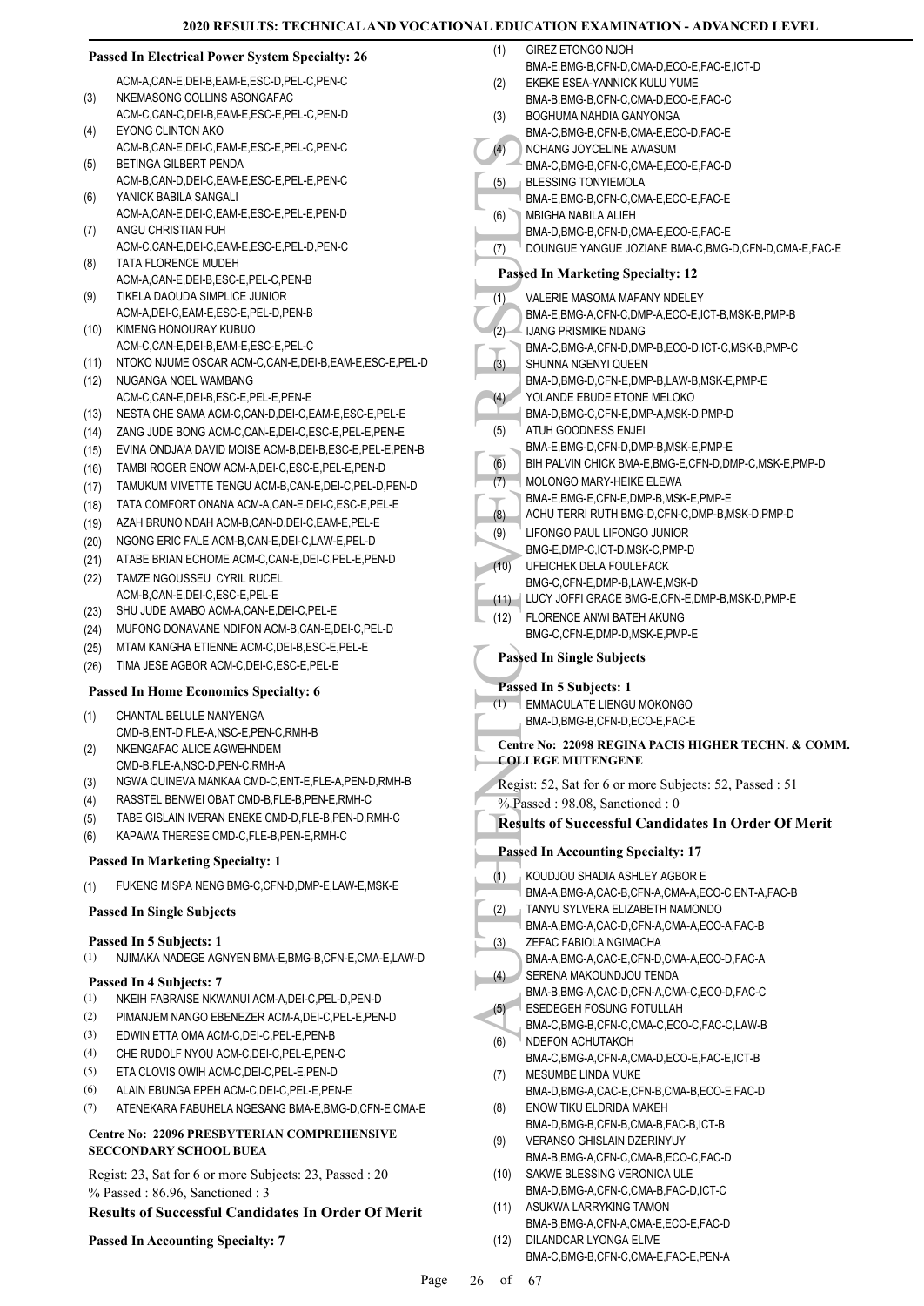#### (4) MCHAN<br>
(5) BMA-C,<br>
(6) BLESSI<br>
(6) BMA-C,<br>
(6) BMA-C,<br>
(7) VALER,<br>
E, UANG I MBIGH,<br>
(7) VALER,<br>
BMA-C,<br>
BMA-C,<br>
SHUNNG I MA-C,<br>
SHUNNG I MA-C,<br>
SHUNNG I MA-C,<br>
SHUNNG I MA-C,<br>
SHUNNG I MA-C,<br>
SHUNNG I MA-C,<br>
SHUNNG I **Passed In Electrical Power System Specialty: 26** ACM-A,CAN-E,DEI-B,EAM-E,ESC-D,PEL-C,PEN-C NKEMASONG COLLINS ASONGAFAC ACM-C,CAN-C,DEI-B,EAM-E,ESC-E,PEL-C,PEN-D (3) EYONG CLINTON AKO ACM-B,CAN-E,DEI-C,EAM-E,ESC-E,PEL-C,PEN-C  $(4)$ BETINGA GILBERT PENDA ACM-B,CAN-D,DEI-C,EAM-E,ESC-E,PEL-E,PEN-C (5) YANICK BABILA SANGALI ACM-A,CAN-E,DEI-C,EAM-E,ESC-E,PEL-E,PEN-D (6) ANGU CHRISTIAN FUH ACM-C,CAN-E,DEI-C,EAM-E,ESC-E,PEL-D,PEN-C (7) TATA FLORENCE MUDEH ACM-A,CAN-E,DEI-B,ESC-E,PEL-C,PEN-B (8) TIKELA DAOUDA SIMPLICE JUNIOR ACM-A,DEI-C,EAM-E,ESC-E,PEL-D,PEN-B (9) KIMENG HONOURAY KUBUO ACM-C,CAN-E,DEI-B,EAM-E,ESC-E,PEL-C (10) (11) NTOKO NJUME OSCAR ACM-C,CAN-E,DEI-B,EAM-E,ESC-E,PEL-D (12) NUGANGA NOEL WAMBANG ACM-C,CAN-E,DEI-B,ESC-E,PEL-E,PEN-E (13) NESTA CHE SAMA ACM-C,CAN-D,DEI-C,EAM-E,ESC-E,PEL-E (14) ZANG JUDE BONG ACM-C,CAN-E,DEI-C,ESC-E,PEL-E,PEN-E (15) EVINA ONDJA'A DAVID MOISE ACM-B,DEI-B,ESC-E,PEL-E,PEN-B (16) TAMBI ROGER ENOW ACM-A,DEI-C,ESC-E,PEL-E,PEN-D (17) TAMUKUM MIVETTE TENGU ACM-B,CAN-E,DEI-C,PEL-D,PEN-D (18) TATA COMFORT ONANA ACM-A,CAN-E,DEI-C,ESC-E,PEL-E (19) AZAH BRUNO NDAH ACM-B,CAN-D,DEI-C,EAM-E,PEL-E (20) NGONG ERIC FALE ACM-B,CAN-E,DEI-C,LAW-E,PEL-D (21) ATABE BRIAN ECHOME ACM-C,CAN-E,DEI-C,PEL-E,PEN-D TAMZE NGOUSSEU CYRIL RUCEL (22) ACM-B,CAN-E,DEI-C,ESC-E,PEL-E (23) SHU JUDE AMABO ACM-A,CAN-E,DEI-C,PEL-E (24) MUFONG DONAVANE NDIFON ACM-B,CAN-E,DEI-C,PEL-D (25) MTAM KANGHA ETIENNE ACM-C,DEI-B,ESC-E,PEL-E (26) TIMA JESE AGBOR ACM-C,DEI-C,ESC-E,PEL-E **Passed In Home Economics Specialty: 6** CHANTAL BELULE NANYENGA CMD-B,ENT-D,FLE-A,NSC-E,PEN-C,RMH-B (1) NKENGAFAC ALICE AGWEHNDEM CMD-B,FLE-A,NSC-D,PEN-C,RMH-A (2) (3) NGWA QUINEVA MANKAA CMD-C,ENT-E,FLE-A,PEN-D,RMH-B (4) RASSTEL BENWEI OBAT CMD-B,FLE-B,PEN-E,RMH-C (5) TABE GISLAIN IVERAN ENEKE CMD-D,FLE-B,PEN-D,RMH-C (6) KAPAWA THERESE CMD-C,FLE-B,PEN-E,RMH-C **Passed In Marketing Specialty: 1** (1) FUKENG MISPA NENG BMG-C,CFN-D,DMP-E,LAW-E,MSK-E **Passed In Single Subjects Passed In 5 Subjects: 1** (1) NJIMAKA NADEGE AGNYEN BMA-E,BMG-B,CFN-E,CMA-E,LAW-D **Passed In 4 Subjects: 7** (1) NKEIH FABRAISE NKWANUI ACM-A,DEI-C,PEL-D,PEN-D (2) PIMANJEM NANGO EBENEZER ACM-A,DEI-C,PEL-E,PEN-D (3) EDWIN ETTA OMA ACM-C,DEI-C,PEL-E,PEN-B (4) CHE RUDOLF NYOU ACM-C,DEI-C,PEL-E,PEN-C (5) ETA CLOVIS OWIH ACM-C,DEI-C,PEL-E,PEN-D (6) ALAIN EBUNGA EPEH ACM-C,DEI-C,PEL-E,PEN-E (7) ATENEKARA FABUHELA NGESANG BMA-E,BMG-D,CFN-E,CMA-E **Centre No: 22096 PRESBYTERIAN COMPREHENSIVE SECCONDARY SCHOOL BUEA**  Regist: 23, Sat for 6 or more Subjects: 23, Passed : 20 % Passed : 86.96, Sanctioned : 3 **Results of Successful Candidates In Order Of Merit Passed In Accounting Specialty: 7** (1) (2) (3) (4) (5) (6) (1) (2) (3) (4) (5) (7) (9) (10) (12) (1) (1) (2) (3) (4) (5) (6) (7) (8) (9) (10) (11)

| (1)  | <b>GIREZ ETONGO NJOH</b>                                                                      |
|------|-----------------------------------------------------------------------------------------------|
|      | BMA-E,BMG-B,CFN-D,CMA-D,ECO-E,FAC-E,ICT-D                                                     |
| (2)  | EKEKE ESEA-YANNICK KULU YUME                                                                  |
| (3)  | BMA-B,BMG-B,CFN-C,CMA-D,ECO-E,FAC-C<br>BOGHUMA NAHDIA GANYONGA                                |
|      | BMA-C, BMG-B, CFN-B, CMA-E, ECO-D, FAC-E                                                      |
| (4)  | NCHANG JOYCELINE AWASUM                                                                       |
|      | BMA-C,BMG-B,CFN-C,CMA-E,ECO-E,FAC-D                                                           |
| (5)  | <b>BLESSING TONYIEMOLA</b>                                                                    |
|      | BMA-E, BMG-B, CFN-C, CMA-E, ECO-E, FAC-E<br>MBIGHA NABILA ALIEH                               |
| (6)  | BMA-D, BMG-B, CFN-D, CMA-E, ECO-E, FAC-E                                                      |
| (7)  | DOUNGUE YANGUE JOZIANE BMA-C, BMG-D, CFN-D, CMA-E, FAC-E                                      |
|      | <b>Passed In Marketing Specialty: 12</b>                                                      |
|      |                                                                                               |
| (1)  | <b>VALERIE MASOMA MAFANY NDELEY</b><br>BMA-E, BMG-A, CFN-C, DMP-A, ECO-E, ICT-B, MSK-B, PMP-B |
| (2)  | <b>IJANG PRISMIKE NDANG</b>                                                                   |
|      | BMA-C, BMG-A, CFN-D, DMP-B, ECO-D, ICT-C, MSK-B, PMP-C                                        |
| (3)  | SHUNNA NGENYI QUEEN                                                                           |
|      | BMA-D, BMG-D, CFN-E, DMP-B, LAW-B, MSK-E, PMP-E                                               |
| (4)  | YOLANDE EBUDE ETONE MELOKO                                                                    |
| (5)  | BMA-D, BMG-C, CFN-E, DMP-A, MSK-D, PMP-D<br>ATUH GOODNESS ENJEI                               |
|      | BMA-E,BMG-D,CFN-D,DMP-B,MSK-E,PMP-E                                                           |
| (6)  | BIH PALVIN CHICK BMA-E, BMG-E, CFN-D, DMP-C, MSK-E, PMP-D                                     |
| (7)  | MOLONGO MARY-HEIKE ELEWA                                                                      |
|      | BMA-E, BMG-E, CFN-E, DMP-B, MSK-E, PMP-E                                                      |
| (8)  | ACHU TERRI RUTH BMG-D,CFN-C,DMP-B,MSK-D,PMP-D                                                 |
| (9)  | LIFONGO PAUL LIFONGO JUNIOR<br>BMG-E,DMP-C,ICT-D,MSK-C,PMP-D                                  |
| (10) | UFEICHEK DELA FOULEFACK                                                                       |
|      | BMG-C,CFN-E,DMP-B,LAW-E,MSK-D                                                                 |
| (11) | LUCY JOFFI GRACE BMG-E, CFN-E, DMP-B, MSK-D, PMP-E                                            |
| (12) | FLORENCE ANWI BATEH AKUNG                                                                     |
|      | BMG-C,CFN-E,DMP-D,MSK-E,PMP-E                                                                 |
|      |                                                                                               |
|      | <b>Passed In Single Subjects</b>                                                              |
|      | Passed In 5 Subjects: 1                                                                       |
| (1)  | <b>EMMACULATE LIENGU MOKONGO</b>                                                              |
|      | BMA-D, BMG-B, CFN-D, ECO-E, FAC-E                                                             |
|      | Centre No: 22098 REGINA PACIS HIGHER TECHN. & COMM.                                           |
|      | <b>COLLEGE MUTENGENE</b>                                                                      |
|      | Regist: 52, Sat for 6 or more Subjects: 52, Passed : 51                                       |
|      | % Passed: 98.08, Sanctioned: 0                                                                |
|      | <b>Results of Successful Candidates In Order Of Merit</b>                                     |
|      | <b>Passed In Accounting Specialty: 17</b>                                                     |
|      | KOUDJOU SHADIA ASHLEY AGBOR E                                                                 |
| (1)  | BMA-A, BMG-A, CAC-B, CFN-A, CMA-A, ECO-C, ENT-A, FAC-B                                        |
| (2)  | TANYU SYLVERA ELIZABETH NAMONDO                                                               |
|      | BMA-A, BMG-A, CAC-D, CFN-A, CMA-A, ECO-A, FAC-B                                               |
| (3)  | ZEFAC FABIOLA NGIMACHA                                                                        |
|      | BMA-A,BMG-A,CAC-E,CFN-D,CMA-A,ECO-D,FAC-A<br>SERENA MAKOUNDJOU TENDA                          |
| (4)  | BMA-B, BMG-A, CAC-D, CFN-A, CMA-C, ECO-D, FAC-C                                               |
| (5)  | ESEDEGEH FOSUNG FOTULLAH                                                                      |
|      | BMA-C,BMG-B,CFN-C,CMA-C,ECO-C,FAC-C,LAW-B                                                     |
| (6)  | NDEFON ACHUTAKOH                                                                              |
|      | BMA-C, BMG-A, CFN-A, CMA-D, ECO-E, FAC-E, ICT-B                                               |
| (7)  | MESUMBE LINDA MUKE<br>BMA-D, BMG-A, CAC-E, CFN-B, CMA-B, ECO-E, FAC-D                         |
| (8)  | ENOW TIKU ELDRIDA MAKEH                                                                       |
|      | BMA-D, BMG-B, CFN-B, CMA-B, FAC-B, ICT-B                                                      |
| (9)  | <b>VERANSO GHISLAIN DZERINYUY</b>                                                             |
|      | BMA-B, BMG-A, CFN-C, CMA-B, ECO-C, FAC-D                                                      |
| (10) | SAKWE BLESSING VERONICA ULE<br>BMA-D, BMG-A, CFN-C, CMA-B, FAC-D, ICT-C                       |
| (11) | ASUKWA LARRYKING TAMON                                                                        |
|      | BMA-B, BMG-A, CFN-A, CMA-E, ECO-E, FAC-D                                                      |
| (12) | DILANDCAR LYONGA ELIVE<br>BMA-C, BMG-B, CFN-C, CMA-E, FAC-E, PEN-A                            |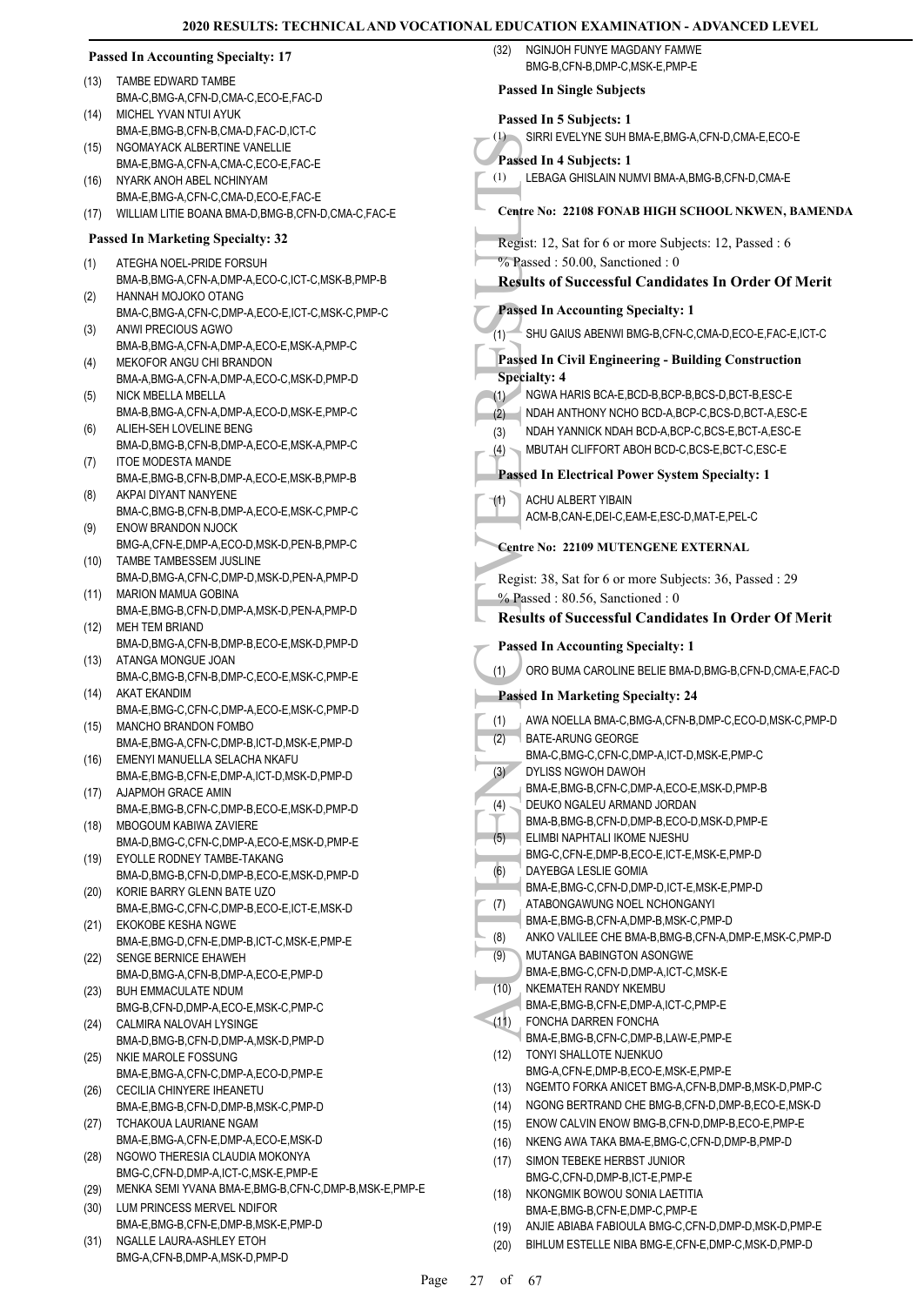| <b>Passed In Accounting Specialty: 17</b> |                                                                               | NGINJOH FUNYE MAGDANY FAMWE<br>(32)<br>BMG-B,CFN-B,DMP-C,MSK-E,PMP-E                                              |
|-------------------------------------------|-------------------------------------------------------------------------------|-------------------------------------------------------------------------------------------------------------------|
| (13)                                      | TAMBE EDWARD TAMBE                                                            | <b>Passed In Single Subjects</b>                                                                                  |
|                                           | BMA-C,BMG-A,CFN-D,CMA-C,ECO-E,FAC-D                                           |                                                                                                                   |
| (14)                                      | MICHEL YVAN NTUI AYUK<br>BMA-E,BMG-B,CFN-B,CMA-D,FAC-D,ICT-C                  | Passed In 5 Subjects: 1                                                                                           |
| (15)                                      | NGOMAYACK ALBERTINE VANELLIE                                                  | (1) SIRRI EVELYNE SUH BMA-E, BMG-A, CFN-D, CMA-E, ECO-E                                                           |
|                                           | BMA-E,BMG-A,CFN-A,CMA-C,ECO-E,FAC-E                                           | Passed In 4 Subjects: 1                                                                                           |
| (16)                                      | NYARK ANOH ABEL NCHINYAM                                                      | (1)<br>LEBAGA GHISLAIN NUMVI BMA-A, BMG-B, CFN-D, CMA-E                                                           |
|                                           | BMA-E,BMG-A,CFN-C,CMA-D,ECO-E,FAC-E                                           | Centre No: 22108 FONAB HIGH SCHOOL NKWEN, BAMENDA                                                                 |
| (17)                                      | WILLIAM LITIE BOANA BMA-D, BMG-B, CFN-D, CMA-C, FAC-E                         |                                                                                                                   |
|                                           | <b>Passed In Marketing Specialty: 32</b>                                      | Regist: 12, Sat for 6 or more Subjects: 12, Passed: 6                                                             |
| (1)                                       | ATEGHA NOEL-PRIDE FORSUH                                                      | % Passed: 50.00, Sanctioned: 0                                                                                    |
| (2)                                       | BMA-B, BMG-A, CFN-A, DMP-A, ECO-C, ICT-C, MSK-B, PMP-B<br>HANNAH MOJOKO OTANG | <b>Results of Successful Candidates In Order Of Merit</b>                                                         |
|                                           | BMA-C, BMG-A, CFN-C, DMP-A, ECO-E, ICT-C, MSK-C, PMP-C                        | <b>Passed In Accounting Specialty: 1</b>                                                                          |
| (3)                                       | ANWI PRECIOUS AGWO<br>BMA-B, BMG-A, CFN-A, DMP-A, ECO-E, MSK-A, PMP-C         | SHU GAIUS ABENWI BMG-B,CFN-C,CMA-D,ECO-E,FAC-E,ICT-C<br>(1)                                                       |
| (4)                                       | MEKOFOR ANGU CHI BRANDON                                                      | <b>Passed In Civil Engineering - Building Construction</b>                                                        |
|                                           | BMA-A, BMG-A, CFN-A, DMP-A, ECO-C, MSK-D, PMP-D                               | <b>Specialty: 4</b>                                                                                               |
| (5)                                       | NICK MBELLA MBELLA                                                            | NGWA HARIS BCA-E, BCD-B, BCP-B, BCS-D, BCT-B, ESC-E<br>(1)                                                        |
| (6)                                       | BMA-B, BMG-A, CFN-A, DMP-A, ECO-D, MSK-E, PMP-C<br>ALIEH-SEH LOVELINE BENG    | (2)<br>NDAH ANTHONY NCHO BCD-A, BCP-C, BCS-D, BCT-A, ESC-E<br>NDAH YANNICK NDAH BCD-A, BCP-C, BCS-E, BCT-A, ESC-E |
|                                           | BMA-D, BMG-B, CFN-B, DMP-A, ECO-E, MSK-A, PMP-C                               | (3)<br>MBUTAH CLIFFORT ABOH BCD-C, BCS-E, BCT-C, ESC-E<br>(4)                                                     |
| (7)                                       | <b>ITOE MODESTA MANDE</b>                                                     |                                                                                                                   |
|                                           | BMA-E,BMG-B,CFN-B,DMP-A,ECO-E,MSK-B,PMP-B                                     | Passed In Electrical Power System Specialty: 1                                                                    |
| (8)                                       | AKPAI DIYANT NANYENE<br>BMA-C,BMG-B,CFN-B,DMP-A,ECO-E,MSK-C,PMP-C             | ACHU ALBERT YIBAIN<br>(1)                                                                                         |
| (9)                                       | <b>ENOW BRANDON NJOCK</b>                                                     | ACM-B,CAN-E,DEI-C,EAM-E,ESC-D,MAT-E,PEL-C                                                                         |
|                                           | BMG-A,CFN-E,DMP-A,ECO-D,MSK-D,PEN-B,PMP-C                                     | <b>Centre No: 22109 MUTENGENE EXTERNAL</b>                                                                        |
| (10)                                      | TAMBE TAMBESSEM JUSLINE                                                       |                                                                                                                   |
|                                           | BMA-D, BMG-A, CFN-C, DMP-D, MSK-D, PEN-A, PMP-D                               | Regist: 38, Sat for 6 or more Subjects: 36, Passed: 29                                                            |
| (11)                                      | <b>MARION MAMUA GOBINA</b><br>BMA-E,BMG-B,CFN-D,DMP-A,MSK-D,PEN-A,PMP-D       | $%$ Passed: 80.56, Sanctioned: 0                                                                                  |
| (12)                                      | MEH TEM BRIAND                                                                | <b>Results of Successful Candidates In Order Of Merit</b>                                                         |
|                                           | BMA-D,BMG-A,CFN-B,DMP-B,ECO-E,MSK-D,PMP-D                                     | <b>Passed In Accounting Specialty: 1</b>                                                                          |
| (13)                                      | ATANGA MONGUE JOAN                                                            | (1)<br>ORO BUMA CAROLINE BELIE BMA-D, BMG-B, CFN-D, CMA-E, FAC-D                                                  |
| (14)                                      | BMA-C, BMG-B, CFN-B, DMP-C, ECO-E, MSK-C, PMP-E<br>AKAT EKANDIM               | <b>Passed In Marketing Specialty: 24</b>                                                                          |
|                                           | BMA-E,BMG-C,CFN-C,DMP-A,ECO-E,MSK-C,PMP-D                                     |                                                                                                                   |
| (15)                                      | MANCHO BRANDON FOMBO                                                          | AWA NOELLA BMA-C, BMG-A, CFN-B, DMP-C, ECO-D, MSK-C, PMP-D<br>(1)<br>(2)<br>BATE-ARUNG GEORGE                     |
|                                           | BMA-E,BMG-A,CFN-C,DMP-B,ICT-D,MSK-E,PMP-D<br>EMENYI MANUELLA SELACHA NKAFU    | BMA-C,BMG-C,CFN-C,DMP-A,ICT-D,MSK-E,PMP-C                                                                         |
| (16)                                      | BMA-E,BMG-B,CFN-E,DMP-A,ICT-D,MSK-D,PMP-D                                     | (3)<br>DYLISS NGWOH DAWOH                                                                                         |
| (17)                                      | AJAPMOH GRACE AMIN                                                            | BMA-E,BMG-B,CFN-C,DMP-A,ECO-E,MSK-D,PMP-B                                                                         |
|                                           | BMA-E,BMG-B,CFN-C,DMP-B,ECO-E,MSK-D,PMP-D                                     | DEUKO NGALEU ARMAND JORDAN<br>(4)                                                                                 |
| (18)                                      | MBOGOUM KABIWA ZAVIERE                                                        | BMA-B,BMG-B,CFN-D,DMP-B,ECO-D,MSK-D,PMP-E<br>(5)<br>ELIMBI NAPHTALI IKOME NJESHU                                  |
| (19)                                      | BMA-D,BMG-C,CFN-C,DMP-A,ECO-E,MSK-D,PMP-E<br>EYOLLE RODNEY TAMBE-TAKANG       | BMG-C,CFN-E,DMP-B,ECO-E,ICT-E,MSK-E,PMP-D                                                                         |
|                                           | BMA-D,BMG-B,CFN-D,DMP-B,ECO-E,MSK-D,PMP-D                                     | (6)<br>DAYEBGA LESLIE GOMIA                                                                                       |
| (20)                                      | KORIE BARRY GLENN BATE UZO                                                    | BMA-E,BMG-C,CFN-D,DMP-D,ICT-E,MSK-E,PMP-D                                                                         |
|                                           | BMA-E,BMG-C,CFN-C,DMP-B,ECO-E,ICT-E,MSK-D                                     | ATABONGAWUNG NOEL NCHONGANYI<br>(7)                                                                               |
| (21)                                      | EKOKOBE KESHA NGWE                                                            | BMA-E,BMG-B,CFN-A,DMP-B,MSK-C,PMP-D<br>(8)<br>ANKO VALILEE CHE BMA-B, BMG-B, CFN-A, DMP-E, MSK-C, PMP-D           |
| (22)                                      | BMA-E,BMG-D,CFN-E,DMP-B,ICT-C,MSK-E,PMP-E<br>SENGE BERNICE EHAWEH             | MUTANGA BABINGTON ASONGWE<br>(9)                                                                                  |
|                                           | BMA-D,BMG-A,CFN-B,DMP-A,ECO-E,PMP-D                                           | BMA-E,BMG-C,CFN-D,DMP-A,ICT-C,MSK-E                                                                               |
| (23)                                      | <b>BUH EMMACULATE NDUM</b>                                                    | (10)<br>NKEMATEH RANDY NKEMBU                                                                                     |
|                                           | BMG-B,CFN-D,DMP-A,ECO-E,MSK-C,PMP-C                                           | BMA-E,BMG-B,CFN-E,DMP-A,ICT-C,PMP-E                                                                               |
| (24)                                      | CALMIRA NALOVAH LYSINGE                                                       | (11)<br>FONCHA DARREN FONCHA<br>BMA-E,BMG-B,CFN-C,DMP-B,LAW-E,PMP-E                                               |
| (25)                                      | BMA-D, BMG-B, CFN-D, DMP-A, MSK-D, PMP-D<br>NKIE MAROLE FOSSUNG               | TONYI SHALLOTE NJENKUO<br>(12)                                                                                    |
|                                           | BMA-E,BMG-A,CFN-C,DMP-A,ECO-D,PMP-E                                           | BMG-A,CFN-E,DMP-B,ECO-E,MSK-E,PMP-E                                                                               |
| (26)                                      | CECILIA CHINYERE IHEANETU                                                     | NGEMTO FORKA ANICET BMG-A, CFN-B, DMP-B, MSK-D, PMP-C<br>(13)                                                     |
|                                           | BMA-E,BMG-B,CFN-D,DMP-B,MSK-C,PMP-D                                           | NGONG BERTRAND CHE BMG-B, CFN-D, DMP-B, ECO-E, MSK-D<br>(14)                                                      |
| (27)                                      | TCHAKOUA LAURIANE NGAM                                                        | ENOW CALVIN ENOW BMG-B,CFN-D,DMP-B,ECO-E,PMP-E<br>(15)                                                            |
| (28)                                      | BMA-E,BMG-A,CFN-E,DMP-A,ECO-E,MSK-D<br>NGOWO THERESIA CLAUDIA MOKONYA         | NKENG AWA TAKA BMA-E, BMG-C, CFN-D, DMP-B, PMP-D<br>(16)                                                          |
|                                           | BMG-C,CFN-D,DMP-A,ICT-C,MSK-E,PMP-E                                           | SIMON TEBEKE HERBST JUNIOR<br>(17)<br>BMG-C,CFN-D,DMP-B,ICT-E,PMP-E                                               |
| (29)                                      | MENKA SEMI YVANA BMA-E, BMG-B, CFN-C, DMP-B, MSK-E, PMP-E                     | (18)<br>NKONGMIK BOWOU SONIA LAETITIA                                                                             |
| (30)                                      | LUM PRINCESS MERVEL NDIFOR                                                    | BMA-E, BMG-B, CFN-E, DMP-C, PMP-E                                                                                 |
|                                           | BMA-E, BMG-B, CFN-E, DMP-B, MSK-E, PMP-D                                      | ANJIE ABIABA FABIOULA BMG-C, CFN-D, DMP-D, MSK-D, PMP-E<br>(19)                                                   |
| (31)                                      | NGALLE LAURA-ASHLEY ETOH<br>BMG-A,CFN-B,DMP-A,MSK-D,PMP-D                     | BIHLUM ESTELLE NIBA BMG-E, CFN-E, DMP-C, MSK-D, PMP-D<br>(20)                                                     |
|                                           |                                                                               |                                                                                                                   |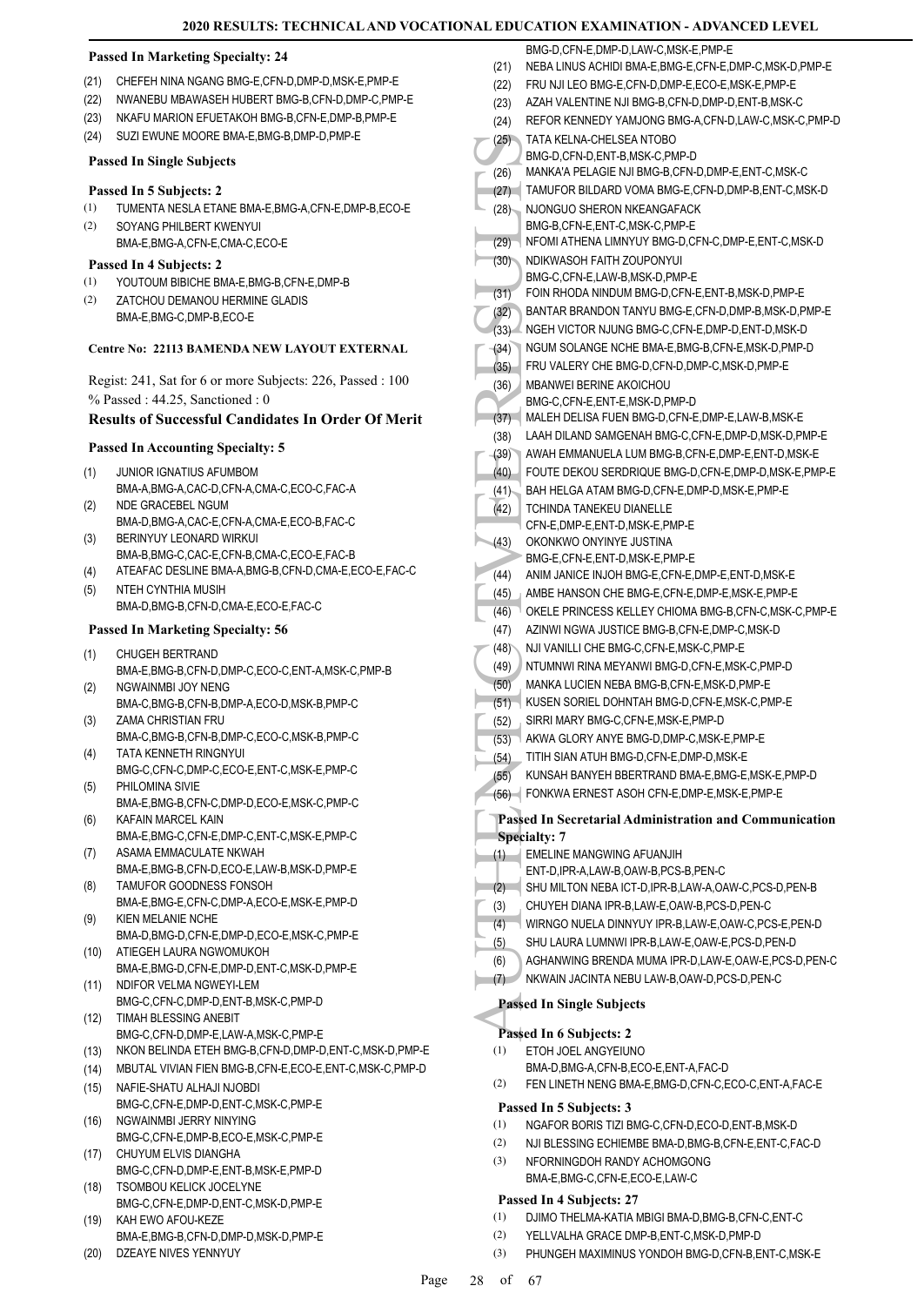BMG-D, CEN-E, DMP-D, LAW-C, MSK-E, PMP-E

#### **Passed In Marketing Specialty: 24**

- (21) CHEFEH NINA NGANG BMG-E,CFN-D,DMP-D,MSK-E,PMP-E
- (22) NWANEBU MBAWASEH HUBERT BMG-B,CFN-D,DMP-C,PMP-E
- (23) NKAFU MARION EFUETAKOH BMG-B,CFN-E,DMP-B,PMP-E
- (24) SUZI EWUNE MOORE BMA-E,BMG-B,DMP-D,PMP-E

#### **Passed In Single Subjects**

#### **Passed In 5 Subjects: 2**

- (1) TUMENTA NESLA ETANE BMA-E,BMG-A,CFN-E,DMP-B,ECO-E
- SOYANG PHILBERT KWENYUI (2)
- BMA-E,BMG-A,CFN-E,CMA-C,ECO-E

# **Passed In 4 Subjects: 2**

- (1) YOUTOUM BIBICHE BMA-E,BMG-B,CFN-E,DMP-B
- ZATCHOU DEMANOU HERMINE GLADIS BMA-E,BMG-C,DMP-B,ECO-E (2)

#### **Centre No: 22113 BAMENDA NEW LAYOUT EXTERNAL**

Regist: 241, Sat for 6 or more Subjects: 226, Passed : 100 % Passed : 44.25, Sanctioned : 0

#### **Results of Successful Candidates In Order Of Merit**

#### **Passed In Accounting Specialty: 5**

- JUNIOR IGNATIUS AFUMBOM (1)
- BMA-A,BMG-A,CAC-D,CFN-A,CMA-C,ECO-C,FAC-A NDE GRACEBEL NGUM (2)
- BMA-D,BMG-A,CAC-E,CFN-A,CMA-E,ECO-B,FAC-C BERINYUY LEONARD WIRKUI (3)
- BMA-B, BMG-C, CAC-E, CEN-B, CMA-C, ECO-E, EAC-B
- (4) ATEAFAC DESLINE BMA-A,BMG-B,CFN-D,CMA-E,ECO-E,FAC-C NTEH CYNTHIA MUSIH (5)
	- BMA-D,BMG-B,CFN-D,CMA-E,ECO-E,FAC-C

#### **Passed In Marketing Specialty: 56**

- CHUGEH BERTRAND BMA-E,BMG-B,CFN-D,DMP-C,ECO-C,ENT-A,MSK-C,PMP-B (1) NGWAINMBI JOY NENG (2)
- BMA-C,BMG-B,CFN-B,DMP-A,ECO-D,MSK-B,PMP-C ZAMA CHRISTIAN FRU (3)
- BMA-C,BMG-B,CFN-B,DMP-C,ECO-C,MSK-B,PMP-C TATA KENNETH RINGNYUI (4)
- BMG-C,CFN-C,DMP-C,ECO-E,ENT-C,MSK-E,PMP-C PHILOMINA SIVIE (5)
- BMA-E,BMG-B,CFN-C,DMP-D,ECO-E,MSK-C,PMP-C KAFAIN MARCEL KAIN (6)
- BMA-E,BMG-C,CFN-E,DMP-C,ENT-C,MSK-E,PMP-C ASAMA EMMACULATE NKWAH (7)
- BMA-E,BMG-B,CFN-D,ECO-E,LAW-B,MSK-D,PMP-E TAMUFOR GOODNESS FONSOH
- BMA-E,BMG-E,CFN-C,DMP-A,ECO-E,MSK-E,PMP-D (8) KIEN MELANIE NCHE (9)
- BMA-D,BMG-D,CFN-E,DMP-D,ECO-E,MSK-C,PMP-E ATIEGEH LAURA NGWOMUKOH (10)
- BMA-E,BMG-D,CFN-E,DMP-D,ENT-C,MSK-D,PMP-E NDIFOR VELMA NGWEYI-LEM (11)
- BMG-C,CFN-C,DMP-D,ENT-B,MSK-C,PMP-D TIMAH BLESSING ANEBIT  $(12)$ 
	- BMG-C,CFN-D,DMP-E,LAW-A,MSK-C,PMP-E
- (13) NKON BELINDA ETEH BMG-B,CFN-D,DMP-D,ENT-C,MSK-D,PMP-E
- (14) MBUTAL VIVIAN FIEN BMG-B,CFN-E,ECO-E,ENT-C,MSK-C,PMP-D
- NAFIE-SHATU ALHAJI NJOBDI BMG-C,CFN-E,DMP-D,ENT-C,MSK-C,PMP-E (15)
- NGWAINMBI JERRY NINYING BMG-C,CFN-E,DMP-B,ECO-E,MSK-C,PMP-E (16)
- CHUYUM ELVIS DIANGHA BMG-C,CFN-D,DMP-E,ENT-B,MSK-E,PMP-D (17)
- TSOMBOU KELICK JOCELYNE (18)
- BMG-C,CFN-E,DMP-D,ENT-C,MSK-D,PMP-E KAH EWO AFOU-KEZE (19)
- BMA-E,BMG-B,CFN-D,DMP-D,MSK-D,PMP-E (20) DZEAYE NIVES YENNYUY
- (25) TATA K<br>
BMG-D<br>
(26) MANKA BMG-D<br>
(27) TAMUF<br>
NDIK MUNG-B<br>
(27) TAMUF<br>
NDIK MUNG-B<br>
(37) NDIK BMG-C<br>
FOIN R<br>
(31) NGUM BMG-C<br>
FOIN R MGLEH<br>
(37) NGUM BMG-C<br>
(37) MBANY BMG-C<br>
(37) MBANY BMG-C<br>
(37) MBANY BMG-C<br>
(37) M (21) NEBA LINUS ACHIDI BMA-E,BMG-E,CFN-E,DMP-C,MSK-D,PMP-E (22) FRU NJI LEO BMG-E,CFN-D,DMP-E,ECO-E,MSK-E,PMP-E (23) AZAH VALENTINE NJI BMG-B,CFN-D,DMP-D,ENT-B,MSK-C (24) REFOR KENNEDY YAMJONG BMG-A,CFN-D,LAW-C,MSK-C,PMP-D TATA KELNA-CHELSEA NTOBO BMG-D,CFN-D,ENT-B,MSK-C,PMP-D (25) (26) MANKA'A PELAGIE NJI BMG-B,CFN-D,DMP-E,ENT-C,MSK-C (27) TAMUFOR BILDARD VOMA BMG-E,CFN-D,DMP-B,ENT-C,MSK-D NJONGUO SHERON NKEANGAFACK BMG-B,CFN-E,ENT-C,MSK-C,PMP-E (28) (29) NFOMI ATHENA LIMNYUY BMG-D,CFN-C,DMP-E,ENT-C,MSK-D NDIKWASOH FAITH ZOUPONYUI BMG-C,CFN-E,LAW-B,MSK-D,PMP-E (30) (31) FOIN RHODA NINDUM BMG-D,CFN-E,ENT-B,MSK-D,PMP-E (32) BANTAR BRANDON TANYU BMG-E,CFN-D,DMP-B,MSK-D,PMP-E (33) NGEH VICTOR NJUNG BMG-C,CFN-E,DMP-D,ENT-D,MSK-D (34) NGUM SOLANGE NCHE BMA-E,BMG-B,CFN-E,MSK-D,PMP-D (35) FRU VALERY CHE BMG-D,CFN-D,DMP-C,MSK-D,PMP-E MBANWEI BERINE AKOICHOU BMG-C,CFN-E,ENT-E,MSK-D,PMP-D (36) (37) MALEH DELISA FUEN BMG-D,CFN-E,DMP-E,LAW-B,MSK-E (38) LAAH DILAND SAMGENAH BMG-C,CFN-E,DMP-D,MSK-D,PMP-E (39) AWAH EMMANUELA LUM BMG-B,CFN-E,DMP-E,ENT-D,MSK-E (40) FOUTE DEKOU SERDRIQUE BMG-D,CFN-E,DMP-D,MSK-E,PMP-E (41) BAH HELGA ATAM BMG-D,CFN-E,DMP-D,MSK-E,PMP-E TCHINDA TANEKEU DIANELLE CFN-E,DMP-E,ENT-D,MSK-E,PMP-E  $(42)$ OKONKWO ONYINYE JUSTINA BMG-E,CFN-E,ENT-D,MSK-E,PMP-E (43) (44) ANIM JANICE INJOH BMG-E,CFN-E,DMP-E,ENT-D,MSK-E (45) AMBE HANSON CHE BMG-E,CFN-E,DMP-E,MSK-E,PMP-E (46) OKELE PRINCESS KELLEY CHIOMA BMG-B,CFN-C,MSK-C,PMP-E (47) AZINWI NGWA JUSTICE BMG-B,CFN-E,DMP-C,MSK-D (48) NJI VANILLI CHE BMG-C,CFN-E,MSK-C,PMP-E (49) NTUMNWI RINA MEYANWI BMG-D,CFN-E,MSK-C,PMP-D (50) MANKA LUCIEN NEBA BMG-B,CFN-E,MSK-D,PMP-E (51) KUSEN SORIEL DOHNTAH BMG-D,CFN-E,MSK-C,PMP-E (52) SIRRI MARY BMG-C,CFN-E,MSK-E,PMP-D (53) AKWA GLORY ANYE BMG-D,DMP-C,MSK-E,PMP-E (54) TITIH SIAN ATUH BMG-D,CFN-E,DMP-D,MSK-E (55) KUNSAH BANYEH BBERTRAND BMA-E,BMG-E,MSK-E,PMP-D (56) FONKWA ERNEST ASOH CFN-E,DMP-E,MSK-E,PMP-E **Passed In Secretarial Administration and Communication Specialty: 7** EMELINE MANGWING AFUANJIH (1) ENT-D,IPR-A,LAW-B,OAW-B,PCS-B,PEN-C (2) SHU MILTON NEBA ICT-D,IPR-B,LAW-A,OAW-C,PCS-D,PEN-B (3) CHUYEH DIANA IPR-B,LAW-E,OAW-B,PCS-D,PEN-C (4) WIRNGO NUELA DINNYUY IPR-B,LAW-E,OAW-C,PCS-E,PEN-D (5) SHU LAURA LUMNWI IPR-B,LAW-E,OAW-E,PCS-D,PEN-D (6) AGHANWING BRENDA MUMA IPR-D,LAW-E,OAW-E,PCS-D,PEN-C (7) NKWAIN JACINTA NEBU LAW-B,OAW-D,PCS-D,PEN-C **Passed In Single Subjects Passed In 6 Subjects: 2**
	- ETOH JOEL ANGYEIUNO (1)
		- BMA-D,BMG-A,CFN-B,ECO-E,ENT-A,FAC-D
	- (2) FEN LINETH NENG BMA-E,BMG-D,CFN-C,ECO-C,ENT-A,FAC-E

#### **Passed In 5 Subjects: 3**

- (1) NGAFOR BORIS TIZI BMG-C,CFN-D,ECO-D,ENT-B,MSK-D
- (2) NJI BLESSING ECHIEMBE BMA-D,BMG-B,CFN-E,ENT-C,FAC-D
- NFORNINGDOH RANDY ACHOMGONG BMA-E,BMG-C,CFN-E,ECO-E,LAW-C (3)

#### **Passed In 4 Subjects: 27**

- (1) DJIMO THELMA-KATIA MBIGI BMA-D,BMG-B,CFN-C,ENT-C
- (2) YELLVALHA GRACE DMP-B,ENT-C,MSK-D,PMP-D
- (3) PHUNGEH MAXIMINUS YONDOH BMG-D,CFN-B,ENT-C,MSK-E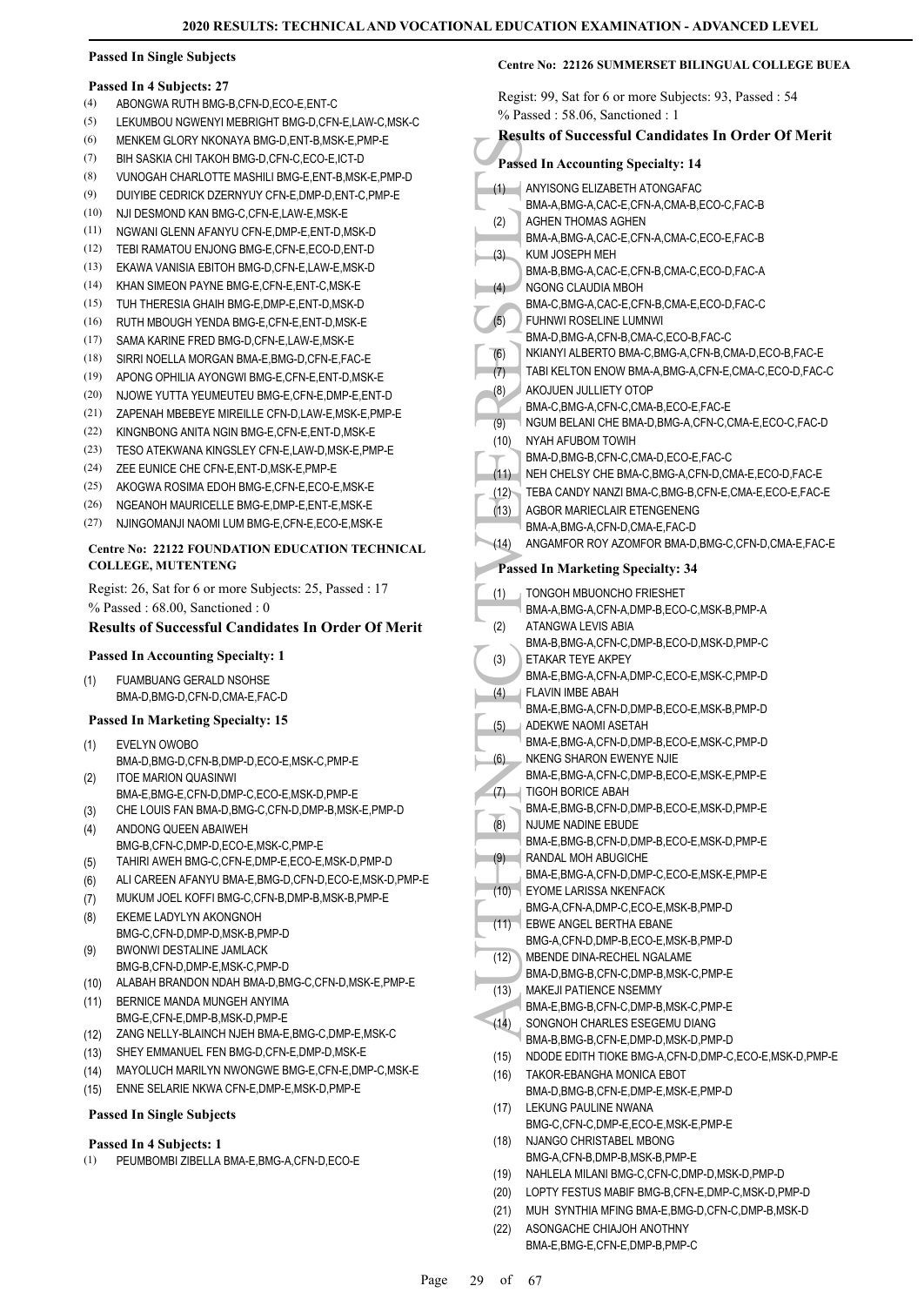#### **Passed In Single Subjects**

#### **Passed In 4 Subjects: 27**

- (4) ABONGWA RUTH BMG-B,CFN-D,ECO-E,ENT-C
- (5) LEKUMBOU NGWENYI MEBRIGHT BMG-D,CFN-E,LAW-C,MSK-C
- (6) MENKEM GLORY NKONAYA BMG-D,ENT-B,MSK-E,PMP-E
- (7) BIH SASKIA CHI TAKOH BMG-D,CFN-C,ECO-E,ICT-D
- (8) VUNOGAH CHARLOTTE MASHILI BMG-E,ENT-B,MSK-E,PMP-D
- (9) DUIYIBE CEDRICK DZERNYUY CFN-E,DMP-D,ENT-C,PMP-E
- (10) NJI DESMOND KAN BMG-C,CFN-E,LAW-E,MSK-E
- (11) NGWANI GLENN AFANYU CFN-E,DMP-E,ENT-D,MSK-D
- (12) TEBI RAMATOU ENJONG BMG-E CEN-E ECO-D, ENT-D
- (13) EKAWA VANISIA EBITOH BMG-D,CFN-E,LAW-E,MSK-D
- (14) KHAN SIMEON PAYNE BMG-E,CFN-E,ENT-C,MSK-E
- (15) TUH THERESIA GHAIH BMG-E,DMP-E,ENT-D,MSK-D
- (16) RUTH MBOUGH YENDA BMG-E,CFN-E,ENT-D,MSK-E
- (17) SAMA KARINE FRED BMG-D,CFN-E,LAW-E,MSK-E
- (18) SIRRI NOELLA MORGAN BMA-E,BMG-D,CFN-E,FAC-E
- (19) APONG OPHILIA AYONGWI BMG-E,CFN-E,ENT-D,MSK-E
- (20) NJOWE YUTTA YEUMEUTEU BMG-E,CFN-E,DMP-E,ENT-D
- (21) ZAPENAH MBEBEYE MIREILLE CFN-D,LAW-E,MSK-E,PMP-E
- (22) KINGNBONG ANITA NGIN BMG-E,CFN-E,ENT-D,MSK-E
- (23) TESO ATEKWANA KINGSLEY CFN-E,LAW-D,MSK-E,PMP-E
- (24) ZEE EUNICE CHE CFN-E,ENT-D,MSK-E,PMP-E
- (25) AKOGWA ROSIMA EDOH BMG-E,CFN-E,ECO-E,MSK-E
- (26) NGEANOH MAURICELLE BMG-E,DMP-E,ENT-E,MSK-E
- (27) NJINGOMANJI NAOMI LUM BMG-E,CFN-E,ECO-E,MSK-E

#### **Centre No: 22122 FOUNDATION EDUCATION TECHNICAL COLLEGE, MUTENTENG**

Regist: 26, Sat for 6 or more Subjects: 25, Passed : 17 % Passed : 68.00, Sanctioned : 0

#### **Results of Successful Candidates In Order Of Merit**

#### **Passed In Accounting Specialty: 1**

FUAMBUANG GERALD NSOHSE BMA-D,BMG-D,CFN-D,CMA-E,FAC-D (1)

#### **Passed In Marketing Specialty: 15**

- EVELYN OWOBO (1)
- BMA-D,BMG-D,CFN-B,DMP-D,ECO-E,MSK-C,PMP-E ITOE MARION QUASINWI (2)
- BMA-E,BMG-E,CFN-D,DMP-C,ECO-E,MSK-D,PMP-E
- (3) CHE LOUIS FAN BMA-D,BMG-C,CFN-D,DMP-B,MSK-E,PMP-D ANDONG QUEEN ABAIWEH
- BMG-B,CFN-C,DMP-D,ECO-E,MSK-C,PMP-E (4)
- (5) TAHIRI AWEH BMG-C,CFN-E,DMP-E,ECO-E,MSK-D,PMP-D
- (6) ALI CAREEN AFANYU BMA-E,BMG-D,CFN-D,ECO-E,MSK-D,PMP-E
- (7) MUKUM JOEL KOFFI BMG-C,CFN-B,DMP-B,MSK-B,PMP-E
- EKEME LADYLYN AKONGNOH BMG-C, CFN-D, DMP-D, MSK-B, PMP-D (8) BWONWI DESTALINE JAMLACK (9)
- BMG-B,CFN-D,DMP-E,MSK-C,PMP-D
- (10) ALABAH BRANDON NDAH BMA-D,BMG-C,CFN-D,MSK-E,PMP-E
- BERNICE MANDA MUNGEH ANYIMA BMG-E,CFN-E,DMP-B,MSK-D,PMP-E (11)
- (12) ZANG NELLY-BLAINCH NJEH BMA-E,BMG-C,DMP-E,MSK-C
- (13) SHEY EMMANUEL FEN BMG-D,CFN-E,DMP-D,MSK-E
- (14) MAYOLUCH MARILYN NWONGWE BMG-E,CFN-E,DMP-C,MSK-E
- (15) ENNE SELARIE NKWA CFN-E,DMP-E,MSK-D,PMP-E

#### **Passed In Single Subjects**

#### **Passed In 4 Subjects: 1**

(1) PEUMBOMBI ZIBELLA BMA-E,BMG-A,CFN-D,ECO-E

#### **Centre No: 22126 SUMMERSET BILINGUAL COLLEGE BUEA**

Regist: 99, Sat for 6 or more Subjects: 93, Passed : 54

|                                           | $%$ Passed: 58.06, Sanctioned: 1                                              |  |
|-------------------------------------------|-------------------------------------------------------------------------------|--|
|                                           | <b>Results of Successful Candidates In Order Of Merit</b>                     |  |
| <b>Passed In Accounting Specialty: 14</b> |                                                                               |  |
| (1)                                       | ANYISONG ELIZABETH ATONGAFAC                                                  |  |
|                                           | BMA-A, BMG-A, CAC-E, CFN-A, CMA-B, ECO-C, FAC-B                               |  |
| (2)                                       | AGHEN THOMAS AGHEN                                                            |  |
|                                           | BMA-A, BMG-A, CAC-E, CFN-A, CMA-C, ECO-E, FAC-B                               |  |
| (3)                                       | KUM JOSEPH MEH<br>BMA-B, BMG-A, CAC-E, CFN-B, CMA-C, ECO-D, FAC-A             |  |
| (4)                                       | NGONG CLAUDIA MBOH                                                            |  |
|                                           | BMA-C, BMG-A, CAC-E, CFN-B, CMA-E, ECO-D, FAC-C                               |  |
| (5)                                       | FUHNWI ROSELINE LUMNWI                                                        |  |
|                                           | BMA-D, BMG-A, CFN-B, CMA-C, ECO-B, FAC-C                                      |  |
| (6)                                       | NKIANYI ALBERTO BMA-C, BMG-A, CFN-B, CMA-D, ECO-B, FAC-E                      |  |
| (7)                                       | TABI KELTON ENOW BMA-A,BMG-A,CFN-E,CMA-C,ECO-D,FAC-C<br>AKOJUEN JULLIETY OTOP |  |
| (8)                                       | BMA-C, BMG-A, CFN-C, CMA-B, ECO-E, FAC-E                                      |  |
| (9)                                       | NGUM BELANI CHE BMA-D, BMG-A, CFN-C, CMA-E, ECO-C, FAC-D                      |  |
| (10)                                      | NYAH AFUBOM TOWIH                                                             |  |
|                                           | BMA-D, BMG-B, CFN-C, CMA-D, ECO-E, FAC-C                                      |  |
| (11)                                      | NEH CHELSY CHE BMA-C, BMG-A, CFN-D, CMA-E, ECO-D, FAC-E                       |  |
| (12)                                      | TEBA CANDY NANZI BMA-C, BMG-B, CFN-E, CMA-E, ECO-E, FAC-E                     |  |
| (13)                                      | AGBOR MARIECLAIR ETENGENENG<br>BMA-A, BMG-A, CFN-D, CMA-E, FAC-D              |  |
| (14)                                      | ANGAMFOR ROY AZOMFOR BMA-D, BMG-C, CFN-D, CMA-E, FAC-E                        |  |
|                                           |                                                                               |  |
|                                           | <b>Passed In Marketing Specialty: 34</b>                                      |  |
| (1)                                       | TONGOH MBUONCHO FRIESHET                                                      |  |
| (2)                                       | BMA-A, BMG-A, CFN-A, DMP-B, ECO-C, MSK-B, PMP-A<br>ATANGWA LEVIS ABIA         |  |
|                                           | BMA-B, BMG-A, CFN-C, DMP-B, ECO-D, MSK-D, PMP-C                               |  |
| (3)                                       | ETAKAR TEYE AKPEY                                                             |  |
|                                           | BMA-E,BMG-A,CFN-A,DMP-C,ECO-E,MSK-C,PMP-D                                     |  |
| (4)                                       | FLAVIN IMBE ABAH                                                              |  |
| (5)                                       | BMA-E, BMG-A, CFN-D, DMP-B, ECO-E, MSK-B, PMP-D<br>ADEKWE NAOMI ASETAH        |  |
|                                           | BMA-E,BMG-A,CFN-D,DMP-B,ECO-E,MSK-C,PMP-D                                     |  |
| (6)                                       | NKENG SHARON EWENYE NJIE                                                      |  |
|                                           | BMA-E, BMG-A, CFN-C, DMP-B, ECO-E, MSK-E, PMP-E                               |  |
| (7)                                       | TIGOH BORICE ABAH                                                             |  |
| (8)                                       | BMA-E,BMG-B,CFN-D,DMP-B,ECO-E,MSK-D,PMP-E<br>NJUME NADINE EBUDE               |  |
|                                           | BMA-E, BMG-B, CFN-D, DMP-B, ECO-E, MSK-D, PMP-E                               |  |
| (9)                                       | RANDAL MOH ABUGICHE                                                           |  |
|                                           | BMA-E,BMG-A,CFN-D,DMP-C,ECO-E,MSK-E,PMP-E                                     |  |
| (10)                                      | EYOME LARISSA NKENFACK<br>BMG-A,CFN-A,DMP-C,ECO-E,MSK-B,PMP-D                 |  |
| (11)                                      | EBWE ANGEL BERTHA EBANE                                                       |  |
|                                           | BMG-A,CFN-D,DMP-B,ECO-E,MSK-B,PMP-D                                           |  |
| (12)                                      | MBENDE DINA-RECHEL NGALAME                                                    |  |
|                                           | BMA-D, BMG-B, CFN-C, DMP-B, MSK-C, PMP-E                                      |  |
| (13)                                      | MAKEJI PATIENCE NSEMMY                                                        |  |
| (14)                                      | BMA-E,BMG-B,CFN-C,DMP-B,MSK-C,PMP-E<br>SONGNOH CHARLES ESEGEMU DIANG          |  |
|                                           | BMA-B, BMG-B, CFN-E, DMP-D, MSK-D, PMP-D                                      |  |
| (15)                                      | NDODE EDITH TIOKE BMG-A,CFN-D,DMP-C,ECO-E,MSK-D,PMP-E                         |  |
| (16)                                      | TAKOR-EBANGHA MONICA EBOT                                                     |  |
|                                           | BMA-D,BMG-B,CFN-E,DMP-E,MSK-E,PMP-D                                           |  |
| (17)                                      | LEKUNG PAULINE NWANA<br>BMG-C,CFN-C,DMP-E,ECO-E,MSK-E,PMP-E                   |  |
| (18)                                      | NJANGO CHRISTABEL MBONG                                                       |  |
|                                           | BMG-A,CFN-B,DMP-B,MSK-B,PMP-E                                                 |  |
| (19)                                      | NAHLELA MILANI BMG-C,CFN-C,DMP-D,MSK-D,PMP-D                                  |  |
| (20)                                      | LOPTY FESTUS MABIF BMG-B,CFN-E,DMP-C,MSK-D,PMP-D                              |  |
| (21)                                      | MUH SYNTHIA MFING BMA-E, BMG-D, CFN-C, DMP-B, MSK-D                           |  |

(22)

ASONGACHE CHIAJOH ANOTHNY BMA-E,BMG-E,CFN-E,DMP-B,PMP-C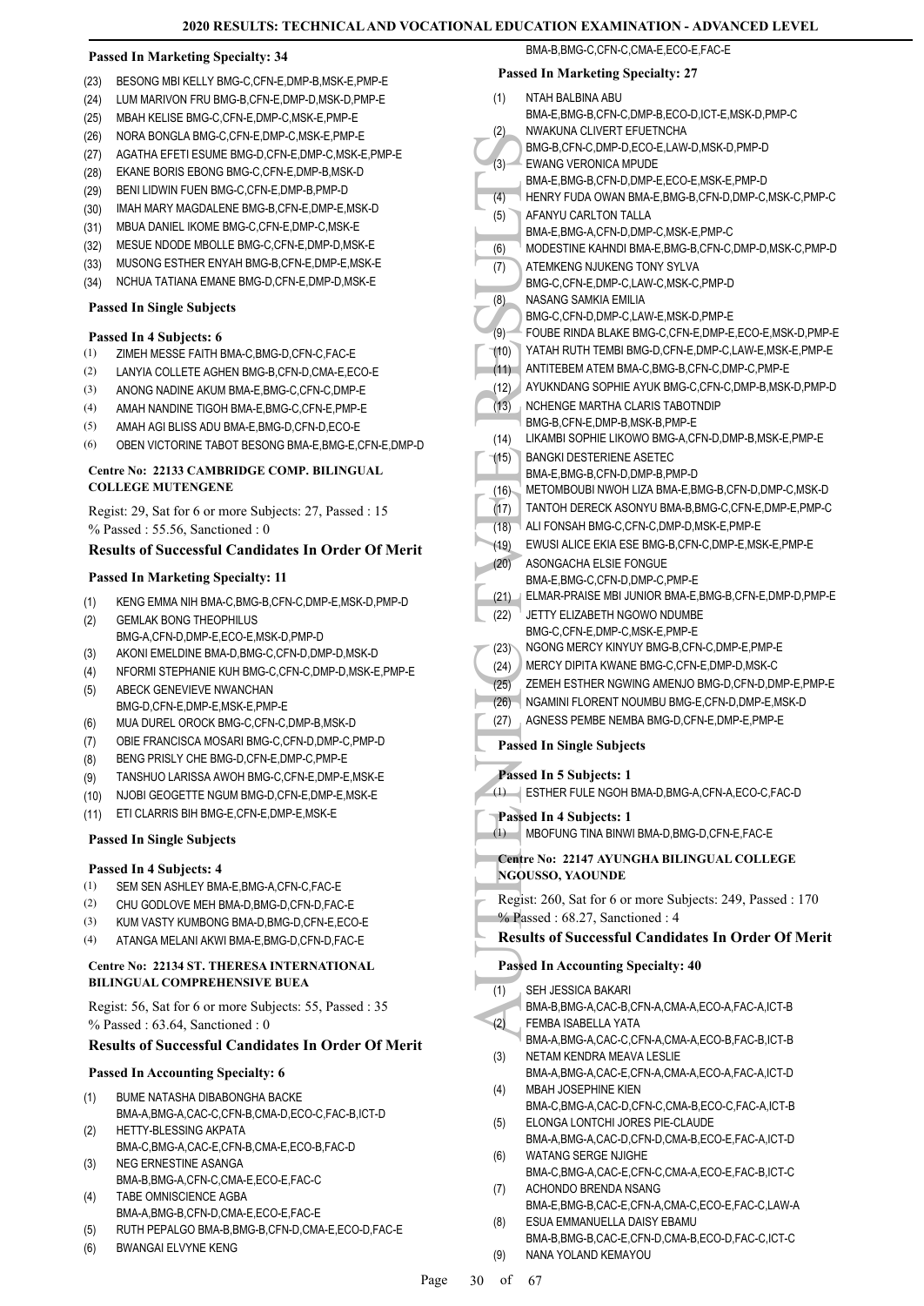#### **Passed In Marketing Specialty: 34**

- (23) BESONG MBI KELLY BMG-C,CFN-E,DMP-B,MSK-E,PMP-E
- (24) LUM MARIVON FRU BMG-B,CFN-E,DMP-D,MSK-D,PMP-E
- (25) MBAH KELISE BMG-C,CFN-E,DMP-C,MSK-E,PMP-E
- (26) NORA BONGLA BMG-C,CFN-E,DMP-C,MSK-E,PMP-E
- (27) AGATHA EFETI ESUME BMG-D,CFN-E,DMP-C,MSK-E,PMP-E
- (28) EKANE BORIS EBONG BMG-C,CFN-E,DMP-B,MSK-D
- (29) BENI LIDWIN FUEN BMG-C,CFN-E,DMP-B,PMP-D
- (30) IMAH MARY MAGDALENE BMG-B,CFN-E,DMP-E,MSK-D
- (31) MBUA DANIEL IKOME BMG-C,CFN-E,DMP-C,MSK-E
- (32) MESUE NDODE MBOLLE BMG-C,CFN-E,DMP-D,MSK-E
- (33) MUSONG ESTHER ENYAH BMG-B,CFN-E,DMP-E,MSK-E
- (34) NCHUA TATIANA EMANE BMG-D,CFN-E,DMP-D,MSK-E

#### **Passed In Single Subjects**

#### **Passed In 4 Subjects: 6**

- (1) ZIMEH MESSE FAITH BMA-C,BMG-D,CFN-C,FAC-E
- (2) LANYIA COLLETE AGHEN BMG-B,CFN-D,CMA-E,ECO-E
- (3) ANONG NADINE AKUM BMA-E,BMG-C,CFN-C,DMP-E
- (4) AMAH NANDINE TIGOH BMA-E,BMG-C,CFN-E,PMP-E
- (5) AMAH AGI BLISS ADU BMA-E,BMG-D,CFN-D,ECO-E
- (6) OBEN VICTORINE TABOT BESONG BMA-E,BMG-E,CFN-E,DMP-D

#### **Centre No: 22133 CAMBRIDGE COMP. BILINGUAL COLLEGE MUTENGENE**

Regist: 29, Sat for 6 or more Subjects: 27, Passed : 15 % Passed : 55.56, Sanctioned : 0

#### **Results of Successful Candidates In Order Of Merit**

#### **Passed In Marketing Specialty: 11**

- (1) KENG EMMA NIH BMA-C,BMG-B,CFN-C,DMP-E,MSK-D,PMP-D
- GEMLAK BONG THEOPHILUS BMG-A,CFN-D,DMP-E,ECO-E,MSK-D,PMP-D (2)
- (3) AKONI EMELDINE BMA-D,BMG-C,CFN-D,DMP-D,MSK-D
- (4) NFORMI STEPHANIE KUH BMG-C,CFN-C,DMP-D,MSK-E,PMP-E
- ABECK GENEVIEVE NWANCHAN BMG-D,CFN-E,DMP-E,MSK-E,PMP-E (5)
- (6) MUA DUREL OROCK BMG-C,CFN-C,DMP-B,MSK-D
- (7) OBIE FRANCISCA MOSARI BMG-C,CFN-D,DMP-C,PMP-D
- (8) BENG PRISLY CHE BMG-D,CFN-E,DMP-C,PMP-E
- (9) TANSHUO LARISSA AWOH BMG-C,CFN-E,DMP-E,MSK-E
- (10) NJOBI GEOGETTE NGUM BMG-D,CFN-E,DMP-E,MSK-E
- (11) ETI CLARRIS BIH BMG-E,CFN-E,DMP-E,MSK-E

#### **Passed In Single Subjects**

#### **Passed In 4 Subjects: 4**

- (1) SEM SEN ASHLEY BMA-E,BMG-A,CFN-C,FAC-E
- (2) CHU GODLOVE MEH BMA-D,BMG-D,CFN-D,FAC-E
- (3) KUM VASTY KUMBONG BMA-D,BMG-D,CFN-E,ECO-E
- (4) ATANGA MELANI AKWI BMA-E,BMG-D,CFN-D,FAC-E

#### **Centre No: 22134 ST. THERESA INTERNATIONAL BILINGUAL COMPREHENSIVE BUEA**

Regist: 56, Sat for 6 or more Subjects: 55, Passed : 35 % Passed : 63.64, Sanctioned : 0

#### **Results of Successful Candidates In Order Of Merit**

#### **Passed In Accounting Specialty: 6**

- BUME NATASHA DIBABONGHA BACKE BMA-A,BMG-A,CAC-C,CFN-B,CMA-D,ECO-C,FAC-B,ICT-D (1)
- HETTY-BLESSING AKPATA BMA-C,BMG-A,CAC-E,CFN-B,CMA-E,ECO-B,FAC-D (2)
- NEG ERNESTINE ASANGA (3)
- BMA-B,BMG-A,CFN-C,CMA-E,ECO-E,FAC-C TABE OMNISCIENCE AGBA (4)
- BMA-A,BMG-B,CFN-D,CMA-E,ECO-E,FAC-E
- (5) RUTH PEPALGO BMA-B,BMG-B,CFN-D,CMA-E,ECO-D,FAC-E
- (6) BWANGAI ELVYNE KENG

BMA-B,BMG-C,CFN-C,CMA-E,ECO-E,FAC-E

| <b>Passed In Marketing Specialty: 27</b> |  |
|------------------------------------------|--|
|------------------------------------------|--|

| (1)              | NTAH BALBINA ABU                                                                                            |
|------------------|-------------------------------------------------------------------------------------------------------------|
| (2)              | BMA-E,BMG-B,CFN-C,DMP-B,ECO-D,ICT-E,MSK-D,PMP-C<br>NWAKUNA CLIVERT EFUETNCHA                                |
|                  | BMG-B,CFN-C,DMP-D,ECO-E,LAW-D,MSK-D,PMP-D                                                                   |
| (3)              | <b>EWANG VERONICA MPUDE</b>                                                                                 |
| (4)              | BMA-E, BMG-B, CFN-D, DMP-E, ECO-E, MSK-E, PMP-D<br>HENRY FUDA OWAN BMA-E, BMG-B, CFN-D, DMP-C, MSK-C, PMP-C |
| (5)              | AFANYU CARLTON TALLA                                                                                        |
|                  | BMA-E,BMG-A,CFN-D,DMP-C,MSK-E,PMP-C                                                                         |
| (6)<br>(7)       | MODESTINE KAHNDI BMA-E,BMG-B,CFN-C,DMP-D,MSK-C,PMP-D<br>ATEMKENG NJUKENG TONY SYLVA                         |
|                  | BMG-C,CFN-E,DMP-C,LAW-C,MSK-C,PMP-D                                                                         |
| (8)              | NASANG SAMKIA EMILIA                                                                                        |
| (9)              | BMG-C,CFN-D,DMP-C,LAW-E,MSK-D,PMP-E<br>FOUBE RINDA BLAKE BMG-C, CFN-E, DMP-E, ECO-E, MSK-D, PMP-E           |
| (10)             | YATAH RUTH TEMBI BMG-D, CFN-E, DMP-C, LAW-E, MSK-E, PMP-E                                                   |
| (11)             | ANTITEBEM ATEM BMA-C, BMG-B, CFN-C, DMP-C, PMP-E                                                            |
| (12)             | AYUKNDANG SOPHIE AYUK BMG-C, CFN-C, DMP-B, MSK-D, PMP-D                                                     |
| (13)             | NCHENGE MARTHA CLARIS TABOTNDIP<br>BMG-B,CFN-E,DMP-B,MSK-B,PMP-E                                            |
| (14)             | LIKAMBI SOPHIE LIKOWO BMG-A,CFN-D,DMP-B,MSK-E,PMP-E                                                         |
| (15)             | <b>BANGKI DESTERIENE ASETEC</b>                                                                             |
| (16)             | BMA-E.BMG-B.CFN-D.DMP-B.PMP-D<br>METOMBOUBI NWOH LIZA BMA-E,BMG-B,CFN-D,DMP-C,MSK-D                         |
| (17)             | TANTOH DERECK ASONYU BMA-B, BMG-C, CFN-E, DMP-E, PMP-C                                                      |
| (18)             | ALI FONSAH BMG-C,CFN-C,DMP-D,MSK-E,PMP-E                                                                    |
| (19)             | EWUSI ALICE EKIA ESE BMG-B, CFN-C, DMP-E, MSK-E, PMP-E                                                      |
| (20)             | ASONGACHA ELSIE FONGUE<br>BMA-E,BMG-C,CFN-D,DMP-C,PMP-E                                                     |
| (21)             | ELMAR-PRAISE MBI JUNIOR BMA-E, BMG-B, CFN-E, DMP-D, PMP-E                                                   |
| (22)             | JETTY ELIZABETH NGOWO NDUMBE                                                                                |
| (23)             | BMG-C,CFN-E,DMP-C,MSK-E,PMP-E<br>NGONG MERCY KINYUY BMG-B,CFN-C,DMP-E,PMP-E                                 |
| (24)             | MERCY DIPITA KWANE BMG-C, CFN-E, DMP-D, MSK-C                                                               |
| (25)             | ZEMEH ESTHER NGWING AMENJO BMG-D, CFN-D, DMP-E, PMP-E                                                       |
| (26)             | NGAMINI FLORENT NOUMBU BMG-E,CFN-D,DMP-E,MSK-D<br>AGNESS PEMBE NEMBA BMG-D, CFN-E, DMP-E, PMP-E             |
| (27)             |                                                                                                             |
|                  | <b>Passed In Single Subjects</b>                                                                            |
| (1)              | Passed In 5 Subjects: 1<br>ESTHER FULE NGOH BMA-D, BMG-A, CFN-A, ECO-C, FAC-D                               |
|                  | Passed In 4 Subjects: 1                                                                                     |
| $\left(1\right)$ | MBOFUNG TINA BINWI BMA-D, BMG-D, CFN-E, FAC-E                                                               |
|                  | Centre No: 22147 AYUNGHA BILINGUAL COLLEGE                                                                  |
|                  | <b>NGOUSSO, YAOUNDE</b>                                                                                     |
|                  | Regist: 260, Sat for 6 or more Subjects: 249, Passed : 170                                                  |
|                  | % Passed: 68.27, Sanctioned: 4<br><b>Results of Successful Candidates In Order Of Merit</b>                 |
|                  |                                                                                                             |
|                  | <b>Passed In Accounting Specialty: 40</b>                                                                   |
| (1)              | SEH JESSICA BAKARI<br>BMA-B, BMG-A, CAC-B, CFN-A, CMA-A, ECO-A, FAC-A, ICT-B                                |
| (2)              | FEMBA ISABELLA YATA                                                                                         |
|                  | BMA-A,BMG-A,CAC-C,CFN-A,CMA-A,ECO-B,FAC-B,ICT-B                                                             |
| (3)              | NETAM KENDRA MEAVA LESLIE<br>BMA-A,BMG-A,CAC-E,CFN-A,CMA-A,ECO-A,FAC-A,ICT-D                                |
| (4)              | MBAH JOSEPHINE KIEN                                                                                         |
|                  | BMA-C,BMG-A,CAC-D,CFN-C,CMA-B,ECO-C,FAC-A,ICT-B                                                             |
| (5)              | ELONGA LONTCHI JORES PIE-CLAUDE<br>BMA-A,BMG-A,CAC-D,CFN-D,CMA-B,ECO-E,FAC-A,ICT-D                          |
| (6)              | <b>WATANG SERGE NJIGHE</b>                                                                                  |
|                  | BMA-C, BMG-A, CAC-E, CFN-C, CMA-A, ECO-E, FAC-B, ICT-C                                                      |
| (7)              | ACHONDO BRENDA NSANG<br>BMA-E,BMG-B,CAC-E,CFN-A,CMA-C,ECO-E,FAC-C,LAW-A                                     |
| (8)              | ESUA EMMANUELLA DAISY EBAMU                                                                                 |
| (9)              | BMA-B,BMG-B,CAC-E,CFN-D,CMA-B,ECO-D,FAC-C,ICT-C<br>NANA YOLAND KEMAYOU                                      |
|                  |                                                                                                             |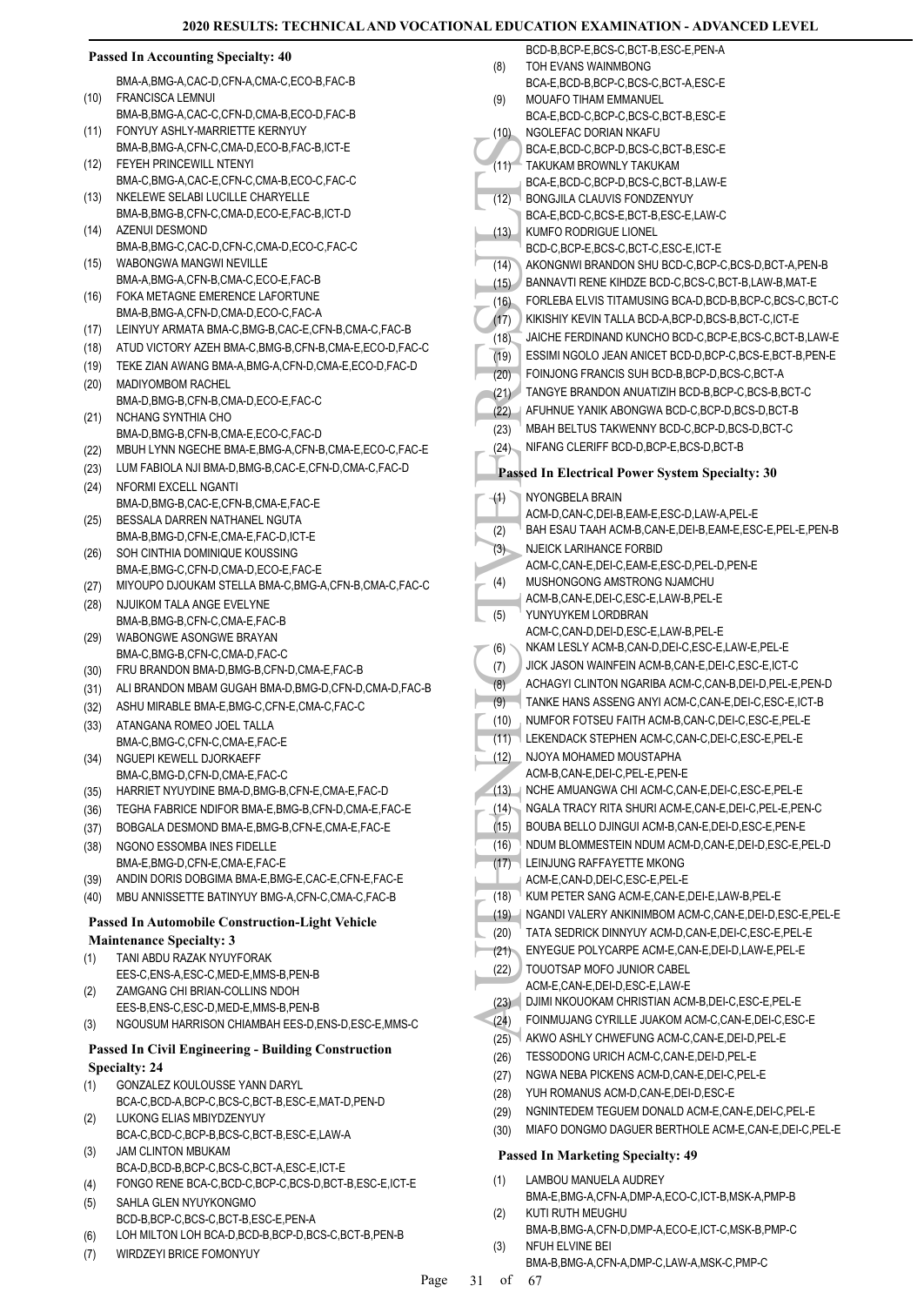#### (10)<br>
(11) ROALE,<br>
(12) BCA-E,<br>
BCA-E,<br>
BCA-E,<br>
BCA-E,<br>
BCA-E,<br>
BCA-E,<br>
BCA-E,<br>
BCA-E,<br>
BCA-E,<br>
BCA-E,<br>
BCA-E,<br>
BCA-E,<br>
BCA-E,<br>
BCA-E,<br>
BCA-E,<br>
BCA-E,<br>
BCA-E,<br>
BCA-E,<br>
BCA-E,<br>
BCA-E,<br>
BCA-E,<br>
BCA-E,<br>
BCA-E,<br>
BCA-E,<br>
BCA-E, **Passed In Accounting Specialty: 40** BMA-A,BMG-A,CAC-D,CFN-A,CMA-C,ECO-B,FAC-B FRANCISCA LEMNUI BMA-B,BMG-A,CAC-C,CFN-D,CMA-B,ECO-D,FAC-B (10) FONYUY ASHLY-MARRIETTE KERNYUY BMA-B,BMG-A,CFN-C,CMA-D,ECO-B,FAC-B,ICT-E (11) FEYEH PRINCEWILL NTENYI BMA-C,BMG-A,CAC-E,CFN-C,CMA-B,ECO-C,FAC-C  $(12)$ NKELEWE SELABI LUCILLE CHARYELLE BMA-B,BMG-B,CFN-C,CMA-D,ECO-E,FAC-B,ICT-D  $(13)$ AZENUI DESMOND BMA-B,BMG-C,CAC-D,CFN-C,CMA-D,ECO-C,FAC-C (14) WABONGWA MANGWI NEVILLE BMA-A,BMG-A,CFN-B,CMA-C,ECO-E,FAC-B (15) FOKA METAGNE EMERENCE LAFORTUNE BMA-B,BMG-A,CFN-D,CMA-D,ECO-C,FAC-A (16) (17) LEINYUY ARMATA BMA-C,BMG-B,CAC-E,CFN-B,CMA-C,FAC-B (18) ATUD VICTORY AZEH BMA-C,BMG-B,CFN-B,CMA-E,ECO-D,FAC-C (19) TEKE ZIAN AWANG BMA-A,BMG-A,CFN-D,CMA-E,ECO-D,FAC-D MADIYOMBOM RACHEL BMA-D,BMG-B,CFN-B,CMA-D,ECO-E,FAC-C (20) NCHANG SYNTHIA CHO BMA-D,BMG-B,CFN-B,CMA-E,ECO-C,FAC-D  $(21)$ (22) MBUH LYNN NGECHE BMA-E,BMG-A,CFN-B,CMA-E,ECO-C,FAC-E (23) LUM FABIOLA NJI BMA-D,BMG-B,CAC-E,CFN-D,CMA-C,FAC-D NFORMI EXCELL NGANTI BMA-D,BMG-B,CAC-E,CFN-B,CMA-E,FAC-E (24) BESSALA DARREN NATHANEL NGUTA BMA-B, BMG-D, CEN-E, CMA-E, FAC-D, ICT-E (25) SOH CINTHIA DOMINIQUE KOUSSING BMA-E,BMG-C,CFN-D,CMA-D,ECO-E,FAC-E (26) (27) MIYOUPO DJOUKAM STELLA BMA-C,BMG-A,CFN-B,CMA-C,FAC-C NJUIKOM TALA ANGE EVELYNE BMA-B,BMG-B,CFN-C,CMA-E,FAC-B (28) WABONGWE ASONGWE BRAYAN BMA-C,BMG-B,CFN-C,CMA-D,FAC-C (29) (30) FRU BRANDON BMA-D,BMG-B,CFN-D,CMA-E,FAC-B (31) ALI BRANDON MBAM GUGAH BMA-D,BMG-D,CFN-D,CMA-D,FAC-B (32) ASHU MIRABLE BMA-E,BMG-C,CFN-E,CMA-C,FAC-C ATANGANA ROMEO JOEL TALLA BMA-C,BMG-C,CFN-C,CMA-E,FAC-E (33) NGUEPI KEWELL DJORKAEFF BMA-C,BMG-D,CFN-D,CMA-E,FAC-C (34) (35) HARRIET NYUYDINE BMA-D,BMG-B,CFN-E,CMA-E,FAC-D (36) TEGHA FABRICE NDIFOR BMA-E,BMG-B,CFN-D,CMA-E,FAC-E (37) BOBGALA DESMOND BMA-E,BMG-B,CFN-E,CMA-E,FAC-E NGONO ESSOMBA INES FIDELLE BMA-E,BMG-D,CFN-E,CMA-E,FAC-E (38) (39) ANDIN DORIS DOBGIMA BMA-E,BMG-E,CAC-E,CFN-E,FAC-E (40) MBU ANNISSETTE BATINYUY BMG-A,CFN-C,CMA-C,FAC-B **Passed In Automobile Construction-Light Vehicle Maintenance Specialty: 3** TANI ABDU RAZAK NYUYFORAK EES-C,ENS-A,ESC-C,MED-E,MMS-B,PEN-B (1) ZAMGANG CHI BRIAN-COLLINS NDOH EES-B,ENS-C,ESC-D,MED-E,MMS-B,PEN-B (2) (3) NGOUSUM HARRISON CHIAMBAH EES-D,ENS-D,ESC-E,MMS-C **Passed In Civil Engineering - Building Construction Specialty: 24** GONZALEZ KOULOUSSE YANN DARYL BCA-C,BCD-A,BCP-C,BCS-C,BCT-B,ESC-E,MAT-D,PEN-D (1) LUKONG ELIAS MBIYDZENYUY BCA-C,BCD-C,BCP-B,BCS-C,BCT-B,ESC-E,LAW-A (2) JAM CLINTON MBUKAM BCA-D,BCD-B,BCP-C,BCS-C,BCT-A,ESC-E,ICT-E (3) (4) FONGO RENE BCA-C,BCD-C,BCP-C,BCS-D,BCT-B,ESC-E,ICT-E SAHLA GLEN NYUYKONGMO BCD-B,BCP-C,BCS-C,BCT-B,ESC-E,PEN-A (5) BCD-B, BCP-E, BCS-C, BCT-B, ESC-E, PEN-A TOH EVANS WAINMBONG BCA-E, BCD-B, BCP-C, BCS-C, BCT-A, ESC-E (8) MOUAFO TIHAM EMMANUEL BCA-E,BCD-C,BCP-C,BCS-C,BCT-B,ESC-E (9) NGOLEFAC DORIAN NKAFU BCA-E,BCD-C,BCP-D,BCS-C,BCT-B,ESC-E (10) TAKUKAM BROWNLY TAKUKAM BCA-E,BCD-C,BCP-D,BCS-C,BCT-B,LAW-E  $(11)$ BONGJILA CLAUVIS FONDZENYUY BCA-E,BCD-C,BCS-E,BCT-B,ESC-E,LAW-C (12) KUMFO RODRIGUE LIONEL BCD-C,BCP-E,BCS-C,BCT-C,ESC-E,ICT-E (13) (14) AKONGNWI BRANDON SHU BCD-C,BCP-C,BCS-D,BCT-A,PEN-B (15) BANNAVTI RENE KIHDZE BCD-C,BCS-C,BCT-B,LAW-B,MAT-E (16) FORLEBA ELVIS TITAMUSING BCA-D,BCD-B,BCP-C,BCS-C,BCT-C (17) KIKISHIY KEVIN TALLA BCD-A,BCP-D,BCS-B,BCT-C,ICT-E (18) JAICHE FERDINAND KUNCHO BCD-C,BCP-E,BCS-C,BCT-B,LAW-E (19) ESSIMI NGOLO JEAN ANICET BCD-D,BCP-C,BCS-E,BCT-B,PEN-E (20) FOINJONG FRANCIS SUH BCD-B,BCP-D,BCS-C,BCT-A (21) TANGYE BRANDON ANUATIZIH BCD-B,BCP-C,BCS-B,BCT-C (22) AFUHNUE YANIK ABONGWA BCD-C,BCP-D,BCS-D,BCT-B (23) MBAH BELTUS TAKWENNY BCD-C,BCP-D,BCS-D,BCT-C (24) NIFANG CLERIFF BCD-D,BCP-E,BCS-D,BCT-B **Passed In Electrical Power System Specialty: 30** NYONGBELA BRAIN ACM-D,CAN-C,DEI-B,EAM-E,ESC-D,LAW-A,PEL-E  $(1)$ (2) BAH ESAU TAAH ACM-B,CAN-E,DEI-B,EAM-E,ESC-E,PEL-E,PEN-B NJEICK LARIHANCE FORBID ACM-C,CAN-E,DEI-C,EAM-E,ESC-D,PEL-D,PEN-E (3) MUSHONGONG AMSTRONG NJAMCHU ACM-B,CAN-E,DEI-C,ESC-E,LAW-B,PEL-E (4) YUNYUYKEM LORDBRAN ACM-C,CAN-D,DEI-D,ESC-E,LAW-B,PEL-E (5) (6) NKAM LESLY ACM-B,CAN-D,DEI-C,ESC-E,LAW-E,PEL-E (7) JICK JASON WAINFEIN ACM-B,CAN-E,DEI-C,ESC-E,ICT-C (8) ACHAGYI CLINTON NGARIBA ACM-C,CAN-B,DEI-D,PEL-E,PEN-D (9) TANKE HANS ASSENG ANYI ACM-C,CAN-E,DEI-C,ESC-E,ICT-B (10) NUMFOR FOTSEU FAITH ACM-B,CAN-C,DEI-C,ESC-E,PEL-E (11) LEKENDACK STEPHEN ACM-C,CAN-C,DEI-C,ESC-E,PEL-E NJOYA MOHAMED MOUSTAPHA ACM-B,CAN-E,DEI-C,PEL-E,PEN-E (12) (13) NCHE AMUANGWA CHI ACM-C,CAN-E,DEI-C,ESC-E,PEL-E (14) NGALA TRACY RITA SHURI ACM-E,CAN-E,DEI-C,PEL-E,PEN-C (15) BOUBA BELLO DJINGUI ACM-B,CAN-E,DEI-D,ESC-E,PEN-E (16) NDUM BLOMMESTEIN NDUM ACM-D,CAN-E,DEI-D,ESC-E,PEL-D LEINJUNG RAFFAYETTE MKONG ACM-E,CAN-D,DEI-C,ESC-E,PEL-E (17) (18) KUM PETER SANG ACM-E,CAN-E,DEI-E,LAW-B,PEL-E (19) NGANDI VALERY ANKINIMBOM ACM-C,CAN-E,DEI-D,ESC-E,PEL-E (20) TATA SEDRICK DINNYUY ACM-D,CAN-E,DEI-C,ESC-E,PEL-E (21) ENYEGUE POLYCARPE ACM-E,CAN-E,DEI-D,LAW-E,PEL-E TOUOTSAP MOFO JUNIOR CABEL ACM-E,CAN-E, DEI-D, ESC-E, LAW-E (22) (23) DJIMI NKOUOKAM CHRISTIAN ACM-B,DEI-C,ESC-E,PEL-E (24) FOINMUJANG CYRILLE JUAKOM ACM-C,CAN-E,DEI-C,ESC-E (25) AKWO ASHLY CHWEFUNG ACM-C,CAN-E,DEI-D,PEL-E (26) TESSODONG URICH ACM-C,CAN-E,DEI-D,PEL-E (27) NGWA NEBA PICKENS ACM-D,CAN-E,DEI-C,PEL-E (28) YUH ROMANUS ACM-D,CAN-E,DEI-D,ESC-E (29) NGNINTEDEM TEGUEM DONALD ACM-E,CAN-E,DEI-C,PEL-E (30) MIAFO DONGMO DAGUER BERTHOLE ACM-E,CAN-E,DEI-C,PEL-E **Passed In Marketing Specialty: 49** LAMBOU MANUELA AUDREY BMA-E,BMG-A,CFN-A,DMP-A,ECO-C,ICT-B,MSK-A,PMP-B (1) KUTI RUTH MEUGHU BMA-B,BMG-A,CFN-D,DMP-A,ECO-E,ICT-C,MSK-B,PMP-C (2)

- (6) LOH MILTON LOH BCA-D,BCD-B,BCP-D,BCS-C,BCT-B,PEN-B
- (7) WIRDZEYI BRICE FOMONYUY

(3)

NFUH ELVINE BEI

BMA-B,BMG-A,CFN-A,DMP-C,LAW-A,MSK-C,PMP-C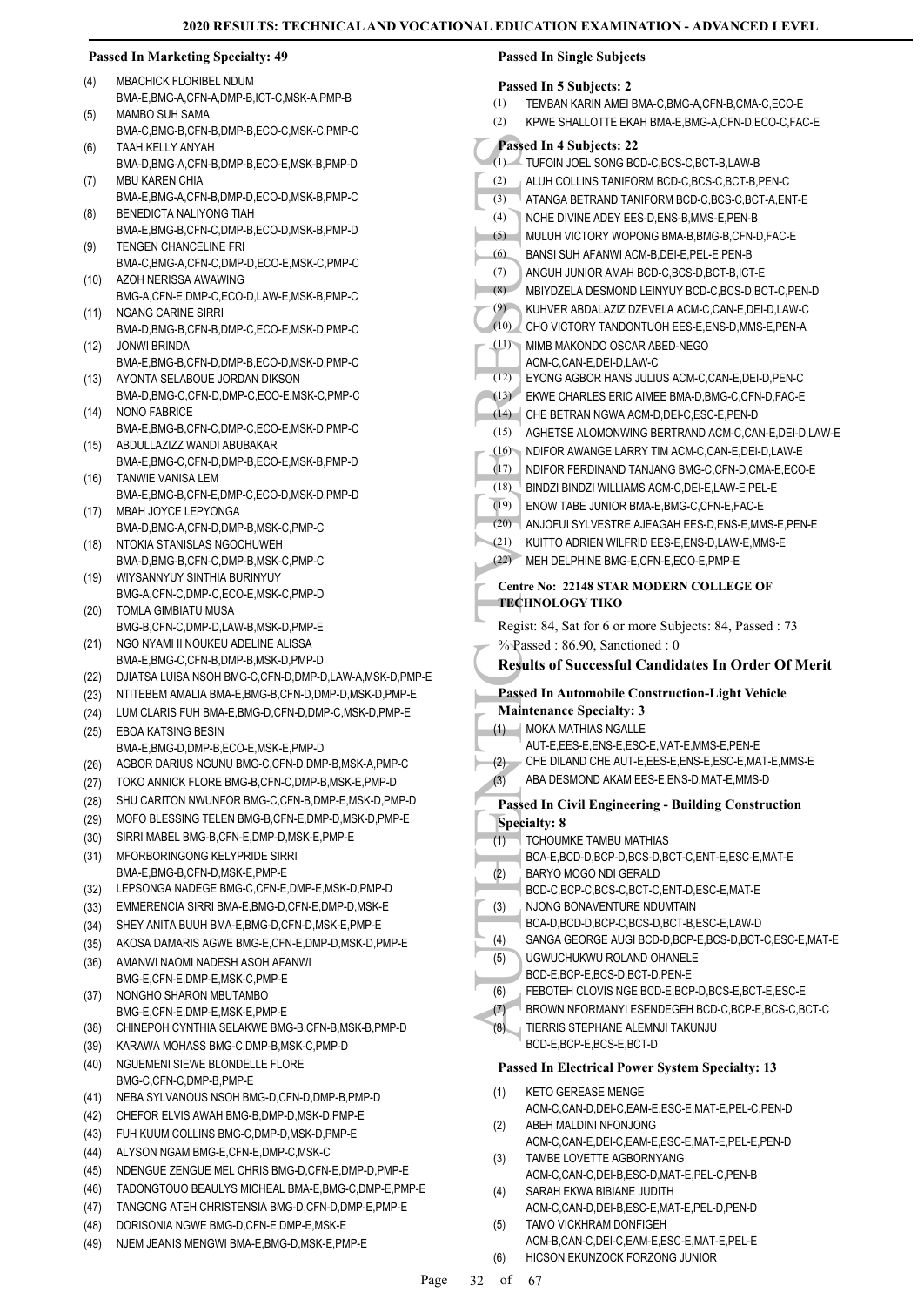# **Passed In Marketing Specialty: 49**

- MBACHICK FLORIBEL NDUM BMA-E,BMG-A,CFN-A,DMP-B,ICT-C,MSK-A,PMP-B (4)
- MAMBO SUH SAMA BMA-C,BMG-B,CFN-B,DMP-B,ECO-C,MSK-C,PMP-C (5)
- TAAH KELLY ANYAH (6)
- BMA-D,BMG-A,CFN-B,DMP-B,ECO-E,MSK-B,PMP-D MBU KAREN CHIA (7)
- BMA-E,BMG-A,CFN-B,DMP-D,ECO-D,MSK-B,PMP-C BENEDICTA NALIYONG TIAH (8)
- BMA-E,BMG-B,CFN-C,DMP-B,ECO-D,MSK-B,PMP-D TENGEN CHANCELINE FRI (9)
- BMA-C,BMG-A,CFN-C,DMP-D,ECO-E,MSK-C,PMP-C AZOH NERISSA AWAWING (10)
- BMG-A,CFN-E,DMP-C,ECO-D,LAW-E,MSK-B,PMP-C NGANG CARINE SIRRI (11)
- BMA-D,BMG-B,CFN-B,DMP-C,ECO-E,MSK-D,PMP-C JONWI BRINDA (12)
- BMA-E,BMG-B,CFN-D,DMP-B,ECO-D,MSK-D,PMP-C AYONTA SELABOUE JORDAN DIKSON (13)
- BMA-D,BMG-C,CFN-D,DMP-C,ECO-E,MSK-C,PMP-C NONO FABRICE (14)
- BMA-E,BMG-B,CFN-C,DMP-C,ECO-E,MSK-D,PMP-C ABDULLAZIZZ WANDI ABUBAKAR  $(15)$
- BMA-E,BMG-C,CFN-D,DMP-B,ECO-E,MSK-B,PMP-D TANWIE VANISA LEM (16)
- BMA-E,BMG-B,CFN-E,DMP-C,ECO-D,MSK-D,PMP-D MBAH JOYCE LEPYONGA (17)
- BMA-D,BMG-A,CFN-D,DMP-B,MSK-C,PMP-C NTOKIA STANISLAS NGOCHUWEH (18)
- BMA-D,BMG-B,CFN-C,DMP-B,MSK-C,PMP-C WIYSANNYUY SINTHIA BURINYUY (19)
- BMG-A,CFN-C,DMP-C,ECO-E,MSK-C,PMP-D
- TOMLA GIMBIATU MUSA BMG-B,CFN-C,DMP-D,LAW-B,MSK-D,PMP-E (20)
- NGO NYAMI II NOUKEU ADELINE ALISSA BMA-E,BMG-C,CFN-B,DMP-B,MSK-D,PMP-D (21)
- (22) DJIATSA LUISA NSOH BMG-C,CFN-D,DMP-D,LAW-A,MSK-D,PMP-E
- (23) NTITEBEM AMALIA BMA-E,BMG-B,CFN-D,DMP-D,MSK-D,PMP-E
- (24) LUM CLARIS FUH BMA-E,BMG-D,CFN-D,DMP-C,MSK-D,PMP-E
- EBOA KATSING BESIN BMA-E,BMG-D,DMP-B,ECO-E,MSK-E,PMP-D (25)
- (26) AGBOR DARIUS NGUNU BMG-C,CFN-D,DMP-B,MSK-A,PMP-C
- (27) TOKO ANNICK FLORE BMG-B,CFN-C,DMP-B,MSK-E,PMP-D
- (28) SHU CARITON NWUNFOR BMG-C,CFN-B,DMP-E,MSK-D,PMP-D
- (29) MOFO BLESSING TELEN BMG-B,CFN-E,DMP-D,MSK-D,PMP-E
- (30) SIRRI MABEL BMG-B,CFN-E,DMP-D,MSK-E,PMP-E
- MFORBORINGONG KELYPRIDE SIRRI BMA-E,BMG-B,CFN-D,MSK-E,PMP-E (31)
- (32) LEPSONGA NADEGE BMG-C,CFN-E,DMP-E,MSK-D,PMP-D
- (33) EMMERENCIA SIRRI BMA-E,BMG-D,CFN-E,DMP-D,MSK-E
- (34) SHEY ANITA BUUH BMA-E,BMG-D,CFN-D,MSK-E,PMP-E
- (35) AKOSA DAMARIS AGWE BMG-E,CFN-E,DMP-D,MSK-D,PMP-E
- AMANWI NAOMI NADESH ASOH AFANWI BMG-E,CFN-E,DMP-E,MSK-C,PMP-E (36)
- NONGHO SHARON MBUTAMBO BMG-F,CFN-F,DMP-F,MSK-F,PMP-F (37)
- (38) CHINEPOH CYNTHIA SELAKWE BMG-B,CFN-B,MSK-B,PMP-D
- (39) KARAWA MOHASS BMG-C,DMP-B,MSK-C,PMP-D
- NGUEMENI SIEWE BLONDELLE FLORE BMG-C,CFN-C,DMP-B,PMP-E (40)
- (41) NEBA SYLVANOUS NSOH BMG-D,CFN-D,DMP-B,PMP-D
- (42) CHEFOR ELVIS AWAH BMG-B,DMP-D,MSK-D,PMP-E
- (43) FUH KUUM COLLINS BMG-C,DMP-D,MSK-D,PMP-E
- (44) ALYSON NGAM BMG-E,CFN-E,DMP-C,MSK-C
- (45) NDENGUE ZENGUE MEL CHRIS BMG-D,CFN-E,DMP-D,PMP-E
- (46) TADONGTOUO BEAULYS MICHEAL BMA-E,BMG-C,DMP-E,PMP-E
- (47) TANGONG ATEH CHRISTENSIA BMG-D,CFN-D,DMP-E,PMP-E
- (48) DORISONIA NGWE BMG-D,CFN-E,DMP-E,MSK-E
- (49) NJEM JEANIS MENGWI BMA-E,BMG-D,MSK-E,PMP-E

# **Passed In Single Subjects**

- **Passed In 5 Subjects: 2**
- (1) TEMBAN KARIN AMEI BMA-C,BMG-A,CFN-B,CMA-C,ECO-E

#### AUTHENTIC TVEE RESULTS (2) KPWE SHALLOTTE EKAH BMA-E,BMG-A,CFN-D,ECO-C,FAC-E **Passed In 4 Subjects: 22** (1) TUFOIN JOEL SONG BCD-C,BCS-C,BCT-B,LAW-B (2) ALUH COLLINS TANIFORM BCD-C,BCS-C,BCT-B,PEN-C (3) ATANGA BETRAND TANIFORM BCD-C,BCS-C,BCT-A,ENT-E (4) NCHE DIVINE ADEY EES-D,ENS-B,MMS-E,PEN-B (5) MULUH VICTORY WOPONG BMA-B,BMG-B,CFN-D,FAC-E (6) BANSI SUH AFANWI ACM-B,DEI-E,PEL-E,PEN-B (7) ANGUH JUNIOR AMAH BCD-C,BCS-D,BCT-B,ICT-E (8) MBIYDZELA DESMOND LEINYUY BCD-C,BCS-D,BCT-C,PEN-D (9) KUHVER ABDALAZIZ DZEVELA ACM-C,CAN-E,DEI-D,LAW-C (10) CHO VICTORY TANDONTUOH EES-E,ENS-D,MMS-E,PEN-A MIMB MAKONDO OSCAR ABED-NEGO ACM-C,CAN-E,DEI-D,LAW-C (11) (12) EYONG AGBOR HANS JULIUS ACM-C,CAN-E,DEI-D,PEN-C (13) EKWE CHARLES ERIC AIMEE BMA-D,BMG-C,CFN-D,FAC-E (14) CHE BETRAN NGWA ACM-D,DEI-C,ESC-E,PEN-D (15) AGHETSE ALOMONWING BERTRAND ACM-C, CAN-E, DEI-D, LAW-E (16) NDIFOR AWANGE LARRY TIM ACM-C,CAN-E,DEI-D,LAW-E (17) NDIFOR FERDINAND TANJANG BMG-C,CFN-D,CMA-E,ECO-E (18) BINDZI BINDZI WILLIAMS ACM-C,DEI-E,LAW-E,PEL-E (19) ENOW TABE JUNIOR BMA-E,BMG-C,CFN-E,FAC-E (20) ANJOFUI SYLVESTRE AJEAGAH EES-D,ENS-E,MMS-E,PEN-E (21) KUITTO ADRIEN WILFRID EES-E,ENS-D,LAW-E,MMS-E (22) MEH DELPHINE BMG-E,CFN-E,ECO-E,PMP-E **Centre No: 22148 STAR MODERN COLLEGE OF TECHNOLOGY TIKO**  Regist: 84, Sat for 6 or more Subjects: 84, Passed : 73 % Passed: 86.90, Sanctioned: 0 **Results of Successful Candidates In Order Of Merit Passed In Automobile Construction-Light Vehicle Maintenance Specialty: 3 MOKA MATHIAS NGALLE** AUT-E,EES-E,ENS-E,ESC-E,MAT-E,MMS-E,PEN-E (1) (2) CHE DILAND CHE AUT-E,EES-E,ENS-E,ESC-E,MAT-E,MMS-E (3) ABA DESMOND AKAM EES-E,ENS-D,MAT-E,MMS-D **Passed In Civil Engineering - Building Construction Specialty: 8** TCHOUMKE TAMBU MATHIAS BCA-E,BCD-D,BCP-D,BCS-D,BCT-C,ENT-E,ESC-E,MAT-E (1) BARYO MOGO NDI GERALD BCD-C,BCP-C,BCS-C,BCT-C,ENT-D,ESC-E,MAT-E (2) NJONG BONAVENTURE NDUMTAIN BCA-D,BCD-D,BCP-C,BCS-D,BCT-B,ESC-E,LAW-D (3) (4) SANGA GEORGE AUGI BCD-D,BCP-E,BCS-D,BCT-C,ESC-E,MAT-E UGWUCHUKWU ROLAND OHANELE BCD-E,BCP-E,BCS-D,BCT-D,PEN-E (5) (6) FEBOTEH CLOVIS NGE BCD-E,BCP-D,BCS-E,BCT-E,ESC-E (7) BROWN NFORMANYI ESENDEGEH BCD-C,BCP-E,BCS-C,BCT-C TIERRIS STEPHANE ALEMNJI TAKUNJU BCD-E,BCP-E,BCS-E,BCT-D (8) **Passed In Electrical Power System Specialty: 13**

- KETO GEREASE MENGE ACM-C,CAN-D,DEI-C,EAM-E,ESC-E,MAT-E,PEL-C,PEN-D (1)
- ABEH MALDINI NFONJONG ACM-C,CAN-E,DEI-C,EAM-E,ESC-E,MAT-E,PEL-E,PEN-D (2) TAMBE LOVETTE AGBORNYANG (3)
	- ACM-C,CAN-C,DEI-B,ESC-D,MAT-E,PEL-C,PEN-B
- SARAH EKWA BIBIANE JUDITH ACM-C,CAN-D,DEI-B,ESC-E,MAT-E,PEL-D,PEN-D (4)
- TAMO VICKHRAM DONFIGEH ACM-B,CAN-C,DEI-C,EAM-E,ESC-E,MAT-E,PEL-E (5)
- (6) HICSON EKUNZOCK FORZONG JUNIOR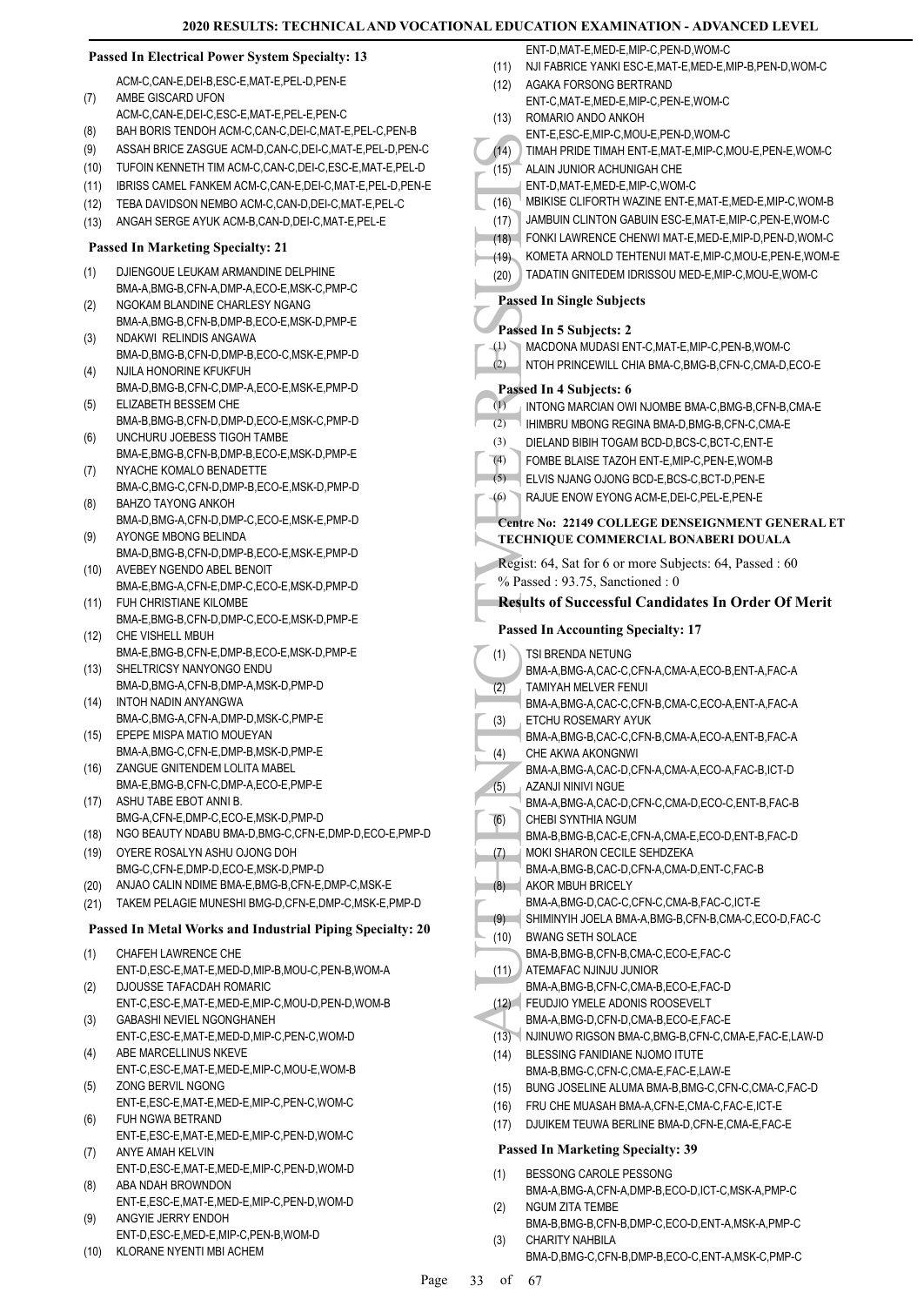# **Passed In Electrical Power System Specialty: 13**

- ACM-C,CAN-E,DEI-B,ESC-E,MAT-E,PEL-D,PEN-E AMBE GISCARD UFON ACM-C,CAN-E,DEI-C,ESC-E,MAT-E,PEL-E,PEN-C (7)
- (8) BAH BORIS TENDOH ACM-C,CAN-C,DEI-C,MAT-E,PEL-C,PEN-B
- (9) ASSAH BRICE ZASGUE ACM-D,CAN-C,DEI-C,MAT-E,PEL-D,PEN-C
- (10) TUFOIN KENNETH TIM ACM-C,CAN-C,DEI-C,ESC-E,MAT-E,PEL-D
- (11) IBRISS CAMEL FANKEM ACM-C,CAN-E,DEI-C,MAT-E,PEL-D,PEN-E
- (12) TEBA DAVIDSON NEMBO ACM-C,CAN-D,DEI-C,MAT-E,PEL-C
- (13) ANGAH SERGE AYUK ACM-B,CAN-D,DEI-C,MAT-E,PEL-E

#### **Passed In Marketing Specialty: 21**

- DJIENGOUE LEUKAM ARMANDINE DELPHINE BMA-A,BMG-B,CFN-A,DMP-A,ECO-E,MSK-C,PMP-C (1)
- NGOKAM BLANDINE CHARLESY NGANG BMA-A,BMG-B,CFN-B,DMP-B,ECO-E,MSK-D,PMP-E (2)
- NDAKWI RELINDIS ANGAWA BMA-D,BMG-B,CFN-D,DMP-B,ECO-C,MSK-E,PMP-D (3)
- NJILA HONORINE KFUKFUH BMA-D,BMG-B,CFN-C,DMP-A,ECO-E,MSK-E,PMP-D (4)
- ELIZABETH BESSEM CHE BMA-B,BMG-B,CFN-D,DMP-D,ECO-E,MSK-C,PMP-D (5)
- UNCHURU JOEBESS TIGOH TAMBE BMA-E,BMG-B,CFN-B,DMP-B,ECO-E,MSK-D,PMP-E (6)
- NYACHE KOMALO BENADETTE BMA-C,BMG-C,CFN-D,DMP-B,ECO-E,MSK-D,PMP-D (7)
- BAHZO TAYONG ANKOH BMA-D,BMG-A,CFN-D,DMP-C,ECO-E,MSK-E,PMP-D (8)
- AYONGE MBONG BELINDA BMA-D,BMG-B,CFN-D,DMP-B,ECO-E,MSK-E,PMP-D (9)
- AVEBEY NGENDO ABEL BENOIT (10)
- BMA-E,BMG-A,CFN-E,DMP-C,ECO-E,MSK-D,PMP-D FUH CHRISTIANE KILOMBE (11)
- BMA-E,BMG-B,CFN-D,DMP-C,ECO-E,MSK-D,PMP-E CHE VISHELL MBUH  $(12)$
- BMA-E,BMG-B,CFN-E,DMP-B,ECO-E,MSK-D,PMP-E SHELTRICSY NANYONGO ENDU (13)
- BMA-D,BMG-A,CFN-B,DMP-A,MSK-D,PMP-D INTOH NADIN ANYANGWA  $(14)$
- BMA-C,BMG-A,CFN-A,DMP-D,MSK-C,PMP-E EPEPE MISPA MATIO MOUEYAN (15)
- BMA-A,BMG-C,CFN-E,DMP-B,MSK-D,PMP-E ZANGUE GNITENDEM LOLITA MABEL (16)
- BMA-E,BMG-B,CFN-C,DMP-A,ECO-E,PMP-E
- ASHU TABE EBOT ANNI B. BMG-A,CFN-E,DMP-C,ECO-E,MSK-D,PMP-D  $(17)$
- (18) NGO BEAUTY NDABU BMA-D,BMG-C,CFN-E,DMP-D,ECO-E,PMP-D
- OYERE ROSALYN ASHU OJONG DOH BMG-C,CFN-E,DMP-D,ECO-E,MSK-D,PMP-D (19)
- (20) ANJAO CALIN NDIME BMA-E,BMG-B,CFN-E,DMP-C,MSK-E
- (21) TAKEM PELAGIE MUNESHI BMG-D,CFN-E,DMP-C,MSK-E,PMP-D

#### **Passed In Metal Works and Industrial Piping Specialty: 20**

- CHAFEH LAWRENCE CHE ENT-D,ESC-E,MAT-E,MED-D,MIP-B,MOU-C,PEN-B,WOM-A (1)
- DJOUSSE TAFACDAH ROMARIC (2)
- ENT-C,ESC-E,MAT-E,MED-E,MIP-C,MOU-D,PEN-D,WOM-B GABASHI NEVIEL NGONGHANEH (3)
- ENT-C,ESC-E,MAT-E,MED-D,MIP-C,PEN-C,WOM-D ABE MARCELLINUS NKEVE (4)
- ENT-C,ESC-E,MAT-E,MED-E,MIP-C,MOU-E,WOM-B ZONG BERVIL NGONG (5)
- ENT-E,ESC-E,MAT-E,MED-E,MIP-C,PEN-C,WOM-C FUH NGWA BETRAND (6)
- ENT-E,ESC-E,MAT-E,MED-E,MIP-C,PEN-D,WOM-C ANYE AMAH KELVIN (7)
- ENT-D,ESC-E,MAT-E,MED-E,MIP-C,PEN-D,WOM-D ABA NDAH BROWNDON (8)
- ENT-E,ESC-E,MAT-E,MED-E,MIP-C,PEN-D,WOM-D ANGYIE JERRY ENDOH (9)
- ENT-D,ESC-E,MED-E,MIP-C,PEN-B,WOM-D
- (10) KLORANE NYENTI MBI ACHEM

ENT-D,MAT-E,MED-E,MIP-C, PEN-D, WOM-C

- (11) NJI FABRICE YANKI ESC-E,MAT-E,MED-E,MIP-B,PEN-D,WOM-C
- (14) TIMAH<br>
(15) ALAIN (15) ALAIN ENT-D,<br>
(16) MBIKIS<br>
(17) JAMBU<br>
(17) JAMBU<br>
(18) FONKI<br>
(18) FONKI<br>
(19) KOMET<br>
Passed In 5<br>
(19) MACDC<br>
(20) IADAT<br>
Passed In 5<br>
MACDC<br>
(2) IHIMBR<br>
(2) HIMBR<br>
(3) DIELAN FOMBE<br>
ELVIS POM AGAKA FORSONG BERTRAND ENT-C,MAT-E,MED-E,MIP-C,PEN-E,WOM-C (12) ROMARIO ANDO ANKOH ENT-E,ESC-E,MIP-C,MOU-E,PEN-D,WOM-C (13) (14) TIMAH PRIDE TIMAH ENT-E,MAT-E,MIP-C,MOU-E,PEN-E,WOM-C ALAIN JUNIOR ACHUNIGAH CHE ENT-D,MAT-E,MED-E,MIP-C,WOM-C (15) (16) MBIKISE CLIFORTH WAZINE ENT-E,MAT-E,MED-E,MIP-C,WOM-B (17) JAMBUIN CLINTON GABUIN ESC-E,MAT-E,MIP-C,PEN-E,WOM-C (18) FONKI LAWRENCE CHENWI MAT-E,MED-E,MIP-D,PEN-D,WOM-C (19) KOMETA ARNOLD TEHTENUI MAT-E,MIP-C,MOU-E,PEN-E,WOM-E (20) TADATIN GNITEDEM IDRISSOU MED-E,MIP-C,MOU-E,WOM-C **Passed In Single Subjects Passed In 5 Subjects: 2** (1) MACDONA MUDASI ENT-C,MAT-E,MIP-C,PEN-B,WOM-C (2) NTOH PRINCEWILL CHIA BMA-C,BMG-B,CFN-C,CMA-D,ECO-E **Passed In 4 Subjects: 6** (1) INTONG MARCIAN OWI NJOMBE BMA-C,BMG-B,CFN-B,CMA-E (2) IHIMBRU MBONG REGINA BMA-D,BMG-B,CFN-C,CMA-E (3) DIELAND BIBIH TOGAM BCD-D,BCS-C,BCT-C,ENT-E (4) FOMBE BLAISE TAZOH ENT-E,MIP-C,PEN-E,WOM-B (5) ELVIS NJANG OJONG BCD-E,BCS-C,BCT-D,PEN-E (6) RAJUE FNOW EYONG ACM-F DEL-C, PEL-E, PEN-E **Centre No: 22149 COLLEGE DENSEIGNMENT GENERAL ET TECHNIQUE COMMERCIAL BONABERI DOUALA**  Regist: 64, Sat for 6 or more Subjects: 64, Passed : 60 % Passed : 93.75, Sanctioned : 0 **Results of Successful Candidates In Order Of Merit Passed In Accounting Specialty: 17** TSI BRENDA NETUNG BMA-A,BMG-A,CAC-C,CFN-A,CMA-A,ECO-B,ENT-A,FAC-A (1) TAMIYAH MELVER FENUI BMA-A,BMG-A,CAC-C,CFN-B,CMA-C,ECO-A,ENT-A,FAC-A (2) ETCHU ROSEMARY AYUK BMA-A,BMG-B,CAC-C,CFN-B,CMA-A,ECO-A,ENT-B,FAC-A (3) CHE AKWA AKONGNWI BMA-A,BMG-A,CAC-D,CFN-A,CMA-A,ECO-A,FAC-B,ICT-D (4) AZANJI NINIVI NGUE BMA-A,BMG-A,CAC-D,CFN-C,CMA-D,ECO-C,ENT-B,FAC-B (5) CHEBI SYNTHIA NGUM BMA-B,BMG-B,CAC-E,CFN-A,CMA-E,ECO-D,ENT-B,FAC-D (6) MOKI SHARON CECILE SEHDZEKA BMA-A,BMG-B,CAC-D,CFN-A,CMA-D,ENT-C,FAC-B (7) AKOR MBUH BRICELY BMA-A,BMG-D,CAC-C,CFN-C,CMA-B,FAC-C,ICT-E (8) (9) SHIMINYIH JOELA BMA-A,BMG-B,CFN-B,CMA-C,ECO-D,FAC-C BWANG SETH SOLACE BMA-B,BMG-B,CFN-B,CMA-C,ECO-E,FAC-C (10) ATEMAFAC NJINJU JUNIOR BMA-A,BMG-B,CFN-C,CMA-B,ECO-E,FAC-D (11) FEUDJIO YMELE ADONIS ROOSEVELT (12) BMA-A,BMG-D,CFN-D,CMA-B,ECO-E,FAC-E (13) NJINUWO RIGSON BMA-C,BMG-B,CFN-C,CMA-E,FAC-E,LAW-D BLESSING FANIDIANE NJOMO ITUTE BMA-B,BMG-C,CFN-C,CMA-E,FAC-E,LAW-E (14) (15) BUNG JOSELINE ALUMA BMA-B,BMG-C,CFN-C,CMA-C,FAC-D (16) FRU CHE MUASAH BMA-A,CFN-E,CMA-C,FAC-E,ICT-E (17) DJUIKEM TEUWA BERLINE BMA-D,CFN-E,CMA-E,FAC-E **Passed In Marketing Specialty: 39** BESSONG CAROLE PESSONG BMA-A,BMG-A,CFN-A,DMP-B,ECO-D,ICT-C,MSK-A,PMP-C (1) NGUM ZITA TEMBE (2)
	- BMA-B,BMG-B,CFN-B,DMP-C,ECO-D,ENT-A,MSK-A,PMP-C CHARITY NAHBILA (3)
		- BMA-D,BMG-C,CFN-B,DMP-B,ECO-C,ENT-A,MSK-C,PMP-C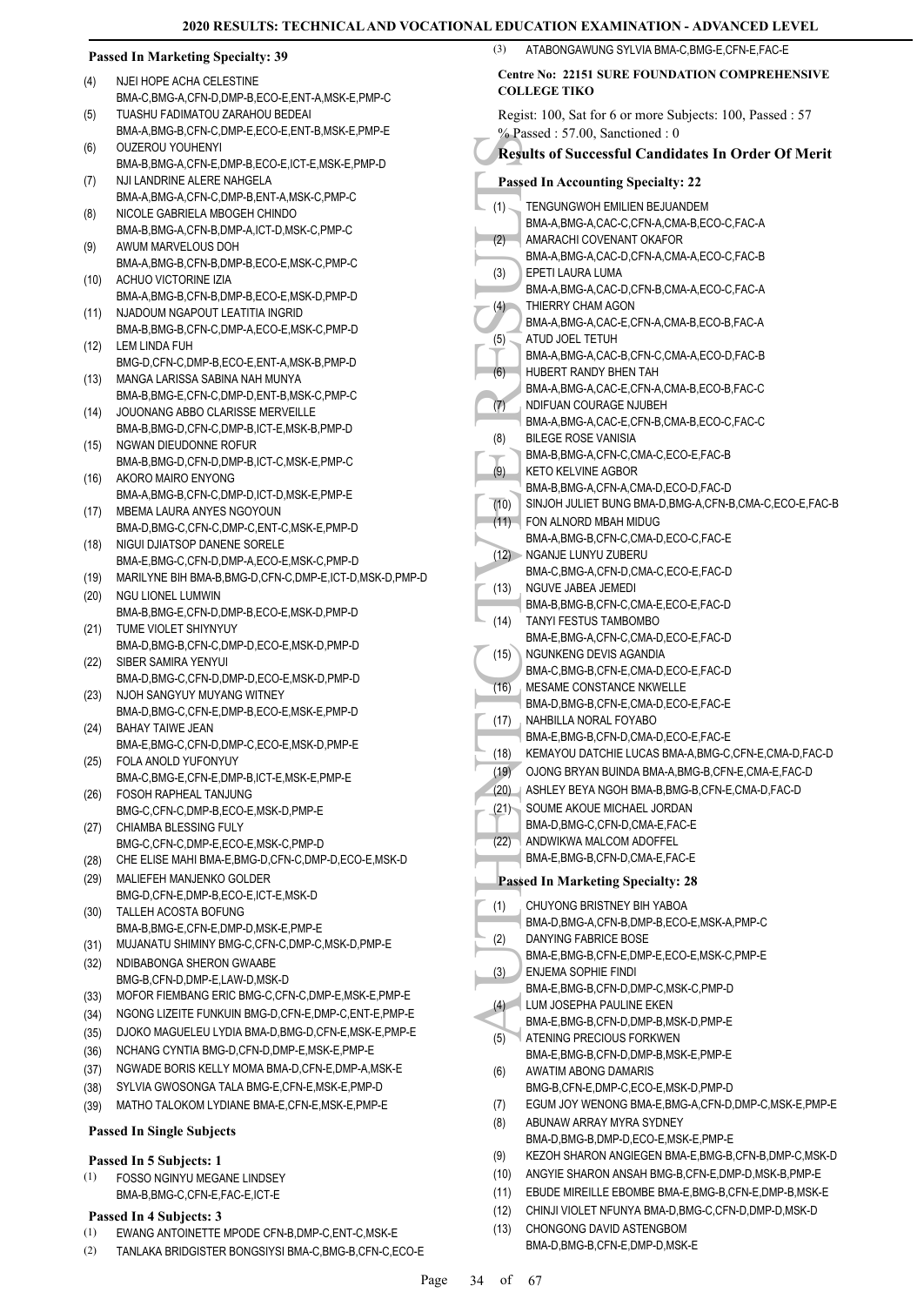# **Passed In Marketing Specialty: 39**

- NJEI HOPE ACHA CELESTINE BMA-C,BMG-A,CFN-D,DMP-B,ECO-E,ENT-A,MSK-E,PMP-C (4) TUASHU FADIMATOU ZARAHOU BEDEAI
- BMA-A,BMG-B,CFN-C,DMP-E,ECO-E,ENT-B,MSK-E,PMP-E (5) OUZEROU YOUHENYI (6)
- BMA-B,BMG-A,CFN-E,DMP-B,ECO-E,ICT-E,MSK-E,PMP-D NJI LANDRINE ALERE NAHGELA (7)
- BMA-A, BMG-A, CEN-C, DMP-B, ENT-A, MSK-C, PMP-C NICOLE GABRIELA MBOGEH CHINDO (8)
- BMA-B,BMG-A,CFN-B,DMP-A,ICT-D,MSK-C,PMP-C AWUM MARVELOUS DOH (9)
- BMA-A,BMG-B,CFN-B,DMP-B,ECO-E,MSK-C,PMP-C ACHUO VICTORINE IZIA (10)
- BMA-A,BMG-B,CFN-B,DMP-B,ECO-E,MSK-D,PMP-D NJADOUM NGAPOUT LEATITIA INGRID (11)
- BMA-B,BMG-B,CFN-C,DMP-A,ECO-E,MSK-C,PMP-D (12) LEM LINDA FUH
- BMG-D,CFN-C,DMP-B,ECO-E,ENT-A,MSK-B,PMP-D
- MANGA LARISSA SABINA NAH MUNYA (13) BMA-B,BMG-E,CFN-C,DMP-D,ENT-B,MSK-C,PMP-C
- (14) JOUONANG ABBO CLARISSE MERVEILLE BMA-B,BMG-D,CFN-C,DMP-B,ICT-E,MSK-B,PMP-D (15) NGWAN DIEUDONNE ROFUR
- BMA-B,BMG-D,CFN-D,DMP-B,ICT-C,MSK-E,PMP-C AKORO MAIRO ENYONG (16)
- BMA-A,BMG-B,CFN-C,DMP-D,ICT-D,MSK-E,PMP-E MBEMA LAURA ANYES NGOYOUN (17)
- BMA-D,BMG-C,CFN-C,DMP-C,ENT-C,MSK-E,PMP-D (18) NIGUI DJIATSOP DANENE SORELE
- BMA-E,BMG-C,CFN-D,DMP-A,ECO-E,MSK-C,PMP-D
- (19) MARILYNE BIH BMA-B,BMG-D,CFN-C,DMP-E,ICT-D,MSK-D,PMP-D
- (20) NGU LIONEL LUMWIN BMA-B,BMG-E,CFN-D,DMP-B,ECO-E,MSK-D,PMP-D
- (21) TUME VIOLET SHIYNYUY BMA-D,BMG-B,CFN-C,DMP-D,ECO-E,MSK-D,PMP-D SIBER SAMIRA YENYUI (22)
- BMA-D,BMG-C,CFN-D,DMP-D,ECO-E,MSK-D,PMP-D NJOH SANGYUY MUYANG WITNEY (23)
- BMA-D,BMG-C,CFN-E,DMP-B,ECO-E,MSK-E,PMP-D BAHAY TAIWE JEAN (24)
- BMA-E,BMG-C,CFN-D,DMP-C,ECO-E,MSK-D,PMP-E FOLA ANOLD YUFONYUY (25)
- BMA-C,BMG-E,CFN-E,DMP-B,ICT-E,MSK-E,PMP-E
- FOSOH RAPHEAL TANJUNG (26) BMG-C,CFN-C,DMP-B,ECO-E,MSK-D,PMP-E
- (27) CHIAMBA BLESSING FULY BMG-C,CFN-C,DMP-E,ECO-E,MSK-C,PMP-D
- (28) CHE ELISE MAHI BMA-E,BMG-D,CFN-C,DMP-D,ECO-E,MSK-D
- MALIEFEH MANJENKO GOLDER BMG-D,CFN-E,DMP-B,ECO-E,ICT-E,MSK-D (29)
- TALLEH ACOSTA BOFUNG BMA-B,BMG-E,CFN-E,DMP-D,MSK-E,PMP-E (30)
- (31) MUJANATU SHIMINY BMG-C,CFN-C,DMP-C,MSK-D,PMP-E
- (32) NDIBABONGA SHERON GWAABE BMG-B,CFN-D,DMP-E,LAW-D,MSK-D
- (33) MOFOR FIEMBANG ERIC BMG-C,CFN-C,DMP-E,MSK-E,PMP-E
- (34) NGONG LIZEITE FUNKUIN BMG-D,CFN-E,DMP-C,ENT-E,PMP-E
- (35) DJOKO MAGUELEU LYDIA BMA-D,BMG-D,CFN-E,MSK-E,PMP-E
- (36) NCHANG CYNTIA BMG-D,CFN-D,DMP-E,MSK-E,PMP-E
- (37) NGWADE BORIS KELLY MOMA BMA-D,CFN-E,DMP-A,MSK-E
- (38) SYLVIA GWOSONGA TALA BMG-E,CFN-E,MSK-E,PMP-D
- (39) MATHO TALOKOM LYDIANE BMA-E,CFN-E,MSK-E,PMP-E

#### **Passed In Single Subjects**

#### **Passed In 5 Subjects: 1**

FOSSO NGINYU MEGANE LINDSEY BMA-B,BMG-C,CFN-E,FAC-E,ICT-E (1)

#### **Passed In 4 Subjects: 3**

- (1) EWANG ANTOINETTE MPODE CFN-B,DMP-C,ENT-C,MSK-E
- (2) TANLAKA BRIDGISTER BONGSIYSI BMA-C,BMG-B,CFN-C,ECO-E

|                                                                              | (3)                                                       | ATABONGAWUNG SYLVIA BMA-C, BMG-E, CFN-E, FAC-E                                  |  |
|------------------------------------------------------------------------------|-----------------------------------------------------------|---------------------------------------------------------------------------------|--|
| <b>Centre No: 22151 SURE FOUNDATION COMPREHENSIVE</b><br><b>COLLEGE TIKO</b> |                                                           |                                                                                 |  |
|                                                                              | Regist: 100, Sat for 6 or more Subjects: 100, Passed : 57 |                                                                                 |  |
|                                                                              |                                                           | $%$ Passed: 57.00, Sanctioned: 0                                                |  |
|                                                                              |                                                           | <b>Results of Successful Candidates In Order Of Merit</b>                       |  |
|                                                                              |                                                           | <b>Passed In Accounting Specialty: 22</b>                                       |  |
|                                                                              | (1)                                                       | TENGUNGWOH EMILIEN BEJUANDEM<br>BMA-A, BMG-A, CAC-C, CFN-A, CMA-B, ECO-C, FAC-A |  |
|                                                                              | (2)                                                       | AMARACHI COVENANT OKAFOR<br>BMA-A, BMG-A, CAC-D, CFN-A, CMA-A, ECO-C, FAC-B     |  |
|                                                                              | (3)                                                       | EPETI LAURA LUMA<br>BMA-A, BMG-A, CAC-D, CFN-B, CMA-A, ECO-C, FAC-A             |  |
|                                                                              | (4)                                                       | THIERRY CHAM AGON<br>BMA-A, BMG-A, CAC-E, CFN-A, CMA-B, ECO-B, FAC-A            |  |
|                                                                              | (5)                                                       | ATUD JOEL TETUH                                                                 |  |
|                                                                              |                                                           | BMA-A, BMG-A, CAC-B, CFN-C, CMA-A, ECO-D, FAC-B                                 |  |
|                                                                              | (6)                                                       | HUBERT RANDY BHEN TAH                                                           |  |
|                                                                              | (7)                                                       | BMA-A,BMG-A,CAC-E,CFN-A,CMA-B,ECO-B,FAC-C<br>NDIFUAN COURAGE NJUBEH             |  |
|                                                                              |                                                           | BMA-A,BMG-A,CAC-E,CFN-B,CMA-B,ECO-C,FAC-C                                       |  |
|                                                                              | (8)                                                       | <b>BILEGE ROSE VANISIA</b>                                                      |  |
|                                                                              |                                                           | BMA-B, BMG-A, CFN-C, CMA-C, ECO-E, FAC-B                                        |  |
|                                                                              | (9)                                                       | KETO KELVINE AGBOR                                                              |  |
|                                                                              |                                                           | BMA-B, BMG-A, CFN-A, CMA-D, ECO-D, FAC-D                                        |  |
|                                                                              | (10)                                                      | SINJOH JULIET BUNG BMA-D, BMG-A, CFN-B, CMA-C, ECO-E, FAC-B                     |  |
|                                                                              | (11)                                                      | FON ALNORD MBAH MIDUG                                                           |  |
|                                                                              | (12)                                                      | BMA-A, BMG-B, CFN-C, CMA-D, ECO-C, FAC-E<br><b>NGANJE LUNYU ZUBERU</b>          |  |
|                                                                              |                                                           | BMA-C, BMG-A, CFN-D, CMA-C, ECO-E, FAC-D                                        |  |
|                                                                              | (13)                                                      | NGUVE JABEA JEMEDI                                                              |  |
|                                                                              |                                                           | BMA-B, BMG-B, CFN-C, CMA-E, ECO-E, FAC-D                                        |  |
|                                                                              | (14)                                                      | TANYI FESTUS TAMBOMBO<br>BMA-E, BMG-A, CFN-C, CMA-D, ECO-E, FAC-D               |  |
|                                                                              | (15)                                                      | NGUNKENG DEVIS AGANDIA                                                          |  |
|                                                                              |                                                           | BMA-C, BMG-B, CFN-E, CMA-D, ECO-E, FAC-D                                        |  |
|                                                                              | (16)                                                      | MESAME CONSTANCE NKWELLE                                                        |  |
|                                                                              | (17)                                                      | BMA-D, BMG-B, CFN-E, CMA-D, ECO-E, FAC-E<br>NAHBILLA NORAL FOYABO               |  |
|                                                                              |                                                           | BMA-E.BMG-B.CFN-D.CMA-D.ECO-E.FAC-E                                             |  |
|                                                                              | (18)                                                      | KEMAYOU DATCHIE LUCAS BMA-A, BMG-C, CFN-E, CMA-D, FAC-D                         |  |
|                                                                              | (19)                                                      | OJONG BRYAN BUINDA BMA-A, BMG-B, CFN-E, CMA-E, FAC-D                            |  |
|                                                                              | (20)                                                      | ASHLEY BEYA NGOH BMA-B, BMG-B, CFN-E, CMA-D, FAC-D                              |  |
|                                                                              | (21)                                                      | SOUME AKOUE MICHAEL JORDAN                                                      |  |
|                                                                              |                                                           | BMA-D, BMG-C, CFN-D, CMA-E, FAC-E                                               |  |
|                                                                              | (22)                                                      | ANDWIKWA MALCOM ADOFFEL                                                         |  |
|                                                                              |                                                           | BMA-E, BMG-B, CFN-D, CMA-E, FAC-E                                               |  |
|                                                                              |                                                           | <b>Passed In Marketing Specialty: 28</b>                                        |  |
|                                                                              |                                                           | CHUYONG BRISTNEY BIH YABOA                                                      |  |
|                                                                              | (1)                                                       | BMA-D,BMG-A,CFN-B,DMP-B,ECO-E,MSK-A,PMP-C                                       |  |
|                                                                              | (2)                                                       | DANYING FABRICE BOSE                                                            |  |
|                                                                              |                                                           | BMA-E,BMG-B,CFN-E,DMP-E,ECO-E,MSK-C,PMP-E                                       |  |
|                                                                              | (3)                                                       | ENJEMA SOPHIE FINDI                                                             |  |
|                                                                              |                                                           | BMA-E,BMG-B,CFN-D,DMP-C,MSK-C,PMP-D                                             |  |
|                                                                              | (4)                                                       | LUM JOSEPHA PAULINE EKEN                                                        |  |
|                                                                              |                                                           | BMA-E,BMG-B,CFN-D,DMP-B,MSK-D,PMP-E                                             |  |
|                                                                              | (5)                                                       | ATENING PRECIOUS FORKWEN                                                        |  |
|                                                                              |                                                           | BMA-E,BMG-B,CFN-D,DMP-B,MSK-E,PMP-E<br>AWATIM ABONG DAMARIS                     |  |
|                                                                              | (6)                                                       | BMG-B,CFN-E,DMP-C,ECO-E,MSK-D,PMP-D                                             |  |
|                                                                              | (7)                                                       | EGUM JOY WENONG BMA-E, BMG-A, CFN-D, DMP-C, MSK-E, PMP-E                        |  |
|                                                                              | (8)                                                       | ABUNAW ARRAY MYRA SYDNEY                                                        |  |
|                                                                              |                                                           | BMA-D, BMG-B, DMP-D, ECO-E, MSK-E, PMP-E                                        |  |
|                                                                              | (9)                                                       | KEZOH SHARON ANGIEGEN BMA-E, BMG-B, CFN-B, DMP-C, MSK-D                         |  |
|                                                                              | (10)                                                      | ANGYIE SHARON ANSAH BMG-B, CFN-E, DMP-D, MSK-B, PMP-E                           |  |

- (11) EBUDE MIREILLE EBOMBE BMA-E,BMG-B,CFN-E,DMP-B,MSK-E
- (12) CHINJI VIOLET NFUNYA BMA-D,BMG-C,CFN-D,DMP-D,MSK-D
- CHONGONG DAVID ASTENGBOM (13) BMA-D,BMG-B,CFN-E,DMP-D,MSK-E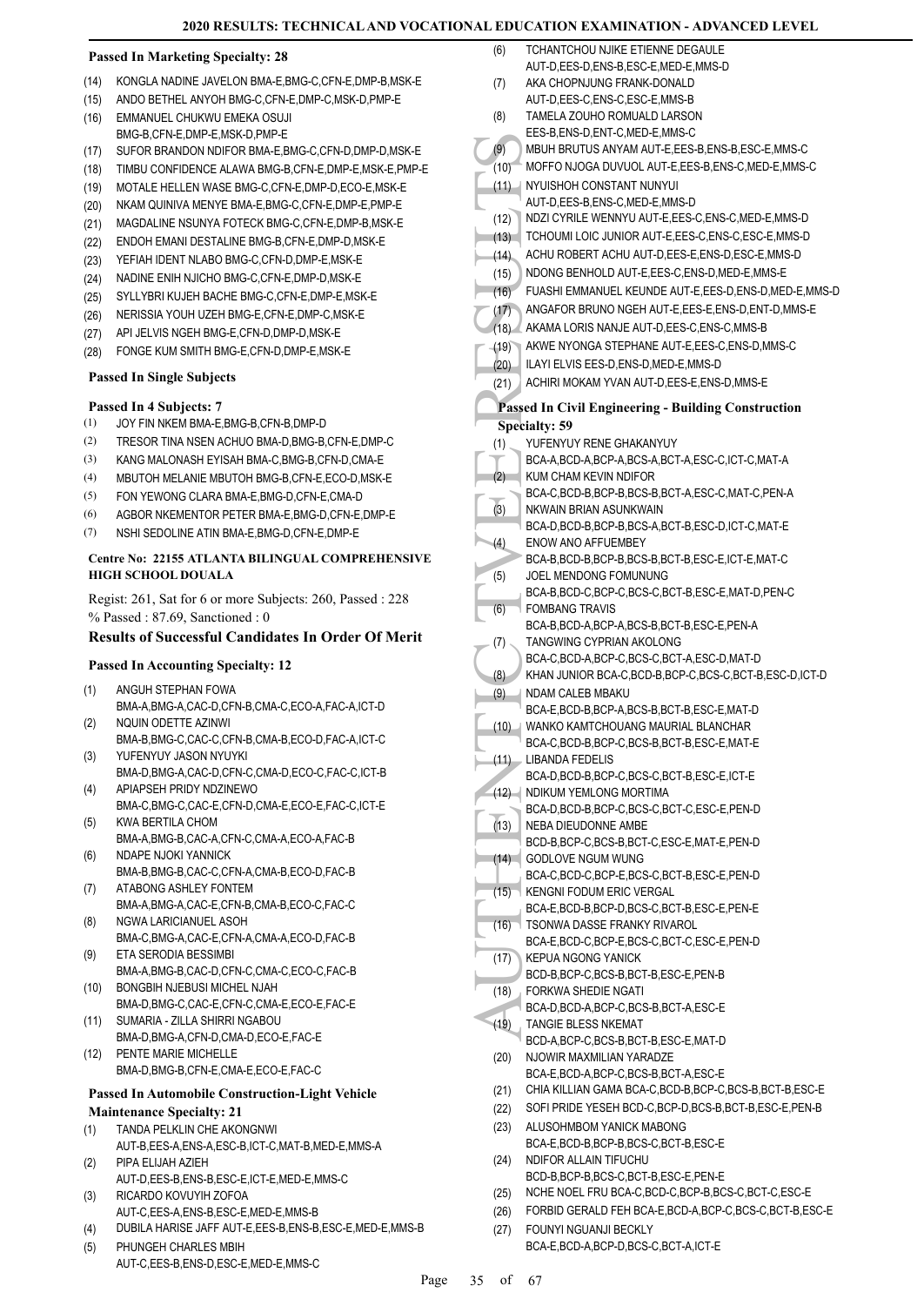#### **Passed In Marketing Specialty: 28**

- (14) KONGLA NADINE JAVELON BMA-E,BMG-C,CFN-E,DMP-B,MSK-E
- (15) ANDO BETHEL ANYOH BMG-C,CFN-E,DMP-C,MSK-D,PMP-E
- EMMANUEL CHUKWU EMEKA OSUJI BMG-B,CFN-E,DMP-E,MSK-D,PMP-E (16)
- (17) SUFOR BRANDON NDIFOR BMA-E,BMG-C,CFN-D,DMP-D,MSK-E
- (18) TIMBU CONFIDENCE ALAWA BMG-B,CFN-E,DMP-E,MSK-E,PMP-E
- (19) MOTALE HELLEN WASE BMG-C,CFN-E,DMP-D,ECO-E,MSK-E
- (20) NKAM QUINIVA MENYE BMA-E,BMG-C,CFN-E,DMP-E,PMP-E
- (21) MAGDALINE NSUNYA FOTECK BMG-C,CFN-E,DMP-B,MSK-E
- (22) ENDOH EMANI DESTALINE BMG-B,CFN-E,DMP-D,MSK-E
- (23) YEFIAH IDENT NLABO BMG-C,CFN-D,DMP-E,MSK-E
- (24) NADINE ENIH NJICHO BMG-C,CFN-E,DMP-D,MSK-E
- (25) SYLLYBRI KUJEH BACHE BMG-C,CFN-E,DMP-E,MSK-E
- (26) NERISSIA YOUH UZEH BMG-E,CFN-E,DMP-C,MSK-E
- (27) API JELVIS NGEH BMG-E,CFN-D,DMP-D,MSK-E
- (28) FONGE KUM SMITH BMG-E,CFN-D,DMP-E,MSK-E

#### **Passed In Single Subjects**

#### **Passed In 4 Subjects: 7**

- (1) JOY FIN NKEM BMA-E,BMG-B,CFN-B,DMP-D
- (2) TRESOR TINA NSEN ACHUO BMA-D,BMG-B,CFN-E,DMP-C
- (3) KANG MALONASH EYISAH BMA-C,BMG-B,CFN-D,CMA-E
- (4) MBUTOH MELANIE MBUTOH BMG-B,CFN-E,ECO-D,MSK-E
- (5) FON YEWONG CLARA BMA-E,BMG-D,CFN-E,CMA-D
- (6) AGBOR NKEMENTOR PETER BMA-E,BMG-D,CFN-E,DMP-E
- (7) NSHI SEDOLINE ATIN BMA-E,BMG-D,CFN-E,DMP-E

#### **Centre No: 22155 ATLANTA BILINGUAL COMPREHENSIVE HIGH SCHOOL DOUALA**

Regist: 261, Sat for 6 or more Subjects: 260, Passed : 228 % Passed : 87.69, Sanctioned : 0

# **Results of Successful Candidates In Order Of Merit**

#### **Passed In Accounting Specialty: 12**

- ANGUH STEPHAN FOWA (1)
- BMA-A,BMG-A,CAC-D,CFN-B,CMA-C,ECO-A,FAC-A,ICT-D NQUIN ODETTE AZINWI (2)
- BMA-B,BMG-C,CAC-C,CFN-B,CMA-B,ECO-D,FAC-A,ICT-C YUFENYUY JASON NYUYKI (3)
- BMA-D,BMG-A,CAC-D,CFN-C,CMA-D,ECO-C,FAC-C,ICT-B APIAPSEH PRIDY NDZINEWO (4)
- BMA-C,BMG-C,CAC-E,CFN-D,CMA-E,ECO-E,FAC-C,ICT-E KWA BERTILA CHOM (5)
- BMA-A,BMG-B,CAC-A,CFN-C,CMA-A,ECO-A,FAC-B NDAPE NJOKI YANNICK (6)
- BMA-B,BMG-B,CAC-C,CFN-A,CMA-B,ECO-D,FAC-B ATABONG ASHLEY FONTEM (7)
- BMA-A,BMG-A,CAC-E,CFN-B,CMA-B,ECO-C,FAC-C NGWA LARICIANUEL ASOH (8)
- BMA-C,BMG-A,CAC-E,CFN-A,CMA-A,ECO-D,FAC-B ETA SERODIA BESSIMBI (9)
- BMA-A,BMG-B,CAC-D,CFN-C,CMA-C,ECO-C,FAC-B BONGBIH NJEBUSI MICHEL NJAH (10)
- BMA-D,BMG-C,CAC-E,CFN-C,CMA-E,ECO-E,FAC-E SUMARIA - ZILLA SHIRRI NGABOU (11)
- BMA-D, BMG-A, CEN-D, CMA-D, ECO-E, EAC-E PENTE MARIE MICHELLE  $(12)$
- BMA-D,BMG-B,CFN-E,CMA-E,ECO-E,FAC-C

### **Passed In Automobile Construction-Light Vehicle Maintenance Specialty: 21**

- TANDA PELKLIN CHE AKONGNWI (1)
- AUT-B,EES-A,ENS-A,ESC-B,ICT-C,MAT-B,MED-E,MMS-A
- PIPA ELIJAH AZIEH AUT-D,EES-B,ENS-B,ESC-E,ICT-E,MED-E,MMS-C (2)
- RICARDO KOVUYIH ZOFOA AUT-C,EES-A,ENS-B,ESC-E,MED-E,MMS-B (3)
- (4) DUBILA HARISE JAFF AUT-E,EES-B,ENS-B,ESC-E,MED-E,MMS-B
- PHUNGEH CHARLES MBIH AUT-C,EES-B,ENS-D,ESC-E,MED-E,MMS-C (5)
- (9) MBUH MOFFC<br>
(10) MOFFC<br>
(11) MOFFC<br>
(11) MORE RUN ACHUR<br>
(12) TCHOU<br>
(13) NDONC<br>
FUASH AKAMA<br>
(15) ANGAF<br>
(16) AKAMA<br>
(17) ANGAF<br>
(17) ANGAF<br>
(20) LAYIE<br>
Passed In (20) Passed In Specialty:<br>
TUAFFEN BCA-A,<br>
(21) NDAM B TCHANTCHOU NJIKE ETIENNE DEGAULE AUT-D,EES-D,ENS-B,ESC-E,MED-E,MMS-D (6) AKA CHOPNJUNG FRANK-DONALD AUT-D,EES-C,ENS-C,ESC-E,MMS-B (7) TAMELA ZOUHO ROMUALD LARSON EES-B,ENS-D,ENT-C,MED-E,MMS-C (8) (9) MBUH BRUTUS ANYAM AUT-E,EES-B,ENS-B,ESC-E,MMS-C (10) MOFFO NJOGA DUVUOL AUT-E,EES-B,ENS-C,MED-E,MMS-C (11) NYUISHOH CONSTANT NUNYUI AUT-D,EES-B,ENS-C,MED-E,MMS-D (12) NDZI CYRILE WENNYU AUT-E,EES-C,ENS-C,MED-E,MMS-D (13) TCHOUMI LOIC JUNIOR AUT-E,EES-C,ENS-C,ESC-E,MMS-D (14) ACHU ROBERT ACHU AUT-D,EES-E,ENS-D,ESC-E,MMS-D (15) NDONG BENHOLD AUT-E,EES-C,ENS-D,MED-E,MMS-E (16) FUASHI EMMANUEL KEUNDE AUT-E,EES-D,ENS-D,MED-E,MMS-D (17) ANGAFOR BRUNO NGEH AUT-E,EES-E,ENS-D,ENT-D,MMS-E (18) AKAMA LORIS NANJE AUT-D,EES-C,ENS-C,MMS-B (19) AKWE NYONGA STEPHANE AUT-E,EES-C,ENS-D,MMS-C (20) ILAYI ELVIS EES-D,ENS-D,MED-E,MMS-D (21) ACHIRI MOKAM YVAN AUT-D,EES-E,ENS-D,MMS-E **Passed In Civil Engineering - Building Construction Specialty: 59** YUFENYUY RENE GHAKANYUY BCA-A,BCD-A,BCP-A,BCS-A,BCT-A,ESC-C,ICT-C,MAT-A  $(1)$ . KUM CHAM KEVIN NDIFOR BCA-C,BCD-B,BCP-B,BCS-B,BCT-A,ESC-C,MAT-C,PEN-A  $(2)$ NKWAIN BRIAN ASUNKWAIN BCA-D,BCD-B,BCP-B,BCS-A,BCT-B,ESC-D,ICT-C,MAT-E (3) ENOW ANO AFFUEMBEY BCA-B,BCD-B,BCP-B,BCS-B,BCT-B,ESC-E,ICT-E,MAT-C (4) JOEL MENDONG FOMUNUNG BCA-B,BCD-C,BCP-C,BCS-C,BCT-B,ESC-E,MAT-D,PEN-C (5) FOMBANG TRAVIS BCA-B,BCD-A,BCP-A,BCS-B,BCT-B,ESC-E,PEN-A (6) TANGWING CYPRIAN AKOLONG BCA-C,BCD-A,BCP-C,BCS-C,BCT-A,ESC-D,MAT-D (7) (8) KHAN JUNIOR BCA-C,BCD-B,BCP-C,BCS-C,BCT-B,ESC-D,ICT-D NDAM CALEB MBAKU BCA-E,BCD-B,BCP-A,BCS-B,BCT-B,ESC-E,MAT-D (9) WANKO KAMTCHOUANG MAURIAL BLANCHAR BCA-C,BCD-B,BCP-C,BCS-B,BCT-B,ESC-E,MAT-E  $(10)$ LIBANDA FEDELIS BCA-D,BCD-B,BCP-C,BCS-C,BCT-B,ESC-E,ICT-E (11) (12) NDIKUM YEMLONG MORTIMA BCA-D,BCD-B,BCP-C,BCS-C,BCT-C,ESC-E,PEN-D NEBA DIEUDONNE AMBE BCD-B,BCP-C,BCS-B,BCT-C,ESC-E,MAT-E,PEN-D (13) GODLOVE NGUM WUNG (14) BCA-C,BCD-C,BCP-E,BCS-C,BCT-B,ESC-E,PEN-D KENGNI FODUM ERIC VERGAL BCA-E,BCD-B,BCP-D,BCS-C,BCT-B,ESC-E,PEN-E (15) TSONWA DASSE FRANKY RIVAROL BCA-E,BCD-C,BCP-E,BCS-C,BCT-C,ESC-E,PEN-D (16)
	- KEPUA NGONG YANICK BCD-B,BCP-C,BCS-B,BCT-B,ESC-E,PEN-B (17)
	- FORKWA SHEDIE NGATI (18)
	- BCA-D,BCD-A,BCP-C,BCS-B,BCT-A,ESC-E
	- TANGIE BLESS NKEMAT BCD-A,BCP-C,BCS-B,BCT-B,ESC-E,MAT-D (19)
	- NJOWIR MAXMILIAN YARADZE (20)
	- BCA-E,BCD-A,BCP-C,BCS-B,BCT-A,ESC-E (21) CHIA KILLIAN GAMA BCA-C,BCD-B,BCP-C,BCS-B,BCT-B,ESC-E
	- (22) SOFI PRIDE YESEH BCD-C,BCP-D,BCS-B,BCT-B,ESC-E,PEN-B
	- ALUSOHMBOM YANICK MABONG BCA-E,BCD-B,BCP-B,BCS-C,BCT-B,ESC-E (23) NDIFOR ALLAIN TIFUCHU BCD-B,BCP-B,BCS-C,BCT-B,ESC-E,PEN-E (24)
	- (25) NCHE NOEL FRU BCA-C,BCD-C,BCP-B,BCS-C,BCT-C,ESC-E
	- (26) FORBID GERALD FEH BCA-E,BCD-A,BCP-C,BCS-C,BCT-B,ESC-E
	- FOUNYI NGUANJI BECKLY BCA-E,BCD-A,BCP-D,BCS-C,BCT-A,ICT-E (27)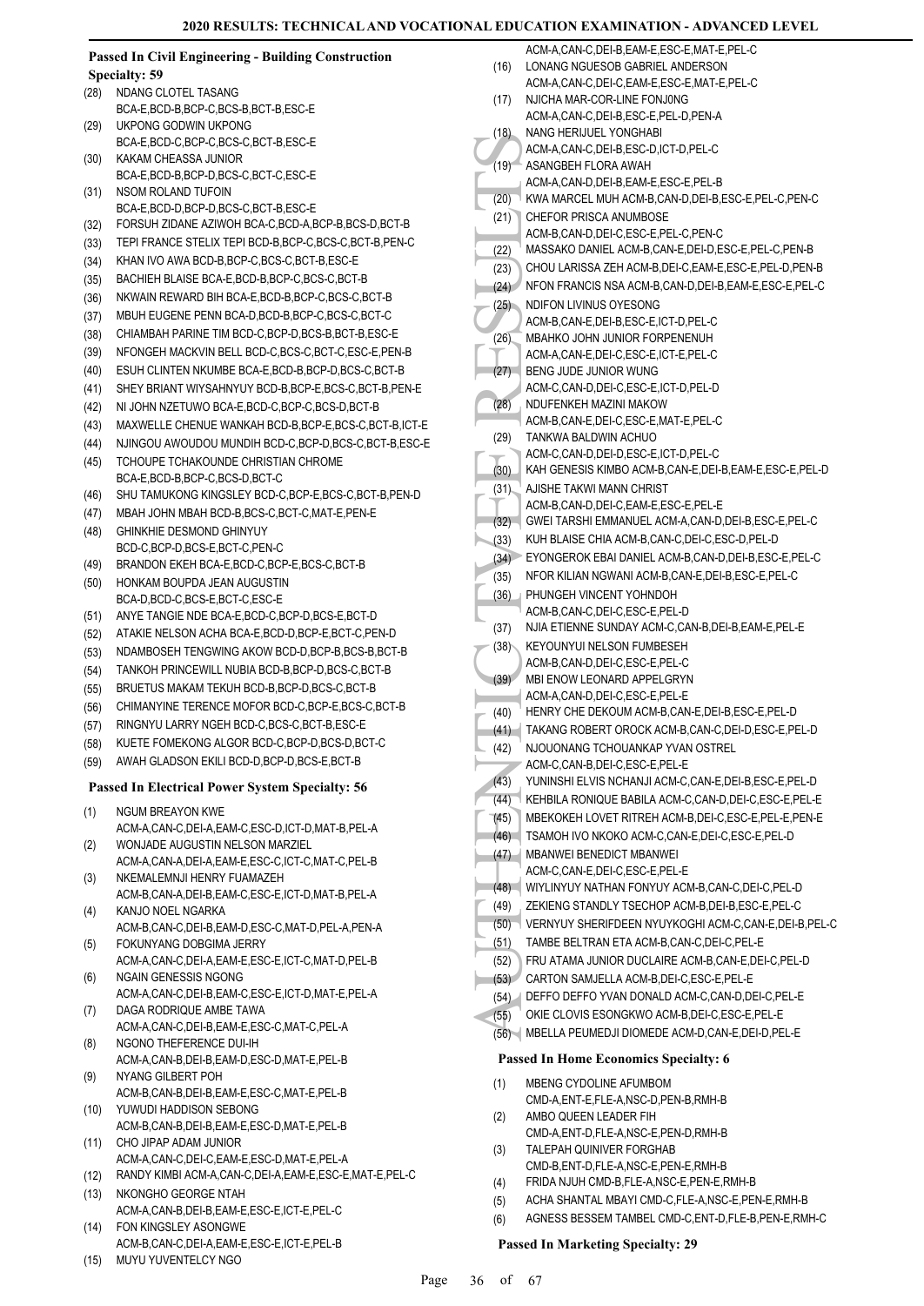|              | <b>Passed In Civil Engineering - Building Construction</b>                     |      | ACM-A,CAN-C,DEI-B,EAM-E,ESC-E,MAT-E,PEL-C                                             |
|--------------|--------------------------------------------------------------------------------|------|---------------------------------------------------------------------------------------|
|              | <b>Specialty: 59</b>                                                           | (16) | LONANG NGUESOB GABRIEL ANDERSON                                                       |
| (28)         | NDANG CLOTEL TASANG                                                            |      | ACM-A,CAN-C,DEI-C,EAM-E,ESC-E,MAT-E,PEL-C                                             |
|              | BCA-E,BCD-B,BCP-C,BCS-B,BCT-B,ESC-E                                            | (17) | NJICHA MAR-COR-LINE FONJ0NG                                                           |
| (29)         | UKPONG GODWIN UKPONG                                                           |      | ACM-A,CAN-C,DEI-B,ESC-E,PEL-D,PEN-A                                                   |
|              | BCA-E,BCD-C,BCP-C,BCS-C,BCT-B,ESC-E                                            | (18) | NANG HERIJUEL YONGHABI<br>ACM-A,CAN-C,DEI-B,ESC-D,ICT-D,PEL-C                         |
| (30)         | KAKAM CHEASSA JUNIOR                                                           | (19) | ASANGBEH FLORA AWAH                                                                   |
|              | BCA-E,BCD-B,BCP-D,BCS-C,BCT-C,ESC-E                                            |      | ACM-A,CAN-D,DEI-B,EAM-E,ESC-E,PEL-B                                                   |
| (31)         | NSOM ROLAND TUFOIN                                                             | (20) | KWA MARCEL MUH ACM-B,CAN-D,DEI-B,ESC-E,PEL-C,PEN-C                                    |
|              | BCA-E,BCD-D,BCP-D,BCS-C,BCT-B,ESC-E                                            | (21) | CHEFOR PRISCA ANUMBOSE                                                                |
| (32)         | FORSUH ZIDANE AZIWOH BCA-C, BCD-A, BCP-B, BCS-D, BCT-B                         |      | ACM-B,CAN-D,DEI-C,ESC-E,PEL-C,PEN-C                                                   |
| (33)         | TEPI FRANCE STELIX TEPI BCD-B, BCP-C, BCS-C, BCT-B, PEN-C                      | (22) | MASSAKO DANIEL ACM-B,CAN-E,DEI-D,ESC-E,PEL-C,PEN-B                                    |
| (34)         | KHAN IVO AWA BCD-B, BCP-C, BCS-C, BCT-B, ESC-E                                 | (23) | CHOU LARISSA ZEH ACM-B, DEI-C, EAM-E, ESC-E, PEL-D, PEN-B                             |
| (35)         | BACHIEH BLAISE BCA-E, BCD-B, BCP-C, BCS-C, BCT-B                               | (24) | NFON FRANCIS NSA ACM-B,CAN-D,DEI-B,EAM-E,ESC-E,PEL-C                                  |
| (36)         | NKWAIN REWARD BIH BCA-E, BCD-B, BCP-C, BCS-C, BCT-B                            | (25) | NDIFON LIVINUS OYESONG                                                                |
| (37)         | MBUH EUGENE PENN BCA-D, BCD-B, BCP-C, BCS-C, BCT-C                             |      | ACM-B,CAN-E,DEI-B,ESC-E,ICT-D,PEL-C                                                   |
| (38)         | CHIAMBAH PARINE TIM BCD-C, BCP-D, BCS-B, BCT-B, ESC-E                          | (26) | MBAHKO JOHN JUNIOR FORPENENUH                                                         |
| (39)         | NFONGEH MACKVIN BELL BCD-C,BCS-C,BCT-C,ESC-E,PEN-B                             |      | ACM-A,CAN-E,DEI-C,ESC-E,ICT-E,PEL-C                                                   |
| (40)         | ESUH CLINTEN NKUMBE BCA-E, BCD-B, BCP-D, BCS-C, BCT-B                          | (27) | BENG JUDE JUNIOR WUNG                                                                 |
| (41)         | SHEY BRIANT WIYSAHNYUY BCD-B, BCP-E, BCS-C, BCT-B, PEN-E                       |      | ACM-C.CAN-D.DEI-C.ESC-E.ICT-D.PEL-D                                                   |
| (42)         | NI JOHN NZETUWO BCA-E, BCD-C, BCP-C, BCS-D, BCT-B                              | (28) | NDUFENKEH MAZINI MAKOW                                                                |
| (43)         | MAXWELLE CHENUE WANKAH BCD-B,BCP-E,BCS-C,BCT-B,ICT-E                           |      | ACM-B,CAN-E,DEI-C,ESC-E,MAT-E,PEL-C                                                   |
| (44)         | NJINGOU AWOUDOU MUNDIH BCD-C,BCP-D,BCS-C,BCT-B,ESC-E                           | (29) | TANKWA BALDWIN ACHUO<br>ACM-C,CAN-D,DEI-D,ESC-E,ICT-D,PEL-C                           |
| (45)         | TCHOUPE TCHAKOUNDE CHRISTIAN CHROME                                            | (30) | KAH GENESIS KIMBO ACM-B,CAN-E,DEI-B,EAM-E,ESC-E,PEL-D                                 |
|              | BCA-E,BCD-B,BCP-C,BCS-D,BCT-C                                                  | (31) | AJISHE TAKWI MANN CHRIST                                                              |
| (46)         | SHU TAMUKONG KINGSLEY BCD-C, BCP-E, BCS-C, BCT-B, PEN-D                        |      | ACM-B,CAN-D,DEI-C,EAM-E,ESC-E,PEL-E                                                   |
| (47)         | MBAH JOHN MBAH BCD-B,BCS-C,BCT-C,MAT-E,PEN-E                                   | (32) | GWEI TARSHI EMMANUEL ACM-A,CAN-D,DEI-B,ESC-E,PEL-C                                    |
| (48)         | GHINKHIE DESMOND GHINYUY                                                       | (33) | KUH BLAISE CHIA ACM-B,CAN-C,DEI-C,ESC-D,PEL-D                                         |
|              | BCD-C,BCP-D,BCS-E,BCT-C,PEN-C                                                  | (34) | EYONGEROK EBAI DANIEL ACM-B,CAN-D,DEI-B,ESC-E,PEL-C                                   |
| (49)         | BRANDON EKEH BCA-E, BCD-C, BCP-E, BCS-C, BCT-B                                 | (35) | NFOR KILIAN NGWANI ACM-B,CAN-E,DEI-B,ESC-E,PEL-C                                      |
| (50)         | HONKAM BOUPDA JEAN AUGUSTIN                                                    | (36) | PHUNGEH VINCENT YOHNDOH                                                               |
| (51)         | BCA-D,BCD-C,BCS-E,BCT-C,ESC-E<br>ANYE TANGIE NDE BCA-E,BCD-C,BCP-D,BCS-E,BCT-D |      | ACM-B,CAN-C,DEI-C,ESC-E,PEL-D                                                         |
|              | ATAKIE NELSON ACHA BCA-E, BCD-D, BCP-E, BCT-C, PEN-D                           | (37) | NJIA ETIENNE SUNDAY ACM-C,CAN-B,DEI-B,EAM-E,PEL-E                                     |
| (52)<br>(53) | NDAMBOSEH TENGWING AKOW BCD-D, BCP-B, BCS-B, BCT-B                             | (38) | KEYOUNYUI NELSON FUMBESEH                                                             |
|              | TANKOH PRINCEWILL NUBIA BCD-B, BCP-D, BCS-C, BCT-B                             |      | ACM-B,CAN-D,DEI-C,ESC-E,PEL-C                                                         |
| (54)<br>(55) | BRUETUS MAKAM TEKUH BCD-B, BCP-D, BCS-C, BCT-B                                 | (39) | MBI ENOW LEONARD APPELGRYN                                                            |
| (56)         | CHIMANYINE TERENCE MOFOR BCD-C, BCP-E, BCS-C, BCT-B                            |      | ACM-A,CAN-D,DEI-C,ESC-E,PEL-E                                                         |
| (57)         | RINGNYU LARRY NGEH BCD-C, BCS-C, BCT-B, ESC-E                                  | (40) | HENRY CHE DEKOUM ACM-B,CAN-E,DEI-B,ESC-E,PEL-D                                        |
| (58)         | KUETE FOMEKONG ALGOR BCD-C, BCP-D, BCS-D, BCT-C                                |      | (41) TAKANG ROBERT OROCK ACM-B,CAN-C,DEI-D,ESC-E,PEL-D                                |
| (59)         | AWAH GLADSON EKILI BCD-D, BCP-D, BCS-E, BCT-B                                  | (42) | NJOUONANG TCHOUANKAP YVAN OSTREL                                                      |
|              |                                                                                | (43) | ACM-C,CAN-B,DEI-C,ESC-E,PEL-E<br>YUNINSHI ELVIS NCHANJI ACM-C,CAN-E,DEI-B,ESC-E,PEL-D |
|              | Passed In Electrical Power System Specialty: 56                                | (44) | KEHBILA RONIQUE BABILA ACM-C,CAN-D,DEI-C,ESC-E,PEL-E                                  |
| (1)          | <b>NGUM BREAYON KWE</b>                                                        | (45) | MBEKOKEH LOVET RITREH ACM-B, DEI-C, ESC-E, PEL-E, PEN-E                               |
|              | ACM-A,CAN-C,DEI-A,EAM-C,ESC-D,ICT-D,MAT-B,PEL-A                                | (46) | TSAMOH IVO NKOKO ACM-C,CAN-E,DEI-C,ESC-E,PEL-D                                        |
| (2)          | WONJADE AUGUSTIN NELSON MARZIEL                                                | (47) | MBANWEI BENEDICT MBANWEI                                                              |
|              | ACM-A,CAN-A,DEI-A,EAM-E,ESC-C,ICT-C,MAT-C,PEL-B                                |      | ACM-C.CAN-E.DEI-C.ESC-E.PEL-E                                                         |
| (3)          | NKEMALEMNJI HENRY FUAMAZEH                                                     | (48) | WIYLINYUY NATHAN FONYUY ACM-B,CAN-C,DEI-C,PEL-D                                       |
|              | ACM-B,CAN-A,DEI-B,EAM-C,ESC-E,ICT-D,MAT-B,PEL-A                                | (49) | ZEKIENG STANDLY TSECHOP ACM-B, DEI-B, ESC-E, PEL-C                                    |
| (4)          | KANJO NOEL NGARKA<br>ACM-B,CAN-C,DEI-B,EAM-D,ESC-C,MAT-D,PEL-A,PEN-A           | (50) | VERNYUY SHERIFDEEN NYUYKOGHI ACM-C,CAN-E,DEI-B,PEL-C                                  |
| (5)          | FOKUNYANG DOBGIMA JERRY                                                        | (51) | TAMBE BELTRAN ETA ACM-B,CAN-C,DEI-C,PEL-E                                             |
|              | ACM-A,CAN-C,DEI-A,EAM-E,ESC-E,ICT-C,MAT-D,PEL-B                                | (52) | FRU ATAMA JUNIOR DUCLAIRE ACM-B,CAN-E,DEI-C,PEL-D                                     |
| (6)          | <b>NGAIN GENESSIS NGONG</b>                                                    | (53) | CARTON SAMJELLA ACM-B, DEI-C, ESC-E, PEL-E                                            |
|              | ACM-A,CAN-C,DEI-B,EAM-C,ESC-E,ICT-D,MAT-E,PEL-A                                |      | (54) DEFFO DEFFO YVAN DONALD ACM-C,CAN-D,DEI-C,PEL-E                                  |
| (7)          | DAGA RODRIQUE AMBE TAWA                                                        | (55) | OKIE CLOVIS ESONGKWO ACM-B, DEI-C, ESC-E, PEL-E                                       |
|              | ACM-A,CAN-C,DEI-B,EAM-E,ESC-C,MAT-C,PEL-A                                      |      | (56) MBELLA PEUMEDJI DIOMEDE ACM-D,CAN-E,DEI-D,PEL-E                                  |
| (8)          | NGONO THEFERENCE DUI-IH                                                        |      |                                                                                       |
|              | ACM-A,CAN-B,DEI-B,EAM-D,ESC-D,MAT-E,PEL-B                                      |      | <b>Passed In Home Economics Specialty: 6</b>                                          |
| (9)          | NYANG GILBERT POH                                                              | (1)  | MBENG CYDOLINE AFUMBOM                                                                |
|              | ACM-B,CAN-B,DEI-B,EAM-E,ESC-C,MAT-E,PEL-B<br>YUWUDI HADDISON SEBONG            |      | CMD-A, ENT-E, FLE-A, NSC-D, PEN-B, RMH-B                                              |
| (10)         | ACM-B,CAN-B,DEI-B,EAM-E,ESC-D,MAT-E,PEL-B                                      | (2)  | AMBO QUEEN LEADER FIH                                                                 |
| (11)         | CHO JIPAP ADAM JUNIOR                                                          |      | CMD-A, ENT-D, FLE-A, NSC-E, PEN-D, RMH-B                                              |
|              | ACM-A,CAN-C,DEI-C,EAM-E,ESC-D,MAT-E,PEL-A                                      | (3)  | TALEPAH QUINIVER FORGHAB                                                              |
| (12)         | RANDY KIMBI ACM-A,CAN-C,DEI-A,EAM-E,ESC-E,MAT-E,PEL-C                          |      | CMD-B, ENT-D, FLE-A, NSC-E, PEN-E, RMH-B                                              |
| (13)         | NKONGHO GEORGE NTAH                                                            | (4)  | FRIDA NJUH CMD-B,FLE-A,NSC-E,PEN-E,RMH-B                                              |
|              | ACM-A,CAN-B,DEI-B,EAM-E,ESC-E,ICT-E,PEL-C                                      | (5)  | ACHA SHANTAL MBAYI CMD-C, FLE-A, NSC-E, PEN-E, RMH-B                                  |
| (14)         | FON KINGSLEY ASONGWE                                                           | (6)  | AGNESS BESSEM TAMBEL CMD-C, ENT-D, FLE-B, PEN-E, RMH-C                                |
|              | ACM-B,CAN-C,DEI-A,EAM-E,ESC-E,ICT-E,PEL-B                                      |      | <b>Passed In Marketing Specialty: 29</b>                                              |
| (15)         | MUYU YUVENTELCY NGO                                                            |      |                                                                                       |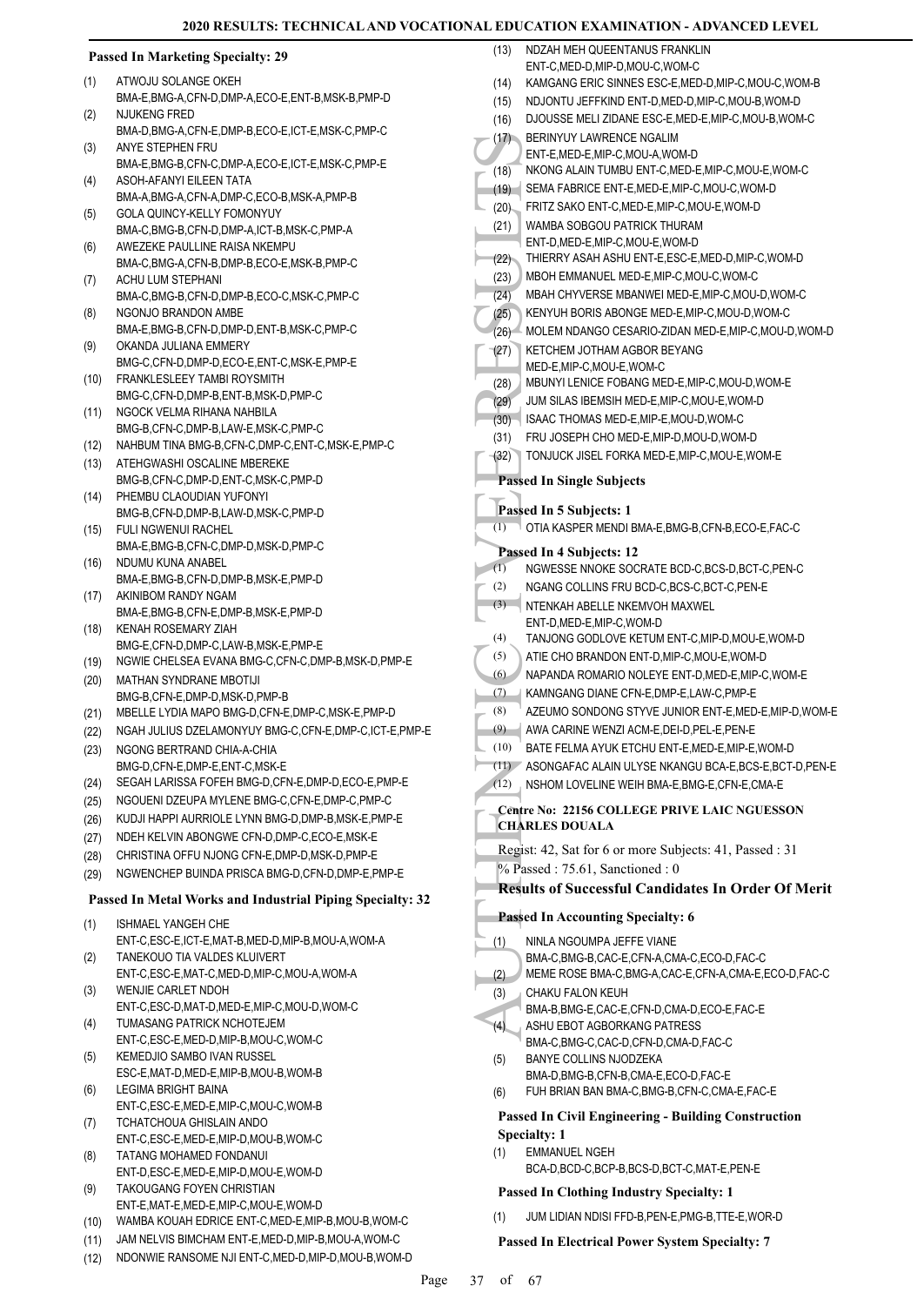#### **Passed In Marketing Specialty: 29** ATWOJU SOLANGE OKEH BMA-E,BMG-A,CFN-D,DMP-A,ECO-E,ENT-B,MSK-B,PMP-D (1) NJUKENG FRED BMA-D,BMG-A,CFN-E,DMP-B,ECO-E,ICT-E,MSK-C,PMP-C (2) ANYE STEPHEN FRU BMA-E,BMG-B,CFN-C,DMP-A,ECO-E,ICT-E,MSK-C,PMP-E (3) ASOH-AFANYI EILEEN TATA BMA-A,BMG-A,CFN-A,DMP-C,ECO-B,MSK-A,PMP-B (4) GOLA QUINCY-KELLY FOMONYUY BMA-C,BMG-B,CFN-D,DMP-A,ICT-B,MSK-C,PMP-A (5) AWEZEKE PAULLINE RAISA NKEMPU BMA-C,BMG-A,CFN-B,DMP-B,ECO-E,MSK-B,PMP-C (6) ACHU LUM STEPHANI BMA-C,BMG-B,CFN-D,DMP-B,ECO-C,MSK-C,PMP-C (7) NGONJO BRANDON AMBE BMA-E,BMG-B,CFN-D,DMP-D,ENT-B,MSK-C,PMP-C (8) OKANDA JULIANA EMMERY BMG-C,CFN-D,DMP-D,ECO-E,ENT-C,MSK-E,PMP-E (9) FRANKLESLEEY TAMBI ROYSMITH (10) BMG-C,CFN-D,DMP-B,ENT-B,MSK-D,PMP-C NGOCK VELMA RIHANA NAHBILA BMG-B,CFN-C,DMP-B,LAW-E,MSK-C,PMP-C (11) (12) NAHBUM TINA BMG-B,CFN-C,DMP-C,ENT-C,MSK-E,PMP-C ATEHGWASHI OSCALINE MBEREKE BMG-B,CFN-C,DMP-D,ENT-C,MSK-C,PMP-D (13) PHEMBU CLAOUDIAN YUFONYI BMG-B,CFN-D,DMP-B,LAW-D,MSK-C,PMP-D (14) FULI NGWENUI RACHEL BMA-E,BMG-B,CFN-C,DMP-D,MSK-D,PMP-C (15) NDUMU KUNA ANABEL BMA-E,BMG-B,CFN-D,DMP-B,MSK-E,PMP-D  $(16)$ AKINIBOM RANDY NGAM BMA-E,BMG-B,CFN-E,DMP-B,MSK-E,PMP-D (17) KENAH ROSEMARY ZIAH BMG-E,CFN-D,DMP-C,LAW-B,MSK-E,PMP-E (18) (19) NGWIE CHELSEA EVANA BMG-C,CFN-C,DMP-B,MSK-D,PMP-E MATHAN SYNDRANE MBOTIJI BMG-B,CFN-E,DMP-D,MSK-D,PMP-B (20) (21) MBELLE LYDIA MAPO BMG-D,CFN-E,DMP-C,MSK-E,PMP-D (22) NGAH JULIUS DZELAMONYUY BMG-C,CFN-E,DMP-C,ICT-E,PMP-E NGONG BERTRAND CHIA-A-CHIA BMG-D,CFN-E,DMP-E,ENT-C,MSK-E (23) (24) SEGAH LARISSA FOFEH BMG-D,CFN-E,DMP-D,ECO-E,PMP-E (25) NGOUENI DZEUPA MYLENE BMG-C,CFN-E,DMP-C,PMP-C (26) KUDJI HAPPI AURRIOLE LYNN BMG-D,DMP-B,MSK-E,PMP-E (27) NDEH KELVIN ABONGWE CFN-D,DMP-C,ECO-E,MSK-E (28) CHRISTINA OFFU NJONG CFN-E,DMP-D,MSK-D,PMP-E (29) NGWENCHEP BUINDA PRISCA BMG-D,CFN-D,DMP-E,PMP-E **Passed In Metal Works and Industrial Piping Specialty: 32** ISHMAEL YANGEH CHE ENT-C,ESC-E,ICT-E,MAT-B,MED-D,MIP-B,MOU-A,WOM-A (1) TANEKOUO TIA VALDES KLUIVERT ENT-C,ESC-E,MAT-C,MED-D,MIP-C,MOU-A,WOM-A (2) WENJIE CARLET NDOH ENT-C,ESC-D,MAT-D,MED-E,MIP-C,MOU-D,WOM-C (3) TUMASANG PATRICK NCHOTEJEM ENT-C,ESC-E,MED-D,MIP-B,MOU-C,WOM-C (4) KEMEDJIO SAMBO IVAN RUSSEL ESC-E,MAT-D,MED-E,MIP-B,MOU-B,WOM-B (5) LEGIMA BRIGHT BAINA ENT-C,ESC-E,MED-E,MIP-C,MOU-C,WOM-B (6) TCHATCHOUA GHISLAIN ANDO ENT-C,ESC-E,MED-E,MIP-D,MOU-B,WOM-C (7) TATANG MOHAMED FONDANUI ENT-D,ESC-E,MED-E,MIP-D,MOU-E,WOM-D (8) TAKOUGANG FOYEN CHRISTIAN ENT-E,MAT-E,MED-E,MIP-C,MOU-E,WOM-D (9) (10) WAMBA KOUAH EDRICE ENT-C,MED-E,MIP-B,MOU-B,WOM-C (13) (17) (21) (27) (3) (1) (3) (4) (5) (1)

(11) JAM NELVIS BIMCHAM ENT-E,MED-D,MIP-B,MOU-A,WOM-C (12) NDONWIE RANSOME NJI ENT-C,MED-D,MIP-D,MOU-B,WOM-D (17) BERINY<br>
ENT-E,<br>
(18) NKONG SEMA FRITZ (20)<br>
(21) NKONG SEMA FRITZ WAMBA<br>
(22) THIERF MBOHI MBAH (22)<br>
(23) MBOHI MBAH (25) KETCH<br>
(23) KETCH MED-E,<br>
(28) KETCH MED-E,<br>
(28) KETCH MED-E,<br>
(28) JUM SII ISAAC<br>
(29) JUM S NDZAH MEH QUEENTANUS FRANKLIN ENT-C,MED-D,MIP-D,MOU-C,WOM-C (14) KAMGANG ERIC SINNES ESC-E,MED-D,MIP-C,MOU-C,WOM-B (15) NDJONTU JEFFKIND ENT-D,MED-D,MIP-C,MOU-B,WOM-D (16) DJOUSSE MELI ZIDANE ESC-E,MED-E,MIP-C,MOU-B,WOM-C BERINYUY LAWRENCE NGALIM ENT-E,MED-E,MIP-C,MOU-A,WOM-D (18) NKONG ALAIN TUMBU ENT-C,MED-E,MIP-C,MOU-E,WOM-C (19) SEMA FABRICE ENT-E,MED-E,MIP-C,MOU-C,WOM-D (20) FRITZ SAKO ENT-C,MED-E,MIP-C,MOU-E,WOM-D WAMBA SOBGOU PATRICK THURAM ENT-D,MED-E,MIP-C,MOU-E,WOM-D (22) THIERRY ASAH ASHU ENT-E,ESC-E,MED-D,MIP-C,WOM-D (23) MBOH EMMANUEL MED-E,MIP-C,MOU-C,WOM-C (24) MBAH CHYVERSE MBANWEI MED-E,MIP-C,MOU-D,WOM-C (25) KENYUH BORIS ABONGE MED-E,MIP-C,MOU-D,WOM-C (26) MOLEM NDANGO CESARIO-ZIDAN MED-E,MIP-C,MOU-D,WOM-D **KETCHEM JOTHAM AGBOR BEYANG** MED-E,MIP-C,MOU-E,WOM-C (28) MBUNYI LENICE FOBANG MED-E,MIP-C,MOU-D,WOM-E (29) JUM SILAS IBEMSIH MED-E,MIP-C,MOU-E,WOM-D (30) ISAAC THOMAS MED-E,MIP-E,MOU-D,WOM-C (31) FRU JOSEPH CHO MED-E,MIP-D,MOU-D,WOM-D (32) TONJUCK JISEL FORKA MED-E,MIP-C,MOU-E,WOM-E **Passed In Single Subjects Passed In 5 Subjects: 1** (1) OTIA KASPER MENDI BMA-E,BMG-B,CFN-B,ECO-E,FAC-C **Passed In 4 Subjects: 12** (1) NGWESSE NNOKE SOCRATE BCD-C,BCS-D,BCT-C,PEN-C (2) NGANG COLLINS FRU BCD-C,BCS-C,BCT-C,PEN-E NTENKAH ABELLE NKEMVOH MAXWEL ENT-D,MED-E,MIP-C,WOM-D (4) TANJONG GODLOVE KETUM ENT-C,MIP-D,MOU-E,WOM-D (5) ATIE CHO BRANDON ENT-D,MIP-C,MOU-E,WOM-D (6) NAPANDA ROMARIO NOLEYE ENT-D,MED-E,MIP-C,WOM-E (7) KAMNGANG DIANE CFN-E,DMP-E,LAW-C,PMP-E (8) AZEUMO SONDONG STYVE JUNIOR ENT-E,MED-E,MIP-D,WOM-E (9) AWA CARINE WENZI ACM-E,DEI-D,PEL-E,PEN-E (10) BATE FELMA AYUK ETCHU ENT-E,MED-E,MIP-E,WOM-D (11) ASONGAFAC ALAIN ULYSE NKANGU BCA-E,BCS-E,BCT-D,PEN-E (12) NSHOM LOVELINE WEIH BMA-E,BMG-E,CFN-E,CMA-E **Centre No: 22156 COLLEGE PRIVE LAIC NGUESSON CHARLES DOUALA**  Regist: 42, Sat for 6 or more Subjects: 41, Passed : 31 % Passed: 75.61, Sanctioned: 0 **Results of Successful Candidates In Order Of Merit Passed In Accounting Specialty: 6** NINLA NGOUMPA JEFFE VIANE BMA-C,BMG-B,CAC-E,CFN-A,CMA-C,ECO-D,FAC-C (2) MEME ROSE BMA-C,BMG-A,CAC-E,CFN-A,CMA-E,ECO-D,FAC-C CHAKU FALON KEUH BMA-B,BMG-E,CAC-E,CFN-D,CMA-D,ECO-E,FAC-E ASHU EBOT AGBORKANG PATRESS BMA-C,BMG-C,CAC-D,CFN-D,CMA-D,FAC-C BANYE COLLINS NJODZEKA BMA-D,BMG-B,CFN-B,CMA-E,ECO-D,FAC-E (6) FUH BRIAN BAN BMA-C,BMG-B,CFN-C,CMA-E,FAC-E **Passed In Civil Engineering - Building Construction Specialty: 1** EMMANUEL NGEH BCA-D,BCD-C,BCP-B,BCS-D,BCT-C,MAT-E,PEN-E **Passed In Clothing Industry Specialty: 1** (1) JUM LIDIAN NDISI FFD-B,PEN-E,PMG-B,TTE-E,WOR-D

**Passed In Electrical Power System Specialty: 7**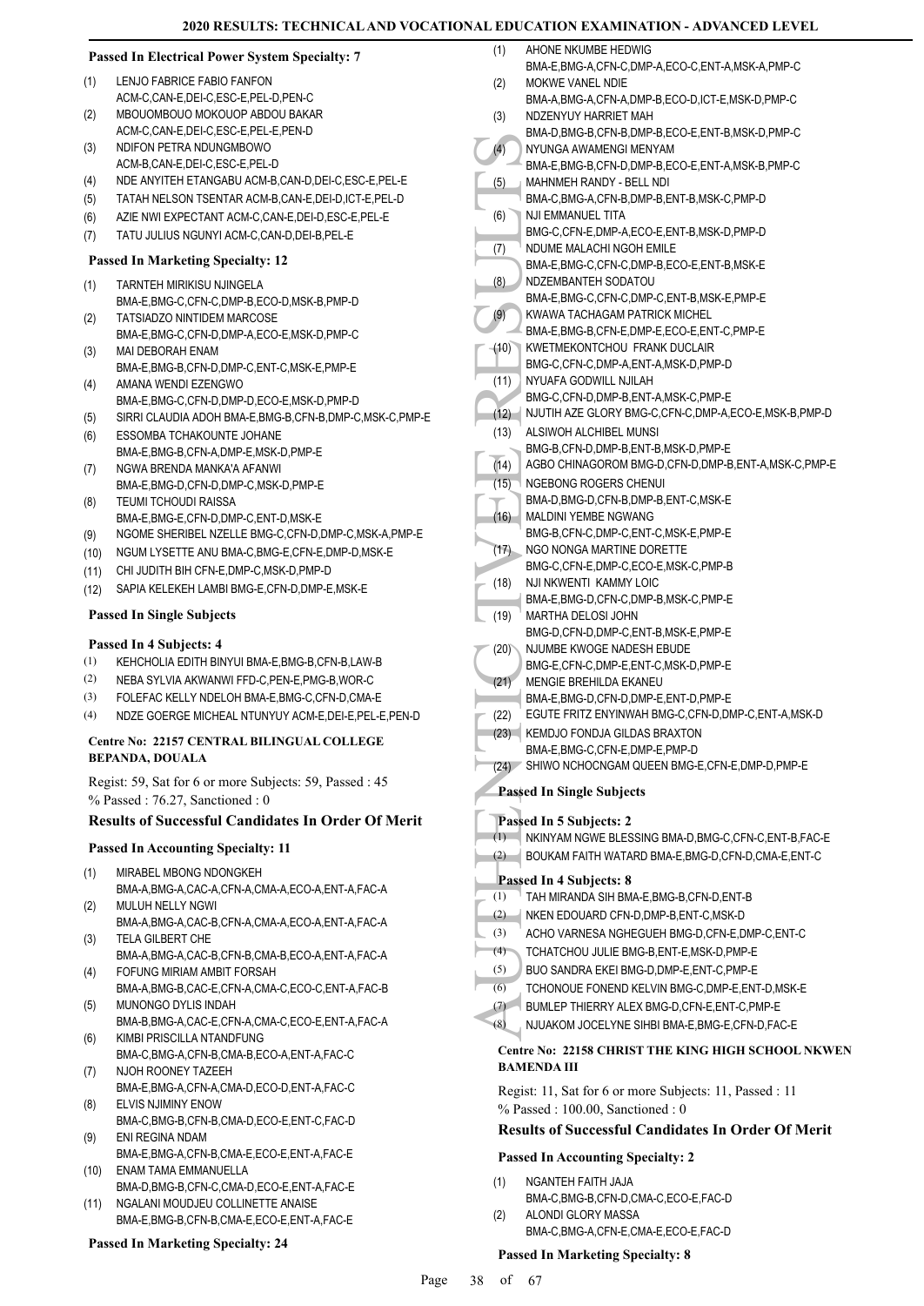|  | <b>Passed In Electrical Power System Specialty: 7</b> |  |  |
|--|-------------------------------------------------------|--|--|
|--|-------------------------------------------------------|--|--|

- LENJO FABRICE FABIO FANFON ACM-C, CAN-E, DEL-C, ESC-E, PEL-D, PEN-C (1)
- MBOUOMBOUO MOKOUOP ABDOU BAKAR (2)
- ACM-C,CAN-E,DEI-C,ESC-E,PEL-E,PEN-D NDIFON PETRA NDUNGMBOWO (3)
- ACM-B,CAN-E,DEI-C,ESC-E,PEL-D
- (4) NDE ANYITEH ETANGABU ACM-B,CAN-D,DEI-C,ESC-E,PEL-E
- (5) TATAH NELSON TSENTAR ACM-B,CAN-E,DEI-D,ICT-E,PEL-D
- (6) AZIE NWI EXPECTANT ACM-C,CAN-E,DEI-D,ESC-E,PEL-E
- (7) TATU JULIUS NGUNYI ACM-C,CAN-D,DEI-B,PEL-E

#### **Passed In Marketing Specialty: 12**

- TARNTEH MIRIKISU NJINGELA (1)
- BMA-E,BMG-C,CFN-C,DMP-B,ECO-D,MSK-B,PMP-D TATSIADZO NINTIDEM MARCOSE (2)
- BMA-E,BMG-C,CFN-D,DMP-A,ECO-E,MSK-D,PMP-C MAI DEBORAH ENAM (3)
- BMA-E,BMG-B,CFN-D,DMP-C,ENT-C,MSK-E,PMP-E AMANA WENDI EZENGWO (4)
- BMA-E,BMG-C,CFN-D,DMP-D,ECO-E,MSK-D,PMP-D
- (5) SIRRI CLAUDIA ADOH BMA-E,BMG-B,CFN-B,DMP-C,MSK-C,PMP-E
- ESSOMBA TCHAKOUNTE JOHANE BMA-E,BMG-B,CFN-A,DMP-E,MSK-D,PMP-E (6)
- NGWA BRENDA MANKA'A AFANWI BMA-E,BMG-D,CFN-D,DMP-C,MSK-D,PMP-E (7)
- TEUMI TCHOUDI RAISSA BMA-E,BMG-E,CFN-D,DMP-C,ENT-D,MSK-E (8)
- (9) NGOME SHERIBEL NZELLE BMG-C,CFN-D,DMP-C,MSK-A,PMP-E
- (10) NGUM LYSETTE ANU BMA-C,BMG-E,CFN-E,DMP-D,MSK-E
- (11) CHI JUDITH BIH CFN-E,DMP-C,MSK-D,PMP-D
- (12) SAPIA KELEKEH LAMBI BMG-E,CFN-D,DMP-E,MSK-E

#### **Passed In Single Subjects**

#### **Passed In 4 Subjects: 4**

- (1) KEHCHOLIA EDITH BINYUI BMA-E,BMG-B,CFN-B,LAW-B
- (2) NEBA SYLVIA AKWANWI FFD-C,PEN-E,PMG-B,WOR-C
- (3) FOLEFAC KELLY NDELOH BMA-E,BMG-C,CFN-D,CMA-E
- (4) NDZE GOERGE MICHEAL NTUNYUY ACM-E,DEI-E,PEL-E,PEN-D

#### **Centre No: 22157 CENTRAL BILINGUAL COLLEGE BEPANDA, DOUALA**

Regist: 59, Sat for 6 or more Subjects: 59, Passed : 45 % Passed : 76.27, Sanctioned : 0

#### **Results of Successful Candidates In Order Of Merit**

#### **Passed In Accounting Specialty: 11**

- MIRABEL MBONG NDONGKEH BMA-A,BMG-A,CAC-A,CFN-A,CMA-A,ECO-A,ENT-A,FAC-A (1)
- MULUH NELLY NGWI BMA-A,BMG-A,CAC-B,CFN-A,CMA-A,ECO-A,ENT-A,FAC-A (2)
- TELA GILBERT CHE (3)
- BMA-A,BMG-A,CAC-B,CFN-B,CMA-B,ECO-A,ENT-A,FAC-A FOFUNG MIRIAM AMBIT FORSAH (4)
- BMA-A,BMG-B,CAC-E,CFN-A,CMA-C,ECO-C,ENT-A,FAC-B MUNONGO DYLIS INDAH (5)
- BMA-B,BMG-A,CAC-E,CFN-A,CMA-C,ECO-E,ENT-A,FAC-A KIMBI PRISCILLA NTANDFUNG (6)
- BMA-C,BMG-A,CFN-B,CMA-B,ECO-A,ENT-A,FAC-C NJOH ROONEY TAZEEH (7)
- BMA-E,BMG-A,CFN-A,CMA-D,ECO-D,ENT-A,FAC-C ELVIS NJIMINY ENOW (8)
- BMA-C,BMG-B,CFN-B,CMA-D,ECO-E,ENT-C,FAC-D ENI REGINA NDAM (9)
- BMA-E,BMG-A,CFN-B,CMA-E,ECO-E,ENT-A,FAC-E ENAM TAMA EMMANUELLA (10)
- BMA-D,BMG-B,CFN-C,CMA-D,ECO-E,ENT-A,FAC-E NGALANI MOUDJEU COLLINETTE ANAISE (11)
- BMA-E,BMG-B,CFN-B,CMA-E,ECO-E,ENT-A,FAC-E

#### **Passed In Marketing Specialty: 24**

| (1)          | AHONE NKUMBE HEDWIG                                                         |
|--------------|-----------------------------------------------------------------------------|
|              | BMA-E,BMG-A,CFN-C,DMP-A,ECO-C,ENT-A,MSK-A,PMP-C                             |
| (2)          | MOKWE VANEL NDIE                                                            |
|              | BMA-A, BMG-A, CFN-A, DMP-B, ECO-D, ICT-E, MSK-D, PMP-C                      |
| (3)          | NDZENYUY HARRIET MAH                                                        |
|              | BMA-D, BMG-B, CFN-B, DMP-B, ECO-E, ENT-B, MSK-D, PMP-C                      |
| (4)          | NYUNGA AWAMENGI MENYAM                                                      |
|              | BMA-E,BMG-B,CFN-D,DMP-B,ECO-E,ENT-A,MSK-B,PMP-C                             |
| (5)          | MAHNMEH RANDY - BELL NDI<br>BMA-C, BMG-A, CFN-B, DMP-B, ENT-B, MSK-C, PMP-D |
| (6)          | NJI EMMANUEL TITA                                                           |
|              | BMG-C,CFN-E,DMP-A,ECO-E,ENT-B,MSK-D,PMP-D                                   |
| (7)          | NDUME MALACHI NGOH EMILE                                                    |
|              | BMA-E, BMG-C, CFN-C, DMP-B, ECO-E, ENT-B, MSK-E                             |
| (8)          | NDZEMBANTEH SODATOU                                                         |
|              | BMA-E, BMG-C, CFN-C, DMP-C, ENT-B, MSK-E, PMP-E                             |
| (9)          | KWAWA TACHAGAM PATRICK MICHEL                                               |
|              | BMA-E,BMG-B,CFN-E,DMP-E,ECO-E,ENT-C,PMP-E                                   |
| (10)         | KWETMEKONTCHOU FRANK DUCLAIR                                                |
|              | BMG-C,CFN-C,DMP-A,ENT-A,MSK-D,PMP-D                                         |
| (11)         | NYUAFA GODWILL NJILAH<br>BMG-C,CFN-D,DMP-B,ENT-A,MSK-C,PMP-E                |
|              | NJUTIH AZE GLORY BMG-C, CFN-C, DMP-A, ECO-E, MSK-B, PMP-D                   |
| (12)<br>(13) | ALSIWOH ALCHIBEL MUNSI                                                      |
|              | BMG-B,CFN-D,DMP-B,ENT-B,MSK-D,PMP-E                                         |
| (14)         | AGBO CHINAGOROM BMG-D,CFN-D,DMP-B,ENT-A,MSK-C,PMP-E                         |
| (15)         | NGEBONG ROGERS CHENUI                                                       |
|              | BMA-D,BMG-D,CFN-B,DMP-B,ENT-C,MSK-E                                         |
| (16)         | MALDINI YEMBE NGWANG                                                        |
|              | BMG-B,CFN-C,DMP-C,ENT-C,MSK-E,PMP-E                                         |
| (17)         | NGO NONGA MARTINE DORETTE                                                   |
|              | BMG-C,CFN-E,DMP-C,ECO-E,MSK-C,PMP-B                                         |
| (18)         | NJI NKWENTI KAMMY LOIC                                                      |
|              | BMA-E, BMG-D, CFN-C, DMP-B, MSK-C, PMP-E                                    |
| (19)         | MARTHA DELOSI JOHN                                                          |
|              | BMG-D,CFN-D,DMP-C,ENT-B,MSK-E,PMP-E<br>NJUMBE KWOGE NADESH EBUDE            |
| (20)         | BMG-E,CFN-C,DMP-E,ENT-C,MSK-D,PMP-E                                         |
| (21)         | <b>MENGIE BREHILDA EKANEU</b>                                               |
|              | BMA-E, BMG-D, CFN-D, DMP-E, ENT-D, PMP-E                                    |
| (22)         | EGUTE FRITZ ENYINWAH BMG-C, CFN-D, DMP-C, ENT-A, MSK-D                      |
| (23)         | KEMDJO FONDJA GILDAS BRAXTON                                                |
|              | BMA-E, BMG-C, CFN-E, DMP-E, PMP-D                                           |
| (24)         | SHIWO NCHOCNGAM QUEEN BMG-E, CFN-E, DMP-D, PMP-E                            |
|              | <b>Passed In Single Subjects</b>                                            |
|              |                                                                             |
|              | Passed In 5 Subjects: 2                                                     |
| (1)          | NKINYAM NGWE BLESSING BMA-D, BMG-C, CFN-C, ENT-B, FAC-E                     |
| (2)          | BOUKAM FAITH WATARD BMA-E, BMG-D, CFN-D, CMA-E, ENT-C                       |
|              | Passed In 4 Subjects: 8                                                     |
| (1)          | TAH MIRANDA SIH BMA-E, BMG-B, CFN-D, ENT-B                                  |
| (2)          | NKEN EDOUARD CFN-D, DMP-B, ENT-C, MSK-D                                     |
| (3)          | ACHO VARNESA NGHEGUEH BMG-D, CFN-E, DMP-C, ENT-C                            |
| (4)          | TCHATCHOU JULIE BMG-B, ENT-E, MSK-D, PMP-E                                  |
| (5)          | BUO SANDRA EKEI BMG-D, DMP-E, ENT-C, PMP-E                                  |
| (6)          | TCHONOUE FONEND KELVIN BMG-C, DMP-E, ENT-D, MSK-E                           |
| (7)          | BUMLEP THIERRY ALEX BMG-D, CFN-E, ENT-C, PMP-E                              |
| (8)          | NJUAKOM JOCELYNE SIHBI BMA-E, BMG-E, CFN-D, FAC-E                           |
|              |                                                                             |

- (4) TCHATCHOU JULIE BMG-B,ENT-E,MSK-D,PMP-E
- (5) BUO SANDRA EKEI BMG-D,DMP-E,ENT-C,PMP-E
- (6) TCHONOUE FONEND KELVIN BMG-C,DMP-E,ENT-D,MSK-E
- (7) BUMLEP THIERRY ALEX BMG-D,CFN-E,ENT-C,PMP-E
- (8) NJUAKOM JOCELYNE SIHBI BMA-E,BMG-E,CFN-D,FAC-E

## **Centre No: 22158 CHRIST THE KING HIGH SCHOOL NKWEN BAMENDA III**

Regist: 11, Sat for 6 or more Subjects: 11, Passed : 11 % Passed : 100.00, Sanctioned : 0

#### **Results of Successful Candidates In Order Of Merit**

#### **Passed In Accounting Specialty: 2**

- NGANTEH FAITH JAJA BMA-C,BMG-B,CFN-D,CMA-C,ECO-E,FAC-D (1) ALONDI GLORY MASSA (2)
	- BMA-C,BMG-A,CFN-E,CMA-E,ECO-E,FAC-D

#### **Passed In Marketing Specialty: 8**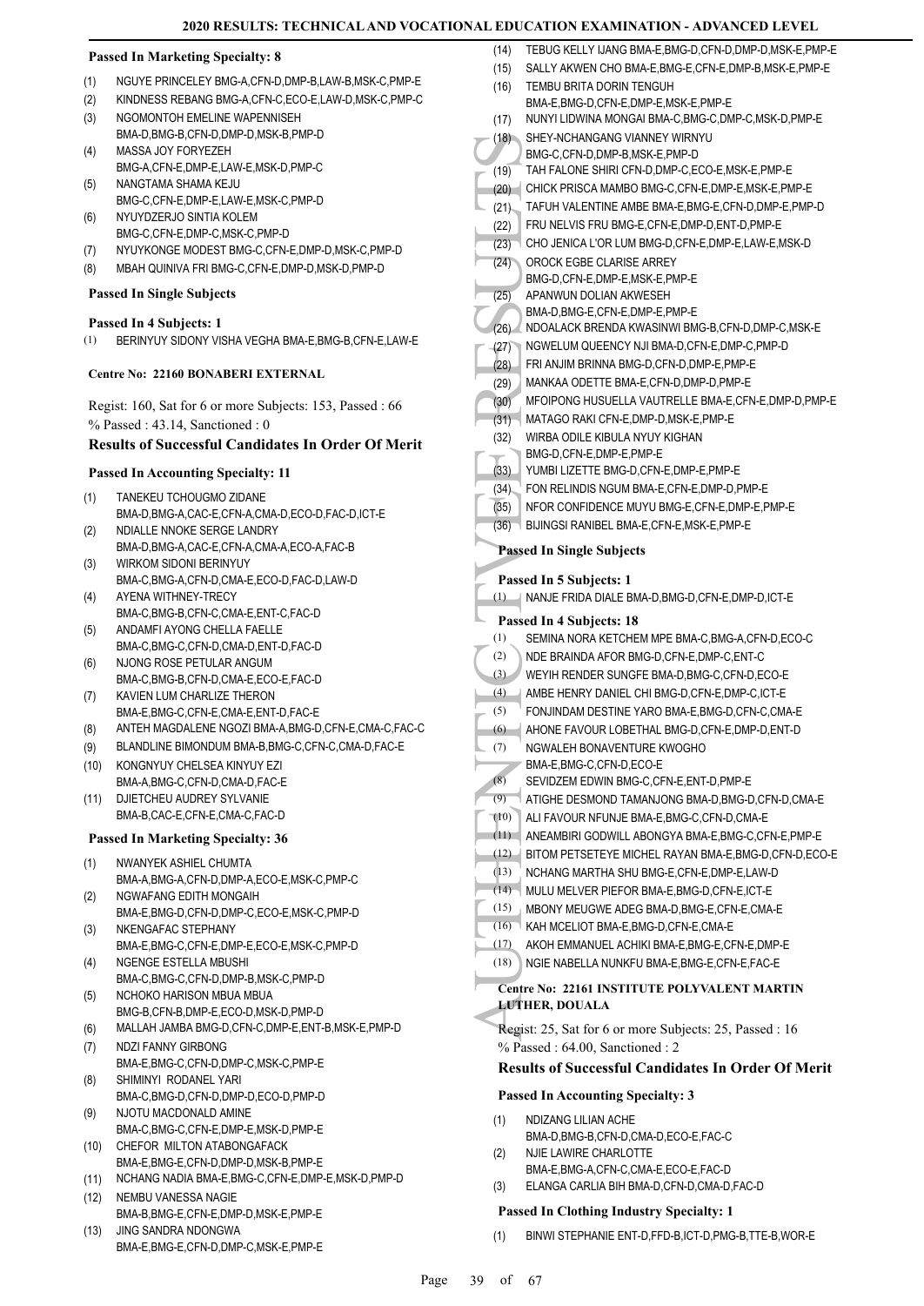#### **Passed In Marketing Specialty: 8**

- (1) NGUYE PRINCELEY BMG-A,CFN-D,DMP-B,LAW-B,MSK-C,PMP-E
- (2) KINDNESS REBANG BMG-A,CFN-C,ECO-E,LAW-D,MSK-C,PMP-C
- NGOMONTOH EMELINE WAPENNISEH (3)
- BMA-D,BMG-B,CFN-D,DMP-D,MSK-B,PMP-D MASSA JOY FORYEZEH (4)
- BMG-A,CFN-E,DMP-E,LAW-E,MSK-D,PMP-C NANGTAMA SHAMA KEJU (5)
- BMG-C,CFN-E,DMP-E,LAW-E,MSK-C,PMP-D NYUYDZERJO SINTIA KOLEM (6)
- BMG-C,CFN-E,DMP-C,MSK-C,PMP-D
- (7) NYUYKONGE MODEST BMG-C,CFN-E,DMP-D,MSK-C,PMP-D
- (8) MBAH QUINIVA FRI BMG-C,CFN-E,DMP-D,MSK-D,PMP-D

# **Passed In Single Subjects**

# **Passed In 4 Subjects: 1**

(1) BERINYUY SIDONY VISHA VEGHA BMA-E,BMG-B,CFN-E,LAW-E

# **Centre No: 22160 BONABERI EXTERNAL**

Regist: 160, Sat for 6 or more Subjects: 153, Passed : 66 % Passed : 43.14, Sanctioned : 0

# **Results of Successful Candidates In Order Of Merit**

# **Passed In Accounting Specialty: 11**

- TANEKEU TCHOUGMO ZIDANE BMA-D,BMG-A,CAC-E,CFN-A,CMA-D,ECO-D,FAC-D,ICT-E (1)
- NDIALLE NNOKE SERGE LANDRY BMA-D,BMG-A,CAC-E,CFN-A,CMA-A,ECO-A,FAC-B (2) WIRKOM SIDONI BERINYUY
- BMA-C,BMG-A,CFN-D,CMA-E,ECO-D,FAC-D,LAW-D (3) AYENA WITHNEY-TRECY (4)
- BMA-C,BMG-B,CFN-C,CMA-E,ENT-C,FAC-D
- ANDAMFI AYONG CHELLA FAELLE BMA-C,BMG-C,CFN-D,CMA-D,ENT-D,FAC-D (5)
- NJONG ROSE PETULAR ANGUM BMA-C,BMG-B,CFN-D,CMA-E,ECO-E,FAC-D (6)
- KAVIEN LUM CHARLIZE THERON BMA-E,BMG-C,CFN-E,CMA-E,ENT-D,FAC-E (7)
- (8) ANTEH MAGDALENE NGOZI BMA-A,BMG-D,CFN-E,CMA-C,FAC-C
- (9) BLANDLINE BIMONDUM BMA-B,BMG-C,CFN-C,CMA-D,FAC-E
- KONGNYUY CHELSEA KINYUY EZI BMA-A,BMG-C,CFN-D,CMA-D,FAC-E (10)
- DJIETCHEU AUDREY SYLVANIE BMA-B,CAC-E,CFN-E,CMA-C,FAC-D (11)

# **Passed In Marketing Specialty: 36**

- NWANYEK ASHIEL CHUMTA BMA-A,BMG-A,CFN-D,DMP-A,ECO-E,MSK-C,PMP-C (1)
- NGWAFANG EDITH MONGAIH BMA-E,BMG-D,CFN-D,DMP-C,ECO-E,MSK-C,PMP-D (2)
- NKENGAFAC STEPHANY BMA-E,BMG-C,CFN-E,DMP-E,ECO-E,MSK-C,PMP-D (3)
- NGENGE ESTELLA MBUSHI BMA-C,BMG-C,CFN-D,DMP-B,MSK-C,PMP-D (4)
- NCHOKO HARISON MBUA MBUA BMG-B,CFN-B,DMP-E,ECO-D,MSK-D,PMP-D (5)
- (6) MALLAH JAMBA BMG-D,CFN-C,DMP-E,ENT-B,MSK-E,PMP-D
- NDZI FANNY GIRBONG BMA-E,BMG-C,CFN-D,DMP-C,MSK-C,PMP-E (7)
- SHIMINYI RODANEL YARI BMA-C,BMG-D,CFN-D,DMP-D,ECO-D,PMP-D (8)
- NJOTU MACDONALD AMINE BMA-C,BMG-C,CFN-E,DMP-E,MSK-D,PMP-E (9)
- CHEFOR MILTON ATABONGAFACK BMA-E,BMG-E,CFN-D,DMP-D,MSK-B,PMP-E (10)
- (11) NCHANG NADIA BMA-E,BMG-C,CFN-E,DMP-E,MSK-D,PMP-D
- NEMBU VANESSA NAGIE BMA-B,BMG-E,CFN-E,DMP-D,MSK-E,PMP-E (12)
- JING SANDRA NDONGWA BMA-E,BMG-E,CFN-D,DMP-C,MSK-E,PMP-E (13)

(18) SHEY-N<br>
BMG-C<br>
(19) TAH FA<br>
(20) TAH FA<br>
(21) TAH FA<br>
CHICK<br>
(21) TAH FA<br>
CHICK<br>
(22) TAH FA<br>
CHICK<br>
(22) TAH DAI FRU NE<br>
(22) RMG-D<br>
(25) APANN<br>
(26) NGWEL<br>
(25) NGWEL<br>
(27) NGWEL<br>
(27) NGWEL<br>
(27) NGWEL<br>
(27) NGWEL<br> (15) SALLY AKWEN CHO BMA-E,BMG-E,CFN-E,DMP-B,MSK-E,PMP-E TEMBU BRITA DORIN TENGUH BMA-E,BMG-D,CFN-E,DMP-E,MSK-E,PMP-E (16) (17) NUNYI LIDWINA MONGAI BMA-C,BMG-C,DMP-C,MSK-D,PMP-E SHEY-NCHANGANG VIANNEY WIRNYU BMG-C,CFN-D,DMP-B,MSK-E,PMP-D (18) (19) TAH FALONE SHIRI CFN-D,DMP-C,ECO-E,MSK-E,PMP-E (20) CHICK PRISCA MAMBO BMG-C,CFN-E,DMP-E,MSK-E,PMP-E (21) TAFUH VALENTINE AMBE BMA-E,BMG-E,CFN-D,DMP-E,PMP-D (22) FRU NELVIS FRU BMG-E,CFN-E,DMP-D,ENT-D,PMP-E (23) CHO JENICA L'OR LUM BMG-D,CFN-E,DMP-E,LAW-E,MSK-D OROCK EGBE CLARISE ARREY BMG-D,CFN-E,DMP-E,MSK-E,PMP-E (24) APANWUN DOLIAN AKWESEH BMA-D,BMG-E,CFN-E,DMP-E,PMP-E (25) (26) NDOALACK BRENDA KWASINWI BMG-B,CFN-D,DMP-C,MSK-E (27) NGWELUM QUEENCY NJI BMA-D,CFN-E,DMP-C,PMP-D (28) FRI ANJIM BRINNA BMG-D,CFN-D,DMP-E,PMP-E (29) MANKAA ODETTE BMA-E,CFN-D,DMP-D,PMP-E (30) MFOIPONG HUSUELLA VAUTRELLE BMA-E,CFN-E,DMP-D,PMP-E (31) MATAGO RAKI CFN-E,DMP-D,MSK-E,PMP-E WIRBA ODILE KIBULA NYUY KIGHAN BMG-D,CFN-E,DMP-E,PMP-E (32) (33) YUMBI LIZETTE BMG-D,CFN-E,DMP-E,PMP-E (34) FON RELINDIS NGUM BMA-E,CFN-E,DMP-D,PMP-E (35) NFOR CONFIDENCE MUYU BMG-E,CFN-E,DMP-E,PMP-E (36) BIJINGSI RANIBEL BMA-E,CFN-E,MSK-E,PMP-E **Passed In Single Subjects Passed In 5 Subjects: 1** (1) NANJE FRIDA DIALE BMA-D,BMG-D,CFN-E,DMP-D,ICT-E **Passed In 4 Subjects: 18** (1) SEMINA NORA KETCHEM MPE BMA-C,BMG-A,CFN-D,ECO-C (2) NDE BRAINDA AFOR BMG-D,CFN-E,DMP-C,ENT-C (3) WEYIH RENDER SUNGFE BMA-D,BMG-C,CFN-D,ECO-E (4) AMBE HENRY DANIEL CHI BMG-D,CFN-E,DMP-C,ICT-E (5) FONJINDAM DESTINE YARO BMA-E,BMG-D,CFN-C,CMA-E (6) AHONE FAVOUR LOBETHAL BMG-D,CFN-E,DMP-D,ENT-D NGWALEH BONAVENTURE KWOGHO BMA-E,BMG-C,CFN-D,ECO-E (7) (8) SEVIDZEM EDWIN BMG-C,CFN-E,ENT-D,PMP-E (9) ATIGHE DESMOND TAMANJONG BMA-D,BMG-D,CFN-D,CMA-E (10) ALI FAVOUR NFUNJE BMA-E,BMG-C,CFN-D,CMA-E (11) ANEAMBIRI GODWILL ABONGYA BMA-E,BMG-C,CFN-E,PMP-E (12) BITOM PETSETEYE MICHEL RAYAN BMA-E,BMG-D,CFN-D,ECO-E (13) NCHANG MARTHA SHU BMG-E,CFN-E,DMP-E,LAW-D (14) MULU MELVER PIEFOR BMA-E,BMG-D,CFN-E,ICT-E (15) MBONY MEUGWE ADEG BMA-D,BMG-E,CFN-E,CMA-E (16) KAH MCELIOT BMA-E,BMG-D,CFN-E,CMA-E (17) AKOH EMMANUEL ACHIKI BMA-E,BMG-E,CFN-E,DMP-E (18) NGIE NABELLA NUNKFU BMA-E,BMG-E,CFN-E,FAC-E **Centre No: 22161 INSTITUTE POLYVALENT MARTIN LUTHER, DOUALA**  Regist: 25, Sat for 6 or more Subjects: 25, Passed : 16 % Passed : 64.00, Sanctioned : 2 **Results of Successful Candidates In Order Of Merit Passed In Accounting Specialty: 3**

(14) TEBUG KELLY IJANG BMA-E BMG-D CEN-D DMP-D MSK-E PMP-E

- NDIZANG LILIAN ACHE BMA-D,BMG-B,CFN-D,CMA-D,ECO-E,FAC-C (1)
- NJIE LAWIRE CHARLOTTE BMA-E,BMG-A,CFN-C,CMA-E,ECO-E,FAC-D (2)
- (3) ELANGA CARLIA BIH BMA-D,CFN-D,CMA-D,FAC-D

#### **Passed In Clothing Industry Specialty: 1**

(1) BINWI STEPHANIE ENT-D,FFD-B,ICT-D,PMG-B,TTE-B,WOR-E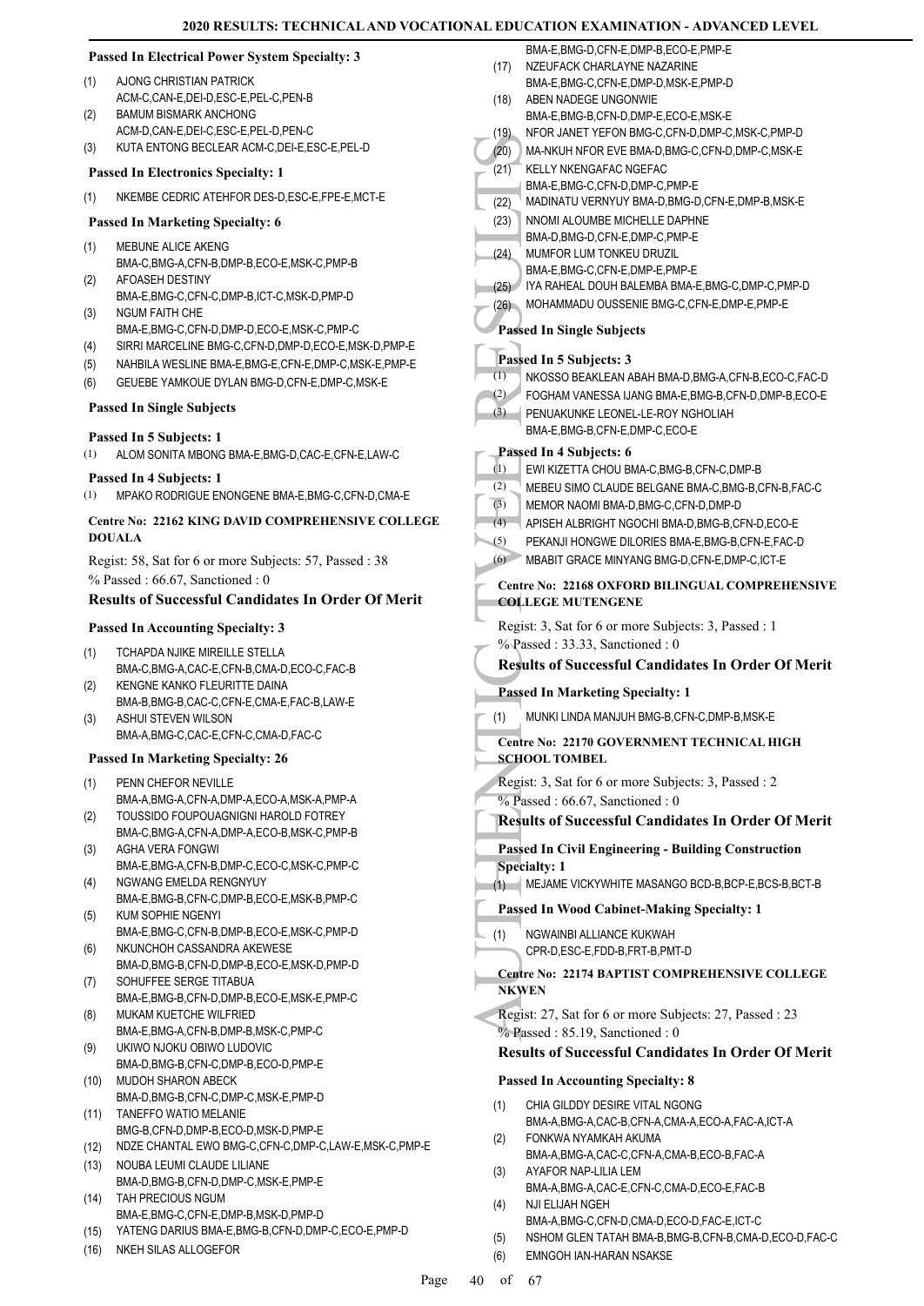# **Passed In Electrical Power System Specialty: 3**

- AJONG CHRISTIAN PATRICK ACM-C, CAN-E, DEI-D, ESC-E, PEL-C, PEN-B (1)
- BAMUM BISMARK ANCHONG ACM-D,CAN-E,DEI-C,ESC-E,PEL-D,PEN-C  $(2)$
- (3) KUTA ENTONG BECLEAR ACM-C,DEI-E,ESC-E,PEL-D

#### **Passed In Electronics Specialty: 1**

(1) NKEMBE CEDRIC ATEHFOR DES-D,ESC-E,FPE-E,MCT-E

# **Passed In Marketing Specialty: 6**

- MEBUNE ALICE AKENG (1)
- BMA-C,BMG-A,CFN-B,DMP-B,ECO-E,MSK-C,PMP-B AFOASEH DESTINY  $(2)$
- BMA-E,BMG-C,CFN-C,DMP-B,ICT-C,MSK-D,PMP-D NGUM FAITH CHE (3)
- BMA-E,BMG-C,CFN-D,DMP-D,ECO-E,MSK-C,PMP-C
- (4) SIRRI MARCELINE BMG-C,CFN-D,DMP-D,ECO-E,MSK-D,PMP-E
- (5) NAHBILA WESLINE BMA-E,BMG-E,CFN-E,DMP-C,MSK-E,PMP-E
- (6) GEUEBE YAMKOUE DYLAN BMG-D,CFN-E,DMP-C,MSK-E

#### **Passed In Single Subjects**

#### **Passed In 5 Subjects: 1**

- (1) ALOM SONITA MBONG BMA-E,BMG-D,CAC-E,CFN-E,LAW-C
- **Passed In 4 Subjects: 1**
- (1) MPAKO RODRIGUE ENONGENE BMA-E,BMG-C,CFN-D,CMA-E

# **Centre No: 22162 KING DAVID COMPREHENSIVE COLLEGE DOUALA**

Regist: 58, Sat for 6 or more Subjects: 57, Passed : 38 % Passed : 66.67, Sanctioned : 0

# **Results of Successful Candidates In Order Of Merit**

#### **Passed In Accounting Specialty: 3**

- TCHAPDA NJIKE MIREILLE STELLA BMA-C,BMG-A,CAC-E,CFN-B,CMA-D,ECO-C,FAC-B (1)
- KENGNE KANKO FLEURITTE DAINA BMA-B,BMG-B,CAC-C,CFN-E,CMA-E,FAC-B,LAW-E (2) ASHUI STEVEN WILSON (3)
	- BMA-A,BMG-C,CAC-E,CFN-C,CMA-D,FAC-C
- **Passed In Marketing Specialty: 26**
- PENN CHEFOR NEVILLE (1)
- BMA-A,BMG-A,CFN-A,DMP-A,ECO-A,MSK-A,PMP-A TOUSSIDO FOUPOUAGNIGNI HAROLD FOTREY (2)
- BMA-C,BMG-A,CFN-A,DMP-A,ECO-B,MSK-C,PMP-B AGHA VERA FONGWI (3)
- BMA-E,BMG-A,CFN-B,DMP-C,ECO-C,MSK-C,PMP-C NGWANG EMELDA RENGNYUY (4)
- BMA-E,BMG-B,CFN-C,DMP-B,ECO-E,MSK-B,PMP-C KUM SOPHIE NGENYI (5)
- BMA-E,BMG-C,CFN-B,DMP-B,ECO-E,MSK-C,PMP-D NKUNCHOH CASSANDRA AKEWESE (6)
- BMA-D,BMG-B,CFN-D,DMP-B,ECO-E,MSK-D,PMP-D SOHUFFEE SERGE TITABUA (7)
- BMA-E,BMG-B,CFN-D,DMP-B,ECO-E,MSK-E,PMP-C MUKAM KUETCHE WILFRIED (8)
- BMA-E,BMG-A,CFN-B,DMP-B,MSK-C,PMP-C
- UKIWO NJOKU OBIWO LUDOVIC BMA-D,BMG-B,CFN-C,DMP-B,ECO-D,PMP-E (9)
- MUDOH SHARON ABECK BMA-D,BMG-B,CFN-C,DMP-C,MSK-E,PMP-D (10)
- TANEFFO WATIO MELANIE BMG-B,CFN-D,DMP-B,ECO-D,MSK-D,PMP-E (11)
- (12) NDZE CHANTAL EWO BMG-C,CFN-C,DMP-C,LAW-E,MSK-C,PMP-E
- (13) NOUBA LEUMI CLAUDE LILIANE BMA-D,BMG-B,CFN-D,DMP-C,MSK-E,PMP-E
- (14) TAH PRECIOUS NGUM BMA-E,BMG-C,CFN-E,DMP-B,MSK-D,PMP-D
- (15) YATENG DARIUS BMA-E,BMG-B,CFN-D,DMP-C,ECO-E,PMP-D
- (16) NKEH SILAS ALLOGEFOR
- (20) MA-NKU<br>
(20) MA-NKU<br>
(21) KELLY BMA-E,<br>
(22) MADIN BMA-D,<br>
(22) NNOMI BMA-D,<br>
(22) NNOMI BMA-D,<br>
(24) NNOMI BMA-E,<br>
(26) MOHAN BMA-E,<br>
(26) MOHAN PARSEd In 1<br>
(1) NKOSS FOGHA BMA-E,<br>
Passed In 1<br>
EMA-E,<br>
(3) FOGHA BMA BMA-E,BMG-D,CFN-E,DMP-B,ECO-E,PMP-E NZEUFACK CHARLAYNE NAZARINE BMA-E,BMG-C,CFN-E,DMP-D,MSK-E,PMP-D (17) ABEN NADEGE UNGONWIE BMA-E,BMG-B,CFN-D,DMP-E,ECO-E,MSK-E (18) (19) NFOR JANET YEFON BMG-C,CFN-D,DMP-C,MSK-C,PMP-D (20) MA-NKUH NFOR EVE BMA-D,BMG-C,CFN-D,DMP-C,MSK-E KELLY NKENGAFAC NGEFAC BMA-E,BMG-C,CFN-D,DMP-C,PMP-E  $(21)$ (22) MADINATU VERNYUY BMA-D,BMG-D,CFN-E,DMP-B,MSK-E NNOMI ALOUMBE MICHELLE DAPHNE BMA-D,BMG-D,CFN-E,DMP-C,PMP-E (23) MUMFOR LUM TONKEU DRUZIL BMA-E,BMG-C,CFN-E,DMP-E,PMP-E (24) (25) IYA RAHEAL DOUH BALEMBA BMA-E,BMG-C,DMP-C,PMP-D (26) MOHAMMADU OUSSENIE BMG-C,CFN-E,DMP-E,PMP-E **Passed In Single Subjects Passed In 5 Subjects: 3** (1) NKOSSO BEAKLEAN ABAH BMA-D,BMG-A,CFN-B,ECO-C,FAC-D (2) FOGHAM VANESSA IJANG BMA-E,BMG-B,CFN-D,DMP-B,ECO-E **PENUAKUNKE LEONEL-LE-ROY NGHOLIAH** BMA-E,BMG-B,CFN-E,DMP-C,ECO-E (3) **Passed In 4 Subjects: 6** (1) EWI KIZETTA CHOU BMA-C,BMG-B,CFN-C,DMP-B (2) MEBEU SIMO CLAUDE BELGANE BMA-C,BMG-B,CFN-B,FAC-C (3) MEMOR NAOMI BMA-D,BMG-C,CFN-D,DMP-D (4) APISEH ALBRIGHT NGOCHI BMA-D,BMG-B,CFN-D,ECO-E (5) PEKANJI HONGWE DILORIES BMA-E,BMG-B,CFN-E,FAC-D (6) MBABIT GRACE MINYANG BMG-D,CFN-E,DMP-C,ICT-E **Centre No: 22168 OXFORD BILINGUAL COMPREHENSIVE COLLEGE MUTENGENE**  Regist: 3, Sat for 6 or more Subjects: 3, Passed : 1 % Passed : 33.33, Sanctioned : 0 **Results of Successful Candidates In Order Of Merit Passed In Marketing Specialty: 1** (1) MUNKI LINDA MANJUH BMG-B,CFN-C,DMP-B,MSK-E **Centre No: 22170 GOVERNMENT TECHNICAL HIGH SCHOOL TOMBEL**  Regist: 3, Sat for 6 or more Subjects: 3, Passed : 2  $\%$  Passed : 66.67, Sanctioned : 0 **Results of Successful Candidates In Order Of Merit Passed In Civil Engineering - Building Construction Specialty: 1** (1) MEJAME VICKYWHITE MASANGO BCD-B,BCP-E,BCS-B,BCT-B **Passed In Wood Cabinet-Making Specialty: 1** NGWAINBI ALLIANCE KUKWAH CPR-D,ESC-E,FDD-B,FRT-B,PMT-D (1) **Centre No: 22174 BAPTIST COMPREHENSIVE COLLEGE NKWEN**  Regist: 27, Sat for 6 or more Subjects: 27, Passed : 23  $\%$  Passed : 85.19, Sanctioned : 0 **Results of Successful Candidates In Order Of Merit Passed In Accounting Specialty: 8** CHIA GILDDY DESIRE VITAL NGONG BMA-A,BMG-A,CAC-B,CFN-A,CMA-A,ECO-A,FAC-A,ICT-A (1) FONKWA NYAMKAH AKUMA BMA-A,BMG-A,CAC-C,CFN-A,CMA-B,ECO-B,FAC-A (2) AYAFOR NAP-LILIA LEM (3)
	- BMA-A,BMG-A,CAC-E,CFN-C,CMA-D,ECO-E,FAC-B NJI ELIJAH NGEH (4)
	- BMA-A,BMG-C,CFN-D,CMA-D,ECO-D,FAC-E,ICT-C
	- (5) NSHOM GLEN TATAH BMA-B,BMG-B,CFN-B,CMA-D,ECO-D,FAC-C
	- (6) EMNGOH IAN-HARAN NSAKSE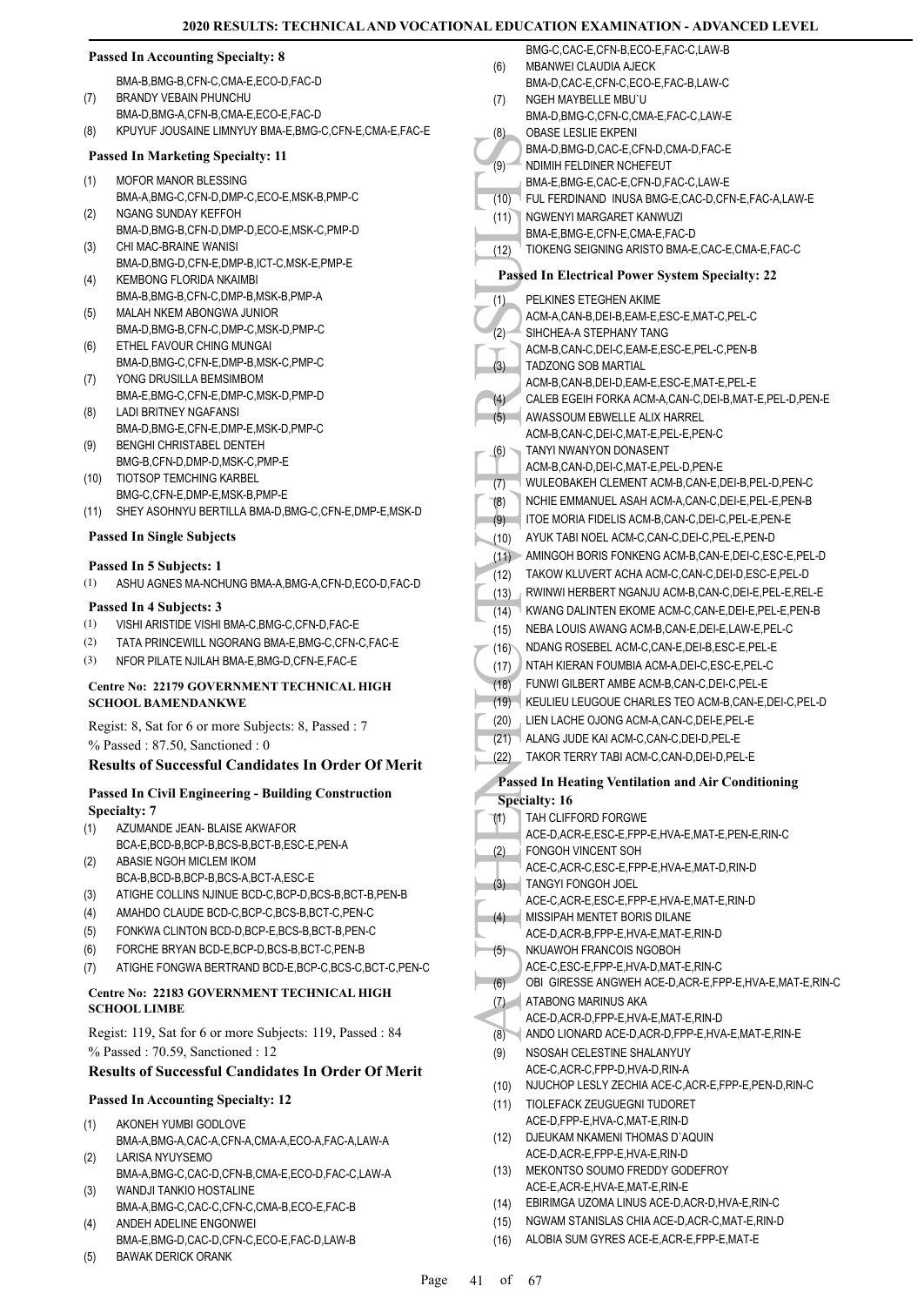|      | <b>Passed In Accounting Specialty: 8</b>                                   |              | BMG-C,CAC-E,CFN-B,ECO-E,FAC-C,LAW-B                                    |
|------|----------------------------------------------------------------------------|--------------|------------------------------------------------------------------------|
|      | BMA-B, BMG-B, CFN-C, CMA-E, ECO-D, FAC-D                                   | (6)          | MBANWEI CLAUDIA AJECK<br>BMA-D,CAC-E,CFN-C,ECO-E,FAC-B,LAW-C           |
| (7)  | <b>BRANDY VEBAIN PHUNCHU</b>                                               | (7)          | NGEH MAYBELLE MBU'U                                                    |
|      | BMA-D, BMG-A, CFN-B, CMA-E, ECO-E, FAC-D                                   |              | BMA-D,BMG-C,CFN-C,CMA-E,FAC-C,LAW-E                                    |
| (8)  | KPUYUF JOUSAINE LIMNYUY BMA-E, BMG-C, CFN-E, CMA-E, FAC-E                  | (8)          | <b>OBASE LESLIE EKPENI</b>                                             |
|      | <b>Passed In Marketing Specialty: 11</b>                                   | (9)          | BMA-D, BMG-D, CAC-E, CFN-D, CMA-D, FAC-E<br>NDIMIH FELDINER NCHEFEUT   |
| (1)  | MOFOR MANOR BLESSING                                                       |              | BMA-E,BMG-E,CAC-E,CFN-D,FAC-C,LAW-E                                    |
|      | BMA-A,BMG-C,CFN-D,DMP-C,ECO-E,MSK-B,PMP-C                                  | (10)         | FUL FERDINAND INUSA BMG-E, CAC-D, CF                                   |
| (2)  | NGANG SUNDAY KEFFOH                                                        | (11)         | NGWENYI MARGARET KANWUZI                                               |
|      | BMA-D,BMG-B,CFN-D,DMP-D,ECO-E,MSK-C,PMP-D<br>CHI MAC-BRAINE WANISI         |              | BMA-E, BMG-E, CFN-E, CMA-E, FAC-D                                      |
| (3)  | BMA-D, BMG-D, CFN-E, DMP-B, ICT-C, MSK-E, PMP-E                            | (12)         | TIOKENG SEIGNING ARISTO BMA-E, CAC-E                                   |
| (4)  | <b>KEMBONG FLORIDA NKAIMBI</b>                                             |              | <b>Passed In Electrical Power System Spec</b>                          |
|      | BMA-B, BMG-B, CFN-C, DMP-B, MSK-B, PMP-A                                   | (1)          | PELKINES ETEGHEN AKIME                                                 |
| (5)  | MALAH NKEM ABONGWA JUNIOR                                                  |              | ACM-A,CAN-B,DEI-B,EAM-E,ESC-E,MAT-C,                                   |
|      | BMA-D, BMG-B, CFN-C, DMP-C, MSK-D, PMP-C                                   | (2)          | SIHCHEA-A STEPHANY TANG                                                |
| (6)  | ETHEL FAVOUR CHING MUNGAI                                                  |              | ACM-B,CAN-C,DEI-C,EAM-E,ESC-E,PEL-C,I                                  |
|      | BMA-D,BMG-C,CFN-E,DMP-B,MSK-C,PMP-C                                        | (3)          | TADZONG SOB MARTIAL                                                    |
| (7)  | YONG DRUSILLA BEMSIMBOM                                                    |              | ACM-B,CAN-B,DEI-D,EAM-E,ESC-E,MAT-E,                                   |
|      | BMA-E, BMG-C, CFN-E, DMP-C, MSK-D, PMP-D<br><b>LADI BRITNEY NGAFANSI</b>   | (4)          | CALEB EGEIH FORKA ACM-A,CAN-C,DEI-B                                    |
| (8)  | BMA-D,BMG-E,CFN-E,DMP-E,MSK-D,PMP-C                                        | (5)          | AWASSOUM EBWELLE ALIX HARREL                                           |
| (9)  | BENGHI CHRISTABEL DENTEH                                                   |              | ACM-B,CAN-C,DEI-C,MAT-E,PEL-E,PEN-C<br>TANYI NWANYON DONASENT          |
|      | BMG-B,CFN-D,DMP-D,MSK-C,PMP-E                                              | (6)          | ACM-B,CAN-D,DEI-C,MAT-E,PEL-D,PEN-E                                    |
| (10) | TIOTSOP TEMCHING KARBEL                                                    | (7)          | WULEOBAKEH CLEMENT ACM-B,CAN-E,DI                                      |
|      | BMG-C,CFN-E,DMP-E,MSK-B,PMP-E                                              | (8)          | NCHIE EMMANUEL ASAH ACM-A,CAN-C,DI                                     |
| (11) | SHEY ASOHNYU BERTILLA BMA-D, BMG-C, CFN-E, DMP-E, MSK-D                    | (9)          | ITOE MORIA FIDELIS ACM-B,CAN-C,DEI-C,                                  |
|      | <b>Passed In Single Subjects</b>                                           | (10)         | AYUK TABI NOEL ACM-C, CAN-C, DEI-C, PEL                                |
|      |                                                                            |              | (11) AMINGOH BORIS FONKENG ACM-B,CAN-E                                 |
|      | Passed In 5 Subjects: 1                                                    | (12)         | TAKOW KLUVERT ACHA ACM-C,CAN-C,DE                                      |
| (1)  | ASHU AGNES MA-NCHUNG BMA-A,BMG-A,CFN-D,ECO-D,FAC-D                         | (13)         | RWINWI HERBERT NGANJU ACM-B,CAN-C                                      |
|      | Passed In 4 Subjects: 3                                                    | (14)         | KWANG DALINTEN EKOME ACM-C, CAN-E,                                     |
| (1)  | VISHI ARISTIDE VISHI BMA-C, BMG-C, CFN-D, FAC-E                            | (15)         | NEBA LOUIS AWANG ACM-B, CAN-E, DEI-E,                                  |
| (2)  | TATA PRINCEWILL NGORANG BMA-E, BMG-C, CFN-C, FAC-E                         | (16)         | NDANG ROSEBEL ACM-C, CAN-E, DEI-B, ES                                  |
| (3)  | NFOR PILATE NJILAH BMA-E, BMG-D, CFN-E, FAC-E                              | (17)         | NTAH KIERAN FOUMBIA ACM-A, DEI-C, ESC                                  |
|      | Centre No: 22179 GOVERNMENT TECHNICAL HIGH                                 | (18)         | FUNWI GILBERT AMBE ACM-B,CAN-C,DEI-                                    |
|      | <b>SCHOOL BAMENDANKWE</b>                                                  |              | (19) KEULIEU LEUGOUE CHARLES TEO ACM-B                                 |
|      | Regist: 8, Sat for 6 or more Subjects: 8, Passed : 7                       | (20)         | LIEN LACHE OJONG ACM-A, CAN-C, DEI-E, F                                |
|      | $%$ Passed: 87.50, Sanctioned: 0                                           | (21)         | ALANG JUDE KAI ACM-C, CAN-C, DEI-D, PEL                                |
|      | <b>Results of Successful Candidates In Order Of Merit</b>                  | (22)         | TAKOR TERRY TABI ACM-C, CAN-D, DEI-D, I                                |
|      |                                                                            |              | Passed In Heating Ventilation and Air C                                |
|      | <b>Passed In Civil Engineering - Building Construction</b>                 |              | <b>Specialty: 16</b>                                                   |
|      | <b>Specialty: 7</b>                                                        | (1)          | TAH CLIFFORD FORGWE                                                    |
| (1)  | AZUMANDE JEAN- BLAISE AKWAFOR<br>BCA-E,BCD-B,BCP-B,BCS-B,BCT-B,ESC-E,PEN-A |              | ACE-D, ACR-E, ESC-E, FPP-E, HVA-E, MAT-E,                              |
| (2)  | ABASIE NGOH MICLEM IKOM                                                    | (2)          | FONGOH VINCENT SOH                                                     |
|      | BCA-B,BCD-B,BCP-B,BCS-A,BCT-A,ESC-E                                        |              | ACE-C,ACR-C,ESC-E,FPP-E,HVA-E,MAT-D,                                   |
| (3)  | ATIGHE COLLINS NJINUE BCD-C, BCP-D, BCS-B, BCT-B, PEN-B                    | (3)          | TANGYI FONGOH JOEL<br>ACE-C,ACR-E,ESC-E,FPP-E,HVA-E,MAT-E,             |
| (4)  | AMAHDO CLAUDE BCD-C, BCP-C, BCS-B, BCT-C, PEN-C                            | (4)          | MISSIPAH MENTET BORIS DILANE                                           |
| (5)  | FONKWA CLINTON BCD-D, BCP-E, BCS-B, BCT-B, PEN-C                           |              | ACE-D, ACR-B, FPP-E, HVA-E, MAT-E, RIN-D                               |
| (6)  | FORCHE BRYAN BCD-E, BCP-D, BCS-B, BCT-C, PEN-B                             | (5)          | NKUAWOH FRANCOIS NGOBOH                                                |
| (7)  | ATIGHE FONGWA BERTRAND BCD-E, BCP-C, BCS-C, BCT-C, PEN-C                   |              | ACE-C,ESC-E,FPP-E,HVA-D,MAT-E,RIN-C                                    |
|      | Centre No: 22183 GOVERNMENT TECHNICAL HIGH                                 | (6)          | OBI GIRESSE ANGWEH ACE-D, ACR-E, FPF                                   |
|      | <b>SCHOOL LIMBE</b>                                                        | (7)          | ATABONG MARINUS AKA                                                    |
|      |                                                                            |              | ACE-D, ACR-D, FPP-E, HVA-E, MAT-E, RIN-D                               |
|      | Regist: 119, Sat for 6 or more Subjects: 119, Passed: 84                   | (8)          | ANDO LIONARD ACE-D, ACR-D, FPP-E, HVA-                                 |
|      | % Passed: 70.59, Sanctioned: 12                                            | (9)          | NSOSAH CELESTINE SHALANYUY                                             |
|      | <b>Results of Successful Candidates In Order Of Merit</b>                  |              | ACE-C,ACR-C,FPP-D,HVA-D,RIN-A<br>NJUCHOP LESLY ZECHIA ACE-C, ACR-E, FF |
|      | <b>Passed In Accounting Specialty: 12</b>                                  | (10)<br>(11) | TIOLEFACK ZEUGUEGNI TUDORET                                            |
| (1)  | AKONEH YUMBI GODLOVE                                                       |              | ACE-D,FPP-E,HVA-C,MAT-E,RIN-D                                          |
|      | BMA-A,BMG-A,CAC-A,CFN-A,CMA-A,ECO-A,FAC-A,LAW-A                            | (12)         | DJEUKAM NKAMENI THOMAS D`AQUIN                                         |
| (2)  | LARISA NYUYSEMO                                                            |              | ACE-D, ACR-E, FPP-E, HVA-E, RIN-D                                      |
|      | BMA-A,BMG-C,CAC-D,CFN-B,CMA-E,ECO-D,FAC-C,LAW-A                            | (13)         | MEKONTSO SOUMO FREDDY GODEFROY<br>ACE-E,ACR-E,HVA-E,MAT-E,RIN-E        |
| (3)  | WANDJI TANKIO HOSTALINE                                                    | (14)         | EBIRIMGA UZOMA LINUS ACE-D, ACR-D, HV                                  |
|      | BMA-A, BMG-C, CAC-C, CFN-C, CMA-B, ECO-E, FAC-B<br>ANDEH ADELINE ENGONWEI  | (15)         | NGWAM STANISLAS CHIA ACE-D, ACR-C, M                                   |
| (4)  | BMA-E,BMG-D,CAC-D,CFN-C,ECO-E,FAC-D,LAW-B                                  | (16)         | ALOBIA SUM GYRES ACE-E, ACR-E, FPP-E,                                  |
| (5)  | <b>BAWAK DERICK ORANK</b>                                                  |              |                                                                        |

YBELLE MBU`U IG-C,CFN-C,CMA-E,FAC-C,LAW-E SI IF EKPENI  $IG-D$ ,CAC-E,CFN-D,CMA-D,FAC-E **ELDINER NCHEFEUT**  $B = B$ CAC-E,CFN-D,FAC-C,LAW-E INAND INUSA BMG-E,CAC-D,CFN-E,FAC-A,LAW-E MARGARET KANWUZI IG-E,CFN-E,CMA-E,FAC-D SEIGNING ARISTO BMA-E CAC-E CMA-E FAC-C **Passed In Electrical Power System Specialty: 22 ETEGHEN AKIME**  $N-B,$ DEI-B,EAM-E,ESC-E,MAT-C,PEL-C A STEPHANY TANG N-C.DEI-C, EAM-E, ESC-E, PEL-C, PEN-B SOB MARTIAL  $N-B,$ DEI-D,EAM-E,ESC-E,MAT-E,PEL-E EIH FORKA ACM-A,CAN-C,DEI-B,MAT-E,PEL-D,PEN-E *IM EBWELLE ALIX HARREL*  $N$ -C,DEI-C,MAT-E,PEL-E,PEN-C **ANYON DONASENT** N-D, DEI-C, MAT-E, PEL-D, PEN-E (XEH CLEMENT ACM-B,CAN-E,DEI-B,PEL-D,PEN-C MANUEL ASAH ACM-A,CAN-C,DEI-E,PEL-E,PEN-B (IA FIDELIS ACM-B,CAN-C,DEI-C,PEL-E,PEN-E (INOEL ACM-C,CAN-C, DEL-C, PEL-E, PEN-D BORIS FONKENG ACM-B,CAN-E,DEI-C,ESC-E,PEL-D (12) TAKOW KLUVERT ACHA ACM-C,CAN-C,DEI-D,ESC-E,PEL-D ERBERT NGANJU ACM-B,CAN-C,DEI-E,PEL-E,REL-E (14) KWANG DALINTEN EKOME ACM-C,CAN-E,DEI-E,PEL-E,PEN-B (15) AWANG ACM-B,CAN-E,DEI-E,LAW-E,PEL-C OSEBEL ACM-C,CAN-E,DEI-B,ESC-E,PEL-E RAN FOUMBIA ACM-A,DEI-C,ESC-E,PEL-C **BERT AMBE ACM-B,CAN-C,DEI-C,PEL-E EUGOUE CHARLES TEO ACM-B,CAN-E,DEI-C,PEL-D** (20) LIEN LACHE OJONG ACM-A,CAN-C,DEI-E,PEL-E DE KAI ACM-C,CAN-C,DEI-D,PEL-E (RRY TABI ACM-C,CAN-D,DEI-D,PEL-E **Passed In Heating Ventilation and Air Conditioning**  ORD FORGWE R-E,ESC-E,FPP-E,HVA-E,MAT-E,PEN-E,RIN-C VINCENT SOH R-C,ESC-E, FPP-E, HVA-E, MAT-D, RIN-D ONGOH JOEL R-E,ESC-E,FPP-E,HVA-E,MAT-E,RIN-D MENTET BORIS DILANE R-B FPP-F HVA-F MAT-F RIN-D **H FRANCOIS NGOBOH** C-E,FPP-E,HVA-D,MAT-E,RIN-C SSE ANGWEH ACE-D,ACR-E,FPP-E,HVA-E,MAT-E,RIN-C MARINUS AKA R-D,FPP-E,HVA-E,MAT-E,RIN-D NARD ACE-D,ACR-D,FPP-E,HVA-E,MAT-E,RIN-E **CELESTINE SHALANYUY** R-C,FPP-D,HVA-D,RIN-A LESLY ZECHIA ACE-C, ACR-E, FPP-E, PEN-D, RIN-C K ZEUGUEGNI TUDORET P-E,HVA-C,MAT-E,RIN-D NKAMENI THOMAS D`AQUIN R-E,FPP-E,HVA-E,RIN-D O SOUMO FREDDY GODEFROY R-E,HVA-E.MAT-E,RIN-F UZOMA LINUS ACE-D,ACR-D,HVA-E,RIN-C TANISLAS CHIA ACE-D,ACR-C,MAT-E,RIN-D

JM GYRES ACE-E,ACR-E,FPP-E,MAT-E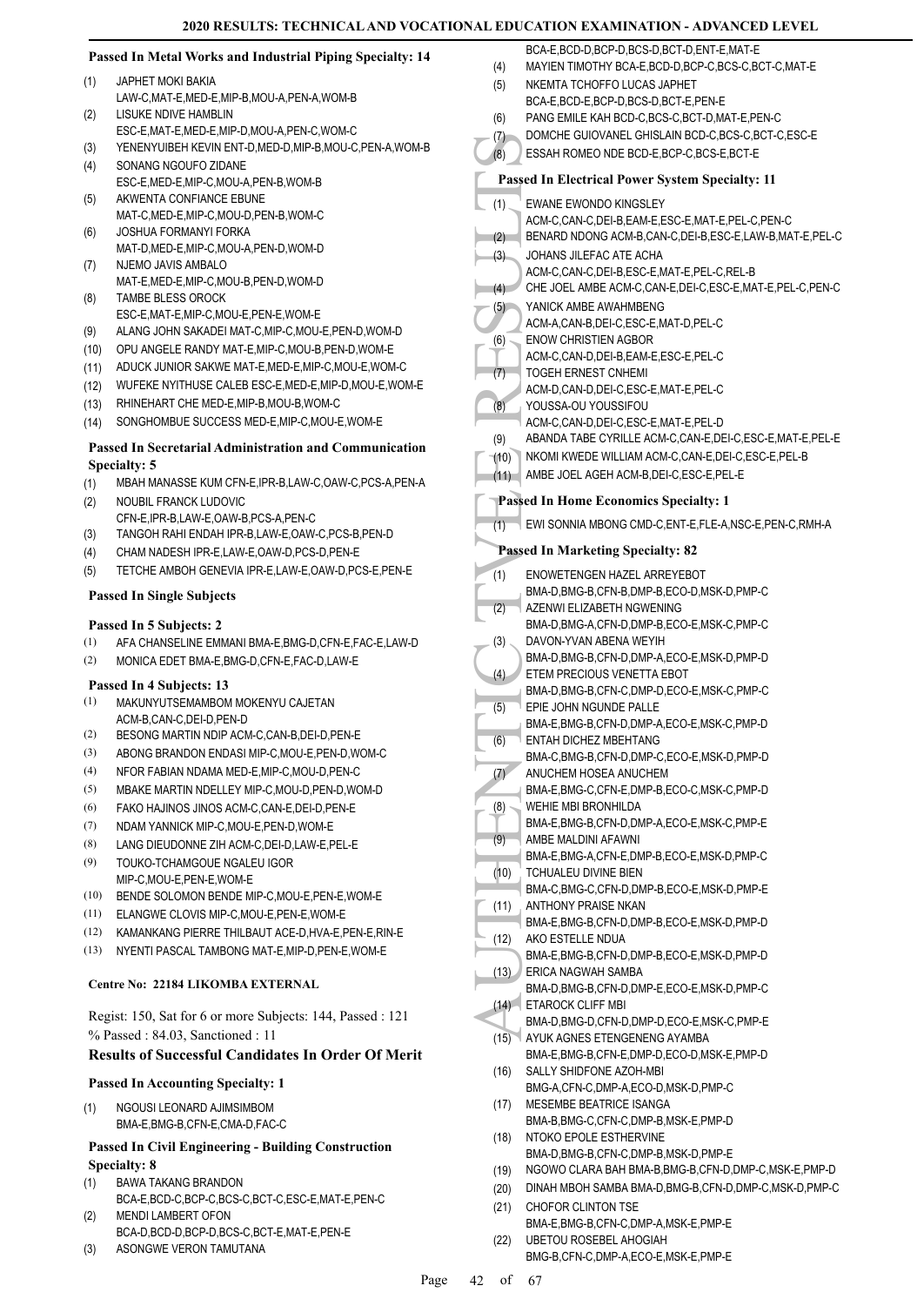#### **Passed In Metal Works and Industrial Piping Specialty: 14**

- JAPHET MOKI BAKIA (1)
	- LAW-C,MAT-E,MED-E,MIP-B,MOU-A,PEN-A,WOM-B
- LISUKE NDIVE HAMBLIN ESC-E,MAT-E,MED-E,MIP-D,MOU-A,PEN-C,WOM-C (2)
- (3) YENENYUIBEH KEVIN ENT-D,MED-D,MIP-B,MOU-C,PEN-A,WOM-B SONANG NGOLIEO ZIDANE
- ESC-E,MED-E,MIP-C,MOU-A,PEN-B,WOM-B (4)
- AKWENTA CONFIANCE EBUNE MAT-C,MED-E,MIP-C,MOU-D,PEN-B,WOM-C (5)
- JOSHUA FORMANYI FORKA MAT-D,MED-E,MIP-C,MOU-A,PEN-D,WOM-D (6)
- NJEMO JAVIS AMBALO MAT-E,MED-E,MIP-C,MOU-B,PEN-D,WOM-D (7)
- TAMBE BLESS OROCK ESC-E,MAT-E,MIP-C,MOU-E,PEN-E,WOM-E (8)
- (9) ALANG JOHN SAKADEI MAT-C,MIP-C,MOU-E,PEN-D,WOM-D
- (10) OPU ANGELE RANDY MAT-E,MIP-C,MOU-B,PEN-D,WOM-E
- (11) ADUCK JUNIOR SAKWE MAT-E,MED-E,MIP-C,MOU-E,WOM-C
- (12) WUFEKE NYITHUSE CALEB ESC-E,MED-E,MIP-D,MOU-E,WOM-E
- (13) RHINEHART CHE MED-E,MIP-B,MOU-B,WOM-C
- (14) SONGHOMBUE SUCCESS MED-E,MIP-C,MOU-E,WOM-E

#### **Passed In Secretarial Administration and Communication Specialty: 5**

- (1) MBAH MANASSE KUM CFN-E,IPR-B,LAW-C,OAW-C,PCS-A,PEN-A
- NOUBIL FRANCK LUDOVIC CFN-E,IPR-B,LAW-E,OAW-B,PCS-A,PEN-C (2)
- (3) TANGOH RAHI ENDAH IPR-B,LAW-E,OAW-C,PCS-B,PEN-D
- (4) CHAM NADESH IPR-E,LAW-E,OAW-D,PCS-D,PEN-E
- (5) TETCHE AMBOH GENEVIA IPR-E,LAW-E,OAW-D,PCS-E,PEN-E

#### **Passed In Single Subjects**

#### **Passed In 5 Subjects: 2**

- (1) AFA CHANSELINE EMMANI BMA-E,BMG-D,CFN-E,FAC-E,LAW-D
- (2) MONICA EDET BMA-E,BMG-D,CFN-E,FAC-D,LAW-E

#### **Passed In 4 Subjects: 13**

- MAKUNYUTSEMAMBOM MOKENYU CAJETAN ACM-B,CAN-C,DEI-D,PEN-D (1)
- (2) BESONG MARTIN NDIP ACM-C,CAN-B,DEI-D,PEN-E
- (3) ABONG BRANDON ENDASI MIP-C,MOU-E,PEN-D,WOM-C
- (4) NEOR FABIAN NDAMA MED-F MIP-C MOU-D PEN-C
- (5) MBAKE MARTIN NDELLEY MIP-C,MOU-D,PEN-D,WOM-D
- (6) FAKO HAJINOS JINOS ACM-C,CAN-E,DEI-D,PEN-E
- (7) NDAM YANNICK MIP-C,MOU-E,PEN-D,WOM-E
- (8) LANG DIEUDONNE ZIH ACM-C,DEI-D,LAW-E,PEL-E
- TOUKO-TCHAMGOUE NGALEU IGOR MIP-C,MOU-E,PEN-E,WOM-E (9)
- (10) BENDE SOLOMON BENDE MIP-C,MOU-E,PEN-E,WOM-E
- (11) ELANGWE CLOVIS MIP-C,MOU-E,PEN-E,WOM-E
- (12) KAMANKANG PIERRE THILBAUT ACE-D,HVA-E,PEN-E,RIN-E
- (13) NYENTI PASCAL TAMBONG MAT-E,MIP-D,PEN-E,WOM-E

#### **Centre No: 22184 LIKOMBA EXTERNAL**

Regist: 150, Sat for 6 or more Subjects: 144, Passed : 121 % Passed : 84.03, Sanctioned : 11

# **Results of Successful Candidates In Order Of Merit**

#### **Passed In Accounting Specialty: 1**

NGOUSI LEONARD AJIMSIMBOM BMA-E,BMG-B,CFN-E,CMA-D,FAC-C (1)

#### **Passed In Civil Engineering - Building Construction Specialty: 8**

- BAWA TAKANG BRANDON BCA-E,BCD-C,BCP-C,BCS-C,BCT-C,ESC-E,MAT-E,PEN-C (1)
- MENDI LAMBERT OFON BCA-D,BCD-D,BCP-D,BCS-C,BCT-E,MAT-E,PEN-E (2)
- (3) ASONGWE VERON TAMUTANA
- BCA-E,BCD-D,BCP-D,BCS-D,BCT-D,ENT-E,MAT-E
- (4) MAYIEN TIMOTHY BCA-E,BCD-D,BCP-C,BCS-C,BCT-C,MAT-E
- NKEMTA TCHOFFO LUCAS JAPHET BCA-E,BCD-E,BCP-D,BCS-D,BCT-E,PEN-E (5)
- (6) PANG EMILE KAH BCD-C,BCS-C,BCT-D,MAT-E,PEN-C
- (7) DOMCHE GUIOVANEL GHISLAIN BCD-C,BCS-C,BCT-C,ESC-E
- (8) ESSAH ROMEO NDE BCD-E,BCP-C,BCS-E,BCT-E

# **Passed In Electrical Power System Specialty: 11**

| (1) | EWANE EWONDO KINGSLEY                                   |
|-----|---------------------------------------------------------|
|     | ACM-C.CAN-C.DEI-B.EAM-E.ESC-E.MAT-E.PEL-C.PEN-C         |
| (2) | BENARD NDONG ACM-B,CAN-C,DEI-B,ESC-E,LAW-B,MAT-E,PEL-C  |
| (3) | JOHANS JILEFAC ATE ACHA                                 |
|     | ACM-C.CAN-C.DEI-B.ESC-E.MAT-E.PEL-C.REL-B               |
| (4) | CHE JOEL AMBE ACM-C.CAN-E.DEI-C.ESC-E.MAT-E.PEL-C.PEN-C |
| (5) | YANICK AMBE AWAHMBENG                                   |
|     | ACM-A.CAN-B.DEI-C.ESC-E.MAT-D.PEL-C                     |
| (6) | <b>ENOW CHRISTIEN AGBOR</b>                             |
|     | ACM-C.CAN-D.DEI-B.EAM-E.ESC-E.PEL-C                     |
| (7) | TOGEH ERNEST CNHEMI                                     |
|     | ACM-D.CAN-D.DEI-C.ESC-E.MAT-E.PEL-C                     |
| (8) | YOUSSA-OU YOUSSIFOU                                     |
|     | ACM-C.CAN-D.DEI-C.ESC-E.MAT-E.PEL-D                     |

- 
- (9) ABANDA TABE CYRILLE ACM-C,CAN-E,DEI-C,ESC-E,MAT-E,PEL-E
- (10) NKOMI KWEDE WILLIAM ACM-C,CAN-E,DEI-C,ESC-E,PEL-B (11) AMBE JOEL AGEH ACM-B,DEI-C,ESC-E,PEL-E

#### **Passed In Home Economics Specialty: 1**

(1) EWI SONNIA MBONG CMD-C,ENT-E,FLE-A,NSC-E,PEN-C,RMH-A

# **Passed In Marketing Specialty: 82**

- (4) BUMACHENTIC (8) ESSAH<br>
Passed In 1<br>
(1) EWANE CHEUGE HOME (1) DOMIC ACM-C, CHEUGE HOME ACM-C, CHEUGE HOME ACM-C, CHEUGE HOME ACM-C, CHEUGE HOME HOME ACM-C, CHEUGE HOME ACM-C, ABAND NIXOMI<br>
(1) EWANE ACM-C, ABAND NIXOMI ENOWETENGEN HAZEL ARREYEBOT BMA-D,BMG-B,CFN-B,DMP-B,ECO-D,MSK-D,PMP-C (1) AZENWI ELIZABETH NGWENING BMA-D,BMG-A,CFN-D,DMP-B,ECO-E,MSK-C,PMP-C (2) DAVON-YVAN ABENA WEYIH BMA-D,BMG-B,CFN-D,DMP-A,ECO-E,MSK-D,PMP-D (3) ETEM PRECIOUS VENETTA EBOT BMA-D,BMG-B,CFN-C,DMP-D,ECO-E,MSK-C,PMP-C (4) EPIE JOHN NGUNDE PALLE BMA-E,BMG-B,CFN-D,DMP-A,ECO-E,MSK-C,PMP-D (5) ENTAH DICHEZ MBEHTANG BMA-C,BMG-B,CFN-D,DMP-C,ECO-E,MSK-D,PMP-D (6) ANUCHEM HOSEA ANUCHEM BMA-E,BMG-C,CFN-E,DMP-B,ECO-C,MSK-C,PMP-D (7) WEHIE MBI BRONHILDA BMA-E,BMG-B,CFN-D,DMP-A,ECO-E,MSK-C,PMP-E (8) AMBE MALDINI AFAWNI BMA-E,BMG-A,CFN-E,DMP-B,ECO-E,MSK-D,PMP-C (9) TCHUALEU DIVINE BIEN BMA-C,BMG-C,CFN-D,DMP-B,ECO-E,MSK-D,PMP-E (10) ANTHONY PRAISE NKAN BMA-E,BMG-B,CFN-D,DMP-B,ECO-E,MSK-D,PMP-D (11) AKO ESTELLE NDUA BMA-E,BMG-B,CFN-D,DMP-B,ECO-E,MSK-D,PMP-D (12) ERICA NAGWAH SAMBA BMA-D,BMG-B,CFN-D,DMP-E,ECO-E,MSK-D,PMP-C (13) ETAROCK CLIFF MBI (14) BMA-D,BMG-D,CFN-D,DMP-D,ECO-E,MSK-C,PMP-E AYUK AGNES ETENGENENG AYAMBA BMA-E,BMG-B,CFN-E,DMP-D,ECO-D,MSK-E,PMP-D  $(15)$ SALLY SHIDFONE AZOH-MBI (16)
	- BMG-A,CFN-C,DMP-A,ECO-D,MSK-D,PMP-C
	- (17) MESEMBE BEATRICE ISANGA BMA-B,BMG-C,CFN-C,DMP-B,MSK-E,PMP-D
	- NTOKO EPOLE ESTHERVINE BMA-D,BMG-B,CFN-C,DMP-B,MSK-D,PMP-E (18)
	- (19) NGOWO CLARA BAH BMA-B,BMG-B,CFN-D,DMP-C,MSK-E,PMP-D
	- (20) DINAH MBOH SAMBA BMA-D,BMG-B,CFN-D,DMP-C,MSK-D,PMP-C
	- CHOFOR CLINTON TSE BMA-E,BMG-B,CFN-C,DMP-A,MSK-E,PMP-E (21)
	- UBETOU ROSEBEL AHOGIAH BMG-B,CFN-C,DMP-A,ECO-E,MSK-E,PMP-E (22)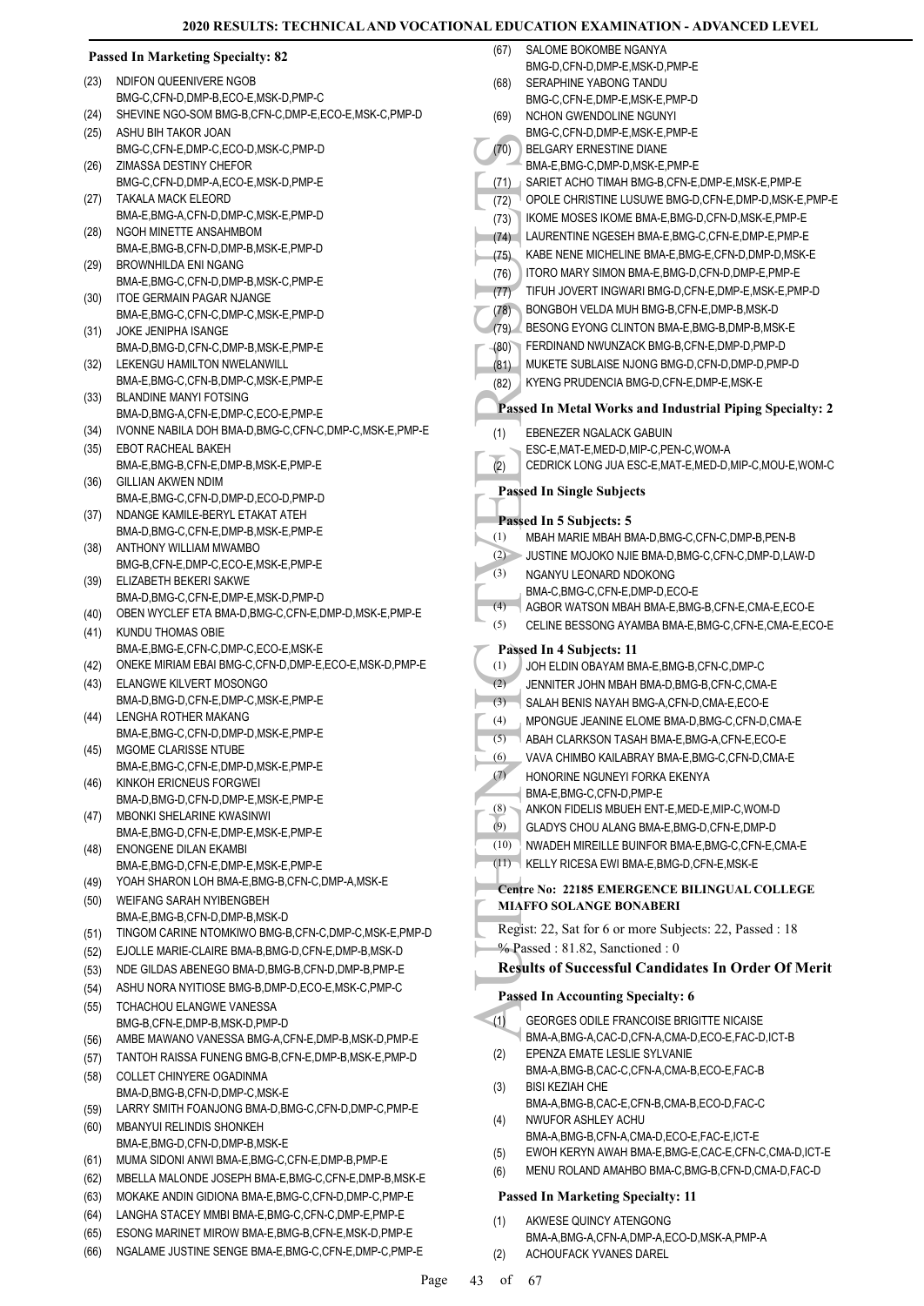|      | <b>Passed In Marketing Specialty: 82</b>                           | (67) | SALOME BOKOMBE NGANYA                                                                         |
|------|--------------------------------------------------------------------|------|-----------------------------------------------------------------------------------------------|
| (23) | NDIFON QUEENIVERE NGOB                                             | (68) | BMG-D,CFN-D,DMP-E,MSK-D,PMP-E<br>SERAPHINE YABONG TANDU                                       |
|      | BMG-C,CFN-D,DMP-B,ECO-E,MSK-D,PMP-C                                |      | BMG-C,CFN-E,DMP-E,MSK-E,PMP-D                                                                 |
| (24) | SHEVINE NGO-SOM BMG-B,CFN-C,DMP-E,ECO-E,MSK-C,PMP-D                | (69) | NCHON GWENDOLINE NGUNYI                                                                       |
| (25) | ASHU BIH TAKOR JOAN                                                |      | BMG-C,CFN-D,DMP-E,MSK-E,PMP-E                                                                 |
|      | BMG-C,CFN-E,DMP-C,ECO-D,MSK-C,PMP-D                                | (70) | BELGARY ERNESTINE DIANE                                                                       |
| (26) | ZIMASSA DESTINY CHEFOR                                             |      | BMA-E, BMG-C, DMP-D, MSK-E, PMP-E                                                             |
|      | BMG-C,CFN-D,DMP-A,ECO-E,MSK-D,PMP-E                                | (71) | SARIET ACHO TIMAH BMG-B, CFN-E, DMP-E, MSK-E, PMP-E                                           |
| (27) | <b>TAKALA MACK ELEORD</b><br>BMA-E.BMG-A.CFN-D.DMP-C.MSK-E.PMP-D   | (72) | OPOLE CHRISTINE LUSUWE BMG-D, CFN-E, DMP-D, MSK-E, PMP-E                                      |
| (28) | NGOH MINETTE ANSAHMBOM                                             | (73) | IKOME MOSES IKOME BMA-E, BMG-D, CFN-D, MSK-E, PMP-E                                           |
|      | BMA-E,BMG-B,CFN-D,DMP-B,MSK-E,PMP-D                                | (74) | LAURENTINE NGESEH BMA-E, BMG-C, CFN-E, DMP-E, PMP-E                                           |
| (29) | <b>BROWNHILDA ENI NGANG</b>                                        | (75) | KABE NENE MICHELINE BMA-E, BMG-E, CFN-D, DMP-D, MSK-E                                         |
|      | BMA-E,BMG-C,CFN-D,DMP-B,MSK-C,PMP-E                                | (76) | ITORO MARY SIMON BMA-E, BMG-D, CFN-D, DMP-E, PMP-E                                            |
| (30) | <b>ITOE GERMAIN PAGAR NJANGE</b>                                   | (77) | TIFUH JOVERT INGWARI BMG-D, CFN-E, DMP-E, MSK-E, PMP-D                                        |
|      | BMA-E,BMG-C,CFN-C,DMP-C,MSK-E,PMP-D                                | (78) | BONGBOH VELDA MUH BMG-B,CFN-E,DMP-B,MSK-D                                                     |
| (31) | JOKE JENIPHA ISANGE                                                | (79) | BESONG EYONG CLINTON BMA-E, BMG-B, DMP-B, MSK-E<br>FERDINAND NWUNZACK BMG-B.CFN-E.DMP-D.PMP-D |
|      | BMA-D,BMG-D,CFN-C,DMP-B,MSK-E,PMP-E<br>LEKENGU HAMILTON NWELANWILL | (80) | MUKETE SUBLAISE NJONG BMG-D,CFN-D,DMP-D,PMP-D                                                 |
| (32) | BMA-E,BMG-C,CFN-B,DMP-C,MSK-E,PMP-E                                | (81) | KYENG PRUDENCIA BMG-D,CFN-E,DMP-E,MSK-E                                                       |
| (33) | <b>BLANDINE MANYI FOTSING</b>                                      | (82) |                                                                                               |
|      | BMA-D,BMG-A,CFN-E,DMP-C,ECO-E,PMP-E                                |      | Passed In Metal Works and Industrial Piping Specialty: 2                                      |
| (34) | IVONNE NABILA DOH BMA-D, BMG-C, CFN-C, DMP-C, MSK-E, PMP-E         | (1)  | EBENEZER NGALACK GABUIN                                                                       |
| (35) | <b>EBOT RACHEAL BAKEH</b>                                          |      | ESC-E, MAT-E, MED-D, MIP-C, PEN-C, WOM-A                                                      |
|      | BMA-E, BMG-B, CFN-E, DMP-B, MSK-E, PMP-E                           | (2)  | CEDRICK LONG JUA ESC-E, MAT-E, MED-D, MIP-C, MOU-E, WOM-C                                     |
| (36) | GILLIAN AKWEN NDIM                                                 |      | <b>Passed In Single Subjects</b>                                                              |
|      | BMA-E,BMG-C,CFN-D,DMP-D,ECO-D,PMP-D                                |      |                                                                                               |
| (37) | NDANGE KAMILE-BERYL ETAKAT ATEH                                    |      | Passed In 5 Subjects: 5                                                                       |
| (38) | BMA-D,BMG-C,CFN-E,DMP-B,MSK-E,PMP-E<br>ANTHONY WILLIAM MWAMBO      | (1)  | MBAH MARIE MBAH BMA-D, BMG-C, CFN-C, DMP-B, PEN-B                                             |
|      | BMG-B,CFN-E,DMP-C,ECO-E,MSK-E,PMP-E                                | (2)  | ▶ JUSTINE MOJOKO NJIE BMA-D,BMG-C,CFN-C,DMP-D,LAW-D                                           |
| (39) | ELIZABETH BEKERI SAKWE                                             | (3)  | NGANYU LEONARD NDOKONG                                                                        |
|      | BMA-D,BMG-C,CFN-E,DMP-E,MSK-D,PMP-D                                |      | BMA-C, BMG-C, CFN-E, DMP-D, ECO-E                                                             |
| (40) | OBEN WYCLEF ETA BMA-D, BMG-C, CFN-E, DMP-D, MSK-E, PMP-E           | (4)  | AGBOR WATSON MBAH BMA-E, BMG-B, CFN-E, CMA-E, ECO-E                                           |
| (41) | KUNDU THOMAS OBIE                                                  | (5)  | CELINE BESSONG AYAMBA BMA-E, BMG-C, CFN-E, CMA-E, ECO-E                                       |
|      | BMA-E,BMG-E,CFN-C,DMP-C,ECO-E,MSK-E                                |      | Passed In 4 Subjects: 11                                                                      |
| (42) | ONEKE MIRIAM EBAI BMG-C, CFN-D, DMP-E, ECO-E, MSK-D, PMP-E         | (1)  | JOH ELDIN OBAYAM BMA-E, BMG-B, CFN-C, DMP-C                                                   |
| (43) | ELANGWE KILVERT MOSONGO                                            | (2)  | JENNITER JOHN MBAH BMA-D, BMG-B, CFN-C, CMA-E                                                 |
|      | BMA-D,BMG-D,CFN-E,DMP-C,MSK-E,PMP-E                                | (3)  | SALAH BENIS NAYAH BMG-A, CFN-D, CMA-E, ECO-E                                                  |
| (44) | LENGHA ROTHER MAKANG<br>BMA-E,BMG-C,CFN-D,DMP-D,MSK-E,PMP-E        | (4)  | MPONGUE JEANINE ELOME BMA-D, BMG-C, CFN-D, CMA-E                                              |
| (45) | MGOME CLARISSE NTUBE                                               | (5)  | ABAH CLARKSON TASAH BMA-E, BMG-A, CFN-E, ECO-E                                                |
|      | BMA-E,BMG-C,CFN-E,DMP-D,MSK-E,PMP-E                                | (6)  | VAVA CHIMBO KAILABRAY BMA-E, BMG-C, CFN-D, CMA-E                                              |
| (46) | KINKOH ERICNEUS FORGWEI                                            | (7)  | HONORINE NGUNEYI FORKA EKENYA                                                                 |
|      | BMA-D,BMG-D,CFN-D,DMP-E,MSK-E,PMP-E                                | (8)  | BMA-E,BMG-C,CFN-D,PMP-E<br>ANKON FIDELIS MBUEH ENT-E, MED-E, MIP-C, WOM-D                     |
| (47) | MBONKI SHELARINE KWASINWI                                          | (9)  | GLADYS CHOU ALANG BMA-E, BMG-D, CFN-E, DMP-D                                                  |
|      | BMA-E,BMG-D,CFN-E,DMP-E,MSK-E,PMP-E                                | (10) | NWADEH MIREILLE BUINFOR BMA-E, BMG-C, CFN-E, CMA-E                                            |
| (48) | ENONGENE DILAN EKAMBI<br>BMA-E,BMG-D,CFN-E,DMP-E,MSK-E,PMP-E       | (11) | KELLY RICESA EWI BMA-E, BMG-D, CFN-E, MSK-E                                                   |
| (49) | YOAH SHARON LOH BMA-E, BMG-B, CFN-C, DMP-A, MSK-E                  |      |                                                                                               |
| (50) | WEIFANG SARAH NYIBENGBEH                                           |      | Centre No: 22185 EMERGENCE BILINGUAL COLLEGE                                                  |
|      | BMA-E,BMG-B,CFN-D,DMP-B,MSK-D                                      |      | <b>MIAFFO SOLANGE BONABERI</b>                                                                |
| (51) | TINGOM CARINE NTOMKIWO BMG-B,CFN-C,DMP-C,MSK-E,PMP-D               |      | Regist: 22, Sat for 6 or more Subjects: 22, Passed : 18                                       |
| (52) | EJOLLE MARIE-CLAIRE BMA-B, BMG-D, CFN-E, DMP-B, MSK-D              |      | % Passed: 81.82, Sanctioned: 0                                                                |
| (53) | NDE GILDAS ABENEGO BMA-D, BMG-B, CFN-D, DMP-B, PMP-E               |      | <b>Results of Successful Candidates In Order Of Merit</b>                                     |
| (54) | ASHU NORA NYITIOSE BMG-B, DMP-D, ECO-E, MSK-C, PMP-C               |      |                                                                                               |
| (55) | TCHACHOU ELANGWE VANESSA                                           |      | <b>Passed In Accounting Specialty: 6</b>                                                      |
|      | BMG-B,CFN-E,DMP-B,MSK-D,PMP-D                                      | (1)  | GEORGES ODILE FRANCOISE BRIGITTE NICAISE                                                      |
| (56) | AMBE MAWANO VANESSA BMG-A, CFN-E, DMP-B, MSK-D, PMP-E              |      | BMA-A, BMG-A, CAC-D, CFN-A, CMA-D, ECO-E, FAC-D, ICT-B                                        |
| (57) | TANTOH RAISSA FUNENG BMG-B, CFN-E, DMP-B, MSK-E, PMP-D             | (2)  | EPENZA EMATE LESLIE SYLVANIE<br>BMA-A,BMG-B,CAC-C,CFN-A,CMA-B,ECO-E,FAC-B                     |
| (58) | COLLET CHINYERE OGADINMA                                           | (3)  | <b>BISI KEZIAH CHE</b>                                                                        |
|      | BMA-D, BMG-B, CFN-D, DMP-C, MSK-E                                  |      | BMA-A,BMG-B,CAC-E,CFN-B,CMA-B,ECO-D,FAC-C                                                     |
| (59) | LARRY SMITH FOANJONG BMA-D, BMG-C, CFN-D, DMP-C, PMP-E             | (4)  | NWUFOR ASHLEY ACHU                                                                            |
| (60) | MBANYUI RELINDIS SHONKEH<br>BMA-E,BMG-D,CFN-D,DMP-B,MSK-E          |      | BMA-A, BMG-B, CFN-A, CMA-D, ECO-E, FAC-E, ICT-E                                               |
| (61) | MUMA SIDONI ANWI BMA-E, BMG-C, CFN-E, DMP-B, PMP-E                 | (5)  | EWOH KERYN AWAH BMA-E, BMG-E, CAC-E, CFN-C, CMA-D, ICT-E                                      |
| (62) | MBELLA MALONDE JOSEPH BMA-E, BMG-C, CFN-E, DMP-B, MSK-E            | (6)  | MENU ROLAND AMAHBO BMA-C, BMG-B, CFN-D, CMA-D, FAC-D                                          |
| (63) | MOKAKE ANDIN GIDIONA BMA-E, BMG-C, CFN-D, DMP-C, PMP-E             |      | <b>Passed In Marketing Specialty: 11</b>                                                      |
| (64) | LANGHA STACEY MMBI BMA-E, BMG-C, CFN-C, DMP-E, PMP-E               |      |                                                                                               |
| (65) | ESONG MARINET MIROW BMA-E, BMG-B, CFN-E, MSK-D, PMP-E              | (1)  | AKWESE QUINCY ATENGONG<br>BMA-A,BMG-A,CFN-A,DMP-A,ECO-D,MSK-A,PMP-A                           |
| (66) | NGALAME JUSTINE SENGE BMA-E, BMG-C, CFN-E, DMP-C, PMP-E            | (2)  | ACHOUFACK YVANES DAREL                                                                        |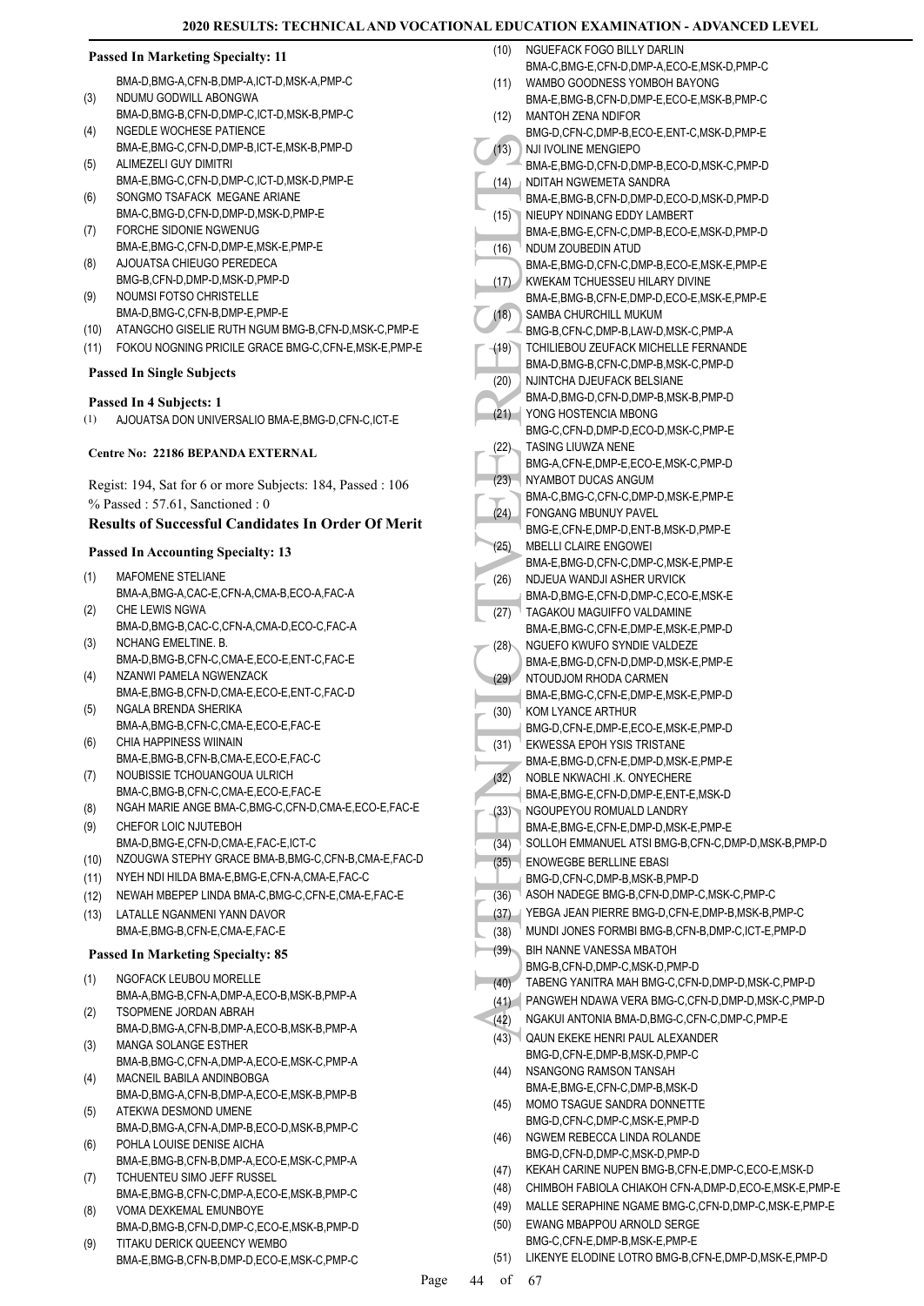|  | <b>Passed In Marketing Specialty: 11</b> |  |
|--|------------------------------------------|--|
|  |                                          |  |

BMA-D,BMG-A,CFN-B,DMP-A,ICT-D,MSK-A,PMP-C NDUMU GODWILL ABONGWA

- BMA-D,BMG-B,CFN-D,DMP-C,ICT-D,MSK-B,PMP-C (3) NGEDLE WOCHESE PATIENCE (4)
- BMA-E,BMG-C,CFN-D,DMP-B,ICT-E,MSK-B,PMP-D ALIMEZELI GUY DIMITRI (5)
- BMA-E,BMG-C,CFN-D,DMP-C,ICT-D,MSK-D,PMP-E SONGMO TSAFACK MEGANE ARIANE (6)
- BMA-C,BMG-D,CFN-D,DMP-D,MSK-D,PMP-E FORCHE SIDONIE NGWENUG
- BMA-E,BMG-C,CFN-D,DMP-E,MSK-E,PMP-E (7) AJOUATSA CHIEUGO PEREDECA (8)
- BMG-B,CFN-D,DMP-D,MSK-D,PMP-D NOUMSI FOTSO CHRISTELLE (9)
- BMA-D,BMG-C,CFN-B,DMP-E,PMP-E
- (10) ATANGCHO GISELIE RUTH NGUM BMG-B,CFN-D,MSK-C,PMP-E (11) FOKOU NOGNING PRICILE GRACE BMG-C,CFN-E,MSK-E,PMP-E

# **Passed In Single Subjects**

#### **Passed In 4 Subjects: 1**

(1) AJOUATSA DON UNIVERSALIO BMA-E,BMG-D,CFN-C,ICT-E

#### **Centre No: 22186 BEPANDA EXTERNAL**

Regist: 194, Sat for 6 or more Subjects: 184, Passed : 106 % Passed : 57.61, Sanctioned : 0

### **Results of Successful Candidates In Order Of Merit**

#### **Passed In Accounting Specialty: 13**

- MAFOMENE STELIANE BMA-A,BMG-A,CAC-E,CFN-A,CMA-B,ECO-A,FAC-A (1)
- CHE LEWIS NGWA BMA-D,BMG-B,CAC-C,CFN-A,CMA-D,ECO-C,FAC-A (2)
- NCHANG EMELTINE. B. BMA-D,BMG-B,CFN-C,CMA-E,ECO-E,ENT-C,FAC-E (3)
- (4) NZANWI PAMELA NGWENZACK BMA-E,BMG-B,CFN-D,CMA-E,ECO-E,ENT-C,FAC-D
- (5) NGALA BRENDA SHERIKA BMA-A,BMG-B,CFN-C,CMA-E,ECO-E,FAC-E
- CHIA HAPPINESS WIINAIN BMA-E,BMG-B,CFN-B,CMA-E,ECO-E,FAC-C (6)
- NOUBISSIE TCHOUANGOUA ULRICH BMA-C,BMG-B,CFN-C,CMA-E,ECO-E,FAC-E (7)
- (8) NGAH MARIE ANGE BMA-C,BMG-C,CFN-D,CMA-E,ECO-E,FAC-E
- CHEFOR LOIC NJUTEBOH BMA-D,BMG-E,CFN-D,CMA-E,FAC-E,ICT-C (9)
- (10) NZOUGWA STEPHY GRACE BMA-B,BMG-C,CFN-B,CMA-E,FAC-D
- (11) NYEH NDI HILDA BMA-E,BMG-E,CFN-A,CMA-E,FAC-C
- (12) NEWAH MBEPEP LINDA BMA-C,BMG-C,CFN-E,CMA-E,FAC-E
- LATALLE NGANMENI YANN DAVOR BMA-E,BMG-B,CFN-E,CMA-E,FAC-E (13)

#### **Passed In Marketing Specialty: 85**

- NGOFACK LEUBOU MORELLE BMA-A,BMG-B,CFN-A,DMP-A,ECO-B,MSK-B,PMP-A (1)
- TSOPMENE JORDAN ABRAH BMA-D,BMG-A,CFN-B,DMP-A,ECO-B,MSK-B,PMP-A (2)
- MANGA SOLANGE ESTHER BMA-B,BMG-C,CFN-A,DMP-A,ECO-E,MSK-C,PMP-A (3)
- MACNEIL BABILA ANDINBOBGA BMA-D,BMG-A,CFN-B,DMP-A,ECO-E,MSK-B,PMP-B (4) ATEKWA DESMOND UMENE
- BMA-D,BMG-A,CFN-A,DMP-B,ECO-D,MSK-B,PMP-C (5) POHLA LOUISE DENISE AICHA (6)
- BMA-E,BMG-B,CFN-B,DMP-A,ECO-E,MSK-C,PMP-A TCHUENTEU SIMO JEFF RUSSEL (7)
- BMA-E,BMG-B,CFN-C,DMP-A,ECO-E,MSK-B,PMP-C VOMA DEXKEMAL EMUNBOYE (8)
- BMA-D,BMG-B,CFN-D,DMP-C,ECO-E,MSK-B,PMP-D
- TITAKU DERICK QUEENCY WEMBO BMA-E,BMG-B,CFN-B,DMP-D,ECO-E,MSK-C,PMP-C (9)

| (10) | NGUEFACK FOGO BILLY DARLIN                                                |
|------|---------------------------------------------------------------------------|
|      | BMA-C,BMG-E,CFN-D,DMP-A,ECO-E,MSK-D,PMP-C                                 |
| (11) | WAMBO GOODNESS YOMBOH BAYONG<br>BMA-E,BMG-B,CFN-D,DMP-E,ECO-E,MSK-B,PMP-C |
| (12) | MANTOH ZENA NDIFOR                                                        |
|      | BMG-D,CFN-C,DMP-B,ECO-E,ENT-C,MSK-D,PMP-E                                 |
| (13) | NJI IVOLINE MENGIEPO                                                      |
|      | BMA-E,BMG-D,CFN-D,DMP-B,ECO-D,MSK-C,PMP-D                                 |
| (14) | NDITAH NGWEMETA SANDRA                                                    |
|      | BMA-E,BMG-B,CFN-D,DMP-D,ECO-D,MSK-D,PMP-D                                 |
| (15) | NIEUPY NDINANG EDDY LAMBERT                                               |
| (16) | BMA-E.BMG-E.CFN-C.DMP-B.ECO-E.MSK-D.PMP-D<br>NDUM ZOUBEDIN ATUD           |
|      | BMA-E,BMG-D,CFN-C,DMP-B,ECO-E,MSK-E,PMP-E                                 |
| (17) | KWEKAM TCHUESSEU HILARY DIVINE                                            |
|      | BMA-E,BMG-B,CFN-E,DMP-D,ECO-E,MSK-E,PMP-E                                 |
| (18) | SAMBA CHURCHILL MUKUM                                                     |
|      | BMG-B,CFN-C,DMP-B,LAW-D,MSK-C,PMP-A                                       |
| (19) | TCHILIEBOU ZEUFACK MICHELLE FERNANDE                                      |
|      | BMA-D,BMG-B,CFN-C,DMP-B,MSK-C,PMP-D<br>NJINTCHA DJEUFACK BELSIANE         |
| (20) | BMA-D,BMG-D,CFN-D,DMP-B,MSK-B,PMP-D                                       |
| (21) | YONG HOSTENCIA MBONG                                                      |
|      | BMG-C,CFN-D,DMP-D,ECO-D,MSK-C,PMP-E                                       |
| (22) | TASING LIUWZA NENE                                                        |
|      | BMG-A,CFN-E,DMP-E,ECO-E,MSK-C,PMP-D                                       |
| (23) | NYAMBOT DUCAS ANGUM                                                       |
|      | BMA-C, BMG-C, CFN-C, DMP-D, MSK-E, PMP-E                                  |
| (24) | FONGANG MBUNUY PAVEL<br>BMG-E,CFN-E,DMP-D,ENT-B,MSK-D,PMP-E               |
| (25) | <b>MBELLI CLAIRE ENGOWEI</b>                                              |
|      | BMA-E, BMG-D, CFN-C, DMP-C, MSK-E, PMP-E                                  |
| (26) | NDJEUA WANDJI ASHER URVICK                                                |
|      | BMA-D, BMG-E, CFN-D, DMP-C, ECO-E, MSK-E                                  |
| (27) | TAGAKOU MAGUIFFO VALDAMINE                                                |
|      | BMA-E, BMG-C, CFN-E, DMP-E, MSK-E, PMP-D                                  |
| (28) | NGUEFO KWUFO SYNDIE VALDEZE<br>BMA-E,BMG-D,CFN-D,DMP-D,MSK-E,PMP-E        |
| (29) | NTOUDJOM RHODA CARMEN                                                     |
|      | BMA-E, BMG-C, CFN-E, DMP-E, MSK-E, PMP-D                                  |
| (30) | KOM LYANCE ARTHUR                                                         |
|      | BMG-D,CFN-E,DMP-E,ECO-E,MSK-E,PMP-D                                       |
| (31) | EKWESSA EPOH YSIS TRISTANE                                                |
| (32) | BMA-E, BMG-D, CFN-E, DMP-D, MSK-E, PMP-E<br>NOBLE NKWACHI .K. ONYECHERE   |
|      | BMA-E, BMG-E, CFN-D, DMP-E, ENT-E, MSK-D                                  |
| (33) | NGOUPEYOU ROMUALD LANDRY                                                  |
|      | BMA-E, BMG-E, CFN-E, DMP-D, MSK-E, PMP-E                                  |
| (34) | SOLLOH EMMANUEL ATSI BMG-B,CFN-C,DMP-D,MSK-B,PMP-D                        |
| (35) | <b>ENOWEGBE BERLLINE EBASI</b>                                            |
|      | BMG-D,CFN-C,DMP-B,MSK-B,PMP-D                                             |
| (36) | ASOH NADEGE BMG-B, CFN-D, DMP-C, MSK-C, PMP-C                             |
| (37) | YEBGA JEAN PIERRE BMG-D, CFN-E, DMP-B, MSK-B, PMP-C                       |
| (38) | MUNDI JONES FORMBI BMG-B, CFN-B, DMP-C, ICT-E, PMP-D                      |
| (39) | BIH NANNE VANESSA MBATOH<br>BMG-B.CFN-D.DMP-C.MSK-D.PMP-D                 |
| (40) | TABENG YANITRA MAH BMG-C, CFN-D, DMP-D, MSK-C, PMP-D                      |
| (41) | PANGWEH NDAWA VERA BMG-C, CFN-D, DMP-D, MSK-C, PMP-D                      |
| (42) | NGAKUI ANTONIA BMA-D, BMG-C, CFN-C, DMP-C, PMP-E                          |
| (43) | <b>QAUN EKEKE HENRI PAUL ALEXANDER</b>                                    |
|      | BMG-D,CFN-E,DMP-B,MSK-D,PMP-C                                             |
| (44) | NSANGONG RAMSON TANSAH                                                    |
|      | BMA-E,BMG-E,CFN-C,DMP-B,MSK-D                                             |
| (45) | MOMO TSAGUE SANDRA DONNETTE                                               |
| (46) | BMG-D,CFN-C,DMP-C,MSK-E,PMP-D<br>NGWEM REBECCA LINDA ROLANDE              |
|      | BMG-D,CFN-D,DMP-C,MSK-D,PMP-D                                             |
| (47) | KEKAH CARINE NUPEN BMG-B, CFN-E, DMP-C, ECO-E, MSK-D                      |
| (48) | CHIMBOH FABIOLA CHIAKOH CFN-A, DMP-D, ECO-E, MSK-E, PMP-E                 |
| (49) | MALLE SERAPHINE NGAME BMG-C, CFN-D, DMP-C, MSK-E, PMP-E                   |
| (50) | EWANG MBAPPOU ARNOLD SERGE                                                |
|      | BMG-C.CFN-E.DMP-B.MSK-E.PMP-E                                             |

(51) LIKENYE ELODINE LOTRO BMG-B,CFN-E,DMP-D,MSK-E,PMP-D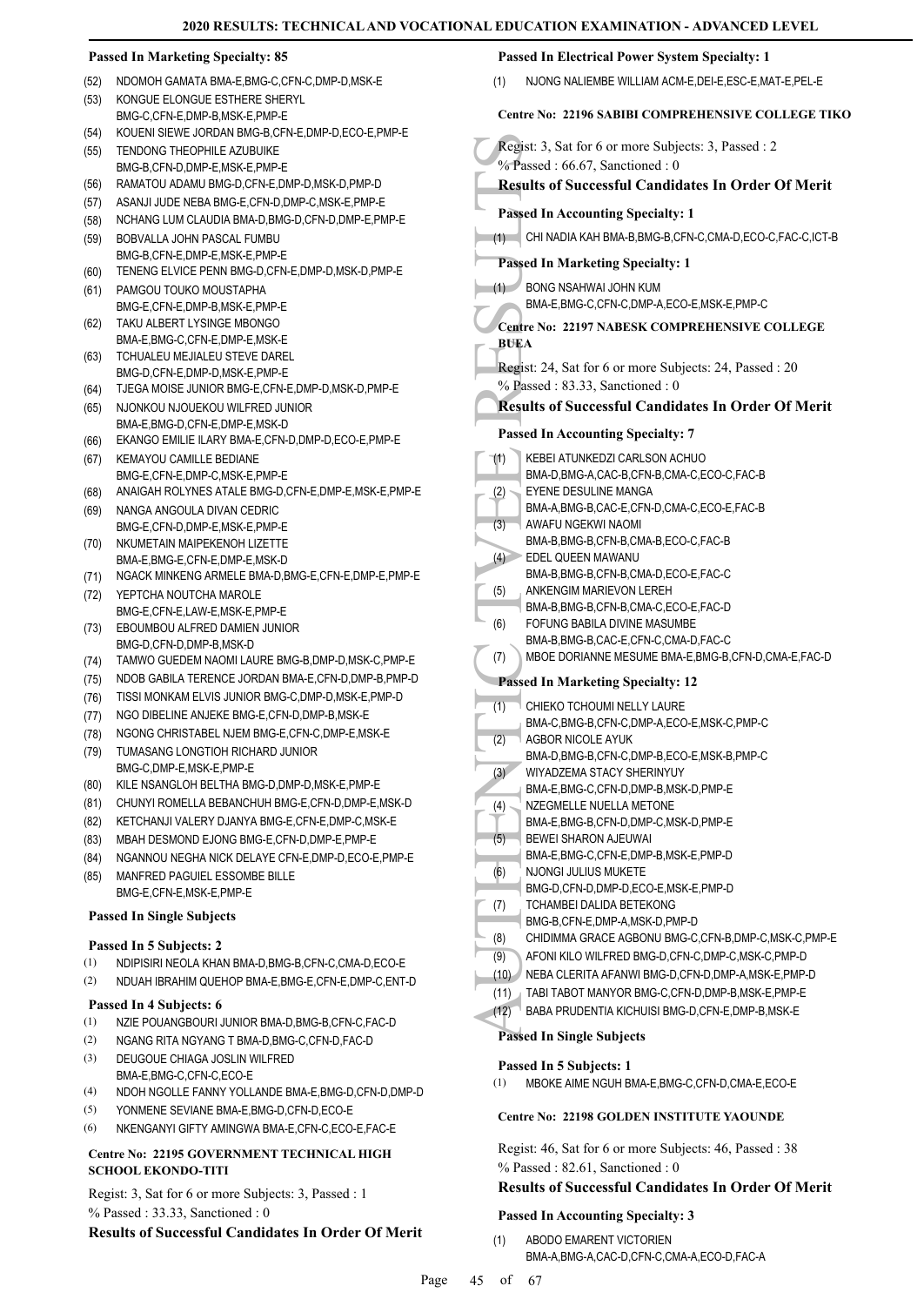|              | <b>Passed In Marketing Specialty: 85</b>                                                               | Passed In Electrical Power System Specialty: 1                                                  |
|--------------|--------------------------------------------------------------------------------------------------------|-------------------------------------------------------------------------------------------------|
| (52)         | NDOMOH GAMATA BMA-E, BMG-C, CFN-C, DMP-D, MSK-E                                                        | NJONG NALIEMBE WILLIAM ACM-E, DEI-E, ESC-E, MAT-E, PEL-E<br>(1)                                 |
| (53)         | KONGUE ELONGUE ESTHERE SHERYL                                                                          |                                                                                                 |
|              | BMG-C,CFN-E,DMP-B,MSK-E,PMP-E                                                                          | <b>Centre No: 22196 SABIBI COMPREHENSIVE COLLEGE TIKO</b>                                       |
| (54)<br>(55) | KOUENI SIEWE JORDAN BMG-B,CFN-E,DMP-D,ECO-E,PMP-E<br>TENDONG THEOPHILE AZUBUIKE                        | Regist: 3, Sat for 6 or more Subjects: 3, Passed: 2                                             |
|              | BMG-B,CFN-D,DMP-E,MSK-E,PMP-E                                                                          | % Passed: 66.67, Sanctioned: 0                                                                  |
| (56)         | RAMATOU ADAMU BMG-D,CFN-E,DMP-D,MSK-D,PMP-D                                                            | <b>Results of Successful Candidates In Order Of Merit</b>                                       |
| (57)         | ASANJI JUDE NEBA BMG-E,CFN-D,DMP-C,MSK-E,PMP-E                                                         | <b>Passed In Accounting Specialty: 1</b>                                                        |
| (58)         | NCHANG LUM CLAUDIA BMA-D, BMG-D, CFN-D, DMP-E, PMP-E                                                   |                                                                                                 |
| (59)         | BOBVALLA JOHN PASCAL FUMBU<br>BMG-B,CFN-E,DMP-E,MSK-E,PMP-E                                            | CHI NADIA KAH BMA-B, BMG-B, CFN-C, CMA-D, ECO-C, FAC-C, ICT-B<br>(1)                            |
| (60)         | TENENG ELVICE PENN BMG-D,CFN-E,DMP-D,MSK-D,PMP-E                                                       | <b>Passed In Marketing Specialty: 1</b>                                                         |
| (61)         | PAMGOU TOUKO MOUSTAPHA                                                                                 | BONG NSAHWAI JOHN KUM<br>$\left(1\right)$                                                       |
|              | BMG-E,CFN-E,DMP-B,MSK-E,PMP-E                                                                          | BMA-E,BMG-C,CFN-C,DMP-A,ECO-E,MSK-E,PMP-C                                                       |
| (62)         | TAKU ALBERT LYSINGE MBONGO<br>BMA-E,BMG-C,CFN-E,DMP-E,MSK-E                                            | <b>Centre No: 22197 NABESK COMPREHENSIVE COLLEGE</b>                                            |
| (63)         | TCHUALEU MEJIALEU STEVE DAREL                                                                          | <b>BUEA</b>                                                                                     |
|              | BMG-D,CFN-E,DMP-D,MSK-E,PMP-E                                                                          | Regist: 24, Sat for 6 or more Subjects: 24, Passed : 20                                         |
| (64)         | TJEGA MOISE JUNIOR BMG-E, CFN-E, DMP-D, MSK-D, PMP-E                                                   | $%$ Passed: 83.33, Sanctioned: 0                                                                |
| (65)         | NJONKOU NJOUEKOU WILFRED JUNIOR                                                                        | <b>Results of Successful Candidates In Order Of Merit</b>                                       |
| (66)         | BMA-E, BMG-D, CFN-E, DMP-E, MSK-D<br>EKANGO EMILIE ILARY BMA-E,CFN-D,DMP-D,ECO-E,PMP-E                 | <b>Passed In Accounting Specialty: 7</b>                                                        |
| (67)         | KEMAYOU CAMILLE BEDIANE                                                                                | KEBEI ATUNKEDZI CARLSON ACHUO<br>(1)                                                            |
|              | BMG-E,CFN-E,DMP-C,MSK-E,PMP-E                                                                          | BMA-D, BMG-A, CAC-B, CFN-B, CMA-C, ECO-C, FAC-B<br>EYENE DESULINE MANGA                         |
| (68)<br>(69) | ANAIGAH ROLYNES ATALE BMG-D, CFN-E, DMP-E, MSK-E, PMP-E<br>NANGA ANGOULA DIVAN CEDRIC                  | (2)<br>BMA-A, BMG-B, CAC-E, CFN-D, CMA-C, ECO-E, FAC-B                                          |
|              | BMG-E,CFN-D,DMP-E,MSK-E,PMP-E                                                                          | (3)<br>AWAFU NGEKWI NAOMI                                                                       |
| (70)         | NKUMETAIN MAIPEKENOH LIZETTE                                                                           | BMA-B, BMG-B, CFN-B, CMA-B, ECO-C, FAC-B                                                        |
|              | BMA-E,BMG-E,CFN-E,DMP-E,MSK-D                                                                          | (4) EDEL QUEEN MAWANU                                                                           |
| (71)         | NGACK MINKENG ARMELE BMA-D, BMG-E, CFN-E, DMP-E, PMP-E                                                 | BMA-B, BMG-B, CFN-B, CMA-D, ECO-E, FAC-C<br>ANKENGIM MARIEVON LEREH<br>(5)                      |
| (72)         | YEPTCHA NOUTCHA MAROLE<br>BMG-E,CFN-E,LAW-E,MSK-E,PMP-E                                                | BMA-B, BMG-B, CFN-B, CMA-C, ECO-E, FAC-D                                                        |
| (73)         | EBOUMBOU ALFRED DAMIEN JUNIOR                                                                          | (6)<br>FOFUNG BABILA DIVINE MASUMBE                                                             |
|              | BMG-D,CFN-D,DMP-B,MSK-D                                                                                | BMA-B, BMG-B, CAC-E, CFN-C, CMA-D, FAC-C                                                        |
| (74)         | TAMWO GUEDEM NAOMI LAURE BMG-B, DMP-D, MSK-C, PMP-E                                                    | MBOE DORIANNE MESUME BMA-E, BMG-B, CFN-D, CMA-E, FAC-D<br>(7)                                   |
| (75)         | NDOB GABILA TERENCE JORDAN BMA-E,CFN-D,DMP-B,PMP-D                                                     | <b>Passed In Marketing Specialty: 12</b>                                                        |
| (76)<br>(77) | TISSI MONKAM ELVIS JUNIOR BMG-C, DMP-D, MSK-E, PMP-D<br>NGO DIBELINE ANJEKE BMG-E, CFN-D, DMP-B, MSK-E | (1)<br>CHIEKO TCHOUMI NELLY LAURE                                                               |
| (78)         | NGONG CHRISTABEL NJEM BMG-E, CFN-C, DMP-E, MSK-E                                                       | BMA-C,BMG-B,CFN-C,DMP-A,ECO-E,MSK-C,PMP-C                                                       |
| (79)         | TUMASANG LONGTIOH RICHARD JUNIOR                                                                       | (2)<br>AGBOR NICOLE AYUK<br>BMA-D, BMG-B, CFN-C, DMP-B, ECO-E, MSK-B, PMP-C                     |
|              | BMG-C,DMP-E,MSK-E,PMP-E                                                                                | (3)<br>WIYADZEMA STACY SHERINYUY                                                                |
| (80)         | KILE NSANGLOH BELTHA BMG-D, DMP-D, MSK-E, PMP-E                                                        | BMA-E,BMG-C,CFN-D,DMP-B,MSK-D,PMP-E                                                             |
| (81)         | CHUNYI ROMELLA BEBANCHUH BMG-E,CFN-D,DMP-E,MSK-D                                                       | NZEGMELLE NUELLA METONE<br>(4)                                                                  |
| (82)         | KETCHANJI VALERY DJANYA BMG-E,CFN-E,DMP-C,MSK-E                                                        | BMA-E, BMG-B, CFN-D, DMP-C, MSK-D, PMP-E                                                        |
| (83)         | MBAH DESMOND EJONG BMG-E, CFN-D, DMP-E, PMP-E<br>NGANNOU NEGHA NICK DELAYE CFN-E, DMP-D, ECO-E, PMP-E  | (5)<br><b>BEWEI SHARON AJEUWAI</b><br>BMA-E,BMG-C,CFN-E,DMP-B,MSK-E,PMP-D                       |
| (84)<br>(85) | MANFRED PAGUIEL ESSOMBE BILLE                                                                          | NJONGI JULIUS MUKETE<br>(6)                                                                     |
|              | BMG-E,CFN-E,MSK-E,PMP-E                                                                                | BMG-D,CFN-D,DMP-D,ECO-E,MSK-E,PMP-D                                                             |
|              | <b>Passed In Single Subjects</b>                                                                       | TCHAMBEI DALIDA BETEKONG<br>(7)                                                                 |
|              |                                                                                                        | BMG-B,CFN-E,DMP-A,MSK-D,PMP-D<br>CHIDIMMA GRACE AGBONU BMG-C, CFN-B, DMP-C, MSK-C, PMP-E<br>(8) |
|              | Passed In 5 Subjects: 2                                                                                | AFONI KILO WILFRED BMG-D,CFN-C,DMP-C,MSK-C,PMP-D<br>(9)                                         |
| (1)          | NDIPISIRI NEOLA KHAN BMA-D, BMG-B, CFN-C, CMA-D, ECO-E                                                 | (10) NEBA CLERITA AFANWI BMG-D, CFN-D, DMP-A, MSK-E, PMP-D                                      |
| (2)          | NDUAH IBRAHIM QUEHOP BMA-E, BMG-E, CFN-E, DMP-C, ENT-D                                                 | TABI TABOT MANYOR BMG-C, CFN-D, DMP-B, MSK-E, PMP-E<br>(11)                                     |
|              | Passed In 4 Subjects: 6                                                                                | BABA PRUDENTIA KICHUISI BMG-D, CFN-E, DMP-B, MSK-E<br>(12)                                      |
| (1)<br>(2)   | NZIE POUANGBOURI JUNIOR BMA-D, BMG-B, CFN-C, FAC-D<br>NGANG RITA NGYANG T BMA-D, BMG-C, CFN-D, FAC-D   | <b>Passed In Single Subjects</b>                                                                |
| (3)          | DEUGOUE CHIAGA JOSLIN WILFRED                                                                          |                                                                                                 |
|              | BMA-E,BMG-C,CFN-C,ECO-E                                                                                | Passed In 5 Subjects: 1                                                                         |
| (4)          | NDOH NGOLLE FANNY YOLLANDE BMA-E, BMG-D, CFN-D, DMP-D                                                  | (1)<br>MBOKE AIME NGUH BMA-E, BMG-C, CFN-D, CMA-E, ECO-E                                        |
| (5)          | YONMENE SEVIANE BMA-E, BMG-D, CFN-D, ECO-E                                                             | <b>Centre No: 22198 GOLDEN INSTITUTE YAOUNDE</b>                                                |
| (6)          | NKENGANYI GIFTY AMINGWA BMA-E,CFN-C,ECO-E,FAC-E                                                        |                                                                                                 |
|              | Centre No: 22195 GOVERNMENT TECHNICAL HIGH                                                             | Regist: 46, Sat for 6 or more Subjects: 46, Passed: 38                                          |

# **SCHOOL EKONDO-TITI**

Regist: 3, Sat for 6 or more Subjects: 3, Passed : 1 % Passed : 33.33, Sanctioned : 0

**Results of Successful Candidates In Order Of Merit**

**Passed In Accounting Specialty: 3**

% Passed : 82.61, Sanctioned : 0

ABODO EMARENT VICTORIEN BMA-A,BMG-A,CAC-D,CFN-C,CMA-A,ECO-D,FAC-A (1)

**Results of Successful Candidates In Order Of Merit**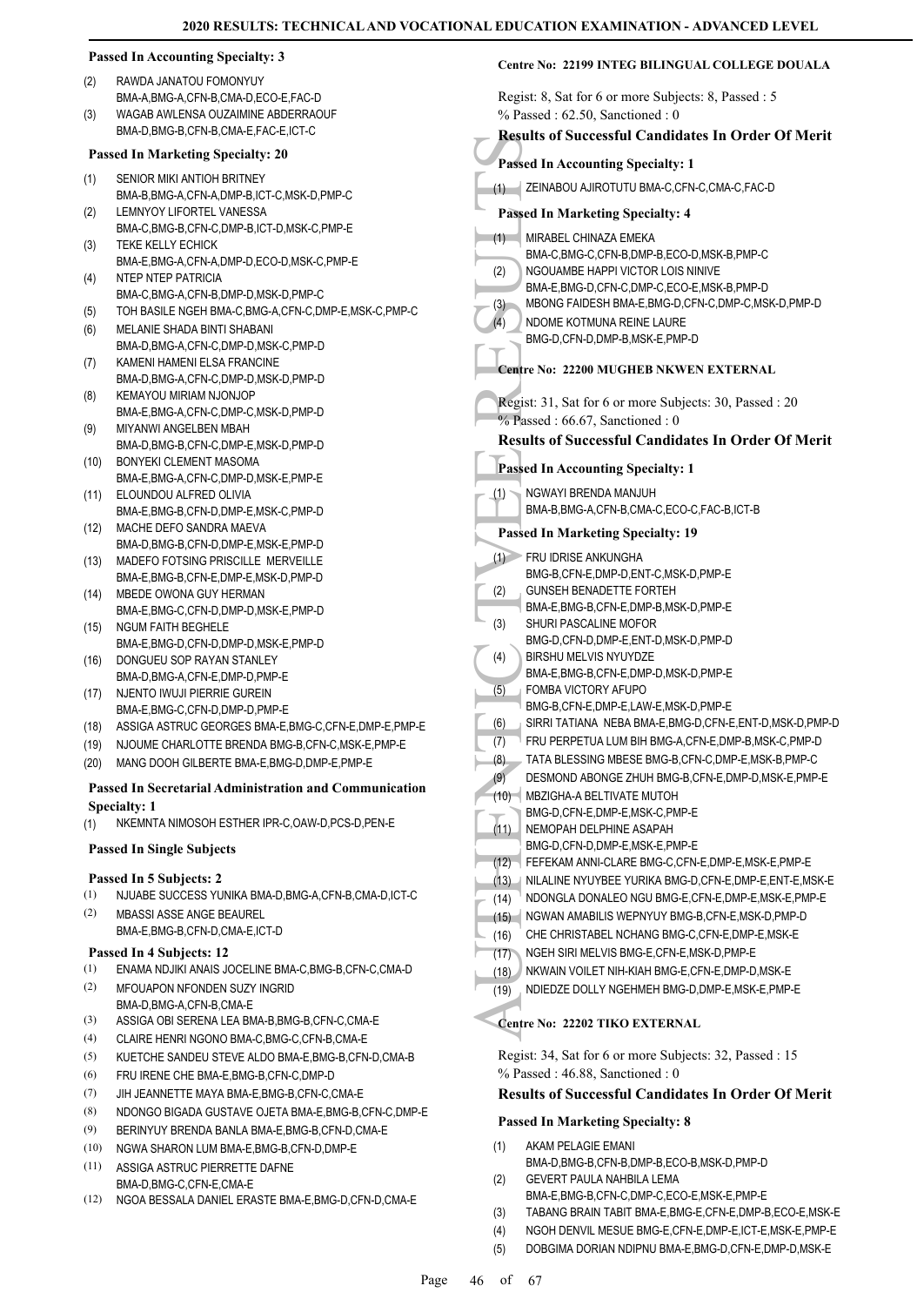|            | <b>Passed In Accounting Specialty: 3</b>                                                        | Centre No: 22199 INTEG BILINGUAL COLLEGE DOUALA                                                 |
|------------|-------------------------------------------------------------------------------------------------|-------------------------------------------------------------------------------------------------|
| (2)        | RAWDA JANATOU FOMONYUY<br>BMA-A, BMG-A, CFN-B, CMA-D, ECO-E, FAC-D                              | Regist: 8, Sat for 6 or more Subjects: 8, Passed : 5                                            |
| (3)        | WAGAB AWLENSA OUZAIMINE ABDERRAOUF                                                              | $%$ Passed: 62.50, Sanctioned: 0                                                                |
|            | BMA-D, BMG-B, CFN-B, CMA-E, FAC-E, ICT-C                                                        | <b>Results of Successful Candidates In Order Of Merit</b>                                       |
|            | <b>Passed In Marketing Specialty: 20</b>                                                        | <b>Passed In Accounting Specialty: 1</b>                                                        |
| (1)        | SENIOR MIKI ANTIOH BRITNEY                                                                      |                                                                                                 |
| (2)        | BMA-B, BMG-A, CFN-A, DMP-B, ICT-C, MSK-D, PMP-C<br>LEMNYOY LIFORTEL VANESSA                     | ZEINABOU AJIROTUTU BMA-C, CFN-C, CMA-C, FAC-D<br>(1)<br><b>Passed In Marketing Specialty: 4</b> |
|            | BMA-C,BMG-B,CFN-C,DMP-B,ICT-D,MSK-C,PMP-E                                                       | MIRABEL CHINAZA EMEKA                                                                           |
| (3)        | <b>TEKE KELLY ECHICK</b>                                                                        | (1)<br>BMA-C,BMG-C,CFN-B,DMP-B,ECO-D,MSK-B,PMP-C                                                |
|            | BMA-E,BMG-A,CFN-A,DMP-D,ECO-D,MSK-C,PMP-E                                                       | NGOUAMBE HAPPI VICTOR LOIS NINIVE<br>(2)                                                        |
| (4)        | NTEP NTEP PATRICIA                                                                              | BMA-E,BMG-D,CFN-C,DMP-C,ECO-E,MSK-B,PMP-D                                                       |
|            | BMA-C,BMG-A,CFN-B,DMP-D,MSK-D,PMP-C<br>TOH BASILE NGEH BMA-C, BMG-A, CFN-C, DMP-E, MSK-C, PMP-C | MBONG FAIDESH BMA-E, BMG-D, CFN-C, DMP-C, MSK-D, PMP-D<br>(3)                                   |
| (5)<br>(6) | MELANIE SHADA BINTI SHABANI                                                                     | (4)<br>NDOME KOTMUNA REINE LAURE                                                                |
|            | BMA-D,BMG-A,CFN-C,DMP-D,MSK-C,PMP-D                                                             | BMG-D,CFN-D,DMP-B,MSK-E,PMP-D                                                                   |
| (7)        | KAMENI HAMENI ELSA FRANCINE                                                                     |                                                                                                 |
|            | BMA-D, BMG-A, CFN-C, DMP-D, MSK-D, PMP-D                                                        | Centre No: 22200 MUGHEB NKWEN EXTERNAL                                                          |
| (8)        | KEMAYOU MIRIAM NJONJOP                                                                          | Regist: 31, Sat for 6 or more Subjects: 30, Passed : 20                                         |
|            | BMA-E,BMG-A,CFN-C,DMP-C,MSK-D,PMP-D                                                             | $%$ Passed: 66.67, Sanctioned: 0                                                                |
| (9)        | MIYANWI ANGELBEN MBAH                                                                           | <b>Results of Successful Candidates In Order Of Merit</b>                                       |
|            | BMA-D, BMG-B, CFN-C, DMP-E, MSK-D, PMP-D                                                        |                                                                                                 |
| (10)       | BONYEKI CLEMENT MASOMA                                                                          | <b>Passed In Accounting Specialty: 1</b>                                                        |
| (11)       | BMA-E, BMG-A, CFN-C, DMP-D, MSK-E, PMP-E<br>ELOUNDOU ALFRED OLIVIA                              | NGWAYI BRENDA MANJUH<br>(1)                                                                     |
|            | BMA-E, BMG-B, CFN-D, DMP-E, MSK-C, PMP-D                                                        | BMA-B, BMG-A, CFN-B, CMA-C, ECO-C, FAC-B, ICT-B                                                 |
| (12)       | MACHE DEFO SANDRA MAEVA                                                                         |                                                                                                 |
|            | BMA-D,BMG-B,CFN-D,DMP-E,MSK-E,PMP-D                                                             | <b>Passed In Marketing Specialty: 19</b>                                                        |
| (13)       | MADEFO FOTSING PRISCILLE MERVEILLE                                                              | (1) FRU IDRISE ANKUNGHA                                                                         |
|            | BMA-E,BMG-B,CFN-E,DMP-E,MSK-D,PMP-D                                                             | BMG-B,CFN-E,DMP-D,ENT-C,MSK-D,PMP-E                                                             |
| (14)       | MBEDE OWONA GUY HERMAN                                                                          | <b>GUNSEH BENADETTE FORTEH</b><br>(2)                                                           |
|            | BMA-E,BMG-C,CFN-D,DMP-D,MSK-E,PMP-D                                                             | BMA-E,BMG-B,CFN-E,DMP-B,MSK-D,PMP-E<br>SHURI PASCALINE MOFOR                                    |
| (15)       | NGUM FAITH BEGHELE                                                                              | (3)<br>BMG-D,CFN-D,DMP-E,ENT-D,MSK-D,PMP-D                                                      |
| (16)       | BMA-E, BMG-D, CFN-D, DMP-D, MSK-E, PMP-D<br>DONGUEU SOP RAYAN STANLEY                           | (4)<br>BIRSHU MELVIS NYUYDZE                                                                    |
|            | BMA-D, BMG-A, CFN-E, DMP-D, PMP-E                                                               | BMA-E,BMG-B,CFN-E,DMP-D,MSK-D,PMP-E                                                             |
| (17)       | NJENTO IWUJI PIERRIE GUREIN                                                                     | (5)<br>FOMBA VICTORY AFUPO                                                                      |
|            | BMA-E,BMG-C,CFN-D,DMP-D,PMP-E                                                                   | BMG-B,CFN-E,DMP-E,LAW-E,MSK-D,PMP-E                                                             |
| (18)       | ASSIGA ASTRUC GEORGES BMA-E, BMG-C, CFN-E, DMP-E, PMP-E                                         | SIRRI TATIANA NEBA BMA-E, BMG-D, CFN-E, ENT-D, MSK-D, PMP-D<br>(6)                              |
| (19)       | NJOUME CHARLOTTE BRENDA BMG-B,CFN-C,MSK-E,PMP-E                                                 | FRU PERPETUA LUM BIH BMG-A,CFN-E,DMP-B,MSK-C,PMP-D<br>(7)                                       |
| (20)       | MANG DOOH GILBERTE BMA-E, BMG-D, DMP-E, PMP-E                                                   | (8)<br>TATA BLESSING MBESE BMG-B,CFN-C,DMP-E,MSK-B,PMP-C                                        |
|            | <b>Passed In Secretarial Administration and Communication</b>                                   | (9)<br>DESMOND ABONGE ZHUH BMG-B, CFN-E, DMP-D, MSK-E, PMP-E                                    |
|            | <b>Specialty: 1</b>                                                                             | (10) MBZIGHA-A BELTIVATE MUTOH                                                                  |
| (1)        | NKEMNTA NIMOSOH ESTHER IPR-C, OAW-D, PCS-D, PEN-E                                               | BMG-D,CFN-E,DMP-E,MSK-C,PMP-E<br>NEMOPAH DELPHINE ASAPAH<br>(11)                                |
|            |                                                                                                 | BMG-D,CFN-D,DMP-E,MSK-E,PMP-E                                                                   |
|            | <b>Passed In Single Subjects</b>                                                                | FEFEKAM ANNI-CLARE BMG-C,CFN-E,DMP-E,MSK-E,PMP-E<br>(12)                                        |
|            | Passed In 5 Subjects: 2                                                                         | (13) INILALINE NYUYBEE YURIKA BMG-D, CFN-E, DMP-E, ENT-E, MSK-E                                 |
| (1)        | NJUABE SUCCESS YUNIKA BMA-D, BMG-A, CFN-B, CMA-D, ICT-C                                         | NDONGLA DONALEO NGU BMG-E,CFN-E,DMP-E,MSK-E,PMP-E<br>(14)                                       |
| (2)        | <b>MBASSI ASSE ANGE BEAUREL</b>                                                                 | NGWAN AMABILIS WEPNYUY BMG-B,CFN-E,MSK-D,PMP-D<br>(15)                                          |
|            | BMA-E,BMG-B,CFN-D,CMA-E,ICT-D                                                                   | CHE CHRISTABEL NCHANG BMG-C, CFN-E, DMP-E, MSK-E<br>(16)                                        |
|            | Passed In 4 Subjects: 12                                                                        | NGEH SIRI MELVIS BMG-E,CFN-E,MSK-D,PMP-E<br>(17)                                                |
| (1)        | ENAMA NDJIKI ANAIS JOCELINE BMA-C, BMG-B, CFN-C, CMA-D                                          | NKWAIN VOILET NIH-KIAH BMG-E,CFN-E,DMP-D,MSK-E<br>(18)                                          |
| (2)        | <b>MFOUAPON NFONDEN SUZY INGRID</b>                                                             | NDIEDZE DOLLY NGEHMEH BMG-D, DMP-E, MSK-E, PMP-E<br>(19)                                        |
|            | BMA-D,BMG-A,CFN-B,CMA-E                                                                         |                                                                                                 |
| (3)        | ASSIGA OBI SERENA LEA BMA-B, BMG-B, CFN-C, CMA-E                                                | Centre No: 22202 TIKO EXTERNAL                                                                  |
| (4)        | CLAIRE HENRI NGONO BMA-C, BMG-C, CFN-B, CMA-E                                                   |                                                                                                 |
| (5)        | KUETCHE SANDEU STEVE ALDO BMA-E, BMG-B, CFN-D, CMA-B                                            | Regist: 34, Sat for 6 or more Subjects: 32, Passed: 15                                          |
| (6)        | FRU IRENE CHE BMA-E, BMG-B, CFN-C, DMP-D                                                        | % Passed: 46.88, Sanctioned: 0                                                                  |
| (7)        | JIH JEANNETTE MAYA BMA-E, BMG-B, CFN-C, CMA-E                                                   | <b>Results of Successful Candidates In Order Of Merit</b>                                       |
| (8)        | NDONGO BIGADA GUSTAVE OJETA BMA-E, BMG-B, CFN-C, DMP-E                                          | <b>Passed In Marketing Specialty: 8</b>                                                         |
| (9)        | BERINYUY BRENDA BANLA BMA-E, BMG-B, CFN-D, CMA-E                                                |                                                                                                 |
| (10)       | NGWA SHARON LUM BMA-E, BMG-B, CFN-D, DMP-E                                                      | (1)<br>AKAM PELAGIE EMANI                                                                       |
| (11)       | ASSIGA ASTRUC PIERRETTE DAFNE                                                                   | BMA-D,BMG-B,CFN-B,DMP-B,ECO-B,MSK-D,PMP-D<br>GEVERT PAULA NAHBILA LEMA<br>(2)                   |
|            | BMA-D, BMG-C, CFN-E, CMA-E<br>(12) NGOA BESSALA DANIEL ERASTE BMA-E BMG-D CEN-D CMA-E           | BMA-E,BMG-B,CFN-C,DMP-C,ECO-E,MSK-E,PMP-E                                                       |

- (12) NGOA BESSALA DANIEL ERASTE BMA-E,BMG-D,CFN-D,CMA-E
- (3) TABANG BRAIN TABIT BMA-E,BMG-E,CFN-E,DMP-B,ECO-E,MSK-E
- (4) NGOH DENVIL MESUE BMG-E,CFN-E,DMP-E,ICT-E,MSK-E,PMP-E
- (5) DOBGIMA DORIAN NDIPNU BMA-E,BMG-D,CFN-E,DMP-D,MSK-E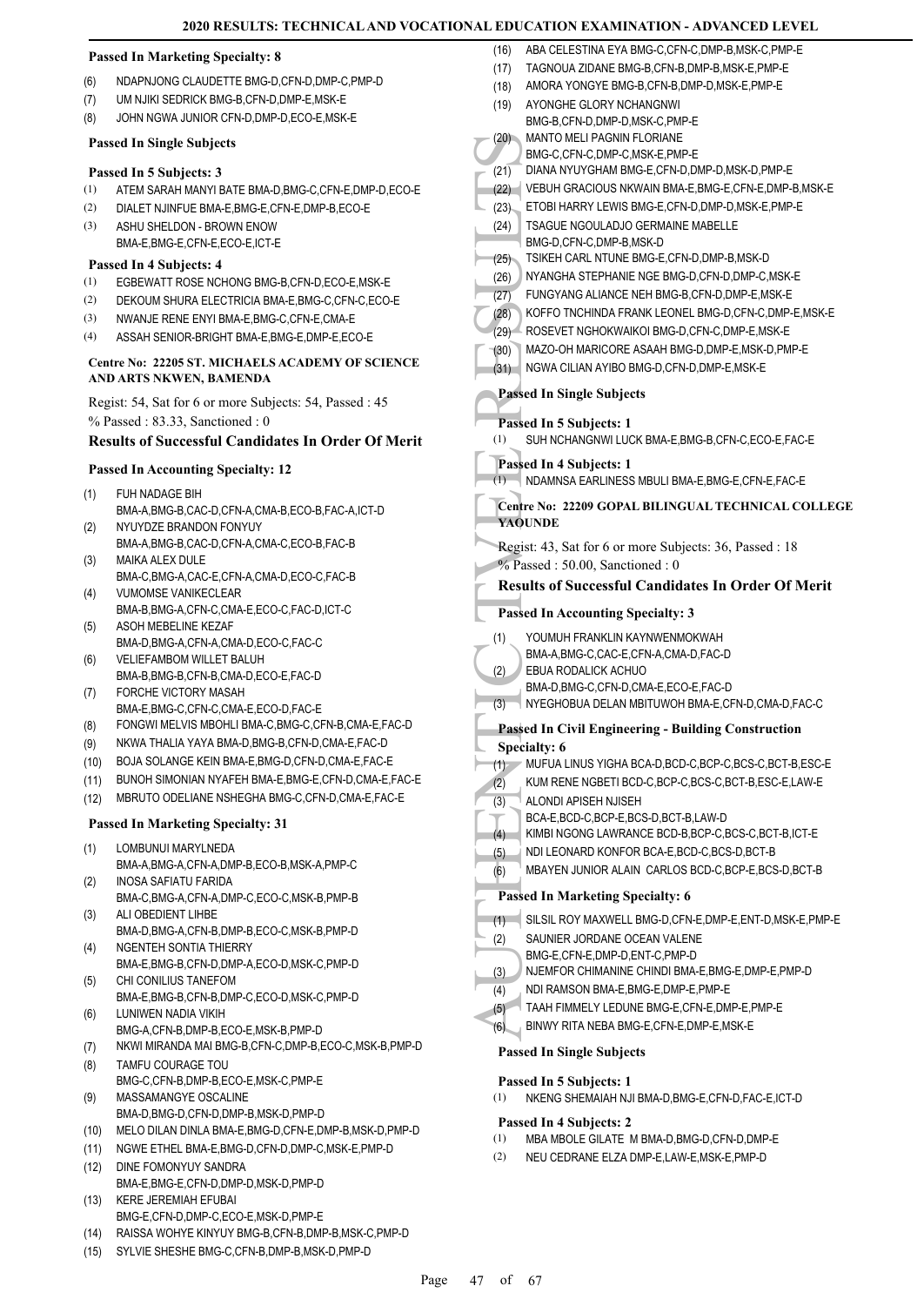#### **Passed In Marketing Specialty: 8**

- (6) NDAPNJONG CLAUDETTE BMG-D,CFN-D,DMP-C,PMP-D
- (7) UM NJIKI SEDRICK BMG-B,CFN-D,DMP-E,MSK-E
- (8) JOHN NGWA JUNIOR CFN-D,DMP-D,ECO-E,MSK-E

#### **Passed In Single Subjects**

#### **Passed In 5 Subjects: 3**

- (1) ATEM SARAH MANYI BATE BMA-D,BMG-C,CFN-E,DMP-D,ECO-E
- (2) DIALET NJINFUE BMA-E,BMG-E,CFN-E,DMP-B,ECO-E
- ASHU SHELDON BROWN ENOW BMA-E,BMG-E,CFN-E,ECO-E,ICT-E (3)

#### **Passed In 4 Subjects: 4**

- (1) EGBEWATT ROSE NCHONG BMG-B,CFN-D,ECO-E,MSK-E
- (2) DEKOUM SHURA ELECTRICIA BMA-E,BMG-C,CFN-C,ECO-E
- (3) NWANJE RENE ENYI BMA-E,BMG-C,CFN-E,CMA-E
- (4) ASSAH SENIOR-BRIGHT BMA-E,BMG-E,DMP-E,ECO-E

#### **Centre No: 22205 ST. MICHAELS ACADEMY OF SCIENCE AND ARTS NKWEN, BAMENDA**

Regist: 54, Sat for 6 or more Subjects: 54, Passed : 45 % Passed : 83.33, Sanctioned : 0

### **Results of Successful Candidates In Order Of Merit**

#### **Passed In Accounting Specialty: 12**

- FUH NADAGE BIH (1)
- BMA-A,BMG-B,CAC-D,CFN-A,CMA-B,ECO-B,FAC-A,ICT-D NYUYDZE BRANDON FONYUY (2)
- BMA-A,BMG-B,CAC-D,CFN-A,CMA-C,ECO-B,FAC-B MAIKA ALEX DULE (3)
- BMA-C,BMG-A,CAC-E,CFN-A,CMA-D,ECO-C,FAC-B VUMOMSE VANIKECLEAR (4)
- BMA-B,BMG-A,CFN-C,CMA-E,ECO-C,FAC-D,ICT-C ASOH MEBELINE KEZAF (5)
- BMA-D,BMG-A,CFN-A,CMA-D,ECO-C,FAC-C VELIEFAMBOM WILLET BALUH (6)
- BMA-B,BMG-B,CFN-B,CMA-D,ECO-E,FAC-D FORCHE VICTORY MASAH (7)
- BMA-E,BMG-C,CFN-C,CMA-E,ECO-D,FAC-E
- (8) FONGWI MELVIS MBOHLI BMA-C,BMG-C,CFN-B,CMA-E,FAC-D
- (9) NKWA THALIA YAYA BMA-D,BMG-B,CFN-D,CMA-E,FAC-D
- (10) BOJA SOLANGE KEIN BMA-E,BMG-D,CFN-D,CMA-E,FAC-E
- (11) BUNOH SIMONIAN NYAFEH BMA-E,BMG-E,CFN-D,CMA-E,FAC-E
- (12) MBRUTO ODELIANE NSHEGHA BMG-C,CFN-D,CMA-E,FAC-E

#### **Passed In Marketing Specialty: 31**

#### LOMBUNUI MARYLNEDA (1)

- BMA-A,BMG-A,CFN-A,DMP-B,ECO-B,MSK-A,PMP-C INOSA SAFIATU FARIDA (2)
- BMA-C,BMG-A,CFN-A,DMP-C,ECO-C,MSK-B,PMP-B ALI OBEDIENT LIHBE (3)
- BMA-D,BMG-A,CFN-B,DMP-B,ECO-C,MSK-B,PMP-D NGENTEH SONTIA THIERRY (4)
- BMA-E,BMG-B,CFN-D,DMP-A,ECO-D,MSK-C,PMP-D CHI CONILIUS TANEFOM (5)
- BMA-E,BMG-B,CFN-B,DMP-C,ECO-D,MSK-C,PMP-D LUNIWEN NADIA VIKIH (6)
- BMG-A,CFN-B,DMP-B,ECO-E,MSK-B,PMP-D
- (7) NKWI MIRANDA MAI BMG-B,CFN-C,DMP-B,ECO-C,MSK-B,PMP-D
- TAMFU COURAGE TOU BMG-C,CFN-B,DMP-B,ECO-E,MSK-C,PMP-E (8) MASSAMANGYE OSCALINE
- BMA-D,BMG-D,CFN-D,DMP-B,MSK-D,PMP-D (9)
- (10) MELO DILAN DINLA BMA-E,BMG-D,CFN-E,DMP-B,MSK-D,PMP-D
- (11) NGWE ETHEL BMA-E,BMG-D,CFN-D,DMP-C,MSK-E,PMP-D
- DINE FOMONYUY SANDRA BMA-E,BMG-E,CFN-D,DMP-D,MSK-D,PMP-D (12)
- KERE JEREMIAH EFUBAI BMG-E,CFN-D,DMP-C,ECO-E,MSK-D,PMP-E (13)
- (14) RAISSA WOHYE KINYUY BMG-B,CFN-B,DMP-B,MSK-C,PMP-D
- (15) SYLVIE SHESHE BMG-C,CFN-B,DMP-B,MSK-D,PMP-D

(20) MANIC BMG-C<br>
(21) DIANA VEBUH<br>
ENG-C<br>
(22) CEBUH<br>
ETOBI I TSAGU<br>
(22) CEBUH<br>
TSAGU<br>
(25) NYANC FUNGY<br>
(26) KOFFO<br>
(27) KOFFO<br>
(28) KOFFO<br>
(27) KOFFO<br>
(28) KOFFO<br>
(29) MAZO-C<br>
(30) MAZO-C<br>
(31) NGWA<br>
Passed In (1) SUH (16) ABA CELESTINA EYA BMG-C,CFN-C,DMP-B,MSK-C,PMP-E (17) TAGNOUA ZIDANE BMG-B,CFN-B,DMP-B,MSK-E,PMP-E (18) AMORA YONGYE BMG-B,CFN-B,DMP-D,MSK-E,PMP-E AYONGHE GLORY NCHANGNWI BMG-B,CFN-D,DMP-D,MSK-C,PMP-E (19) MANTO MELI PAGNIN FLORIANE BMG-C,CFN-C,DMP-C,MSK-E,PMP-E (20) (21) DIANA NYUYGHAM BMG-E,CFN-D,DMP-D,MSK-D,PMP-E (22) VEBUH GRACIOUS NKWAIN BMA-E,BMG-E,CFN-E,DMP-B,MSK-E (23) ETOBI HARRY LEWIS BMG-E,CFN-D,DMP-D,MSK-E,PMP-E TSAGUE NGOULADJO GERMAINE MABELLE BMG-D,CFN-C,DMP-B,MSK-D (24) (25) TSIKEH CARL NTUNE BMG-E,CFN-D,DMP-B,MSK-D (26) NYANGHA STEPHANIE NGE BMG-D,CFN-D,DMP-C,MSK-E (27) FUNGYANG ALIANCE NEH BMG-B,CFN-D,DMP-E,MSK-E (28) KOFFO TNCHINDA FRANK LEONEL BMG-D,CFN-C,DMP-E,MSK-E (29) ROSEVET NGHOKWAIKOI BMG-D,CFN-C,DMP-E,MSK-E (30) MAZO-OH MARICORE ASAAH BMG-D,DMP-E,MSK-D,PMP-E (31) NGWA CILIAN AYIBO BMG-D,CFN-D,DMP-E,MSK-E **Passed In Single Subjects Passed In 5 Subjects: 1** (1) SUH NCHANGNWI LUCK BMA-E,BMG-B,CFN-C,ECO-E,FAC-E **Passed In 4 Subjects: 1** (1) NDAMNSA EARLINESS MBULI BMA-E,BMG-E,CFN-E,FAC-E **Centre No: 22209 GOPAL BILINGUAL TECHNICAL COLLEGE YAOUNDE**  Regist: 43, Sat for 6 or more Subjects: 36, Passed : 18 % Passed : 50.00, Sanctioned : 0 **Results of Successful Candidates In Order Of Merit Passed In Accounting Specialty: 3** YOUMUH FRANKLIN KAYNWENMOKWAH BMA-A,BMG-C,CAC-E,CFN-A,CMA-D,FAC-D (1) EBUA RODALICK ACHUO BMA-D,BMG-C,CFN-D,CMA-E,ECO-E,FAC-D (2) (3) NYEGHOBUA DELAN MBITUWOH BMA-E,CFN-D,CMA-D,FAC-C **Passed In Civil Engineering - Building Construction Specialty: 6** (1) MUFUA LINUS YIGHA BCA-D,BCD-C,BCP-C,BCS-C,BCT-B,ESC-E (2) KUM RENE NGBETI BCD-C,BCP-C,BCS-C,BCT-B,ESC-E,LAW-E ALONDI APISEH NJISEH BCA-E,BCD-C,BCP-E,BCS-D,BCT-B,LAW-D (3) (4) KIMBI NGONG LAWRANCE BCD-B,BCP-C,BCS-C,BCT-B,ICT-E (5) NDI LEONARD KONFOR BCA-E,BCD-C,BCS-D,BCT-B (6) MBAYEN JUNIOR ALAIN CARLOS BCD-C,BCP-E,BCS-D,BCT-B **Passed In Marketing Specialty: 6** (1) SILSIL ROY MAXWELL BMG-D,CFN-E,DMP-E,ENT-D,MSK-E,PMP-E SAUNIER JORDANE OCEAN VALENE BMG-E,CFN-E,DMP-D,ENT-C,PMP-D (2) (3) NJEMFOR CHIMANINE CHINDI BMA-E,BMG-E,DMP-E,PMP-D (4) NDI RAMSON BMA-E,BMG-E,DMP-E,PMP-E (5) TAAH FIMMELY LEDUNE BMG-E,CFN-E,DMP-E,PMP-E (6) BINWY RITA NEBA BMG-E,CFN-E,DMP-E,MSK-E **Passed In Single Subjects**

#### **Passed In 5 Subjects: 1**

(1) NKENG SHEMAIAH NJI BMA-D,BMG-E,CFN-D,FAC-E,ICT-D

#### **Passed In 4 Subjects: 2**

- (1) MBA MBOLE GILATE M BMA-D,BMG-D,CFN-D,DMP-E
- (2) NEU CEDRANE ELZA DMP-E,LAW-E,MSK-E,PMP-D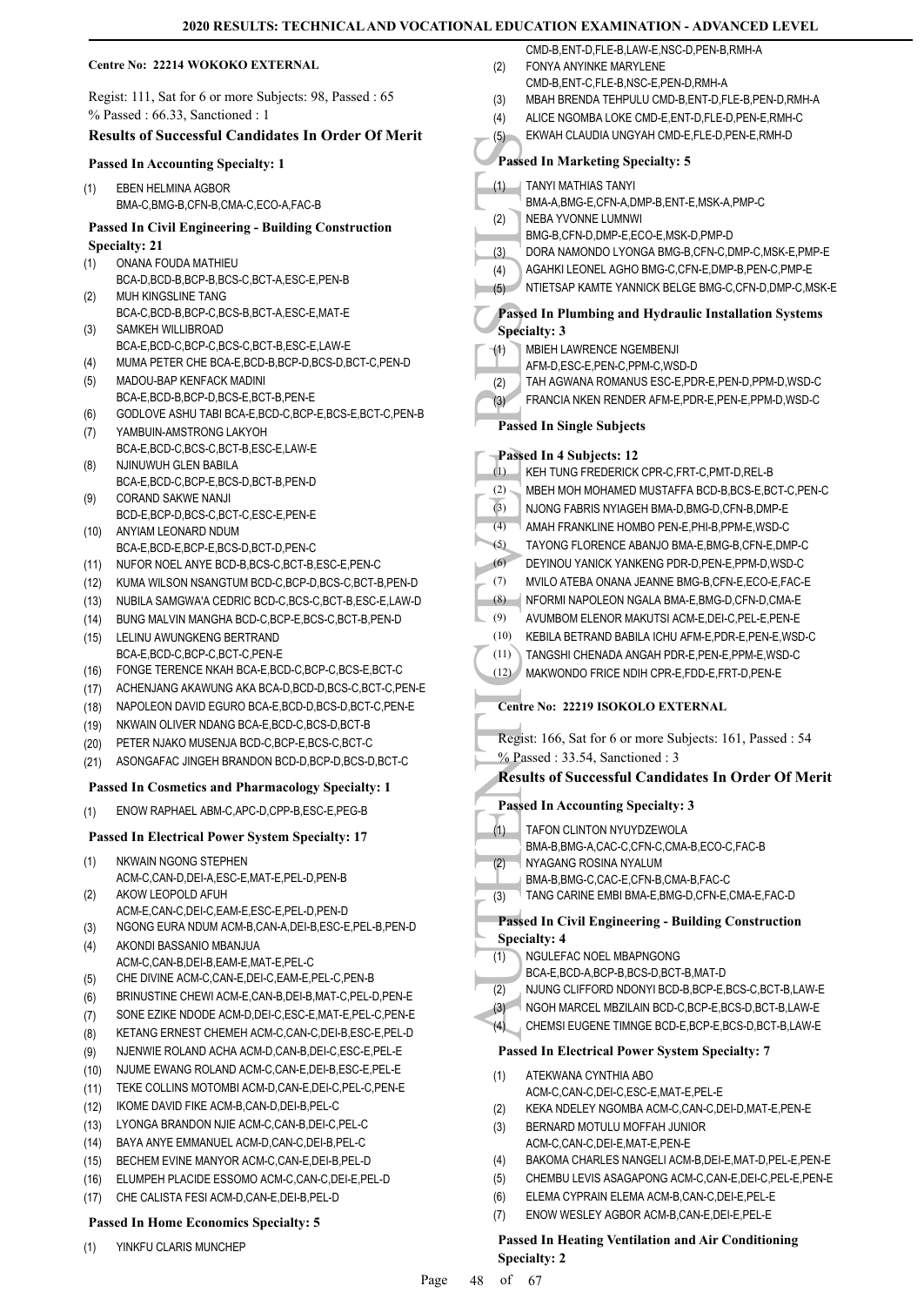#### **Centre No: 22214 WOKOKO EXTERNAL**

Regist: 111, Sat for 6 or more Subjects: 98, Passed : 65 % Passed : 66.33, Sanctioned : 1

# **Results of Successful Candidates In Order Of Merit**

#### **Passed In Accounting Specialty: 1**

EBEN HELMINA AGBOR BMA-C,BMG-B,CFN-B,CMA-C,ECO-A,FAC-B (1)

#### **Passed In Civil Engineering - Building Construction Specialty: 21**

- ONANA FOUDA MATHIEU BCA-D, BCD-B, BCP-B, BCS-C, BCT-A, ESC-E, PEN-B (1)
- MUH KINGSLINE TANG BCA-C,BCD-B,BCP-C,BCS-B,BCT-A,ESC-E,MAT-E (2) SAMKEH WILLIBROAD (3)
- BCA-E,BCD-C,BCP-C,BCS-C,BCT-B,ESC-E,LAW-E
- (4) MUMA PETER CHE BCA-E,BCD-B,BCP-D,BCS-D,BCT-C,PEN-D
- MADOU-BAP KENFACK MADINI BCA-E, BCD-B, BCP-D, BCS-E, BCT-B, PEN-E (5)
- (6) GODLOVE ASHU TABI BCA-E,BCD-C,BCP-E,BCS-E,BCT-C,PEN-B
- YAMBUIN-AMSTRONG LAKYOH BCA-E,BCD-C,BCS-C,BCT-B,ESC-E,LAW-E (7)
- NJINUWUH GLEN BABILA BCA-E,BCD-C,BCP-E,BCS-D,BCT-B,PEN-D (8)
- CORAND SAKWE NANJI BCD-E,BCP-D,BCS-C,BCT-C,ESC-E,PEN-E (9)
- ANYIAM LEONARD NDUM (10)
- BCA-E,BCD-E,BCP-E,BCS-D,BCT-D,PEN-C (11) NUFOR NOEL ANYE BCD-B,BCS-C,BCT-B,ESC-E,PEN-C
- (12) KUMA WILSON NSANGTUM BCD-C,BCP-D,BCS-C,BCT-B,PEN-D
- (13) NUBILA SAMGWA'A CEDRIC BCD-C,BCS-C,BCT-B,ESC-E,LAW-D
- (14) BUNG MALVIN MANGHA BCD-C,BCP-E,BCS-C,BCT-B,PEN-D
- LELINU AWUNGKENG BERTRAND BCA-E, BCD-C, BCP-C, BCT-C, PEN-E (15)
- (16) FONGE TERENCE NKAH BCA-E,BCD-C,BCP-C,BCS-E,BCT-C
- (17) ACHENJANG AKAWUNG AKA BCA-D,BCD-D,BCS-C,BCT-C,PEN-E
- (18) NAPOLEON DAVID EGURO BCA-E,BCD-D,BCS-D,BCT-C,PEN-E
- (19) NKWAIN OLIVER NDANG BCA-E,BCD-C,BCS-D,BCT-B
- (20) PETER NJAKO MUSENJA BCD-C,BCP-E,BCS-C,BCT-C
- (21) ASONGAFAC JINGEH BRANDON BCD-D,BCP-D,BCS-D,BCT-C

#### **Passed In Cosmetics and Pharmacology Specialty: 1**

(1) ENOW RAPHAEL ABM-C,APC-D,CPP-B,ESC-E,PEG-B

#### **Passed In Electrical Power System Specialty: 17**

- NKWAIN NGONG STEPHEN (1)
- ACM-C,CAN-D,DEI-A,ESC-E,MAT-E,PEL-D,PEN-B AKOW LEOPOLD AFUH (2)
- ACM-E,CAN-C,DEI-C,EAM-E,ESC-E,PEL-D,PEN-D

(3) NGONG EURA NDUM ACM-B,CAN-A,DEI-B,ESC-E,PEL-B,PEN-D

- AKONDI BASSANIO MBANJUA ACM-C,CAN-B,DEI-B,EAM-E,MAT-E,PEL-C (4)
- (5) CHE DIVINE ACM-C,CAN-E,DEI-C,EAM-E,PEL-C,PEN-B
- (6) BRINUSTINE CHEWI ACM-E,CAN-B,DEI-B,MAT-C,PEL-D,PEN-E
- (7) SONE EZIKE NDODE ACM-D,DEI-C,ESC-E,MAT-E,PEL-C,PEN-E
- (8) KETANG ERNEST CHEMEH ACM-C,CAN-C,DEI-B,ESC-E,PEL-D
- (9) NJENWIE ROLAND ACHA ACM-D,CAN-B,DEI-C,ESC-E,PEL-E
- (10) NJUME EWANG ROLAND ACM-C,CAN-E,DEI-B,ESC-E,PEL-E
- (11) TEKE COLLINS MOTOMBI ACM-D,CAN-E,DEI-C,PEL-C,PEN-E
- (12) IKOME DAVID FIKE ACM-B,CAN-D,DEI-B,PEL-C
- (13) LYONGA BRANDON NJIE ACM-C,CAN-B,DEI-C,PEL-C
- (14) BAYA ANYE EMMANUEL ACM-D,CAN-C,DEI-B,PEL-C
- (15) BECHEM EVINE MANYOR ACM-C,CAN-E,DEI-B,PEL-D
- (16) ELUMPEH PLACIDE ESSOMO ACM-C,CAN-C,DEI-E,PEL-D
- (17) CHE CALISTA FESI ACM-D,CAN-E,DEI-B,PEL-D

# **Passed In Home Economics Specialty: 5**

(1) YINKFU CLARIS MUNCHEP

- (a)<br>
Passed In 1<br>
(1) TANYI BMA-A,<br>
(2) TANYI BMA-A,<br>
(2) NEBA N<br>
MEBA N<br>
MEBA N<br>
MEBA N<br>
MEBA N<br>
MEBI N<br>
Specialty:<br>
(1) MEBI AFM-D,<br>
TANC FRANC<br>
Passed In 1<br>
(3) KEH TU<br>
(3) MEBI N<br>
MEBI N<br>
MEBI N<br>
MEBI N<br>
(4) AMAH TAYON CMD-B, ENT-D, FLE-B, LAW-E, NSC-D, PEN-B, RMH-A FONYA ANYINKE MARYLENE CMD-B,ENT-C,FLE-B,NSC-E,PEN-D,RMH-A (2) (3) MBAH BRENDA TEHPULU CMD-B,ENT-D,FLE-B,PEN-D,RMH-A (4) ALICE NGOMBA LOKE CMD-E,ENT-D,FLE-D,PEN-E,RMH-C (5) EKWAH CLAUDIA UNGYAH CMD-E,FLE-D,PEN-E,RMH-D **Passed In Marketing Specialty: 5** TANYI MATHIAS TANYI BMA-A,BMG-E,CFN-A,DMP-B,ENT-E,MSK-A,PMP-C (1) NEBA YVONNE LUMNWI BMG-B,CFN-D,DMP-E,ECO-E,MSK-D,PMP-D (2) (3) DORA NAMONDO LYONGA BMG-B,CFN-C,DMP-C,MSK-E,PMP-E (4) AGAHKI LEONEL AGHO BMG-C,CFN-E,DMP-B,PEN-C,PMP-E (5) NTIETSAP KAMTE YANNICK BELGE BMG-C,CFN-D,DMP-C,MSK-E **Passed In Plumbing and Hydraulic Installation Systems Specialty: 3** MBIEH LAWRENCE NGEMBENJI AFM-D,ESC-E,PEN-C,PPM-C,WSD-D (1) (2) TAH AGWANA ROMANUS ESC-E,PDR-E,PEN-D,PPM-D,WSD-C (3) FRANCIA NKEN RENDER AFM-E,PDR-E,PEN-E,PPM-D,WSD-C **Passed In Single Subjects Passed In 4 Subjects: 12** (1) KEH TUNG FREDERICK CPR-C,FRT-C,PMT-D,REL-B (2) MBEH MOH MOHAMED MUSTAFFA BCD-B,BCS-E,BCT-C,PEN-C (3) NJONG FABRIS NYIAGEH BMA-D,BMG-D,CFN-B,DMP-E (4) AMAH FRANKLINE HOMBO PEN-E,PHI-B,PPM-E,WSD-C (5) TAYONG FLORENCE ABANJO BMA-E,BMG-B,CFN-E,DMP-C (6) DEYINOU YANICK YANKENG PDR-D,PEN-E,PPM-D,WSD-C (7) MVILO ATEBA ONANA JEANNE BMG-B,CFN-E,ECO-E,FAC-E (8) NFORMI NAPOLEON NGALA BMA-E,BMG-D,CFN-D,CMA-E (9) AVUMBOM ELENOR MAKUTSI ACM-E,DEI-C,PEL-E,PEN-E (10) KEBILA BETRAND BABILA ICHU AFM-E,PDR-E,PEN-E,WSD-C (11) TANGSHI CHENADA ANGAH PDR-E,PEN-E,PPM-E,WSD-C (12) MAKWONDO FRICE NDIH CPR-E,FDD-E,FRT-D,PEN-E **Centre No: 22219 ISOKOLO EXTERNAL** 
	- Regist: 166, Sat for 6 or more Subjects: 161, Passed : 54 % Passed : 33.54, Sanctioned : 3

# **Results of Successful Candidates In Order Of Merit**

- **Passed In Accounting Specialty: 3**
- TAFON CLINTON NYUYDZEWOLA (1)
- BMA-B,BMG-A,CAC-C,CFN-C,CMA-B,ECO-C,FAC-B
- NYAGANG ROSINA NYALUM (2)
- BMA-B,BMG-C,CAC-E,CFN-B,CMA-B,FAC-C
- (3) TANG CARINE EMBI BMA-E,BMG-D,CFN-E,CMA-E,FAC-D

#### **Passed In Civil Engineering - Building Construction Specialty: 4**

- NGULEFAC NOEL MBAPNGONG (1)
- BCA-E,BCD-A,BCP-B,BCS-D,BCT-B,MAT-D
- (2) NJUNG CLIFFORD NDONYI BCD-B,BCP-E,BCS-C,BCT-B,LAW-E
- (3) NGOH MARCEL MBZILAIN BCD-C,BCP-E,BCS-D,BCT-B,LAW-E
- (4) CHEMSI EUGENE TIMNGE BCD-E,BCP-E,BCS-D,BCT-B,LAW-E

#### **Passed In Electrical Power System Specialty: 7**

- ATEKWANA CYNTHIA ABO (1)
- ACM-C,CAN-C,DEI-C,ESC-E,MAT-E,PEL-E (2) KEKA NDELEY NGOMBA ACM-C,CAN-C,DEI-D,MAT-E,PEN-E
- BERNARD MOTULU MOFFAH JUNIOR (3)
- ACM-C,CAN-C,DEI-E,MAT-E,PEN-E
- (4) BAKOMA CHARLES NANGELI ACM-B,DEI-E,MAT-D,PEL-E,PEN-E
- (5) CHEMBU LEVIS ASAGAPONG ACM-C,CAN-E,DEI-C,PEL-E,PEN-E
- (6) ELEMA CYPRAIN ELEMA ACM-B,CAN-C,DEI-E,PEL-E
- (7) ENOW WESLEY AGBOR ACM-B,CAN-E,DEI-E,PEL-E

### **Passed In Heating Ventilation and Air Conditioning Specialty: 2**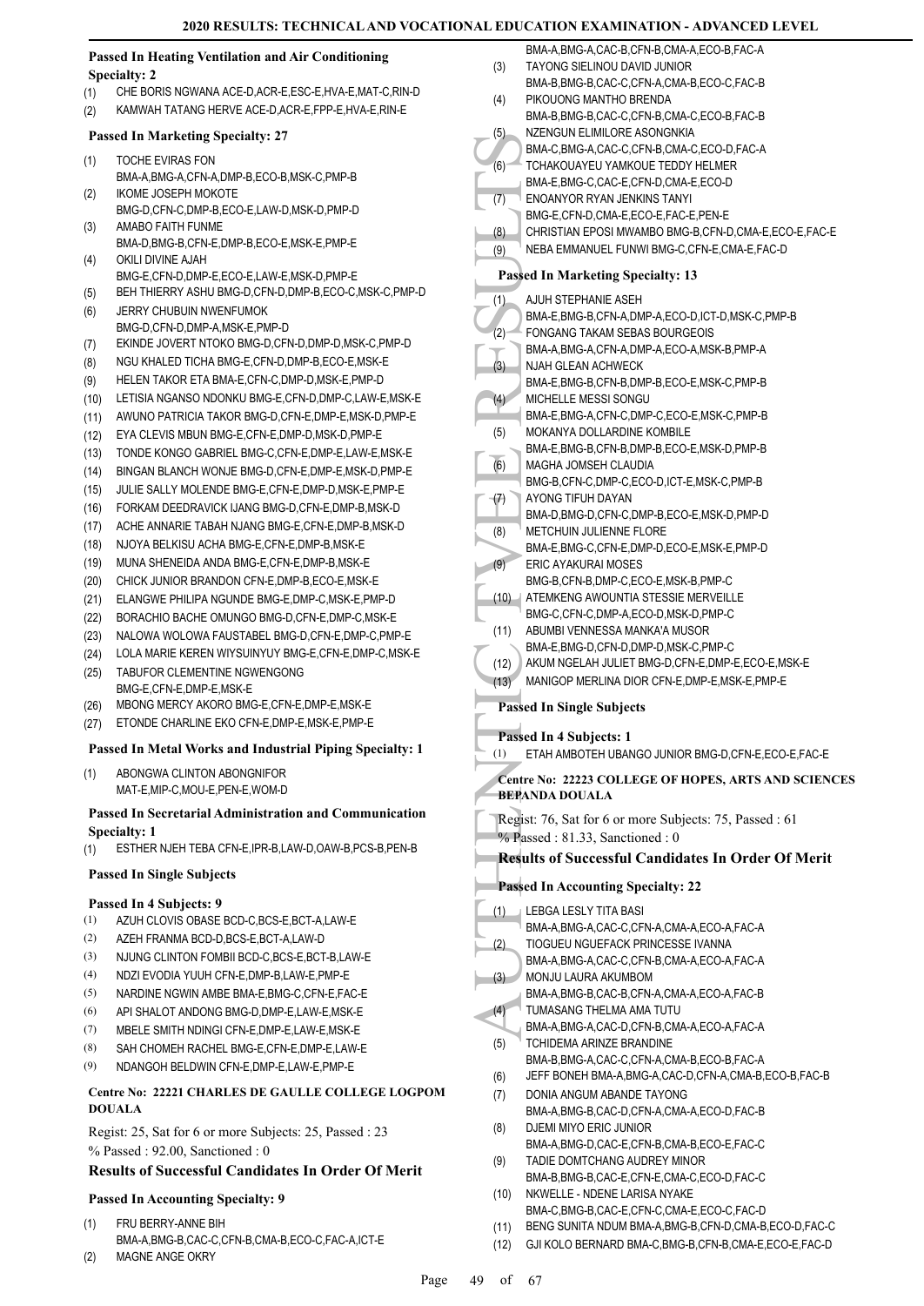#### **Passed In Heating Ventilation and Air Conditioning Specialty: 2**

- (1) CHE BORIS NGWANA ACE-D,ACR-E,ESC-E,HVA-E,MAT-C,RIN-D
- (2) KAMWAH TATANG HERVE ACE-D,ACR-E,FPP-E,HVA-E,RIN-E

#### **Passed In Marketing Specialty: 27**

- TOCHE EVIRAS FON BMA-A,BMG-A,CFN-A,DMP-B,ECO-B,MSK-C,PMP-B (1) IKOME JOSEPH MOKOTE
- BMG-D,CFN-C,DMP-B,ECO-E,LAW-D,MSK-D,PMP-D (2) AMABO FAITH FUNME (3)
- BMA-D,BMG-B,CFN-E,DMP-B,ECO-E,MSK-E,PMP-E OKILI DIVINE AJAH (4)
- BMG-E,CFN-D,DMP-E,ECO-E,LAW-E,MSK-D,PMP-E (5) BEH THIERRY ASHU BMG-D,CFN-D,DMP-B,ECO-C,MSK-C,PMP-D
- JERRY CHUBUIN NWENFUMOK BMG-D,CFN-D,DMP-A,MSK-E,PMP-D (6)
- (7) EKINDE JOVERT NTOKO BMG-D,CFN-D,DMP-D,MSK-C,PMP-D
- (8) NGU KHALED TICHA BMG-E,CFN-D,DMP-B,ECO-E,MSK-E
- (9) HELEN TAKOR ETA BMA-E,CFN-C,DMP-D,MSK-E,PMP-D
- (10) LETISIA NGANSO NDONKU BMG-E,CFN-D,DMP-C,LAW-E,MSK-E
- (11) AWUNO PATRICIA TAKOR BMG-D,CFN-E,DMP-E,MSK-D,PMP-E
- (12) EYA CLEVIS MBUN BMG-E,CFN-E,DMP-D,MSK-D,PMP-E
- (13) TONDE KONGO GABRIEL BMG-C,CFN-E,DMP-E,LAW-E,MSK-E
- (14) BINGAN BLANCH WONJE BMG-D,CFN-E,DMP-E,MSK-D,PMP-E
- (15) JULIE SALLY MOLENDE BMG-E,CFN-E,DMP-D,MSK-E,PMP-E
- (16) FORKAM DEEDRAVICK IJANG BMG-D,CFN-E,DMP-B,MSK-D
- (17) ACHE ANNARIE TABAH NJANG BMG-E,CFN-E,DMP-B,MSK-D
- (18) NJOYA BELKISU ACHA BMG-E,CFN-E,DMP-B,MSK-E
- (19) MUNA SHENEIDA ANDA BMG-E,CFN-E,DMP-B,MSK-E
- (20) CHICK JUNIOR BRANDON CFN-E,DMP-B,ECO-E,MSK-E
- (21) ELANGWE PHILIPA NGUNDE BMG-E,DMP-C,MSK-E,PMP-D
- (22) BORACHIO BACHE OMUNGO BMG-D,CFN-E,DMP-C,MSK-E
- (23) NALOWA WOLOWA FAUSTABEL BMG-D,CFN-E,DMP-C,PMP-E
- (24) LOLA MARIE KEREN WIYSUINYUY BMG-E,CFN-E,DMP-C,MSK-E
- TABUFOR CLEMENTINE NGWENGONG BMG-F CFN-F DMP-F MSK-F (25)
- (26) MBONG MERCY AKORO BMG-E,CFN-E,DMP-E,MSK-E
- (27) ETONDE CHARLINE EKO CFN-E,DMP-E,MSK-E,PMP-E

#### **Passed In Metal Works and Industrial Piping Specialty: 1**

ABONGWA CLINTON ABONGNIFOR MAT-E,MIP-C,MOU-E,PEN-E,WOM-D (1)

#### **Passed In Secretarial Administration and Communication Specialty: 1**

- (1) ESTHER NJEH TEBA CFN-E,IPR-B,LAW-D,OAW-B,PCS-B,PEN-B
- **Passed In Single Subjects**

#### **Passed In 4 Subjects: 9**

- (1) AZUH CLOVIS OBASE BCD-C,BCS-E,BCT-A,LAW-E
- (2) AZEH FRANMA BCD-D,BCS-E,BCT-A,LAW-D
- (3) NJUNG CLINTON FOMBII BCD-C,BCS-E,BCT-B,LAW-E
- (4) NDZI EVODIA YUUH CFN-E,DMP-B,LAW-E,PMP-E
- (5) NARDINE NGWIN AMBE BMA-F BMG-C, CEN-F FAC-F
- (6) API SHALOT ANDONG BMG-D,DMP-E,LAW-E,MSK-E
- (7) MBELE SMITH NDINGI CFN-E,DMP-E,LAW-E,MSK-E
- (8) SAH CHOMEH RACHEL BMG-E,CFN-E,DMP-E,LAW-E
- (9) NDANGOH BELDWIN CFN-E,DMP-E,LAW-E,PMP-E

#### **Centre No: 22221 CHARLES DE GAULLE COLLEGE LOGPOM DOUALA**

Regist: 25, Sat for 6 or more Subjects: 25, Passed : 23 % Passed : 92.00, Sanctioned : 0

#### **Results of Successful Candidates In Order Of Merit**

# **Passed In Accounting Specialty: 9**

- FRU BERRY-ANNE BIH BMA-A,BMG-B,CAC-C,CFN-B,CMA-B,ECO-C,FAC-A,ICT-E (1)
- (2) MAGNE ANGE OKRY

|      | AL EDUCATION EXAMINATION - ADVANCED LEVEL                                           |
|------|-------------------------------------------------------------------------------------|
|      | BMA-A, BMG-A, CAC-B, CFN-B, CMA-A, ECO-B, FAC-A                                     |
| (3)  | TAYONG SIELINOU DAVID JUNIOR                                                        |
|      | BMA-B,BMG-B,CAC-C,CFN-A,CMA-B,ECO-C,FAC-B                                           |
| (4)  | PIKOUONG MANTHO BRENDA                                                              |
|      | BMA-B, BMG-B, CAC-C, CFN-B, CMA-C, ECO-B, FAC-B                                     |
| (5)  | NZENGUN ELIMILORE ASONGNKIA                                                         |
| (6)  | BMA-C, BMG-A, CAC-C, CFN-B, CMA-C, ECO-D, FAC-A<br>TCHAKOUAYEU YAMKOUE TEDDY HELMER |
|      | BMA-E,BMG-C,CAC-E,CFN-D,CMA-E,ECO-D                                                 |
| (7)  | ENOANYOR RYAN JENKINS TANYI                                                         |
|      | BMG-E.CFN-D.CMA-E.ECO-E.FAC-E.PEN-E                                                 |
| (8)  | CHRISTIAN EPOSI MWAMBO BMG-B,CFN-D,CMA-E,ECO-E,FAC-E                                |
| (9)  | NEBA EMMANUEL FUNWI BMG-C, CFN-E, CMA-E, FAC-D                                      |
|      | <b>Passed In Marketing Specialty: 13</b>                                            |
| (1)  | AJUH STEPHANIE ASEH                                                                 |
|      | BMA-E, BMG-B, CFN-A, DMP-A, ECO-D, ICT-D, MSK-C, PMP-B                              |
| (2)  | FONGANG TAKAM SEBAS BOURGEOIS                                                       |
|      | BMA-A.BMG-A.CFN-A.DMP-A.ECO-A.MSK-B.PMP-A                                           |
| (3)  | NJAH GLEAN ACHWECK                                                                  |
|      | BMA-E,BMG-B,CFN-B,DMP-B,ECO-E,MSK-C,PMP-B                                           |
| (4)  | MICHELLE MESSI SONGU                                                                |
| (5)  | BMA-E.BMG-A.CFN-C.DMP-C.ECO-E.MSK-C.PMP-B<br>MOKANYA DOLLARDINE KOMBILE             |
|      | BMA-E, BMG-B, CFN-B, DMP-B, ECO-E, MSK-D, PMP-B                                     |
| (6)  | MAGHA JOMSEH CLAUDIA                                                                |
|      | BMG-B,CFN-C,DMP-C,ECO-D,ICT-E,MSK-C,PMP-B                                           |
| (7)  | AYONG TIFUH DAYAN                                                                   |
|      | BMA-D, BMG-D, CFN-C, DMP-B, ECO-E, MSK-D, PMP-D                                     |
| (8)  | METCHUIN JULIENNE FLORE                                                             |
|      | BMA-E, BMG-C, CFN-E, DMP-D, ECO-E, MSK-E, PMP-D                                     |
| (9)  | ERIC AYAKURAI MOSES                                                                 |
| (10) | BMG-B.CFN-B.DMP-C.ECO-E.MSK-B.PMP-C<br>ATEMKENG AWOUNTIA STESSIE MERVEILLE          |
|      | BMG-C,CFN-C,DMP-A,ECO-D,MSK-D,PMP-C                                                 |
| (11) | ABUMBI VENNESSA MANKA'A MUSOR                                                       |
|      | BMA-E,BMG-D,CFN-D,DMP-D,MSK-C,PMP-C                                                 |
| (12) | AKUM NGELAH JULIET BMG-D, CFN-E, DMP-E, ECO-E, MSK-E                                |
| (13) | MANIGOP MERLINA DIOR CFN-E, DMP-E, MSK-E, PMP-E                                     |
|      | <b>Passed In Single Subjects</b>                                                    |
|      | Passed In 4 Subjects: 1                                                             |
| (1)  | ETAH AMBOTEH UBANGO JUNIOR BMG-D, CFN-E, ECO-E, FAC-E                               |
|      |                                                                                     |
|      | Centre No: 22223 COLLEGE OF HOPES, ARTS AND SCIENCES<br><b>BEPANDA DOUALA</b>       |
|      | Regist: 76, Sat for 6 or more Subjects: 75, Passed: 61                              |
|      | $%$ Passed: 81.33, Sanctioned: 0                                                    |
|      | <b>Results of Successful Candidates In Order Of Merit</b>                           |
|      | <b>Passed In Accounting Specialty: 22</b>                                           |
| (1)  | LEBGA LESLY TITA BASI                                                               |
|      | BMA-A, BMG-A, CAC-C, CFN-A, CMA-A, ECO-A, FAC-A                                     |
| (2)  | TIOGUEU NGUEFACK PRINCESSE IVANNA                                                   |
|      | BMA-A, BMG-A, CAC-C, CFN-B, CMA-A, ECO-A, FAC-A                                     |
| (3)  | MONJU LAURA AKUMBOM                                                                 |
|      | BMA-A,BMG-B,CAC-B,CFN-A,CMA-A,ECO-A,FAC-B                                           |
| (4)  | TUMASANG THELMA AMA TUTU                                                            |
|      | BMA-A,BMG-A,CAC-D,CFN-B,CMA-A,ECO-A,FAC-A                                           |

- TUMASANG THELMA AMA TUTU BMA-A,BMG-A,CAC-D,CFN-B,CMA-A,ECO-A,FAC-A  $(4)$ TCHIDEMA ARINZE BRANDINE BMA-B,BMG-A,CAC-C,CFN-A,CMA-B,ECO-B,FAC-A (5) (6) JEFF BONEH BMA-A,BMG-A,CAC-D,CFN-A,CMA-B,ECO-B,FAC-B DONIA ANGUM ABANDE TAYONG BMA-A,BMG-B,CAC-D,CFN-A,CMA-A,ECO-D,FAC-B (7) DJEMI MIYO ERIC JUNIOR (8)
- BMA-A,BMG-D,CAC-E,CFN-B,CMA-B,ECO-E,FAC-C TADIE DOMTCHANG AUDREY MINOR (9)
- BMA-B,BMG-B,CAC-E,CFN-E,CMA-C,ECO-D,FAC-C NKWELLE - NDENE LARISA NYAKE (10)
- BMA-C,BMG-B,CAC-E,CFN-C,CMA-E,ECO-C,FAC-D
- (11) BENG SUNITA NDUM BMA-A,BMG-B,CFN-D,CMA-B,ECO-D,FAC-C
- (12) GJI KOLO BERNARD BMA-C,BMG-B,CFN-B,CMA-E,ECO-E,FAC-D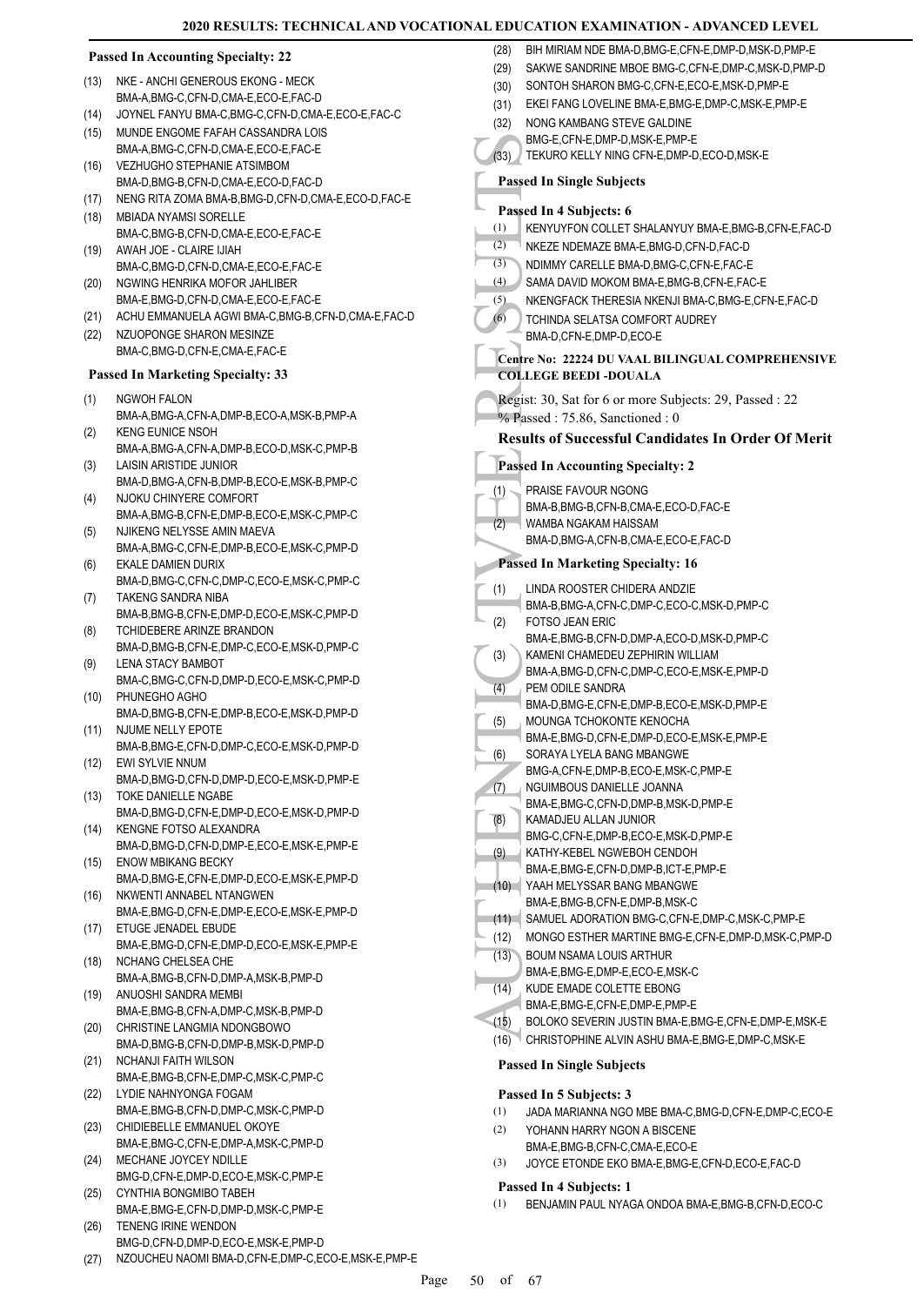#### **Passed In Accounting Specialty: 22**

- NKE ANCHI GENEROUS EKONG MECK BMA-A,BMG-C,CFN-D,CMA-E,ECO-E,FAC-D (13)
- (14) JOYNEL FANYU BMA-C,BMG-C,CFN-D,CMA-E,ECO-E,FAC-C
- MUNDE ENGOME FAFAH CASSANDRA LOIS BMA-A,BMG-C,CFN-D,CMA-E,ECO-E,FAC-E (15)
- VEZHUGHO STEPHANIE ATSIMBOM BMA-D,BMG-B,CFN-D,CMA-E,ECO-D,FAC-D  $(16)$
- (17) NENG RITA ZOMA BMA-B,BMG-D,CFN-D,CMA-E,ECO-D,FAC-E
- MBIADA NYAMSI SORELLE BMA-C,BMG-B,CFN-D,CMA-E,ECO-E,FAC-E (18)
- AWAH JOE CLAIRE IJIAH BMA-C,BMG-D,CFN-D,CMA-E,ECO-E,FAC-E (19)
- NGWING HENRIKA MOFOR JAHLIBER BMA-E,BMG-D,CFN-D,CMA-E,ECO-E,FAC-E (20)
- (21) ACHU EMMANUELA AGWI BMA-C,BMG-B,CFN-D,CMA-E,FAC-D
- NZUOPONGE SHARON MESINZE BMA-C,BMG-D,CFN-E,CMA-E,FAC-E (22)

#### **Passed In Marketing Specialty: 33**

- NGWOH FALON BMA-A,BMG-A,CFN-A,DMP-B,ECO-A,MSK-B,PMP-A (1)
- KENG EUNICE NSOH BMA-A,BMG-A,CFN-A,DMP-B,ECO-D,MSK-C,PMP-B (2)
- LAISIN ARISTIDE JUNIOR BMA-D,BMG-A,CFN-B,DMP-B,ECO-E,MSK-B,PMP-C (3)
- NJOKU CHINYERE COMFORT BMA-A,BMG-B,CFN-E,DMP-B,ECO-E,MSK-C,PMP-C (4)
- NJIKENG NELYSSE AMIN MAEVA BMA-A,BMG-C,CFN-E,DMP-B,ECO-E,MSK-C,PMP-D  $(5)$
- EKALE DAMIEN DURIX BMA-D,BMG-C,CFN-C,DMP-C,ECO-E,MSK-C,PMP-C (6)
- TAKENG SANDRA NIBA BMA-B,BMG-B,CFN-E,DMP-D,ECO-E,MSK-C,PMP-D (7)
- TCHIDEBERE ARINZE BRANDON BMA-D,BMG-B,CFN-E,DMP-C,ECO-E,MSK-D,PMP-C (8)
- LENA STACY BAMBOT BMA-C,BMG-C,CFN-D,DMP-D,ECO-E,MSK-C,PMP-D (9)
- PHUNEGHO AGHO (10)
- BMA-D,BMG-B,CFN-E,DMP-B,ECO-E,MSK-D,PMP-D NJUME NELLY EPOTE (11)
- BMA-B,BMG-E,CFN-D,DMP-C,ECO-E,MSK-D,PMP-D EWI SYLVIE NNUM (12)
- BMA-D,BMG-D,CFN-D,DMP-D,ECO-E,MSK-D,PMP-E TOKE DANIELLE NGABE (13)
- BMA-D,BMG-D,CFN-E,DMP-D,ECO-E,MSK-D,PMP-D KENGNE FOTSO ALEXANDRA (14)
- BMA-D,BMG-D,CFN-D,DMP-E,ECO-E,MSK-E,PMP-E ENOW MBIKANG BECKY (15)
- BMA-D,BMG-E,CFN-E,DMP-D,ECO-E,MSK-E,PMP-D NKWENTI ANNABEL NTANGWEN (16)
- BMA-E,BMG-D,CFN-E,DMP-E,ECO-E,MSK-E,PMP-D ETUGE JENADEL EBUDE (17)
- BMA-E,BMG-D,CFN-E,DMP-D,ECO-E,MSK-E,PMP-E NCHANG CHELSEA CHE (18)
- BMA-A,BMG-B,CFN-D,DMP-A,MSK-B,PMP-D ANUOSHI SANDRA MEMBI (19)
- BMA-E,BMG-B,CFN-A,DMP-C,MSK-B,PMP-D CHRISTINE LANGMIA NDONGBOWO (20)
- BMA-D,BMG-B,CFN-D,DMP-B,MSK-D,PMP-D NCHANJI FAITH WILSON (21)
- BMA-E,BMG-B,CFN-E,DMP-C,MSK-C,PMP-C LYDIE NAHNYONGA FOGAM (22)
- BMA-E,BMG-B,CFN-D,DMP-C,MSK-C,PMP-D CHIDIEBELLE EMMANUEL OKOYE (23)
- BMA-E,BMG-C,CFN-E,DMP-A,MSK-C,PMP-D MECHANE JOYCEY NDILLE (24)
- BMG-D,CFN-E,DMP-D,ECO-E,MSK-C,PMP-E CYNTHIA BONGMIBO TABEH (25)
- BMA-E,BMG-E,CFN-D,DMP-D,MSK-C,PMP-E
- TENENG IRINE WENDON BMG-D,CFN-D,DMP-D,ECO-E,MSK-E,PMP-D (26)
- (27) NZOUCHEU NAOMI BMA-D,CFN-E,DMP-C,ECO-E,MSK-E,PMP-E

MG-E.<br>
(33) BMG-E.<br>
TEKUR<br>
Passed In Stand In KENYU<br>
(2) NKEZE<br>
(3) NDIMM SAMA I<br>
(3) SAMA I<br>
(5) NERING TCHINIC BMA-D,<br>
Centre No:<br>
COLLEGE<br>
Regist: 30,<br>  $\phi_0$  Passed In PRAISE<br>
Passed In HAMA-B,<br>
FOTSO BMA-B,<br>
(2) PRAIS (28) BIH MIRIAM NDE BMA-D, BMG-E, CEN-E, DMP-D, MSK-D, PMP-E (29) SAKWE SANDRINE MBOE BMG-C,CFN-E,DMP-C,MSK-D,PMP-D (30) SONTOH SHARON BMG-C,CFN-E,ECO-E,MSK-D,PMP-E (31) EKEI FANG LOVELINE BMA-E,BMG-E,DMP-C,MSK-E,PMP-E NONG KAMBANG STEVE GALDINE BMG-E,CFN-E,DMP-D,MSK-E,PMP-E (32) (33) TEKURO KELLY NING CFN-E,DMP-D,ECO-D,MSK-E **Passed In Single Subjects Passed In 4 Subjects: 6** (1) KENYUYFON COLLET SHALANYUY BMA-E,BMG-B,CFN-E,FAC-D  $(2)$  NKF7F NDEMA7F BMA-F BMG-D, CFN-D, FAC-D (3) NDIMMY CARELLE BMA-D,BMG-C,CFN-E,FAC-E (4) SAMA DAVID MOKOM BMA-E,BMG-B,CFN-E,FAC-E (5) NKENGFACK THERESIA NKENJI BMA-C,BMG-E,CFN-E,FAC-D TCHINDA SELATSA COMFORT AUDREY BMA-D,CFN-E,DMP-D,ECO-E (6) **Centre No: 22224 DU VAAL BILINGUAL COMPREHENSIVE COLLEGE BEEDI -DOUALA**  Regist: 30, Sat for 6 or more Subjects: 29, Passed : 22 % Passed : 75.86, Sanctioned : 0 **Results of Successful Candidates In Order Of Merit Passed In Accounting Specialty: 2** PRAISE FAVOUR NGONG BMA-B,BMG-B,CFN-B,CMA-E,ECO-D,FAC-E (1) WAMBA NGAKAM HAISSAM BMA-D,BMG-A,CFN-B,CMA-E,ECO-E,FAC-D  $(2)$ **Passed In Marketing Specialty: 16** LINDA ROOSTER CHIDERA ANDZIE BMA-B,BMG-A,CFN-C,DMP-C,ECO-C,MSK-D,PMP-C (1) FOTSO JEAN ERIC BMA-E,BMG-B,CFN-D,DMP-A,ECO-D,MSK-D,PMP-C (2) KAMENI CHAMEDEU ZEPHIRIN WILLIAM BMA-A,BMG-D,CFN-C,DMP-C,ECO-E,MSK-E,PMP-D (3) PEM ODILE SANDRA BMA-D,BMG-E,CFN-E,DMP-B,ECO-E,MSK-D,PMP-E (4) MOUNGA TCHOKONTE KENOCHA BMA-E,BMG-D,CFN-E,DMP-D,ECO-E,MSK-E,PMP-E (5) SORAYA LYELA BANG MBANGWE BMG-A,CFN-E,DMP-B,ECO-E,MSK-C,PMP-E (6) NGUIMBOUS DANIELLE JOANNA BMA-E,BMG-C,CFN-D,DMP-B,MSK-D,PMP-E (7) KAMADJEU ALLAN JUNIOR BMG-C,CFN-E,DMP-B,ECO-E,MSK-D,PMP-E (8) KATHY-KEBEL NGWEBOH CENDOH BMA-E,BMG-E,CFN-D,DMP-B,ICT-E,PMP-E (9) YAAH MELYSSAR BANG MBANGWE (10) BMA-E,BMG-B,CFN-E,DMP-B,MSK-C (11) SAMUEL ADORATION BMG-C,CFN-E,DMP-C,MSK-C,PMP-E (12) MONGO ESTHER MARTINE BMG-E,CFN-E,DMP-D,MSK-C,PMP-D BOUM NSAMA LOUIS ARTHUR BMA-E,BMG-E,DMP-E,ECO-E,MSK-C (13) KUDE EMADE COLETTE EBONG BMA-E,BMG-E,CFN-E,DMP-E,PMP-E (14) (15) BOLOKO SEVERIN JUSTIN BMA-E,BMG-E,CFN-E,DMP-E,MSK-E (16) CHRISTOPHINE ALVIN ASHU BMA-E,BMG-E,DMP-C,MSK-E **Passed In Single Subjects**

#### **Passed In 5 Subjects: 3**

- (1) JADA MARIANNA NGO MBE BMA-C,BMG-D,CFN-E,DMP-C,ECO-E
- YOHANN HARRY NGON A BISCENE (2)
- BMA-E,BMG-B,CFN-C,CMA-E,ECO-E (3) JOYCE ETONDE EKO BMA-E,BMG-E,CFN-D,ECO-E,FAC-D

#### **Passed In 4 Subjects: 1**

(1) BENJAMIN PAUL NYAGA ONDOA BMA-E,BMG-B,CFN-D,ECO-C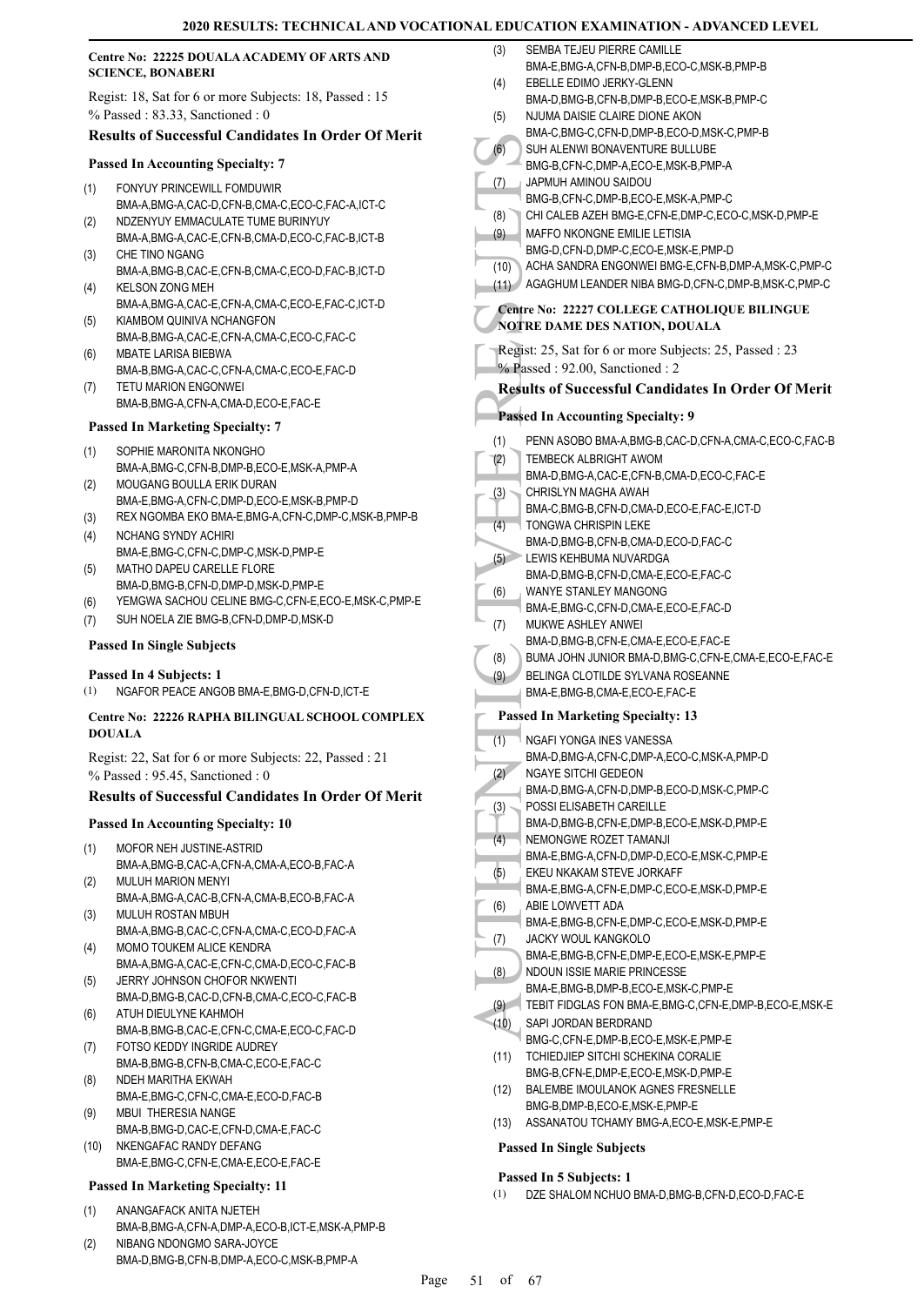|                          | Centre No: 22225 DOUALA ACADEMY OF ARTS AND                                                 | (3)  | SEMBA TEJEU PIERRE CAMILLE                                                   |
|--------------------------|---------------------------------------------------------------------------------------------|------|------------------------------------------------------------------------------|
| <b>SCIENCE, BONABERI</b> |                                                                                             | (4)  | BMA-E, BMG-A, CFN-B, DMP-B, ECO-C, MSK-B, PMP-B<br>EBELLE EDIMO JERKY-GLENN  |
|                          | Regist: 18, Sat for 6 or more Subjects: 18, Passed : 15                                     |      | BMA-D, BMG-B, CFN-B, DMP-B, ECO-E, MSK-B, PMP-C                              |
|                          | $%$ Passed: 83.33, Sanctioned: 0                                                            | (5)  | NJUMA DAISIE CLAIRE DIONE AKON                                               |
|                          | <b>Results of Successful Candidates In Order Of Merit</b>                                   |      | BMA-C.BMG-C.CFN-D.DMP-B.ECO-D.MSK-C.PMP-B                                    |
|                          |                                                                                             | (6)  | SUH ALENWI BONAVENTURE BULLUBE                                               |
|                          | <b>Passed In Accounting Specialty: 7</b>                                                    |      | BMG-B,CFN-C,DMP-A,ECO-E,MSK-B,PMP-A                                          |
| (1)                      | FONYUY PRINCEWILL FOMDUWIR                                                                  | (7)  | JAPMUH AMINOU SAIDOU<br>BMG-B,CFN-C,DMP-B,ECO-E,MSK-A,PMP-C                  |
|                          | BMA-A,BMG-A,CAC-D,CFN-B,CMA-C,ECO-C,FAC-A,ICT-C                                             | (8)  | CHI CALEB AZEH BMG-E, CFN-E, DMP-C, ECO-C, MSK-D, PMP-E                      |
| (2)                      | NDZENYUY EMMACULATE TUME BURINYUY<br>BMA-A, BMG-A, CAC-E, CFN-B, CMA-D, ECO-C, FAC-B, ICT-B | (9)  | MAFFO NKONGNE EMILIE LETISIA                                                 |
| (3)                      | CHE TINO NGANG                                                                              |      | BMG-D,CFN-D,DMP-C,ECO-E,MSK-E,PMP-D                                          |
|                          | BMA-A,BMG-B,CAC-E,CFN-B,CMA-C,ECO-D,FAC-B,ICT-D                                             | (10) | ACHA SANDRA ENGONWEI BMG-E, CFN-B, DMP-A, MSK-C, PMP-C                       |
| (4)                      | <b>KELSON ZONG MEH</b>                                                                      |      | (11) AGAGHUM LEANDER NIBA BMG-D, CFN-C, DMP-B, MSK-C, PMP-C                  |
|                          | BMA-A,BMG-A,CAC-E,CFN-A,CMA-C,ECO-E,FAC-C,ICT-D                                             |      | Centre No: 22227 COLLEGE CATHOLIQUE BILINGUE                                 |
| (5)                      | KIAMBOM QUINIVA NCHANGFON<br>BMA-B, BMG-A, CAC-E, CFN-A, CMA-C, ECO-C, FAC-C                |      | NOTRE DAME DES NATION, DOUALA                                                |
| (6)                      | MBATE LARISA BIEBWA                                                                         |      | Regist: 25, Sat for 6 or more Subjects: 25, Passed: 23                       |
|                          | BMA-B, BMG-A, CAC-C, CFN-A, CMA-C, ECO-E, FAC-D                                             |      | % Passed: 92.00, Sanctioned: 2                                               |
| (7)                      | TETU MARION ENGONWEI                                                                        |      | <b>Results of Successful Candidates In Order Of Merit</b>                    |
|                          | BMA-B, BMG-A, CFN-A, CMA-D, ECO-E, FAC-E                                                    |      |                                                                              |
|                          | <b>Passed In Marketing Specialty: 7</b>                                                     |      | <b>Passed In Accounting Specialty: 9</b>                                     |
| (1)                      | SOPHIE MARONITA NKONGHO                                                                     | (1)  | PENN ASOBO BMA-A, BMG-B, CAC-D, CFN-A, CMA-C, ECO-C, FAC-B                   |
|                          | BMA-A,BMG-C,CFN-B,DMP-B,ECO-E,MSK-A,PMP-A                                                   | (2)  | TEMBECK ALBRIGHT AWOM<br>BMA-D, BMG-A, CAC-E, CFN-B, CMA-D, ECO-C, FAC-E     |
| (2)                      | MOUGANG BOULLA ERIK DURAN                                                                   | (3)  | CHRISLYN MAGHA AWAH                                                          |
|                          | BMA-E,BMG-A,CFN-C,DMP-D,ECO-E,MSK-B,PMP-D                                                   |      | BMA-C,BMG-B,CFN-D,CMA-D,ECO-E,FAC-E,ICT-D                                    |
| (3)                      | REX NGOMBA EKO BMA-E, BMG-A, CFN-C, DMP-C, MSK-B, PMP-B                                     | (4)  | TONGWA CHRISPIN LEKE                                                         |
| (4)                      | NCHANG SYNDY ACHIRI<br>BMA-E,BMG-C,CFN-C,DMP-C,MSK-D,PMP-E                                  |      | BMA-D,BMG-B,CFN-B,CMA-D,ECO-D,FAC-C                                          |
| (5)                      | MATHO DAPEU CARELLE FLORE                                                                   | (5)  | ® LEWIS KEHBUMA NUVARDGA                                                     |
|                          | BMA-D, BMG-B, CFN-D, DMP-D, MSK-D, PMP-E                                                    | (6)  | BMA-D,BMG-B,CFN-D,CMA-E,ECO-E,FAC-C<br>WANYE STANLEY MANGONG                 |
| (6)                      | YEMGWA SACHOU CELINE BMG-C, CFN-E, ECO-E, MSK-C, PMP-E                                      |      | BMA-E,BMG-C,CFN-D,CMA-E,ECO-E,FAC-D                                          |
| (7)                      | SUH NOELA ZIE BMG-B,CFN-D,DMP-D,MSK-D                                                       | (7)  | MUKWE ASHLEY ANWEI                                                           |
|                          | <b>Passed In Single Subjects</b>                                                            |      | BMA-D,BMG-B,CFN-E,CMA-E,ECO-E,FAC-E                                          |
|                          |                                                                                             | (8)  | BUMA JOHN JUNIOR BMA-D, BMG-C, CFN-E, CMA-E, ECO-E, FAC-E                    |
| (1)                      | Passed In 4 Subjects: 1<br>NGAFOR PEACE ANGOB BMA-E, BMG-D, CFN-D, ICT-E                    | (9)  | BELINGA CLOTILDE SYLVANA ROSEANNE<br>BMA-E, BMG-B, CMA-E, ECO-E, FAC-E       |
|                          | Centre No: 22226 RAPHA BILINGUAL SCHOOL COMPLEX                                             |      | <b>Passed In Marketing Specialty: 13</b>                                     |
|                          | <b>DOUALA</b>                                                                               |      |                                                                              |
|                          |                                                                                             | (1)  | NGAFI YONGA INES VANESSA                                                     |
|                          | Regist: 22, Sat for 6 or more Subjects: 22, Passed : 21<br>% Passed: 95.45, Sanctioned: 0   | (2)  | BMA-D,BMG-A,CFN-C,DMP-A,ECO-C,MSK-A,PMP-D<br>NGAYE SITCHI GEDEON             |
|                          | <b>Results of Successful Candidates In Order Of Merit</b>                                   |      | BMA-D, BMG-A, CFN-D, DMP-B, ECO-D, MSK-C, PMP-C                              |
|                          |                                                                                             | (3)  | POSSI ELISABETH CAREILLE                                                     |
|                          | <b>Passed In Accounting Specialty: 10</b>                                                   |      | BMA-D, BMG-B, CFN-E, DMP-B, ECO-E, MSK-D, PMP-E                              |
| (1)                      | MOFOR NEH JUSTINE-ASTRID                                                                    | (4)  | NEMONGWE ROZET TAMANJI                                                       |
|                          | BMA-A,BMG-B,CAC-A,CFN-A,CMA-A,ECO-B,FAC-A                                                   | (5)  | BMA-E,BMG-A,CFN-D,DMP-D,ECO-E,MSK-C,PMP-E<br>EKEU NKAKAM STEVE JORKAFF       |
| (2)                      | <b>MULUH MARION MENYI</b>                                                                   |      | BMA-E,BMG-A,CFN-E,DMP-C,ECO-E,MSK-D,PMP-E                                    |
|                          | BMA-A,BMG-A,CAC-B,CFN-A,CMA-B,ECO-B,FAC-A                                                   | (6)  | ABIE LOWVETT ADA                                                             |
| (3)                      | MULUH ROSTAN MBUH<br>BMA-A,BMG-B,CAC-C,CFN-A,CMA-C,ECO-D,FAC-A                              |      | BMA-E,BMG-B,CFN-E,DMP-C,ECO-E,MSK-D,PMP-E                                    |
| (4)                      | MOMO TOUKEM ALICE KENDRA                                                                    | (7)  | <b>JACKY WOUL KANGKOLO</b>                                                   |
|                          | BMA-A,BMG-A,CAC-E,CFN-C,CMA-D,ECO-C,FAC-B                                                   |      | BMA-E,BMG-B,CFN-E,DMP-E,ECO-E,MSK-E,PMP-E                                    |
| (5)                      | JERRY JOHNSON CHOFOR NKWENTI                                                                | (8)  | NDOUN ISSIE MARIE PRINCESSE<br>BMA-E,BMG-B,DMP-B,ECO-E,MSK-C,PMP-E           |
|                          | BMA-D,BMG-B,CAC-D,CFN-B,CMA-C,ECO-C,FAC-B                                                   |      | (9) TEBIT FIDGLAS FON BMA-E, BMG-C, CFN-E, DMP-B, ECO-E, MSK-E               |
| (6)                      | ATUH DIEULYNE KAHMOH<br>BMA-B,BMG-B,CAC-E,CFN-C,CMA-E,ECO-C,FAC-D                           |      | (10) SAPI JORDAN BERDRAND                                                    |
| (7)                      |                                                                                             |      | BMG-C,CFN-E,DMP-B,ECO-E,MSK-E,PMP-E                                          |
|                          |                                                                                             |      |                                                                              |
|                          | FOTSO KEDDY INGRIDE AUDREY<br>BMA-B,BMG-B,CFN-B,CMA-C,ECO-E,FAC-C                           | (11) | TCHIEDJIEP SITCHI SCHEKINA CORALIE                                           |
| (8)                      | NDEH MARITHA EKWAH                                                                          |      | BMG-B,CFN-E,DMP-E,ECO-E,MSK-D,PMP-E                                          |
|                          | BMA-E,BMG-C,CFN-C,CMA-E,ECO-D,FAC-B                                                         | (12) | BALEMBE IMOULANOK AGNES FRESNELLE                                            |
| (9)                      | MBUI THERESIA NANGE                                                                         | (13) | BMG-B,DMP-B,ECO-E,MSK-E,PMP-E<br>ASSANATOU TCHAMY BMG-A, ECO-E, MSK-E, PMP-E |
|                          | BMA-B, BMG-D, CAC-E, CFN-D, CMA-E, FAC-C                                                    |      |                                                                              |
| (10)                     | NKENGAFAC RANDY DEFANG<br>BMA-E,BMG-C,CFN-E,CMA-E,ECO-E,FAC-E                               |      | <b>Passed In Single Subjects</b>                                             |
|                          |                                                                                             |      | Passed In 5 Subjects: 1                                                      |
| (1)                      | <b>Passed In Marketing Specialty: 11</b><br>ANANGAFACK ANITA NJETEH                         | (1)  | DZE SHALOM NCHUO BMA-D, BMG-B, CFN-D, ECO-D, FAC-E                           |

NIBANG NDONGMO SARA-JOYCE

(2)

BMA-D,BMG-B,CFN-B,DMP-A,ECO-C,MSK-B,PMP-A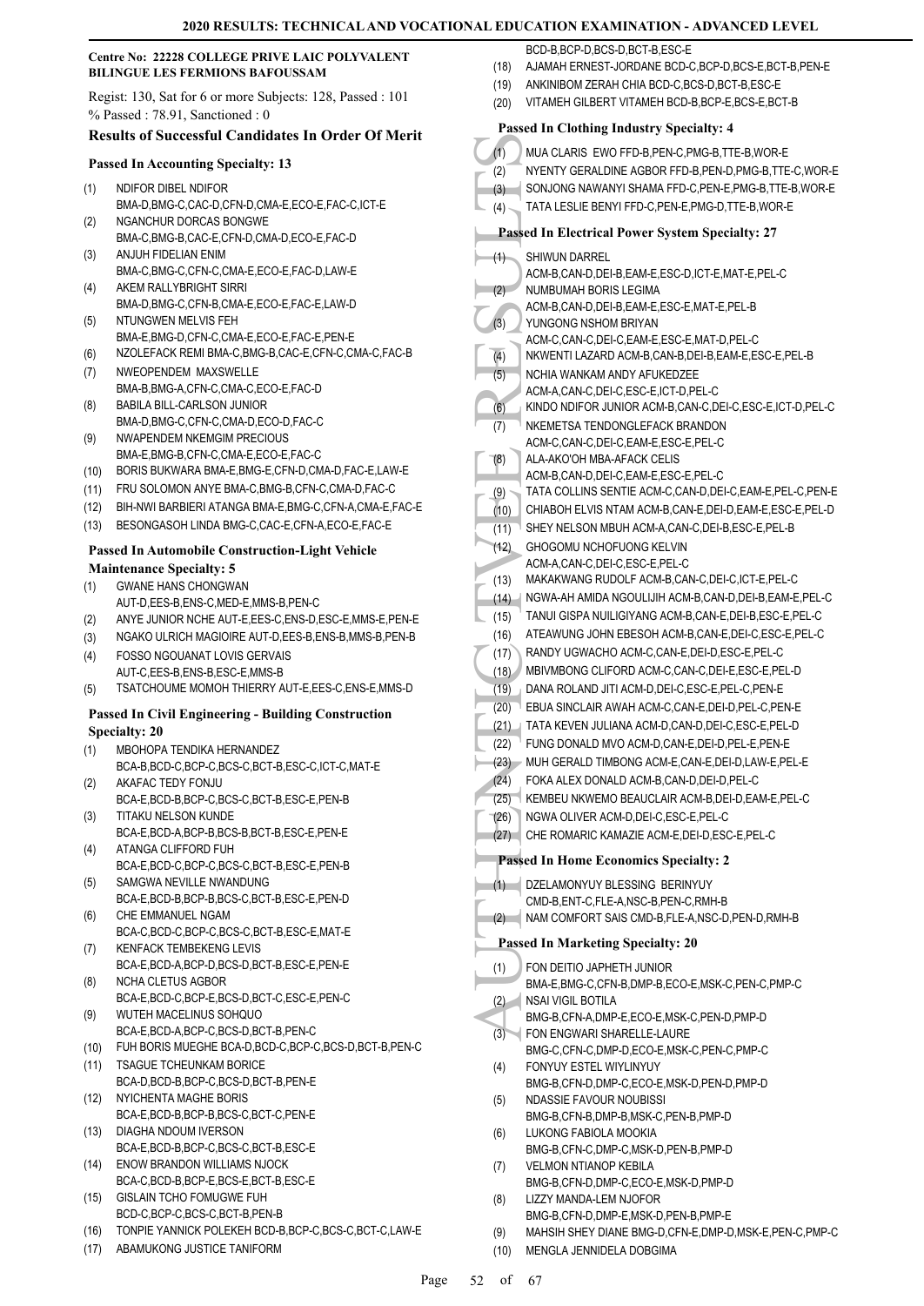#### **Centre No: 22228 COLLEGE PRIVE LAIC POLYVALENT BILINGUE LES FERMIONS BAFOUSSAM**

Regist: 130, Sat for 6 or more Subjects: 128, Passed : 101 % Passed : 78.91, Sanctioned : 0

# **Results of Successful Candidates In Order Of Merit**

#### **Passed In Accounting Specialty: 13**

- NDIFOR DIBEL NDIFOR BMA-D,BMG-C,CAC-D,CFN-D,CMA-E,ECO-E,FAC-C,ICT-E (1) NGANCHUR DORCAS BONGWE (2)
- BMA-C,BMG-B,CAC-E,CFN-D,CMA-D,ECO-E,FAC-D ANJUH FIDELIAN ENIM
- BMA-C,BMG-C,CFN-C,CMA-E,ECO-E,FAC-D,LAW-E (3) AKEM RALLYBRIGHT SIRRI (4)
- BMA-D,BMG-C,CFN-B,CMA-E,ECO-E,FAC-E,LAW-D NTUNGWEN MELVIS FEH (5)
- BMA-E,BMG-D,CFN-C,CMA-E,ECO-E,FAC-E,PEN-E
- (6) NZOLEFACK REMI BMA-C,BMG-B,CAC-E,CFN-C,CMA-C,FAC-B
- NWEOPENDEM MAXSWELLE BMA-B,BMG-A,CFN-C,CMA-C,ECO-E,FAC-D (7)
- BABILA BILL-CARLSON JUNIOR BMA-D,BMG-C,CFN-C,CMA-D,ECO-D,FAC-C (8) NWAPENDEM NKEMGIM PRECIOUS (9)
- BMA-E,BMG-B,CFN-C,CMA-E,ECO-E,FAC-C
- (10) BORIS BUKWARA BMA-E,BMG-E,CFN-D,CMA-D,FAC-E,LAW-E
- (11) FRU SOLOMON ANYE BMA-C,BMG-B,CFN-C,CMA-D,FAC-C
- (12) BIH-NWI BARBIERI ATANGA BMA-E,BMG-C,CFN-A,CMA-E,FAC-E (13) BESONGASOH LINDA BMG-C,CAC-E,CFN-A,ECO-E,FAC-E

# **Passed In Automobile Construction-Light Vehicle**

#### **Maintenance Specialty: 5**

- GWANE HANS CHONGWAN AUT-D,EES-B,ENS-C,MED-E,MMS-B,PEN-C (1)
- (2) ANYE JUNIOR NCHE AUT-E,EES-C,ENS-D,ESC-E,MMS-E,PEN-E
- (3) NGAKO ULRICH MAGIOIRE AUT-D,EES-B,ENS-B,MMS-B,PEN-B
- FOSSO NGOUANAT LOVIS GERVAIS AUT-C,EES-B,ENS-B,ESC-E,MMS-B (4)
- (5) TSATCHOUME MOMOH THIERRY AUT-E,EES-C,ENS-E,MMS-D

#### **Passed In Civil Engineering - Building Construction Specialty: 20**

- MBOHOPA TENDIKA HERNANDEZ BCA-B,BCD-C,BCP-C,BCS-C,BCT-B,ESC-C,ICT-C,MAT-E (1)
- AKAFAC TEDY FONJU (2)
- BCA-E,BCD-B,BCP-C,BCS-C,BCT-B,ESC-E,PEN-B TITAKU NELSON KUNDE (3)
- BCA-E,BCD-A,BCP-B,BCS-B,BCT-B,ESC-E,PEN-E ATANGA CLIFFORD FUH (4)
- BCA-E,BCD-C,BCP-C,BCS-C,BCT-B,ESC-E,PEN-B SAMGWA NEVILLE NWANDUNG (5)
- BCA-E,BCD-B,BCP-B,BCS-C,BCT-B,ESC-E,PEN-D CHE EMMANUEL NGAM (6)
- BCA-C,BCD-C,BCP-C,BCS-C,BCT-B,ESC-E,MAT-E KENFACK TEMBEKENG LEVIS (7)
- BCA-E,BCD-A,BCP-D,BCS-D,BCT-B,ESC-E,PEN-E NCHA CLETUS AGBOR (8)
- BCA-E,BCD-C,BCP-E,BCS-D,BCT-C,ESC-E,PEN-C WUTEH MACELINUS SOHQUO (9)
- BCA-E,BCD-A,BCP-C,BCS-D,BCT-B,PEN-C
- (10) FUH BORIS MUEGHE BCA-D,BCD-C,BCP-C,BCS-D,BCT-B,PEN-C
- TSAGUE TCHEUNKAM BORICE BCA-D,BCD-B,BCP-C,BCS-D,BCT-B,PEN-E (11)
- NYICHENTA MAGHE BORIS BCA-E,BCD-B,BCP-B,BCS-C,BCT-C,PEN-E (12)
- DIAGHA NDOUM IVERSON BCA-E,BCD-B,BCP-C,BCS-C,BCT-B,ESC-E (13)
- ENOW BRANDON WILLIAMS NJOCK (14)
- BCA-C,BCD-B,BCP-E,BCS-E,BCT-B,ESC-E GISLAIN TCHO FOMUGWE FUH (15)
- BCD-C,BCP-C,BCS-C,BCT-B,PEN-B
- (16) TONPIE YANNICK POLEKEH BCD-B,BCP-C,BCS-C,BCT-C,LAW-E
- (17) ABAMUKONG JUSTICE TANIFORM

BCD-B, BCP-D, BCS-D, BCT-B, ESC-E

- (18) AJAMAH ERNEST-JORDANE BCD-C,BCP-D,BCS-E,BCT-B,PEN-E
- (19) ANKINIBOM ZERAH CHIA BCD-C,BCS-D,BCT-B,ESC-E
- (20) VITAMEH GILBERT VITAMEH BCD-B,BCP-E,BCS-E,BCT-B
- (1) MUACI (2) NYENT<br>
(2) NYENT SONJO TATA L<br>
(3) SONJO TATA L<br>
(4) SHIWU ACM-B, NUMBL<br>
(2) NUMBL<br>
(2) NUMBL<br>
(2) NUMBL<br>
(3) NUMBL<br>
(2) NUMBL<br>
(4) NUMBL<br>
(4) NUMBL<br>
(4) NUMBL<br>
(5) NUMBL<br>
(4) NEWEN RAM-B, TATA K<br>
(6) NEWEN A **Passed In Clothing Industry Specialty: 4** (1) MUA CLARIS EWO FFD-B,PEN-C,PMG-B,TTE-B,WOR-E (2) NYENTY GERALDINE AGBOR FFD-B,PEN-D,PMG-B,TTE-C,WOR-E (3) SONJONG NAWANYI SHAMA FFD-C,PEN-E,PMG-B,TTE-B,WOR-E (4) TATA LESLIE BENYI FFD-C,PEN-E,PMG-D,TTE-B,WOR-E **Passed In Electrical Power System Specialty: 27** SHIWUN DARREL ACM-B,CAN-D,DEI-B,EAM-E,ESC-D,ICT-E,MAT-E,PEL-C (1) NUMBUMAH BORIS LEGIMA ACM-B,CAN-D, DEI-B, EAM-E, ESC-E, MAT-E, PEL-B  $(2)$ YUNGONG NSHOM BRIYAN ACM-C,CAN-C,DEI-C,EAM-E,ESC-E,MAT-D,PEL-C (3) (4) NKWENTI LAZARD ACM-B,CAN-B,DEI-B,EAM-E,ESC-E,PEL-B NCHIA WANKAM ANDY AFUKEDZEE ACM-A,CAN-C,DEI-C,ESC-E,ICT-D,PEL-C (5) (6) KINDO NDIFOR JUNIOR ACM-B,CAN-C,DEI-C,ESC-E,ICT-D,PEL-C NKEMETSA TENDONGLEFACK BRANDON ACM-C,CAN-C,DEI-C,EAM-E,ESC-E,PEL-C (7) ALA-AKO'OH MBA-AFACK CELIS ACM-B,CAN-D,DEI-C,EAM-E,ESC-E,PEL-C (8) (9) TATA COLLINS SENTIE ACM-C,CAN-D,DEI-C,EAM-E,PEL-C,PEN-E (10) CHIABOH ELVIS NTAM ACM-B,CAN-E,DEI-D,EAM-E,ESC-E,PEL-D (11) SHEY NELSON MBUH ACM-A,CAN-C,DEI-B,ESC-E,PEL-B GHOGOMU NCHOFUONG KELVIN ACM-A,CAN-C,DEI-C,ESC-E,PEL-C (12) (13) MAKAKWANG RUDOLF ACM-B,CAN-C,DEI-C,ICT-E,PEL-C (14) NGWA-AH AMIDA NGOULIJIH ACM-B,CAN-D,DEI-B,EAM-E,PEL-C (15) TANUI GISPA NUILIGIYANG ACM-B,CAN-E,DEI-B,ESC-E,PEL-C (16) ATEAWUNG JOHN EBESOH ACM-B,CAN-E,DEI-C,ESC-E,PEL-C (17) RANDY UGWACHO ACM-C,CAN-E,DEI-D,ESC-E,PEL-C (18) MBIVMBONG CLIFORD ACM-C,CAN-C,DEI-E,ESC-E,PEL-D (19) DANA ROLAND JITI ACM-D,DEI-C,ESC-E,PEL-C,PEN-E (20) EBUA SINCLAIR AWAH ACM-C,CAN-E,DEI-D,PEL-C,PEN-E (21) TATA KEVEN JULIANA ACM-D,CAN-D,DEI-C,ESC-E,PEL-D (22) FUNG DONALD MVO ACM-D,CAN-E,DEI-D,PEL-E,PEN-E (23) MUH GERALD TIMBONG ACM-E,CAN-E,DEI-D,LAW-E,PEL-E (24) FOKA ALEX DONALD ACM-B,CAN-D,DEI-D,PEL-C (25) KEMBEU NKWEMO BEAUCLAIR ACM-B,DEI-D,EAM-E,PEL-C (26) NGWA OLIVER ACM-D,DEI-C,ESC-E,PEL-C (27) CHE ROMARIC KAMAZIE ACM-E,DEI-D,ESC-E,PEL-C **Passed In Home Economics Specialty: 2** DZELAMONYUY BLESSING BERINYUY CMD-B,ENT-C,FLE-A,NSC-B,PEN-C,RMH-B  $(1)$ (2) NAM COMFORT SAIS CMD-B,FLE-A,NSC-D,PEN-D,RMH-B **Passed In Marketing Specialty: 20** FON DEITIO JAPHETH JUNIOR BMA-E,BMG-C,CFN-B,DMP-B,ECO-E,MSK-C,PEN-C,PMP-C (1) NSAI VIGIL BOTILA BMG-B,CFN-A,DMP-E,ECO-E,MSK-C,PEN-D,PMP-D  $(2)$ FON ENGWARI SHARELLE-LAURE BMG-C,CFN-C,DMP-D,ECO-E,MSK-C,PEN-C,PMP-C (3) FONYUY ESTEL WIYLINYUY BMG-B,CFN-D,DMP-C,ECO-E,MSK-D,PEN-D,PMP-D (4) NDASSIE FAVOUR NOUBISSI BMG-B,CFN-B,DMP-B,MSK-C,PEN-B,PMP-D (5) LUKONG FABIOLA MOOKIA BMG-B,CFN-C,DMP-C,MSK-D,PEN-B,PMP-D (6) VELMON NTIANOP KEBILA BMG-B,CFN-D,DMP-C,ECO-E,MSK-D,PMP-D (7) LIZZY MANDA-LEM NJOFOR BMG-B,CFN-D,DMP-E,MSK-D,PEN-B,PMP-E (8) (9) MAHSIH SHEY DIANE BMG-D,CFN-E,DMP-D,MSK-E,PEN-C,PMP-C (10) MENGLA JENNIDELA DOBGIMA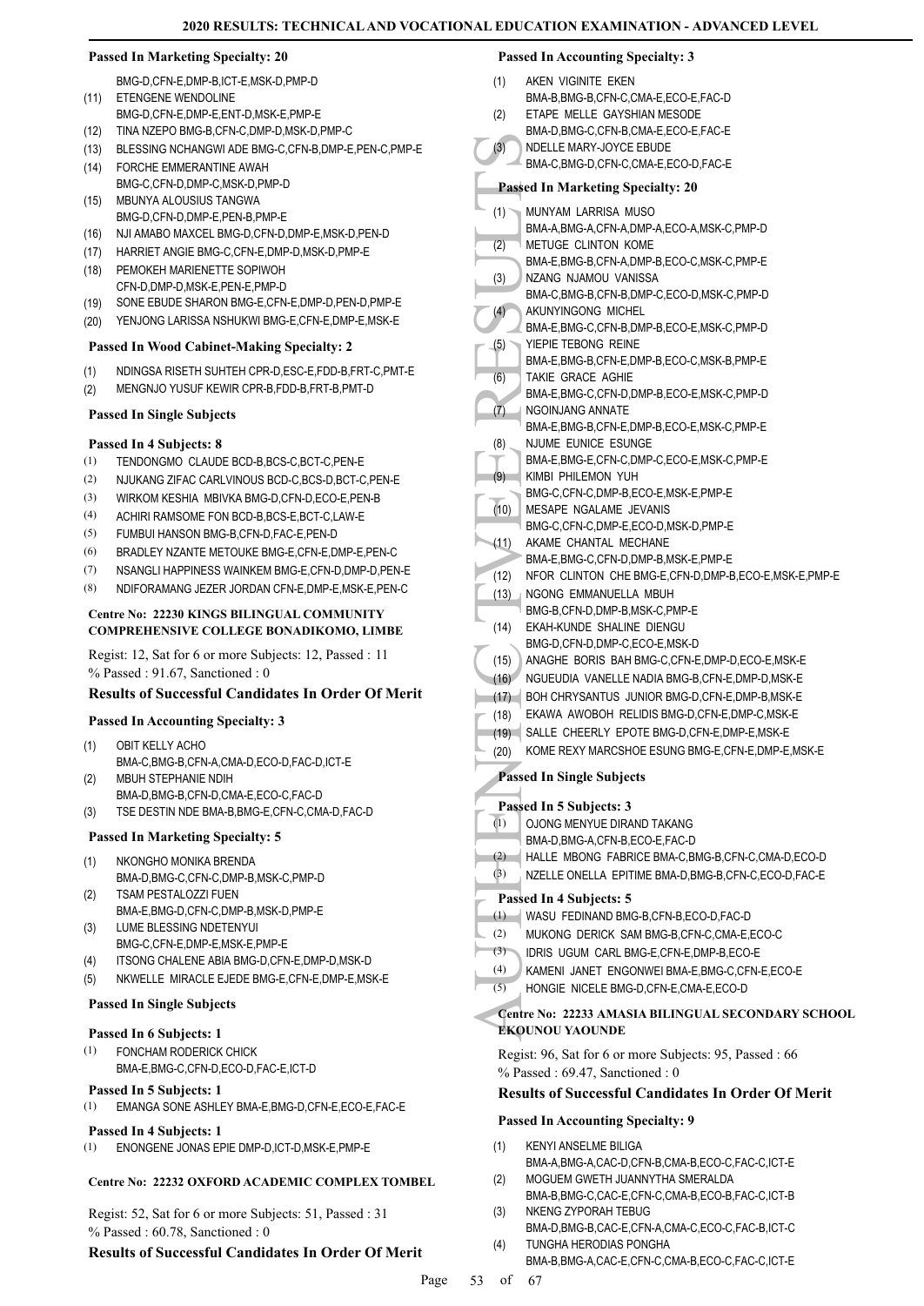#### **Passed In Marketing Specialty: 20**

BMG-D,CFN-E,DMP-B,ICT-E,MSK-D,PMP-D (11) ETENGENE WENDOLINE

- BMG-D,CFN-E,DMP-E,ENT-D,MSK-E,PMP-E
- (12) TINA NZEPO BMG-B,CFN-C,DMP-D,MSK-D,PMP-C
- (13) BLESSING NCHANGWI ADE BMG-C,CFN-B,DMP-E,PEN-C,PMP-E
- FORCHE EMMERANTINE AWAH (14) BMG-C,CFN-D,DMP-C,MSK-D,PMP-D
- MBUNYA ALOUSIUS TANGWA BMG-D,CFN-D,DMP-E,PEN-B,PMP-E (15)
- (16) NJI AMABO MAXCEL BMG-D,CFN-D,DMP-E,MSK-D,PEN-D
- (17) HARRIET ANGIE BMG-C,CFN-E,DMP-D,MSK-D,PMP-E
- PEMOKEH MARIENETTE SOPIWOH CFN-D,DMP-D,MSK-E,PEN-E,PMP-D (18)
- (19) SONE EBUDE SHARON BMG-E,CFN-E,DMP-D,PEN-D,PMP-E
- (20) YENJONG LARISSA NSHUKWI BMG-E,CFN-E,DMP-E,MSK-E

# **Passed In Wood Cabinet-Making Specialty: 2**

- (1) NDINGSA RISETH SUHTEH CPR-D,ESC-E,FDD-B,FRT-C,PMT-E
- (2) MENGNJO YUSUF KEWIR CPR-B,FDD-B,FRT-B,PMT-D

# **Passed In Single Subjects**

# **Passed In 4 Subjects: 8**

- (1) TENDONGMO CLAUDE BCD-B,BCS-C,BCT-C,PEN-E
- (2) NJUKANG ZIFAC CARLVINOUS BCD-C,BCS-D,BCT-C,PEN-E
- (3) WIRKOM KESHIA MBIVKA BMG-D,CFN-D,ECO-E,PEN-B
- (4) ACHIRI RAMSOME FON BCD-B,BCS-E,BCT-C,LAW-E
- (5) FUMBUI HANSON BMG-B,CFN-D,FAC-E,PEN-D
- (6) BRADLEY NZANTE METOUKE BMG-E,CFN-E,DMP-E,PEN-C
- (7) NSANGLI HAPPINESS WAINKEM BMG-E,CFN-D,DMP-D,PEN-E
- (8) NDIFORAMANG JEZER JORDAN CFN-E,DMP-E,MSK-E,PEN-C

#### **Centre No: 22230 KINGS BILINGUAL COMMUNITY COMPREHENSIVE COLLEGE BONADIKOMO, LIMBE**

Regist: 12, Sat for 6 or more Subjects: 12, Passed : 11 % Passed : 91.67, Sanctioned : 0

# **Results of Successful Candidates In Order Of Merit**

# **Passed In Accounting Specialty: 3**

- OBIT KELLY ACHO BMA-C,BMG-B,CFN-A,CMA-D,ECO-D,FAC-D,ICT-E (1)
- MBUH STEPHANIE NDIH BMA-D,BMG-B,CFN-D,CMA-E,ECO-C,FAC-D (2)
- (3) TSE DESTIN NDE BMA-B,BMG-E,CFN-C,CMA-D,FAC-D

# **Passed In Marketing Specialty: 5**

- NKONGHO MONIKA BRENDA BMA-D,BMG-C,CFN-C,DMP-B,MSK-C,PMP-D (1)
- TSAM PESTALOZZI FUEN BMA-E,BMG-D,CFN-C,DMP-B,MSK-D,PMP-E (2)
- LUME BLESSING NDETENYUI BMG-C,CFN-E,DMP-E,MSK-E,PMP-E (3)
- (4) ITSONG CHALENE ABIA BMG-D,CFN-E,DMP-D,MSK-D
- (5) NKWELLE MIRACLE EJEDE BMG-E,CFN-E,DMP-E,MSK-E

# **Passed In Single Subjects**

# **Passed In 6 Subjects: 1**

FONCHAM RODERICK CHICK BMA-E,BMG-C,CFN-D,ECO-D,FAC-E,ICT-D (1)

# **Passed In 5 Subjects: 1**

(1) EMANGA SONE ASHLEY BMA-E,BMG-D,CFN-E,ECO-E,FAC-E

# **Passed In 4 Subjects: 1**

(1) ENONGENE JONAS EPIE DMP-D,ICT-D,MSK-E,PMP-E

# **Centre No: 22232 OXFORD ACADEMIC COMPLEX TOMBEL**

Regist: 52, Sat for 6 or more Subjects: 51, Passed : 31 % Passed : 60.78, Sanctioned : 0

# **Results of Successful Candidates In Order Of Merit**

# **Passed In Accounting Specialty: 3**

- AKEN VIGINITE EKEN BMA-B,BMG-B,CFN-C,CMA-E,ECO-E,FAC-D (1) ETAPE MELLE GAYSHIAN MESODE
- BMA-D,BMG-C,CFN-B,CMA-E,ECO-E,FAC-E (2)
- NDELLE MARY-JOYCE EBUDE (3)
- BMA-C,BMG-D,CFN-C,CMA-E,ECO-D,FAC-E

# **Passed In Marketing Specialty: 20**

- MUNYAM LARRISA MUSO (1)
	- BMA-A,BMG-A,CFN-A,DMP-A,ECO-A,MSK-C,PMP-D METUGE CLINTON KOME (2)
	- BMA-E,BMG-B,CFN-A,DMP-B,ECO-C,MSK-C,PMP-E
- NZANG NJAMOU VANISSA BMA-C,BMG-B,CFN-B,DMP-C,ECO-D,MSK-C,PMP-D (3)
- AKUNYINGONG MICHEL BMA-E,BMG-C,CFN-B,DMP-B,ECO-E,MSK-C,PMP-D (4)
- YIEPIE TEBONG REINE (5)
- BMA-E,BMG-B,CFN-E,DMP-B,ECO-C,MSK-B,PMP-E TAKIE GRACE AGHIE (6)
- BMA-E,BMG-C,CFN-D,DMP-B,ECO-E,MSK-C,PMP-D NGOINJANG ANNATE (7)
- BMA-E,BMG-B,CFN-E,DMP-B,ECO-E,MSK-C,PMP-E NJUME EUNICE ESUNGE (8)
- BMA-E,BMG-E,CFN-C,DMP-C,ECO-E,MSK-C,PMP-E (9)
- KIMBI PHILEMON YUH BMG-C,CFN-C,DMP-B,ECO-E,MSK-E,PMP-E
- MESAPE NGALAME JEVANIS (10)
- BMG-C,CFN-C,DMP-E,ECO-D,MSK-D,PMP-E AKAME CHANTAL MECHANE (11)
- BMA-E,BMG-C,CFN-D,DMP-B,MSK-E,PMP-E
- (12) NFOR CLINTON CHE BMG-E,CFN-D,DMP-B,ECO-E,MSK-E,PMP-E
- NGONG EMMANUELLA MBUH (13) BMG-B,CFN-D,DMP-B,MSK-C,PMP-E
- EKAH-KUNDE SHALINE DIENGU  $(14)$
- BMG-D,CFN-D,DMP-C,ECO-E,MSK-D
- (15) ANAGHE BORIS BAH BMG-C,CFN-E,DMP-D,ECO-E,MSK-E
- (16) NGUEUDIA VANELLE NADIA BMG-B,CFN-E,DMP-D,MSK-E (17) BOH CHRYSANTUS JUNIOR BMG-D,CFN-E,DMP-B,MSK-E
- (18) EKAWA AWOBOH RELIDIS BMG-D,CFN-E,DMP-C,MSK-E
- (19) SALLE CHEERLY EPOTE BMG-D,CFN-E,DMP-E,MSK-E
- (20) KOME REXY MARCSHOE ESUNG BMG-E,CFN-E,DMP-E,MSK-E

# **Passed In Single Subjects**

# **Passed In 5 Subjects: 3**

- OJONG MENYUE DIRAND TAKANG (1)
- BMA-D,BMG-A,CFN-B,ECO-E,FAC-D
- (2) HALLE MBONG FABRICE BMA-C,BMG-B,CFN-C,CMA-D,ECO-D
- (3) NZELLE ONELLA EPITIME BMA-D,BMG-B,CFN-C,ECO-D,FAC-E

# **Passed In 4 Subjects: 5**

- (1) WASU FEDINAND BMG-B,CFN-B,ECO-D,FAC-D
- (2) MUKONG DERICK SAM BMG-B,CFN-C,CMA-E,ECO-C
- (3) IDRIS UGUM CARL BMG-E,CFN-E,DMP-B,ECO-E
- (4) KAMENI JANET ENGONWEI BMA-E,BMG-C,CFN-E,ECO-E
- (5) HONGIE NICELE BMG-D,CFN-E,CMA-E,ECO-D
- (3) MDELLI<br>
BMA-C,<br>
Passed In 1<br>
MUNYA<br>
BMA-A,<br>
(2) METUC<br>
BMA-A,<br>
(3) METUC<br>
BMA-A,<br>
BMA-A,<br>
BMA-A,<br>
BMA-E,<br>
RMA-E,<br>
TAKIE<br>
EMA-E,<br>
TAKIE<br>
BMA-E,<br>
TAKIE<br>
BMA-E,<br>
TAKIE<br>
BMA-E,<br>
TAKIE<br>
BMA-E,<br>
NGOIN,<br>
BMA-E,<br>
NGOIN,<br>
BMA-E **Centre No: 22233 AMASIA BILINGUAL SECONDARY SCHOOL EKOUNOU YAOUNDE**

Regist: 96, Sat for 6 or more Subjects: 95, Passed : 66 % Passed : 69.47, Sanctioned : 0

# **Results of Successful Candidates In Order Of Merit**

# **Passed In Accounting Specialty: 9**

- KENYI ANSELME BILIGA BMA-A,BMG-A,CAC-D,CFN-B,CMA-B,ECO-C,FAC-C,ICT-E (1)
- MOGUEM GWETH JUANNYTHA SMERALDA BMA-B,BMG-C,CAC-E,CFN-C,CMA-B,ECO-B,FAC-C,ICT-B (2)
- NKENG ZYPORAH TEBUG BMA-D,BMG-B,CAC-E,CFN-A,CMA-C,ECO-C,FAC-B,ICT-C (3) TUNGHA HERODIAS PONGHA (4)
	- BMA-B,BMG-A,CAC-E,CFN-C,CMA-B,ECO-C,FAC-C,ICT-E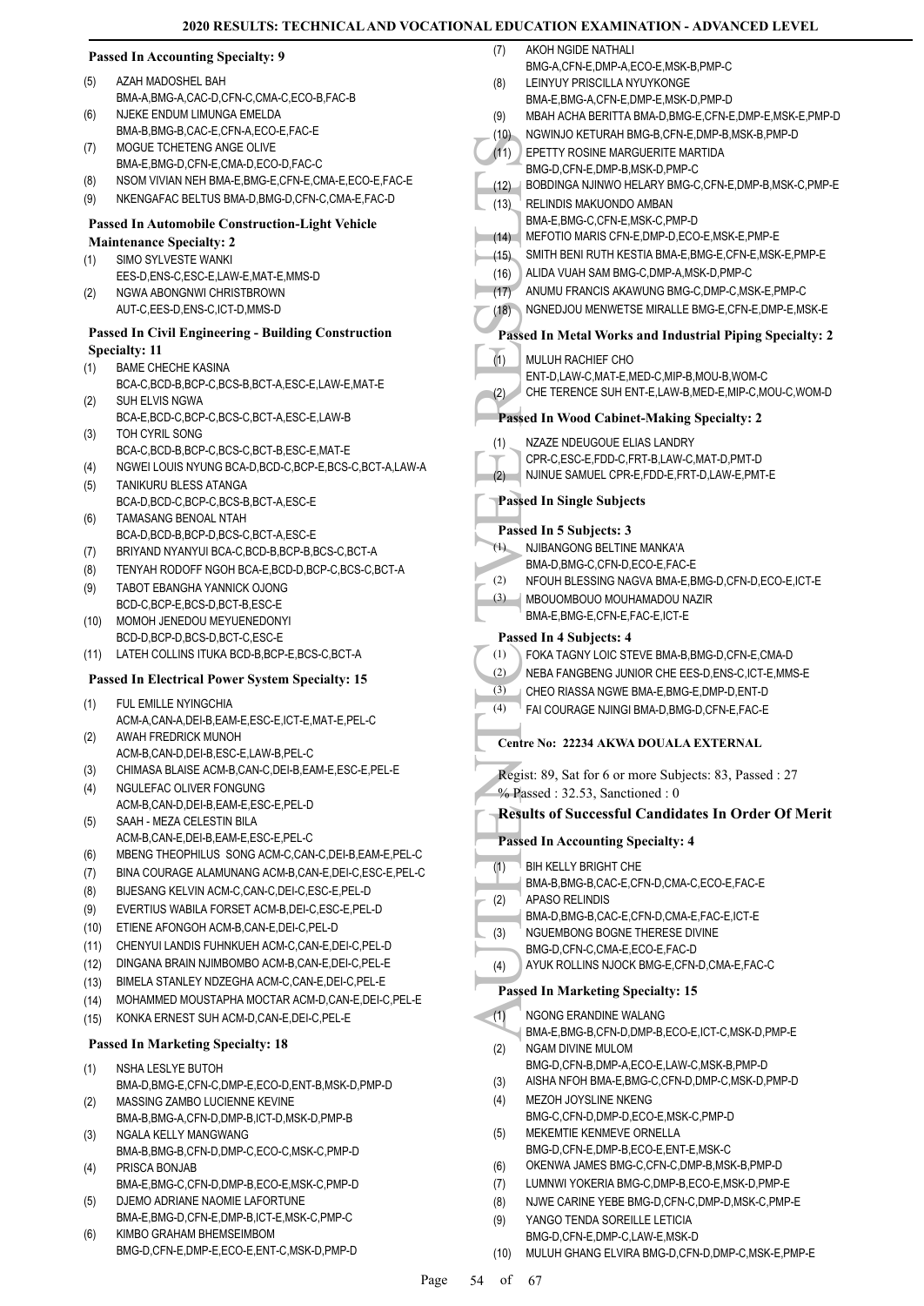|            | <b>Passed In Accounting Specialty: 9</b>                                                                       | <b>AKOH NGIDE</b><br>(7)                     |
|------------|----------------------------------------------------------------------------------------------------------------|----------------------------------------------|
| (5)        | AZAH MADOSHEL BAH                                                                                              | BMG-A,CFN-<br>(8)<br><b>LEINYUY PR</b>       |
|            | BMA-A, BMG-A, CAC-D, CFN-C, CMA-C, ECO-B, FAC-B                                                                | BMA-E, BMG-                                  |
| (6)        | NJEKE ENDUM LIMUNGA EMELDA                                                                                     | (9)<br><b>MBAH ACHA</b>                      |
|            | BMA-B, BMG-B, CAC-E, CFN-A, ECO-E, FAC-E                                                                       | <b>NGWINJO KI</b><br>(10)                    |
| (7)        | MOGUE TCHETENG ANGE OLIVE                                                                                      | (11)<br>EPETTY ROS                           |
|            | BMA-E,BMG-D,CFN-E,CMA-D,ECO-D,FAC-C                                                                            | BMG-D,CFN-                                   |
| (8)        | NSOM VIVIAN NEH BMA-E, BMG-E, CFN-E, CMA-E, ECO-E, FAC-E<br>NKENGAFAC BELTUS BMA-D, BMG-D, CFN-C, CMA-E, FAC-D | (12)<br><b>BOBDINGAN</b>                     |
| (9)        |                                                                                                                | <b>RELINDIS M/</b><br>(13)                   |
|            | <b>Passed In Automobile Construction-Light Vehicle</b>                                                         | BMA-E, BMG-<br>MEFOTIO M/<br>(14)            |
|            | <b>Maintenance Specialty: 2</b>                                                                                | SMITH BENI<br>(15)                           |
| (1)        | SIMO SYLVESTE WANKI<br>EES-D, ENS-C, ESC-E, LAW-E, MAT-E, MMS-D                                                | ALIDA VUAH<br>(16)                           |
| (2)        | NGWA ABONGNWI CHRISTBROWN                                                                                      | ANUMU FRA<br>(17)                            |
|            | AUT-C,EES-D,ENS-C,ICT-D,MMS-D                                                                                  | NGNEDJOU<br>(18)                             |
|            | <b>Passed In Civil Engineering - Building Construction</b>                                                     |                                              |
|            | <b>Specialty: 11</b>                                                                                           | <b>Passed In Meta</b>                        |
| (1)        | <b>BAME CHECHE KASINA</b>                                                                                      | (1)<br><b>MULUH RAC</b>                      |
|            | BCA-C,BCD-B,BCP-C,BCS-B,BCT-A,ESC-E,LAW-E,MAT-E                                                                | ENT-D,LAW-                                   |
| (2)        | SUH ELVIS NGWA                                                                                                 | CHE TEREN<br>(2)                             |
|            | BCA-E,BCD-C,BCP-C,BCS-C,BCT-A,ESC-E,LAW-B                                                                      | Passed In Wood                               |
| (3)        | TOH CYRIL SONG                                                                                                 | <b>NZAZE NDEI</b><br>(1)                     |
|            | BCA-C,BCD-B,BCP-C,BCS-C,BCT-B,ESC-E,MAT-E<br>NGWEI LOUIS NYUNG BCA-D, BCD-C, BCP-E, BCS-C, BCT-A, LAW-A        | CPR-C,ESC-                                   |
| (4)<br>(5) | TANIKURU BLESS ATANGA                                                                                          | <b>NJINUE SAM</b><br>(2)                     |
|            | BCA-D,BCD-C,BCP-C,BCS-B,BCT-A,ESC-E                                                                            | <b>Passed In Singl</b>                       |
| (6)        | TAMASANG BENOAL NTAH                                                                                           |                                              |
|            | BCA-D,BCD-B,BCP-D,BCS-C,BCT-A,ESC-E                                                                            | Passed In 5 Sul                              |
| (7)        | BRIYAND NYANYUI BCA-C, BCD-B, BCP-B, BCS-C, BCT-A                                                              | (1)<br>NJIBANGON                             |
| (8)        | TENYAH RODOFF NGOH BCA-E,BCD-D,BCP-C,BCS-C,BCT-A                                                               | BMA-D, BMG-<br>(2)<br><b>NFOUH BLES</b>      |
| (9)        | TABOT EBANGHA YANNICK OJONG                                                                                    | (3)<br>MBOUOMBO                              |
| (10)       | BCD-C,BCP-E,BCS-D,BCT-B,ESC-E<br>MOMOH JENEDOU MEYUENEDONYI                                                    | BMA-E, BMG-                                  |
|            | BCD-D,BCP-D,BCS-D,BCT-C,ESC-E                                                                                  | Passed In 4 Sul                              |
| (11)       | LATEH COLLINS ITUKA BCD-B, BCP-E, BCS-C, BCT-A                                                                 | (1)<br><b>FOKA TAGN</b>                      |
|            | <b>Passed In Electrical Power System Specialty: 15</b>                                                         | (2)<br><b>NEBA FANGI</b>                     |
|            |                                                                                                                | (3)<br><b>CHEO RIASS</b>                     |
| (1)        | FUL EMILLE NYINGCHIA                                                                                           | (4)<br><b>FAI COURAG</b>                     |
|            | ACM-A,CAN-A,DEI-B,EAM-E,ESC-E,ICT-E,MAT-E,PEL-C<br>AWAH FREDRICK MUNOH                                         |                                              |
| (2)        | ACM-B,CAN-D,DEI-B,ESC-E,LAW-B,PEL-C                                                                            | Centre No: 2223                              |
| (3)        | CHIMASA BLAISE ACM-B,CAN-C,DEI-B,EAM-E,ESC-E,PEL-E                                                             | Regist: 89, Sat f                            |
| (4)        | NGULEFAC OLIVER FONGUNG                                                                                        | % Passed: 32.5                               |
|            | ACM-B,CAN-D,DEI-B,EAM-E,ESC-E,PEL-D                                                                            | <b>Results of Suc</b>                        |
| (5)        | SAAH - MEZA CELESTIN BILA                                                                                      |                                              |
|            | ACM-B,CAN-E,DEI-B,EAM-E,ESC-E,PEL-C<br>MBENG THEOPHILUS SONG ACM-C,CAN-C,DEI-B,EAM-E,PEL-C                     | <b>Passed In Acco</b>                        |
| (6)<br>(7) | BINA COURAGE ALAMUNANG ACM-B,CAN-E,DEI-C,ESC-E,PEL-C                                                           | (1)<br><b>BIH KELLY B</b>                    |
| (8)        | BIJESANG KELVIN ACM-C,CAN-C,DEI-C,ESC-E,PEL-D                                                                  | BMA-B, BMG-                                  |
| (9)        | EVERTIUS WABILA FORSET ACM-B, DEI-C, ESC-E, PEL-D                                                              | (2)<br><b>APASO RELI</b>                     |
| (10)       | ETIENE AFONGOH ACM-B,CAN-E,DEI-C,PEL-D                                                                         | BMA-D, BMG-<br>(3)<br><b>NGUEMBON</b>        |
| (11)       | CHENYUI LANDIS FUHNKUEH ACM-C,CAN-E,DEI-C,PEL-D                                                                | BMG-D,CFN-                                   |
| (12)       | DINGANA BRAIN NJIMBOMBO ACM-B,CAN-E,DEI-C,PEL-E                                                                | <b>AYUK ROLLI</b><br>(4)                     |
| (13)       | BIMELA STANLEY NDZEGHA ACM-C,CAN-E,DEI-C,PEL-E                                                                 | Passed In Marl                               |
| (14)       | MOHAMMED MOUSTAPHA MOCTAR ACM-D,CAN-E,DEI-C,PEL-E                                                              |                                              |
| (15)       | KONKA ERNEST SUH ACM-D,CAN-E,DEI-C,PEL-E                                                                       | (1)<br>NGONG ERA                             |
|            | <b>Passed In Marketing Specialty: 18</b>                                                                       | BMA-E, BMG-<br>(2)<br>NGAM DIVIN             |
| (1)        | NSHA LESLYE BUTOH                                                                                              | BMG-D,CFN-                                   |
|            | BMA-D, BMG-E, CFN-C, DMP-E, ECO-D, ENT-B, MSK-D, PMP-D                                                         | AISHA NFOH<br>(3)                            |
| (2)        | MASSING ZAMBO LUCIENNE KEVINE                                                                                  | MEZOH JOY<br>(4)                             |
|            | BMA-B, BMG-A, CFN-D, DMP-B, ICT-D, MSK-D, PMP-B                                                                | BMG-C,CFN-                                   |
| (3)        | NGALA KELLY MANGWANG                                                                                           | <b>MEKEMTIE K</b><br>(5)                     |
|            | BMA-B,BMG-B,CFN-D,DMP-C,ECO-C,MSK-C,PMP-D                                                                      | BMG-D,CFN-                                   |
| (4)        | PRISCA BONJAB<br>BMA-E,BMG-C,CFN-D,DMP-B,ECO-E,MSK-C,PMP-D                                                     | OKENWA JA<br>(6)<br><b>LUMNWI YOI</b><br>(7) |
| (5)        | DJEMO ADRIANE NAOMIE LAFORTUNE                                                                                 | NJWE CARIN<br>(8)                            |
|            | BMA-E,BMG-D,CFN-E,DMP-B,ICT-E,MSK-C,PMP-C                                                                      |                                              |
|            |                                                                                                                | (9)<br>YANGO TEN                             |

KIMBO GRAHAM BHEMSEIMBOM BMG-D,CFN-E,DMP-E,ECO-E,ENT-C,MSK-D,PMP-D (6)

| AL LDU | AMINATION - ADVANCED LEVEL                                                                             |
|--------|--------------------------------------------------------------------------------------------------------|
| (7)    | AKOH NGIDE NATHALI                                                                                     |
|        | BMG-A, CFN-E, DMP-A, ECO-E, MSK-B, PMP-C                                                               |
| (8)    | LEINYUY PRISCILLA NYUYKONGE                                                                            |
| (9)    | BMA-E, BMG-A, CFN-E, DMP-E, MSK-D, PMP-D<br>MBAH ACHA BERITTA BMA-D, BMG-E, CFN-E, DMP-E, MSK-E, PMP-D |
|        | NGWINJO KETURAH BMG-B,CFN-E,DMP-B,MSK-B,PMP-D                                                          |
| (10)   |                                                                                                        |
| (11)   | EPETTY ROSINE MARGUERITE MARTIDA<br>BMG-D,CFN-E,DMP-B,MSK-D,PMP-C                                      |
| (12)   | BOBDINGA NJINWO HELARY BMG-C, CFN-E, DMP-B, MSK-C, PMP-E                                               |
| (13)   | RELINDIS MAKUONDO AMBAN                                                                                |
|        | BMA-E.BMG-C.CFN-E.MSK-C.PMP-D                                                                          |
| (14)   | MEFOTIO MARIS CFN-E, DMP-D, ECO-E, MSK-E, PMP-E                                                        |
| (15)   | SMITH BENI RUTH KESTIA BMA-E, BMG-E, CFN-E, MSK-E, PMP-E                                               |
| (16)   | ALIDA VUAH SAM BMG-C,DMP-A,MSK-D,PMP-C                                                                 |
| (17)   | ANUMU FRANCIS AKAWUNG BMG-C,DMP-C,MSK-E,PMP-C                                                          |
| (18)   | NGNEDJOU MENWETSE MIRALLE BMG-E,CFN-E,DMP-E,MSK-E                                                      |
|        |                                                                                                        |
|        | Passed In Metal Works and Industrial Piping Specialty: 2                                               |
| (1)    | <b>MULUH RACHIEF CHO</b>                                                                               |
|        | ENT-D,LAW-C,MAT-E,MED-C,MIP-B,MOU-B,WOM-C                                                              |
| (2)    | CHE TERENCE SUH ENT-E,LAW-B,MED-E,MIP-C,MOU-C,WOM-D                                                    |
|        | <b>Passed In Wood Cabinet-Making Specialty: 2</b>                                                      |
|        |                                                                                                        |
| (1)    | NZAZE NDEUGOUE ELIAS LANDRY                                                                            |
|        | CPR-C.ESC-E.FDD-C.FRT-B.LAW-C.MAT-D.PMT-D<br>NJINUE SAMUEL CPR-E,FDD-E,FRT-D,LAW-E,PMT-E               |
| (2)    |                                                                                                        |
|        | <b>Passed In Single Subjects</b>                                                                       |
|        | Passed In 5 Subjects: 3                                                                                |
| (1)    | NJIBANGONG BELTINE MANKA'A                                                                             |
|        | BMA-D, BMG-C, CFN-D, ECO-E, FAC-E                                                                      |
| (2)    | NFOUH BLESSING NAGVA BMA-E, BMG-D, CFN-D, ECO-E, ICT-E                                                 |
| (3)    | MBOUOMBOUO MOUHAMADOU NAZIR                                                                            |
|        | BMA-E, BMG-E, CFN-E, FAC-E, ICT-E                                                                      |
|        | Passed In 4 Subjects: 4                                                                                |
| (1)    | FOKA TAGNY LOIC STEVE BMA-B, BMG-D, CFN-E, CMA-D                                                       |
| (2)    | NEBA FANGBENG JUNIOR CHE EES-D, ENS-C, ICT-E, MMS-E                                                    |
| (3)    | CHEO RIASSA NGWE BMA-E, BMG-E, DMP-D, ENT-D                                                            |
| (4)    | FAI COURAGE NJINGI BMA-D, BMG-D, CFN-E, FAC-E                                                          |
|        |                                                                                                        |
|        | Centre No: 22234 AKWA DOUALA EXTERNAL                                                                  |
|        |                                                                                                        |
|        | Regist: 89, Sat for 6 or more Subjects: 83, Passed : 27                                                |
|        | % Passed: 32.53, Sanctioned: 0                                                                         |
|        | <b>Results of Successful Candidates In Order Of Merit</b>                                              |
|        | <b>Passed In Accounting Specialty: 4</b>                                                               |
|        |                                                                                                        |
| (1)    | BIH KELLY BRIGHT CHE<br>BMA-B, BMG-B, CAC-E, CFN-D, CMA-C, ECO-E, FAC-E                                |
| (2)    | APASO RELINDIS                                                                                         |
|        | BMA-D.BMG-B.CAC-E.CFN-D.CMA-E.FAC-E.ICT-E                                                              |
| (3)    | NGUEMBONG BOGNE THERESE DIVINE                                                                         |
|        | BMG-D,CFN-C,CMA-E,ECO-E,FAC-D                                                                          |
| (4)    | AYUK ROLLINS NJOCK BMG-E, CFN-D, CMA-E, FAC-C                                                          |
|        | <b>Passed In Marketing Specialty: 15</b>                                                               |
|        |                                                                                                        |
| (1)    | NGONG ERANDINE WALANG                                                                                  |
|        | BMA-E,BMG-B,CFN-D,DMP-B,ECO-E,ICT-C,MSK-D,PMP-E                                                        |
| (2)    | NGAM DIVINE MULOM                                                                                      |
|        | BMG-D,CFN-B,DMP-A,ECO-E,LAW-C,MSK-B,PMP-D<br>AISHA NFOH BMA-E, BMG-C, CFN-D, DMP-C, MSK-D, PMP-D       |
| (3)    |                                                                                                        |
| (4)    | MEZOH JOYSLINE NKENG                                                                                   |
|        | BMG-C,CFN-D,DMP-D,ECO-E,MSK-C,PMP-D<br>MEKEMTIE KENMEVE ORNELLA                                        |
| (5)    | BMG-D,CFN-E,DMP-B,ECO-E,ENT-E,MSK-C                                                                    |
| (6)    | OKENWA JAMES BMG-C, CFN-C, DMP-B, MSK-B, PMP-D                                                         |
| (7)    | LUMNWI YOKERIA BMG-C, DMP-B, ECO-E, MSK-D, PMP-E                                                       |
| (8)    | NJWE CARINE YEBE BMG-D, CFN-C, DMP-D, MSK-C, PMP-E                                                     |
| (9)    | YANGO TENDA SOREILLE LETICIA                                                                           |
|        | BMG-D,CFN-E,DMP-C,LAW-E,MSK-D                                                                          |
|        |                                                                                                        |

(10) MULUH GHANG ELVIRA BMG-D,CFN-D,DMP-C,MSK-E,PMP-E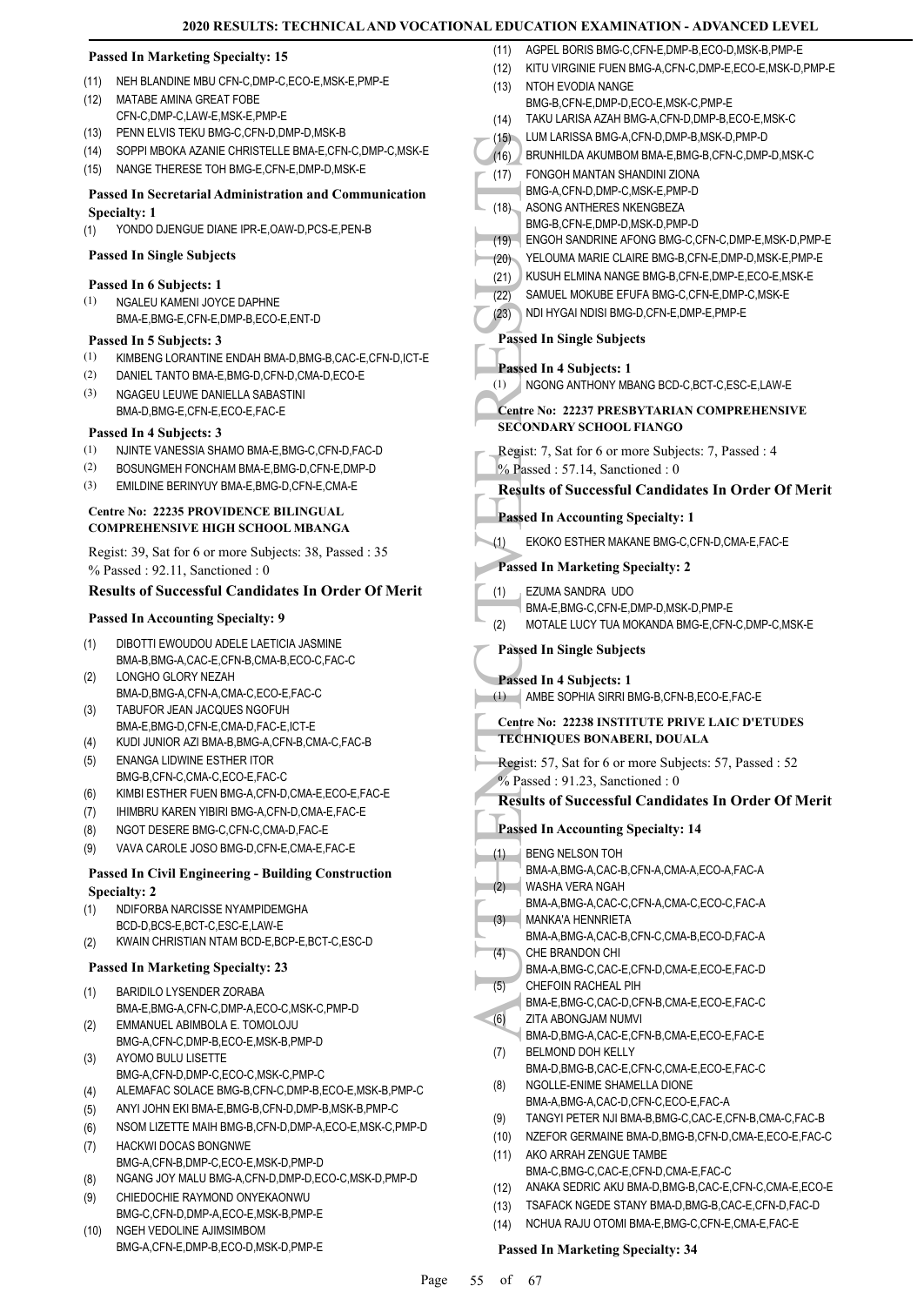#### **Passed In Marketing Specialty: 15**

- (11) NEH BLANDINE MBU CFN-C,DMP-C,ECO-E,MSK-E,PMP-E
- MATABE AMINA GREAT FOBE CFN-C,DMP-C,LAW-E,MSK-E,PMP-E (12)
- (13) PENN ELVIS TEKU BMG-C,CFN-D,DMP-D,MSK-B
- (14) SOPPI MBOKA AZANIE CHRISTELLE BMA-E,CFN-C,DMP-C,MSK-E
- (15) NANGE THERESE TOH BMG-E,CFN-E,DMP-D,MSK-E

#### **Passed In Secretarial Administration and Communication Specialty: 1**

(1) YONDO DJENGUE DIANE IPR-E,OAW-D,PCS-E,PEN-B

#### **Passed In Single Subjects**

#### **Passed In 6 Subjects: 1**

NGALEU KAMENI JOYCE DAPHNE BMA-E,BMG-E,CFN-E,DMP-B,ECO-E,ENT-D (1)

#### **Passed In 5 Subjects: 3**

- (1) KIMBENG LORANTINE ENDAH BMA-D,BMG-B,CAC-E,CFN-D,ICT-E
- (2) DANIEL TANTO BMA-E,BMG-D,CFN-D,CMA-D,ECO-E NGAGEU LEUWE DANIELLA SABASTINI (3)
- BMA-D,BMG-E,CFN-E,ECO-E,FAC-E

#### **Passed In 4 Subjects: 3**

- (1) NJINTE VANESSIA SHAMO BMA-E BMG-C, CEN-D, FAC-D
- (2) BOSUNGMEH FONCHAM BMA-E,BMG-D,CFN-E,DMP-D
- (3) EMILDINE BERINYUY BMA-E,BMG-D,CFN-E,CMA-E

#### **Centre No: 22235 PROVIDENCE BILINGUAL COMPREHENSIVE HIGH SCHOOL MBANGA**

Regist: 39, Sat for 6 or more Subjects: 38, Passed : 35 % Passed : 92.11, Sanctioned : 0

#### **Results of Successful Candidates In Order Of Merit**

#### **Passed In Accounting Specialty: 9**

- DIBOTTI EWOUDOU ADELE LAETICIA JASMINE BMA-B,BMG-A,CAC-E,CFN-B,CMA-B,ECO-C,FAC-C (1) LONGHO GLORY NEZAH
- BMA-D,BMG-A,CFN-A,CMA-C,ECO-E,FAC-C (2)
- TABUFOR JEAN JACQUES NGOFUH BMA-E,BMG-D,CFN-E,CMA-D,FAC-E,ICT-E (3)
- (4) KUDI JUNIOR AZI BMA-B,BMG-A,CFN-B,CMA-C,FAC-B
- ENANGA LIDWINE ESTHER ITOR BMG-B,CFN-C,CMA-C,ECO-E,FAC-C (5)
- (6) KIMBI ESTHER FUEN BMG-A,CFN-D,CMA-E,ECO-E,FAC-E
- (7) IHIMBRU KAREN YIBIRI BMG-A,CFN-D,CMA-E,FAC-E
- (8) NGOT DESERE BMG-C,CFN-C,CMA-D,FAC-E
- (9) VAVA CAROLE JOSO BMG-D,CFN-E,CMA-E,FAC-E

#### **Passed In Civil Engineering - Building Construction Specialty: 2**

- NDIFORBA NARCISSE NYAMPIDEMGHA BCD-D,BCS-E,BCT-C,ESC-E,LAW-E (1)
- (2) KWAIN CHRISTIAN NTAM BCD-E,BCP-E,BCT-C,ESC-D

#### **Passed In Marketing Specialty: 23**

- BARIDILO LYSENDER ZORABA BMA-E,BMG-A,CFN-C,DMP-A,ECO-C,MSK-C,PMP-D (1)
- EMMANUEL ABIMBOLA E. TOMOLOJU BMG-A,CFN-C,DMP-B,ECO-E,MSK-B,PMP-D (2)
- AYOMO BULU LISETTE BMG-A,CFN-D,DMP-C,ECO-C,MSK-C,PMP-C (3)
- (4) ALEMAFAC SOLACE BMG-B,CFN-C,DMP-B,ECO-E,MSK-B,PMP-C
- (5) ANYI JOHN EKI BMA-E,BMG-B,CFN-D,DMP-B,MSK-B,PMP-C
- (6) NSOM LIZETTE MAIH BMG-B,CFN-D,DMP-A,ECO-E,MSK-C,PMP-D
- HACKWI DOCAS BONGNWE BMG-A,CFN-B,DMP-C,ECO-E,MSK-D,PMP-D (7)
- (8) NGANG JOY MALU BMG-A,CFN-D,DMP-D,ECO-C,MSK-D,PMP-D
- CHIEDOCHIE RAYMOND ONYEKAONWU BMG-C,CFN-D,DMP-A,ECO-E,MSK-B,PMP-E (9)
- NGEH VEDOLINE AJIMSIMBOM BMG-A,CFN-E,DMP-B,ECO-D,MSK-D,PMP-E (10)
- (11) AGPEL BORIS BMG-C,CFN-E,DMP-B,ECO-D,MSK-B,PMP-E
- (15)<br>
(16) BRUNH<br>
FONGC BMG-A,<br>
(17) FONGC BMG-B,<br>
(17) FONGC BMG-B,<br>
(18) REGON<br>
(21) KUSUH<br>
(22) SAMUE<br>
(22) SAMUE<br>
(22) SAMUE<br>
Passed In Section BMG-B,<br>
(1) NGONC<br>
Centre No:<br>
SECONDA1<br>
Regist: 7, S% Passed In EXOKC<br>
Pa (12) KITU VIRGINIE FUEN BMG-A,CFN-C,DMP-E,ECO-E,MSK-D,PMP-E NTOH EVODIA NANGE BMG-B,CFN-E,DMP-D,ECO-E,MSK-C,PMP-E (13) (14) TAKU LARISA AZAH BMG-A,CFN-D,DMP-B,ECO-E,MSK-C (15) LUM LARISSA BMG-A,CFN-D,DMP-B,MSK-D,PMP-D (16) BRUNHILDA AKUMBOM BMA-E,BMG-B,CFN-C,DMP-D,MSK-C FONGOH MANTAN SHANDINI ZIONA BMG-A,CFN-D,DMP-C,MSK-E,PMP-D (17) ASONG ANTHERES NKENGBEZA BMG-B,CFN-E,DMP-D,MSK-D,PMP-D (18) (19) ENGOH SANDRINE AFONG BMG-C,CFN-C,DMP-E,MSK-D,PMP-E (20) YELOUMA MARIE CLAIRE BMG-B,CFN-E,DMP-D,MSK-E,PMP-E (21) KUSUH ELMINA NANGE BMG-B,CFN-E,DMP-E,ECO-E,MSK-E (22) SAMUEL MOKUBE EFUFA BMG-C,CFN-E,DMP-C,MSK-E (23) NDI HYGAI NDISI BMG-D,CFN-E,DMP-E,PMP-E **Passed In Single Subjects Passed In 4 Subjects: 1** (1) NGONG ANTHONY MBANG BCD-C,BCT-C,ESC-E,LAW-E **Centre No: 22237 PRESBYTARIAN COMPREHENSIVE SECONDARY SCHOOL FIANGO**  Regist: 7, Sat for 6 or more Subjects: 7, Passed : 4 % Passed : 57.14, Sanctioned : 0 **Results of Successful Candidates In Order Of Merit Passed In Accounting Specialty: 1** (1) EKOKO ESTHER MAKANE BMG-C,CFN-D,CMA-E,FAC-E **Passed In Marketing Specialty: 2** EZUMA SANDRA UDO BMA-E,BMG-C,CFN-E,DMP-D,MSK-D,PMP-E (1) (2) MOTALE LUCY TUA MOKANDA BMG-E,CFN-C,DMP-C,MSK-E **Passed In Single Subjects Passed In 4 Subjects: 1** (1) AMBE SOPHIA SIRRI BMG-B,CFN-B,ECO-E,FAC-E **Centre No: 22238 INSTITUTE PRIVE LAIC D'ETUDES TECHNIQUES BONABERI, DOUALA**  Regist: 57, Sat for 6 or more Subjects: 57, Passed : 52 % Passed : 91.23, Sanctioned : 0 **Results of Successful Candidates In Order Of Merit Passed In Accounting Specialty: 14** BENG NELSON TOH BMA-A,BMG-A,CAC-B,CFN-A,CMA-A,ECO-A,FAC-A (1) WASHA VERA NGAH BMA-A,BMG-A,CAC-C,CFN-A,CMA-C,ECO-C,FAC-A (2) MANKA'A HENNRIETA BMA-A,BMG-A,CAC-B,CFN-C,CMA-B,ECO-D,FAC-A (3) CHE BRANDON CHI BMA-A,BMG-C,CAC-E,CFN-D,CMA-E,ECO-E,FAC-D (4) CHEFOIN RACHEAL PIH BMA-E,BMG-C,CAC-D,CFN-B,CMA-E,ECO-E,FAC-C (5) ZITA ABONGJAM NUMVI BMA-D,BMG-A,CAC-E,CFN-B,CMA-E,ECO-E,FAC-E (6) BELMOND DOH KELLY BMA-D,BMG-B,CAC-E,CFN-C,CMA-E,ECO-E,FAC-C (7) NGOLLE-ENIME SHAMELLA DIONE BMA-A,BMG-A,CAC-D,CFN-C,ECO-E,FAC-A (8) (9) TANGYI PETER NJI BMA-B,BMG-C,CAC-E,CFN-B,CMA-C,FAC-B (10) NZEFOR GERMAINE BMA-D,BMG-B,CFN-D,CMA-E,ECO-E,FAC-C AKO ARRAH ZENGUE TAMBE BMA-C,BMG-C,CAC-E,CFN-D,CMA-E,FAC-C (11) (12) ANAKA SEDRIC AKU BMA-D,BMG-B,CAC-E,CFN-C,CMA-E,ECO-E (13) TSAFACK NGEDE STANY BMA-D,BMG-B,CAC-E,CFN-D,FAC-D (14) NCHUA RAJU OTOMI BMA-E,BMG-C,CFN-E,CMA-E,FAC-E

#### **Passed In Marketing Specialty: 34**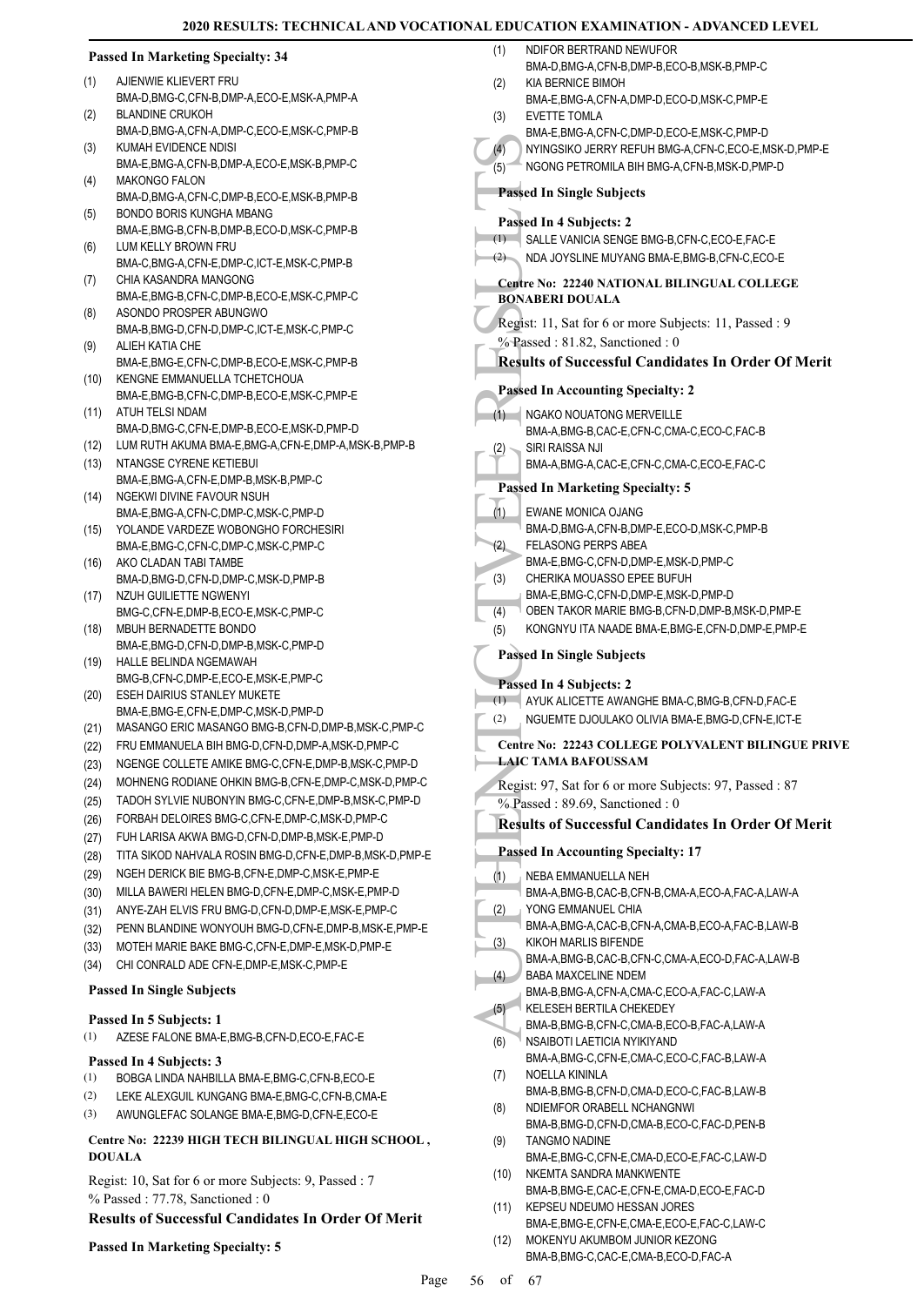|              | <b>Passed In Marketing Specialty: 34</b>                                                                       | (1)  | NDIFOR BERTRAND NEWUFOR<br>BMA-D,BMG-A,CFN-B,DMP-B,ECO-B,MSK-B,PMP-C                      |
|--------------|----------------------------------------------------------------------------------------------------------------|------|-------------------------------------------------------------------------------------------|
| (1)          | AJIENWIE KLIEVERT FRU                                                                                          | (2)  | KIA BERNICE BIMOH                                                                         |
|              | BMA-D, BMG-C, CFN-B, DMP-A, ECO-E, MSK-A, PMP-A<br><b>BLANDINE CRUKOH</b>                                      |      | BMA-E,BMG-A,CFN-A,DMP-D,ECO-D,MSK-C,PMP-E                                                 |
| (2)          | BMA-D, BMG-A, CFN-A, DMP-C, ECO-E, MSK-C, PMP-B                                                                | (3)  | EVETTE TOMLA<br>BMA-E,BMG-A,CFN-C,DMP-D,ECO-E,MSK-C,PMP-D                                 |
| (3)          | KUMAH EVIDENCE NDISI                                                                                           | (4)  | NYINGSIKO JERRY REFUH BMG-A, CFN-C, ECO-E, MSK-D, PMP-E                                   |
| (4)          | BMA-E,BMG-A,CFN-B,DMP-A,ECO-E,MSK-B,PMP-C<br><b>MAKONGO FALON</b>                                              | (5)  | NGONG PETROMILA BIH BMG-A, CFN-B, MSK-D, PMP-D                                            |
|              | BMA-D, BMG-A, CFN-C, DMP-B, ECO-E, MSK-B, PMP-B                                                                |      | <b>Passed In Single Subjects</b>                                                          |
| (5)          | BONDO BORIS KUNGHA MBANG                                                                                       |      | Passed In 4 Subjects: 2                                                                   |
|              | BMA-E,BMG-B,CFN-B,DMP-B,ECO-D,MSK-C,PMP-B<br>LUM KELLY BROWN FRU                                               |      | (1) SALLE VANICIA SENGE BMG-B, CFN-C, ECO-E, FAC-E                                        |
| (6)          | BMA-C, BMG-A, CFN-E, DMP-C, ICT-E, MSK-C, PMP-B                                                                | (2)  | NDA JOYSLINE MUYANG BMA-E, BMG-B, CFN-C, ECO-E                                            |
| (7)          | CHIA KASANDRA MANGONG                                                                                          |      | Centre No: 22240 NATIONAL BILINGUAL COLLEGE                                               |
|              | BMA-E,BMG-B,CFN-C,DMP-B,ECO-E,MSK-C,PMP-C                                                                      |      | <b>BONABERI DOUALA</b>                                                                    |
| (8)          | ASONDO PROSPER ABUNGWO                                                                                         |      | Regist: 11, Sat for 6 or more Subjects: 11, Passed : 9                                    |
| (9)          | BMA-B,BMG-D,CFN-D,DMP-C,ICT-E,MSK-C,PMP-C<br>ALIEH KATIA CHE                                                   |      | % Passed: 81.82, Sanctioned: 0                                                            |
|              | BMA-E,BMG-E,CFN-C,DMP-B,ECO-E,MSK-C,PMP-B                                                                      |      | <b>Results of Successful Candidates In Order Of Merit</b>                                 |
| (10)         | KENGNE EMMANUELLA TCHETCHOUA                                                                                   |      |                                                                                           |
|              | BMA-E,BMG-B,CFN-C,DMP-B,ECO-E,MSK-C,PMP-E                                                                      |      | <b>Passed In Accounting Specialty: 2</b>                                                  |
| (11)         | ATUH TELSI NDAM                                                                                                |      | (1) NGAKO NOUATONG MERVEILLE                                                              |
|              | BMA-D,BMG-C,CFN-E,DMP-B,ECO-E,MSK-D,PMP-D                                                                      |      | BMA-A, BMG-B, CAC-E, CFN-C, CMA-C, ECO-C, FAC-B                                           |
| (12)         | LUM RUTH AKUMA BMA-E, BMG-A, CFN-E, DMP-A, MSK-B, PMP-B                                                        | (2)  | SIRI RAISSA NJI                                                                           |
| (13)         | NTANGSE CYRENE KETIEBUI                                                                                        |      | BMA-A, BMG-A, CAC-E, CFN-C, CMA-C, ECO-E, FAC-C                                           |
| (14)         | BMA-E,BMG-A,CFN-E,DMP-B,MSK-B,PMP-C<br>NGEKWI DIVINE FAVOUR NSUH                                               |      | <b>Passed In Marketing Specialty: 5</b>                                                   |
|              | BMA-E,BMG-A,CFN-C,DMP-C,MSK-C,PMP-D                                                                            | (1)  | EWANE MONICA OJANG                                                                        |
| (15)         | YOLANDE VARDEZE WOBONGHO FORCHESIRI                                                                            |      | BMA-D,BMG-A,CFN-B,DMP-E,ECO-D,MSK-C,PMP-B                                                 |
|              | BMA-E, BMG-C, CFN-C, DMP-C, MSK-C, PMP-C                                                                       | (2)  | <b>FELASONG PERPS ABEA</b>                                                                |
| (16)         | AKO CLADAN TABI TAMBE                                                                                          |      | BMA-E,BMG-C,CFN-D,DMP-E,MSK-D,PMP-C                                                       |
|              | BMA-D, BMG-D, CFN-D, DMP-C, MSK-D, PMP-B                                                                       | (3)  | CHERIKA MOUASSO EPEE BUFUH                                                                |
| (17)         | NZUH GUILIETTE NGWENYI                                                                                         | (4)  | BMA-E,BMG-C,CFN-D,DMP-E,MSK-D,PMP-D<br>OBEN TAKOR MARIE BMG-B, CFN-D, DMP-B, MSK-D, PMP-E |
| (18)         | BMG-C,CFN-E,DMP-B,ECO-E,MSK-C,PMP-C<br>MBUH BERNADETTE BONDO                                                   | (5)  | KONGNYU ITA NAADE BMA-E, BMG-E, CFN-D, DMP-E, PMP-E                                       |
|              | BMA-E,BMG-D,CFN-D,DMP-B,MSK-C,PMP-D                                                                            |      |                                                                                           |
| (19)         | HALLE BELINDA NGEMAWAH                                                                                         |      | <b>Passed In Single Subjects</b>                                                          |
|              | BMG-B,CFN-C,DMP-E,ECO-E,MSK-E,PMP-C                                                                            |      | Passed In 4 Subjects: 2                                                                   |
| (20)         | <b>ESEH DAIRIUS STANLEY MUKETE</b>                                                                             | (1)  | AYUK ALICETTE AWANGHE BMA-C, BMG-B, CFN-D, FAC-E                                          |
|              | BMA-E,BMG-E,CFN-E,DMP-C,MSK-D,PMP-D                                                                            | (2)  | NGUEMTE DJOULAKO OLIVIA BMA-E, BMG-D, CFN-E, ICT-E                                        |
| (21)         | MASANGO ERIC MASANGO BMG-B,CFN-D,DMP-B,MSK-C,PMP-C                                                             |      | Centre No: 22243 COLLEGE POLYVALENT BILINGUE PRIVE                                        |
| (22)         | FRU EMMANUELA BIH BMG-D,CFN-D,DMP-A,MSK-D,PMP-C                                                                |      | <b>LAIC TAMA BAFOUSSAM</b>                                                                |
| (23)         | NGENGE COLLETE AMIKE BMG-C, CFN-E, DMP-B, MSK-C, PMP-D                                                         |      |                                                                                           |
| (24)         | MOHNENG RODIANE OHKIN BMG-B,CFN-E,DMP-C,MSK-D,PMP-C<br>TADOH SYLVIE NUBONYIN BMG-C, CFN-E, DMP-B, MSK-C, PMP-D |      | Regist: 97, Sat for 6 or more Subjects: 97, Passed: 87                                    |
| (25)         | FORBAH DELOIRES BMG-C, CFN-E, DMP-C, MSK-D, PMP-C                                                              |      | % Passed: 89.69, Sanctioned: 0                                                            |
| (26)<br>(27) | FUH LARISA AKWA BMG-D, CFN-D, DMP-B, MSK-E, PMP-D                                                              |      | <b>Results of Successful Candidates In Order Of Merit</b>                                 |
| (28)         | TITA SIKOD NAHVALA ROSIN BMG-D,CFN-E,DMP-B,MSK-D,PMP-E                                                         |      | <b>Passed In Accounting Specialty: 17</b>                                                 |
| (29)         | NGEH DERICK BIE BMG-B,CFN-E,DMP-C,MSK-E,PMP-E                                                                  |      | NEBA EMMANUELLA NEH                                                                       |
| (30)         | MILLA BAWERI HELEN BMG-D, CFN-E, DMP-C, MSK-E, PMP-D                                                           | (1)  | BMA-A, BMG-B, CAC-B, CFN-B, CMA-A, ECO-A, FAC-A, LAW-A                                    |
| (31)         | ANYE-ZAH ELVIS FRU BMG-D, CFN-D, DMP-E, MSK-E, PMP-C                                                           | (2)  | YONG EMMANUEL CHIA                                                                        |
| (32)         | PENN BLANDINE WONYOUH BMG-D, CFN-E, DMP-B, MSK-E, PMP-E                                                        |      | BMA-A,BMG-A,CAC-B,CFN-A,CMA-B,ECO-A,FAC-B,LAW-B                                           |
| (33)         | MOTEH MARIE BAKE BMG-C, CFN-E, DMP-E, MSK-D, PMP-E                                                             | (3)  | KIKOH MARLIS BIFENDE                                                                      |
| (34)         | CHI CONRALD ADE CFN-E, DMP-E, MSK-C, PMP-E                                                                     |      | BMA-A,BMG-B,CAC-B,CFN-C,CMA-A,ECO-D,FAC-A,LAW-B                                           |
|              | <b>Passed In Single Subjects</b>                                                                               | (4)  | BABA MAXCELINE NDEM                                                                       |
|              |                                                                                                                | (5)  | BMA-B, BMG-A, CFN-A, CMA-C, ECO-A, FAC-C, LAW-A<br>KELESEH BERTILA CHEKEDEY               |
|              | Passed In 5 Subjects: 1                                                                                        |      | BMA-B, BMG-B, CFN-C, CMA-B, ECO-B, FAC-A, LAW-A                                           |
| (1)          | AZESE FALONE BMA-E, BMG-B, CFN-D, ECO-E, FAC-E                                                                 | (6)  | NSAIBOTI LAETICIA NYIKIYAND                                                               |
|              | Passed In 4 Subjects: 3                                                                                        |      | BMA-A,BMG-C,CFN-E,CMA-C,ECO-C,FAC-B,LAW-A                                                 |
| (1)          | BOBGA LINDA NAHBILLA BMA-E, BMG-C, CFN-B, ECO-E                                                                | (7)  | NOELLA KININLA                                                                            |
| (2)          | LEKE ALEXGUIL KUNGANG BMA-E, BMG-C, CFN-B, CMA-E                                                               |      | BMA-B,BMG-B,CFN-D,CMA-D,ECO-C,FAC-B,LAW-B                                                 |
| (3)          | AWUNGLEFAC SOLANGE BMA-E, BMG-D, CFN-E, ECO-E                                                                  | (8)  | NDIEMFOR ORABELL NCHANGNWI<br>BMA-B,BMG-D,CFN-D,CMA-B,ECO-C,FAC-D,PEN-B                   |
|              | Centre No: 22239 HIGH TECH BILINGUAL HIGH SCHOOL,                                                              | (9)  | <b>TANGMO NADINE</b>                                                                      |
|              | <b>DOUALA</b>                                                                                                  |      | BMA-E,BMG-C,CFN-E,CMA-D,ECO-E,FAC-C,LAW-D                                                 |
|              | Regist: 10, Sat for 6 or more Subjects: 9, Passed : 7                                                          | (10) | NKEMTA SANDRA MANKWENTE                                                                   |
|              | % Passed: 77.78, Sanctioned: 0                                                                                 |      | BMA-B,BMG-E,CAC-E,CFN-E,CMA-D,ECO-E,FAC-D                                                 |
|              | <b>Results of Successful Candidates In Order Of Merit</b>                                                      | (11) | KEPSEU NDEUMO HESSAN JORES                                                                |
|              |                                                                                                                |      | BMA-E,BMG-E,CFN-E,CMA-E,ECO-E,FAC-C,LAW-C                                                 |
|              | <b>Passed In Marketing Specialty: 5</b>                                                                        | (12) | MOKENYU AKUMBOM JUNIOR KEZONG<br>BMA-B, BMG-C, CAC-E, CMA-B, ECO-D, FAC-A                 |
|              |                                                                                                                |      |                                                                                           |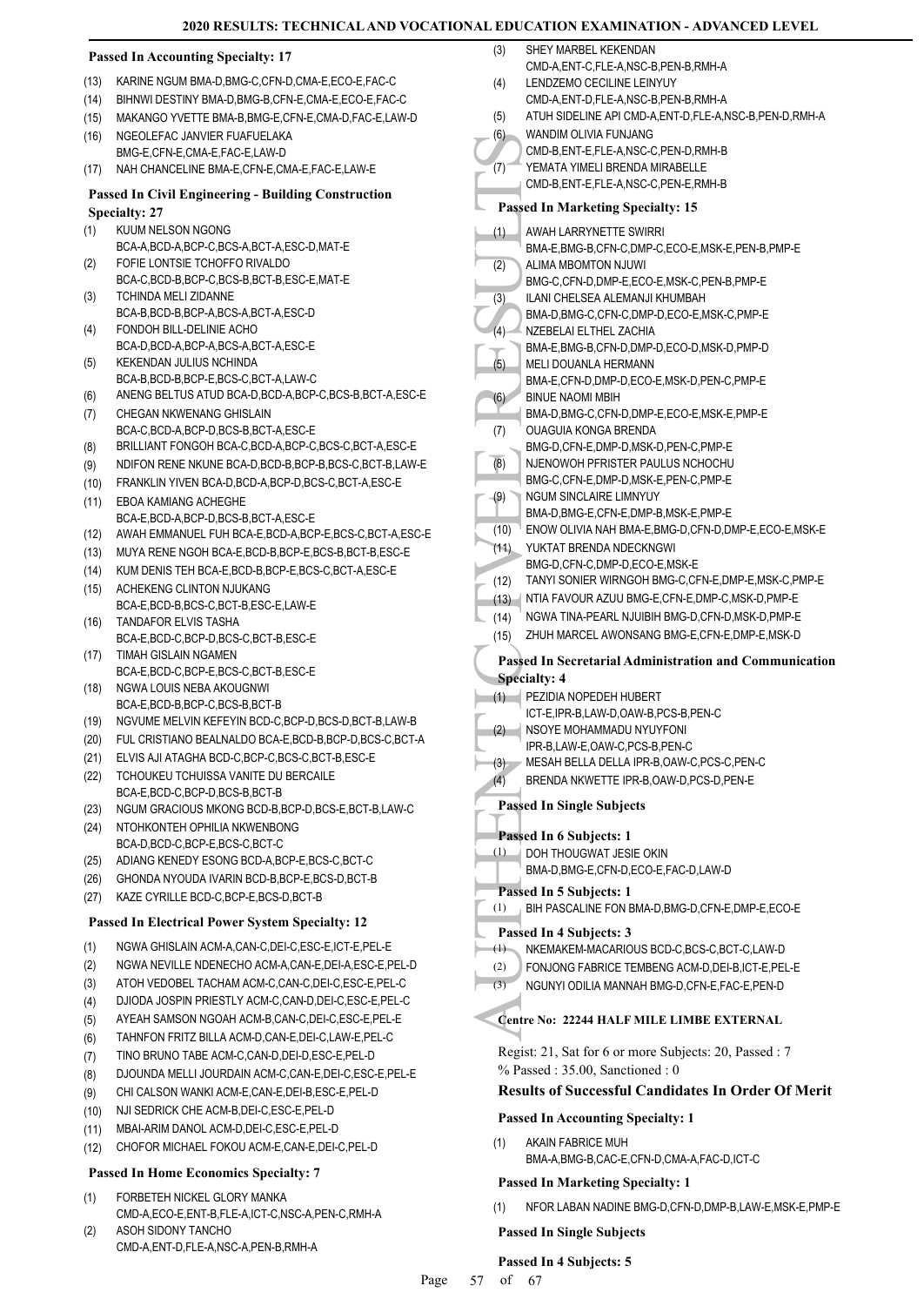|              | <b>Passed In Accounting Specialty: 17</b>                                                    |
|--------------|----------------------------------------------------------------------------------------------|
| (13)         | KARINE NGUM BMA-D, BMG-C, CFN-D, CMA-E, ECO-E, FAC-C                                         |
| (14)         | BIHNWI DESTINY BMA-D, BMG-B, CFN-E, CMA-E, ECO-E, FAC-C                                      |
| (15)         | MAKANGO YVETTE BMA-B, BMG-E, CFN-E, CMA-D, FAC-E, LAW-D                                      |
| (16)         | NGEOLEFAC JANVIER FUAFUELAKA                                                                 |
|              | BMG-E,CFN-E,CMA-E,FAC-E,LAW-D                                                                |
| (17)         | NAH CHANCELINE BMA-E,CFN-E,CMA-E,FAC-E,LAW-E                                                 |
|              | <b>Passed In Civil Engineering - Building Construction</b>                                   |
| (1)          | <b>Specialty: 27</b><br>KUUM NELSON NGONG                                                    |
|              | BCA-A,BCD-A,BCP-C,BCS-A,BCT-A,ESC-D,MAT-E                                                    |
| (2)          | FOFIE LONTSIE TCHOFFO RIVALDO                                                                |
|              | BCA-C,BCD-B,BCP-C,BCS-B,BCT-B,ESC-E,MAT-E                                                    |
| (3)          | <b>TCHINDA MELI ZIDANNE</b>                                                                  |
|              | BCA-B,BCD-B,BCP-A,BCS-A,BCT-A,ESC-D                                                          |
| (4)          | FONDOH BILL-DELINIE ACHO<br>BCA-D.BCD-A.BCP-A.BCS-A.BCT-A.ESC-E                              |
| (5)          | KEKENDAN JULIUS NCHINDA                                                                      |
|              | BCA-B, BCD-B, BCP-E, BCS-C, BCT-A, LAW-C                                                     |
| (6)          | ANENG BELTUS ATUD BCA-D, BCD-A, BCP-C, BCS-B, BCT-A, ESC-E                                   |
| (7)          | CHEGAN NKWENANG GHISLAIN                                                                     |
|              | BCA-C,BCD-A,BCP-D,BCS-B,BCT-A,ESC-E                                                          |
| (8)          | BRILLIANT FONGOH BCA-C, BCD-A, BCP-C, BCS-C, BCT-A, ESC-E                                    |
| (9)          | NDIFON RENE NKUNE BCA-D, BCD-B, BCP-B, BCS-C, BCT-B, LAW-E                                   |
| (10)         | FRANKLIN YIVEN BCA-D, BCD-A, BCP-D, BCS-C, BCT-A, ESC-E                                      |
| (11)         | <b>EBOA KAMIANG ACHEGHE</b>                                                                  |
| (12)         | BCA-E,BCD-A,BCP-D,BCS-B,BCT-A,ESC-E<br>AWAH EMMANUEL FUH BCA-E,BCD-A,BCP-E,BCS-C,BCT-A,ESC-E |
| (13)         | MUYA RENE NGOH BCA-E, BCD-B, BCP-E, BCS-B, BCT-B, ESC-E                                      |
| (14)         | KUM DENIS TEH BCA-E,BCD-B,BCP-E,BCS-C,BCT-A,ESC-E                                            |
| (15)         | ACHEKENG CLINTON NJUKANG                                                                     |
|              | BCA-E,BCD-B,BCS-C,BCT-B,ESC-E,LAW-E                                                          |
| (16)         | <b>TANDAFOR ELVIS TASHA</b>                                                                  |
|              | BCA-E,BCD-C,BCP-D,BCS-C,BCT-B,ESC-E                                                          |
| (17)         | TIMAH GISLAIN NGAMEN                                                                         |
| (18)         | BCA-E,BCD-C,BCP-E,BCS-C,BCT-B,ESC-E<br>NGWA LOUIS NEBA AKOUGNWI                              |
|              | BCA-E,BCD-B,BCP-C,BCS-B,BCT-B                                                                |
| (19)         | NGVUME MELVIN KEFEYIN BCD-C, BCP-D, BCS-D, BCT-B, LAW-B                                      |
| (20)         | FUL CRISTIANO BEALNALDO BCA-E,BCD-B,BCP-D,BCS-C,BCT-A                                        |
| (21)         | ELVIS AJI ATAGHA BCD-C, BCP-C, BCS-C, BCT-B, ESC-E                                           |
| (22)         | TCHOUKEU TCHUISSA VANITE DU BERCAILE                                                         |
|              | BCA-E,BCD-C,BCP-D,BCS-B,BCT-B                                                                |
| (23)         | NGUM GRACIOUS MKONG BCD-B,BCP-D,BCS-E,BCT-B,LAW-C                                            |
| (24)         | NTOHKONTEH OPHILIA NKWENBONG                                                                 |
|              | BCA-D, BCD-C, BCP-E, BCS-C, BCT-C<br>ADIANG KENEDY ESONG BCD-A, BCP-E, BCS-C, BCT-C          |
| (25)<br>(26) | GHONDA NYOUDA IVARIN BCD-B,BCP-E,BCS-D,BCT-B                                                 |
| (27)         | KAZE CYRILLE BCD-C, BCP-E, BCS-D, BCT-B                                                      |
|              | <b>Passed In Electrical Power System Specialty: 12</b>                                       |
| (1)          | NGWA GHISLAIN ACM-A,CAN-C,DEI-C,ESC-E,ICT-E,PEL-E                                            |
| (2)          | NGWA NEVILLE NDENECHO ACM-A,CAN-E,DEI-A,ESC-E,PEL-D                                          |
| (3)          | ATOH VEDOBEL TACHAM ACM-C,CAN-C,DEI-C,ESC-E,PEL-C                                            |
| (4)          | DJIODA JOSPIN PRIESTLY ACM-C,CAN-D,DEI-C,ESC-E,PEL-C                                         |
| (5)          | AYEAH SAMSON NGOAH ACM-B,CAN-C,DEI-C,ESC-E,PEL-E                                             |
| (6)          | TAHNFON FRITZ BILLA ACM-D, CAN-E, DEI-C, LAW-E, PEL-C                                        |
| (7)          | TINO BRUNO TABE ACM-C, CAN-D, DEI-D, ESC-E, PEL-D                                            |
| (8)          | DJOUNDA MELLI JOURDAIN ACM-C,CAN-E,DEI-C,ESC-E,PEL-E                                         |
| (9)          | CHI CALSON WANKI ACM-E,CAN-E,DEI-B,ESC-E,PEL-D                                               |
| (10)         | NJI SEDRICK CHE ACM-B, DEI-C, ESC-E, PEL-D                                                   |
| (11)         | MBAI-ARIM DANOL ACM-D, DEI-C, ESC-E, PEL-D                                                   |
| (12)         | CHOFOR MICHAEL FOKOU ACM-E,CAN-E,DEI-C,PEL-D                                                 |
|              |                                                                                              |

- FORBETEH NICKEL GLORY MANKA (1) CMD-A,ECO-E,ENT-B,FLE-A,ICT-C,NSC-A,PEN-C,RMH-A (2) ASOH SIDONY TANCHO
- CMD-A,ENT-D,FLE-A,NSC-A,PEN-B,RMH-A

|                  | ONAL EDUCATION EXAMINATION - ADVANCED LEVEL                                                     |
|------------------|-------------------------------------------------------------------------------------------------|
| (3)              | SHEY MARBEL KEKENDAN                                                                            |
| (4)              | CMD-A, ENT-C, FLE-A, NSC-B, PEN-B, RMH-A<br>LENDZEMO CECILINE LEINYUY                           |
|                  | CMD-A, ENT-D, FLE-A, NSC-B, PEN-B, RMH-A                                                        |
| (5)              | ATUH SIDELINE API CMD-A, ENT-D, FLE-A, NSC-B, PEN-D, RMH-A                                      |
| (6)              | WANDIM OLIVIA FUNJANG<br>CMD-B,ENT-E,FLE-A,NSC-C,PEN-D,RMH-B                                    |
| (7)              | YEMATA YIMELI BRENDA MIRABELLE                                                                  |
|                  | CMD-B,ENT-E,FLE-A,NSC-C,PEN-E,RMH-B                                                             |
|                  | <b>Passed In Marketing Specialty: 15</b>                                                        |
| (1)              | AWAH LARRYNETTE SWIRRI                                                                          |
| (2)              | BMA-E, BMG-B, CFN-C, DMP-C, ECO-E, MSK-E, PEN-B, PMP-E<br>ALIMA MBOMTON NJUWI                   |
|                  | BMG-C,CFN-D,DMP-E,ECO-E,MSK-C,PEN-B,PMP-E                                                       |
| (3)              | ILANI CHELSEA ALEMANJI KHUMBAH<br>BMA-D, BMG-C, CFN-C, DMP-D, ECO-E, MSK-C, PMP-E               |
| (4)              | NZEBELAI ELTHEL ZACHIA                                                                          |
|                  | BMA-E,BMG-B,CFN-D,DMP-D,ECO-D,MSK-D,PMP-D                                                       |
| (5)              | <b>MELI DOUANLA HERMANN</b><br>BMA-E,CFN-D,DMP-D,ECO-E,MSK-D,PEN-C,PMP-E                        |
| (6)              | <b>BINUE NAOMI MBIH</b>                                                                         |
|                  | BMA-D, BMG-C, CFN-D, DMP-E, ECO-E, MSK-E, PMP-E                                                 |
| (7)              | OUAGUIA KONGA BRENDA<br>BMG-D,CFN-E,DMP-D,MSK-D,PEN-C,PMP-E                                     |
| (8)              | NJENOWOH PFRISTER PAULUS NCHOCHU                                                                |
| (9)              | BMG-C,CFN-E,DMP-D,MSK-E,PEN-C,PMP-E<br>NGUM SINCLAIRE LIMNYUY                                   |
|                  | BMA-D, BMG-E, CFN-E, DMP-B, MSK-E, PMP-E                                                        |
| (10)             | ENOW OLIVIA NAH BMA-E,BMG-D,CFN-D,DMP-E,ECO-E,MSK-E                                             |
| (11)             | YUKTAT BRENDA NDECKNGWI<br>BMG-D,CFN-C,DMP-D,ECO-E,MSK-E                                        |
| (12)             | TANYI SONIER WIRNGOH BMG-C, CFN-E, DMP-E, MSK-C, PMP-E                                          |
| (13)             | NTIA FAVOUR AZUU BMG-E,CFN-E,DMP-C,MSK-D,PMP-E                                                  |
| (14)<br>(15)     | NGWA TINA-PEARL NJUIBIH BMG-D,CFN-D,MSK-D,PMP-E<br>ZHUH MARCEL AWONSANG BMG-E,CFN-E,DMP-E,MSK-D |
|                  |                                                                                                 |
|                  | <b>Passed In Secretarial Administration and Communication</b><br><b>Specialty: 4</b>            |
| (1)              | PEZIDIA NOPEDEH HUBERT                                                                          |
| (2)              | ICT-E,IPR-B,LAW-D,OAW-B,PCS-B,PEN-C<br>NSOYE MOHAMMADU NYUYFONI                                 |
|                  | IPR-B,LAW-E,OAW-C,PCS-B,PEN-C                                                                   |
| (3)              | MESAH BELLA DELLA IPR-B, OAW-C, PCS-C, PEN-C                                                    |
| (4)              | BRENDA NKWETTE IPR-B, OAW-D, PCS-D, PEN-E                                                       |
|                  | <b>Passed In Single Subjects</b>                                                                |
|                  | Passed In 6 Subjects: 1                                                                         |
| (1)              | DOH THOUGWAT JESIE OKIN<br>BMA-D, BMG-E, CFN-D, ECO-E, FAC-D, LAW-D                             |
|                  | Passed In 5 Subjects: 1                                                                         |
| (1)              | BIH PASCALINE FON BMA-D, BMG-D, CFN-E, DMP-E, ECO-E                                             |
|                  | Passed In 4 Subjects: 3                                                                         |
| $\left(1\right)$ | NKEMAKEM-MACARIOUS BCD-C,BCS-C,BCT-C,LAW-D                                                      |
| (2)<br>(3)       | FONJONG FABRICE TEMBENG ACM-D, DEI-B, ICT-E, PEL-E                                              |
|                  | NGUNYI ODILIA MANNAH BMG-D,CFN-E,FAC-E,PEN-D                                                    |
|                  | Centre No: 22244 HALF MILE LIMBE EXTERNAL                                                       |
|                  | Regist: 21, Sat for 6 or more Subjects: 20, Passed: 7                                           |
|                  | $%$ Passed: 35.00, Sanctioned: 0<br><b>Results of Successful Candidates In Order Of Merit</b>   |
|                  |                                                                                                 |
|                  | <b>Passed In Accounting Specialty: 1</b>                                                        |
| (1)              | AKAIN FABRICE MUH<br>BMA-A,BMG-B,CAC-E,CFN-D,CMA-A,FAC-D,ICT-C                                  |

# **Passed In Marketing Specialty: 1**

(1) NFOR LABAN NADINE BMG-D,CFN-D,DMP-B,LAW-E,MSK-E,PMP-E

### **Passed In Single Subjects**

#### **Passed In 4 Subjects: 5**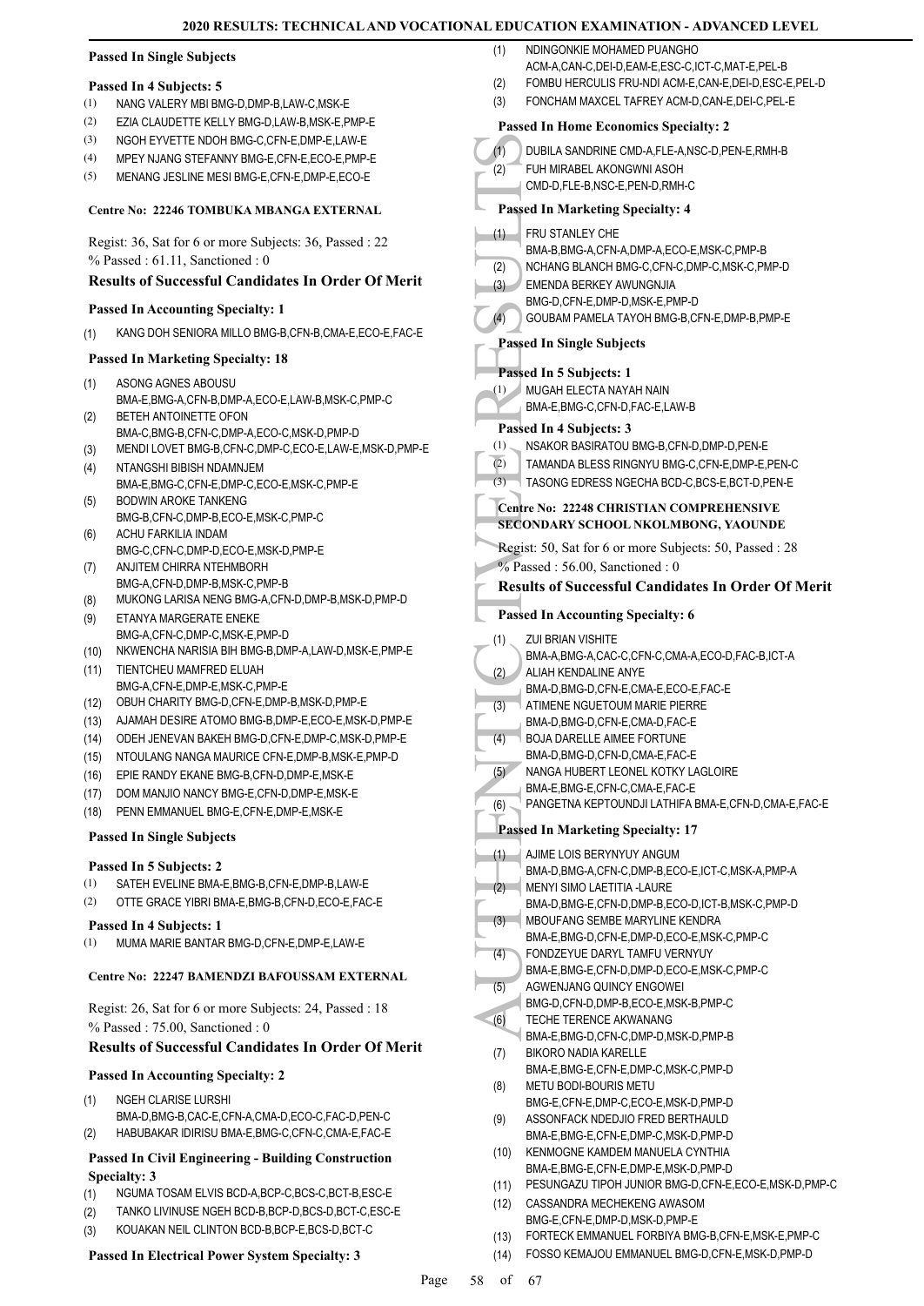#### **Passed In Single Subjects**

#### **Passed In 4 Subjects: 5**

- (1) NANG VALERY MBI BMG-D,DMP-B,LAW-C,MSK-E
- (2) EZIA CLAUDETTE KELLY BMG-D,LAW-B,MSK-E,PMP-E
- (3) NGOH EYVETTE NDOH BMG-C,CFN-E,DMP-E,LAW-E
- (4) MPEY NJANG STEFANNY BMG-E,CFN-E,ECO-E,PMP-E
- (5) MENANG JESLINE MESI BMG-E,CFN-E,DMP-E,ECO-E

# **Centre No: 22246 TOMBUKA MBANGA EXTERNAL**

Regist: 36, Sat for 6 or more Subjects: 36, Passed : 22 % Passed : 61.11, Sanctioned : 0

# **Results of Successful Candidates In Order Of Merit**

# **Passed In Accounting Specialty: 1**

(1) KANG DOH SENIORA MILLO BMG-B,CFN-B,CMA-E,ECO-E,FAC-E

# **Passed In Marketing Specialty: 18**

- ASONG AGNES ABOUSU BMA-E,BMG-A,CFN-B,DMP-A,ECO-E,LAW-B,MSK-C,PMP-C (1) BETEH ANTOINETTE OFON (2)
- BMA-C,BMG-B,CFN-C,DMP-A,ECO-C,MSK-D,PMP-D (3) MENDI LOVET BMG-B,CFN-C,DMP-C,ECO-E,LAW-E,MSK-D,PMP-E
- NTANGSHI BIBISH NDAMNJEM BMA-E,BMG-C,CFN-E,DMP-C,ECO-E,MSK-C,PMP-E (4)
- BODWIN AROKE TANKENG BMG-B,CFN-C,DMP-B,ECO-E,MSK-C,PMP-C (5)
- ACHU FARKILIA INDAM BMG-C,CFN-C,DMP-D,ECO-E,MSK-D,PMP-E (6)
- ANJITEM CHIRRA NTEHMBORH BMG-A,CFN-D,DMP-B,MSK-C,PMP-B (7)
- (8) MUKONG LARISA NENG BMG-A,CFN-D,DMP-B,MSK-D,PMP-D
- ETANYA MARGERATE ENEKE BMG-A,CFN-C,DMP-C,MSK-E,PMP-D (9)
- (10) NKWENCHA NARISIA BIH BMG-B,DMP-A,LAW-D,MSK-E,PMP-E
- (11) TIENTCHEU MAMFRED ELUAH BMG-A,CFN-E,DMP-E,MSK-C,PMP-E (12) OBUH CHARITY BMG-D,CFN-E,DMP-B,MSK-D,PMP-E
- 
- (13) AJAMAH DESIRE ATOMO BMG-B,DMP-E,ECO-E,MSK-D,PMP-E
- (14) ODEH JENEVAN BAKEH BMG-D,CFN-E,DMP-C,MSK-D,PMP-E (15) NTOULANG NANGA MAURICE CFN-E,DMP-B,MSK-E,PMP-D
- 
- (16) EPIE RANDY EKANE BMG-B,CFN-D,DMP-E,MSK-E
- (17) DOM MANJIO NANCY BMG-E,CFN-D,DMP-E,MSK-E (18) PENN EMMANUEL BMG-E,CFN-E,DMP-E,MSK-E

#### **Passed In Single Subjects**

#### **Passed In 5 Subjects: 2**

- (1) SATEH EVELINE BMA-E,BMG-B,CFN-E,DMP-B,LAW-E
- (2) OTTE GRACE YIBRI BMA-E,BMG-B,CFN-D,ECO-E,FAC-E

#### **Passed In 4 Subjects: 1**

(1) MUMA MARIE BANTAR BMG-D,CFN-E,DMP-E,LAW-E

#### **Centre No: 22247 BAMENDZI BAFOUSSAM EXTERNAL**

Regist: 26, Sat for 6 or more Subjects: 24, Passed : 18 % Passed : 75.00, Sanctioned : 0

#### **Results of Successful Candidates In Order Of Merit**

#### **Passed In Accounting Specialty: 2**

- NGEH CLARISE LURSHI (1)
- BMA-D,BMG-B,CAC-E,CFN-A,CMA-D,ECO-C,FAC-D,PEN-C
- (2) HABUBAKAR IDIRISU BMA-E,BMG-C,CFN-C,CMA-E,FAC-E

#### **Passed In Civil Engineering - Building Construction Specialty: 3**

- (1) NGUMA TOSAM ELVIS BCD-A,BCP-C,BCS-C,BCT-B,ESC-E
- (2) TANKO LIVINUSE NGEH BCD-B,BCP-D,BCS-D,BCT-C,ESC-E
- (3) KOUAKAN NEIL CLINTON BCD-B,BCP-E,BCS-D,BCT-C

#### **Passed In Electrical Power System Specialty: 3**

- NDINGONKIE MOHAMED PUANGHO ACM-A,CAN-C, DEI-D, EAM-E, ESC-C, ICT-C, MAT-E, PEL-B (1)
- (2) FOMBU HERCULIS FRU-NDI ACM-E,CAN-E,DEI-D,ESC-E,PEL-D
- (3) FONCHAM MAXCEL TAFREY ACM-D,CAN-E,DEI-C,PEL-E

# **Passed In Home Economics Specialty: 2**

| (1)          | DUBILA SANDRINE CMD-A, FLE-A, NSC-D, PEN-E, RMH-B                                                  |
|--------------|----------------------------------------------------------------------------------------------------|
| (2)          | FUH MIRABEL AKONGWNI ASOH                                                                          |
|              |                                                                                                    |
|              | CMD-D,FLE-B,NSC-E,PEN-D,RMH-C                                                                      |
|              | <b>Passed In Marketing Specialty: 4</b>                                                            |
|              |                                                                                                    |
| (1)          | FRU STANLEY CHE                                                                                    |
|              | BMA-B.BMG-A.CFN-A.DMP-A.ECO-E.MSK-C.PMP-B                                                          |
| (2)          | NCHANG BLANCH BMG-C,CFN-C,DMP-C,MSK-C,PMP-D                                                        |
| (3)          | EMENDA BERKEY AWUNGNJIA                                                                            |
|              |                                                                                                    |
|              | BMG-D,CFN-E,DMP-D,MSK-E,PMP-D                                                                      |
| (4)          | GOUBAM PAMELA TAYOH BMG-B, CFN-E, DMP-B, PMP-E                                                     |
|              | <b>Passed In Single Subjects</b>                                                                   |
|              |                                                                                                    |
|              | Passed In 5 Subjects: 1                                                                            |
|              |                                                                                                    |
| (1)          | MUGAH ELECTA NAYAH NAIN                                                                            |
|              | BMA-E, BMG-C, CFN-D, FAC-E, LAW-B                                                                  |
|              | Passed In 4 Subjects: 3                                                                            |
| (1)          | NSAKOR BASIRATOU BMG-B,CFN-D,DMP-D,PEN-E                                                           |
|              |                                                                                                    |
| (2)          | TAMANDA BLESS RINGNYU BMG-C.CFN-E.DMP-E.PEN-C                                                      |
| (3)          | TASONG EDRESS NGECHA BCD-C, BCS-E, BCT-D, PEN-E                                                    |
|              |                                                                                                    |
|              | Centre No: 22248 CHRISTIAN COMPREHENSIVE                                                           |
|              | SECONDARY SCHOOL NKOLMBONG, YAOUNDE                                                                |
|              | Regist: 50, Sat for 6 or more Subjects: 50, Passed : 28                                            |
|              |                                                                                                    |
|              | $%$ Passed: 56.00, Sanctioned: 0                                                                   |
|              | <b>Results of Successful Candidates In Order Of Merit</b>                                          |
|              |                                                                                                    |
|              | <b>Passed In Accounting Specialty: 6</b>                                                           |
| (1)          | ZUI BRIAN VISHITE                                                                                  |
|              |                                                                                                    |
|              | BMA-A,BMG-A,CAC-C,CFN-C,CMA-A,ECO-D,FAC-B,ICT-A                                                    |
| (2)          | ALIAH KENDALINE ANYE                                                                               |
|              | BMA-D.BMG-D.CFN-E.CMA-E.ECO-E.FAC-E                                                                |
| (3)          | ATIMENE NGUETOUM MARIE PIERRE                                                                      |
|              | BMA-D, BMG-D, CFN-E, CMA-D, FAC-E                                                                  |
| (4)          | <b>BOJA DARELLE AIMEE FORTUNE</b>                                                                  |
|              | BMA-D, BMG-D, CFN-D, CMA-E, FAC-E                                                                  |
|              |                                                                                                    |
| (5)          | NANGA HUBERT LEONEL KOTKY LAGLOIRE                                                                 |
|              | BMA-E, BMG-E, CFN-C, CMA-E, FAC-E                                                                  |
| (6)          | PANGETNA KEPTOUNDJI LATHIFA BMA-E,CFN-D,CMA-E,FAC-E                                                |
|              |                                                                                                    |
|              | <b>Passed In Marketing Specialty: 17</b>                                                           |
| (1)          | AJIME LOIS BERYNYUY ANGUM                                                                          |
|              | BMA-D, BMG-A, CFN-C, DMP-B, ECO-E, ICT-C, MSK-A, PMP-A                                             |
|              | <b>MENYI SIMO LAETITIA -LAURE</b>                                                                  |
| (2)          |                                                                                                    |
|              | BMA-D, BMG-E, CFN-D, DMP-B, ECO-D, ICT-B, MSK-C, PMP-D                                             |
| (3)          | MBOUFANG SEMBE MARYLINE KENDRA                                                                     |
|              | BMA-E,BMG-D,CFN-E,DMP-D,ECO-E,MSK-C,PMP-C                                                          |
| (4)          | FONDZEYUE DARYL TAMFU VERNYUY                                                                      |
|              | BMA-E,BMG-E,CFN-D,DMP-D,ECO-E,MSK-C,PMP-C                                                          |
| (5)          | AGWENJANG QUINCY ENGOWEI                                                                           |
|              | BMG-D,CFN-D,DMP-B,ECO-E,MSK-B,PMP-C                                                                |
|              |                                                                                                    |
| (6)          | TECHE TERENCE AKWANANG                                                                             |
|              | BMA-E,BMG-D,CFN-C,DMP-D,MSK-D,PMP-B                                                                |
| (7)          | <b>BIKORO NADIA KARELLE</b>                                                                        |
|              | BMA-E, BMG-E, CFN-E, DMP-C, MSK-C, PMP-D                                                           |
| (8)          | METU BODI-BOURIS METU                                                                              |
|              | BMG-E,CFN-E,DMP-C,ECO-E,MSK-D,PMP-D                                                                |
| (9)          | ASSONFACK NDEDJIO FRED BERTHAULD                                                                   |
|              | BMA-E,BMG-E,CFN-E,DMP-C,MSK-D,PMP-D                                                                |
|              |                                                                                                    |
| (10)         | KENMOGNE KAMDEM MANUELA CYNTHIA                                                                    |
|              | BMA-E,BMG-E,CFN-E,DMP-E,MSK-D,PMP-D                                                                |
| (11)         | PESUNGAZU TIPOH JUNIOR BMG-D, CFN-E, ECO-E, MSK-D, PMP-C                                           |
|              |                                                                                                    |
|              | CASSANDRA MECHEKENG AWASOM                                                                         |
| (12)         |                                                                                                    |
|              | BMG-E.CFN-E.DMP-D.MSK-D.PMP-E                                                                      |
| (13)<br>(14) | FORTECK EMMANUEL FORBIYA BMG-B,CFN-E,MSK-E,PMP-C<br>FOSSO KEMAJOU EMMANUEL BMG-D,CFN-E,MSK-D,PMP-D |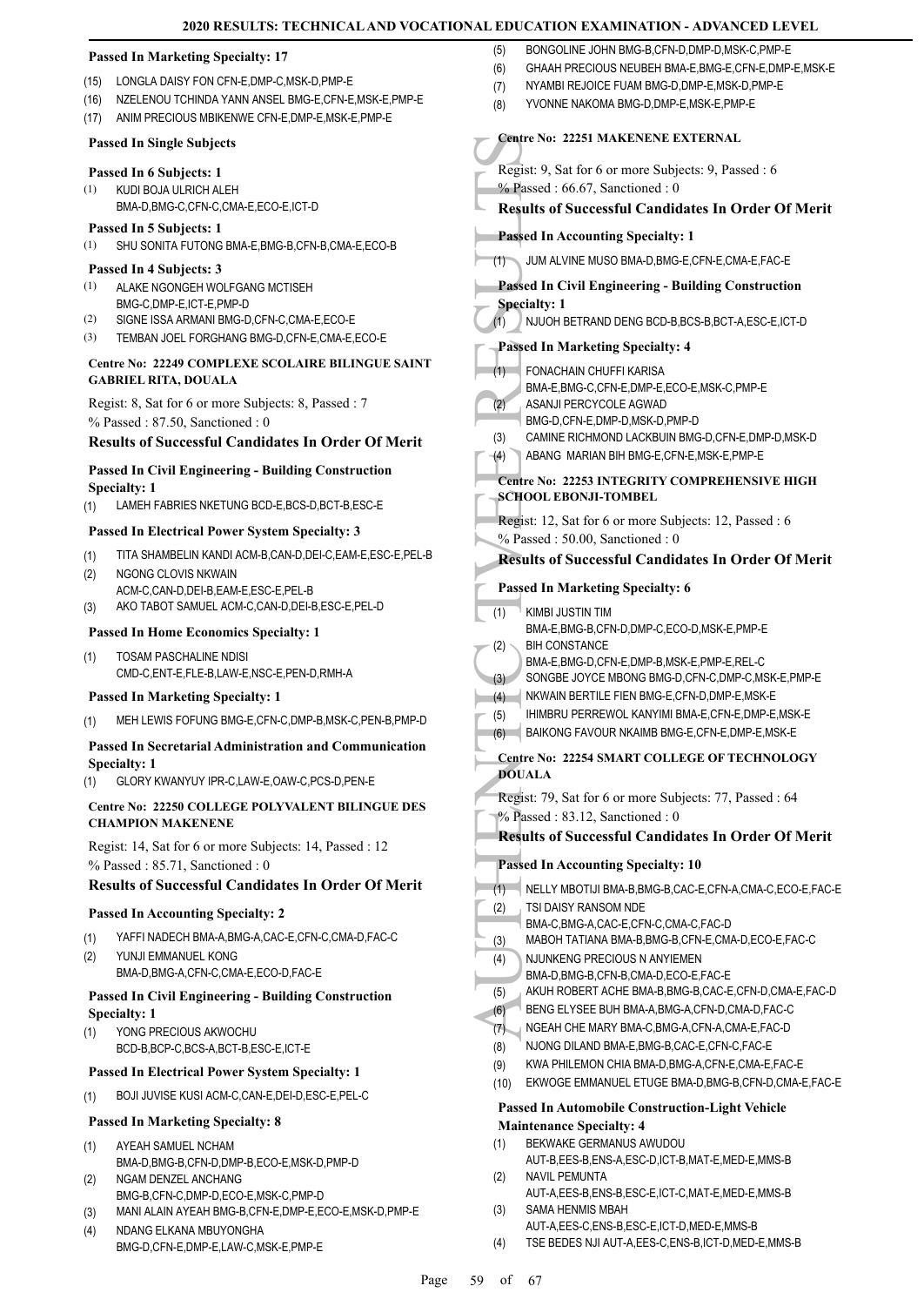|                                                                                               | 2020 RESULTS: TECHNICAL AND VOCATIONAL EDUCATION EXAMINATION - ADVANCED LEVEL                                       |  |
|-----------------------------------------------------------------------------------------------|---------------------------------------------------------------------------------------------------------------------|--|
| <b>Passed In Marketing Specialty: 17</b>                                                      | BONGOLINE JOHN BMG-B,CFN-D,DMP-D,MSK-C,PMP-E<br>(5)                                                                 |  |
| LONGLA DAISY FON CFN-E, DMP-C, MSK-D, PMP-E<br>(15)                                           | (6)<br>GHAAH PRECIOUS NEUBEH BMA-E, BMG-E, CFN-E, DMP-E, MSK-E                                                      |  |
| NZELENOU TCHINDA YANN ANSEL BMG-E, CFN-E, MSK-E, PMP-E<br>(16)                                | NYAMBI REJOICE FUAM BMG-D, DMP-E, MSK-D, PMP-E<br>(7)<br>YVONNE NAKOMA BMG-D, DMP-E, MSK-E, PMP-E<br>(8)            |  |
| ANIM PRECIOUS MBIKENWE CFN-E, DMP-E, MSK-E, PMP-E<br>(17)                                     |                                                                                                                     |  |
| <b>Passed In Single Subjects</b>                                                              | <b>Centre No: 22251 MAKENENE EXTERNAL</b>                                                                           |  |
| Passed In 6 Subjects: 1                                                                       | Regist: 9, Sat for 6 or more Subjects: 9, Passed : 6                                                                |  |
| (1)<br>KUDI BOJA ULRICH ALEH<br>BMA-D, BMG-C, CFN-C, CMA-E, ECO-E, ICT-D                      | $%$ Passed: 66.67, Sanctioned: 0<br><b>Results of Successful Candidates In Order Of Merit</b>                       |  |
| Passed In 5 Subjects: 1                                                                       |                                                                                                                     |  |
| (1)<br>SHU SONITA FUTONG BMA-E, BMG-B, CFN-B, CMA-E, ECO-B                                    | <b>Passed In Accounting Specialty: 1</b>                                                                            |  |
| Passed In 4 Subjects: 3                                                                       | JUM ALVINE MUSO BMA-D, BMG-E, CFN-E, CMA-E, FAC-E<br>(1)                                                            |  |
| (1)<br>ALAKE NGONGEH WOLFGANG MCTISEH<br>BMG-C,DMP-E,ICT-E,PMP-D                              | <b>Passed In Civil Engineering - Building Construction</b><br><b>Specialty: 1</b>                                   |  |
| (2)<br>SIGNE ISSA ARMANI BMG-D, CFN-C, CMA-E, ECO-E                                           | NJUOH BETRAND DENG BCD-B, BCS-B, BCT-A, ESC-E, ICT-D<br>(1)                                                         |  |
| (3)<br>TEMBAN JOEL FORGHANG BMG-D,CFN-E,CMA-E,ECO-E                                           | <b>Passed In Marketing Specialty: 4</b>                                                                             |  |
| <b>Centre No: 22249 COMPLEXE SCOLAIRE BILINGUE SAINT</b>                                      | (1)<br>FONACHAIN CHUFFI KARISA                                                                                      |  |
| <b>GABRIEL RITA, DOUALA</b>                                                                   | BMA-E,BMG-C,CFN-E,DMP-E,ECO-E,MSK-C,PMP-E                                                                           |  |
| Regist: 8, Sat for 6 or more Subjects: 8, Passed: 7                                           | (2)<br>ASANJI PERCYCOLE AGWAD                                                                                       |  |
| % Passed: 87.50, Sanctioned: 0                                                                | BMG-D,CFN-E,DMP-D,MSK-D,PMP-D<br>CAMINE RICHMOND LACKBUIN BMG-D.CFN-E.DMP-D.MSK-D<br>(3)                            |  |
| <b>Results of Successful Candidates In Order Of Merit</b>                                     | ABANG MARIAN BIH BMG-E, CFN-E, MSK-E, PMP-E<br>$-(4)$                                                               |  |
| <b>Passed In Civil Engineering - Building Construction</b>                                    | Centre No: 22253 INTEGRITY COMPREHENSIVE HIGH                                                                       |  |
| <b>Specialty: 1</b><br>LAMEH FABRIES NKETUNG BCD-E, BCS-D, BCT-B, ESC-E<br>(1)                | <b>SCHOOL EBONJI-TOMBEL</b>                                                                                         |  |
| Passed In Electrical Power System Specialty: 3                                                | Regist: 12, Sat for 6 or more Subjects: 12, Passed: 6                                                               |  |
|                                                                                               | % Passed: 50.00, Sanctioned: 0                                                                                      |  |
| TITA SHAMBELIN KANDI ACM-B,CAN-D,DEI-C,EAM-E,ESC-E,PEL-B<br>(1)<br>NGONG CLOVIS NKWAIN<br>(2) | <b>Results of Successful Candidates In Order Of Merit</b>                                                           |  |
| ACM-C,CAN-D,DEI-B,EAM-E,ESC-E,PEL-B                                                           | <b>Passed In Marketing Specialty: 6</b>                                                                             |  |
| AKO TABOT SAMUEL ACM-C,CAN-D,DEI-B,ESC-E,PEL-D<br>(3)                                         | (1)<br>KIMBI JUSTIN TIM                                                                                             |  |
| <b>Passed In Home Economics Specialty: 1</b>                                                  | BMA-E,BMG-B,CFN-D,DMP-C,ECO-D,MSK-E,PMP-E<br><b>BIH CONSTANCE</b><br>(2)                                            |  |
| (1)<br><b>TOSAM PASCHALINE NDISI</b>                                                          | BMA-E, BMG-D, CFN-E, DMP-B, MSK-E, PMP-E, REL-C                                                                     |  |
| CMD-C, ENT-E, FLE-B, LAW-E, NSC-E, PEN-D, RMH-A                                               | SONGBE JOYCE MBONG BMG-D, CFN-C, DMP-C, MSK-E, PMP-E<br>(3)                                                         |  |
| <b>Passed In Marketing Specialty: 1</b>                                                       | NKWAIN BERTILE FIEN BMG-E, CFN-D, DMP-E, MSK-E<br>(4)<br>IHIMBRU PERREWOL KANYIMI BMA-E,CFN-E,DMP-E,MSK-E<br>(5)    |  |
| MEH LEWIS FOFUNG BMG-E, CFN-C, DMP-B, MSK-C, PEN-B, PMP-D<br>(1)                              | BAIKONG FAVOUR NKAIMB BMG-E,CFN-E,DMP-E,MSK-E<br>(6)                                                                |  |
| Passed In Secretarial Administration and Communication                                        | Centre No: 22254 SMART COLLEGE OF TECHNOLOGY                                                                        |  |
| <b>Specialty: 1</b><br>GLORY KWANYUY IPR-C,LAW-E,OAW-C,PCS-D,PEN-E<br>(1)                     | <b>DOUALA</b>                                                                                                       |  |
| Centre No: 22250 COLLEGE POLYVALENT BILINGUE DES                                              | Regist: 79, Sat for 6 or more Subjects: 77, Passed : 64                                                             |  |
| <b>CHAMPION MAKENENE</b>                                                                      | % Passed: 83.12, Sanctioned: 0                                                                                      |  |
| Regist: 14, Sat for 6 or more Subjects: 14, Passed : 12                                       | <b>Results of Successful Candidates In Order Of Merit</b>                                                           |  |
| % Passed: 85.71, Sanctioned: 0                                                                | <b>Passed In Accounting Specialty: 10</b>                                                                           |  |
| <b>Results of Successful Candidates In Order Of Merit</b>                                     | (1)<br>NELLY MBOTIJI BMA-B,BMG-B,CAC-E,CFN-A,CMA-C,ECO-E,FAC-E                                                      |  |
| <b>Passed In Accounting Specialty: 2</b>                                                      | TSI DAISY RANSOM NDE<br>(2)<br>BMA-C,BMG-A,CAC-E,CFN-C,CMA-C,FAC-D                                                  |  |
| YAFFI NADECH BMA-A, BMG-A, CAC-E, CFN-C, CMA-D, FAC-C<br>(1)                                  | MABOH TATIANA BMA-B, BMG-B, CFN-E, CMA-D, ECO-E, FAC-C<br>(3)                                                       |  |
| (2)<br>YUNJI EMMANUEL KONG<br>BMA-D, BMG-A, CFN-C, CMA-E, ECO-D, FAC-E                        | NJUNKENG PRECIOUS N ANYIEMEN<br>(4)<br>BMA-D, BMG-B, CFN-B, CMA-D, ECO-E, FAC-E                                     |  |
| <b>Passed In Civil Engineering - Building Construction</b>                                    | (5)<br>AKUH ROBERT ACHE BMA-B,BMG-B,CAC-E,CFN-D,CMA-E,FAC-D                                                         |  |
| <b>Specialty: 1</b>                                                                           | BENG ELYSEE BUH BMA-A, BMG-A, CFN-D, CMA-D, FAC-C<br>(6)                                                            |  |
| YONG PRECIOUS AKWOCHU<br>(1)                                                                  | NGEAH CHE MARY BMA-C, BMG-A, CFN-A, CMA-E, FAC-D<br>(7)                                                             |  |
| BCD-B,BCP-C,BCS-A,BCT-B,ESC-E,ICT-E                                                           | (8)<br>NJONG DILAND BMA-E, BMG-B, CAC-E, CFN-C, FAC-E<br>(9)<br>KWA PHILEMON CHIA BMA-D, BMG-A, CFN-E, CMA-E, FAC-E |  |
| <b>Passed In Electrical Power System Specialty: 1</b>                                         | EKWOGE EMMANUEL ETUGE BMA-D, BMG-B, CFN-D, CMA-E, FAC-E<br>(10)                                                     |  |
| (1)<br>BOJI JUVISE KUSI ACM-C,CAN-E,DEI-D,ESC-E,PEL-C                                         | <b>Passed In Automobile Construction-Light Vehicle</b>                                                              |  |
| <b>Passed In Marketing Specialty: 8</b>                                                       | <b>Maintenance Specialty: 4</b>                                                                                     |  |
| (1)<br>AYEAH SAMUEL NCHAM                                                                     | BEKWAKE GERMANUS AWUDOU<br>(1)<br>AUT-B, EES-B, ENS-A, ESC-D, ICT-B, MAT-E, MED-E, MMS-B                            |  |
| BMA-D,BMG-B,CFN-D,DMP-B,ECO-E,MSK-D,PMP-D<br>NGAM DENZEL ANCHANG<br>(2)                       | (2)<br>NAVIL PEMUNTA                                                                                                |  |
| BMG-B,CFN-C,DMP-D,ECO-E,MSK-C,PMP-D                                                           | AUT-A, EES-B, ENS-B, ESC-E, ICT-C, MAT-E, MED-E, MMS-B                                                              |  |
| MANI ALAIN AYEAH BMG-B, CFN-E, DMP-E, ECO-E, MSK-D, PMP-E<br>(3)                              | SAMA HENMIS MBAH<br>(3)<br>AUT-A, EES-C, ENS-B, ESC-E, ICT-D, MED-E, MMS-B                                          |  |
| NDANG ELKANA MBUYONGHA<br>(4)<br>BMG-D,CFN-E,DMP-E,LAW-C,MSK-E,PMP-E                          | TSE BEDES NJI AUT-A, EES-C, ENS-B, ICT-D, MED-E, MMS-B<br>(4)                                                       |  |
|                                                                                               |                                                                                                                     |  |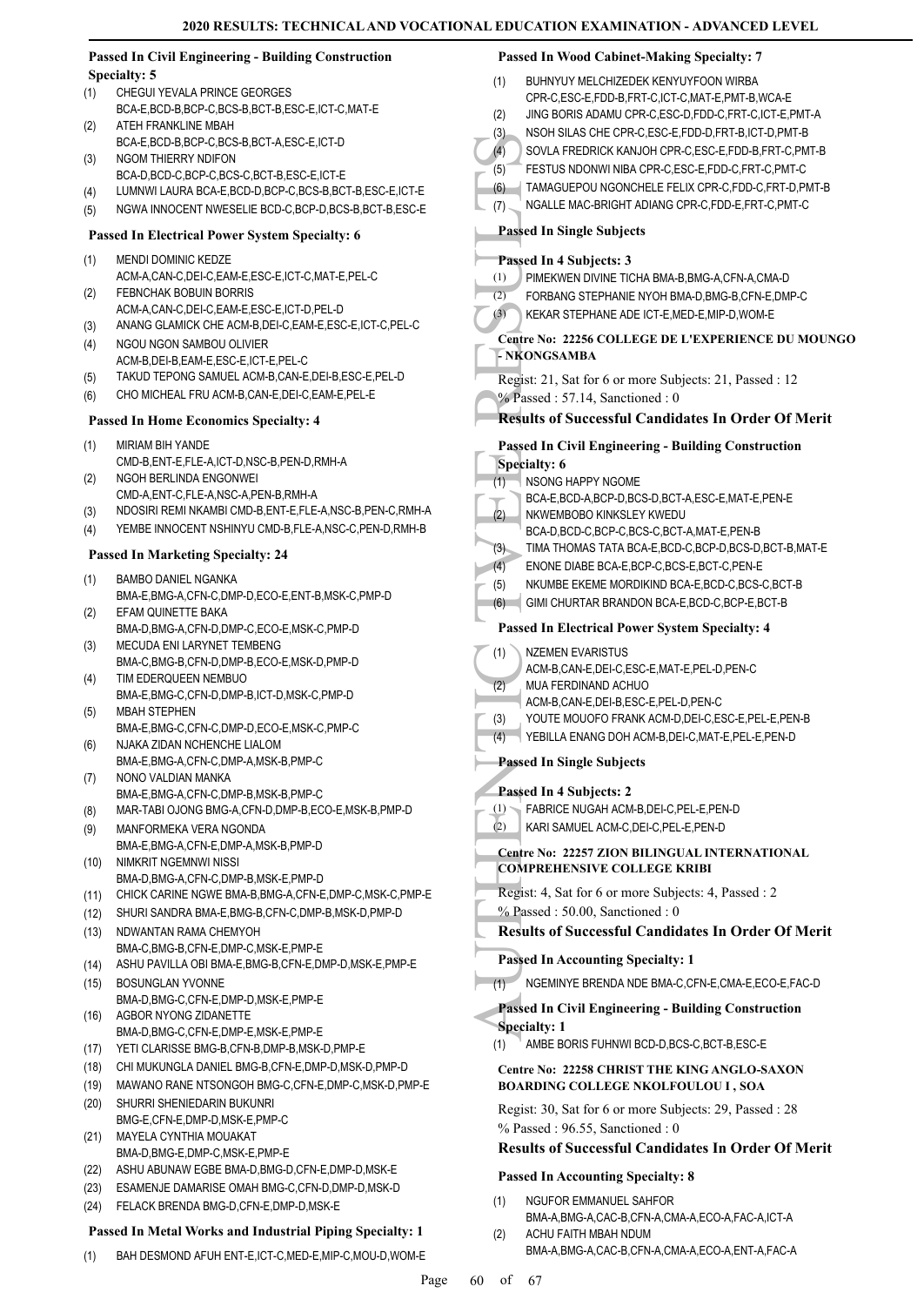|              | <b>Passed In Civil Engineering - Building Construction</b>                                                  | <b>Passed In Wood Cabinet-Making Specialty: 7</b>                                       |
|--------------|-------------------------------------------------------------------------------------------------------------|-----------------------------------------------------------------------------------------|
|              | <b>Specialty: 5</b>                                                                                         | BUHNYUY MELCHIZEDEK KENYUYFOON WIRBA<br>(1)                                             |
| (1)          | CHEGUI YEVALA PRINCE GEORGES                                                                                | CPR-C,ESC-E,FDD-B,FRT-C,ICT-C,MAT-E,PMT-B,WCA-E                                         |
| (2)          | BCA-E,BCD-B,BCP-C,BCS-B,BCT-B,ESC-E,ICT-C,MAT-E<br>ATEH FRANKLINE MBAH                                      | (2)<br>JING BORIS ADAMU CPR-C, ESC-D, FDD-C, FRT-C, ICT-E, PMT-A                        |
|              | BCA-E,BCD-B,BCP-C,BCS-B,BCT-A,ESC-E,ICT-D                                                                   | NSOH SILAS CHE CPR-C, ESC-E, FDD-D, FRT-B, ICT-D, PMT-B<br>(3)                          |
| (3)          | NGOM THIERRY NDIFON                                                                                         | SOVLA FREDRICK KANJOH CPR-C,ESC-E,FDD-B,FRT-C,PMT-B<br>(4)                              |
|              | BCA-D,BCD-C,BCP-C,BCS-C,BCT-B,ESC-E,ICT-E                                                                   | FESTUS NDONWI NIBA CPR-C, ESC-E, FDD-C, FRT-C, PMT-C<br>(5)                             |
| (4)          | LUMNWI LAURA BCA-E, BCD-D, BCP-C, BCS-B, BCT-B, ESC-E, ICT-E                                                | TAMAGUEPOU NGONCHELE FELIX CPR-C,FDD-C,FRT-D,PMT-B<br>(6)                               |
| (5)          | NGWA INNOCENT NWESELIE BCD-C,BCP-D,BCS-B,BCT-B,ESC-E                                                        | NGALLE MAC-BRIGHT ADIANG CPR-C,FDD-E,FRT-C,PMT-C<br>(7)                                 |
|              | <b>Passed In Electrical Power System Specialty: 6</b>                                                       | <b>Passed In Single Subjects</b>                                                        |
| (1)          | MENDI DOMINIC KEDZE                                                                                         | Passed In 4 Subjects: 3                                                                 |
|              | ACM-A,CAN-C,DEI-C,EAM-E,ESC-E,ICT-C,MAT-E,PEL-C                                                             | PIMEKWEN DIVINE TICHA BMA-B, BMG-A, CFN-A, CMA-D<br>(1)                                 |
| (2)          | FEBNCHAK BOBUIN BORRIS                                                                                      | (2)<br>FORBANG STEPHANIE NYOH BMA-D, BMG-B, CFN-E, DMP-C                                |
|              | ACM-A,CAN-C,DEI-C,EAM-E,ESC-E,ICT-D,PEL-D                                                                   | (3)<br>KEKAR STEPHANE ADE ICT-E, MED-E, MIP-D, WOM-E                                    |
| (3)          | ANANG GLAMICK CHE ACM-B, DEI-C, EAM-E, ESC-E, ICT-C, PEL-C<br>NGOU NGON SAMBOU OLIVIER                      | <b>Centre No: 22256 COLLEGE DE L'EXPERIENCE DU MOUNGO</b>                               |
| (4)          | ACM-B.DEI-B.EAM-E.ESC-E.ICT-E.PEL-C                                                                         | - NKONGSAMBA                                                                            |
| (5)          | TAKUD TEPONG SAMUEL ACM-B,CAN-E,DEI-B,ESC-E,PEL-D                                                           | Regist: 21, Sat for 6 or more Subjects: 21, Passed : 12                                 |
| (6)          | CHO MICHEAL FRU ACM-B,CAN-E,DEI-C,EAM-E,PEL-E                                                               | % Passed: 57.14, Sanctioned: 0                                                          |
|              | <b>Passed In Home Economics Specialty: 4</b>                                                                | <b>Results of Successful Candidates In Order Of Merit</b>                               |
|              |                                                                                                             |                                                                                         |
| (1)          | <b>MIRIAM BIH YANDE</b><br>CMD-B, ENT-E, FLE-A, ICT-D, NSC-B, PEN-D, RMH-A                                  | <b>Passed In Civil Engineering - Building Construction</b>                              |
| (2)          | <b>NGOH BERLINDA ENGONWEI</b>                                                                               | Specialty: 6                                                                            |
|              | CMD-A, ENT-C, FLE-A, NSC-A, PEN-B, RMH-A                                                                    | NSONG HAPPY NGOME<br>(1)<br>BCA-E,BCD-A,BCP-D,BCS-D,BCT-A,ESC-E,MAT-E,PEN-E             |
| (3)          | NDOSIRI REMI NKAMBI CMD-B,ENT-E,FLE-A,NSC-B,PEN-C,RMH-A                                                     | (2)<br>NKWEMBOBO KINKSLEY KWEDU                                                         |
| (4)          | YEMBE INNOCENT NSHINYU CMD-B, FLE-A, NSC-C, PEN-D, RMH-B                                                    | BCA-D,BCD-C,BCP-C,BCS-C,BCT-A,MAT-E,PEN-B                                               |
|              | <b>Passed In Marketing Specialty: 24</b>                                                                    | TIMA THOMAS TATA BCA-E, BCD-C, BCP-D, BCS-D, BCT-B, MAT-E<br>(3)                        |
|              |                                                                                                             | (4)<br>ENONE DIABE BCA-E, BCP-C, BCS-E, BCT-C, PEN-E                                    |
| (1)          | <b>BAMBO DANIEL NGANKA</b>                                                                                  | NKUMBE EKEME MORDIKIND BCA-E, BCD-C, BCS-C, BCT-B<br>(5)                                |
|              | BMA-E,BMG-A,CFN-C,DMP-D,ECO-E,ENT-B,MSK-C,PMP-D                                                             | GIMI CHURTAR BRANDON BCA-E, BCD-C, BCP-E, BCT-B<br>(6)                                  |
| (2)          | EFAM QUINETTE BAKA<br>BMA-D, BMG-A, CFN-D, DMP-C, ECO-E, MSK-C, PMP-D                                       | <b>Passed In Electrical Power System Specialty: 4</b>                                   |
| (3)          | MECUDA ENI LARYNET TEMBENG                                                                                  |                                                                                         |
|              | BMA-C,BMG-B,CFN-D,DMP-B,ECO-E,MSK-D,PMP-D                                                                   | (1)<br><b>NZEMEN EVARISTUS</b>                                                          |
| (4)          | TIM EDERQUEEN NEMBUO                                                                                        | ACM-B,CAN-E,DEI-C,ESC-E,MAT-E,PEL-D,PEN-C<br>(2)<br>MUA FERDINAND ACHUO                 |
|              | BMA-E,BMG-C,CFN-D,DMP-B,ICT-D,MSK-C,PMP-D                                                                   | ACM-B,CAN-E,DEI-B,ESC-E,PEL-D,PEN-C                                                     |
| (5)          | <b>MBAH STEPHEN</b>                                                                                         | YOUTE MOUOFO FRANK ACM-D, DEI-C, ESC-E, PEL-E, PEN-B<br>(3)                             |
|              | BMA-E,BMG-C,CFN-C,DMP-D,ECO-E,MSK-C,PMP-C                                                                   | YEBILLA ENANG DOH ACM-B, DEI-C, MAT-E, PEL-E, PEN-D<br>(4)                              |
| (6)          | NJAKA ZIDAN NCHENCHE LIALOM<br>BMA-E, BMG-A, CFN-C, DMP-A, MSK-B, PMP-C                                     | <b>Passed In Single Subjects</b>                                                        |
| (7)          | NONO VALDIAN MANKA                                                                                          |                                                                                         |
|              | BMA-E, BMG-A, CFN-C, DMP-B, MSK-B, PMP-C                                                                    | Passed In 4 Subjects: 2                                                                 |
| (8)          | MAR-TABI OJONG BMG-A, CFN-D, DMP-B, ECO-E, MSK-B, PMP-D                                                     | FABRICE NUGAH ACM-B, DEI-C, PEL-E, PEN-D<br>$(1)$ $\bar{ }$                             |
| (9)          | MANFORMEKA VERA NGONDA                                                                                      | (2)<br>KARI SAMUEL ACM-C, DEI-C, PEL-E, PEN-D                                           |
|              | BMA-E,BMG-A,CFN-E,DMP-A,MSK-B,PMP-D                                                                         | Centre No: 22257 ZION BILINGUAL INTERNATIONAL                                           |
| (10)         | NIMKRIT NGEMNWI NISSI                                                                                       | <b>COMPREHENSIVE COLLEGE KRIBI</b>                                                      |
|              | BMA-D, BMG-A, CFN-C, DMP-B, MSK-E, PMP-D<br>CHICK CARINE NGWE BMA-B, BMG-A, CFN-E, DMP-C, MSK-C, PMP-E      | Regist: 4, Sat for 6 or more Subjects: 4, Passed : 2                                    |
| (11)<br>(12) | SHURI SANDRA BMA-E, BMG-B, CFN-C, DMP-B, MSK-D, PMP-D                                                       | % Passed: 50.00, Sanctioned: 0                                                          |
| (13)         | NDWANTAN RAMA CHEMYOH                                                                                       | <b>Results of Successful Candidates In Order Of Merit</b>                               |
|              | BMA-C,BMG-B,CFN-E,DMP-C,MSK-E,PMP-E                                                                         |                                                                                         |
| (14)         | ASHU PAVILLA OBI BMA-E, BMG-B, CFN-E, DMP-D, MSK-E, PMP-E                                                   | <b>Passed In Accounting Specialty: 1</b>                                                |
| (15)         | <b>BOSUNGLAN YVONNE</b>                                                                                     | (1)<br>NGEMINYE BRENDA NDE BMA-C,CFN-E,CMA-E,ECO-E,FAC-D                                |
|              | BMA-D, BMG-C, CFN-E, DMP-D, MSK-E, PMP-E                                                                    |                                                                                         |
| (16)         | AGBOR NYONG ZIDANETTE                                                                                       | <b>Passed In Civil Engineering - Building Construction</b><br><b>Specialty: 1</b>       |
|              | BMA-D, BMG-C, CFN-E, DMP-E, MSK-E, PMP-E                                                                    | AMBE BORIS FUHNWI BCD-D, BCS-C, BCT-B, ESC-E<br>(1)                                     |
| (17)         | YETI CLARISSE BMG-B,CFN-B,DMP-B,MSK-D,PMP-E                                                                 |                                                                                         |
| (18)<br>(19) | CHI MUKUNGLA DANIEL BMG-B,CFN-E,DMP-D,MSK-D,PMP-D<br>MAWANO RANE NTSONGOH BMG-C, CFN-E, DMP-C, MSK-D, PMP-E | Centre No: 22258 CHRIST THE KING ANGLO-SAXON<br>BOARDING COLLEGE NKOLFOULOU I, SOA      |
| (20)         | SHURRI SHENIEDARIN BUKUNRI                                                                                  |                                                                                         |
|              | BMG-E,CFN-E,DMP-D,MSK-E,PMP-C                                                                               | Regist: 30, Sat for 6 or more Subjects: 29, Passed: 28                                  |
| (21)         | MAYELA CYNTHIA MOUAKAT                                                                                      | $%$ Passed: 96.55, Sanctioned: 0                                                        |
|              | BMA-D,BMG-E,DMP-C,MSK-E,PMP-E                                                                               | <b>Results of Successful Candidates In Order Of Merit</b>                               |
| (22)         | ASHU ABUNAW EGBE BMA-D, BMG-D, CFN-E, DMP-D, MSK-E                                                          | <b>Passed In Accounting Specialty: 8</b>                                                |
| (23)         | ESAMENJE DAMARISE OMAH BMG-C, CFN-D, DMP-D, MSK-D                                                           |                                                                                         |
| (24)         | FELACK BRENDA BMG-D, CFN-E, DMP-D, MSK-E                                                                    | (1)<br>NGUFOR EMMANUEL SAHFOR<br>BMA-A, BMG-A, CAC-B, CFN-A, CMA-A, ECO-A, FAC-A, ICT-A |
|              | Passed In Metal Works and Industrial Piping Specialty: 1                                                    | (2)<br>ACHU FAITH MBAH NDUM                                                             |

- (1) BAH DESMOND AFUH ENT-E,ICT-C,MED-E,MIP-C,MOU-D,WOM-E
- (2) ACHU FAITH MBAH NDUM
	- BMA-A,BMG-A,CAC-B,CFN-A,CMA-A,ECO-A,ENT-A,FAC-A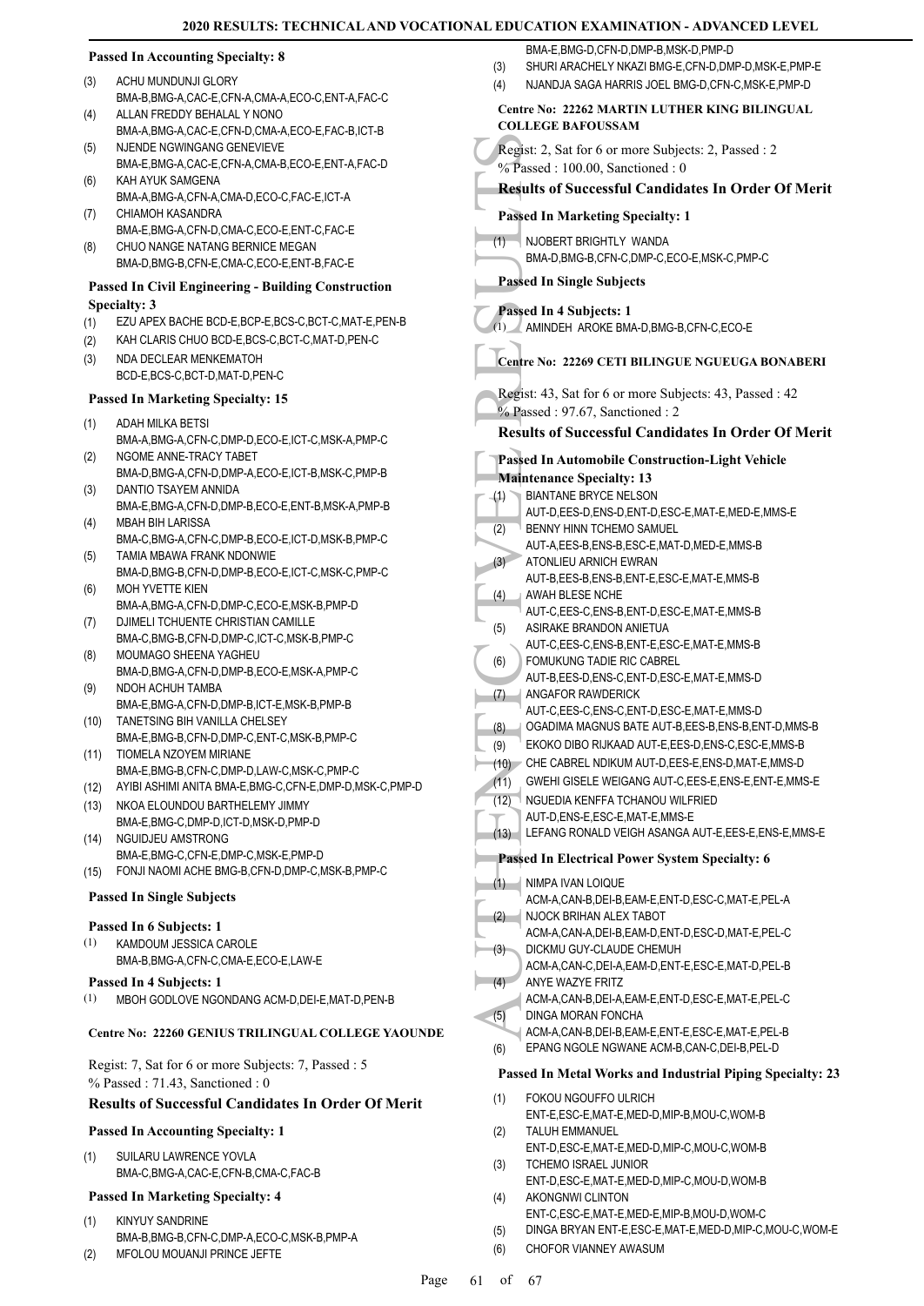#### **Passed In Accounting Specialty: 8**

- ACHU MUNDUNJI GLORY (3)
- BMA-B,BMG-A,CAC-E,CFN-A,CMA-A,ECO-C,ENT-A,FAC-C ALLAN FREDDY BEHALAL Y NONO  $(4)$
- BMA-A,BMG-A,CAC-E,CFN-D,CMA-A,ECO-E,FAC-B,ICT-B NJENDE NGWINGANG GENEVIEVE (5)
- BMA-E,BMG-A,CAC-E,CFN-A,CMA-B,ECO-E,ENT-A,FAC-D KAH AYUK SAMGENA (6)
- BMA-A,BMG-A,CFN-A,CMA-D,ECO-C,FAC-E,ICT-A CHIAMOH KASANDRA (7)
- BMA-E,BMG-A,CFN-D,CMA-C,ECO-E,ENT-C,FAC-E CHUO NANGE NATANG BERNICE MEGAN (8)
- BMA-D,BMG-B,CFN-E,CMA-C,ECO-E,ENT-B,FAC-E

#### **Passed In Civil Engineering - Building Construction Specialty: 3**

- (1) EZU APEX BACHE BCD-E,BCP-E,BCS-C,BCT-C,MAT-E,PEN-B
- (2) KAH CLARIS CHUO BCD-E,BCS-C,BCT-C,MAT-D,PEN-C
- NDA DECLEAR MENKEMATOH BCD-E,BCS-C,BCT-D,MAT-D,PEN-C (3)

#### **Passed In Marketing Specialty: 15**

- ADAH MILKA BETSI (1)
- BMA-A,BMG-A,CFN-C,DMP-D,ECO-E,ICT-C,MSK-A,PMP-C NGOME ANNE-TRACY TABET (2)
- BMA-D,BMG-A,CFN-D,DMP-A,ECO-E,ICT-B,MSK-C,PMP-B DANTIO TSAYEM ANNIDA (3)
- BMA-E,BMG-A,CFN-D,DMP-B,ECO-E,ENT-B,MSK-A,PMP-B MBAH BIH LARISSA (4)
- BMA-C,BMG-A,CFN-C,DMP-B,ECO-E,ICT-D,MSK-B,PMP-C TAMIA MBAWA FRANK NDONWIE (5)
- BMA-D,BMG-B,CFN-D,DMP-B,ECO-E,ICT-C,MSK-C,PMP-C MOH YVETTE KIEN (6)
- BMA-A,BMG-A,CFN-D,DMP-C,ECO-E,MSK-B,PMP-D DJIMELI TCHUENTE CHRISTIAN CAMILLE (7)
- BMA-C,BMG-B,CFN-D,DMP-C,ICT-C,MSK-B,PMP-C MOUMAGO SHEENA YAGHEU (8)
- BMA-D,BMG-A,CFN-D,DMP-B,ECO-E,MSK-A,PMP-C NDOH ACHUH TAMBA (9)
- BMA-E,BMG-A,CFN-D,DMP-B,ICT-E,MSK-B,PMP-B (10) TANETSING BIH VANILLA CHELSEY
- BMA-E,BMG-B,CFN-D,DMP-C,ENT-C,MSK-B,PMP-C (11) TIOMELA NZOYEM MIRIANE
- BMA-E,BMG-B,CFN-C,DMP-D,LAW-C,MSK-C,PMP-C
- (12) AYIBI ASHIMI ANITA BMA-E,BMG-C,CFN-E,DMP-D,MSK-C,PMP-D
- (13) NKOA ELOUNDOU BARTHELEMY JIMMY BMA-E,BMG-C,DMP-D,ICT-D,MSK-D,PMP-D
- NGUIDJEU AMSTRONG BMA-E,BMG-C,CFN-E,DMP-C,MSK-E,PMP-D (14)
- (15) FONJI NAOMI ACHE BMG-B,CFN-D,DMP-C,MSK-B,PMP-C

#### **Passed In Single Subjects**

#### **Passed In 6 Subjects: 1**

- KAMDOUM JESSICA CAROLE BMA-B,BMG-A,CFN-C,CMA-E,ECO-E,LAW-E (1)
- **Passed In 4 Subjects: 1**
- (1) MBOH GODLOVE NGONDANG ACM-D,DEI-E,MAT-D,PEN-B

# **Centre No: 22260 GENIUS TRILINGUAL COLLEGE YAOUNDE**

Regist: 7, Sat for 6 or more Subjects: 7, Passed : 5 % Passed : 71.43, Sanctioned : 0

# **Results of Successful Candidates In Order Of Merit**

#### **Passed In Accounting Specialty: 1**

SUILARU LAWRENCE YOVLA BMA-C,BMG-A,CAC-E,CFN-B,CMA-C,FAC-B (1)

# **Passed In Marketing Specialty: 4**

- KINYUY SANDRINE BMA-B,BMG-B,CFN-C,DMP-A,ECO-C,MSK-B,PMP-A (1)
- (2) MFOLOU MOUANJI PRINCE JEFTE
- BMA-E,BMG-D,CFN-D,DMP-B,MSK-D,PMP-D
- (3) SHURI ARACHELY NKAZI BMG-E,CFN-D,DMP-D,MSK-E,PMP-E
- (4) NJANDJA SAGA HARRIS JOEL BMG-D,CFN-C,MSK-E,PMP-D

# **Centre No: 22262 MARTIN LUTHER KING BILINGUAL COLLEGE BAFOUSSAM**

- Regist: 2, Sat for 6 or more Subjects: 2, Passed : 2
- % Passed : 100.00, Sanctioned : 0

# **Results of Successful Candidates In Order Of Merit**

### **Passed In Marketing Specialty: 1**

NJOBERT BRIGHTLY WANDA BMA-D,BMG-B,CFN-C,DMP-C,ECO-E,MSK-C,PMP-C (1)

# **Passed In Single Subjects**

**Passed In 4 Subjects: 1**

(1) AMINDEH AROKE BMA-D,BMG-B,CFN-C,ECO-E

# **Centre No: 22269 CETI BILINGUE NGUEUGA BONABERI**

Regist: 43, Sat for 6 or more Subjects: 43, Passed : 42 % Passed : 97.67, Sanctioned : 2

**Results of Successful Candidates In Order Of Merit**

# Regist: 2, S<br>
<sup>9</sup>% Passed In 1<br>
HOUSE BMA-D,<br>
Passed In 8<br>
HOUSE BMA-D,<br>
Passed In 8<br>
Passed In 8<br>
(1) AMINDI<br>
Centre No:<br>
Regist: 43,<br>
9% Passed In 4<br>
Maintenan<br>
(2) BIANTA,<br>
AUT-D,<br>
AUT-D,<br>
AUT-D,<br>
AUT-D,<br>
AUT-D,<br>
AUT-D, **Passed In Automobile Construction-Light Vehicle Maintenance Specialty: 13** BIANTANE BRYCE NELSON AUT-D,EES-D,ENS-D,ENT-D,ESC-E,MAT-E,MED-E,MMS-E (1) **BENNY HINN TCHEMO SAMUEL** AUT-A,EES-B,ENS-B,ESC-E,MAT-D,MED-E,MMS-B (2) ATONLIEU ARNICH EWRAN (3) AUT-B,EES-B,ENS-B,ENT-E,ESC-E,MAT-E,MMS-B AWAH BLESE NCHE AUT-C,EES-C,ENS-B,ENT-D,ESC-E,MAT-E,MMS-B (4) ASIRAKE BRANDON ANIETUA AUT-C,EES-C,ENS-B,ENT-E,ESC-E,MAT-E,MMS-B (5) FOMUKUNG TADIE RIC CABREL AUT-B,EES-D,ENS-C,ENT-D,ESC-E,MAT-E,MMS-D (6) ANGAFOR RAWDERICK (7) AUT-C,EES-C,ENS-C,ENT-D,ESC-E,MAT-E,MMS-D (8) OGADIMA MAGNUS BATE AUT-B,EES-B,ENS-B,ENT-D,MMS-B (9) EKOKO DIBO RIJKAAD AUT-E,EES-D,ENS-C,ESC-E,MMS-B (10) CHE CABREL NDIKUM AUT-D,EES-E,ENS-D,MAT-E,MMS-D (11) GWEHI GISELE WEIGANG AUT-C,EES-E,ENS-E,ENT-E,MMS-E NGUEDIA KENFFA TCHANOU WILFRIED AUT-D,ENS-E,ESC-E,MAT-E,MMS-E (12) (13) LEFANG RONALD VEIGH ASANGA AUT-E,EES-E,ENS-E,MMS-E **Passed In Electrical Power System Specialty: 6** NIMPA IVAN LOIQUE (1) ACM-A,CAN-B,DEI-B,EAM-E,ENT-D,ESC-C,MAT-E,PEL-A NJOCK BRIHAN ALEX TABOT ACM-A,CAN-A,DEI-B,EAM-D,ENT-D,ESC-D,MAT-E,PEL-C (2) DICKMU GUY-CLAUDE CHEMUH ACM-A,CAN-C,DEI-A,EAM-D,ENT-E,ESC-E,MAT-D,PEL-B (3) ANYE WAZYE FRITZ ACM-A,CAN-B,DEI-A,EAM-E,ENT-D,ESC-E,MAT-E,PEL-C (4) DINGA MORAN FONCHA ACM-A,CAN-B,DEI-B,EAM-E,ENT-E,ESC-E,MAT-E,PEL-B (5) (6) EPANG NGOLE NGWANE ACM-B,CAN-C,DEI-B,PEL-D **Passed In Metal Works and Industrial Piping Specialty: 23** FOKOU NGOUFFO ULRICH ENT-E,ESC-E,MAT-E,MED-D,MIP-B,MOU-C,WOM-B (1) TALUH EMMANUEL (2)

- ENT-D,ESC-E,MAT-E,MED-D,MIP-C,MOU-C,WOM-B TCHEMO ISRAEL JUNIOR (3)
- ENT-D,ESC-E,MAT-E,MED-D,MIP-C,MOU-D,WOM-B AKONGNWI CLINTON (4)
- ENT-C,ESC-E,MAT-E,MED-E,MIP-B,MOU-D,WOM-C
- (5) DINGA BRYAN ENT-E,ESC-E,MAT-E,MED-D,MIP-C,MOU-C,WOM-E
- (6) CHOFOR VIANNEY AWASUM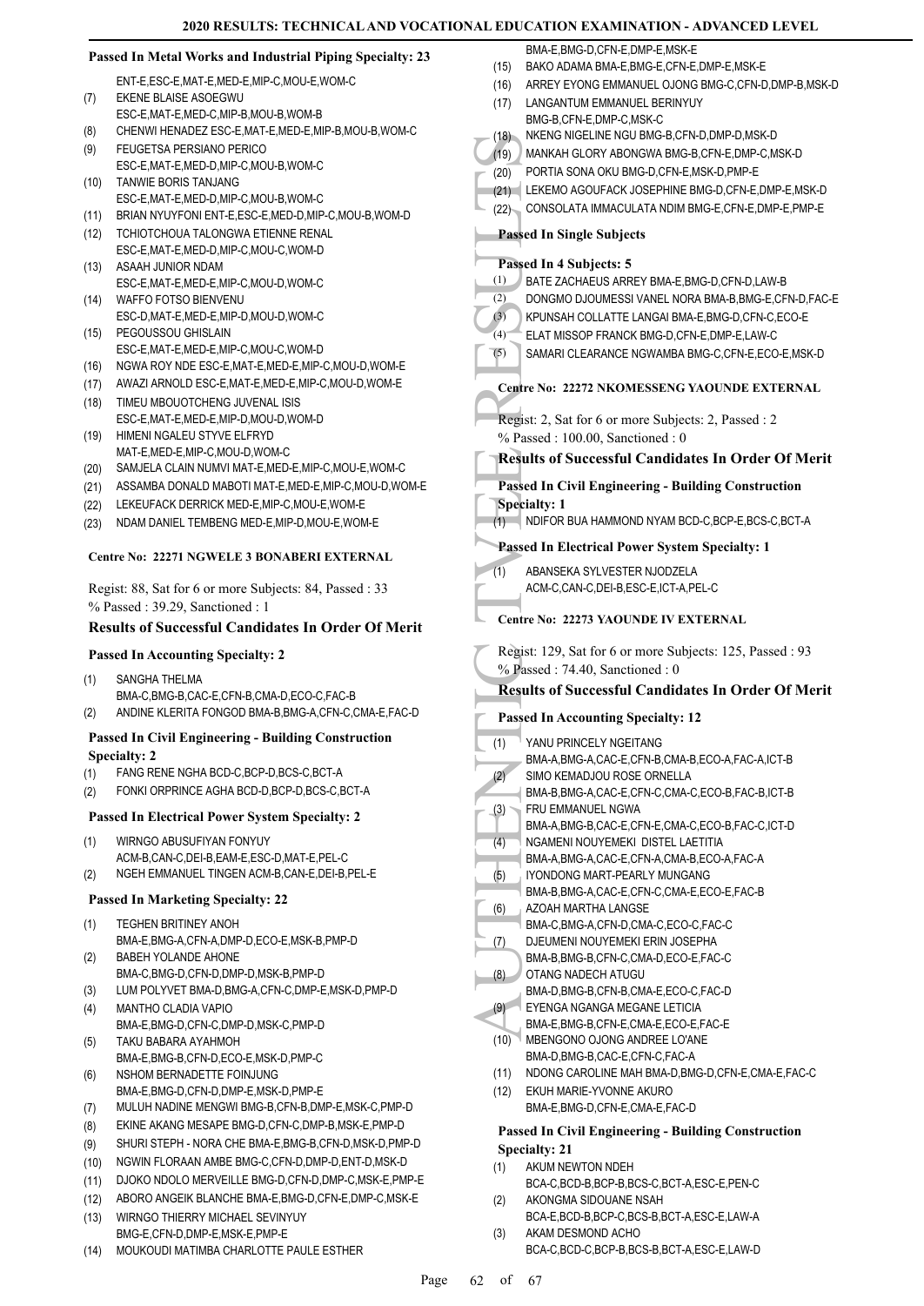|              | Passed In Metal Works and Industrial Piping Specialty: 23                                               | BMA-E, BMG-D, CFN-E, DMP-E, MSK-E<br>BAKO ADAMA BMA-E, BMG-E, CFN-E, DMP-E, MSK-E                                      |
|--------------|---------------------------------------------------------------------------------------------------------|------------------------------------------------------------------------------------------------------------------------|
|              | ENT-E,ESC-E,MAT-E,MED-E,MIP-C,MOU-E,WOM-C                                                               | (15)<br>(16)<br>ARREY EYONG EMMANUEL OJONG BMG-C, CFN-D, DMP-B, MSK-D                                                  |
| (7)          | EKENE BLAISE ASOEGWU                                                                                    | LANGANTUM EMMANUEL BERINYUY<br>(17)                                                                                    |
|              | ESC-E, MAT-E, MED-C, MIP-B, MOU-B, WOM-B                                                                | BMG-B,CFN-E,DMP-C,MSK-C                                                                                                |
| (8)          | CHENWI HENADEZ ESC-E, MAT-E, MED-E, MIP-B, MOU-B, WOM-C                                                 | NKENG NIGELINE NGU BMG-B,CFN-D,DMP-D,MSK-D<br>(18)                                                                     |
| (9)          | FEUGETSA PERSIANO PERICO                                                                                | (19)<br>MANKAH GLORY ABONGWA BMG-B,CFN-E,DMP-C,MSK-D                                                                   |
|              | ESC-E, MAT-E, MED-D, MIP-C, MOU-B, WOM-C<br>TANWIE BORIS TANJANG                                        | PORTIA SONA OKU BMG-D, CFN-E, MSK-D, PMP-E<br>(20)                                                                     |
| (10)         | ESC-E,MAT-E,MED-D,MIP-C,MOU-B,WOM-C                                                                     | LEKEMO AGOUFACK JOSEPHINE BMG-D, CFN-E, DMP-E, MSK-D<br>(21)                                                           |
| (11)         | BRIAN NYUYFONI ENT-E, ESC-E, MED-D, MIP-C, MOU-B, WOM-D                                                 | (22) CONSOLATA IMMACULATA NDIM BMG-E,CFN-E,DMP-E,PMP-E                                                                 |
| (12)         | TCHIOTCHOUA TALONGWA ETIENNE RENAL                                                                      | <b>Passed In Single Subjects</b>                                                                                       |
|              | ESC-E, MAT-E, MED-D, MIP-C, MOU-C, WOM-D                                                                |                                                                                                                        |
| (13)         | ASAAH JUNIOR NDAM                                                                                       | Passed In 4 Subjects: 5                                                                                                |
|              | ESC-E, MAT-E, MED-E, MIP-C, MOU-D, WOM-C                                                                | (1)<br>BATE ZACHAEUS ARREY BMA-E, BMG-D, CFN-D, LAW-B<br>(2)<br>DONGMO DJOUMESSI VANEL NORA BMA-B, BMG-E, CFN-D, FAC-E |
| (14)         | WAFFO FOTSO BIENVENU<br>ESC-D, MAT-E, MED-E, MIP-D, MOU-D, WOM-C                                        | (3)<br>KPUNSAH COLLATTE LANGAI BMA-E,BMG-D,CFN-C,ECO-E                                                                 |
| (15)         | PEGOUSSOU GHISLAIN                                                                                      | $(4)$ <sup>-</sup><br>ELAT MISSOP FRANCK BMG-D,CFN-E,DMP-E,LAW-C                                                       |
|              | ESC-E, MAT-E, MED-E, MIP-C, MOU-C, WOM-D                                                                | (5)<br>SAMARI CLEARANCE NGWAMBA BMG-C,CFN-E,ECO-E,MSK-D                                                                |
| (16)         | NGWA ROY NDE ESC-E, MAT-E, MED-E, MIP-C, MOU-D, WOM-E                                                   |                                                                                                                        |
| (17)         | AWAZI ARNOLD ESC-E, MAT-E, MED-E, MIP-C, MOU-D, WOM-E                                                   | <b>Centre No: 22272 NKOMESSENG YAOUNDE EXTERNAL</b>                                                                    |
| (18)         | TIMEU MBOUOTCHENG JUVENAL ISIS                                                                          |                                                                                                                        |
| (19)         | ESC-E, MAT-E, MED-E, MIP-D, MOU-D, WOM-D<br>HIMENI NGALEU STYVE ELFRYD                                  | Regist: 2, Sat for 6 or more Subjects: 2, Passed : 2                                                                   |
|              | MAT-E, MED-E, MIP-C, MOU-D, WOM-C                                                                       | % Passed: 100.00, Sanctioned: 0                                                                                        |
| (20)         | SAMJELA CLAIN NUMVI MAT-E, MED-E, MIP-C, MOU-E, WOM-C                                                   | <b>Results of Successful Candidates In Order Of Merit</b>                                                              |
| (21)         | ASSAMBA DONALD MABOTI MAT-E, MED-E, MIP-C, MOU-D, WOM-E                                                 | <b>Passed In Civil Engineering - Building Construction</b>                                                             |
| (22)         | LEKEUFACK DERRICK MED-E, MIP-C, MOU-E, WOM-E                                                            | <b>Specialty: 1</b>                                                                                                    |
| (23)         | NDAM DANIEL TEMBENG MED-E, MIP-D, MOU-E, WOM-E                                                          | (1) NDIFOR BUA HAMMOND NYAM BCD-C, BCP-E, BCS-C, BCT-A                                                                 |
|              |                                                                                                         | <b>Passed In Electrical Power System Specialty: 1</b>                                                                  |
|              | Centre No: 22271 NGWELE 3 BONABERI EXTERNAL                                                             | (1)<br>ABANSEKA SYLVESTER NJODZELA                                                                                     |
|              | Regist: 88, Sat for 6 or more Subjects: 84, Passed: 33                                                  | ACM-C,CAN-C,DEI-B,ESC-E,ICT-A,PEL-C                                                                                    |
|              | % Passed: 39.29, Sanctioned: 1                                                                          |                                                                                                                        |
|              | <b>Results of Successful Candidates In Order Of Merit</b>                                               | Centre No: 22273 YAOUNDE IV EXTERNAL                                                                                   |
|              |                                                                                                         |                                                                                                                        |
|              |                                                                                                         |                                                                                                                        |
|              | <b>Passed In Accounting Specialty: 2</b>                                                                | Regist: 129, Sat for 6 or more Subjects: 125, Passed: 93<br>$%$ Passed: 74.40, Sanctioned: 0                           |
| (1)          | SANGHA THELMA                                                                                           | <b>Results of Successful Candidates In Order Of Merit</b>                                                              |
|              | BMA-C, BMG-B, CAC-E, CFN-B, CMA-D, ECO-C, FAC-B                                                         |                                                                                                                        |
| (2)          | ANDINE KLERITA FONGOD BMA-B, BMG-A, CFN-C, CMA-E, FAC-D                                                 | <b>Passed In Accounting Specialty: 12</b>                                                                              |
|              | <b>Passed In Civil Engineering - Building Construction</b>                                              | YANU PRINCELY NGEITANG<br>$\lfloor$ (1)                                                                                |
|              | <b>Specialty: 2</b>                                                                                     | BMA-A, BMG-A, CAC-E, CFN-B, CMA-B, ECO-A, FAC-A, ICT-B                                                                 |
| (1)          | FANG RENE NGHA BCD-C, BCP-D, BCS-C, BCT-A                                                               | (2)<br>SIMO KEMADJOU ROSE ORNELLA                                                                                      |
| (2)          | FONKI ORPRINCE AGHA BCD-D, BCP-D, BCS-C, BCT-A                                                          | BMA-B, BMG-A, CAC-E, CFN-C, CMA-C, ECO-B, FAC-B, ICT-B<br>FRU EMMANUEL NGWA                                            |
|              | <b>Passed In Electrical Power System Specialty: 2</b>                                                   | (3)<br>BMA-A,BMG-B,CAC-E,CFN-E,CMA-C,ECO-B,FAC-C,ICT-D                                                                 |
| (1)          | WIRNGO ABUSUFIYAN FONYUY                                                                                | NGAMENI NOUYEMEKI DISTEL LAETITIA<br>(4)                                                                               |
|              | ACM-B,CAN-C,DEI-B,EAM-E,ESC-D,MAT-E,PEL-C                                                               | BMA-A,BMG-A,CAC-E,CFN-A,CMA-B,ECO-A,FAC-A                                                                              |
| (2)          | NGEH EMMANUEL TINGEN ACM-B, CAN-E, DEI-B, PEL-E                                                         | (5)<br>IYONDONG MART-PEARLY MUNGANG                                                                                    |
|              | <b>Passed In Marketing Specialty: 22</b>                                                                | BMA-B, BMG-A, CAC-E, CFN-C, CMA-E, ECO-E, FAC-B                                                                        |
| (1)          | TEGHEN BRITINEY ANOH                                                                                    | AZOAH MARTHA LANGSE<br>(6)<br>BMA-C,BMG-A,CFN-D,CMA-C,ECO-C,FAC-C                                                      |
|              | BMA-E,BMG-A,CFN-A,DMP-D,ECO-E,MSK-B,PMP-D                                                               | DJEUMENI NOUYEMEKI ERIN JOSEPHA<br>(7)                                                                                 |
| (2)          | <b>BABEH YOLANDE AHONE</b>                                                                              | BMA-B,BMG-B,CFN-C,CMA-D,ECO-E,FAC-C                                                                                    |
|              | BMA-C, BMG-D, CFN-D, DMP-D, MSK-B, PMP-D                                                                | OTANG NADECH ATUGU<br>(8)                                                                                              |
| (3)          | LUM POLYVET BMA-D, BMG-A, CFN-C, DMP-E, MSK-D, PMP-D                                                    | BMA-D, BMG-B, CFN-B, CMA-E, ECO-C, FAC-D                                                                               |
| (4)          | <b>MANTHO CLADIA VAPIO</b>                                                                              | (9)<br>EYENGA NGANGA MEGANE LETICIA<br>BMA-E,BMG-B,CFN-E,CMA-E,ECO-E,FAC-E                                             |
| (5)          | BMA-E,BMG-D,CFN-C,DMP-D,MSK-C,PMP-D<br>TAKU BABARA AYAHMOH                                              | MBENGONO OJONG ANDREE LO'ANE<br>(10)                                                                                   |
|              | BMA-E,BMG-B,CFN-D,ECO-E,MSK-D,PMP-C                                                                     | BMA-D, BMG-B, CAC-E, CFN-C, FAC-A                                                                                      |
| (6)          | NSHOM BERNADETTE FOINJUNG                                                                               | NDONG CAROLINE MAH BMA-D, BMG-D, CFN-E, CMA-E, FAC-C<br>(11)                                                           |
|              | BMA-E,BMG-D,CFN-D,DMP-E,MSK-D,PMP-E                                                                     | EKUH MARIE-YVONNE AKURO<br>(12)                                                                                        |
| (7)          | MULUH NADINE MENGWI BMG-B,CFN-B,DMP-E,MSK-C,PMP-D                                                       | BMA-E,BMG-D,CFN-E,CMA-E,FAC-D                                                                                          |
| (8)          | EKINE AKANG MESAPE BMG-D,CFN-C,DMP-B,MSK-E,PMP-D                                                        | <b>Passed In Civil Engineering - Building Construction</b>                                                             |
| (9)          | SHURI STEPH - NORA CHE BMA-E, BMG-B, CFN-D, MSK-D, PMP-D                                                | <b>Specialty: 21</b>                                                                                                   |
| (10)         | NGWIN FLORAAN AMBE BMG-C,CFN-D,DMP-D,ENT-D,MSK-D<br>DJOKO NDOLO MERVEILLE BMG-D,CFN-D,DMP-C,MSK-E,PMP-E | AKUM NEWTON NDEH<br>(1)                                                                                                |
| (11)<br>(12) | ABORO ANGEIK BLANCHE BMA-E, BMG-D, CFN-E, DMP-C, MSK-E                                                  | BCA-C,BCD-B,BCP-B,BCS-C,BCT-A,ESC-E,PEN-C<br>AKONGMA SIDOUANE NSAH                                                     |
| (13)         | WIRNGO THIERRY MICHAEL SEVINYUY                                                                         | (2)<br>BCA-E,BCD-B,BCP-C,BCS-B,BCT-A,ESC-E,LAW-A                                                                       |

(14) MOUKOUDI MATIMBA CHARLOTTE PAULE ESTHER

BCA-C,BCD-C,BCP-B,BCS-B,BCT-A,ESC-E,LAW-D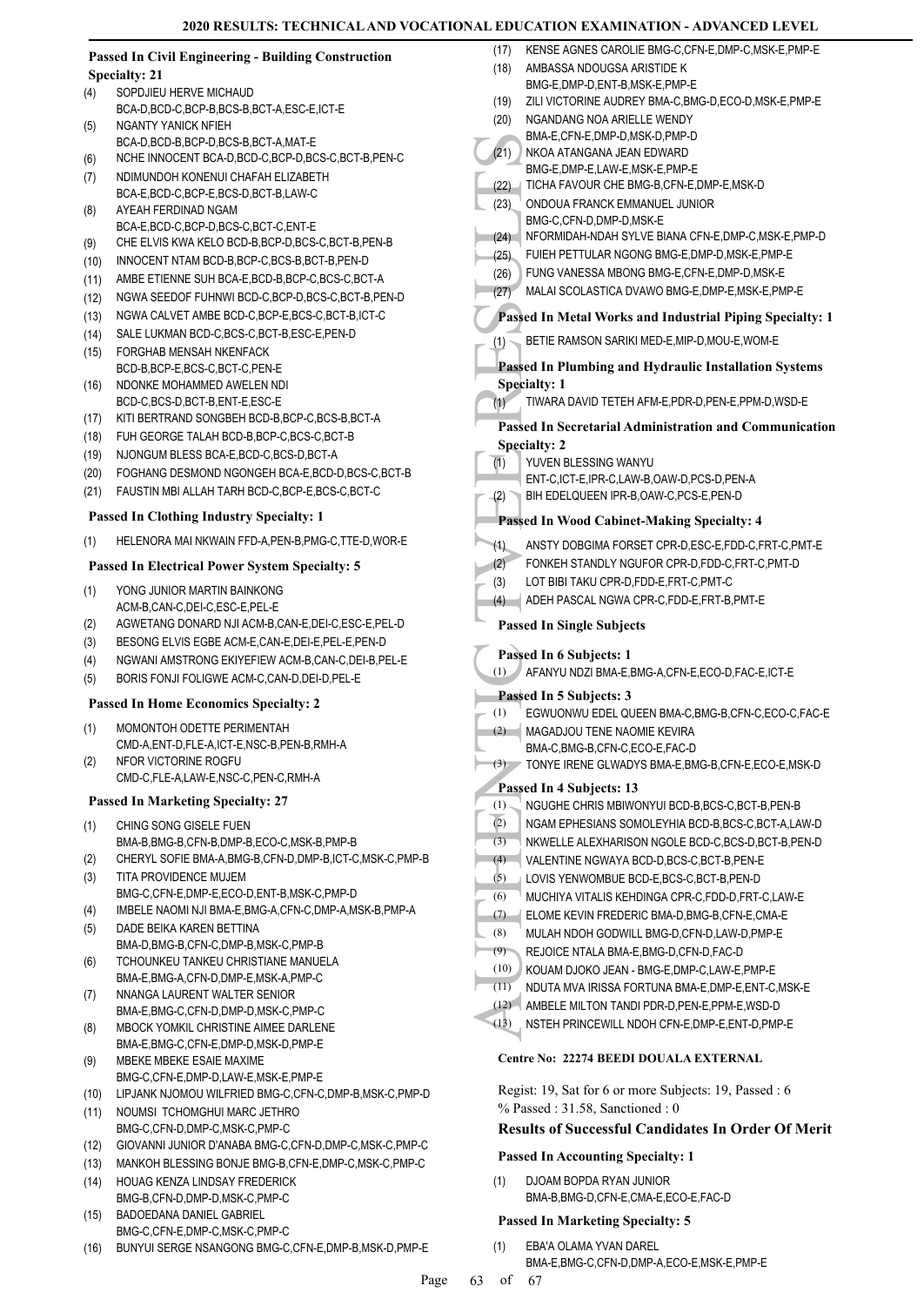|      |                                                                                                 | (17)         | KENSE AGNES CAROLIE BMG-C, CFN-E, DMP-C, MSK-E, PMP-E                                     |
|------|-------------------------------------------------------------------------------------------------|--------------|-------------------------------------------------------------------------------------------|
|      | <b>Passed In Civil Engineering - Building Construction</b>                                      | (18)         | AMBASSA NDOUGSA ARISTIDE K                                                                |
| (4)  | <b>Specialty: 21</b><br>SOPDJIEU HERVE MICHAUD                                                  |              | BMG-E,DMP-D,ENT-B,MSK-E,PMP-E                                                             |
|      | BCA-D,BCD-C,BCP-B,BCS-B,BCT-A,ESC-E,ICT-E                                                       | (19)         | ZILI VICTORINE AUDREY BMA-C, BMG-D, ECO-D, MSK-E, PMP-E                                   |
| (5)  | NGANTY YANICK NFIEH                                                                             | (20)         | NGANDANG NOA ARIELLE WENDY                                                                |
|      | BCA-D.BCD-B.BCP-D.BCS-B.BCT-A.MAT-E                                                             |              | BMA-E,CFN-E,DMP-D,MSK-D,PMP-D                                                             |
| (6)  | NCHE INNOCENT BCA-D,BCD-C,BCP-D,BCS-C,BCT-B,PEN-C                                               | (21)         | NKOA ATANGANA JEAN EDWARD                                                                 |
| (7)  | NDIMUNDOH KONENUI CHAFAH ELIZABETH                                                              |              | BMG-E,DMP-E,LAW-E,MSK-E,PMP-E                                                             |
|      | BCA-E,BCD-C,BCP-E,BCS-D,BCT-B,LAW-C                                                             | (22)<br>(23) | TICHA FAVOUR CHE BMG-B, CFN-E, DMP-E, MSK-D<br>ONDOUA FRANCK EMMANUEL JUNIOR              |
| (8)  | AYEAH FERDINAD NGAM                                                                             |              | BMG-C,CFN-D,DMP-D,MSK-E                                                                   |
|      | BCA-E,BCD-C,BCP-D,BCS-C,BCT-C,ENT-E                                                             |              | (24) NFORMIDAH-NDAH SYLVE BIANA CFN-E, DMP-C, MSK-E, PMP-D                                |
| (9)  | CHE ELVIS KWA KELO BCD-B, BCP-D, BCS-C, BCT-B, PEN-B                                            | (25)         | FUIEH PETTULAR NGONG BMG-E, DMP-D, MSK-E, PMP-E                                           |
| (10) | INNOCENT NTAM BCD-B, BCP-C, BCS-B, BCT-B, PEN-D                                                 | (26)         | FUNG VANESSA MBONG BMG-E, CFN-E, DMP-D, MSK-E                                             |
| (11) | AMBE ETIENNE SUH BCA-E, BCD-B, BCP-C, BCS-C, BCT-A                                              | (27)         | MALAI SCOLASTICA DVAWO BMG-E, DMP-E, MSK-E, PMP-E                                         |
| (12) | NGWA SEEDOF FUHNWI BCD-C,BCP-D,BCS-C,BCT-B,PEN-D                                                |              |                                                                                           |
| (13) | NGWA CALVET AMBE BCD-C, BCP-E, BCS-C, BCT-B, ICT-C<br>SALE LUKMAN BCD-C,BCS-C,BCT-B,ESC-E,PEN-D |              | Passed In Metal Works and Industrial Piping Specialty: 1                                  |
| (14) | FORGHAB MENSAH NKENFACK                                                                         | (1)          | BETIE RAMSON SARIKI MED-E, MIP-D, MOU-E, WOM-E                                            |
| (15) | BCD-B,BCP-E,BCS-C,BCT-C,PEN-E                                                                   |              | Passed In Plumbing and Hydraulic Installation Systems                                     |
| (16) | NDONKE MOHAMMED AWELEN NDI                                                                      |              | <b>Specialty: 1</b>                                                                       |
|      | BCD-C,BCS-D,BCT-B,ENT-E,ESC-E                                                                   | (1)          | TIWARA DAVID TETEH AFM-E,PDR-D,PEN-E,PPM-D,WSD-E                                          |
| (17) | KITI BERTRAND SONGBEH BCD-B, BCP-C, BCS-B, BCT-A                                                |              |                                                                                           |
| (18) | FUH GEORGE TALAH BCD-B, BCP-C, BCS-C, BCT-B                                                     |              | <b>Passed In Secretarial Administration and Communication</b>                             |
| (19) | NJONGUM BLESS BCA-E, BCD-C, BCS-D, BCT-A                                                        | (1)          | <b>Specialty: 2</b>                                                                       |
| (20) | FOGHANG DESMOND NGONGEH BCA-E, BCD-D, BCS-C, BCT-B                                              |              | YUVEN BLESSING WANYU<br>ENT-C,ICT-E,IPR-C,LAW-B,OAW-D,PCS-D,PEN-A                         |
| (21) | FAUSTIN MBI ALLAH TARH BCD-C,BCP-E,BCS-C,BCT-C                                                  | (2)          | BIH EDELQUEEN IPR-B,OAW-C,PCS-E,PEN-D                                                     |
|      | <b>Passed In Clothing Industry Specialty: 1</b>                                                 |              |                                                                                           |
|      |                                                                                                 |              | <b>Passed In Wood Cabinet-Making Specialty: 4</b>                                         |
| (1)  | HELENORA MAI NKWAIN FFD-A, PEN-B, PMG-C, TTE-D, WOR-E                                           | (1)          | ANSTY DOBGIMA FORSET CPR-D, ESC-E, FDD-C, FRT-C, PMT-E                                    |
|      | <b>Passed In Electrical Power System Specialty: 5</b>                                           | (2)          | FONKEH STANDLY NGUFOR CPR-D, FDD-C, FRT-C, PMT-D                                          |
| (1)  | YONG JUNIOR MARTIN BAINKONG                                                                     | (3)          | LOT BIBI TAKU CPR-D, FDD-E, FRT-C, PMT-C                                                  |
|      | ACM-B,CAN-C,DEI-C,ESC-E,PEL-E                                                                   |              | (4) ADEH PASCAL NGWA CPR-C,FDD-E,FRT-B,PMT-E                                              |
|      |                                                                                                 |              |                                                                                           |
| (2)  | AGWETANG DONARD NJI ACM-B,CAN-E,DEI-C,ESC-E,PEL-D                                               |              |                                                                                           |
| (3)  | BESONG ELVIS EGBE ACM-E,CAN-E,DEI-E,PEL-E,PEN-D                                                 |              | <b>Passed In Single Subjects</b>                                                          |
| (4)  | NGWANI AMSTRONG EKIYEFIEW ACM-B,CAN-C,DEI-B,PEL-E                                               |              | Passed In 6 Subjects: 1                                                                   |
| (5)  | BORIS FONJI FOLIGWE ACM-C,CAN-D,DEI-D,PEL-E                                                     | (1)          | AFANYU NDZI BMA-E,BMG-A,CFN-E,ECO-D,FAC-E,ICT-E                                           |
|      |                                                                                                 |              | Passed In 5 Subjects: 3                                                                   |
|      | <b>Passed In Home Economics Specialty: 2</b>                                                    | (1)          | EGWUONWU EDEL QUEEN BMA-C,BMG-B,CFN-C,ECO-C,FAC-E                                         |
| (1)  | MOMONTOH ODETTE PERIMENTAH                                                                      |              | (2) MAGADJOU TENE NAOMIE KEVIRA                                                           |
|      | CMD-A, ENT-D, FLE-A, ICT-E, NSC-B, PEN-B, RMH-A                                                 |              | BMA-C,BMG-B,CFN-C,ECO-E,FAC-D                                                             |
| (2)  | NFOR VICTORINE ROGFU                                                                            |              | (3) TONYE IRENE GLWADYS BMA-E, BMG-B, CFN-E, ECO-E, MSK-D                                 |
|      | CMD-C,FLE-A,LAW-E,NSC-C,PEN-C,RMH-A                                                             |              | Passed In 4 Subjects: 13                                                                  |
|      | <b>Passed In Marketing Specialty: 27</b>                                                        | (1)          | NGUGHE CHRIS MBIWONYUI BCD-B,BCS-C,BCT-B,PEN-B                                            |
| (1)  | CHING SONG GISELE FUEN                                                                          | (2)          | NGAM EPHESIANS SOMOLEYHIA BCD-B, BCS-C, BCT-A, LAW-D                                      |
|      | BMA-B, BMG-B, CFN-B, DMP-B, ECO-C, MSK-B, PMP-B                                                 | (3)          | NKWELLE ALEXHARISON NGOLE BCD-C,BCS-D,BCT-B,PEN-D                                         |
| (2)  | CHERYL SOFIE BMA-A, BMG-B, CFN-D, DMP-B, ICT-C, MSK-C, PMP-B                                    | (4)          | VALENTINE NGWAYA BCD-D, BCS-C, BCT-B, PEN-E                                               |
| (3)  | TITA PROVIDENCE MUJEM                                                                           | (5)          | LOVIS YENWOMBUE BCD-E,BCS-C,BCT-B,PEN-D                                                   |
|      | BMG-C,CFN-E,DMP-E,ECO-D,ENT-B,MSK-C,PMP-D                                                       | (6)          | MUCHIYA VITALIS KEHDINGA CPR-C,FDD-D,FRT-C,LAW-E                                          |
| (4)  | IMBELE NAOMI NJI BMA-E, BMG-A, CFN-C, DMP-A, MSK-B, PMP-A                                       | (7)          | ELOME KEVIN FREDERIC BMA-D, BMG-B, CFN-E, CMA-E                                           |
| (5)  | DADE BEIKA KAREN BETTINA                                                                        | (8)          | MULAH NDOH GODWILL BMG-D,CFN-D,LAW-D,PMP-E                                                |
|      | BMA-D, BMG-B, CFN-C, DMP-B, MSK-C, PMP-B                                                        | (9)          | REJOICE NTALA BMA-E, BMG-D, CFN-D, FAC-D                                                  |
| (6)  | TCHOUNKEU TANKEU CHRISTIANE MANUELA<br>BMA-E,BMG-A,CFN-D,DMP-E,MSK-A,PMP-C                      | (10)         | KOUAM DJOKO JEAN - BMG-E,DMP-C,LAW-E,PMP-E                                                |
| (7)  | NNANGA LAURENT WALTER SENIOR                                                                    | (11)         | NDUTA MVA IRISSA FORTUNA BMA-E, DMP-E, ENT-C, MSK-E                                       |
|      | BMA-E,BMG-C,CFN-D,DMP-D,MSK-C,PMP-C                                                             |              | (12) AMBELE MILTON TANDI PDR-D, PEN-E, PPM-E, WSD-D                                       |
| (8)  | MBOCK YOMKIL CHRISTINE AIMEE DARLENE                                                            | (13)         | NSTEH PRINCEWILL NDOH CFN-E, DMP-E, ENT-D, PMP-E                                          |
|      | BMA-E,BMG-C,CFN-E,DMP-D,MSK-D,PMP-E                                                             |              |                                                                                           |
| (9)  | MBEKE MBEKE ESAIE MAXIME                                                                        |              | Centre No: 22274 BEEDI DOUALA EXTERNAL                                                    |
|      | BMG-C,CFN-E,DMP-D,LAW-E,MSK-E,PMP-E                                                             |              |                                                                                           |
| (10) | LIPJANK NJOMOU WILFRIED BMG-C, CFN-C, DMP-B, MSK-C, PMP-D                                       |              | Regist: 19, Sat for 6 or more Subjects: 19, Passed: 6<br>$%$ Passed: 31.58, Sanctioned: 0 |
| (11) | NOUMSI TCHOMGHUI MARC JETHRO                                                                    |              |                                                                                           |
| (12) | BMG-C,CFN-D,DMP-C,MSK-C,PMP-C<br>GIOVANNI JUNIOR D'ANABA BMG-C, CFN-D, DMP-C, MSK-C, PMP-C      |              | <b>Results of Successful Candidates In Order Of Merit</b>                                 |
| (13) | MANKOH BLESSING BONJE BMG-B, CFN-E, DMP-C, MSK-C, PMP-C                                         |              | <b>Passed In Accounting Specialty: 1</b>                                                  |

- (14) HOUAG KENZA LINDSAY FREDERICK BMG-B,CFN-D,DMP-D,MSK-C,PMP-C
- BADOEDANA DANIEL GABRIEL (15) BMG-C,CFN-E,DMP-C,MSK-C,PMP-C
- (16) BUNYUI SERGE NSANGONG BMG-C,CFN-E,DMP-B,MSK-D,PMP-E
- **Passed In Marketing Specialty: 5**
- EBA'A OLAMA YVAN DAREL (1)
	- BMA-E,BMG-C,CFN-D,DMP-A,ECO-E,MSK-E,PMP-E

BMA-B,BMG-D,CFN-E,CMA-E,ECO-E,FAC-D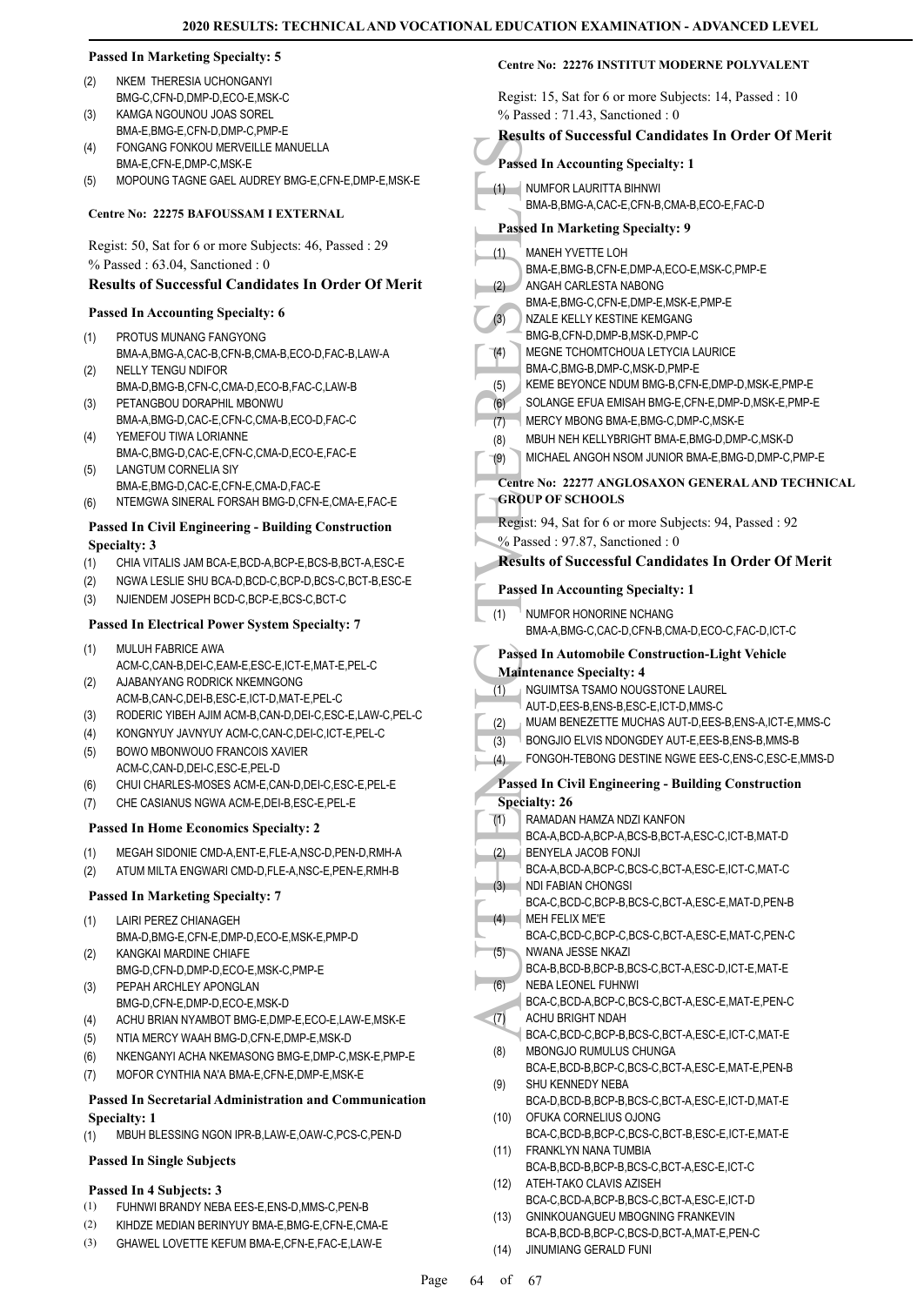#### **Passed In Marketing Specialty: 5**

- NKEM THERESIA UCHONGANYI BMG-C,CFN-D,DMP-D,ECO-E,MSK-C (2)
- KAMGA NGOUNOU JOAS SOREL BMA-E,BMG-E,CFN-D,DMP-C,PMP-E (3)
- FONGANG FONKOU MERVEILLE MANUELLA BMA-E,CFN-E,DMP-C,MSK-E (4)
- (5) MOPOUNG TAGNE GAEL AUDREY BMG-E,CFN-E,DMP-E,MSK-E

#### **Centre No: 22275 BAFOUSSAM I EXTERNAL**

Regist: 50, Sat for 6 or more Subjects: 46, Passed : 29 % Passed : 63.04, Sanctioned : 0

#### **Results of Successful Candidates In Order Of Merit**

#### **Passed In Accounting Specialty: 6**

- PROTUS MUNANG FANGYONG BMA-A,BMG-A,CAC-B,CFN-B,CMA-B,ECO-D,FAC-B,LAW-A (1) NELLY TENGU NDIFOR (2)
- BMA-D,BMG-B,CFN-C,CMA-D,ECO-B,FAC-C,LAW-B PETANGBOU DORAPHIL MBONWU (3)
- BMA-A,BMG-D,CAC-E,CFN-C,CMA-B,ECO-D,FAC-C YEMEFOU TIWA LORIANNE (4)
- BMA-C,BMG-D,CAC-E,CFN-C,CMA-D,ECO-E,FAC-E LANGTUM CORNELIA SIY (5)
- BMA-E,BMG-D,CAC-E,CFN-E,CMA-D,FAC-E
- (6) NTEMGWA SINERAL FORSAH BMG-D,CFN-E,CMA-E,FAC-E

#### **Passed In Civil Engineering - Building Construction Specialty: 3**

- (1) CHIA VITALIS JAM BCA-E,BCD-A,BCP-E,BCS-B,BCT-A,ESC-E
- (2) NGWA LESLIE SHU BCA-D,BCD-C,BCP-D,BCS-C,BCT-B,ESC-E
- (3) NJIENDEM JOSEPH BCD-C,BCP-E,BCS-C,BCT-C

#### **Passed In Electrical Power System Specialty: 7**

- MULUH FABRICE AWA ACM-C,CAN-B,DEI-C,EAM-E,ESC-E,ICT-E,MAT-E,PEL-C (1)
- AJABANYANG RODRICK NKEMNGONG ACM-B,CAN-C,DEI-B,ESC-E,ICT-D,MAT-E,PEL-C (2)
- (3) RODERIC YIBEH AJIM ACM-B,CAN-D,DEI-C,ESC-E,LAW-C,PEL-C
- (4) KONGNYUY JAVNYUY ACM-C,CAN-C,DEI-C,ICT-E,PEL-C BOWO MBONWOUO FRANCOIS XAVIER (5)
- ACM-C,CAN-D,DEI-C,ESC-E,PEL-D (6) CHUI CHARLES-MOSES ACM-E,CAN-D,DEI-C,ESC-E,PEL-E
- (7) CHE CASIANUS NGWA ACM-E,DEI-B,ESC-E,PEL-E

#### **Passed In Home Economics Specialty: 2**

- (1) MEGAH SIDONIE CMD-A,ENT-E,FLE-A,NSC-D,PEN-D,RMH-A
- (2) ATUM MILTA ENGWARI CMD-D,FLE-A,NSC-E,PEN-E,RMH-B

#### **Passed In Marketing Specialty: 7**

- LAIRI PEREZ CHIANAGEH BMA-D,BMG-E,CFN-E,DMP-D,ECO-E,MSK-E,PMP-D (1)
- KANGKAI MARDINE CHIAFE BMG-D,CFN-D,DMP-D,ECO-E,MSK-C,PMP-E (2)
- PEPAH ARCHLEY APONGLAN BMG-D,CFN-E,DMP-D,ECO-E,MSK-D (3)
- (4) ACHU BRIAN NYAMBOT BMG-E,DMP-E,ECO-E,LAW-E,MSK-E
- (5) NTIA MERCY WAAH BMG-D,CFN-E,DMP-E,MSK-D
- (6) NKENGANYI ACHA NKEMASONG BMG-E,DMP-C,MSK-E,PMP-E
- (7) MOFOR CYNTHIA NA'A BMA-E,CFN-E,DMP-E,MSK-E

#### **Passed In Secretarial Administration and Communication Specialty: 1**

(1) MBUH BLESSING NGON IPR-B,LAW-E,OAW-C,PCS-C,PEN-D

#### **Passed In Single Subjects**

# **Passed In 4 Subjects: 3**

- (1) FUHNWI BRANDY NEBA EES-E,ENS-D,MMS-C,PEN-B
- (2) KIHDZE MEDIAN BERINYUY BMA-E,BMG-E,CFN-E,CMA-E
- (3) GHAWEL LOVETTE KEFUM BMA-E,CFN-E,FAC-E,LAW-E

|            | Regist: 15, Sat for 6 or more Subjects: 14, Passed : 10                                             |
|------------|-----------------------------------------------------------------------------------------------------|
|            | $%$ Passed: 71.43, Sanctioned: 0                                                                    |
|            | <b>Results of Successful Candidates In Order Of Merit</b>                                           |
|            | <b>Passed In Accounting Specialty: 1</b>                                                            |
| (1)        | <b>NUMFOR LAURITTA BIHNWI</b><br>BMA-B, BMG-A, CAC-E, CFN-B, CMA-B, ECO-E, FAC-D                    |
|            |                                                                                                     |
|            | <b>Passed In Marketing Specialty: 9</b>                                                             |
| (1)        | <b>MANEH YVETTE LOH</b><br>BMA-E,BMG-B,CFN-E,DMP-A,ECO-E,MSK-C,PMP-E                                |
| (2)        | ANGAH CARLESTA NABONG                                                                               |
|            | BMA-E, BMG-C, CFN-E, DMP-E, MSK-E, PMP-E                                                            |
| (3)        | NZALE KELLY KESTINE KEMGANG<br>BMG-B.CFN-D.DMP-B.MSK-D.PMP-C                                        |
| (4)        | MEGNE TCHOMTCHOUA LETYCIA LAURICE                                                                   |
|            | BMA-C, BMG-B, DMP-C, MSK-D, PMP-E                                                                   |
| (5)        | KEME BEYONCE NDUM BMG-B, CFN-E, DMP-D, MSK-E, PMP-E                                                 |
| (6)<br>(7) | SOLANGE EFUA EMISAH BMG-E, CFN-E, DMP-D, MSK-E, PMP-E<br>MERCY MBONG BMA-E, BMG-C, DMP-C, MSK-E     |
| (8)        | MBUH NEH KELLYBRIGHT BMA-E, BMG-D, DMP-C, MSK-D                                                     |
| (9)        | MICHAEL ANGOH NSOM JUNIOR BMA-E, BMG-D, DMP-C, PMP-E                                                |
|            | Centre No: 22277 ANGLOSAXON GENERAL AND TECHNICAL                                                   |
|            | <b>GROUP OF SCHOOLS</b>                                                                             |
|            | Regist: 94, Sat for 6 or more Subjects: 94, Passed : 92                                             |
|            | % Passed: 97.87, Sanctioned: 0                                                                      |
|            | <b>Results of Successful Candidates In Order Of Merit</b>                                           |
|            | <b>Passed In Accounting Specialty: 1</b>                                                            |
| (1)        | <b>NUMFOR HONORINE NCHANG</b>                                                                       |
|            | BMA-A,BMG-C,CAC-D,CFN-B,CMA-D,ECO-C,FAC-D,ICT-C                                                     |
|            | <b>Passed In Automobile Construction-Light Vehicle</b>                                              |
|            | <b>Maintenance Specialty: 4</b>                                                                     |
| (1)        | NGUIMTSA TSAMO NOUGSTONE LAUREL                                                                     |
| (2)        |                                                                                                     |
|            | AUT-D, EES-B, ENS-B, ESC-E, ICT-D, MMS-C<br>MUAM BENEZETTE MUCHAS AUT-D, EES-B, ENS-A, ICT-E, MMS-C |
| (3)        | BONGJIO ELVIS NDONGDEY AUT-E, EES-B, ENS-B, MMS-B                                                   |
| (4)        | FONGOH-TEBONG DESTINE NGWE EES-C, ENS-C, ESC-E, MMS-D                                               |
|            | Passed In Civil Engineering - Building Construction                                                 |
|            | <b>Specialty: 26</b>                                                                                |
| (1)        | RAMADAN HAMZA NDZI KANFON                                                                           |
|            | BCA-A,BCD-A,BCP-A,BCS-B,BCT-A,ESC-C,ICT-B,MAT-D<br>BENYELA JACOB FONJI                              |
| (2)        | BCA-A,BCD-A,BCP-C,BCS-C,BCT-A,ESC-E,ICT-C,MAT-C                                                     |
| (3)        | NDI FABIAN CHONGSI                                                                                  |
| (4)        | BCA-C,BCD-C,BCP-B,BCS-C,BCT-A,ESC-E,MAT-D,PEN-B<br>MEH FELIX ME'E                                   |
|            | BCA-C,BCD-C,BCP-C,BCS-C,BCT-A,ESC-E,MAT-C,PEN-C                                                     |
| (5)        | NWANA JESSE NKAZI                                                                                   |
|            | BCA-B,BCD-B,BCP-B,BCS-C,BCT-A,ESC-D,ICT-E,MAT-E<br><b>NEBA LEONEL FUHNWI</b>                        |
| (6)        | BCA-C,BCD-A,BCP-C,BCS-C,BCT-A,ESC-E,MAT-E,PEN-C                                                     |
| (7)        | ACHU BRIGHT NDAH                                                                                    |
| (8)        | BCA-C,BCD-C,BCP-B,BCS-C,BCT-A,ESC-E,ICT-C,MAT-E<br>MBONGJO RUMULUS CHUNGA                           |
|            | BCA-E,BCD-B,BCP-C,BCS-C,BCT-A,ESC-E,MAT-E,PEN-B                                                     |
| (9)        | SHU KENNEDY NEBA                                                                                    |
| (10)       | BCA-D,BCD-B,BCP-B,BCS-C,BCT-A,ESC-E,ICT-D,MAT-E<br>OFUKA CORNELIUS OJONG                            |
|            | BCA-C,BCD-B,BCP-C,BCS-C,BCT-B,ESC-E,ICT-E,MAT-E                                                     |
| (11)       | FRANKLYN NANA TUMBIA                                                                                |
|            | BCA-B,BCD-B,BCP-B,BCS-C,BCT-A,ESC-E,ICT-C                                                           |
| (12)       | ATEH-TAKO CLAVIS AZISEH<br>BCA-C,BCD-A,BCP-B,BCS-C,BCT-A,ESC-E,ICT-D                                |

BCA-B,BCD-B,BCP-C,BCS-D,BCT-A,MAT-E,PEN-C

(14) JINUMIANG GERALD FUNI

**Centre No: 22276 INSTITUT MODERNE POLYVALENT** 

Page 64 of 67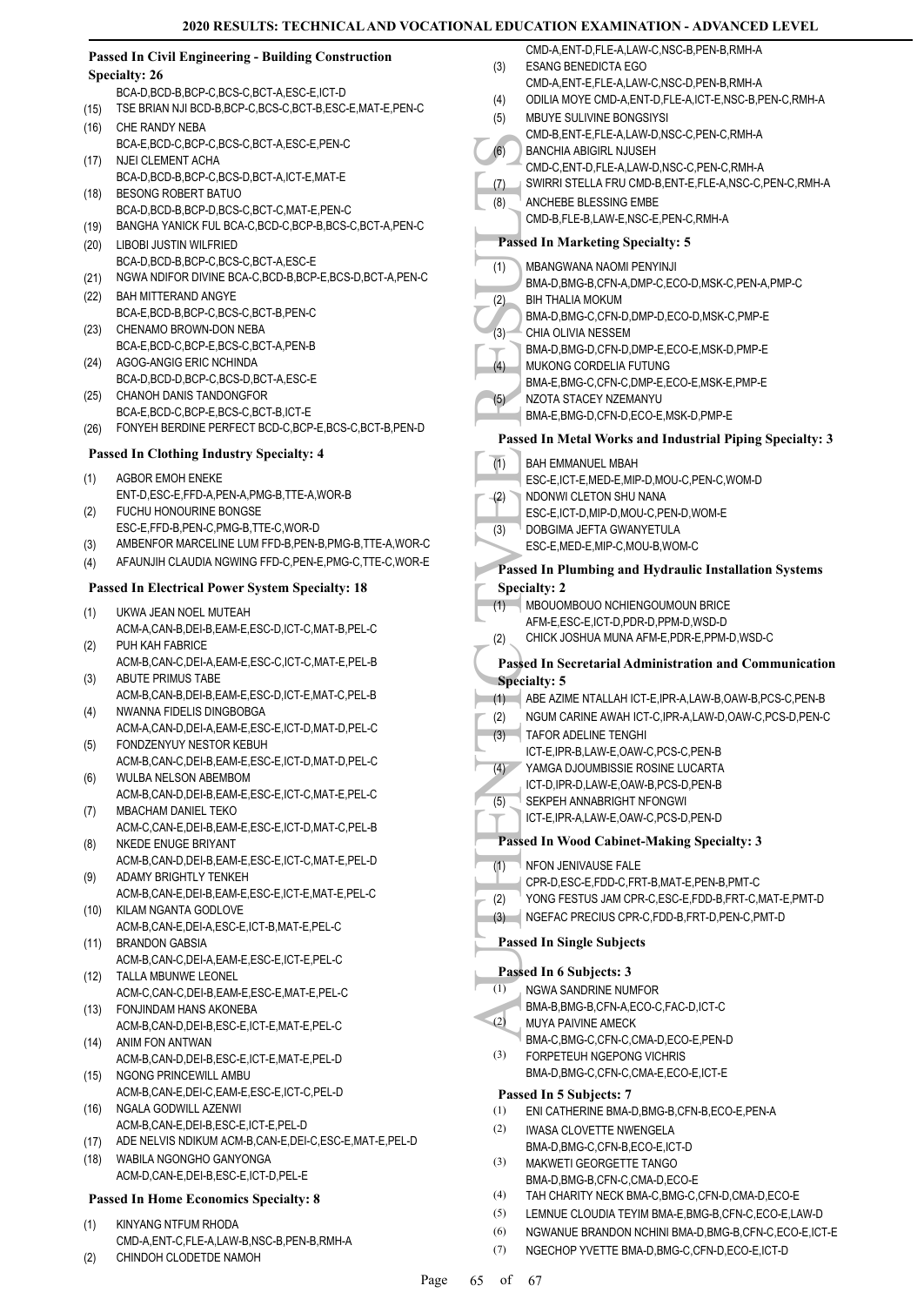|      | <b>Passed In Civil Engineering - Building Construction</b><br><b>Specialty: 26</b> | (3) |
|------|------------------------------------------------------------------------------------|-----|
|      | BCA-D,BCD-B,BCP-C,BCS-C,BCT-A,ESC-E,ICT-D                                          | (4) |
| (15) | TSE BRIAN NJI BCD-B, BCP-C, BCS-C, BCT-B, ESC-E, MAT-E, PEN-C                      | (5) |
| (16) | CHE RANDY NEBA                                                                     |     |
| (17) | BCA-E,BCD-C,BCP-C,BCS-C,BCT-A,ESC-E,PEN-C<br>NJEI CLEMENT ACHA                     | (6) |
|      | BCA-D,BCD-B,BCP-C,BCS-D,BCT-A,ICT-E,MAT-E                                          | (7) |
| (18) | BESONG ROBERT BATUO<br>BCA-D.BCD-B.BCP-D.BCS-C.BCT-C.MAT-E.PEN-C                   | (8) |
| (19) | BANGHA YANICK FUL BCA-C,BCD-C,BCP-B,BCS-C,BCT-A,PEN-C                              |     |
| (20) | LIBOBI JUSTIN WILFRIED                                                             | Pas |
|      | BCA-D,BCD-B,BCP-C,BCS-C,BCT-A,ESC-E                                                | (1) |
| (21) | NGWA NDIFOR DIVINE BCA-C, BCD-B, BCP-E, BCS-D, BCT-A, PEN-C                        |     |
| (22) | <b>BAH MITTERAND ANGYE</b>                                                         | (2) |
|      | BCA-E,BCD-B,BCP-C,BCS-C,BCT-B,PEN-C                                                |     |
| (23) | CHENAMO BROWN-DON NEBA<br>BCA-E, BCD-C, BCP-E, BCS-C, BCT-A, PEN-B                 | (3) |
| (24) | AGOG-ANGIG ERIC NCHINDA                                                            | (4) |
|      | BCA-D,BCD-D,BCP-C,BCS-D,BCT-A,ESC-E                                                |     |
| (25) | <b>CHANOH DANIS TANDONGFOR</b>                                                     | (5) |
|      | BCA-E,BCD-C,BCP-E,BCS-C,BCT-B,ICT-E                                                |     |
| (26) | FONYEH BERDINE PERFECT BCD-C, BCP-E, BCS-C, BCT-B, PEN-D                           | Pas |
|      | <b>Passed In Clothing Industry Specialty: 4</b>                                    | (1) |
| (1)  | <b>AGBOR EMOH ENEKE</b>                                                            |     |
|      | ENT-D, ESC-E, FFD-A, PEN-A, PMG-B, TTE-A, WOR-B                                    | (2) |
| (2)  | FUCHU HONOURINE BONGSE<br>ESC-E,FFD-B,PEN-C,PMG-B,TTE-C,WOR-D                      |     |
| (3)  | AMBENFOR MARCELINE LUM FFD-B, PEN-B, PMG-B, TTE-A, WOR-C                           | (3) |
| (4)  | AFAUNJIH CLAUDIA NGWING FFD-C, PEN-E, PMG-C, TTE-C, WOR-E                          | Pas |
|      | <b>Passed In Electrical Power System Specialty: 18</b>                             | Spe |
|      |                                                                                    | (1) |
| (1)  | UKWA JEAN NOEL MUTEAH<br>ACM-A,CAN-B,DEI-B,EAM-E,ESC-D,ICT-C,MAT-B,PEL-C           |     |
| (2)  | PUH KAH FABRICE                                                                    | (2) |
|      | ACM-B,CAN-C,DEI-A,EAM-E,ESC-C,ICT-C,MAT-E,PEL-B                                    | Pas |
| (3)  | ABUTE PRIMUS TABE                                                                  | Spe |
| (4)  | ACM-B,CAN-B,DEI-B,EAM-E,ESC-D,ICT-E,MAT-C,PEL-B<br>NWANNA FIDELIS DINGBOBGA        | (1) |
|      | ACM-A,CAN-D,DEI-A,EAM-E,ESC-E,ICT-D,MAT-D,PEL-C                                    | (2) |
| (5)  | FONDZENYUY NESTOR KEBUH                                                            | (3) |
|      | ACM-B,CAN-C,DEI-B,EAM-E,ESC-E,ICT-D,MAT-D,PEL-C                                    | (4) |
| (6)  | WULBA NELSON ABEMBOM<br>ACM-B,CAN-D,DEI-B,EAM-E,ESC-E,ICT-C,MAT-E,PEL-C            |     |
| (7)  | MBACHAM DANIEL TEKO                                                                | (5) |
|      | ACM-C,CAN-E,DEI-B,EAM-E,ESC-E,ICT-D,MAT-C,PEL-B                                    |     |
| (8)  | NKEDE ENUGE BRIYANT                                                                | Pas |
|      | ACM-B,CAN-D,DEI-B,EAM-E,ESC-E,ICT-C,MAT-E,PEL-D<br>ADAMY BRIGHTLY TENKEH           | (1) |
| (9)  | ACM-B,CAN-E,DEI-B,EAM-E,ESC-E,ICT-E,MAT-E,PEL-C                                    |     |
| (10) | KILAM NGANTA GODLOVE                                                               | (2) |
|      | ACM-B,CAN-E,DEI-A,ESC-E,ICT-B,MAT-E,PEL-C                                          | (3) |
| (11) | <b>BRANDON GABSIA</b>                                                              | Pas |
| (12) | ACM-B,CAN-C,DEI-A,EAM-E,ESC-E,ICT-E,PEL-C<br>TALLA MBUNWE LEONEL                   | Pas |
|      | ACM-C,CAN-C,DEI-B,EAM-E,ESC-E,MAT-E,PEL-C                                          | (1) |
| (13) | FONJINDAM HANS AKONEBA                                                             |     |
|      | ACM-B,CAN-D,DEI-B,ESC-E,ICT-E,MAT-E,PEL-C                                          | (2) |
| (14) | ANIM FON ANTWAN<br>ACM-B,CAN-D,DEI-B,ESC-E,ICT-E,MAT-E,PEL-D                       | (3) |
| (15) | NGONG PRINCEWILL AMBU                                                              |     |
|      | ACM-B,CAN-E,DEI-C,EAM-E,ESC-E,ICT-C,PEL-D                                          | Pas |
| (16) | NGALA GODWILL AZENWI                                                               | (1) |
|      | ACM-B,CAN-E,DEI-B,ESC-E,ICT-E,PEL-D                                                | (2) |
| (17) | ADE NELVIS NDIKUM ACM-B,CAN-E,DEI-C,ESC-E,MAT-E,PEL-D                              |     |
| (18) | WABILA NGONGHO GANYONGA<br>ACM-D,CAN-E,DEI-B,ESC-E,ICT-D,PEL-E                     | (3) |
|      |                                                                                    | (4) |
|      | <b>Passed In Home Economics Specialty: 8</b>                                       | (5) |
| (1)  | KINYANG NTFUM RHODA                                                                |     |

| $\sim$ | CMD-A, ENT-C, FLE-A, LAW-B, NSC-B, PEN-B, RMH-A |  |
|--------|-------------------------------------------------|--|
| (2)    | CHINDOH CLODETDE NAMOH                          |  |

|            | CMD-A,ENT-D,FLE-A,LAW-C,NSC-B,PEN-B,RMH-A                                                                    |
|------------|--------------------------------------------------------------------------------------------------------------|
| (3)        | <b>ESANG BENEDICTA EGO</b>                                                                                   |
|            | CMD-A,ENT-E,FLE-A,LAW-C,NSC-D,PEN-B,RMH-A                                                                    |
| (4)        | ODILIA MOYE CMD-A, ENT-D, FLE-A, ICT-E, NSC-B, PEN-C, RMH-A                                                  |
| (5)        | MBUYE SULIVINE BONGSIYSI                                                                                     |
| (6)        | CMD-B,ENT-E,FLE-A,LAW-D,NSC-C,PEN-C,RMH-A<br><b>BANCHIA ABIGIRL NJUSEH</b>                                   |
|            | CMD-C, ENT-D, FLE-A, LAW-D, NSC-C, PEN-C, RMH-A                                                              |
| (7)        | SWIRRI STELLA FRU CMD-B, ENT-E, FLE-A, NSC-C, PEN-C, RMH-A                                                   |
| (8)        | ANCHEBE BLESSING EMBE                                                                                        |
|            | CMD-B,FLE-B,LAW-E,NSC-E,PEN-C,RMH-A                                                                          |
|            | <b>Passed In Marketing Specialty: 5</b>                                                                      |
|            |                                                                                                              |
| (1)        | <b>MBANGWANA NAOMI PENYINJI</b>                                                                              |
| (2)        | BMA-D,BMG-B,CFN-A,DMP-C,ECO-D,MSK-C,PEN-A,PMP-C<br><b>BIH THALIA MOKUM</b>                                   |
|            | BMA-D, BMG-C, CFN-D, DMP-D, ECO-D, MSK-C, PMP-E                                                              |
| (3)        | CHIA OLIVIA NESSEM                                                                                           |
|            | BMA-D, BMG-D, CFN-D, DMP-E, ECO-E, MSK-D, PMP-E                                                              |
| (4)        | MUKONG CORDELIA FUTUNG                                                                                       |
|            | BMA-E,BMG-C,CFN-C,DMP-E,ECO-E,MSK-E,PMP-E                                                                    |
| (5)        | NZOTA STACEY NZEMANYU                                                                                        |
|            | BMA-E, BMG-D, CFN-D, ECO-E, MSK-D, PMP-E                                                                     |
|            | Passed In Metal Works and Industrial Piping Specialty: 3                                                     |
| (1)        | <b>BAH EMMANUEL MBAH</b>                                                                                     |
|            | ESC-E,ICT-E,MED-E,MIP-D,MOU-C,PEN-C,WOM-D                                                                    |
| (2)        | NDONWI CLETON SHU NANA                                                                                       |
|            | ESC-E,ICT-D,MIP-D,MOU-C,PEN-D,WOM-E                                                                          |
| (3)        | DOBGIMA JEFTA GWANYETULA                                                                                     |
|            | ESC-E, MED-E, MIP-C, MOU-B, WOM-C                                                                            |
|            | Passed In Plumbing and Hydraulic Installation Systems                                                        |
|            | <b>Specialty: 2</b>                                                                                          |
| (1)        | MBOUOMBOUO NCHIENGOUMOUN BRICE                                                                               |
|            | AFM-E.ESC-E.ICT-D.PDR-D.PPM-D.WSD-D                                                                          |
| (2)        | CHICK JOSHUA MUNA AFM-E, PDR-E, PPM-D, WSD-C                                                                 |
|            | <b>Passed In Secretarial Administration and Communication</b>                                                |
|            |                                                                                                              |
|            | <b>Specialty: 5</b>                                                                                          |
| (1)        | ABE AZIME NTALLAH ICT-E, IPR-A, LAW-B, OAW-B, PCS-C, PEN-B                                                   |
| (2)        | NGUM CARINE AWAH ICT-C, IPR-A, LAW-D, OAW-C, PCS-D, PEN-C                                                    |
| (3)        | TAFOR ADELINE TENGHI                                                                                         |
|            | ICT-E, IPR-B, LAW-E, OAW-C, PCS-C, PEN-B                                                                     |
| (4)        | YAMGA DJOUMBISSIE ROSINE LUCARTA                                                                             |
|            | ICT-D, IPR-D, LAW-E, OAW-B, PCS-D, PEN-B                                                                     |
| (5)        | SEKPEH ANNABRIGHT NFONGWI                                                                                    |
|            | ICT-E,IPR-A,LAW-E,OAW-C,PCS-D,PEN-D                                                                          |
|            | Passed In Wood Cabinet-Making Specialty: 3                                                                   |
| (1)        | <b>NFON JENIVAUSE FALE</b>                                                                                   |
|            | CPR-D.ESC-E.FDD-C.FRT-B.MAT-E.PEN-B.PMT-C                                                                    |
| (2)        | YONG FESTUS JAM CPR-C, ESC-E, FDD-B, FRT-C, MAT-E, PMT-D                                                     |
| (3)        | NGEFAC PRECIUS CPR-C,FDD-B,FRT-D,PEN-C,PMT-D                                                                 |
|            | <b>Passed In Single Subjects</b>                                                                             |
|            |                                                                                                              |
|            | Passed In 6 Subjects: 3                                                                                      |
| (1)        | <b>NGWA SANDRINE NUMFOR</b>                                                                                  |
| (2)        | BMA-B, BMG-B, CFN-A, ECO-C, FAC-D, ICT-C                                                                     |
|            | MUYA PAIVINE AMECK<br>BMA-C, BMG-C, CFN-C, CMA-D, ECO-E, PEN-D                                               |
| (3)        | FORPETEUH NGEPONG VICHRIS                                                                                    |
|            | BMA-D, BMG-C, CFN-C, CMA-E, ECO-E, ICT-E                                                                     |
|            | Passed In 5 Subjects: 7                                                                                      |
| (1)        | ENI CATHERINE BMA-D, BMG-B, CFN-B, ECO-E, PEN-A                                                              |
| (2)        | <b>IWASA CLOVETTE NWENGELA</b>                                                                               |
|            | BMA-D, BMG-C, CFN-B, ECO-E, ICT-D                                                                            |
| (3)        | MAKWETI GEORGETTE TANGO                                                                                      |
|            | BMA-D, BMG-B, CFN-C, CMA-D, ECO-E                                                                            |
| (4)        | TAH CHARITY NECK BMA-C, BMG-C, CFN-D, CMA-D, ECO-E                                                           |
| (5)        | LEMNUE CLOUDIA TEYIM BMA-E, BMG-B, CFN-C, ECO-E, LAW-D                                                       |
| (6)<br>(7) | NGWANUE BRANDON NCHINI BMA-D, BMG-B, CFN-C, ECO-E, ICT-E<br>NGECHOP YVETTE BMA-D, BMG-C, CFN-D, ECO-E, ICT-D |

Page 65 of 67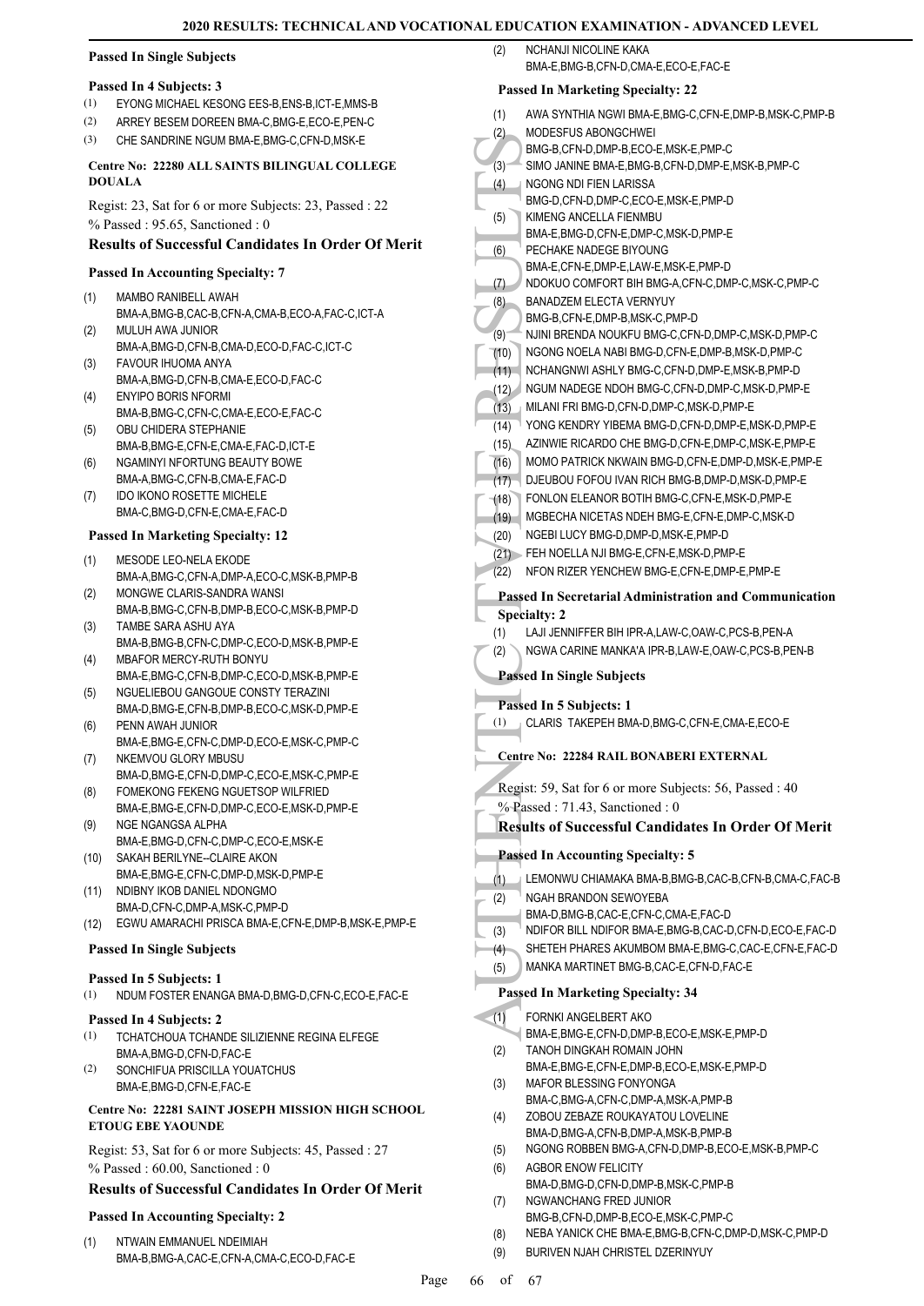#### **Passed In Single Subjects**

#### **Passed In 4 Subjects: 3**

- (1) EYONG MICHAEL KESONG EES-B,ENS-B,ICT-E,MMS-B
- (2) ARREY BESEM DOREEN BMA-C,BMG-E,ECO-E,PEN-C
- (3) CHE SANDRINE NGUM BMA-E,BMG-C,CFN-D,MSK-E

#### **Centre No: 22280 ALL SAINTS BILINGUAL COLLEGE DOUALA**

Regist: 23, Sat for 6 or more Subjects: 23, Passed : 22 % Passed : 95.65, Sanctioned : 0

### **Results of Successful Candidates In Order Of Merit**

#### **Passed In Accounting Specialty: 7**

- MAMBO RANIBELL AWAH BMA-A,BMG-B,CAC-B,CFN-A,CMA-B,ECO-A,FAC-C,ICT-A (1)
- MULUH AWA JUNIOR BMA-A,BMG-D,CFN-B,CMA-D,ECO-D,FAC-C,ICT-C  $(2)$
- FAVOUR IHUOMA ANYA BMA-A,BMG-D,CFN-B,CMA-E,ECO-D,FAC-C (3)
- ENYIPO BORIS NFORMI BMA-B,BMG-C,CFN-C,CMA-E,ECO-E,FAC-C (4)
- OBU CHIDERA STEPHANIE BMA-B,BMG-E,CFN-E,CMA-E,FAC-D,ICT-E (5)
- NGAMINYI NFORTUNG BEAUTY BOWE BMA-A,BMG-C,CFN-B,CMA-E,FAC-D (6)
- IDO IKONO ROSETTE MICHELE BMA-C,BMG-D,CFN-E,CMA-E,FAC-D (7)

#### **Passed In Marketing Specialty: 12**

- MESODE LEO-NELA EKODE BMA-A,BMG-C,CFN-A,DMP-A,ECO-C,MSK-B,PMP-B (1)
- MONGWE CLARIS-SANDRA WANSI BMA-B,BMG-C,CFN-B,DMP-B,ECO-C,MSK-B,PMP-D (2)
- TAMBE SARA ASHU AYA BMA-B,BMG-B,CFN-C,DMP-C,ECO-D,MSK-B,PMP-E (3)
- MBAFOR MERCY-RUTH BONYU BMA-E,BMG-C,CFN-B,DMP-C,ECO-D,MSK-B,PMP-E (4)
- NGUELIEBOU GANGOUE CONSTY TERAZINI BMA-D,BMG-E,CFN-B,DMP-B,ECO-C,MSK-D,PMP-E (5)
- PENN AWAH JUNIOR BMA-E,BMG-E,CFN-C,DMP-D,ECO-E,MSK-C,PMP-C (6)
- NKEMVOU GLORY MBUSU BMA-D,BMG-E,CFN-D,DMP-C,ECO-E,MSK-C,PMP-E (7)
- FOMEKONG FEKENG NGUETSOP WILFRIED BMA-E,BMG-E,CFN-D,DMP-C,ECO-E,MSK-D,PMP-E (8)
- NGE NGANGSA ALPHA BMA-E,BMG-D,CFN-C,DMP-C,ECO-E,MSK-E (9)
- SAKAH BERILYNE--CLAIRE AKON BMA-E,BMG-E,CFN-C,DMP-D,MSK-D,PMP-E (10)
- NDIBNY IKOB DANIEL NDONGMO (11)
- BMA-D,CFN-C,DMP-A,MSK-C,PMP-D (12) EGWU AMARACHI PRISCA BMA-E,CFN-E,DMP-B,MSK-E,PMP-E

#### **Passed In Single Subjects**

#### **Passed In 5 Subjects: 1**

(1) NDUM FOSTER ENANGA BMA-D,BMG-D,CFN-C,ECO-E,FAC-E

#### **Passed In 4 Subjects: 2**

- TCHATCHOUA TCHANDE SILIZIENNE REGINA ELFEGE BMA-A,BMG-D,CFN-D,FAC-E (1)
- SONCHIFUA PRISCILLA YOUATCHUS BMA-E,BMG-D,CFN-E,FAC-E (2)

#### **Centre No: 22281 SAINT JOSEPH MISSION HIGH SCHOOL ETOUG EBE YAOUNDE**

Regist: 53, Sat for 6 or more Subjects: 45, Passed : 27 % Passed : 60.00, Sanctioned : 0

#### **Results of Successful Candidates In Order Of Merit**

#### **Passed In Accounting Specialty: 2**

NTWAIN EMMANUEL NDEIMIAH BMA-B,BMG-A,CAC-E,CFN-A,CMA-C,ECO-D,FAC-E (1)

BMA-E,BMG-B,CFN-D,CMA-E,ECO-E,FAC-E (2)

#### **Passed In Marketing Specialty: 22**

NCHANJI NICOLINE KAKA

- AUTHENTIC TVEE RESULTS (1) AWA SYNTHIA NGWI BMA-E,BMG-C,CFN-E,DMP-B,MSK-C,PMP-B MODESFUS ABONGCHWEI BMG-B,CFN-D,DMP-B,ECO-E,MSK-E,PMP-C (2) (3) SIMO JANINE BMA-E,BMG-B,CFN-D,DMP-E,MSK-B,PMP-C NGONG NDI FIEN LARISSA BMG-D,CFN-D,DMP-C,ECO-E,MSK-E,PMP-D (4) KIMENG ANCELLA FIENMBU BMA-E,BMG-D,CFN-E,DMP-C,MSK-D,PMP-E (5) PECHAKE NADEGE BIYOUNG BMA-F, CFN-F, DMP-F, LAW-F, MSK-F, PMP-D (6) (7) NDOKUO COMFORT BIH BMG-A,CFN-C,DMP-C,MSK-C,PMP-C BANADZEM ELECTA VERNYUY BMG-B,CFN-E,DMP-B,MSK-C,PMP-D (8) (9) NJINI BRENDA NOUKFU BMG-C,CFN-D,DMP-C,MSK-D,PMP-C (10) NGONG NOELA NABI BMG-D,CFN-E,DMP-B,MSK-D,PMP-C (11) NCHANGNWI ASHLY BMG-C,CFN-D,DMP-E,MSK-B,PMP-D (12) NGUM NADEGE NDOH BMG-C,CFN-D,DMP-C,MSK-D,PMP-E (13) MILANI FRI BMG-D,CFN-D,DMP-C,MSK-D,PMP-E (14) YONG KENDRY YIBEMA BMG-D,CFN-D,DMP-E,MSK-D,PMP-E (15) AZINWIE RICARDO CHE BMG-D,CFN-E,DMP-C,MSK-E,PMP-E (16) MOMO PATRICK NKWAIN BMG-D,CFN-E,DMP-D,MSK-E,PMP-E (17) DJEUBOU FOFOU IVAN RICH BMG-B,DMP-D,MSK-D,PMP-E (18) FONLON ELEANOR BOTIH BMG-C,CFN-E,MSK-D,PMP-E (19) MGBECHA NICETAS NDEH BMG-E,CFN-E,DMP-C,MSK-D (20) NGEBI LUCY BMG-D,DMP-D,MSK-E,PMP-D (21) FEH NOELLA NJI BMG-E,CFN-E,MSK-D,PMP-E (22) NFON RIZER YENCHEW BMG-E,CFN-E,DMP-E,PMP-E **Passed In Secretarial Administration and Communication Specialty: 2** (1) LAJI JENNIFFER BIH IPR-A,LAW-C,OAW-C,PCS-B,PEN-A (2) NGWA CARINE MANKA'A IPR-B,LAW-E,OAW-C,PCS-B,PEN-B **Passed In Single Subjects Passed In 5 Subjects: 1** (1) CLARIS TAKEPEH BMA-D,BMG-C,CFN-E,CMA-E,ECO-E **Centre No: 22284 RAIL BONABERI EXTERNAL**  Regist: 59, Sat for 6 or more Subjects: 56, Passed : 40 % Passed : 71.43, Sanctioned : 0 **Results of Successful Candidates In Order Of Merit Passed In Accounting Specialty: 5** (1) LEMONWU CHIAMAKA BMA-B,BMG-B,CAC-B,CFN-B,CMA-C,FAC-B NGAH BRANDON SEWOYEBA BMA-D,BMG-B,CAC-E,CFN-C,CMA-E,FAC-D (2) (3) NDIFOR BILL NDIFOR BMA-E,BMG-B,CAC-D,CFN-D,ECO-E,FAC-D (4) SHETEH PHARES AKUMBOM BMA-E,BMG-C,CAC-E,CFN-E,FAC-D (5) MANKA MARTINET BMG-B,CAC-E,CFN-D,FAC-E **Passed In Marketing Specialty: 34** FORNKI ANGELBERT AKO BMA-E,BMG-E,CFN-D,DMP-B,ECO-E,MSK-E,PMP-D  $(1)$ TANOH DINGKAH ROMAIN JOHN BMA-E,BMG-E,CFN-E,DMP-B,ECO-E,MSK-E,PMP-D (2) MAFOR BLESSING FONYONGA BMA-C,BMG-A,CFN-C,DMP-A,MSK-A,PMP-B (3) ZOBOU ZEBAZE ROUKAYATOU LOVELINE BMA-D,BMG-A,CFN-B,DMP-A,MSK-B,PMP-B (4) (5) NGONG ROBBEN BMG-A,CFN-D,DMP-B,ECO-E,MSK-B,PMP-C AGBOR ENOW FELICITY BMA-D,BMG-D,CFN-D,DMP-B,MSK-C,PMP-B (6) NGWANCHANG FRED JUNIOR BMG-B,CFN-D,DMP-B,ECO-E,MSK-C,PMP-C (7) (8) NEBA YANICK CHE BMA-E,BMG-B,CFN-C,DMP-D,MSK-C,PMP-D (9) BURIVEN NJAH CHRISTEL DZERINYUY
- Page 66 of 67